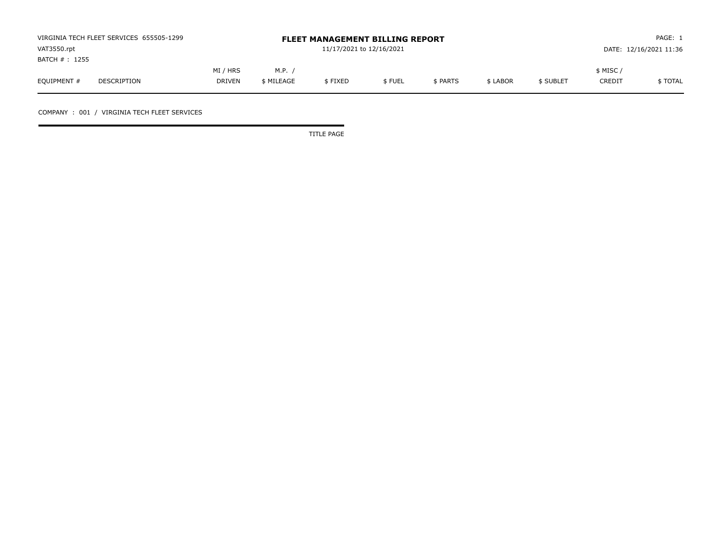| VIRGINIA TECH FLEET SERVICES 655505-1299 |             |               |            | <b>FLEET MANAGEMENT BILLING REPORT</b> |        | PAGE: 1  |          |           |               |                        |
|------------------------------------------|-------------|---------------|------------|----------------------------------------|--------|----------|----------|-----------|---------------|------------------------|
| VAT3550.rpt                              |             |               |            | 11/17/2021 to 12/16/2021               |        |          |          |           |               | DATE: 12/16/2021 11:36 |
| BATCH # : 1255                           |             |               |            |                                        |        |          |          |           |               |                        |
|                                          |             | MI / HRS      | M.P.       |                                        |        |          |          |           | \$ MISC ,     |                        |
| EQUIPMENT #                              | DESCRIPTION | <b>DRIVEN</b> | \$ MILEAGE | \$FIXED                                | \$FUEL | \$ PARTS | \$ LABOR | \$ SUBLET | <b>CREDIT</b> | \$ TOTAL               |

COMPANY : 001 / VIRGINIA TECH FLEET SERVICES

TITLE PAGE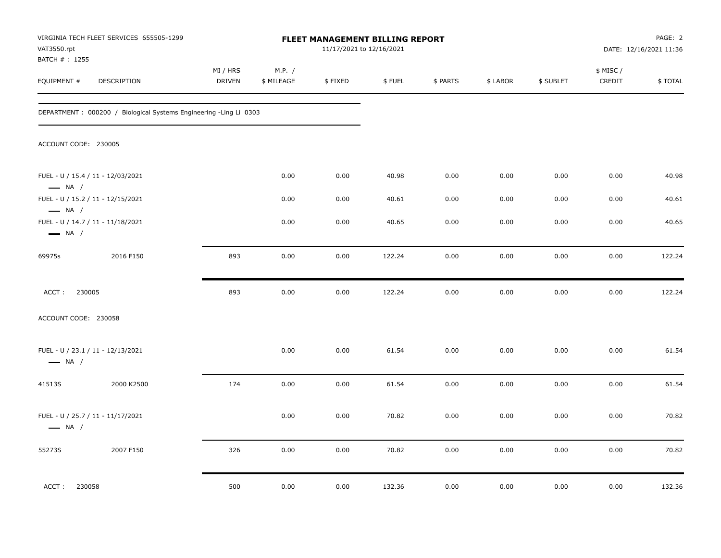| VIRGINIA TECH FLEET SERVICES 655505-1299<br>VAT3550.rpt           |            |                    |                      |         | <b>FLEET MANAGEMENT BILLING REPORT</b><br>11/17/2021 to 12/16/2021 |          |          |           |                     | PAGE: 2<br>DATE: 12/16/2021 11:36 |
|-------------------------------------------------------------------|------------|--------------------|----------------------|---------|--------------------------------------------------------------------|----------|----------|-----------|---------------------|-----------------------------------|
| BATCH # : 1255<br>EQUIPMENT #<br>DESCRIPTION                      |            | MI / HRS<br>DRIVEN | M.P. /<br>\$ MILEAGE | \$FIXED | \$FUEL                                                             | \$ PARTS | \$ LABOR | \$ SUBLET | \$ MISC /<br>CREDIT | \$TOTAL                           |
| DEPARTMENT: 000200 / Biological Systems Engineering -Ling Li 0303 |            |                    |                      |         |                                                                    |          |          |           |                     |                                   |
| ACCOUNT CODE: 230005                                              |            |                    |                      |         |                                                                    |          |          |           |                     |                                   |
| FUEL - U / 15.4 / 11 - 12/03/2021<br>$\longrightarrow$ NA /       |            |                    | 0.00                 | 0.00    | 40.98                                                              | 0.00     | 0.00     | 0.00      | 0.00                | 40.98                             |
| FUEL - U / 15.2 / 11 - 12/15/2021<br>$\longrightarrow$ NA /       |            |                    | 0.00                 | 0.00    | 40.61                                                              | 0.00     | 0.00     | 0.00      | 0.00                | 40.61                             |
| FUEL - U / 14.7 / 11 - 11/18/2021<br>$\longrightarrow$ NA /       |            |                    | 0.00                 | 0.00    | 40.65                                                              | 0.00     | 0.00     | 0.00      | 0.00                | 40.65                             |
| 69975s                                                            | 2016 F150  | 893                | 0.00                 | 0.00    | 122.24                                                             | 0.00     | 0.00     | 0.00      | 0.00                | 122.24                            |
| 230005<br>ACCT:                                                   |            | 893                | 0.00                 | 0.00    | 122.24                                                             | 0.00     | 0.00     | 0.00      | 0.00                | 122.24                            |
| ACCOUNT CODE: 230058                                              |            |                    |                      |         |                                                                    |          |          |           |                     |                                   |
| FUEL - U / 23.1 / 11 - 12/13/2021<br>$\longrightarrow$ NA /       |            |                    | 0.00                 | 0.00    | 61.54                                                              | 0.00     | 0.00     | 0.00      | 0.00                | 61.54                             |
| 41513S                                                            | 2000 K2500 | 174                | 0.00                 | 0.00    | 61.54                                                              | 0.00     | 0.00     | 0.00      | 0.00                | 61.54                             |
| FUEL - U / 25.7 / 11 - 11/17/2021<br>$\longrightarrow$ NA /       |            |                    | 0.00                 | 0.00    | 70.82                                                              | 0.00     | 0.00     | 0.00      | 0.00                | 70.82                             |
| 55273S                                                            | 2007 F150  | 326                | 0.00                 | 0.00    | 70.82                                                              | 0.00     | 0.00     | 0.00      | 0.00                | 70.82                             |
| 230058<br>ACCT:                                                   |            | 500                | 0.00                 | 0.00    | 132.36                                                             | 0.00     | 0.00     | 0.00      | 0.00                | 132.36                            |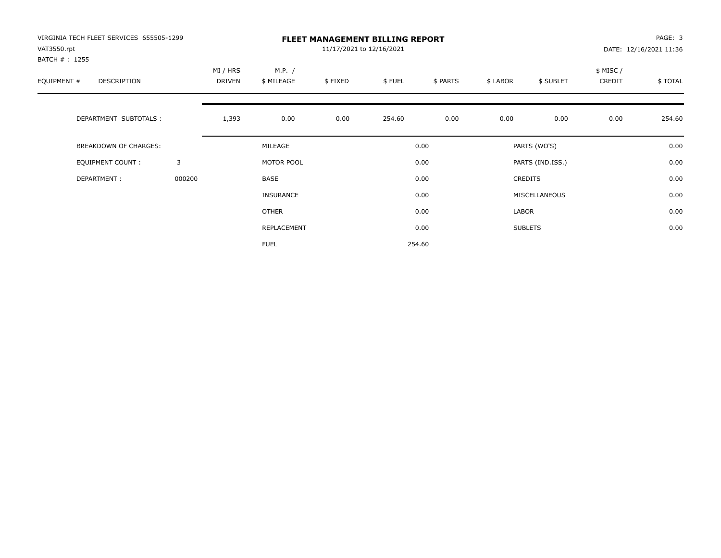| VIRGINIA TECH FLEET SERVICES 655505-1299<br>VAT3550.rpt |        |          |                  | 11/17/2021 to 12/16/2021 | <b>FLEET MANAGEMENT BILLING REPORT</b> |          |          |                  |          | PAGE: 3<br>DATE: 12/16/2021 11:36 |
|---------------------------------------------------------|--------|----------|------------------|--------------------------|----------------------------------------|----------|----------|------------------|----------|-----------------------------------|
| BATCH #: 1255                                           |        |          |                  |                          |                                        |          |          |                  |          |                                   |
|                                                         |        | MI / HRS | M.P. /           |                          |                                        |          |          |                  | \$ MISC/ |                                   |
| EQUIPMENT #<br>DESCRIPTION                              |        | DRIVEN   | \$ MILEAGE       | \$FIXED                  | \$FUEL                                 | \$ PARTS | \$ LABOR | \$ SUBLET        | CREDIT   | \$TOTAL                           |
|                                                         |        |          |                  |                          |                                        |          |          |                  |          |                                   |
| DEPARTMENT SUBTOTALS :                                  |        | 1,393    | 0.00             | 0.00                     | 254.60                                 | 0.00     | 0.00     | 0.00             | 0.00     | 254.60                            |
| <b>BREAKDOWN OF CHARGES:</b>                            |        |          | MILEAGE          |                          |                                        | 0.00     |          | PARTS (WO'S)     |          | 0.00                              |
| EQUIPMENT COUNT:                                        | 3      |          | MOTOR POOL       |                          |                                        | 0.00     |          | PARTS (IND.ISS.) |          | 0.00                              |
| DEPARTMENT:                                             | 000200 |          | <b>BASE</b>      |                          |                                        | 0.00     |          | <b>CREDITS</b>   |          | 0.00                              |
|                                                         |        |          | <b>INSURANCE</b> |                          |                                        | 0.00     |          | MISCELLANEOUS    |          | 0.00                              |
|                                                         |        |          | <b>OTHER</b>     |                          |                                        | 0.00     | LABOR    |                  |          | 0.00                              |
|                                                         |        |          | REPLACEMENT      |                          |                                        | 0.00     |          | <b>SUBLETS</b>   |          | 0.00                              |
|                                                         |        |          | <b>FUEL</b>      |                          |                                        | 254.60   |          |                  |          |                                   |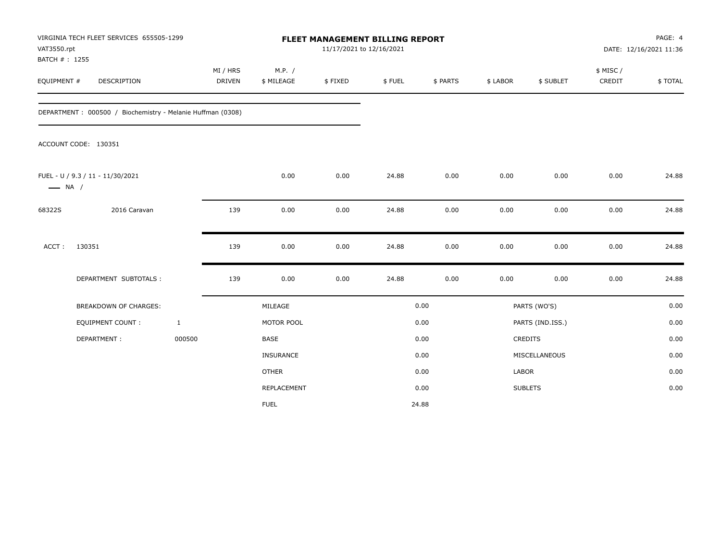| VAT3550.rpt                  | VIRGINIA TECH FLEET SERVICES 655505-1299                   |              |                           |                      | <b>FLEET MANAGEMENT BILLING REPORT</b><br>11/17/2021 to 12/16/2021 |        |          |          |                  | PAGE: 4<br>DATE: 12/16/2021 11:36 |         |  |  |  |
|------------------------------|------------------------------------------------------------|--------------|---------------------------|----------------------|--------------------------------------------------------------------|--------|----------|----------|------------------|-----------------------------------|---------|--|--|--|
| BATCH #: 1255<br>EQUIPMENT # | DESCRIPTION                                                |              | MI / HRS<br><b>DRIVEN</b> | M.P. /<br>\$ MILEAGE | \$FIXED                                                            | \$FUEL | \$ PARTS | \$ LABOR | \$ SUBLET        | \$ MISC /<br>CREDIT               | \$TOTAL |  |  |  |
|                              | DEPARTMENT: 000500 / Biochemistry - Melanie Huffman (0308) |              |                           |                      |                                                                    |        |          |          |                  |                                   |         |  |  |  |
|                              | ACCOUNT CODE: 130351                                       |              |                           |                      |                                                                    |        |          |          |                  |                                   |         |  |  |  |
| $\longrightarrow$ NA /       | FUEL - U / 9.3 / 11 - 11/30/2021                           |              |                           | 0.00                 | 0.00                                                               | 24.88  | 0.00     | 0.00     | 0.00             | 0.00                              | 24.88   |  |  |  |
| 68322S                       | 2016 Caravan                                               |              | 139                       | 0.00                 | 0.00                                                               | 24.88  | 0.00     | 0.00     | 0.00             | 0.00                              | 24.88   |  |  |  |
| ACCT:                        | 130351                                                     |              | 139                       | 0.00                 | 0.00                                                               | 24.88  | 0.00     | 0.00     | 0.00             | 0.00                              | 24.88   |  |  |  |
|                              | DEPARTMENT SUBTOTALS :                                     |              | 139                       | 0.00                 | 0.00                                                               | 24.88  | 0.00     | 0.00     | 0.00             | 0.00                              | 24.88   |  |  |  |
|                              | <b>BREAKDOWN OF CHARGES:</b>                               |              |                           | MILEAGE              |                                                                    |        | 0.00     |          | PARTS (WO'S)     |                                   | 0.00    |  |  |  |
|                              | <b>EQUIPMENT COUNT:</b>                                    | $\mathbf{1}$ |                           | MOTOR POOL           |                                                                    |        | 0.00     |          | PARTS (IND.ISS.) |                                   | 0.00    |  |  |  |
|                              | DEPARTMENT:                                                | 000500       |                           | <b>BASE</b>          |                                                                    |        | 0.00     |          | CREDITS          |                                   | 0.00    |  |  |  |
|                              |                                                            |              |                           | INSURANCE            |                                                                    |        | 0.00     |          | MISCELLANEOUS    |                                   | 0.00    |  |  |  |
|                              |                                                            |              |                           | <b>OTHER</b>         |                                                                    |        | 0.00     | LABOR    |                  |                                   | 0.00    |  |  |  |
|                              |                                                            |              |                           | REPLACEMENT          |                                                                    |        | 0.00     |          | <b>SUBLETS</b>   |                                   | 0.00    |  |  |  |
|                              |                                                            |              |                           | <b>FUEL</b>          |                                                                    |        | 24.88    |          |                  |                                   |         |  |  |  |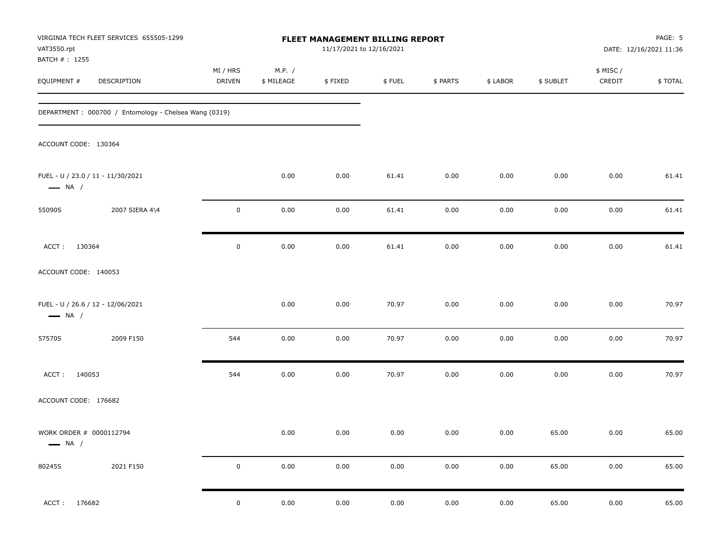| VAT3550.rpt<br>BATCH #: 1255                      | VIRGINIA TECH FLEET SERVICES 655505-1299              |                    |                      | FLEET MANAGEMENT BILLING REPORT<br>11/17/2021 to 12/16/2021 |          |          |          |           |                     | PAGE: 5<br>DATE: 12/16/2021 11:36 |
|---------------------------------------------------|-------------------------------------------------------|--------------------|----------------------|-------------------------------------------------------------|----------|----------|----------|-----------|---------------------|-----------------------------------|
| EQUIPMENT #                                       | <b>DESCRIPTION</b>                                    | MI / HRS<br>DRIVEN | M.P. /<br>\$ MILEAGE | \$FIXED                                                     | \$FUEL   | \$ PARTS | \$ LABOR | \$ SUBLET | \$ MISC /<br>CREDIT | \$TOTAL                           |
|                                                   | DEPARTMENT: 000700 / Entomology - Chelsea Wang (0319) |                    |                      |                                                             |          |          |          |           |                     |                                   |
| ACCOUNT CODE: 130364                              |                                                       |                    |                      |                                                             |          |          |          |           |                     |                                   |
| $\longrightarrow$ NA /                            | FUEL - U / 23.0 / 11 - 11/30/2021                     |                    | 0.00                 | 0.00                                                        | 61.41    | 0.00     | 0.00     | 0.00      | 0.00                | 61.41                             |
| 55090S                                            | 2007 SIERA 4\4                                        | $\mathbf 0$        | 0.00                 | 0.00                                                        | 61.41    | 0.00     | 0.00     | 0.00      | 0.00                | 61.41                             |
| ACCT: 130364                                      |                                                       | $\mathbf 0$        | 0.00                 | 0.00                                                        | 61.41    | 0.00     | 0.00     | 0.00      | 0.00                | 61.41                             |
| ACCOUNT CODE: 140053                              |                                                       |                    |                      |                                                             |          |          |          |           |                     |                                   |
| $\longrightarrow$ NA /                            | FUEL - U / 26.6 / 12 - 12/06/2021                     |                    | 0.00                 | 0.00                                                        | 70.97    | 0.00     | 0.00     | 0.00      | 0.00                | 70.97                             |
| 57570S                                            | 2009 F150                                             | 544                | 0.00                 | 0.00                                                        | 70.97    | 0.00     | 0.00     | 0.00      | 0.00                | 70.97                             |
| 140053<br>ACCT:                                   |                                                       | 544                | 0.00                 | 0.00                                                        | 70.97    | 0.00     | 0.00     | 0.00      | 0.00                | 70.97                             |
| ACCOUNT CODE: 176682                              |                                                       |                    |                      |                                                             |          |          |          |           |                     |                                   |
| WORK ORDER # 0000112794<br>$\longrightarrow$ NA / |                                                       |                    | 0.00                 | 0.00                                                        | 0.00     | 0.00     | 0.00     | 65.00     | 0.00                | 65.00                             |
| 80245S                                            | 2021 F150                                             | $\pmb{0}$          | $0.00\,$             | $0.00\,$                                                    | $0.00\,$ | 0.00     | 0.00     | 65.00     | 0.00                | 65.00                             |
| 176682<br>ACCT:                                   |                                                       | $\pmb{0}$          | $0.00\,$             | $0.00\,$                                                    | $0.00\,$ | $0.00\,$ | 0.00     | 65.00     | 0.00                | 65.00                             |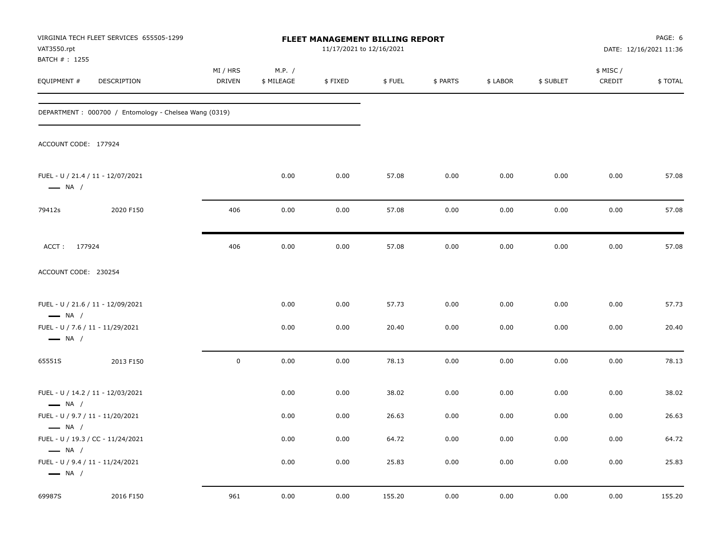| VAT3550.rpt<br>BATCH # : 1255                              | VIRGINIA TECH FLEET SERVICES 655505-1299              |                           |                      | FLEET MANAGEMENT BILLING REPORT<br>11/17/2021 to 12/16/2021 |        |          |          |           |                     | PAGE: 6<br>DATE: 12/16/2021 11:36 |
|------------------------------------------------------------|-------------------------------------------------------|---------------------------|----------------------|-------------------------------------------------------------|--------|----------|----------|-----------|---------------------|-----------------------------------|
| EQUIPMENT #                                                | DESCRIPTION                                           | MI / HRS<br><b>DRIVEN</b> | M.P. /<br>\$ MILEAGE | \$FIXED                                                     | \$FUEL | \$ PARTS | \$ LABOR | \$ SUBLET | \$ MISC /<br>CREDIT | \$TOTAL                           |
|                                                            | DEPARTMENT: 000700 / Entomology - Chelsea Wang (0319) |                           |                      |                                                             |        |          |          |           |                     |                                   |
| ACCOUNT CODE: 177924                                       |                                                       |                           |                      |                                                             |        |          |          |           |                     |                                   |
| $\longrightarrow$ NA /                                     | FUEL - U / 21.4 / 11 - 12/07/2021                     |                           | 0.00                 | 0.00                                                        | 57.08  | 0.00     | 0.00     | 0.00      | 0.00                | 57.08                             |
| 79412s                                                     | 2020 F150                                             | 406                       | 0.00                 | 0.00                                                        | 57.08  | 0.00     | 0.00     | 0.00      | 0.00                | 57.08                             |
| ACCT: 177924                                               |                                                       | 406                       | 0.00                 | 0.00                                                        | 57.08  | 0.00     | 0.00     | 0.00      | 0.00                | 57.08                             |
| ACCOUNT CODE: 230254                                       |                                                       |                           |                      |                                                             |        |          |          |           |                     |                                   |
| $\longrightarrow$ NA /                                     | FUEL - U / 21.6 / 11 - 12/09/2021                     |                           | 0.00                 | 0.00                                                        | 57.73  | 0.00     | 0.00     | 0.00      | 0.00                | 57.73                             |
| FUEL - U / 7.6 / 11 - 11/29/2021<br>$\longrightarrow$ NA / |                                                       |                           | 0.00                 | 0.00                                                        | 20.40  | 0.00     | 0.00     | 0.00      | 0.00                | 20.40                             |
| 65551S                                                     | 2013 F150                                             | $\pmb{0}$                 | 0.00                 | 0.00                                                        | 78.13  | 0.00     | 0.00     | 0.00      | 0.00                | 78.13                             |
| $\longrightarrow$ NA /                                     | FUEL - U / 14.2 / 11 - 12/03/2021                     |                           | 0.00                 | 0.00                                                        | 38.02  | 0.00     | 0.00     | 0.00      | 0.00                | 38.02                             |
| FUEL - U / 9.7 / 11 - 11/20/2021                           |                                                       |                           | 0.00                 | 0.00                                                        | 26.63  | 0.00     | 0.00     | 0.00      | 0.00                | 26.63                             |
| $\longrightarrow$ NA /<br>$\longrightarrow$ NA /           | FUEL - U / 19.3 / CC - 11/24/2021                     |                           | 0.00                 | 0.00                                                        | 64.72  | 0.00     | 0.00     | 0.00      | 0.00                | 64.72                             |
| FUEL - U / 9.4 / 11 - 11/24/2021<br>$\longrightarrow$ NA / |                                                       |                           | 0.00                 | 0.00                                                        | 25.83  | 0.00     | 0.00     | 0.00      | 0.00                | 25.83                             |
| 69987S                                                     | 2016 F150                                             | 961                       | 0.00                 | 0.00                                                        | 155.20 | 0.00     | 0.00     | 0.00      | 0.00                | 155.20                            |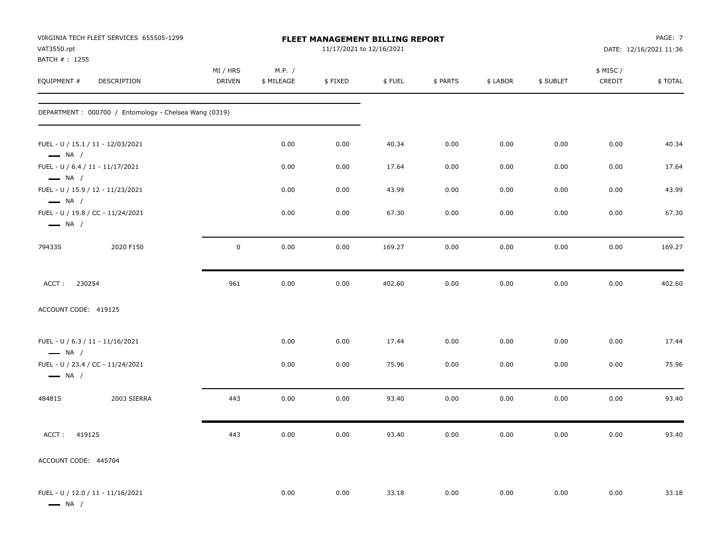| VAT3550.rpt<br>BATCH #: 1255                               | VIRGINIA TECH FLEET SERVICES 655505-1299              |                           |                      |         | FLEET MANAGEMENT BILLING REPORT<br>11/17/2021 to 12/16/2021 |          |          |           |                     | PAGE: 7<br>DATE: 12/16/2021 11:36 |
|------------------------------------------------------------|-------------------------------------------------------|---------------------------|----------------------|---------|-------------------------------------------------------------|----------|----------|-----------|---------------------|-----------------------------------|
| EQUIPMENT #                                                | DESCRIPTION                                           | MI / HRS<br><b>DRIVEN</b> | M.P. /<br>\$ MILEAGE | \$FIXED | \$FUEL                                                      | \$ PARTS | \$ LABOR | \$ SUBLET | \$ MISC /<br>CREDIT | \$ TOTAL                          |
|                                                            | DEPARTMENT: 000700 / Entomology - Chelsea Wang (0319) |                           |                      |         |                                                             |          |          |           |                     |                                   |
| $\longrightarrow$ NA /                                     | FUEL - U / 15.1 / 11 - 12/03/2021                     |                           | 0.00                 | 0.00    | 40.34                                                       | 0.00     | 0.00     | 0.00      | 0.00                | 40.34                             |
| FUEL - U / 6.4 / 11 - 11/17/2021<br>$\longrightarrow$ NA / |                                                       |                           | 0.00                 | 0.00    | 17.64                                                       | 0.00     | 0.00     | 0.00      | 0.00                | 17.64                             |
| $\longrightarrow$ NA /                                     | FUEL - U / 15.9 / 12 - 11/23/2021                     |                           | 0.00                 | 0.00    | 43.99                                                       | 0.00     | 0.00     | 0.00      | 0.00                | 43.99                             |
| $\longrightarrow$ NA /                                     | FUEL - U / 19.8 / CC - 11/24/2021                     |                           | 0.00                 | 0.00    | 67.30                                                       | 0.00     | 0.00     | 0.00      | 0.00                | 67.30                             |
| 79433S                                                     | 2020 F150                                             | 0                         | 0.00                 | 0.00    | 169.27                                                      | 0.00     | 0.00     | 0.00      | 0.00                | 169.27                            |
| ACCT:<br>230254                                            |                                                       | 961                       | 0.00                 | 0.00    | 402.60                                                      | 0.00     | 0.00     | 0.00      | 0.00                | 402.60                            |
| ACCOUNT CODE: 419125                                       |                                                       |                           |                      |         |                                                             |          |          |           |                     |                                   |
| FUEL - U / 6.3 / 11 - 11/16/2021<br>$\longrightarrow$ NA / |                                                       |                           | 0.00                 | 0.00    | 17.44                                                       | 0.00     | 0.00     | 0.00      | 0.00                | 17.44                             |
| $\longrightarrow$ NA /                                     | FUEL - U / 23.4 / CC - 11/24/2021                     |                           | 0.00                 | 0.00    | 75.96                                                       | 0.00     | 0.00     | 0.00      | 0.00                | 75.96                             |
| 48481S                                                     | 2003 SIERRA                                           | 443                       | 0.00                 | 0.00    | 93.40                                                       | 0.00     | 0.00     | 0.00      | 0.00                | 93.40                             |
| ACCT: 419125                                               |                                                       | 443                       | 0.00                 | 0.00    | 93.40                                                       | 0.00     | 0.00     | 0.00      | 0.00                | 93.40                             |
| ACCOUNT CODE: 445704                                       |                                                       |                           |                      |         |                                                             |          |          |           |                     |                                   |
| $\longrightarrow$ NA /                                     | FUEL - U / 12.0 / 11 - 11/16/2021                     |                           | 0.00                 | 0.00    | 33.18                                                       | 0.00     | 0.00     | 0.00      | 0.00                | 33.18                             |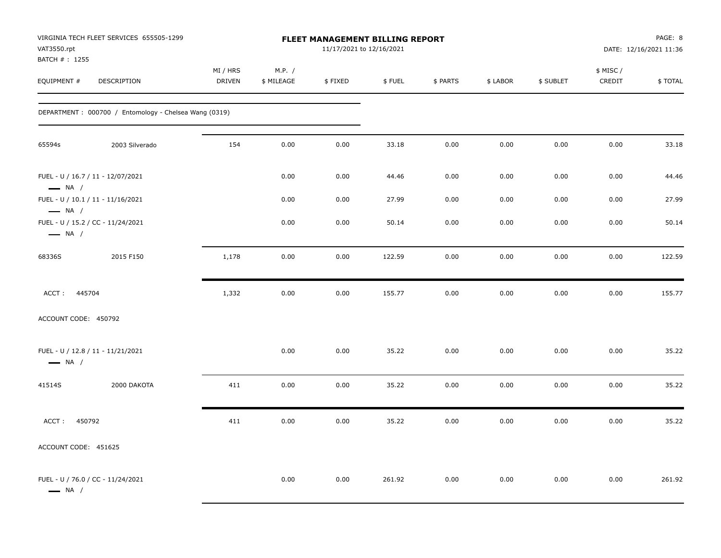| VAT3550.rpt<br>BATCH # : 1255                    | VIRGINIA TECH FLEET SERVICES 655505-1299              |                    |                      | <b>FLEET MANAGEMENT BILLING REPORT</b><br>11/17/2021 to 12/16/2021 |        |          |          |           |                     | PAGE: 8<br>DATE: 12/16/2021 11:36 |
|--------------------------------------------------|-------------------------------------------------------|--------------------|----------------------|--------------------------------------------------------------------|--------|----------|----------|-----------|---------------------|-----------------------------------|
| EQUIPMENT #                                      | DESCRIPTION                                           | MI / HRS<br>DRIVEN | M.P. /<br>\$ MILEAGE | \$FIXED                                                            | \$FUEL | \$ PARTS | \$ LABOR | \$ SUBLET | \$ MISC /<br>CREDIT | \$TOTAL                           |
|                                                  | DEPARTMENT: 000700 / Entomology - Chelsea Wang (0319) |                    |                      |                                                                    |        |          |          |           |                     |                                   |
| 65594s                                           | 2003 Silverado                                        | 154                | 0.00                 | 0.00                                                               | 33.18  | 0.00     | 0.00     | 0.00      | 0.00                | 33.18                             |
| $\longrightarrow$ NA /                           | FUEL - U / 16.7 / 11 - 12/07/2021                     |                    | 0.00                 | 0.00                                                               | 44.46  | 0.00     | 0.00     | 0.00      | 0.00                | 44.46                             |
|                                                  | FUEL - U / 10.1 / 11 - 11/16/2021                     |                    | 0.00                 | 0.00                                                               | 27.99  | 0.00     | 0.00     | 0.00      | 0.00                | 27.99                             |
| $\longrightarrow$ NA /<br>$\longrightarrow$ NA / | FUEL - U / 15.2 / CC - 11/24/2021                     |                    | 0.00                 | 0.00                                                               | 50.14  | 0.00     | 0.00     | 0.00      | 0.00                | 50.14                             |
| 68336S                                           | 2015 F150                                             | 1,178              | 0.00                 | 0.00                                                               | 122.59 | 0.00     | 0.00     | 0.00      | 0.00                | 122.59                            |
| ACCT: 445704                                     |                                                       | 1,332              | 0.00                 | 0.00                                                               | 155.77 | 0.00     | 0.00     | 0.00      | 0.00                | 155.77                            |
| ACCOUNT CODE: 450792                             |                                                       |                    |                      |                                                                    |        |          |          |           |                     |                                   |
| $\longrightarrow$ NA /                           | FUEL - U / 12.8 / 11 - 11/21/2021                     |                    | 0.00                 | 0.00                                                               | 35.22  | 0.00     | 0.00     | 0.00      | 0.00                | 35.22                             |
| 41514S                                           | 2000 DAKOTA                                           | 411                | 0.00                 | 0.00                                                               | 35.22  | 0.00     | 0.00     | 0.00      | 0.00                | 35.22                             |
| ACCT: 450792                                     |                                                       | 411                | 0.00                 | 0.00                                                               | 35.22  | 0.00     | 0.00     | 0.00      | 0.00                | 35.22                             |
| ACCOUNT CODE: 451625                             |                                                       |                    |                      |                                                                    |        |          |          |           |                     |                                   |
| $\longrightarrow$ NA /                           | FUEL - U / 76.0 / CC - 11/24/2021                     |                    | 0.00                 | 0.00                                                               | 261.92 | 0.00     | 0.00     | 0.00      | 0.00                | 261.92                            |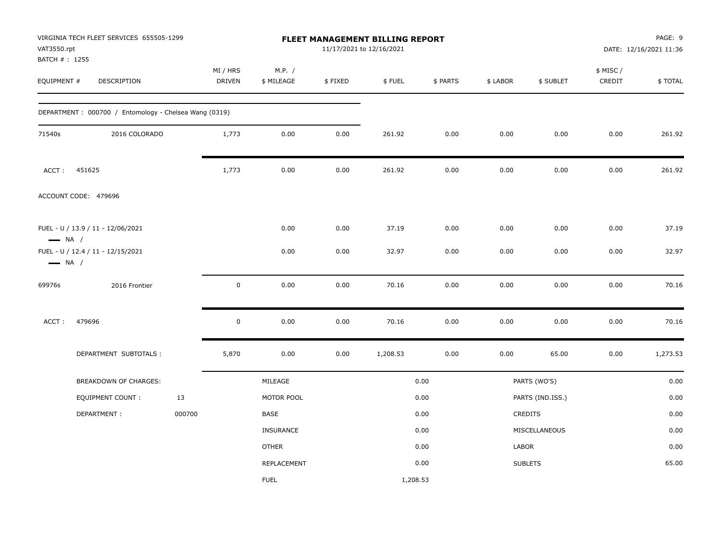| VAT3550.rpt<br>BATCH # : 1255 | VIRGINIA TECH FLEET SERVICES 655505-1299              |                           |                      |         | FLEET MANAGEMENT BILLING REPORT<br>11/17/2021 to 12/16/2021 |          |          |                  |                     | PAGE: 9<br>DATE: 12/16/2021 11:36 |
|-------------------------------|-------------------------------------------------------|---------------------------|----------------------|---------|-------------------------------------------------------------|----------|----------|------------------|---------------------|-----------------------------------|
| EQUIPMENT #                   | DESCRIPTION                                           | MI / HRS<br><b>DRIVEN</b> | M.P. /<br>\$ MILEAGE | \$FIXED | \$FUEL                                                      | \$ PARTS | \$ LABOR | \$ SUBLET        | \$ MISC /<br>CREDIT | \$TOTAL                           |
|                               | DEPARTMENT: 000700 / Entomology - Chelsea Wang (0319) |                           |                      |         |                                                             |          |          |                  |                     |                                   |
| 71540s                        | 2016 COLORADO                                         | 1,773                     | 0.00                 | 0.00    | 261.92                                                      | 0.00     | 0.00     | 0.00             | 0.00                | 261.92                            |
| ACCT:                         | 451625                                                | 1,773                     | 0.00                 | 0.00    | 261.92                                                      | 0.00     | 0.00     | 0.00             | 0.00                | 261.92                            |
|                               | ACCOUNT CODE: 479696                                  |                           |                      |         |                                                             |          |          |                  |                     |                                   |
| $\longrightarrow$ NA /        | FUEL - U / 13.9 / 11 - 12/06/2021                     |                           | 0.00                 | 0.00    | 37.19                                                       | 0.00     | 0.00     | 0.00             | 0.00                | 37.19                             |
| $\longrightarrow$ NA /        | FUEL - U / 12.4 / 11 - 12/15/2021                     |                           | 0.00                 | 0.00    | 32.97                                                       | 0.00     | 0.00     | 0.00             | 0.00                | 32.97                             |
| 69976s                        | 2016 Frontier                                         | $\mathbf 0$               | 0.00                 | 0.00    | 70.16                                                       | 0.00     | 0.00     | 0.00             | 0.00                | 70.16                             |
| ACCT:                         | 479696                                                | $\mathbf 0$               | 0.00                 | 0.00    | 70.16                                                       | 0.00     | 0.00     | 0.00             | 0.00                | 70.16                             |
|                               | DEPARTMENT SUBTOTALS :                                | 5,870                     | 0.00                 | 0.00    | 1,208.53                                                    | 0.00     | 0.00     | 65.00            | 0.00                | 1,273.53                          |
|                               | <b>BREAKDOWN OF CHARGES:</b>                          |                           | MILEAGE              |         |                                                             | 0.00     |          | PARTS (WO'S)     |                     | 0.00                              |
|                               | <b>EQUIPMENT COUNT:</b>                               | 13                        | MOTOR POOL           |         |                                                             | 0.00     |          | PARTS (IND.ISS.) |                     | 0.00                              |
|                               | DEPARTMENT:                                           | 000700                    | BASE                 |         |                                                             | 0.00     |          | CREDITS          |                     | 0.00                              |
|                               |                                                       |                           | <b>INSURANCE</b>     |         |                                                             | 0.00     |          | MISCELLANEOUS    |                     | 0.00                              |
|                               |                                                       |                           | <b>OTHER</b>         |         |                                                             | 0.00     | LABOR    |                  |                     | 0.00                              |
|                               |                                                       |                           | REPLACEMENT          |         |                                                             | 0.00     |          | <b>SUBLETS</b>   |                     | 65.00                             |
|                               |                                                       |                           | <b>FUEL</b>          |         | 1,208.53                                                    |          |          |                  |                     |                                   |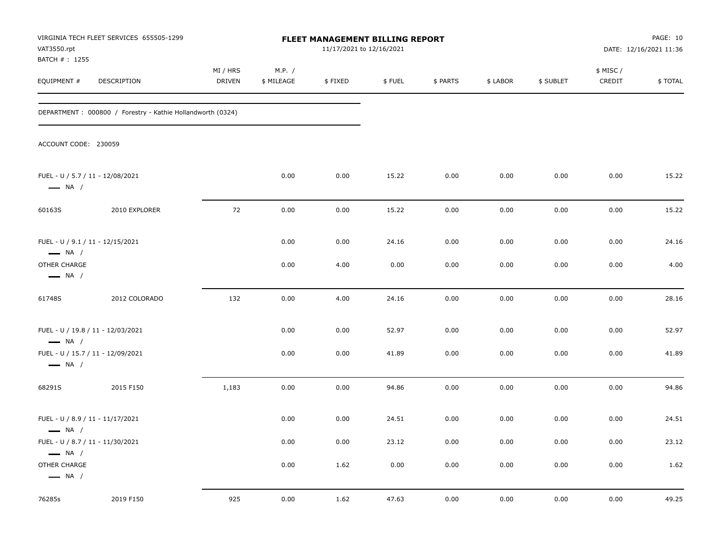| VAT3550.rpt<br>BATCH #: 1255                               | VIRGINIA TECH FLEET SERVICES 655505-1299                    |                    |                      | FLEET MANAGEMENT BILLING REPORT<br>11/17/2021 to 12/16/2021 |        |          |          |           |                    | PAGE: 10<br>DATE: 12/16/2021 11:36 |
|------------------------------------------------------------|-------------------------------------------------------------|--------------------|----------------------|-------------------------------------------------------------|--------|----------|----------|-----------|--------------------|------------------------------------|
| EQUIPMENT #                                                | DESCRIPTION                                                 | MI / HRS<br>DRIVEN | M.P. /<br>\$ MILEAGE | \$FIXED                                                     | \$FUEL | \$ PARTS | \$ LABOR | \$ SUBLET | \$ MISC/<br>CREDIT | \$TOTAL                            |
|                                                            | DEPARTMENT : 000800 / Forestry - Kathie Hollandworth (0324) |                    |                      |                                                             |        |          |          |           |                    |                                    |
| ACCOUNT CODE: 230059                                       |                                                             |                    |                      |                                                             |        |          |          |           |                    |                                    |
| FUEL - U / 5.7 / 11 - 12/08/2021<br>$\longrightarrow$ NA / |                                                             |                    | 0.00                 | 0.00                                                        | 15.22  | 0.00     | 0.00     | 0.00      | 0.00               | 15.22                              |
| 60163S                                                     | 2010 EXPLORER                                               | 72                 | 0.00                 | 0.00                                                        | 15.22  | 0.00     | 0.00     | 0.00      | 0.00               | 15.22                              |
| FUEL - U / 9.1 / 11 - 12/15/2021<br>$\longrightarrow$ NA / |                                                             |                    | 0.00                 | 0.00                                                        | 24.16  | 0.00     | 0.00     | 0.00      | 0.00               | 24.16                              |
| OTHER CHARGE<br>$\longrightarrow$ NA /                     |                                                             |                    | 0.00                 | 4.00                                                        | 0.00   | 0.00     | 0.00     | 0.00      | 0.00               | 4.00                               |
| 61748S                                                     | 2012 COLORADO                                               | 132                | 0.00                 | 4.00                                                        | 24.16  | 0.00     | 0.00     | 0.00      | 0.00               | 28.16                              |
| $\longrightarrow$ NA /                                     | FUEL - U / 19.8 / 11 - 12/03/2021                           |                    | 0.00                 | 0.00                                                        | 52.97  | 0.00     | 0.00     | 0.00      | 0.00               | 52.97                              |
| $\longrightarrow$ NA /                                     | FUEL - U / 15.7 / 11 - 12/09/2021                           |                    | 0.00                 | 0.00                                                        | 41.89  | 0.00     | 0.00     | 0.00      | 0.00               | 41.89                              |
| 68291S                                                     | 2015 F150                                                   | 1,183              | 0.00                 | 0.00                                                        | 94.86  | 0.00     | 0.00     | 0.00      | 0.00               | 94.86                              |
| FUEL - U / 8.9 / 11 - 11/17/2021<br>$\longrightarrow$ NA / |                                                             |                    | 0.00                 | 0.00                                                        | 24.51  | 0.00     | 0.00     | 0.00      | 0.00               | 24.51                              |
| FUEL - U / 8.7 / 11 - 11/30/2021<br>$\longrightarrow$ NA / |                                                             |                    | 0.00                 | 0.00                                                        | 23.12  | 0.00     | 0.00     | 0.00      | 0.00               | 23.12                              |
| OTHER CHARGE<br>$\longrightarrow$ NA /                     |                                                             |                    | 0.00                 | 1.62                                                        | 0.00   | 0.00     | 0.00     | 0.00      | 0.00               | 1.62                               |
| 76285s                                                     | 2019 F150                                                   | 925                | 0.00                 | 1.62                                                        | 47.63  | 0.00     | 0.00     | 0.00      | 0.00               | 49.25                              |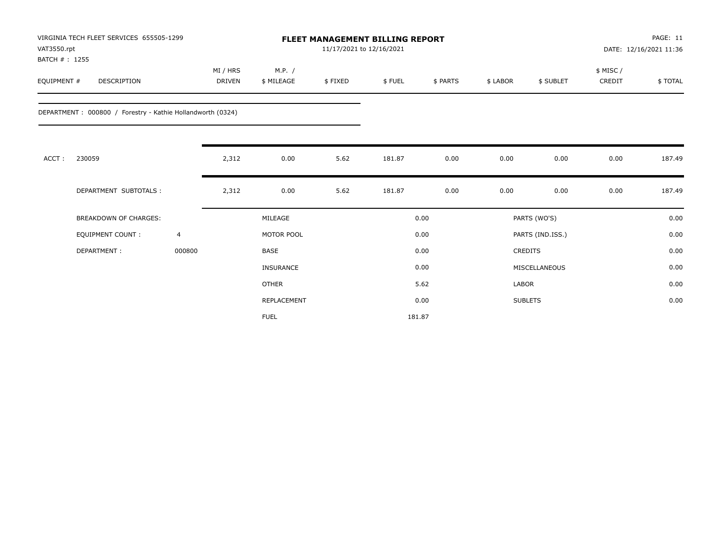| VAT3550.rpt<br>BATCH #: 1255 | VIRGINIA TECH FLEET SERVICES 655505-1299                   |                |                           |                      | 11/17/2021 to 12/16/2021 | <b>FLEET MANAGEMENT BILLING REPORT</b> |          |         |                  |                     | PAGE: 11<br>DATE: 12/16/2021 11:36 |
|------------------------------|------------------------------------------------------------|----------------|---------------------------|----------------------|--------------------------|----------------------------------------|----------|---------|------------------|---------------------|------------------------------------|
| EQUIPMENT #                  | <b>DESCRIPTION</b>                                         |                | MI / HRS<br><b>DRIVEN</b> | M.P. /<br>\$ MILEAGE | \$FIXED                  | \$FUEL                                 | \$ PARTS | \$LABOR | \$ SUBLET        | \$ MISC /<br>CREDIT | \$TOTAL                            |
|                              | DEPARTMENT: 000800 / Forestry - Kathie Hollandworth (0324) |                |                           |                      |                          |                                        |          |         |                  |                     |                                    |
| ACCT:                        | 230059                                                     |                | 2,312                     | 0.00                 | 5.62                     | 181.87                                 | 0.00     | 0.00    | 0.00             | 0.00                | 187.49                             |
|                              | DEPARTMENT SUBTOTALS :                                     |                | 2,312                     | 0.00                 | 5.62                     | 181.87                                 | 0.00     | 0.00    | 0.00             | 0.00                | 187.49                             |
|                              | <b>BREAKDOWN OF CHARGES:</b>                               |                |                           | MILEAGE              |                          |                                        | 0.00     |         | PARTS (WO'S)     |                     | 0.00                               |
|                              | <b>EQUIPMENT COUNT:</b>                                    | $\overline{4}$ |                           | MOTOR POOL           |                          |                                        | 0.00     |         | PARTS (IND.ISS.) |                     | 0.00                               |
|                              | DEPARTMENT:                                                | 000800         |                           | <b>BASE</b>          |                          |                                        | 0.00     |         | <b>CREDITS</b>   |                     | 0.00                               |
|                              |                                                            |                |                           | INSURANCE            |                          |                                        | 0.00     |         | MISCELLANEOUS    |                     | 0.00                               |
|                              |                                                            |                |                           | <b>OTHER</b>         |                          |                                        | 5.62     | LABOR   |                  |                     | 0.00                               |
|                              |                                                            |                |                           | REPLACEMENT          |                          |                                        | 0.00     |         | <b>SUBLETS</b>   |                     | 0.00                               |
|                              |                                                            |                |                           | <b>FUEL</b>          |                          |                                        | 181.87   |         |                  |                     |                                    |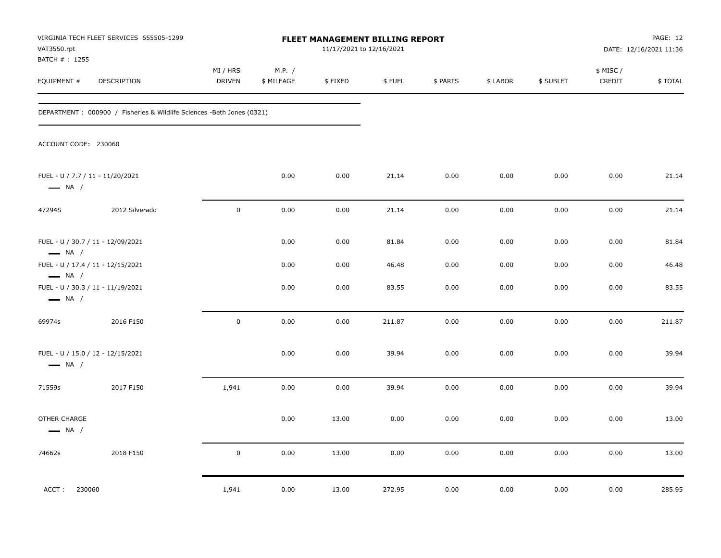| VAT3550.rpt<br>BATCH #: 1255                               | VIRGINIA TECH FLEET SERVICES 655505-1299                               |                           |                      | FLEET MANAGEMENT BILLING REPORT<br>11/17/2021 to 12/16/2021 |        |          |          |           |                    | PAGE: 12<br>DATE: 12/16/2021 11:36 |
|------------------------------------------------------------|------------------------------------------------------------------------|---------------------------|----------------------|-------------------------------------------------------------|--------|----------|----------|-----------|--------------------|------------------------------------|
| EQUIPMENT #                                                | DESCRIPTION                                                            | MI / HRS<br><b>DRIVEN</b> | M.P. /<br>\$ MILEAGE | \$FIXED                                                     | \$FUEL | \$ PARTS | \$ LABOR | \$ SUBLET | \$ MISC/<br>CREDIT | \$TOTAL                            |
|                                                            | DEPARTMENT : 000900 / Fisheries & Wildlife Sciences -Beth Jones (0321) |                           |                      |                                                             |        |          |          |           |                    |                                    |
| ACCOUNT CODE: 230060                                       |                                                                        |                           |                      |                                                             |        |          |          |           |                    |                                    |
| FUEL - U / 7.7 / 11 - 11/20/2021<br>$\longrightarrow$ NA / |                                                                        |                           | 0.00                 | 0.00                                                        | 21.14  | 0.00     | 0.00     | 0.00      | 0.00               | 21.14                              |
| 47294S                                                     | 2012 Silverado                                                         | $\mathbf 0$               | 0.00                 | 0.00                                                        | 21.14  | 0.00     | 0.00     | 0.00      | 0.00               | 21.14                              |
| $\longrightarrow$ NA /                                     | FUEL - U / 30.7 / 11 - 12/09/2021                                      |                           | 0.00                 | 0.00                                                        | 81.84  | 0.00     | 0.00     | 0.00      | 0.00               | 81.84                              |
|                                                            | FUEL - U / 17.4 / 11 - 12/15/2021                                      |                           | 0.00                 | 0.00                                                        | 46.48  | 0.00     | 0.00     | 0.00      | 0.00               | 46.48                              |
| $\longrightarrow$ NA /<br>$\longrightarrow$ NA /           | FUEL - U / 30.3 / 11 - 11/19/2021                                      |                           | 0.00                 | 0.00                                                        | 83.55  | 0.00     | 0.00     | 0.00      | 0.00               | 83.55                              |
| 69974s                                                     | 2016 F150                                                              | $\mathsf{O}\xspace$       | 0.00                 | 0.00                                                        | 211.87 | 0.00     | 0.00     | 0.00      | 0.00               | 211.87                             |
| $\longrightarrow$ NA /                                     | FUEL - U / 15.0 / 12 - 12/15/2021                                      |                           | 0.00                 | 0.00                                                        | 39.94  | 0.00     | 0.00     | 0.00      | 0.00               | 39.94                              |
| 71559s                                                     | 2017 F150                                                              | 1,941                     | 0.00                 | 0.00                                                        | 39.94  | 0.00     | 0.00     | 0.00      | 0.00               | 39.94                              |
| OTHER CHARGE<br>$\longrightarrow$ NA /                     |                                                                        |                           | 0.00                 | 13.00                                                       | 0.00   | 0.00     | 0.00     | 0.00      | 0.00               | 13.00                              |
| 74662s                                                     | 2018 F150                                                              | $\mathbf 0$               | 0.00                 | 13.00                                                       | 0.00   | 0.00     | 0.00     | 0.00      | 0.00               | 13.00                              |
| ACCT: 230060                                               |                                                                        | 1,941                     | 0.00                 | 13.00                                                       | 272.95 | 0.00     | 0.00     | 0.00      | 0.00               | 285.95                             |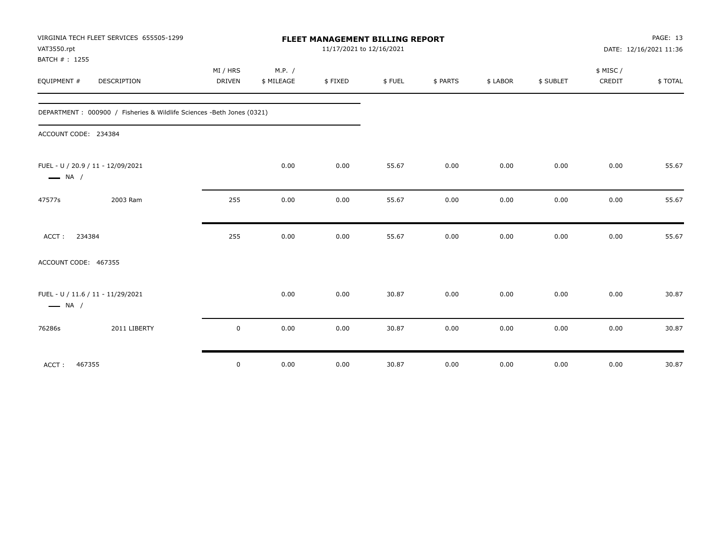|                              | VIRGINIA TECH FLEET SERVICES 655505-1299                                |               |            | <b>FLEET MANAGEMENT BILLING REPORT</b> |        |          |          |           |           | PAGE: 13               |
|------------------------------|-------------------------------------------------------------------------|---------------|------------|----------------------------------------|--------|----------|----------|-----------|-----------|------------------------|
| VAT3550.rpt<br>BATCH #: 1255 |                                                                         |               |            | 11/17/2021 to 12/16/2021               |        |          |          |           |           | DATE: 12/16/2021 11:36 |
|                              |                                                                         | MI / HRS      | M.P. /     |                                        |        |          |          |           | \$ MISC / |                        |
| EQUIPMENT #                  | <b>DESCRIPTION</b>                                                      | <b>DRIVEN</b> | \$ MILEAGE | \$FIXED                                | \$FUEL | \$ PARTS | \$ LABOR | \$ SUBLET | CREDIT    | \$TOTAL                |
|                              | DEPARTMENT : 000900 / Fisheries & Wildlife Sciences - Beth Jones (0321) |               |            |                                        |        |          |          |           |           |                        |
| ACCOUNT CODE: 234384         |                                                                         |               |            |                                        |        |          |          |           |           |                        |
| $\longrightarrow$ NA /       | FUEL - U / 20.9 / 11 - 12/09/2021                                       |               | 0.00       | 0.00                                   | 55.67  | 0.00     | 0.00     | 0.00      | 0.00      | 55.67                  |
| 47577s                       | 2003 Ram                                                                | 255           | 0.00       | 0.00                                   | 55.67  | 0.00     | 0.00     | 0.00      | 0.00      | 55.67                  |
| ACCT:                        | 234384                                                                  | 255           | 0.00       | 0.00                                   | 55.67  | 0.00     | 0.00     | 0.00      | 0.00      | 55.67                  |
| ACCOUNT CODE: 467355         |                                                                         |               |            |                                        |        |          |          |           |           |                        |
| $\longrightarrow$ NA /       | FUEL - U / 11.6 / 11 - 11/29/2021                                       |               | 0.00       | 0.00                                   | 30.87  | 0.00     | 0.00     | 0.00      | 0.00      | 30.87                  |
| 76286s                       | 2011 LIBERTY                                                            | $\mathbf 0$   | 0.00       | 0.00                                   | 30.87  | 0.00     | 0.00     | 0.00      | 0.00      | 30.87                  |
| ACCT:                        | 467355                                                                  | $\mathbf 0$   | 0.00       | 0.00                                   | 30.87  | 0.00     | 0.00     | 0.00      | 0.00      | 30.87                  |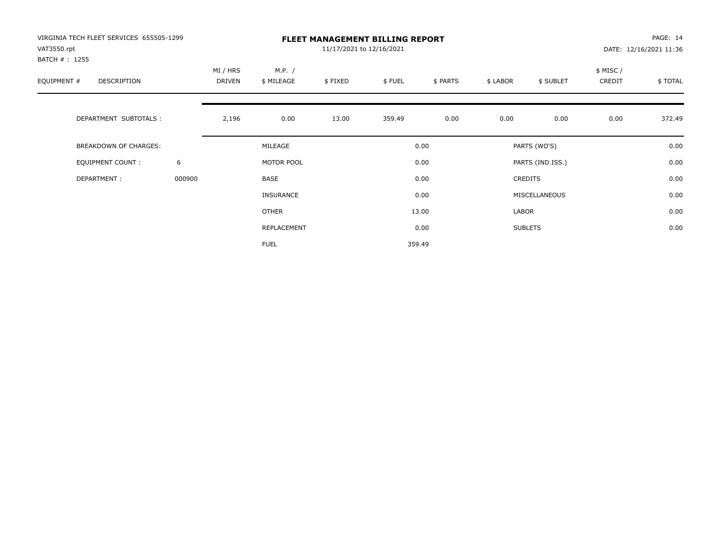| VIRGINIA TECH FLEET SERVICES 655505-1299<br>VAT3550.rpt<br>BATCH # : 1255 |        | <b>FLEET MANAGEMENT BILLING REPORT</b><br>11/17/2021 to 12/16/2021 |                      |         |        |          |          |                  |                    | PAGE: 14<br>DATE: 12/16/2021 11:36 |  |
|---------------------------------------------------------------------------|--------|--------------------------------------------------------------------|----------------------|---------|--------|----------|----------|------------------|--------------------|------------------------------------|--|
| EQUIPMENT #<br>DESCRIPTION                                                |        | MI / HRS<br>DRIVEN                                                 | M.P. /<br>\$ MILEAGE | \$FIXED | \$FUEL | \$ PARTS | \$ LABOR | \$ SUBLET        | \$ MISC/<br>CREDIT | \$TOTAL                            |  |
| DEPARTMENT SUBTOTALS :                                                    |        | 2,196                                                              | 0.00                 | 13.00   | 359.49 | 0.00     | 0.00     | 0.00             | 0.00               | 372.49                             |  |
| BREAKDOWN OF CHARGES:                                                     |        |                                                                    | MILEAGE              |         |        | 0.00     |          | PARTS (WO'S)     |                    | 0.00                               |  |
| <b>EQUIPMENT COUNT:</b>                                                   | 6      |                                                                    | MOTOR POOL           |         |        | 0.00     |          | PARTS (IND.ISS.) |                    | 0.00                               |  |
| DEPARTMENT:                                                               | 000900 |                                                                    | BASE                 |         |        | 0.00     |          | <b>CREDITS</b>   |                    | 0.00                               |  |
|                                                                           |        |                                                                    | <b>INSURANCE</b>     |         |        | 0.00     |          | MISCELLANEOUS    |                    | 0.00                               |  |
|                                                                           |        |                                                                    | <b>OTHER</b>         |         |        | 13.00    | LABOR    |                  |                    | 0.00                               |  |
|                                                                           |        |                                                                    | REPLACEMENT          |         |        | 0.00     |          | <b>SUBLETS</b>   |                    | 0.00                               |  |
|                                                                           |        |                                                                    | <b>FUEL</b>          |         |        | 359.49   |          |                  |                    |                                    |  |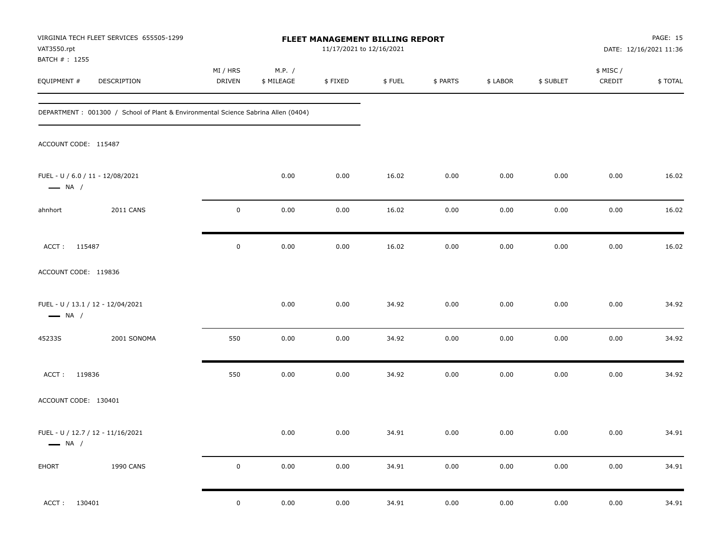| VIRGINIA TECH FLEET SERVICES 655505-1299<br>VAT3550.rpt<br>BATCH #: 1255           |                  |                           |                      | FLEET MANAGEMENT BILLING REPORT<br>11/17/2021 to 12/16/2021 |        |          |          |           |                     | PAGE: 15<br>DATE: 12/16/2021 11:36 |
|------------------------------------------------------------------------------------|------------------|---------------------------|----------------------|-------------------------------------------------------------|--------|----------|----------|-----------|---------------------|------------------------------------|
| EQUIPMENT #<br>DESCRIPTION                                                         |                  | MI / HRS<br><b>DRIVEN</b> | M.P. /<br>\$ MILEAGE | \$FIXED                                                     | \$FUEL | \$ PARTS | \$ LABOR | \$ SUBLET | \$ MISC /<br>CREDIT | \$TOTAL                            |
| DEPARTMENT : 001300 / School of Plant & Environmental Science Sabrina Allen (0404) |                  |                           |                      |                                                             |        |          |          |           |                     |                                    |
| ACCOUNT CODE: 115487                                                               |                  |                           |                      |                                                             |        |          |          |           |                     |                                    |
| FUEL - U / 6.0 / 11 - 12/08/2021<br>$\longrightarrow$ NA /                         |                  |                           | 0.00                 | 0.00                                                        | 16.02  | 0.00     | 0.00     | 0.00      | 0.00                | 16.02                              |
| ahnhort                                                                            | <b>2011 CANS</b> | $\mathbf 0$               | 0.00                 | 0.00                                                        | 16.02  | 0.00     | 0.00     | 0.00      | 0.00                | 16.02                              |
| ACCT: 115487                                                                       |                  | $\mathbf 0$               | 0.00                 | 0.00                                                        | 16.02  | 0.00     | 0.00     | 0.00      | 0.00                | 16.02                              |
| ACCOUNT CODE: 119836                                                               |                  |                           |                      |                                                             |        |          |          |           |                     |                                    |
| FUEL - U / 13.1 / 12 - 12/04/2021<br>$\longrightarrow$ NA /                        |                  |                           | 0.00                 | 0.00                                                        | 34.92  | 0.00     | 0.00     | 0.00      | 0.00                | 34.92                              |
| 45233S                                                                             | 2001 SONOMA      | 550                       | 0.00                 | 0.00                                                        | 34.92  | 0.00     | 0.00     | 0.00      | 0.00                | 34.92                              |
| ACCT: 119836                                                                       |                  | 550                       | 0.00                 | 0.00                                                        | 34.92  | 0.00     | 0.00     | 0.00      | 0.00                | 34.92                              |
| ACCOUNT CODE: 130401                                                               |                  |                           |                      |                                                             |        |          |          |           |                     |                                    |
| FUEL - U / 12.7 / 12 - 11/16/2021<br>$\longrightarrow$ NA /                        |                  |                           | 0.00                 | 0.00                                                        | 34.91  | 0.00     | 0.00     | 0.00      | 0.00                | 34.91                              |
| EHORT                                                                              | 1990 CANS        | $\mathbf 0$               | $0.00\,$             | 0.00                                                        | 34.91  | $0.00\,$ | $0.00\,$ | 0.00      | 0.00                | 34.91                              |
| 130401<br>ACCT:                                                                    |                  | $\mathbf 0$               | 0.00                 | 0.00                                                        | 34.91  | 0.00     | 0.00     | 0.00      | 0.00                | 34.91                              |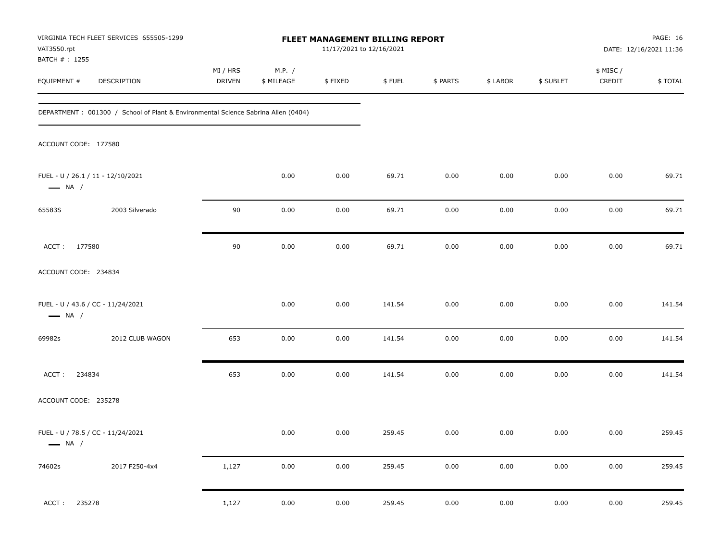| VAT3550.rpt                  | VIRGINIA TECH FLEET SERVICES 655505-1299                                          |                    |                      | FLEET MANAGEMENT BILLING REPORT<br>11/17/2021 to 12/16/2021 |        |          |          |           |                     | <b>PAGE: 16</b><br>DATE: 12/16/2021 11:36 |
|------------------------------|-----------------------------------------------------------------------------------|--------------------|----------------------|-------------------------------------------------------------|--------|----------|----------|-----------|---------------------|-------------------------------------------|
| BATCH #: 1255<br>EQUIPMENT # | DESCRIPTION                                                                       | MI / HRS<br>DRIVEN | M.P. /<br>\$ MILEAGE | \$FIXED                                                     | \$FUEL | \$ PARTS | \$ LABOR | \$ SUBLET | \$ MISC /<br>CREDIT | \$TOTAL                                   |
|                              | DEPARTMENT: 001300 / School of Plant & Environmental Science Sabrina Allen (0404) |                    |                      |                                                             |        |          |          |           |                     |                                           |
| ACCOUNT CODE: 177580         |                                                                                   |                    |                      |                                                             |        |          |          |           |                     |                                           |
| $\longrightarrow$ NA /       | FUEL - U / 26.1 / 11 - 12/10/2021                                                 |                    | 0.00                 | 0.00                                                        | 69.71  | 0.00     | 0.00     | 0.00      | 0.00                | 69.71                                     |
| 65583S                       | 2003 Silverado                                                                    | 90                 | 0.00                 | 0.00                                                        | 69.71  | 0.00     | 0.00     | 0.00      | 0.00                | 69.71                                     |
| ACCT: 177580                 |                                                                                   | 90                 | 0.00                 | 0.00                                                        | 69.71  | 0.00     | 0.00     | 0.00      | 0.00                | 69.71                                     |
| ACCOUNT CODE: 234834         |                                                                                   |                    |                      |                                                             |        |          |          |           |                     |                                           |
| $\longrightarrow$ NA /       | FUEL - U / 43.6 / CC - 11/24/2021                                                 |                    | 0.00                 | 0.00                                                        | 141.54 | 0.00     | 0.00     | 0.00      | 0.00                | 141.54                                    |
| 69982s                       | 2012 CLUB WAGON                                                                   | 653                | 0.00                 | 0.00                                                        | 141.54 | 0.00     | 0.00     | 0.00      | 0.00                | 141.54                                    |
| 234834<br>ACCT:              |                                                                                   | 653                | 0.00                 | 0.00                                                        | 141.54 | 0.00     | 0.00     | 0.00      | 0.00                | 141.54                                    |
| ACCOUNT CODE: 235278         |                                                                                   |                    |                      |                                                             |        |          |          |           |                     |                                           |
| $\longrightarrow$ NA /       | FUEL - U / 78.5 / CC - 11/24/2021                                                 |                    | 0.00                 | 0.00                                                        | 259.45 | 0.00     | 0.00     | 0.00      | 0.00                | 259.45                                    |
| 74602s                       | 2017 F250-4x4                                                                     | 1,127              | $0.00\,$             | $0.00\,$                                                    | 259.45 | 0.00     | $0.00\,$ | 0.00      | 0.00                | 259.45                                    |
| 235278<br>ACCT:              |                                                                                   | 1,127              | 0.00                 | 0.00                                                        | 259.45 | 0.00     | 0.00     | 0.00      | 0.00                | 259.45                                    |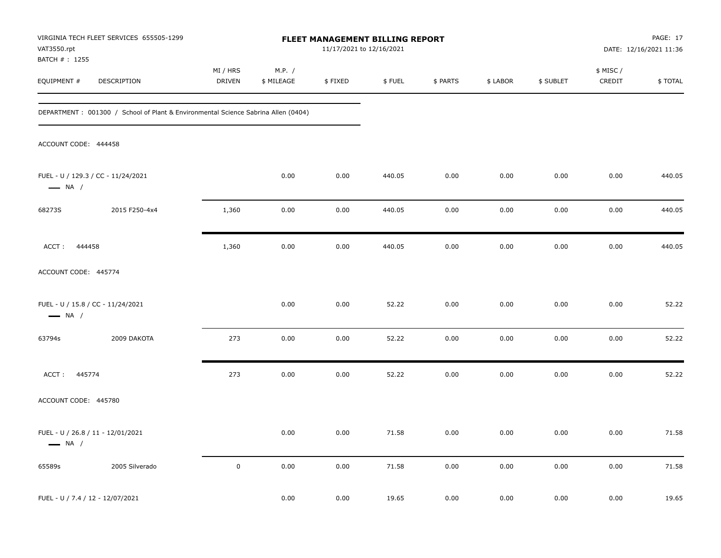| VAT3550.rpt                      | VIRGINIA TECH FLEET SERVICES 655505-1299                                          |                    |                      | FLEET MANAGEMENT BILLING REPORT<br>11/17/2021 to 12/16/2021 |        |          |          |           |                    | PAGE: 17<br>DATE: 12/16/2021 11:36 |
|----------------------------------|-----------------------------------------------------------------------------------|--------------------|----------------------|-------------------------------------------------------------|--------|----------|----------|-----------|--------------------|------------------------------------|
| BATCH #: 1255<br>EQUIPMENT #     | DESCRIPTION                                                                       | MI / HRS<br>DRIVEN | M.P. /<br>\$ MILEAGE | \$FIXED                                                     | \$FUEL | \$ PARTS | \$ LABOR | \$ SUBLET | \$ MISC/<br>CREDIT | \$TOTAL                            |
|                                  | DEPARTMENT: 001300 / School of Plant & Environmental Science Sabrina Allen (0404) |                    |                      |                                                             |        |          |          |           |                    |                                    |
| ACCOUNT CODE: 444458             |                                                                                   |                    |                      |                                                             |        |          |          |           |                    |                                    |
| $\longrightarrow$ NA /           | FUEL - U / 129.3 / CC - 11/24/2021                                                |                    | 0.00                 | 0.00                                                        | 440.05 | 0.00     | 0.00     | 0.00      | 0.00               | 440.05                             |
| 68273S                           | 2015 F250-4x4                                                                     | 1,360              | 0.00                 | 0.00                                                        | 440.05 | 0.00     | 0.00     | 0.00      | 0.00               | 440.05                             |
| ACCT: 444458                     |                                                                                   | 1,360              | 0.00                 | 0.00                                                        | 440.05 | 0.00     | 0.00     | 0.00      | 0.00               | 440.05                             |
| ACCOUNT CODE: 445774             |                                                                                   |                    |                      |                                                             |        |          |          |           |                    |                                    |
| $\longrightarrow$ NA /           | FUEL - U / 15.8 / CC - 11/24/2021                                                 |                    | 0.00                 | 0.00                                                        | 52.22  | 0.00     | 0.00     | 0.00      | 0.00               | 52.22                              |
| 63794s                           | 2009 DAKOTA                                                                       | 273                | 0.00                 | 0.00                                                        | 52.22  | 0.00     | 0.00     | 0.00      | 0.00               | 52.22                              |
| ACCT: 445774                     |                                                                                   | 273                | 0.00                 | 0.00                                                        | 52.22  | 0.00     | 0.00     | 0.00      | 0.00               | 52.22                              |
| ACCOUNT CODE: 445780             |                                                                                   |                    |                      |                                                             |        |          |          |           |                    |                                    |
| $\longrightarrow$ NA /           | FUEL - U / 26.8 / 11 - 12/01/2021                                                 |                    | 0.00                 | 0.00                                                        | 71.58  | 0.00     | 0.00     | 0.00      | 0.00               | 71.58                              |
| 65589s                           | 2005 Silverado                                                                    | $\pmb{0}$          | 0.00                 | 0.00                                                        | 71.58  | 0.00     | 0.00     | 0.00      | 0.00               | 71.58                              |
| FUEL - U / 7.4 / 12 - 12/07/2021 |                                                                                   |                    | 0.00                 | 0.00                                                        | 19.65  | 0.00     | 0.00     | 0.00      | 0.00               | 19.65                              |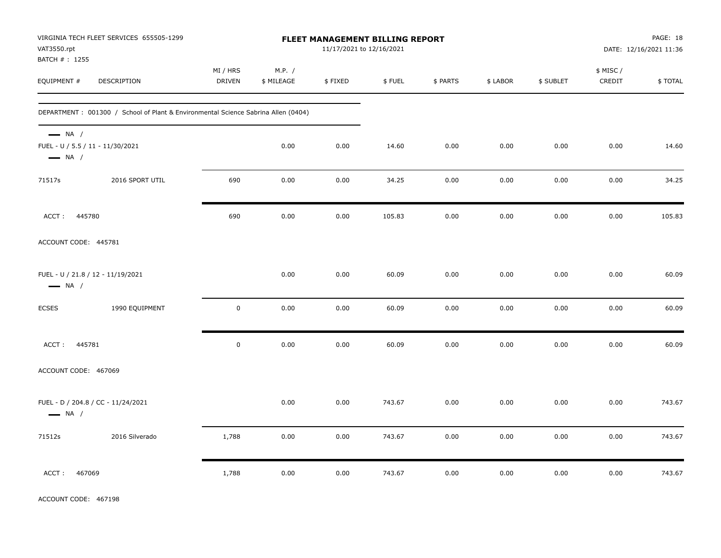| VAT3550.rpt<br>BATCH #: 1255                                                         | VIRGINIA TECH FLEET SERVICES 655505-1299                                           |                    |                      | FLEET MANAGEMENT BILLING REPORT<br>11/17/2021 to 12/16/2021 |        |          |          |           |                     | PAGE: 18<br>DATE: 12/16/2021 11:36 |
|--------------------------------------------------------------------------------------|------------------------------------------------------------------------------------|--------------------|----------------------|-------------------------------------------------------------|--------|----------|----------|-----------|---------------------|------------------------------------|
| EQUIPMENT #                                                                          | DESCRIPTION                                                                        | MI / HRS<br>DRIVEN | M.P. /<br>\$ MILEAGE | \$FIXED                                                     | \$FUEL | \$ PARTS | \$ LABOR | \$ SUBLET | \$ MISC /<br>CREDIT | \$TOTAL                            |
|                                                                                      | DEPARTMENT : 001300 / School of Plant & Environmental Science Sabrina Allen (0404) |                    |                      |                                                             |        |          |          |           |                     |                                    |
| $\longrightarrow$ NA /<br>FUEL - U / 5.5 / 11 - 11/30/2021<br>$\longrightarrow$ NA / |                                                                                    |                    | 0.00                 | 0.00                                                        | 14.60  | 0.00     | 0.00     | 0.00      | 0.00                | 14.60                              |
| 71517s                                                                               | 2016 SPORT UTIL                                                                    | 690                | 0.00                 | 0.00                                                        | 34.25  | 0.00     | 0.00     | 0.00      | 0.00                | 34.25                              |
| 445780<br>ACCT:                                                                      |                                                                                    | 690                | 0.00                 | 0.00                                                        | 105.83 | 0.00     | 0.00     | 0.00      | 0.00                | 105.83                             |
| ACCOUNT CODE: 445781                                                                 |                                                                                    |                    |                      |                                                             |        |          |          |           |                     |                                    |
| FUEL - U / 21.8 / 12 - 11/19/2021<br>$\longrightarrow$ NA /                          |                                                                                    |                    | 0.00                 | 0.00                                                        | 60.09  | 0.00     | 0.00     | 0.00      | 0.00                | 60.09                              |
| ECSES                                                                                | 1990 EQUIPMENT                                                                     | $\mathbf 0$        | 0.00                 | 0.00                                                        | 60.09  | 0.00     | 0.00     | 0.00      | 0.00                | 60.09                              |
| ACCT: 445781                                                                         |                                                                                    | $\pmb{0}$          | 0.00                 | $0.00\,$                                                    | 60.09  | 0.00     | 0.00     | 0.00      | 0.00                | 60.09                              |
| ACCOUNT CODE: 467069                                                                 |                                                                                    |                    |                      |                                                             |        |          |          |           |                     |                                    |
| $\longrightarrow$ NA /                                                               | FUEL - D / 204.8 / CC - 11/24/2021                                                 |                    | 0.00                 | 0.00                                                        | 743.67 | 0.00     | 0.00     | 0.00      | 0.00                | 743.67                             |
| 71512s                                                                               | 2016 Silverado                                                                     | 1,788              | 0.00                 | 0.00                                                        | 743.67 | 0.00     | 0.00     | 0.00      | 0.00                | 743.67                             |
| ACCT:<br>467069                                                                      |                                                                                    | 1,788              | 0.00                 | 0.00                                                        | 743.67 | 0.00     | 0.00     | 0.00      | 0.00                | 743.67                             |

ACCOUNT CODE: 467198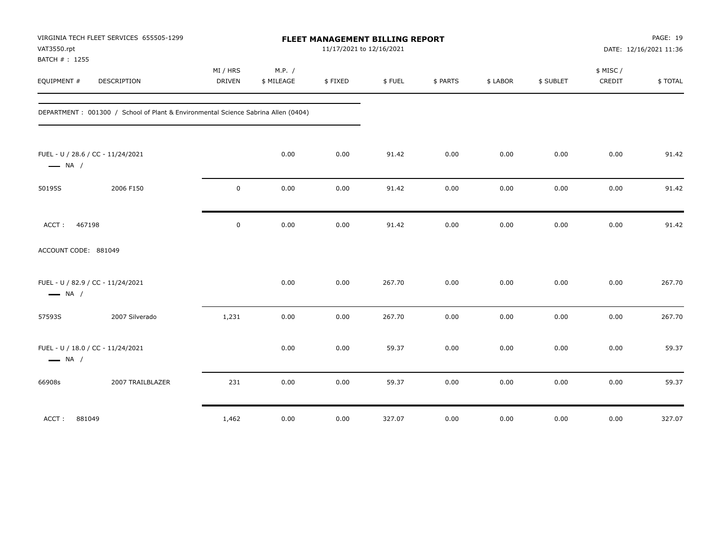| VAT3550.rpt                                                 | VIRGINIA TECH FLEET SERVICES 655505-1299                                           | FLEET MANAGEMENT BILLING REPORT<br>11/17/2021 to 12/16/2021 |                      |         |        |          |          |           |                     | PAGE: 19<br>DATE: 12/16/2021 11:36 |  |
|-------------------------------------------------------------|------------------------------------------------------------------------------------|-------------------------------------------------------------|----------------------|---------|--------|----------|----------|-----------|---------------------|------------------------------------|--|
| BATCH #: 1255<br>EQUIPMENT #                                | <b>DESCRIPTION</b>                                                                 | MI / HRS<br><b>DRIVEN</b>                                   | M.P. /<br>\$ MILEAGE | \$FIXED | \$FUEL | \$ PARTS | \$ LABOR | \$ SUBLET | \$ MISC /<br>CREDIT | \$TOTAL                            |  |
|                                                             | DEPARTMENT : 001300 / School of Plant & Environmental Science Sabrina Allen (0404) |                                                             |                      |         |        |          |          |           |                     |                                    |  |
| FUEL - U / 28.6 / CC - 11/24/2021<br>$\longrightarrow$ NA / |                                                                                    |                                                             | 0.00                 | 0.00    | 91.42  | 0.00     | 0.00     | 0.00      | 0.00                | 91.42                              |  |
| 50195S                                                      | 2006 F150                                                                          | $\mathsf 0$                                                 | 0.00                 | 0.00    | 91.42  | 0.00     | 0.00     | 0.00      | 0.00                | 91.42                              |  |
| 467198<br>ACCT:                                             |                                                                                    | $\mathsf 0$                                                 | 0.00                 | 0.00    | 91.42  | 0.00     | 0.00     | 0.00      | 0.00                | 91.42                              |  |
| ACCOUNT CODE: 881049                                        |                                                                                    |                                                             |                      |         |        |          |          |           |                     |                                    |  |
| FUEL - U / 82.9 / CC - 11/24/2021<br>$\longrightarrow$ NA / |                                                                                    |                                                             | 0.00                 | 0.00    | 267.70 | 0.00     | 0.00     | 0.00      | 0.00                | 267.70                             |  |
| 57593S                                                      | 2007 Silverado                                                                     | 1,231                                                       | 0.00                 | 0.00    | 267.70 | 0.00     | 0.00     | 0.00      | 0.00                | 267.70                             |  |
| FUEL - U / 18.0 / CC - 11/24/2021<br>$\longrightarrow$ NA / |                                                                                    |                                                             | 0.00                 | 0.00    | 59.37  | 0.00     | 0.00     | 0.00      | 0.00                | 59.37                              |  |
| 66908s                                                      | 2007 TRAILBLAZER                                                                   | 231                                                         | 0.00                 | 0.00    | 59.37  | 0.00     | 0.00     | 0.00      | 0.00                | 59.37                              |  |
| 881049<br>ACCT:                                             |                                                                                    | 1,462                                                       | 0.00                 | 0.00    | 327.07 | 0.00     | 0.00     | 0.00      | 0.00                | 327.07                             |  |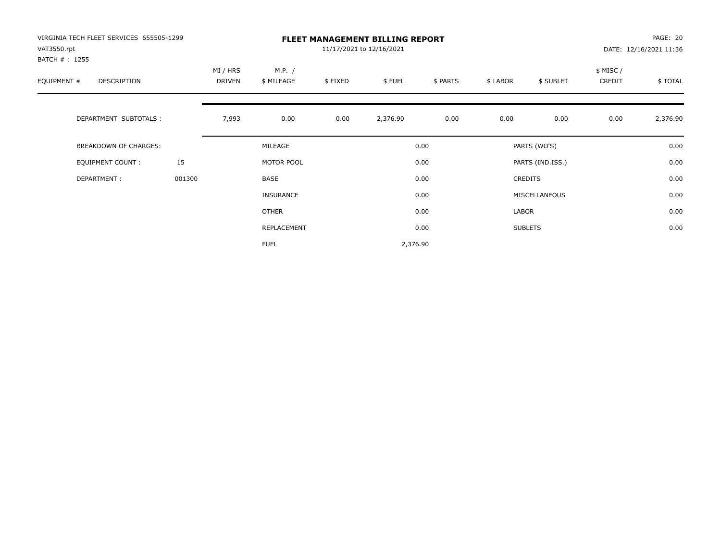| VIRGINIA TECH FLEET SERVICES 655505-1299<br>VAT3550.rpt |        | <b>FLEET MANAGEMENT BILLING REPORT</b><br>11/17/2021 to 12/16/2021 |                      |         |          |          |          |                  |                     | PAGE: 20<br>DATE: 12/16/2021 11:36 |  |
|---------------------------------------------------------|--------|--------------------------------------------------------------------|----------------------|---------|----------|----------|----------|------------------|---------------------|------------------------------------|--|
| BATCH # : 1255<br>EQUIPMENT #<br><b>DESCRIPTION</b>     |        | MI / HRS<br><b>DRIVEN</b>                                          | M.P. /<br>\$ MILEAGE | \$FIXED | \$FUEL   | \$ PARTS | \$ LABOR | \$ SUBLET        | \$ MISC /<br>CREDIT | \$TOTAL                            |  |
| DEPARTMENT SUBTOTALS :                                  |        | 7,993                                                              | 0.00                 | 0.00    | 2,376.90 | 0.00     | 0.00     | 0.00             | 0.00                | 2,376.90                           |  |
| <b>BREAKDOWN OF CHARGES:</b>                            |        |                                                                    | MILEAGE              |         |          | 0.00     |          | PARTS (WO'S)     |                     | 0.00                               |  |
| EQUIPMENT COUNT:                                        | 15     |                                                                    | MOTOR POOL           |         |          | 0.00     |          | PARTS (IND.ISS.) |                     | 0.00                               |  |
| DEPARTMENT:                                             | 001300 |                                                                    | <b>BASE</b>          |         |          | 0.00     |          | <b>CREDITS</b>   |                     | 0.00                               |  |
|                                                         |        |                                                                    | <b>INSURANCE</b>     |         |          | 0.00     |          | MISCELLANEOUS    |                     | 0.00                               |  |
|                                                         |        |                                                                    | OTHER                |         |          | 0.00     | LABOR    |                  |                     | 0.00                               |  |
|                                                         |        |                                                                    | REPLACEMENT          |         |          | 0.00     |          | <b>SUBLETS</b>   |                     | 0.00                               |  |
|                                                         |        |                                                                    | <b>FUEL</b>          |         | 2,376.90 |          |          |                  |                     |                                    |  |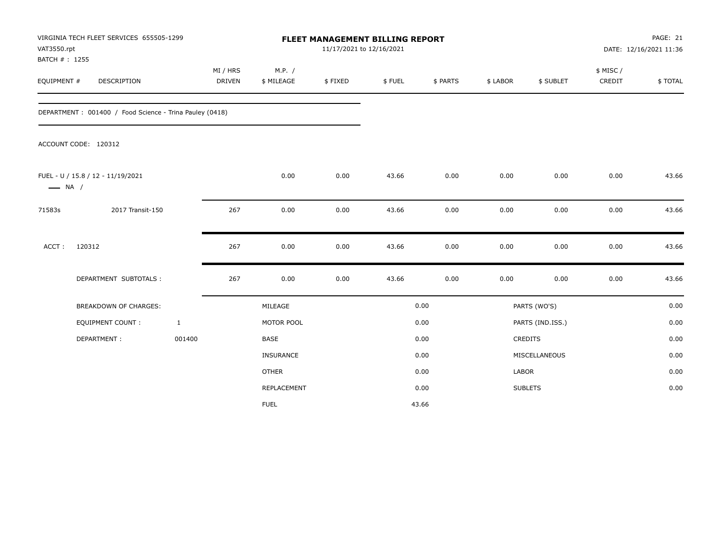| VAT3550.rpt<br>BATCH #: 1255 | VIRGINIA TECH FLEET SERVICES 655505-1299                 |                           |                      | FLEET MANAGEMENT BILLING REPORT<br>11/17/2021 to 12/16/2021 |        |          |          |                  |                     | PAGE: 21<br>DATE: 12/16/2021 11:36 |
|------------------------------|----------------------------------------------------------|---------------------------|----------------------|-------------------------------------------------------------|--------|----------|----------|------------------|---------------------|------------------------------------|
| EQUIPMENT #                  | <b>DESCRIPTION</b>                                       | MI / HRS<br><b>DRIVEN</b> | M.P. /<br>\$ MILEAGE | \$FIXED                                                     | \$FUEL | \$ PARTS | \$ LABOR | \$ SUBLET        | \$ MISC /<br>CREDIT | \$TOTAL                            |
|                              | DEPARTMENT : 001400 / Food Science - Trina Pauley (0418) |                           |                      |                                                             |        |          |          |                  |                     |                                    |
|                              | ACCOUNT CODE: 120312                                     |                           |                      |                                                             |        |          |          |                  |                     |                                    |
| $\longrightarrow$ NA /       | FUEL - U / 15.8 / 12 - 11/19/2021                        |                           | 0.00                 | 0.00                                                        | 43.66  | 0.00     | 0.00     | 0.00             | 0.00                | 43.66                              |
| 71583s                       | 2017 Transit-150                                         | 267                       | 0.00                 | 0.00                                                        | 43.66  | 0.00     | 0.00     | 0.00             | 0.00                | 43.66                              |
| ACCT:                        | 120312                                                   | 267                       | 0.00                 | 0.00                                                        | 43.66  | 0.00     | 0.00     | 0.00             | 0.00                | 43.66                              |
|                              | DEPARTMENT SUBTOTALS :                                   | 267                       | 0.00                 | 0.00                                                        | 43.66  | 0.00     | 0.00     | 0.00             | 0.00                | 43.66                              |
|                              | <b>BREAKDOWN OF CHARGES:</b>                             |                           | MILEAGE              |                                                             |        | 0.00     |          | PARTS (WO'S)     |                     | 0.00                               |
|                              | <b>EQUIPMENT COUNT:</b>                                  | $\mathbf{1}$              | MOTOR POOL           |                                                             |        | 0.00     |          | PARTS (IND.ISS.) |                     | 0.00                               |
|                              | DEPARTMENT:                                              | 001400                    | <b>BASE</b>          |                                                             |        | 0.00     |          | <b>CREDITS</b>   |                     | 0.00                               |
|                              |                                                          |                           | <b>INSURANCE</b>     |                                                             |        | 0.00     |          | MISCELLANEOUS    |                     | 0.00                               |
|                              |                                                          |                           | <b>OTHER</b>         |                                                             |        | 0.00     | LABOR    |                  |                     | 0.00                               |
|                              |                                                          |                           | REPLACEMENT          |                                                             |        | 0.00     |          | <b>SUBLETS</b>   |                     | 0.00                               |
|                              |                                                          |                           | <b>FUEL</b>          |                                                             |        | 43.66    |          |                  |                     |                                    |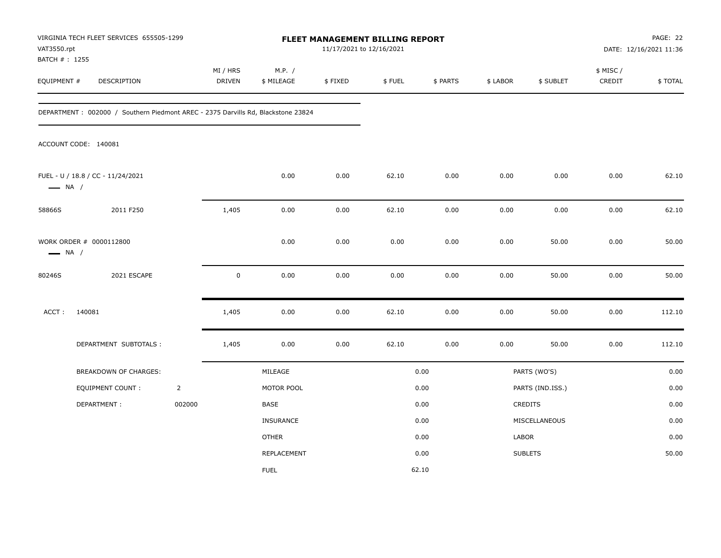| VAT3550.rpt            | VIRGINIA TECH FLEET SERVICES 655505-1299<br>BATCH # : 1255<br><b>DESCRIPTION</b> |                |                           |                      | 11/17/2021 to 12/16/2021 | FLEET MANAGEMENT BILLING REPORT |          |          |                  | PAGE: 22<br>DATE: 12/16/2021 11:36 |         |
|------------------------|----------------------------------------------------------------------------------|----------------|---------------------------|----------------------|--------------------------|---------------------------------|----------|----------|------------------|------------------------------------|---------|
| EQUIPMENT #            |                                                                                  |                | MI / HRS<br><b>DRIVEN</b> | M.P. /<br>\$ MILEAGE | \$FIXED                  | \$FUEL                          | \$ PARTS | \$ LABOR | \$ SUBLET        | \$ MISC /<br>CREDIT                | \$TOTAL |
|                        | DEPARTMENT: 002000 / Southern Piedmont AREC - 2375 Darvills Rd, Blackstone 23824 |                |                           |                      |                          |                                 |          |          |                  |                                    |         |
|                        | ACCOUNT CODE: 140081                                                             |                |                           |                      |                          |                                 |          |          |                  |                                    |         |
| $\longrightarrow$ NA / | FUEL - U / 18.8 / CC - 11/24/2021                                                |                |                           | 0.00                 | 0.00                     | 62.10                           | 0.00     | 0.00     | 0.00             | 0.00                               | 62.10   |
| 58866S                 | 2011 F250                                                                        |                | 1,405                     | 0.00                 | 0.00                     | 62.10                           | 0.00     | 0.00     | 0.00             | 0.00                               | 62.10   |
| $\longrightarrow$ NA / | WORK ORDER # 0000112800                                                          |                |                           | 0.00                 | 0.00                     | 0.00                            | 0.00     | 0.00     | 50.00            | 0.00                               | 50.00   |
| 80246S                 | 2021 ESCAPE                                                                      |                | $\mathbf 0$               | 0.00                 | 0.00                     | 0.00                            | 0.00     | 0.00     | 50.00            | 0.00                               | 50.00   |
| ACCT:                  | 140081                                                                           |                | 1,405                     | 0.00                 | 0.00                     | 62.10                           | 0.00     | 0.00     | 50.00            | 0.00                               | 112.10  |
|                        | DEPARTMENT SUBTOTALS :                                                           |                | 1,405                     | 0.00                 | 0.00                     | 62.10                           | 0.00     | 0.00     | 50.00            | 0.00                               | 112.10  |
|                        | <b>BREAKDOWN OF CHARGES:</b>                                                     |                |                           | MILEAGE              |                          |                                 | 0.00     |          | PARTS (WO'S)     |                                    | 0.00    |
|                        | <b>EQUIPMENT COUNT:</b>                                                          | $\overline{2}$ |                           | MOTOR POOL           |                          |                                 | 0.00     |          | PARTS (IND.ISS.) |                                    | 0.00    |
|                        | DEPARTMENT:                                                                      | 002000         |                           | BASE                 |                          |                                 | 0.00     |          | <b>CREDITS</b>   |                                    | 0.00    |
|                        |                                                                                  |                |                           | INSURANCE            |                          |                                 | 0.00     |          | MISCELLANEOUS    |                                    | 0.00    |
|                        |                                                                                  |                |                           | <b>OTHER</b>         |                          |                                 | 0.00     | LABOR    |                  |                                    | 0.00    |
|                        |                                                                                  |                |                           | REPLACEMENT          |                          |                                 | 0.00     |          | <b>SUBLETS</b>   |                                    | 50.00   |
|                        |                                                                                  |                |                           | <b>FUEL</b>          |                          |                                 | 62.10    |          |                  |                                    |         |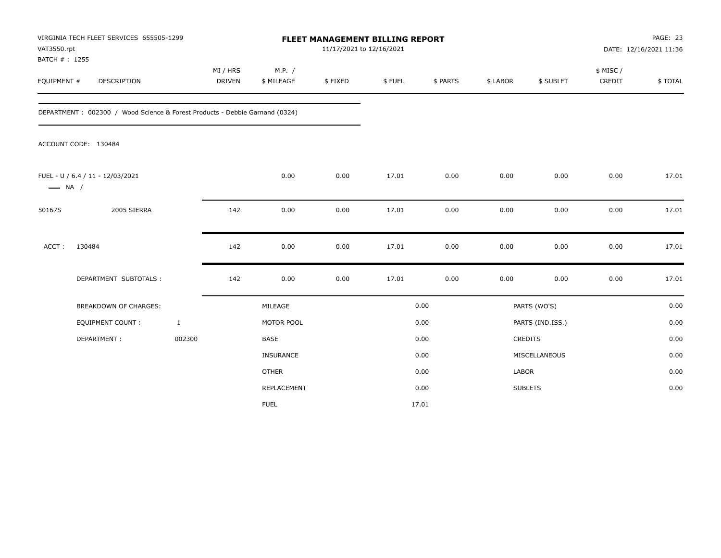| VAT3550.rpt<br>BATCH #: 1255 | VIRGINIA TECH FLEET SERVICES 655505-1299                                    |                    |                      | FLEET MANAGEMENT BILLING REPORT<br>11/17/2021 to 12/16/2021 |        |          |          |                  |                     | PAGE: 23<br>DATE: 12/16/2021 11:36 |
|------------------------------|-----------------------------------------------------------------------------|--------------------|----------------------|-------------------------------------------------------------|--------|----------|----------|------------------|---------------------|------------------------------------|
| EQUIPMENT #                  | DESCRIPTION                                                                 | MI / HRS<br>DRIVEN | M.P. /<br>\$ MILEAGE | \$FIXED                                                     | \$FUEL | \$ PARTS | \$ LABOR | \$ SUBLET        | \$ MISC /<br>CREDIT | \$TOTAL                            |
|                              | DEPARTMENT: 002300 / Wood Science & Forest Products - Debbie Garnand (0324) |                    |                      |                                                             |        |          |          |                  |                     |                                    |
|                              | ACCOUNT CODE: 130484                                                        |                    |                      |                                                             |        |          |          |                  |                     |                                    |
| $\longrightarrow$ NA /       | FUEL - U / 6.4 / 11 - 12/03/2021                                            |                    | 0.00                 | 0.00                                                        | 17.01  | 0.00     | 0.00     | 0.00             | 0.00                | 17.01                              |
| 50167S                       | 2005 SIERRA                                                                 | 142                | 0.00                 | 0.00                                                        | 17.01  | 0.00     | 0.00     | 0.00             | 0.00                | 17.01                              |
| ACCT:                        | 130484                                                                      | 142                | 0.00                 | 0.00                                                        | 17.01  | 0.00     | 0.00     | 0.00             | 0.00                | 17.01                              |
|                              | DEPARTMENT SUBTOTALS :                                                      | 142                | 0.00                 | 0.00                                                        | 17.01  | 0.00     | 0.00     | 0.00             | 0.00                | 17.01                              |
|                              | <b>BREAKDOWN OF CHARGES:</b>                                                |                    | MILEAGE              |                                                             |        | 0.00     |          | PARTS (WO'S)     |                     | 0.00                               |
|                              | EQUIPMENT COUNT:                                                            | $\mathbf{1}$       | MOTOR POOL           |                                                             |        | 0.00     |          | PARTS (IND.ISS.) |                     | 0.00                               |
|                              | DEPARTMENT:                                                                 | 002300             | <b>BASE</b>          |                                                             |        | 0.00     |          | CREDITS          |                     | 0.00                               |
|                              |                                                                             |                    | <b>INSURANCE</b>     |                                                             |        | 0.00     |          | MISCELLANEOUS    |                     | 0.00                               |
|                              |                                                                             |                    | <b>OTHER</b>         |                                                             |        | 0.00     | LABOR    |                  |                     | 0.00                               |
|                              |                                                                             |                    | <b>REPLACEMENT</b>   |                                                             |        | 0.00     |          | <b>SUBLETS</b>   |                     | 0.00                               |
|                              |                                                                             |                    | <b>FUEL</b>          |                                                             |        | 17.01    |          |                  |                     |                                    |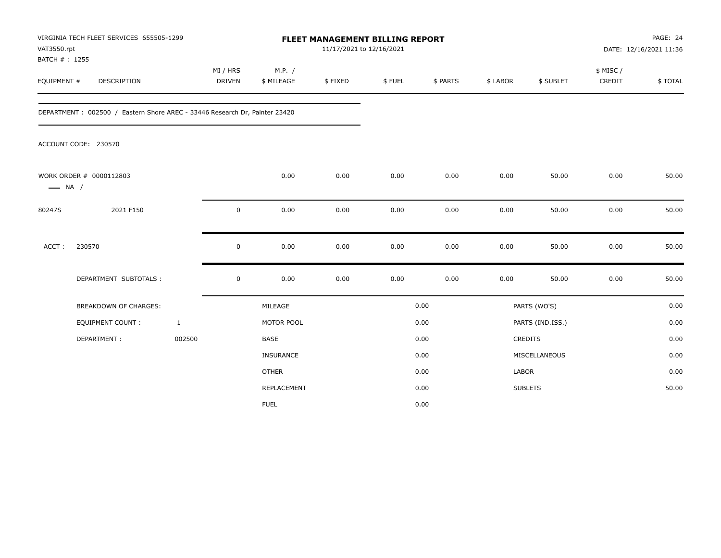| VAT3550.rpt<br>BATCH #: 1255 | VIRGINIA TECH FLEET SERVICES 655505-1299                                   |                           | FLEET MANAGEMENT BILLING REPORT<br>11/17/2021 to 12/16/2021 |         |        |          |          |                  |                     | PAGE: 24<br>DATE: 12/16/2021 11:36 |  |
|------------------------------|----------------------------------------------------------------------------|---------------------------|-------------------------------------------------------------|---------|--------|----------|----------|------------------|---------------------|------------------------------------|--|
| EQUIPMENT #                  | DESCRIPTION                                                                | MI / HRS<br><b>DRIVEN</b> | M.P. /<br>\$ MILEAGE                                        | \$FIXED | \$FUEL | \$ PARTS | \$ LABOR | \$ SUBLET        | \$ MISC /<br>CREDIT | \$TOTAL                            |  |
|                              | DEPARTMENT: 002500 / Eastern Shore AREC - 33446 Research Dr, Painter 23420 |                           |                                                             |         |        |          |          |                  |                     |                                    |  |
|                              | ACCOUNT CODE: 230570                                                       |                           |                                                             |         |        |          |          |                  |                     |                                    |  |
| $\longrightarrow$ NA /       | WORK ORDER # 0000112803                                                    |                           | 0.00                                                        | 0.00    | 0.00   | 0.00     | 0.00     | 50.00            | 0.00                | 50.00                              |  |
| 80247S                       | 2021 F150                                                                  | $\mathbf 0$               | 0.00                                                        | 0.00    | 0.00   | 0.00     | 0.00     | 50.00            | 0.00                | 50.00                              |  |
| ACCT:                        | 230570                                                                     | $\mathbf 0$               | 0.00                                                        | 0.00    | 0.00   | 0.00     | 0.00     | 50.00            | 0.00                | 50.00                              |  |
|                              | DEPARTMENT SUBTOTALS :                                                     | $\mathbf 0$               | 0.00                                                        | 0.00    | 0.00   | 0.00     | 0.00     | 50.00            | 0.00                | 50.00                              |  |
|                              | <b>BREAKDOWN OF CHARGES:</b>                                               |                           | MILEAGE                                                     |         |        | 0.00     |          | PARTS (WO'S)     |                     | 0.00                               |  |
|                              | <b>EQUIPMENT COUNT:</b>                                                    | $\mathbf{1}$              | MOTOR POOL                                                  |         |        | 0.00     |          | PARTS (IND.ISS.) |                     | 0.00                               |  |
|                              | DEPARTMENT:                                                                | 002500                    | <b>BASE</b>                                                 |         |        | 0.00     |          | CREDITS          |                     | 0.00                               |  |
|                              |                                                                            |                           | INSURANCE                                                   |         |        | 0.00     |          | MISCELLANEOUS    |                     | 0.00                               |  |
|                              |                                                                            |                           | <b>OTHER</b>                                                |         |        | 0.00     | LABOR    |                  |                     | 0.00                               |  |
|                              |                                                                            |                           | REPLACEMENT                                                 |         |        | 0.00     |          | <b>SUBLETS</b>   |                     | 50.00                              |  |
|                              |                                                                            |                           | <b>FUEL</b>                                                 |         |        | 0.00     |          |                  |                     |                                    |  |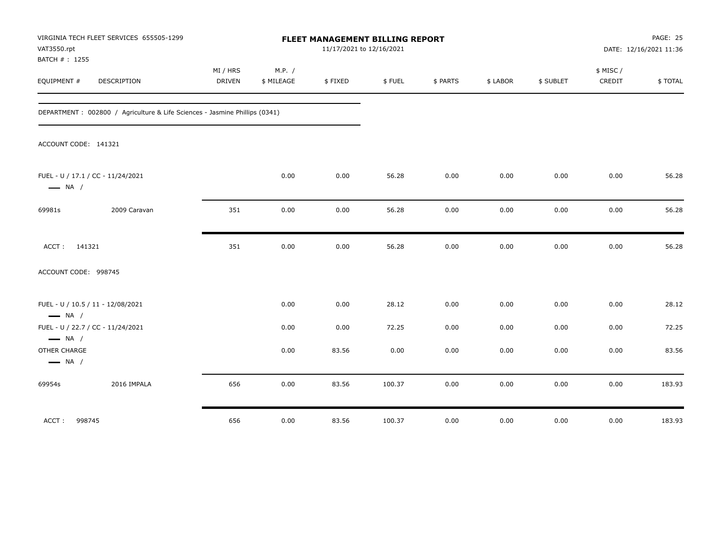| VAT3550.rpt<br>BATCH # : 1255          | VIRGINIA TECH FLEET SERVICES 655505-1299                                    |                           |                      | FLEET MANAGEMENT BILLING REPORT<br>11/17/2021 to 12/16/2021 |        |          |          |           |                     | PAGE: 25<br>DATE: 12/16/2021 11:36 |
|----------------------------------------|-----------------------------------------------------------------------------|---------------------------|----------------------|-------------------------------------------------------------|--------|----------|----------|-----------|---------------------|------------------------------------|
| EQUIPMENT #                            | <b>DESCRIPTION</b>                                                          | MI / HRS<br><b>DRIVEN</b> | M.P. /<br>\$ MILEAGE | \$FIXED                                                     | \$FUEL | \$ PARTS | \$ LABOR | \$ SUBLET | \$ MISC /<br>CREDIT | \$TOTAL                            |
|                                        | DEPARTMENT : 002800 / Agriculture & Life Sciences - Jasmine Phillips (0341) |                           |                      |                                                             |        |          |          |           |                     |                                    |
| ACCOUNT CODE: 141321                   |                                                                             |                           |                      |                                                             |        |          |          |           |                     |                                    |
| $\longrightarrow$ NA /                 | FUEL - U / 17.1 / CC - 11/24/2021                                           |                           | 0.00                 | 0.00                                                        | 56.28  | 0.00     | 0.00     | 0.00      | 0.00                | 56.28                              |
| 69981s                                 | 2009 Caravan                                                                | 351                       | 0.00                 | 0.00                                                        | 56.28  | 0.00     | 0.00     | 0.00      | 0.00                | 56.28                              |
| ACCT: 141321                           |                                                                             | 351                       | 0.00                 | 0.00                                                        | 56.28  | 0.00     | 0.00     | 0.00      | 0.00                | 56.28                              |
| ACCOUNT CODE: 998745                   |                                                                             |                           |                      |                                                             |        |          |          |           |                     |                                    |
| $\longrightarrow$ NA /                 | FUEL - U / 10.5 / 11 - 12/08/2021                                           |                           | 0.00                 | 0.00                                                        | 28.12  | 0.00     | 0.00     | 0.00      | 0.00                | 28.12                              |
| $\longrightarrow$ NA /                 | FUEL - U / 22.7 / CC - 11/24/2021                                           |                           | 0.00                 | 0.00                                                        | 72.25  | 0.00     | 0.00     | 0.00      | 0.00                | 72.25                              |
| OTHER CHARGE<br>$\longrightarrow$ NA / |                                                                             |                           | 0.00                 | 83.56                                                       | 0.00   | 0.00     | 0.00     | 0.00      | 0.00                | 83.56                              |
| 69954s                                 | 2016 IMPALA                                                                 | 656                       | 0.00                 | 83.56                                                       | 100.37 | 0.00     | 0.00     | 0.00      | 0.00                | 183.93                             |
| ACCT: 998745                           |                                                                             | 656                       | 0.00                 | 83.56                                                       | 100.37 | 0.00     | 0.00     | 0.00      | 0.00                | 183.93                             |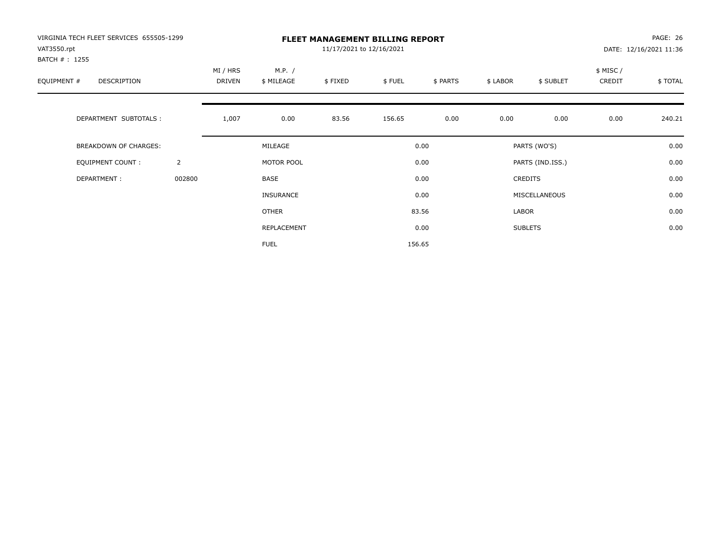| VIRGINIA TECH FLEET SERVICES 655505-1299<br>VAT3550.rpt<br>BATCH #: 1255 |                |                    |                      | 11/17/2021 to 12/16/2021 | <b>FLEET MANAGEMENT BILLING REPORT</b> |          |          |                  |                    | PAGE: 26<br>DATE: 12/16/2021 11:36 |
|--------------------------------------------------------------------------|----------------|--------------------|----------------------|--------------------------|----------------------------------------|----------|----------|------------------|--------------------|------------------------------------|
| EQUIPMENT #<br>DESCRIPTION                                               |                | MI / HRS<br>DRIVEN | M.P. /<br>\$ MILEAGE | \$FIXED                  | \$FUEL                                 | \$ PARTS | \$ LABOR | \$ SUBLET        | \$ MISC/<br>CREDIT | \$TOTAL                            |
| DEPARTMENT SUBTOTALS :                                                   |                | 1,007              | 0.00                 | 83.56                    | 156.65                                 | 0.00     | 0.00     | 0.00             | 0.00               | 240.21                             |
| <b>BREAKDOWN OF CHARGES:</b>                                             |                |                    | MILEAGE              |                          |                                        | 0.00     |          | PARTS (WO'S)     |                    | 0.00                               |
| EQUIPMENT COUNT:                                                         | $\overline{2}$ |                    | MOTOR POOL           |                          |                                        | 0.00     |          | PARTS (IND.ISS.) |                    | 0.00                               |
| DEPARTMENT:                                                              | 002800         |                    | <b>BASE</b>          |                          |                                        | 0.00     |          | <b>CREDITS</b>   |                    | 0.00                               |
|                                                                          |                |                    | <b>INSURANCE</b>     |                          |                                        | 0.00     |          | MISCELLANEOUS    |                    | 0.00                               |
|                                                                          |                |                    | OTHER                |                          |                                        | 83.56    | LABOR    |                  |                    | 0.00                               |
|                                                                          |                |                    | REPLACEMENT          |                          |                                        | 0.00     |          | <b>SUBLETS</b>   |                    | 0.00                               |
|                                                                          |                |                    | <b>FUEL</b>          |                          |                                        | 156.65   |          |                  |                    |                                    |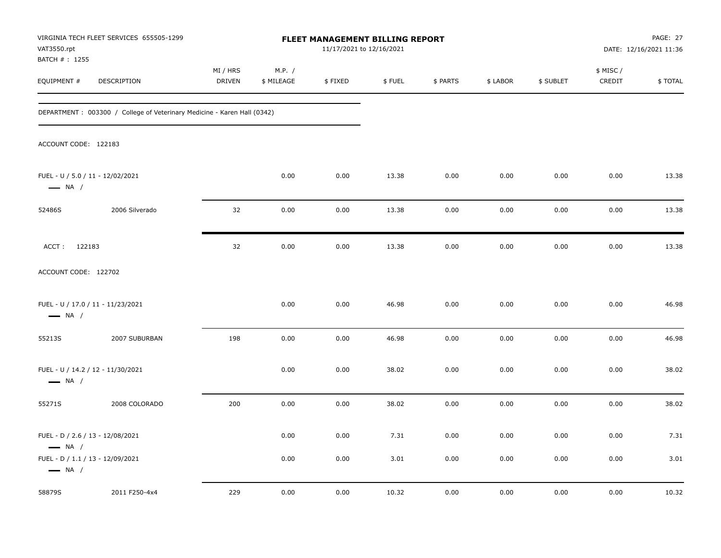| VAT3550.rpt                                                 | VIRGINIA TECH FLEET SERVICES 655505-1299                                 |                           |                      | FLEET MANAGEMENT BILLING REPORT<br>11/17/2021 to 12/16/2021 |        |          |          |           |                     | PAGE: 27<br>DATE: 12/16/2021 11:36 |
|-------------------------------------------------------------|--------------------------------------------------------------------------|---------------------------|----------------------|-------------------------------------------------------------|--------|----------|----------|-----------|---------------------|------------------------------------|
| BATCH # : 1255<br>EQUIPMENT #                               | DESCRIPTION                                                              | MI / HRS<br><b>DRIVEN</b> | M.P. /<br>\$ MILEAGE | \$FIXED                                                     | \$FUEL | \$ PARTS | \$ LABOR | \$ SUBLET | \$ MISC /<br>CREDIT | \$TOTAL                            |
|                                                             | DEPARTMENT : 003300 / College of Veterinary Medicine - Karen Hall (0342) |                           |                      |                                                             |        |          |          |           |                     |                                    |
| ACCOUNT CODE: 122183                                        |                                                                          |                           |                      |                                                             |        |          |          |           |                     |                                    |
| FUEL - U / 5.0 / 11 - 12/02/2021<br>$\longrightarrow$ NA /  |                                                                          |                           | 0.00                 | 0.00                                                        | 13.38  | 0.00     | 0.00     | 0.00      | 0.00                | 13.38                              |
| 52486S                                                      | 2006 Silverado                                                           | 32                        | 0.00                 | 0.00                                                        | 13.38  | 0.00     | 0.00     | 0.00      | 0.00                | 13.38                              |
| ACCT: 122183                                                |                                                                          | 32                        | 0.00                 | 0.00                                                        | 13.38  | 0.00     | 0.00     | 0.00      | 0.00                | 13.38                              |
| ACCOUNT CODE: 122702                                        |                                                                          |                           |                      |                                                             |        |          |          |           |                     |                                    |
| FUEL - U / 17.0 / 11 - 11/23/2021<br>$\longrightarrow$ NA / |                                                                          |                           | 0.00                 | 0.00                                                        | 46.98  | 0.00     | 0.00     | 0.00      | 0.00                | 46.98                              |
| 55213S                                                      | 2007 SUBURBAN                                                            | 198                       | 0.00                 | 0.00                                                        | 46.98  | 0.00     | 0.00     | 0.00      | 0.00                | 46.98                              |
| FUEL - U / 14.2 / 12 - 11/30/2021<br>$\longrightarrow$ NA / |                                                                          |                           | 0.00                 | 0.00                                                        | 38.02  | 0.00     | 0.00     | 0.00      | 0.00                | 38.02                              |
| 55271S                                                      | 2008 COLORADO                                                            | 200                       | 0.00                 | 0.00                                                        | 38.02  | 0.00     | 0.00     | 0.00      | 0.00                | 38.02                              |
| FUEL - D / 2.6 / 13 - 12/08/2021<br>$\longrightarrow$ NA /  |                                                                          |                           | 0.00                 | 0.00                                                        | 7.31   | 0.00     | 0.00     | 0.00      | 0.00                | 7.31                               |
| FUEL - D / 1.1 / 13 - 12/09/2021<br>$\longrightarrow$ NA /  |                                                                          |                           | 0.00                 | 0.00                                                        | 3.01   | 0.00     | 0.00     | 0.00      | 0.00                | 3.01                               |
| 58879S                                                      | 2011 F250-4x4                                                            | 229                       | 0.00                 | 0.00                                                        | 10.32  | 0.00     | 0.00     | 0.00      | 0.00                | 10.32                              |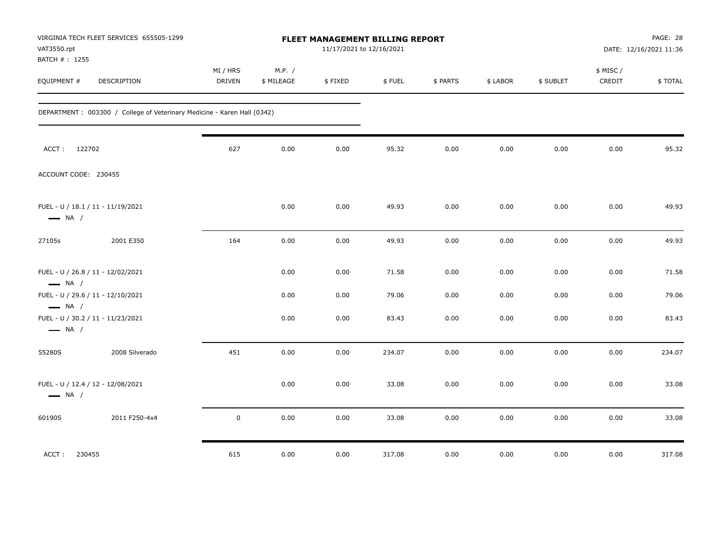| VAT3550.rpt<br>BATCH # : 1255                               | VIRGINIA TECH FLEET SERVICES 655505-1299                                |                           |                      | FLEET MANAGEMENT BILLING REPORT<br>11/17/2021 to 12/16/2021 |        |          |          |           |                     | PAGE: 28<br>DATE: 12/16/2021 11:36 |
|-------------------------------------------------------------|-------------------------------------------------------------------------|---------------------------|----------------------|-------------------------------------------------------------|--------|----------|----------|-----------|---------------------|------------------------------------|
| EQUIPMENT #                                                 | DESCRIPTION                                                             | MI / HRS<br><b>DRIVEN</b> | M.P. /<br>\$ MILEAGE | \$FIXED                                                     | \$FUEL | \$ PARTS | \$ LABOR | \$ SUBLET | \$ MISC /<br>CREDIT | \$TOTAL                            |
|                                                             | DEPARTMENT: 003300 / College of Veterinary Medicine - Karen Hall (0342) |                           |                      |                                                             |        |          |          |           |                     |                                    |
| ACCT: 122702                                                |                                                                         | 627                       | 0.00                 | 0.00                                                        | 95.32  | 0.00     | 0.00     | 0.00      | 0.00                | 95.32                              |
| ACCOUNT CODE: 230455                                        |                                                                         |                           |                      |                                                             |        |          |          |           |                     |                                    |
| FUEL - U / 18.1 / 11 - 11/19/2021<br>$\longrightarrow$ NA / |                                                                         |                           | 0.00                 | 0.00                                                        | 49.93  | 0.00     | 0.00     | 0.00      | 0.00                | 49.93                              |
| 27105s                                                      | 2001 E350                                                               | 164                       | 0.00                 | 0.00                                                        | 49.93  | 0.00     | 0.00     | 0.00      | 0.00                | 49.93                              |
| FUEL - U / 26.8 / 11 - 12/02/2021<br>$\longrightarrow$ NA / |                                                                         |                           | 0.00                 | 0.00                                                        | 71.58  | 0.00     | 0.00     | 0.00      | 0.00                | 71.58                              |
| FUEL - U / 29.6 / 11 - 12/10/2021<br>$\longrightarrow$ NA / |                                                                         |                           | 0.00                 | 0.00                                                        | 79.06  | 0.00     | 0.00     | 0.00      | 0.00                | 79.06                              |
| FUEL - U / 30.2 / 11 - 11/23/2021<br>$\longrightarrow$ NA / |                                                                         |                           | 0.00                 | 0.00                                                        | 83.43  | 0.00     | 0.00     | 0.00      | 0.00                | 83.43                              |
| 55280S                                                      | 2008 Silverado                                                          | 451                       | 0.00                 | 0.00                                                        | 234.07 | 0.00     | 0.00     | 0.00      | 0.00                | 234.07                             |
| FUEL - U / 12.4 / 12 - 12/08/2021<br>$\longrightarrow$ NA / |                                                                         |                           | 0.00                 | 0.00                                                        | 33.08  | 0.00     | 0.00     | 0.00      | 0.00                | 33.08                              |
| 60190S                                                      | 2011 F250-4x4                                                           | $\mathsf 0$               | 0.00                 | 0.00                                                        | 33.08  | 0.00     | 0.00     | 0.00      | 0.00                | 33.08                              |
| ACCT:<br>230455                                             |                                                                         | 615                       | 0.00                 | 0.00                                                        | 317.08 | 0.00     | 0.00     | 0.00      | 0.00                | 317.08                             |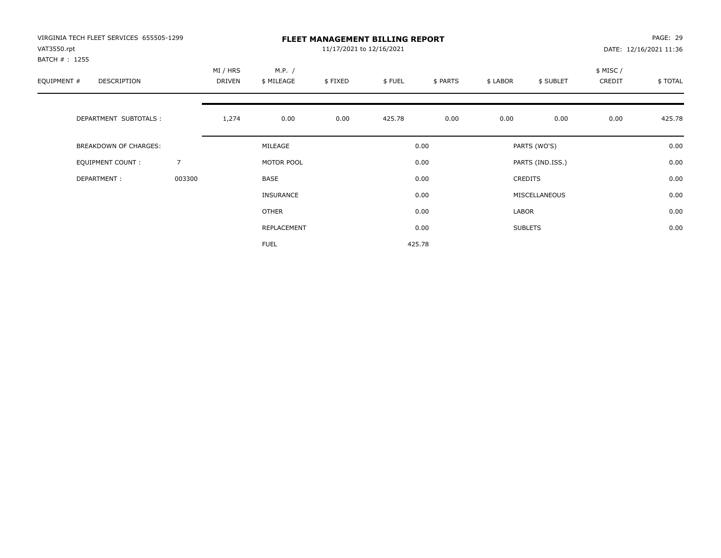| VIRGINIA TECH FLEET SERVICES 655505-1299<br>VAT3550.rpt |                |                    |                      | 11/17/2021 to 12/16/2021 | <b>FLEET MANAGEMENT BILLING REPORT</b> |          |          |                  |                    | PAGE: 29<br>DATE: 12/16/2021 11:36 |
|---------------------------------------------------------|----------------|--------------------|----------------------|--------------------------|----------------------------------------|----------|----------|------------------|--------------------|------------------------------------|
| BATCH #: 1255<br>EQUIPMENT #<br>DESCRIPTION             |                | MI / HRS<br>DRIVEN | M.P. /<br>\$ MILEAGE | \$FIXED                  | \$FUEL                                 | \$ PARTS | \$ LABOR | \$ SUBLET        | \$ MISC/<br>CREDIT | \$TOTAL                            |
| DEPARTMENT SUBTOTALS :                                  |                | 1,274              | 0.00                 | 0.00                     | 425.78                                 | 0.00     | 0.00     | 0.00             | 0.00               | 425.78                             |
| <b>BREAKDOWN OF CHARGES:</b>                            |                |                    | MILEAGE              |                          |                                        | 0.00     |          | PARTS (WO'S)     |                    | 0.00                               |
| EQUIPMENT COUNT:                                        | $\overline{7}$ |                    | MOTOR POOL           |                          |                                        | 0.00     |          | PARTS (IND.ISS.) |                    | 0.00                               |
| DEPARTMENT:                                             | 003300         |                    | <b>BASE</b>          |                          |                                        | 0.00     |          | <b>CREDITS</b>   |                    | 0.00                               |
|                                                         |                |                    | <b>INSURANCE</b>     |                          |                                        | 0.00     |          | MISCELLANEOUS    |                    | 0.00                               |
|                                                         |                |                    | <b>OTHER</b>         |                          |                                        | 0.00     | LABOR    |                  |                    | 0.00                               |
|                                                         |                |                    | REPLACEMENT          |                          |                                        | 0.00     |          | <b>SUBLETS</b>   |                    | 0.00                               |
|                                                         |                |                    | <b>FUEL</b>          |                          |                                        | 425.78   |          |                  |                    |                                    |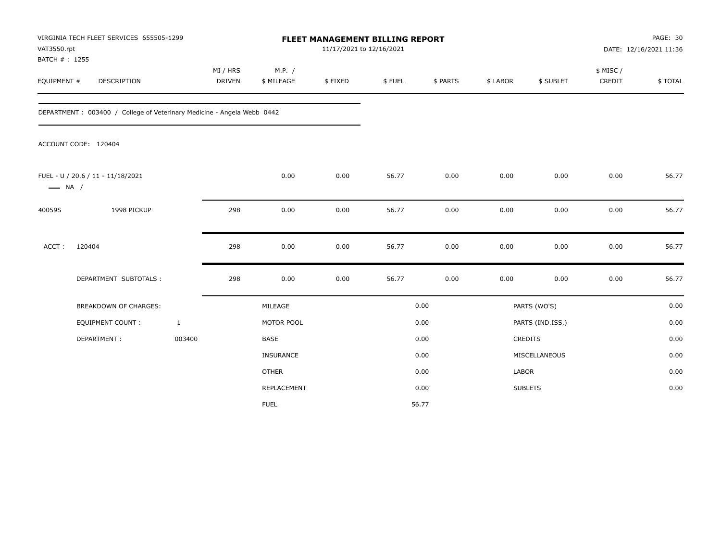| VAT3550.rpt<br>BATCH #: 1255 | VIRGINIA TECH FLEET SERVICES 655505-1299                               |                           |                      | FLEET MANAGEMENT BILLING REPORT<br>11/17/2021 to 12/16/2021 |        |          |          |                  |                     | PAGE: 30<br>DATE: 12/16/2021 11:36 |
|------------------------------|------------------------------------------------------------------------|---------------------------|----------------------|-------------------------------------------------------------|--------|----------|----------|------------------|---------------------|------------------------------------|
| EQUIPMENT #                  | DESCRIPTION                                                            | MI / HRS<br><b>DRIVEN</b> | M.P. /<br>\$ MILEAGE | \$FIXED                                                     | \$FUEL | \$ PARTS | \$ LABOR | \$ SUBLET        | \$ MISC /<br>CREDIT | \$TOTAL                            |
|                              | DEPARTMENT: 003400 / College of Veterinary Medicine - Angela Webb 0442 |                           |                      |                                                             |        |          |          |                  |                     |                                    |
|                              | ACCOUNT CODE: 120404                                                   |                           |                      |                                                             |        |          |          |                  |                     |                                    |
| $\longrightarrow$ NA /       | FUEL - U / 20.6 / 11 - 11/18/2021                                      |                           | 0.00                 | 0.00                                                        | 56.77  | 0.00     | 0.00     | 0.00             | 0.00                | 56.77                              |
| 40059S                       | 1998 PICKUP                                                            | 298                       | 0.00                 | $0.00\,$                                                    | 56.77  | 0.00     | 0.00     | 0.00             | 0.00                | 56.77                              |
| ACCT:                        | 120404                                                                 | 298                       | 0.00                 | 0.00                                                        | 56.77  | 0.00     | 0.00     | 0.00             | 0.00                | 56.77                              |
|                              | DEPARTMENT SUBTOTALS :                                                 | 298                       | 0.00                 | 0.00                                                        | 56.77  | 0.00     | 0.00     | 0.00             | 0.00                | 56.77                              |
|                              | <b>BREAKDOWN OF CHARGES:</b>                                           |                           | MILEAGE              |                                                             |        | 0.00     |          | PARTS (WO'S)     |                     | 0.00                               |
|                              | <b>EQUIPMENT COUNT:</b>                                                | $\mathbf{1}$              | MOTOR POOL           |                                                             |        | 0.00     |          | PARTS (IND.ISS.) |                     | 0.00                               |
|                              | DEPARTMENT:                                                            | 003400                    | <b>BASE</b>          |                                                             |        | 0.00     |          | <b>CREDITS</b>   |                     | 0.00                               |
|                              |                                                                        |                           | INSURANCE            |                                                             |        | 0.00     |          | MISCELLANEOUS    |                     | 0.00                               |
|                              |                                                                        |                           | <b>OTHER</b>         |                                                             |        | 0.00     | LABOR    |                  |                     | 0.00                               |
|                              |                                                                        |                           | REPLACEMENT          |                                                             |        | 0.00     |          | <b>SUBLETS</b>   |                     | 0.00                               |
|                              |                                                                        |                           | <b>FUEL</b>          |                                                             |        | 56.77    |          |                  |                     |                                    |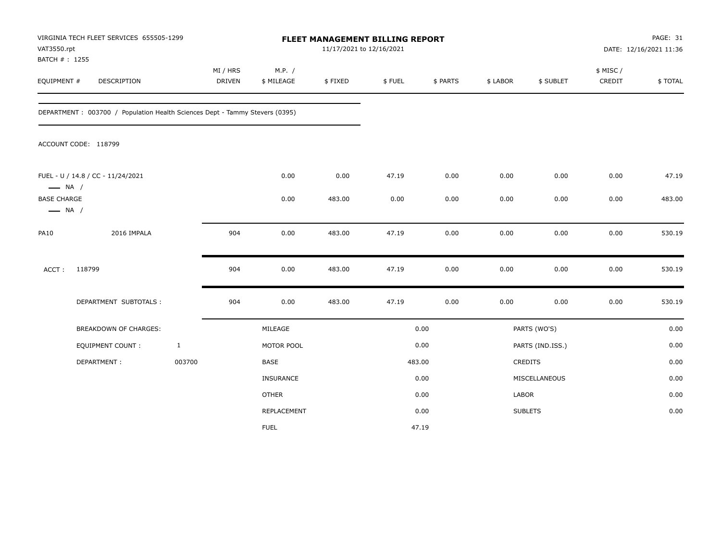| VAT3550.rpt<br>BATCH #: 1255                 | VIRGINIA TECH FLEET SERVICES 655505-1299                                    |              |                           |                      | 11/17/2021 to 12/16/2021 | FLEET MANAGEMENT BILLING REPORT |          |          |                  |                    | PAGE: 31<br>DATE: 12/16/2021 11:36 |
|----------------------------------------------|-----------------------------------------------------------------------------|--------------|---------------------------|----------------------|--------------------------|---------------------------------|----------|----------|------------------|--------------------|------------------------------------|
| EQUIPMENT #                                  | DESCRIPTION                                                                 |              | MI / HRS<br><b>DRIVEN</b> | M.P. /<br>\$ MILEAGE | \$FIXED                  | \$FUEL                          | \$ PARTS | \$ LABOR | \$ SUBLET        | \$ MISC/<br>CREDIT | \$TOTAL                            |
|                                              | DEPARTMENT: 003700 / Population Health Sciences Dept - Tammy Stevers (0395) |              |                           |                      |                          |                                 |          |          |                  |                    |                                    |
|                                              | ACCOUNT CODE: 118799                                                        |              |                           |                      |                          |                                 |          |          |                  |                    |                                    |
| $\longrightarrow$ NA /                       | FUEL - U / 14.8 / CC - 11/24/2021                                           |              |                           | 0.00                 | 0.00                     | 47.19                           | 0.00     | 0.00     | 0.00             | 0.00               | 47.19                              |
| <b>BASE CHARGE</b><br>$\longrightarrow$ NA / |                                                                             |              |                           | 0.00                 | 483.00                   | 0.00                            | 0.00     | 0.00     | 0.00             | 0.00               | 483.00                             |
| <b>PA10</b>                                  | 2016 IMPALA                                                                 |              | 904                       | 0.00                 | 483.00                   | 47.19                           | 0.00     | 0.00     | 0.00             | 0.00               | 530.19                             |
| ACCT:                                        | 118799                                                                      |              | 904                       | 0.00                 | 483.00                   | 47.19                           | 0.00     | 0.00     | 0.00             | 0.00               | 530.19                             |
|                                              | DEPARTMENT SUBTOTALS :                                                      |              | 904                       | 0.00                 | 483.00                   | 47.19                           | 0.00     | 0.00     | 0.00             | 0.00               | 530.19                             |
|                                              | <b>BREAKDOWN OF CHARGES:</b>                                                |              |                           | MILEAGE              |                          |                                 | 0.00     |          | PARTS (WO'S)     |                    | 0.00                               |
|                                              | <b>EQUIPMENT COUNT:</b>                                                     | $\mathbf{1}$ |                           | MOTOR POOL           |                          |                                 | 0.00     |          | PARTS (IND.ISS.) |                    | 0.00                               |
|                                              | DEPARTMENT:                                                                 | 003700       |                           | BASE                 |                          |                                 | 483.00   |          | <b>CREDITS</b>   |                    | 0.00                               |
|                                              |                                                                             |              |                           | INSURANCE            |                          |                                 | 0.00     |          | MISCELLANEOUS    |                    | 0.00                               |
|                                              |                                                                             |              |                           | <b>OTHER</b>         |                          |                                 | 0.00     | LABOR    |                  |                    | 0.00                               |
|                                              |                                                                             |              |                           | REPLACEMENT          |                          |                                 | 0.00     |          | <b>SUBLETS</b>   |                    | 0.00                               |
|                                              |                                                                             |              |                           | <b>FUEL</b>          |                          |                                 | 47.19    |          |                  |                    |                                    |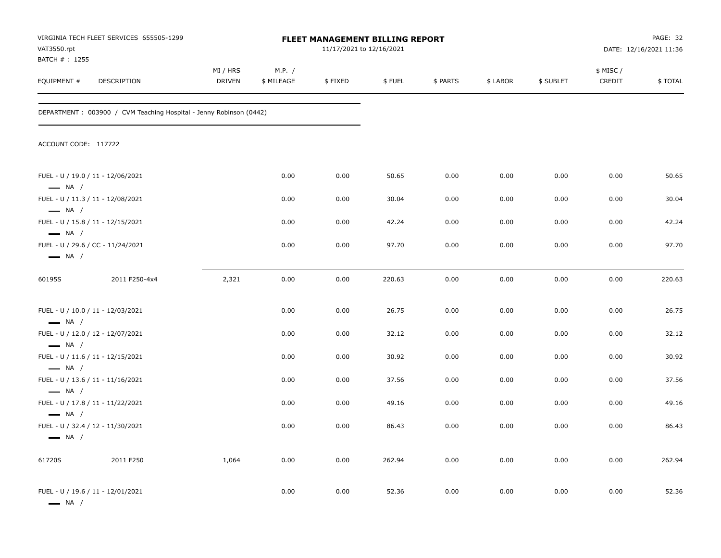| VAT3550.rpt                                      | VIRGINIA TECH FLEET SERVICES 655505-1299                           |                    |                      | FLEET MANAGEMENT BILLING REPORT<br>11/17/2021 to 12/16/2021 |        |          |          |           |                    | PAGE: 32<br>DATE: 12/16/2021 11:36 |
|--------------------------------------------------|--------------------------------------------------------------------|--------------------|----------------------|-------------------------------------------------------------|--------|----------|----------|-----------|--------------------|------------------------------------|
| BATCH # : 1255<br>EQUIPMENT #                    | DESCRIPTION                                                        | MI / HRS<br>DRIVEN | M.P. /<br>\$ MILEAGE | \$FIXED                                                     | \$FUEL | \$ PARTS | \$ LABOR | \$ SUBLET | \$ MISC/<br>CREDIT | \$TOTAL                            |
|                                                  | DEPARTMENT: 003900 / CVM Teaching Hospital - Jenny Robinson (0442) |                    |                      |                                                             |        |          |          |           |                    |                                    |
| ACCOUNT CODE: 117722                             |                                                                    |                    |                      |                                                             |        |          |          |           |                    |                                    |
| $\longrightarrow$ NA /                           | FUEL - U / 19.0 / 11 - 12/06/2021                                  |                    | 0.00                 | 0.00                                                        | 50.65  | 0.00     | 0.00     | 0.00      | 0.00               | 50.65                              |
| $\longrightarrow$ NA /                           | FUEL - U / 11.3 / 11 - 12/08/2021                                  |                    | 0.00                 | 0.00                                                        | 30.04  | 0.00     | 0.00     | 0.00      | 0.00               | 30.04                              |
| $\longrightarrow$ NA /                           | FUEL - U / 15.8 / 11 - 12/15/2021                                  |                    | 0.00                 | 0.00                                                        | 42.24  | 0.00     | 0.00     | 0.00      | 0.00               | 42.24                              |
| $\longrightarrow$ NA /                           | FUEL - U / 29.6 / CC - 11/24/2021                                  |                    | 0.00                 | 0.00                                                        | 97.70  | 0.00     | 0.00     | 0.00      | 0.00               | 97.70                              |
| 60195S                                           | 2011 F250-4x4                                                      | 2,321              | 0.00                 | 0.00                                                        | 220.63 | 0.00     | 0.00     | 0.00      | 0.00               | 220.63                             |
| $\longrightarrow$ NA /                           | FUEL - U / 10.0 / 11 - 12/03/2021                                  |                    | 0.00                 | 0.00                                                        | 26.75  | 0.00     | 0.00     | 0.00      | 0.00               | 26.75                              |
| $\longrightarrow$ NA /                           | FUEL - U / 12.0 / 12 - 12/07/2021                                  |                    | 0.00                 | 0.00                                                        | 32.12  | 0.00     | 0.00     | 0.00      | 0.00               | 32.12                              |
| $\longrightarrow$ NA /                           | FUEL - U / 11.6 / 11 - 12/15/2021                                  |                    | 0.00                 | 0.00                                                        | 30.92  | 0.00     | 0.00     | 0.00      | 0.00               | 30.92                              |
|                                                  | FUEL - U / 13.6 / 11 - 11/16/2021                                  |                    | 0.00                 | 0.00                                                        | 37.56  | 0.00     | 0.00     | 0.00      | 0.00               | 37.56                              |
| $\longrightarrow$ NA /                           | FUEL - U / 17.8 / 11 - 11/22/2021                                  |                    | 0.00                 | 0.00                                                        | 49.16  | 0.00     | 0.00     | 0.00      | 0.00               | 49.16                              |
| $\longrightarrow$ NA /<br>$\longrightarrow$ NA / | FUEL - U / 32.4 / 12 - 11/30/2021                                  |                    | 0.00                 | 0.00                                                        | 86.43  | 0.00     | 0.00     | 0.00      | 0.00               | 86.43                              |
| 61720S                                           | 2011 F250                                                          | 1,064              | 0.00                 | 0.00                                                        | 262.94 | 0.00     | 0.00     | 0.00      | 0.00               | 262.94                             |
| $\longrightarrow$ NA /                           | FUEL - U / 19.6 / 11 - 12/01/2021                                  |                    | 0.00                 | 0.00                                                        | 52.36  | 0.00     | 0.00     | 0.00      | 0.00               | 52.36                              |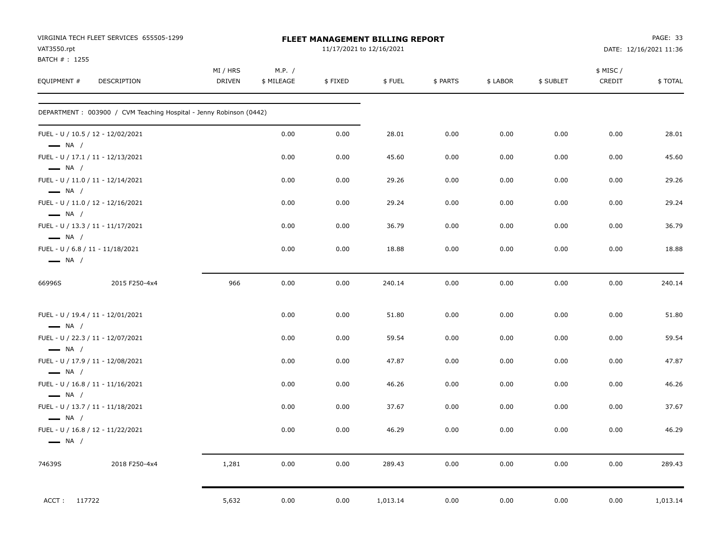| VAT3550.rpt                                                | VIRGINIA TECH FLEET SERVICES 655505-1299                           |                           |                      |         | FLEET MANAGEMENT BILLING REPORT<br>11/17/2021 to 12/16/2021 |          |          |           |                     | PAGE: 33<br>DATE: 12/16/2021 11:36 |
|------------------------------------------------------------|--------------------------------------------------------------------|---------------------------|----------------------|---------|-------------------------------------------------------------|----------|----------|-----------|---------------------|------------------------------------|
| BATCH #: 1255<br>EQUIPMENT #                               | DESCRIPTION                                                        | MI / HRS<br><b>DRIVEN</b> | M.P. /<br>\$ MILEAGE | \$FIXED | \$FUEL                                                      | \$ PARTS | \$ LABOR | \$ SUBLET | \$ MISC /<br>CREDIT | \$TOTAL                            |
|                                                            | DEPARTMENT: 003900 / CVM Teaching Hospital - Jenny Robinson (0442) |                           |                      |         |                                                             |          |          |           |                     |                                    |
| $\longrightarrow$ NA /                                     | FUEL - U / 10.5 / 12 - 12/02/2021                                  |                           | 0.00                 | 0.00    | 28.01                                                       | 0.00     | 0.00     | 0.00      | 0.00                | 28.01                              |
| $\longrightarrow$ NA /                                     | FUEL - U / 17.1 / 11 - 12/13/2021                                  |                           | 0.00                 | 0.00    | 45.60                                                       | 0.00     | 0.00     | 0.00      | 0.00                | 45.60                              |
| $\longrightarrow$ NA /                                     | FUEL - U / 11.0 / 11 - 12/14/2021                                  |                           | 0.00                 | 0.00    | 29.26                                                       | 0.00     | 0.00     | 0.00      | 0.00                | 29.26                              |
| $\longrightarrow$ NA /                                     | FUEL - U / 11.0 / 12 - 12/16/2021                                  |                           | 0.00                 | 0.00    | 29.24                                                       | 0.00     | 0.00     | 0.00      | 0.00                | 29.24                              |
| $\longrightarrow$ NA /                                     | FUEL - U / 13.3 / 11 - 11/17/2021                                  |                           | 0.00                 | 0.00    | 36.79                                                       | 0.00     | 0.00     | 0.00      | 0.00                | 36.79                              |
| FUEL - U / 6.8 / 11 - 11/18/2021<br>$\longrightarrow$ NA / |                                                                    |                           | 0.00                 | 0.00    | 18.88                                                       | 0.00     | 0.00     | 0.00      | 0.00                | 18.88                              |
| 66996S                                                     | 2015 F250-4x4                                                      | 966                       | 0.00                 | 0.00    | 240.14                                                      | 0.00     | 0.00     | 0.00      | 0.00                | 240.14                             |
| $\longrightarrow$ NA /                                     | FUEL - U / 19.4 / 11 - 12/01/2021                                  |                           | 0.00                 | 0.00    | 51.80                                                       | 0.00     | 0.00     | 0.00      | 0.00                | 51.80                              |
| $\longrightarrow$ NA /                                     | FUEL - U / 22.3 / 11 - 12/07/2021                                  |                           | 0.00                 | 0.00    | 59.54                                                       | 0.00     | 0.00     | 0.00      | 0.00                | 59.54                              |
| $\longrightarrow$ NA /                                     | FUEL - U / 17.9 / 11 - 12/08/2021                                  |                           | 0.00                 | 0.00    | 47.87                                                       | 0.00     | 0.00     | 0.00      | 0.00                | 47.87                              |
| $\longrightarrow$ NA /                                     | FUEL - U / 16.8 / 11 - 11/16/2021                                  |                           | 0.00                 | 0.00    | 46.26                                                       | 0.00     | 0.00     | 0.00      | 0.00                | 46.26                              |
| $\longrightarrow$ NA /                                     | FUEL - U / 13.7 / 11 - 11/18/2021                                  |                           | 0.00                 | 0.00    | 37.67                                                       | 0.00     | 0.00     | 0.00      | 0.00                | 37.67                              |
| $\longrightarrow$ NA /                                     | FUEL - U / 16.8 / 12 - 11/22/2021                                  |                           | 0.00                 | 0.00    | 46.29                                                       | 0.00     | 0.00     | 0.00      | 0.00                | 46.29                              |
| 74639S                                                     | 2018 F250-4x4                                                      | 1,281                     | 0.00                 | 0.00    | 289.43                                                      | 0.00     | 0.00     | 0.00      | 0.00                | 289.43                             |
| ACCT: 117722                                               |                                                                    | 5,632                     | 0.00                 | 0.00    | 1,013.14                                                    | 0.00     | 0.00     | 0.00      | 0.00                | 1,013.14                           |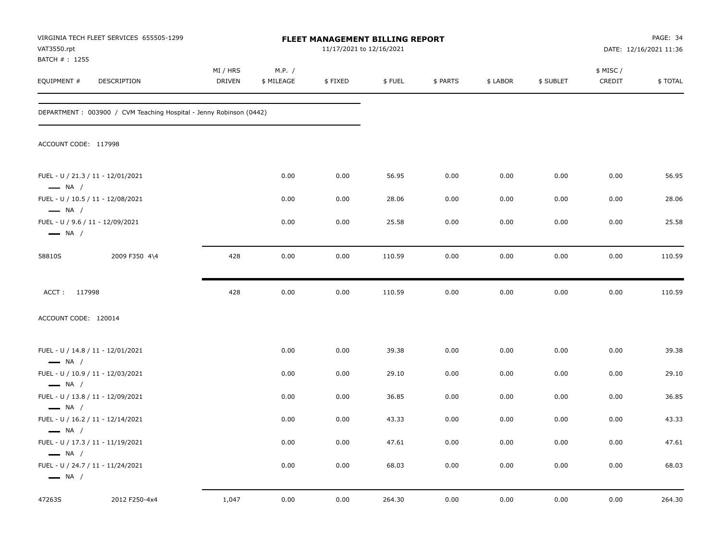| VAT3550.rpt                                                | VIRGINIA TECH FLEET SERVICES 655505-1299                           |                           |                      | <b>FLEET MANAGEMENT BILLING REPORT</b><br>11/17/2021 to 12/16/2021 |        |          |          |           |                     | PAGE: 34<br>DATE: 12/16/2021 11:36 |
|------------------------------------------------------------|--------------------------------------------------------------------|---------------------------|----------------------|--------------------------------------------------------------------|--------|----------|----------|-----------|---------------------|------------------------------------|
| BATCH # : 1255<br>EQUIPMENT #                              | DESCRIPTION                                                        | MI / HRS<br><b>DRIVEN</b> | M.P. /<br>\$ MILEAGE | \$FIXED                                                            | \$FUEL | \$ PARTS | \$ LABOR | \$ SUBLET | \$ MISC /<br>CREDIT | \$TOTAL                            |
|                                                            | DEPARTMENT: 003900 / CVM Teaching Hospital - Jenny Robinson (0442) |                           |                      |                                                                    |        |          |          |           |                     |                                    |
| ACCOUNT CODE: 117998                                       |                                                                    |                           |                      |                                                                    |        |          |          |           |                     |                                    |
| $\longrightarrow$ NA /                                     | FUEL - U / 21.3 / 11 - 12/01/2021                                  |                           | 0.00                 | 0.00                                                               | 56.95  | 0.00     | 0.00     | 0.00      | 0.00                | 56.95                              |
| $\longrightarrow$ NA /                                     | FUEL - U / 10.5 / 11 - 12/08/2021                                  |                           | 0.00                 | 0.00                                                               | 28.06  | 0.00     | 0.00     | 0.00      | 0.00                | 28.06                              |
| FUEL - U / 9.6 / 11 - 12/09/2021<br>$\longrightarrow$ NA / |                                                                    |                           | 0.00                 | 0.00                                                               | 25.58  | 0.00     | 0.00     | 0.00      | 0.00                | 25.58                              |
| 58810S                                                     | 2009 F350 4\4                                                      | 428                       | 0.00                 | 0.00                                                               | 110.59 | 0.00     | 0.00     | 0.00      | 0.00                | 110.59                             |
| ACCT: 117998                                               |                                                                    | 428                       | 0.00                 | 0.00                                                               | 110.59 | 0.00     | 0.00     | 0.00      | 0.00                | 110.59                             |
| ACCOUNT CODE: 120014                                       |                                                                    |                           |                      |                                                                    |        |          |          |           |                     |                                    |
| $\longrightarrow$ NA /                                     | FUEL - U / 14.8 / 11 - 12/01/2021                                  |                           | 0.00                 | 0.00                                                               | 39.38  | 0.00     | 0.00     | 0.00      | 0.00                | 39.38                              |
| $\longrightarrow$ NA /                                     | FUEL - U / 10.9 / 11 - 12/03/2021                                  |                           | 0.00                 | 0.00                                                               | 29.10  | 0.00     | 0.00     | 0.00      | 0.00                | 29.10                              |
| $\longrightarrow$ NA /                                     | FUEL - U / 13.8 / 11 - 12/09/2021                                  |                           | 0.00                 | 0.00                                                               | 36.85  | 0.00     | 0.00     | 0.00      | 0.00                | 36.85                              |
|                                                            | FUEL - U / 16.2 / 11 - 12/14/2021                                  |                           | 0.00                 | 0.00                                                               | 43.33  | 0.00     | 0.00     | 0.00      | 0.00                | 43.33                              |
| $\longrightarrow$ NA /                                     | FUEL - U / 17.3 / 11 - 11/19/2021                                  |                           | 0.00                 | 0.00                                                               | 47.61  | 0.00     | 0.00     | 0.00      | 0.00                | 47.61                              |
| $\longrightarrow$ NA /<br>$\longrightarrow$ NA /           | FUEL - U / 24.7 / 11 - 11/24/2021                                  |                           | 0.00                 | 0.00                                                               | 68.03  | 0.00     | 0.00     | 0.00      | 0.00                | 68.03                              |
| 47263S                                                     | 2012 F250-4x4                                                      | 1,047                     | 0.00                 | 0.00                                                               | 264.30 | 0.00     | 0.00     | 0.00      | 0.00                | 264.30                             |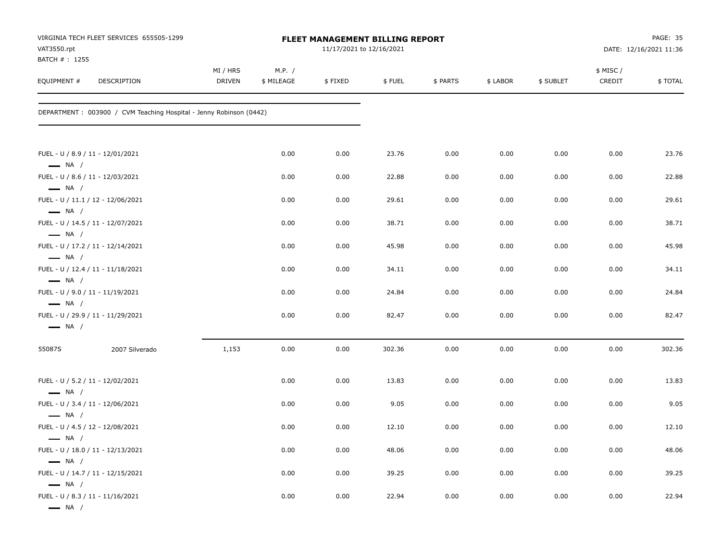| VAT3550.rpt                                                | VIRGINIA TECH FLEET SERVICES 655505-1299                            |                           |                      | FLEET MANAGEMENT BILLING REPORT<br>11/17/2021 to 12/16/2021 |        |          |          |           |                    | <b>PAGE: 35</b><br>DATE: 12/16/2021 11:36 |
|------------------------------------------------------------|---------------------------------------------------------------------|---------------------------|----------------------|-------------------------------------------------------------|--------|----------|----------|-----------|--------------------|-------------------------------------------|
| BATCH # : 1255<br>EQUIPMENT #                              | DESCRIPTION                                                         | MI / HRS<br><b>DRIVEN</b> | M.P. /<br>\$ MILEAGE | \$FIXED                                                     | \$FUEL | \$ PARTS | \$ LABOR | \$ SUBLET | \$ MISC/<br>CREDIT | \$TOTAL                                   |
|                                                            | DEPARTMENT : 003900 / CVM Teaching Hospital - Jenny Robinson (0442) |                           |                      |                                                             |        |          |          |           |                    |                                           |
| $\longrightarrow$ NA /                                     | FUEL - U / 8.9 / 11 - 12/01/2021                                    |                           | 0.00                 | 0.00                                                        | 23.76  | 0.00     | 0.00     | 0.00      | 0.00               | 23.76                                     |
|                                                            | FUEL - U / 8.6 / 11 - 12/03/2021                                    |                           | 0.00                 | 0.00                                                        | 22.88  | 0.00     | 0.00     | 0.00      | 0.00               | 22.88                                     |
| $\longrightarrow$ NA /<br>$\longrightarrow$ NA /           | FUEL - U / 11.1 / 12 - 12/06/2021                                   |                           | 0.00                 | 0.00                                                        | 29.61  | 0.00     | 0.00     | 0.00      | 0.00               | 29.61                                     |
| $\longrightarrow$ NA /                                     | FUEL - U / 14.5 / 11 - 12/07/2021                                   |                           | 0.00                 | 0.00                                                        | 38.71  | 0.00     | 0.00     | 0.00      | 0.00               | 38.71                                     |
| $\longrightarrow$ NA /                                     | FUEL - U / 17.2 / 11 - 12/14/2021                                   |                           | 0.00                 | 0.00                                                        | 45.98  | 0.00     | 0.00     | 0.00      | 0.00               | 45.98                                     |
| $-$ NA $/$                                                 | FUEL - U / 12.4 / 11 - 11/18/2021                                   |                           | 0.00                 | 0.00                                                        | 34.11  | 0.00     | 0.00     | 0.00      | 0.00               | 34.11                                     |
| $\longrightarrow$ NA /                                     | FUEL - U / 9.0 / 11 - 11/19/2021                                    |                           | 0.00                 | 0.00                                                        | 24.84  | 0.00     | 0.00     | 0.00      | 0.00               | 24.84                                     |
| $\longrightarrow$ NA /                                     | FUEL - U / 29.9 / 11 - 11/29/2021                                   |                           | 0.00                 | 0.00                                                        | 82.47  | 0.00     | 0.00     | 0.00      | 0.00               | 82.47                                     |
| 55087S                                                     | 2007 Silverado                                                      | 1,153                     | 0.00                 | 0.00                                                        | 302.36 | 0.00     | 0.00     | 0.00      | 0.00               | 302.36                                    |
| FUEL - U / 5.2 / 11 - 12/02/2021<br>$\longrightarrow$ NA / |                                                                     |                           | 0.00                 | 0.00                                                        | 13.83  | 0.00     | 0.00     | 0.00      | 0.00               | 13.83                                     |
| $\longrightarrow$ NA /                                     | FUEL - U / 3.4 / 11 - 12/06/2021                                    |                           | 0.00                 | 0.00                                                        | 9.05   | 0.00     | 0.00     | 0.00      | 0.00               | 9.05                                      |
| $\longrightarrow$ NA /                                     | FUEL - U / 4.5 / 12 - 12/08/2021                                    |                           | 0.00                 | 0.00                                                        | 12.10  | 0.00     | 0.00     | 0.00      | 0.00               | 12.10                                     |
| $\longrightarrow$ NA /                                     | FUEL - U / 18.0 / 11 - 12/13/2021                                   |                           | 0.00                 | 0.00                                                        | 48.06  | 0.00     | 0.00     | 0.00      | 0.00               | 48.06                                     |
|                                                            | FUEL - U / 14.7 / 11 - 12/15/2021                                   |                           | 0.00                 | 0.00                                                        | 39.25  | 0.00     | 0.00     | 0.00      | 0.00               | 39.25                                     |
| $\longrightarrow$ NA /<br>$\longrightarrow$ NA /           | FUEL - U / 8.3 / 11 - 11/16/2021                                    |                           | 0.00                 | 0.00                                                        | 22.94  | 0.00     | 0.00     | 0.00      | 0.00               | 22.94                                     |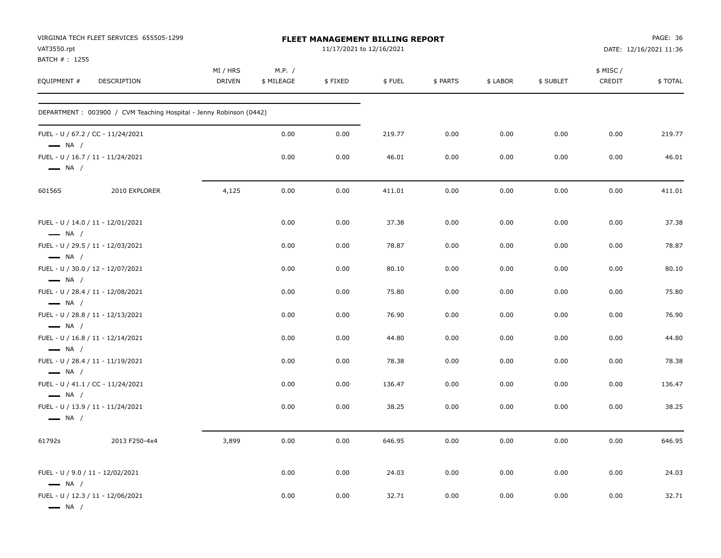| VAT3550.rpt                   | VIRGINIA TECH FLEET SERVICES 655505-1299                            |                           |                      | FLEET MANAGEMENT BILLING REPORT<br>11/17/2021 to 12/16/2021 |        |          |          |           |                    | PAGE: 36<br>DATE: 12/16/2021 11:36 |
|-------------------------------|---------------------------------------------------------------------|---------------------------|----------------------|-------------------------------------------------------------|--------|----------|----------|-----------|--------------------|------------------------------------|
| BATCH # : 1255<br>EQUIPMENT # | DESCRIPTION                                                         | MI / HRS<br><b>DRIVEN</b> | M.P. /<br>\$ MILEAGE | \$FIXED                                                     | \$FUEL | \$ PARTS | \$ LABOR | \$ SUBLET | \$ MISC/<br>CREDIT | \$TOTAL                            |
|                               | DEPARTMENT : 003900 / CVM Teaching Hospital - Jenny Robinson (0442) |                           |                      |                                                             |        |          |          |           |                    |                                    |
| $\longrightarrow$ NA /        | FUEL - U / 67.2 / CC - 11/24/2021                                   |                           | 0.00                 | 0.00                                                        | 219.77 | 0.00     | 0.00     | 0.00      | 0.00               | 219.77                             |
| $\longrightarrow$ NA /        | FUEL - U / 16.7 / 11 - 11/24/2021                                   |                           | 0.00                 | 0.00                                                        | 46.01  | 0.00     | 0.00     | 0.00      | 0.00               | 46.01                              |
| 60156S                        | 2010 EXPLORER                                                       | 4,125                     | 0.00                 | 0.00                                                        | 411.01 | 0.00     | 0.00     | 0.00      | 0.00               | 411.01                             |
| $\longrightarrow$ NA /        | FUEL - U / 14.0 / 11 - 12/01/2021                                   |                           | 0.00                 | 0.00                                                        | 37.38  | 0.00     | 0.00     | 0.00      | 0.00               | 37.38                              |
| $\longrightarrow$ NA /        | FUEL - U / 29.5 / 11 - 12/03/2021                                   |                           | 0.00                 | 0.00                                                        | 78.87  | 0.00     | 0.00     | 0.00      | 0.00               | 78.87                              |
| $\equiv$ NA /                 | FUEL - U / 30.0 / 12 - 12/07/2021                                   |                           | 0.00                 | 0.00                                                        | 80.10  | 0.00     | 0.00     | 0.00      | 0.00               | 80.10                              |
| $\longrightarrow$ NA /        | FUEL - U / 28.4 / 11 - 12/08/2021                                   |                           | 0.00                 | 0.00                                                        | 75.80  | 0.00     | 0.00     | 0.00      | 0.00               | 75.80                              |
| $\longrightarrow$ NA /        | FUEL - U / 28.8 / 11 - 12/13/2021                                   |                           | 0.00                 | 0.00                                                        | 76.90  | 0.00     | 0.00     | 0.00      | 0.00               | 76.90                              |
| $\longrightarrow$ NA /        | FUEL - U / 16.8 / 11 - 12/14/2021                                   |                           | 0.00                 | 0.00                                                        | 44.80  | 0.00     | 0.00     | 0.00      | 0.00               | 44.80                              |
| $\longrightarrow$ NA /        | FUEL - U / 28.4 / 11 - 11/19/2021                                   |                           | 0.00                 | 0.00                                                        | 78.38  | 0.00     | 0.00     | 0.00      | 0.00               | 78.38                              |
| $\longrightarrow$ NA /        | FUEL - U / 41.1 / CC - 11/24/2021                                   |                           | 0.00                 | 0.00                                                        | 136.47 | 0.00     | 0.00     | 0.00      | 0.00               | 136.47                             |
| $\longrightarrow$ NA /        | FUEL - U / 13.9 / 11 - 11/24/2021                                   |                           | 0.00                 | 0.00                                                        | 38.25  | 0.00     | 0.00     | 0.00      | 0.00               | 38.25                              |
| 61792s                        | 2013 F250-4x4                                                       | 3,899                     | 0.00                 | 0.00                                                        | 646.95 | 0.00     | 0.00     | 0.00      | 0.00               | 646.95                             |
| $\longrightarrow$ NA /        | FUEL - U / 9.0 / 11 - 12/02/2021                                    |                           | 0.00                 | 0.00                                                        | 24.03  | 0.00     | 0.00     | 0.00      | 0.00               | 24.03                              |
| $\longrightarrow$ NA /        | FUEL - U / 12.3 / 11 - 12/06/2021                                   |                           | 0.00                 | 0.00                                                        | 32.71  | 0.00     | 0.00     | 0.00      | 0.00               | 32.71                              |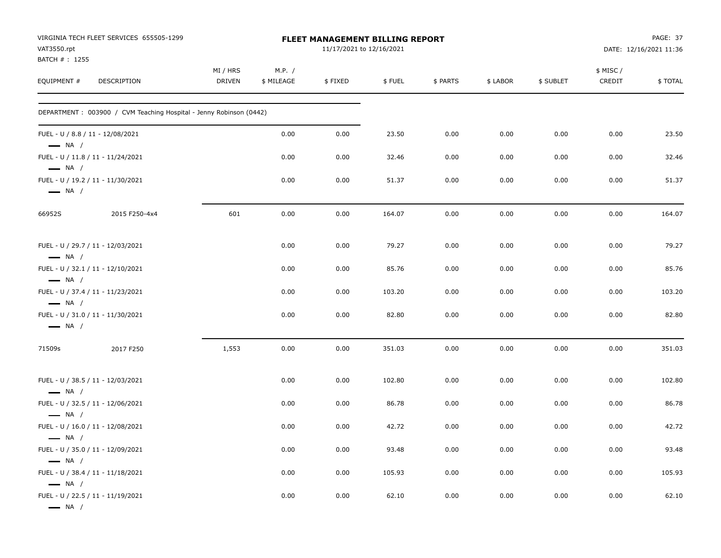| VAT3550.rpt                                                | VIRGINIA TECH FLEET SERVICES 655505-1299                            |                           |                      | FLEET MANAGEMENT BILLING REPORT<br>11/17/2021 to 12/16/2021 |        |          |          |           |                     | PAGE: 37<br>DATE: 12/16/2021 11:36 |
|------------------------------------------------------------|---------------------------------------------------------------------|---------------------------|----------------------|-------------------------------------------------------------|--------|----------|----------|-----------|---------------------|------------------------------------|
| BATCH #: 1255<br>EQUIPMENT #                               | <b>DESCRIPTION</b>                                                  | MI / HRS<br><b>DRIVEN</b> | M.P. /<br>\$ MILEAGE | \$FIXED                                                     | \$FUEL | \$ PARTS | \$ LABOR | \$ SUBLET | \$ MISC /<br>CREDIT | \$TOTAL                            |
|                                                            | DEPARTMENT : 003900 / CVM Teaching Hospital - Jenny Robinson (0442) |                           |                      |                                                             |        |          |          |           |                     |                                    |
| FUEL - U / 8.8 / 11 - 12/08/2021<br>$\longrightarrow$ NA / |                                                                     |                           | 0.00                 | 0.00                                                        | 23.50  | 0.00     | 0.00     | 0.00      | 0.00                | 23.50                              |
| $\longrightarrow$ NA /                                     | FUEL - U / 11.8 / 11 - 11/24/2021                                   |                           | 0.00                 | 0.00                                                        | 32.46  | 0.00     | 0.00     | 0.00      | 0.00                | 32.46                              |
| $\longrightarrow$ NA /                                     | FUEL - U / 19.2 / 11 - 11/30/2021                                   |                           | 0.00                 | 0.00                                                        | 51.37  | 0.00     | 0.00     | 0.00      | 0.00                | 51.37                              |
| 66952S                                                     | 2015 F250-4x4                                                       | 601                       | 0.00                 | 0.00                                                        | 164.07 | 0.00     | 0.00     | 0.00      | 0.00                | 164.07                             |
| $\longrightarrow$ NA /                                     | FUEL - U / 29.7 / 11 - 12/03/2021                                   |                           | 0.00                 | 0.00                                                        | 79.27  | 0.00     | 0.00     | 0.00      | 0.00                | 79.27                              |
| $\longrightarrow$ NA /                                     | FUEL - U / 32.1 / 11 - 12/10/2021                                   |                           | 0.00                 | 0.00                                                        | 85.76  | 0.00     | 0.00     | 0.00      | 0.00                | 85.76                              |
| $\longrightarrow$ NA /                                     | FUEL - U / 37.4 / 11 - 11/23/2021                                   |                           | 0.00                 | 0.00                                                        | 103.20 | 0.00     | 0.00     | 0.00      | 0.00                | 103.20                             |
| $\longrightarrow$ NA /                                     | FUEL - U / 31.0 / 11 - 11/30/2021                                   |                           | 0.00                 | 0.00                                                        | 82.80  | 0.00     | 0.00     | 0.00      | 0.00                | 82.80                              |
| 71509s                                                     | 2017 F250                                                           | 1,553                     | 0.00                 | 0.00                                                        | 351.03 | 0.00     | 0.00     | 0.00      | 0.00                | 351.03                             |
| $\longrightarrow$ NA /                                     | FUEL - U / 38.5 / 11 - 12/03/2021                                   |                           | 0.00                 | 0.00                                                        | 102.80 | 0.00     | 0.00     | 0.00      | 0.00                | 102.80                             |
| $\longrightarrow$ NA /                                     | FUEL - U / 32.5 / 11 - 12/06/2021                                   |                           | 0.00                 | 0.00                                                        | 86.78  | 0.00     | 0.00     | 0.00      | 0.00                | 86.78                              |
| $\longrightarrow$ NA /                                     | FUEL - U / 16.0 / 11 - 12/08/2021                                   |                           | 0.00                 | 0.00                                                        | 42.72  | 0.00     | 0.00     | 0.00      | 0.00                | 42.72                              |
| $\longrightarrow$ NA /                                     | FUEL - U / 35.0 / 11 - 12/09/2021                                   |                           | 0.00                 | 0.00                                                        | 93.48  | 0.00     | 0.00     | 0.00      | 0.00                | 93.48                              |
| $\longrightarrow$ NA /                                     | FUEL - U / 38.4 / 11 - 11/18/2021                                   |                           | 0.00                 | 0.00                                                        | 105.93 | 0.00     | 0.00     | 0.00      | 0.00                | 105.93                             |
| $\longrightarrow$ NA $/$                                   | FUEL - U / 22.5 / 11 - 11/19/2021                                   |                           | 0.00                 | 0.00                                                        | 62.10  | 0.00     | 0.00     | 0.00      | 0.00                | 62.10                              |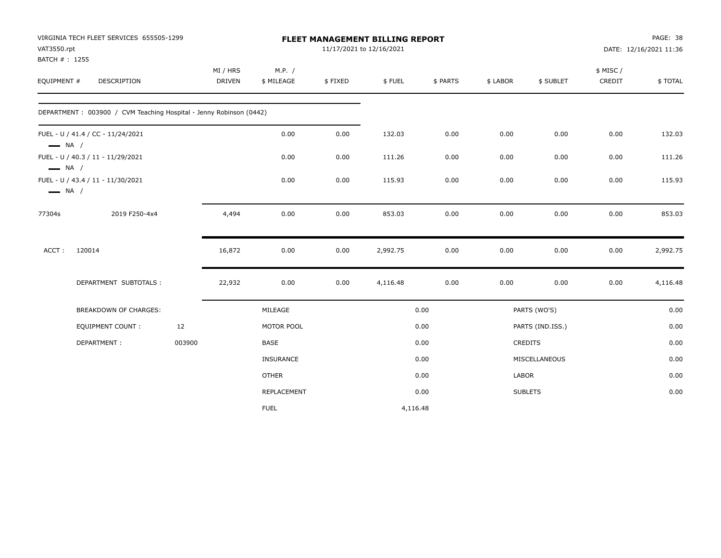| VAT3550.rpt                                      | VIRGINIA TECH FLEET SERVICES 655505-1299<br>BATCH #: 1255<br>DESCRIPTION |        | FLEET MANAGEMENT BILLING REPORT<br>11/17/2021 to 12/16/2021 |                      |         |          |          |              |                  |                    | PAGE: 38<br>DATE: 12/16/2021 11:36 |
|--------------------------------------------------|--------------------------------------------------------------------------|--------|-------------------------------------------------------------|----------------------|---------|----------|----------|--------------|------------------|--------------------|------------------------------------|
| EQUIPMENT #                                      |                                                                          |        | MI / HRS<br><b>DRIVEN</b>                                   | M.P. /<br>\$ MILEAGE | \$FIXED | \$FUEL   | \$ PARTS | \$ LABOR     | \$ SUBLET        | \$ MISC/<br>CREDIT | \$TOTAL                            |
|                                                  | DEPARTMENT: 003900 / CVM Teaching Hospital - Jenny Robinson (0442)       |        |                                                             |                      |         |          |          |              |                  |                    |                                    |
| $\longrightarrow$ NA /                           | FUEL - U / 41.4 / CC - 11/24/2021                                        |        |                                                             | 0.00                 | 0.00    | 132.03   | 0.00     | 0.00         | 0.00             | 0.00               | 132.03                             |
|                                                  | FUEL - U / 40.3 / 11 - 11/29/2021                                        |        |                                                             | 0.00                 | 0.00    | 111.26   | 0.00     | 0.00         | 0.00             | 0.00               | 111.26                             |
| $\longrightarrow$ NA /<br>$\longrightarrow$ NA / | FUEL - U / 43.4 / 11 - 11/30/2021                                        |        |                                                             | 0.00                 | 0.00    | 115.93   | 0.00     | 0.00         | 0.00             | 0.00               | 115.93                             |
| 77304s                                           | 2019 F250-4x4                                                            |        | 4,494                                                       | 0.00                 | 0.00    | 853.03   | 0.00     | 0.00         | 0.00             | 0.00               | 853.03                             |
| ACCT:                                            | 120014                                                                   |        | 16,872                                                      | 0.00                 | 0.00    | 2,992.75 | 0.00     | 0.00         | 0.00             | 0.00               | 2,992.75                           |
|                                                  | DEPARTMENT SUBTOTALS:                                                    |        | 22,932                                                      | 0.00                 | 0.00    | 4,116.48 | 0.00     | 0.00         | 0.00             | 0.00               | 4,116.48                           |
|                                                  | BREAKDOWN OF CHARGES:                                                    |        |                                                             | MILEAGE              |         |          | 0.00     |              | PARTS (WO'S)     |                    | 0.00                               |
|                                                  | EQUIPMENT COUNT:                                                         | 12     |                                                             | MOTOR POOL           |         |          | 0.00     |              | PARTS (IND.ISS.) |                    | 0.00                               |
|                                                  | DEPARTMENT:                                                              | 003900 |                                                             | <b>BASE</b>          |         |          | 0.00     |              | CREDITS          |                    | 0.00                               |
|                                                  |                                                                          |        |                                                             | INSURANCE            |         |          | 0.00     |              | MISCELLANEOUS    |                    | 0.00                               |
|                                                  |                                                                          |        |                                                             | <b>OTHER</b>         |         |          | 0.00     | <b>LABOR</b> |                  |                    | 0.00                               |
|                                                  |                                                                          |        |                                                             | REPLACEMENT          |         |          | 0.00     |              | <b>SUBLETS</b>   |                    | 0.00                               |
|                                                  |                                                                          |        |                                                             | <b>FUEL</b>          |         | 4,116.48 |          |              |                  |                    |                                    |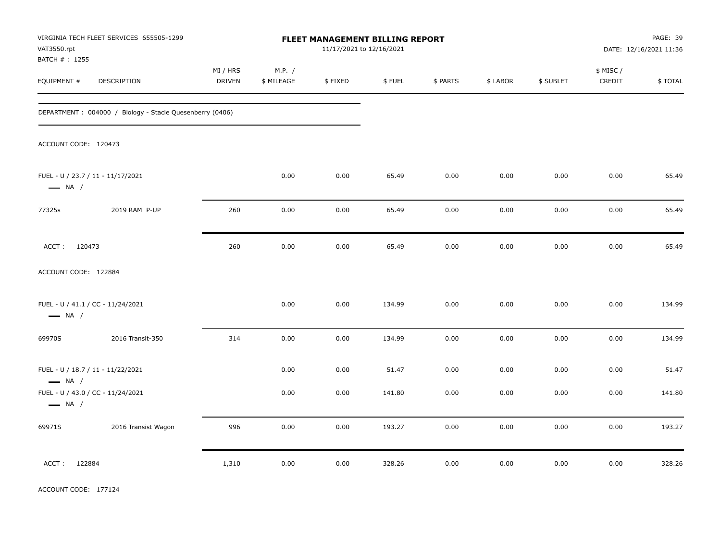| VAT3550.rpt                                                 | VIRGINIA TECH FLEET SERVICES 655505-1299                 | FLEET MANAGEMENT BILLING REPORT<br>11/17/2021 to 12/16/2021<br>M.P. / |            |         |        |          |          |           | PAGE: 39<br>DATE: 12/16/2021 11:36 |         |
|-------------------------------------------------------------|----------------------------------------------------------|-----------------------------------------------------------------------|------------|---------|--------|----------|----------|-----------|------------------------------------|---------|
| BATCH # : 1255<br>EQUIPMENT #                               | DESCRIPTION                                              | MI / HRS<br><b>DRIVEN</b>                                             | \$ MILEAGE | \$FIXED | \$FUEL | \$ PARTS | \$ LABOR | \$ SUBLET | \$ MISC /<br>CREDIT                | \$TOTAL |
|                                                             | DEPARTMENT: 004000 / Biology - Stacie Quesenberry (0406) |                                                                       |            |         |        |          |          |           |                                    |         |
| ACCOUNT CODE: 120473                                        |                                                          |                                                                       |            |         |        |          |          |           |                                    |         |
| $\longrightarrow$ NA /                                      | FUEL - U / 23.7 / 11 - 11/17/2021                        |                                                                       | 0.00       | 0.00    | 65.49  | 0.00     | 0.00     | 0.00      | 0.00                               | 65.49   |
| 77325s                                                      | 2019 RAM P-UP                                            | 260                                                                   | 0.00       | 0.00    | 65.49  | 0.00     | 0.00     | 0.00      | 0.00                               | 65.49   |
| ACCT: 120473                                                |                                                          | 260                                                                   | 0.00       | 0.00    | 65.49  | 0.00     | 0.00     | 0.00      | 0.00                               | 65.49   |
| ACCOUNT CODE: 122884                                        |                                                          |                                                                       |            |         |        |          |          |           |                                    |         |
| $\longrightarrow$ NA /                                      | FUEL - U / 41.1 / CC - 11/24/2021                        |                                                                       | 0.00       | 0.00    | 134.99 | 0.00     | 0.00     | 0.00      | 0.00                               | 134.99  |
| 69970S                                                      | 2016 Transit-350                                         | 314                                                                   | 0.00       | 0.00    | 134.99 | 0.00     | 0.00     | 0.00      | 0.00                               | 134.99  |
| FUEL - U / 18.7 / 11 - 11/22/2021<br>$\longrightarrow$ NA / |                                                          |                                                                       | 0.00       | 0.00    | 51.47  | 0.00     | 0.00     | 0.00      | 0.00                               | 51.47   |
| $\longrightarrow$ NA /                                      | FUEL - U / 43.0 / CC - 11/24/2021                        |                                                                       | 0.00       | 0.00    | 141.80 | 0.00     | 0.00     | 0.00      | 0.00                               | 141.80  |
| 69971S                                                      | 2016 Transist Wagon                                      | 996                                                                   | 0.00       | 0.00    | 193.27 | 0.00     | 0.00     | 0.00      | 0.00                               | 193.27  |
| ACCT: 122884                                                |                                                          | 1,310                                                                 | 0.00       | 0.00    | 328.26 | 0.00     | 0.00     | 0.00      | 0.00                               | 328.26  |

ACCOUNT CODE: 177124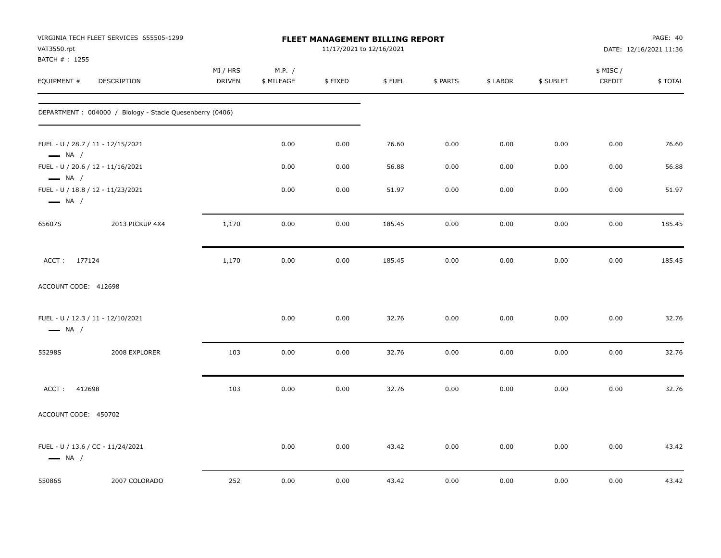| VAT3550.rpt                                      | VIRGINIA TECH FLEET SERVICES 655505-1299                 | FLEET MANAGEMENT BILLING REPORT<br>11/17/2021 to 12/16/2021 |                      |         |        |          |          | PAGE: 40<br>DATE: 12/16/2021 11:36 |                     |         |
|--------------------------------------------------|----------------------------------------------------------|-------------------------------------------------------------|----------------------|---------|--------|----------|----------|------------------------------------|---------------------|---------|
| BATCH #: 1255<br>EQUIPMENT #                     | DESCRIPTION                                              | MI / HRS<br>DRIVEN                                          | M.P. /<br>\$ MILEAGE | \$FIXED | \$FUEL | \$ PARTS | \$ LABOR | \$ SUBLET                          | \$ MISC /<br>CREDIT | \$TOTAL |
|                                                  | DEPARTMENT: 004000 / Biology - Stacie Quesenberry (0406) |                                                             |                      |         |        |          |          |                                    |                     |         |
| $\longrightarrow$ NA /                           | FUEL - U / 28.7 / 11 - 12/15/2021                        |                                                             | 0.00                 | 0.00    | 76.60  | 0.00     | 0.00     | 0.00                               | 0.00                | 76.60   |
|                                                  | FUEL - U / 20.6 / 12 - 11/16/2021                        |                                                             | 0.00                 | 0.00    | 56.88  | 0.00     | 0.00     | 0.00                               | 0.00                | 56.88   |
| $\longrightarrow$ NA /<br>$\longrightarrow$ NA / | FUEL - U / 18.8 / 12 - 11/23/2021                        |                                                             | 0.00                 | 0.00    | 51.97  | 0.00     | 0.00     | 0.00                               | 0.00                | 51.97   |
| 65607S                                           | 2013 PICKUP 4X4                                          | 1,170                                                       | 0.00                 | 0.00    | 185.45 | 0.00     | 0.00     | 0.00                               | 0.00                | 185.45  |
| ACCT: 177124                                     |                                                          | 1,170                                                       | 0.00                 | 0.00    | 185.45 | 0.00     | 0.00     | 0.00                               | 0.00                | 185.45  |
| ACCOUNT CODE: 412698                             |                                                          |                                                             |                      |         |        |          |          |                                    |                     |         |
| $\longrightarrow$ NA /                           | FUEL - U / 12.3 / 11 - 12/10/2021                        |                                                             | 0.00                 | 0.00    | 32.76  | 0.00     | 0.00     | 0.00                               | 0.00                | 32.76   |
| 55298S                                           | 2008 EXPLORER                                            | 103                                                         | 0.00                 | 0.00    | 32.76  | 0.00     | 0.00     | 0.00                               | 0.00                | 32.76   |
| 412698<br>ACCT:                                  |                                                          | 103                                                         | 0.00                 | 0.00    | 32.76  | 0.00     | 0.00     | 0.00                               | 0.00                | 32.76   |
| ACCOUNT CODE: 450702                             |                                                          |                                                             |                      |         |        |          |          |                                    |                     |         |
| $\longrightarrow$ NA /                           | FUEL - U / 13.6 / CC - 11/24/2021                        |                                                             | 0.00                 | 0.00    | 43.42  | 0.00     | 0.00     | 0.00                               | 0.00                | 43.42   |
| 55086S                                           | 2007 COLORADO                                            | 252                                                         | 0.00                 | 0.00    | 43.42  | 0.00     | 0.00     | 0.00                               | 0.00                | 43.42   |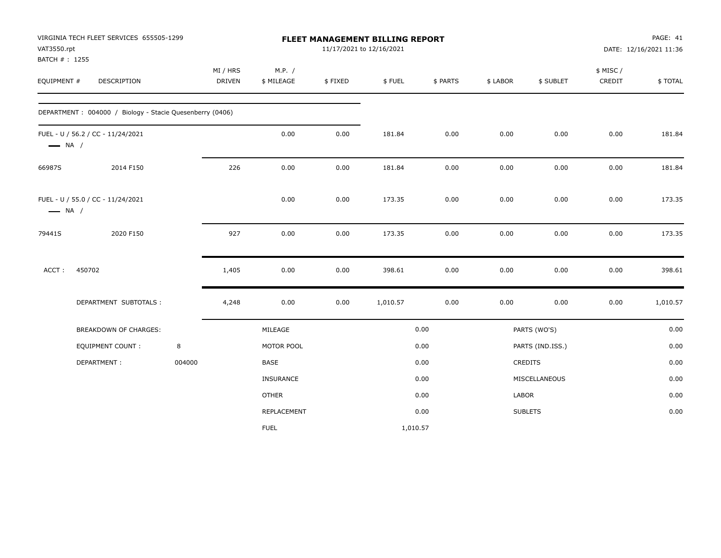| VAT3550.rpt<br>BATCH #: 1255 | VIRGINIA TECH FLEET SERVICES 655505-1299                 |        | FLEET MANAGEMENT BILLING REPORT<br>11/17/2021 to 12/16/2021 |                      |         |          |          |              |                  |                    | PAGE: 41<br>DATE: 12/16/2021 11:36 |
|------------------------------|----------------------------------------------------------|--------|-------------------------------------------------------------|----------------------|---------|----------|----------|--------------|------------------|--------------------|------------------------------------|
| EQUIPMENT #                  | DESCRIPTION                                              |        | MI / HRS<br><b>DRIVEN</b>                                   | M.P. /<br>\$ MILEAGE | \$FIXED | \$FUEL   | \$ PARTS | \$ LABOR     | \$ SUBLET        | \$ MISC/<br>CREDIT | \$TOTAL                            |
|                              | DEPARTMENT: 004000 / Biology - Stacie Quesenberry (0406) |        |                                                             |                      |         |          |          |              |                  |                    |                                    |
| $\longrightarrow$ NA /       | FUEL - U / 56.2 / CC - 11/24/2021                        |        |                                                             | $0.00\,$             | 0.00    | 181.84   | 0.00     | 0.00         | 0.00             | 0.00               | 181.84                             |
| 66987S                       | 2014 F150                                                |        | 226                                                         | 0.00                 | 0.00    | 181.84   | 0.00     | 0.00         | 0.00             | 0.00               | 181.84                             |
| $\longrightarrow$ NA /       | FUEL - U / 55.0 / CC - 11/24/2021                        |        |                                                             | 0.00                 | 0.00    | 173.35   | 0.00     | 0.00         | 0.00             | 0.00               | 173.35                             |
| 79441S                       | 2020 F150                                                |        | 927                                                         | 0.00                 | 0.00    | 173.35   | 0.00     | 0.00         | 0.00             | 0.00               | 173.35                             |
| ACCT:                        | 450702                                                   |        | 1,405                                                       | 0.00                 | 0.00    | 398.61   | 0.00     | 0.00         | 0.00             | 0.00               | 398.61                             |
|                              | DEPARTMENT SUBTOTALS :                                   |        | 4,248                                                       | 0.00                 | 0.00    | 1,010.57 | 0.00     | 0.00         | 0.00             | 0.00               | 1,010.57                           |
|                              | <b>BREAKDOWN OF CHARGES:</b>                             |        |                                                             | MILEAGE              |         |          | 0.00     |              | PARTS (WO'S)     |                    | 0.00                               |
|                              | <b>EQUIPMENT COUNT:</b>                                  | 8      |                                                             | MOTOR POOL           |         |          | 0.00     |              | PARTS (IND.ISS.) |                    | 0.00                               |
|                              | DEPARTMENT:                                              | 004000 |                                                             | BASE                 |         |          | 0.00     |              | <b>CREDITS</b>   |                    | 0.00                               |
|                              |                                                          |        |                                                             | <b>INSURANCE</b>     |         |          | 0.00     |              | MISCELLANEOUS    |                    | 0.00                               |
|                              |                                                          |        |                                                             | <b>OTHER</b>         |         |          | 0.00     | <b>LABOR</b> |                  |                    | 0.00                               |
|                              |                                                          |        |                                                             | REPLACEMENT          |         |          | 0.00     |              | <b>SUBLETS</b>   |                    | 0.00                               |
|                              |                                                          |        |                                                             | <b>FUEL</b>          |         | 1,010.57 |          |              |                  |                    |                                    |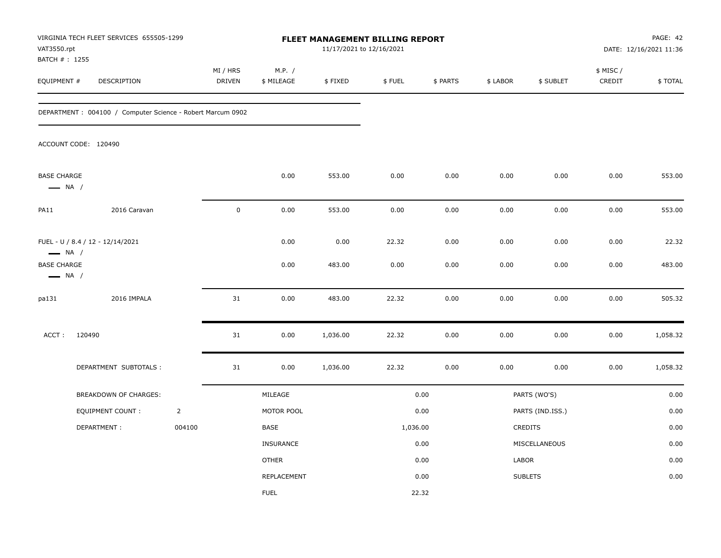| VAT3550.rpt<br>BATCH # : 1255                | VIRGINIA TECH FLEET SERVICES 655505-1299                    |                |                    |                      |                | <b>FLEET MANAGEMENT BILLING REPORT</b><br>11/17/2021 to 12/16/2021 |              |              |                  | PAGE: 42<br>DATE: 12/16/2021 11:36 |                 |
|----------------------------------------------|-------------------------------------------------------------|----------------|--------------------|----------------------|----------------|--------------------------------------------------------------------|--------------|--------------|------------------|------------------------------------|-----------------|
| EQUIPMENT #                                  | DESCRIPTION                                                 |                | MI / HRS<br>DRIVEN | M.P. /<br>\$ MILEAGE | \$FIXED        | \$FUEL                                                             | \$ PARTS     | \$ LABOR     | \$ SUBLET        | \$ MISC /<br>CREDIT                | \$TOTAL         |
|                                              | DEPARTMENT : 004100 / Computer Science - Robert Marcum 0902 |                |                    |                      |                |                                                                    |              |              |                  |                                    |                 |
|                                              | ACCOUNT CODE: 120490                                        |                |                    |                      |                |                                                                    |              |              |                  |                                    |                 |
| <b>BASE CHARGE</b><br>$\longrightarrow$ NA / |                                                             |                |                    | 0.00                 | 553.00         | 0.00                                                               | 0.00         | 0.00         | 0.00             | 0.00                               | 553.00          |
| <b>PA11</b>                                  | 2016 Caravan                                                |                | $\mathbf 0$        | 0.00                 | 553.00         | 0.00                                                               | 0.00         | 0.00         | 0.00             | 0.00                               | 553.00          |
| $\longrightarrow$ NA /<br><b>BASE CHARGE</b> | FUEL - U / 8.4 / 12 - 12/14/2021                            |                |                    | 0.00<br>0.00         | 0.00<br>483.00 | 22.32<br>0.00                                                      | 0.00<br>0.00 | 0.00<br>0.00 | 0.00<br>0.00     | 0.00<br>0.00                       | 22.32<br>483.00 |
| $\longrightarrow$ NA /<br>pa131              | 2016 IMPALA                                                 |                | 31                 | 0.00                 | 483.00         | 22.32                                                              | 0.00         | 0.00         | 0.00             | 0.00                               | 505.32          |
| ACCT:                                        | 120490                                                      |                | 31                 | 0.00                 | 1,036.00       | 22.32                                                              | 0.00         | 0.00         | 0.00             | 0.00                               | 1,058.32        |
|                                              | DEPARTMENT SUBTOTALS :                                      |                | 31                 | 0.00                 | 1,036.00       | 22.32                                                              | 0.00         | 0.00         | 0.00             | 0.00                               | 1,058.32        |
|                                              | BREAKDOWN OF CHARGES:                                       |                |                    | MILEAGE              |                |                                                                    | 0.00         |              | PARTS (WO'S)     |                                    | 0.00            |
|                                              | EQUIPMENT COUNT:                                            | $\overline{2}$ |                    | MOTOR POOL           |                |                                                                    | 0.00         |              | PARTS (IND.ISS.) |                                    | 0.00            |
|                                              | DEPARTMENT:                                                 | 004100         |                    | BASE                 |                | 1,036.00                                                           |              |              | CREDITS          |                                    | 0.00            |
|                                              |                                                             |                |                    | INSURANCE            |                |                                                                    | 0.00         |              | MISCELLANEOUS    |                                    | 0.00            |
|                                              |                                                             |                |                    | <b>OTHER</b>         |                |                                                                    | 0.00         | LABOR        |                  |                                    | 0.00            |
|                                              |                                                             |                |                    | REPLACEMENT          |                |                                                                    | 0.00         |              | <b>SUBLETS</b>   |                                    | 0.00            |
|                                              |                                                             |                |                    | <b>FUEL</b>          |                |                                                                    | 22.32        |              |                  |                                    |                 |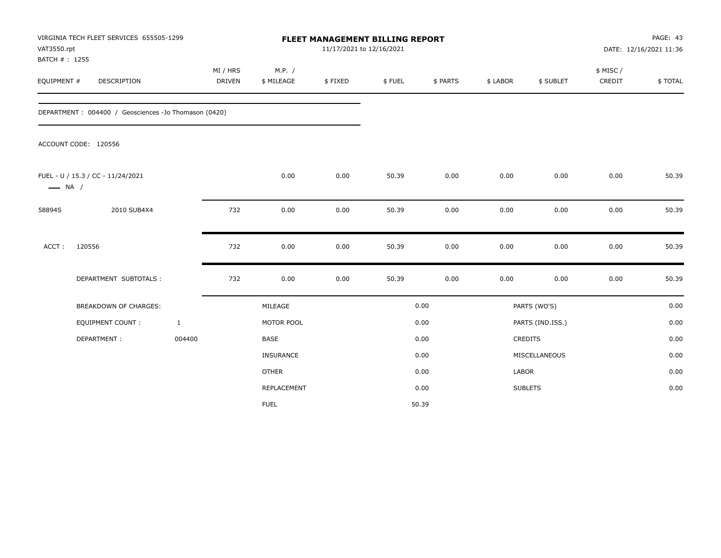| VAT3550.rpt<br>BATCH #: 1255 | VIRGINIA TECH FLEET SERVICES 655505-1299             |              |                           |                      |         |        | FLEET MANAGEMENT BILLING REPORT<br>11/17/2021 to 12/16/2021 |          |                  | PAGE: 43<br>DATE: 12/16/2021 11:36 |         |  |
|------------------------------|------------------------------------------------------|--------------|---------------------------|----------------------|---------|--------|-------------------------------------------------------------|----------|------------------|------------------------------------|---------|--|
| EQUIPMENT #                  | <b>DESCRIPTION</b>                                   |              | MI / HRS<br><b>DRIVEN</b> | M.P. /<br>\$ MILEAGE | \$FIXED | \$FUEL | \$ PARTS                                                    | \$ LABOR | \$ SUBLET        | \$ MISC/<br>CREDIT                 | \$TOTAL |  |
|                              | DEPARTMENT: 004400 / Geosciences -Jo Thomason (0420) |              |                           |                      |         |        |                                                             |          |                  |                                    |         |  |
|                              | ACCOUNT CODE: 120556                                 |              |                           |                      |         |        |                                                             |          |                  |                                    |         |  |
| $\longrightarrow$ NA /       | FUEL - U / 15.3 / CC - 11/24/2021                    |              |                           | 0.00                 | 0.00    | 50.39  | 0.00                                                        | 0.00     | 0.00             | 0.00                               | 50.39   |  |
| 58894S                       | 2010 SUB4X4                                          |              | 732                       | 0.00                 | 0.00    | 50.39  | 0.00                                                        | 0.00     | 0.00             | 0.00                               | 50.39   |  |
| ACCT:                        | 120556                                               |              | 732                       | 0.00                 | 0.00    | 50.39  | 0.00                                                        | 0.00     | 0.00             | 0.00                               | 50.39   |  |
|                              | DEPARTMENT SUBTOTALS :                               |              | 732                       | 0.00                 | 0.00    | 50.39  | 0.00                                                        | 0.00     | 0.00             | 0.00                               | 50.39   |  |
|                              | BREAKDOWN OF CHARGES:                                |              |                           | MILEAGE              |         |        | 0.00                                                        |          | PARTS (WO'S)     |                                    | 0.00    |  |
|                              | <b>EQUIPMENT COUNT:</b>                              | $\mathbf{1}$ |                           | MOTOR POOL           |         |        | 0.00                                                        |          | PARTS (IND.ISS.) |                                    | 0.00    |  |
|                              | DEPARTMENT:                                          | 004400       |                           | <b>BASE</b>          |         |        | 0.00                                                        |          | <b>CREDITS</b>   |                                    | 0.00    |  |
|                              |                                                      |              |                           | INSURANCE            |         |        | 0.00                                                        |          | MISCELLANEOUS    |                                    | 0.00    |  |
|                              |                                                      |              |                           | <b>OTHER</b>         |         |        | 0.00                                                        | LABOR    |                  |                                    | 0.00    |  |
|                              |                                                      |              |                           | REPLACEMENT          |         |        | 0.00                                                        |          | <b>SUBLETS</b>   |                                    | 0.00    |  |
|                              |                                                      |              |                           | <b>FUEL</b>          |         |        | 50.39                                                       |          |                  |                                    |         |  |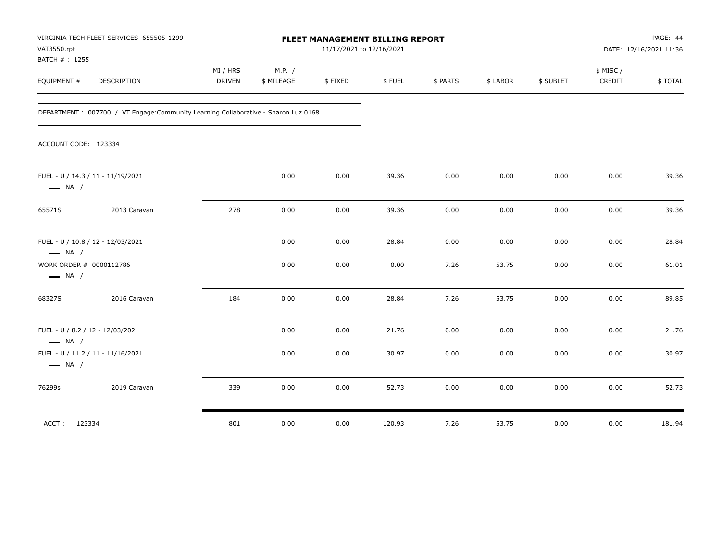| VAT3550.rpt<br>BATCH #: 1255                                | VIRGINIA TECH FLEET SERVICES 655505-1299                                            | FLEET MANAGEMENT BILLING REPORT<br>11/17/2021 to 12/16/2021 |                      |         |        |          |          | PAGE: 44<br>DATE: 12/16/2021 11:36 |                    |         |
|-------------------------------------------------------------|-------------------------------------------------------------------------------------|-------------------------------------------------------------|----------------------|---------|--------|----------|----------|------------------------------------|--------------------|---------|
| EQUIPMENT #                                                 | <b>DESCRIPTION</b>                                                                  | MI / HRS<br><b>DRIVEN</b>                                   | M.P. /<br>\$ MILEAGE | \$FIXED | \$FUEL | \$ PARTS | \$ LABOR | \$ SUBLET                          | \$ MISC/<br>CREDIT | \$TOTAL |
|                                                             | DEPARTMENT : 007700 / VT Engage: Community Learning Collaborative - Sharon Luz 0168 |                                                             |                      |         |        |          |          |                                    |                    |         |
| ACCOUNT CODE: 123334                                        |                                                                                     |                                                             |                      |         |        |          |          |                                    |                    |         |
| FUEL - U / 14.3 / 11 - 11/19/2021<br>$\longrightarrow$ NA / |                                                                                     |                                                             | 0.00                 | 0.00    | 39.36  | 0.00     | 0.00     | 0.00                               | 0.00               | 39.36   |
| 65571S                                                      | 2013 Caravan                                                                        | 278                                                         | 0.00                 | 0.00    | 39.36  | 0.00     | 0.00     | 0.00                               | 0.00               | 39.36   |
| FUEL - U / 10.8 / 12 - 12/03/2021<br>$\longrightarrow$ NA / |                                                                                     |                                                             | 0.00                 | 0.00    | 28.84  | 0.00     | 0.00     | 0.00                               | 0.00               | 28.84   |
| WORK ORDER # 0000112786<br>$\longrightarrow$ NA /           |                                                                                     |                                                             | 0.00                 | 0.00    | 0.00   | 7.26     | 53.75    | 0.00                               | 0.00               | 61.01   |
| 68327S                                                      | 2016 Caravan                                                                        | 184                                                         | 0.00                 | 0.00    | 28.84  | 7.26     | 53.75    | 0.00                               | 0.00               | 89.85   |
| FUEL - U / 8.2 / 12 - 12/03/2021<br>$\longrightarrow$ NA /  |                                                                                     |                                                             | 0.00                 | 0.00    | 21.76  | 0.00     | 0.00     | 0.00                               | 0.00               | 21.76   |
| FUEL - U / 11.2 / 11 - 11/16/2021<br>$\longrightarrow$ NA / |                                                                                     |                                                             | 0.00                 | 0.00    | 30.97  | 0.00     | 0.00     | 0.00                               | 0.00               | 30.97   |
| 76299s                                                      | 2019 Caravan                                                                        | 339                                                         | 0.00                 | 0.00    | 52.73  | 0.00     | 0.00     | 0.00                               | 0.00               | 52.73   |
| ACCT: 123334                                                |                                                                                     | 801                                                         | 0.00                 | 0.00    | 120.93 | 7.26     | 53.75    | 0.00                               | 0.00               | 181.94  |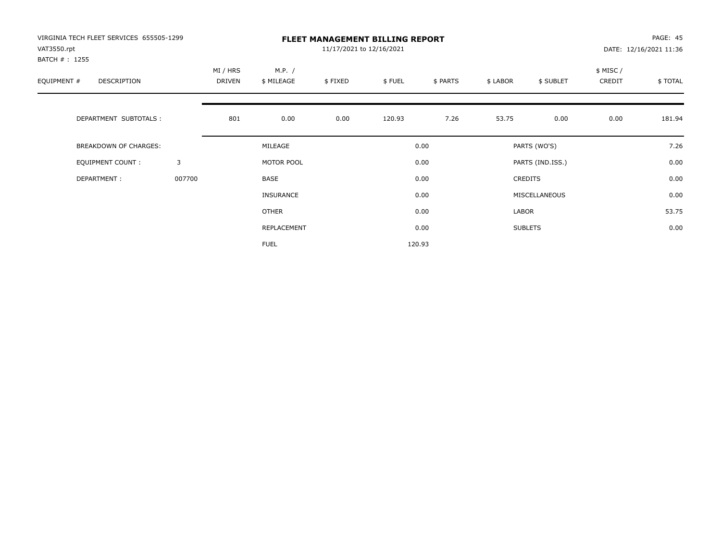| VIRGINIA TECH FLEET SERVICES 655505-1299 |        | <b>FLEET MANAGEMENT BILLING REPORT</b><br>11/17/2021 to 12/16/2021 |                  |         |        |          |          |                  |           | PAGE: 45               |  |
|------------------------------------------|--------|--------------------------------------------------------------------|------------------|---------|--------|----------|----------|------------------|-----------|------------------------|--|
| VAT3550.rpt                              |        |                                                                    |                  |         |        |          |          |                  |           | DATE: 12/16/2021 11:36 |  |
| BATCH #: 1255                            |        |                                                                    |                  |         |        |          |          |                  |           |                        |  |
|                                          |        | MI / HRS                                                           | M.P. /           |         |        |          |          |                  | \$ MISC / |                        |  |
| EQUIPMENT #<br>DESCRIPTION               |        | DRIVEN                                                             | \$ MILEAGE       | \$FIXED | \$FUEL | \$ PARTS | \$ LABOR | \$ SUBLET        | CREDIT    | \$ TOTAL               |  |
|                                          |        |                                                                    |                  |         |        |          |          |                  |           |                        |  |
| DEPARTMENT SUBTOTALS :                   |        | 801                                                                | 0.00             | 0.00    | 120.93 | 7.26     | 53.75    | 0.00             | 0.00      | 181.94                 |  |
| <b>BREAKDOWN OF CHARGES:</b>             |        |                                                                    | MILEAGE          |         |        | 0.00     |          | PARTS (WO'S)     |           | 7.26                   |  |
| <b>EQUIPMENT COUNT:</b>                  | 3      |                                                                    | MOTOR POOL       |         |        | 0.00     |          | PARTS (IND.ISS.) |           | 0.00                   |  |
| DEPARTMENT:                              | 007700 |                                                                    | BASE             |         |        | 0.00     |          | <b>CREDITS</b>   |           | 0.00                   |  |
|                                          |        |                                                                    | <b>INSURANCE</b> |         |        | 0.00     |          | MISCELLANEOUS    |           | 0.00                   |  |
|                                          |        |                                                                    | OTHER            |         |        | 0.00     | LABOR    |                  |           | 53.75                  |  |
|                                          |        |                                                                    | REPLACEMENT      |         |        | 0.00     |          | <b>SUBLETS</b>   |           | 0.00                   |  |
|                                          |        |                                                                    | <b>FUEL</b>      |         |        | 120.93   |          |                  |           |                        |  |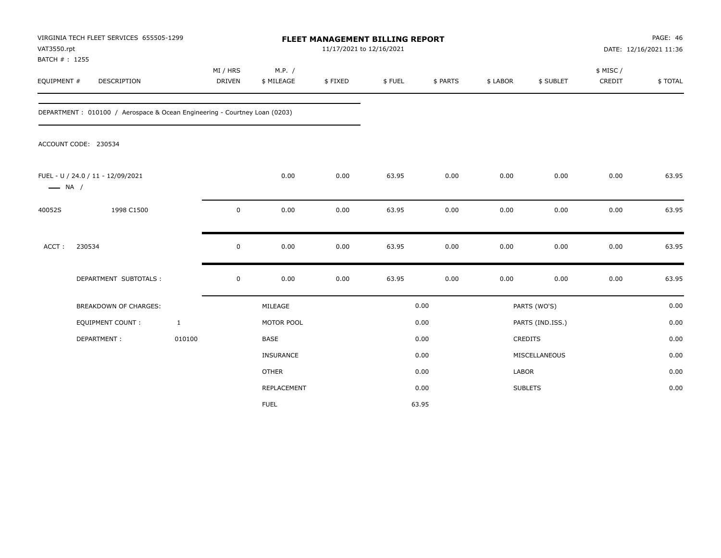| VAT3550.rpt<br>BATCH #: 1255 | VIRGINIA TECH FLEET SERVICES 655505-1299                                  |                    |                      |         | FLEET MANAGEMENT BILLING REPORT<br>11/17/2021 to 12/16/2021 |          |          |                  | <b>PAGE: 46</b><br>DATE: 12/16/2021 11:36 |         |  |
|------------------------------|---------------------------------------------------------------------------|--------------------|----------------------|---------|-------------------------------------------------------------|----------|----------|------------------|-------------------------------------------|---------|--|
| EQUIPMENT #                  | DESCRIPTION                                                               | MI / HRS<br>DRIVEN | M.P. /<br>\$ MILEAGE | \$FIXED | \$FUEL                                                      | \$ PARTS | \$ LABOR | \$ SUBLET        | \$ MISC /<br>CREDIT                       | \$TOTAL |  |
|                              | DEPARTMENT: 010100 / Aerospace & Ocean Engineering - Courtney Loan (0203) |                    |                      |         |                                                             |          |          |                  |                                           |         |  |
|                              | ACCOUNT CODE: 230534                                                      |                    |                      |         |                                                             |          |          |                  |                                           |         |  |
| $\longrightarrow$ NA /       | FUEL - U / 24.0 / 11 - 12/09/2021                                         |                    | 0.00                 | 0.00    | 63.95                                                       | 0.00     | 0.00     | 0.00             | 0.00                                      | 63.95   |  |
| 40052S                       | 1998 C1500                                                                | $\mathbf 0$        | 0.00                 | 0.00    | 63.95                                                       | 0.00     | 0.00     | 0.00             | 0.00                                      | 63.95   |  |
| ACCT:                        | 230534                                                                    | $\mathbf 0$        | 0.00                 | 0.00    | 63.95                                                       | 0.00     | 0.00     | 0.00             | 0.00                                      | 63.95   |  |
|                              | DEPARTMENT SUBTOTALS :                                                    | $\mathsf 0$        | 0.00                 | 0.00    | 63.95                                                       | 0.00     | 0.00     | 0.00             | 0.00                                      | 63.95   |  |
|                              | <b>BREAKDOWN OF CHARGES:</b>                                              |                    | MILEAGE              |         |                                                             | 0.00     |          | PARTS (WO'S)     |                                           | 0.00    |  |
|                              | EQUIPMENT COUNT:                                                          | $\mathbf{1}$       | MOTOR POOL           |         |                                                             | 0.00     |          | PARTS (IND.ISS.) |                                           | 0.00    |  |
|                              | DEPARTMENT:                                                               | 010100             | <b>BASE</b>          |         |                                                             | 0.00     |          | CREDITS          |                                           | 0.00    |  |
|                              |                                                                           |                    | <b>INSURANCE</b>     |         |                                                             | 0.00     |          | MISCELLANEOUS    |                                           | 0.00    |  |
|                              |                                                                           |                    | <b>OTHER</b>         |         |                                                             | 0.00     | LABOR    |                  |                                           | 0.00    |  |
|                              |                                                                           |                    | <b>REPLACEMENT</b>   |         |                                                             | 0.00     |          | <b>SUBLETS</b>   |                                           | 0.00    |  |
|                              |                                                                           |                    | <b>FUEL</b>          |         |                                                             | 63.95    |          |                  |                                           |         |  |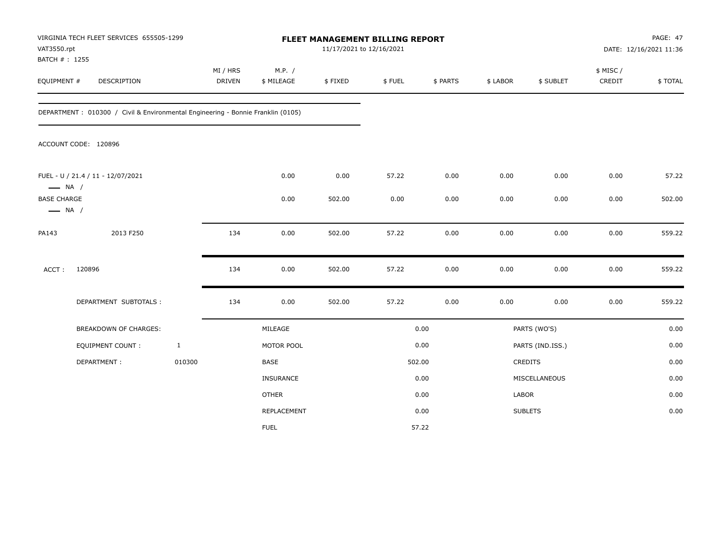|                                              | VIRGINIA TECH FLEET SERVICES 655505-1299<br>VAT3550.rpt<br>BATCH #: 1255        |              |                           |                      | 11/17/2021 to 12/16/2021 | FLEET MANAGEMENT BILLING REPORT |          |          |                  |                    | PAGE: 47<br>DATE: 12/16/2021 11:36 |
|----------------------------------------------|---------------------------------------------------------------------------------|--------------|---------------------------|----------------------|--------------------------|---------------------------------|----------|----------|------------------|--------------------|------------------------------------|
| EQUIPMENT #                                  | DESCRIPTION                                                                     |              | MI / HRS<br><b>DRIVEN</b> | M.P. /<br>\$ MILEAGE | \$FIXED                  | \$ FUEL                         | \$ PARTS | \$ LABOR | \$ SUBLET        | \$ MISC/<br>CREDIT | \$TOTAL                            |
|                                              | DEPARTMENT: 010300 / Civil & Environmental Engineering - Bonnie Franklin (0105) |              |                           |                      |                          |                                 |          |          |                  |                    |                                    |
|                                              | ACCOUNT CODE: 120896                                                            |              |                           |                      |                          |                                 |          |          |                  |                    |                                    |
| $\longrightarrow$ NA /                       | FUEL - U / 21.4 / 11 - 12/07/2021                                               |              |                           | 0.00                 | 0.00                     | 57.22                           | 0.00     | 0.00     | 0.00             | 0.00               | 57.22                              |
| <b>BASE CHARGE</b><br>$\longrightarrow$ NA / |                                                                                 |              |                           | 0.00                 | 502.00                   | 0.00                            | 0.00     | 0.00     | 0.00             | 0.00               | 502.00                             |
| PA143                                        | 2013 F250                                                                       |              | 134                       | 0.00                 | 502.00                   | 57.22                           | 0.00     | 0.00     | 0.00             | 0.00               | 559.22                             |
| ACCT:                                        | 120896                                                                          |              | 134                       | 0.00                 | 502.00                   | 57.22                           | 0.00     | 0.00     | 0.00             | 0.00               | 559.22                             |
|                                              | DEPARTMENT SUBTOTALS :                                                          |              | 134                       | 0.00                 | 502.00                   | 57.22                           | 0.00     | 0.00     | 0.00             | 0.00               | 559.22                             |
|                                              | BREAKDOWN OF CHARGES:                                                           |              |                           | MILEAGE              |                          |                                 | 0.00     |          | PARTS (WO'S)     |                    | 0.00                               |
|                                              | <b>EQUIPMENT COUNT:</b>                                                         | $\mathbf{1}$ |                           | MOTOR POOL           |                          |                                 | 0.00     |          | PARTS (IND.ISS.) |                    | 0.00                               |
|                                              | DEPARTMENT:                                                                     | 010300       |                           | BASE                 |                          |                                 | 502.00   |          | <b>CREDITS</b>   |                    | 0.00                               |
|                                              |                                                                                 |              |                           | INSURANCE            |                          |                                 | 0.00     |          | MISCELLANEOUS    |                    | 0.00                               |
|                                              |                                                                                 |              |                           | <b>OTHER</b>         |                          |                                 | 0.00     | LABOR    |                  |                    | 0.00                               |
|                                              |                                                                                 |              |                           | REPLACEMENT          |                          |                                 | 0.00     |          | <b>SUBLETS</b>   |                    | 0.00                               |
|                                              |                                                                                 |              |                           | <b>FUEL</b>          |                          |                                 | 57.22    |          |                  |                    |                                    |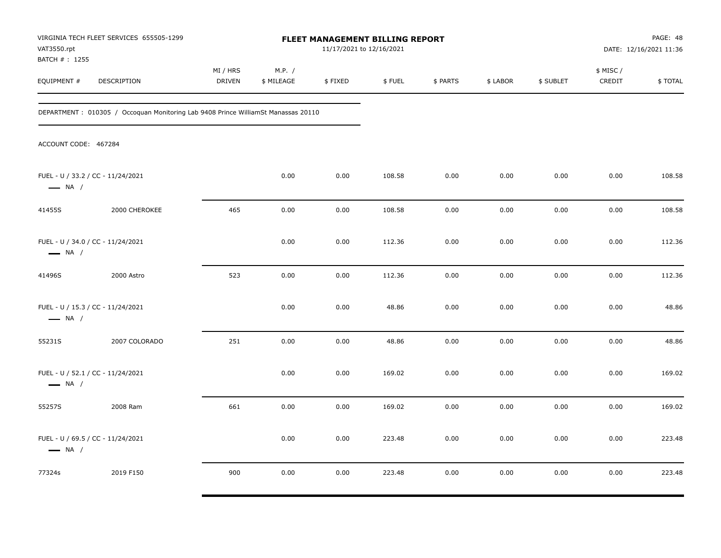| VAT3550.rpt<br>BATCH # : 1255                               | VIRGINIA TECH FLEET SERVICES 655505-1299                                          |                           |                      | <b>FLEET MANAGEMENT BILLING REPORT</b><br>11/17/2021 to 12/16/2021 |        |          |          |           | PAGE: 48<br>DATE: 12/16/2021 11:36 |         |
|-------------------------------------------------------------|-----------------------------------------------------------------------------------|---------------------------|----------------------|--------------------------------------------------------------------|--------|----------|----------|-----------|------------------------------------|---------|
| EQUIPMENT #                                                 | DESCRIPTION                                                                       | MI / HRS<br><b>DRIVEN</b> | M.P. /<br>\$ MILEAGE | \$FIXED                                                            | \$FUEL | \$ PARTS | \$ LABOR | \$ SUBLET | \$ MISC /<br>CREDIT                | \$TOTAL |
|                                                             | DEPARTMENT: 010305 / Occoquan Monitoring Lab 9408 Prince WilliamSt Manassas 20110 |                           |                      |                                                                    |        |          |          |           |                                    |         |
| ACCOUNT CODE: 467284                                        |                                                                                   |                           |                      |                                                                    |        |          |          |           |                                    |         |
| FUEL - U / 33.2 / CC - 11/24/2021<br>$\longrightarrow$ NA / |                                                                                   |                           | 0.00                 | 0.00                                                               | 108.58 | 0.00     | 0.00     | 0.00      | 0.00                               | 108.58  |
| 41455S                                                      | 2000 CHEROKEE                                                                     | 465                       | 0.00                 | 0.00                                                               | 108.58 | 0.00     | 0.00     | 0.00      | 0.00                               | 108.58  |
| FUEL - U / 34.0 / CC - 11/24/2021<br>$\longrightarrow$ NA / |                                                                                   |                           | 0.00                 | 0.00                                                               | 112.36 | 0.00     | 0.00     | 0.00      | 0.00                               | 112.36  |
| 41496S                                                      | 2000 Astro                                                                        | 523                       | 0.00                 | 0.00                                                               | 112.36 | 0.00     | 0.00     | 0.00      | 0.00                               | 112.36  |
| FUEL - U / 15.3 / CC - 11/24/2021<br>$\longrightarrow$ NA / |                                                                                   |                           | 0.00                 | 0.00                                                               | 48.86  | 0.00     | 0.00     | 0.00      | 0.00                               | 48.86   |
| 55231S                                                      | 2007 COLORADO                                                                     | 251                       | 0.00                 | 0.00                                                               | 48.86  | 0.00     | 0.00     | 0.00      | 0.00                               | 48.86   |
| FUEL - U / 52.1 / CC - 11/24/2021<br>$\longrightarrow$ NA / |                                                                                   |                           | 0.00                 | 0.00                                                               | 169.02 | 0.00     | 0.00     | 0.00      | 0.00                               | 169.02  |
| 55257S                                                      | 2008 Ram                                                                          | 661                       | 0.00                 | 0.00                                                               | 169.02 | 0.00     | 0.00     | 0.00      | 0.00                               | 169.02  |
| FUEL - U / 69.5 / CC - 11/24/2021<br>$\longrightarrow$ NA / |                                                                                   |                           | 0.00                 | 0.00                                                               | 223.48 | 0.00     | 0.00     | 0.00      | 0.00                               | 223.48  |
| 77324s                                                      | 2019 F150                                                                         | 900                       | 0.00                 | 0.00                                                               | 223.48 | 0.00     | 0.00     | 0.00      | 0.00                               | 223.48  |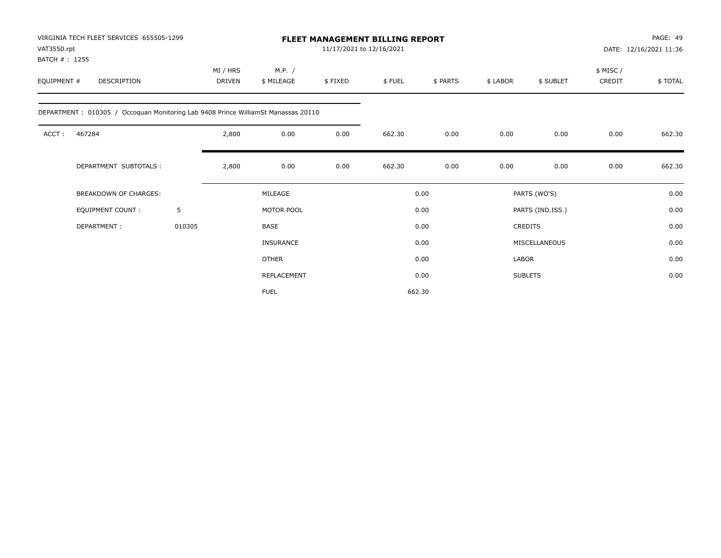|             | VIRGINIA TECH FLEET SERVICES 655505-1299<br>VAT3550.rpt<br>BATCH #: 1255          |        |                           |                      | <b>FLEET MANAGEMENT BILLING REPORT</b><br>11/17/2021 to 12/16/2021 |        |          |          |                  |                    | PAGE: 49<br>DATE: 12/16/2021 11:36 |
|-------------|-----------------------------------------------------------------------------------|--------|---------------------------|----------------------|--------------------------------------------------------------------|--------|----------|----------|------------------|--------------------|------------------------------------|
| EQUIPMENT # | <b>DESCRIPTION</b>                                                                |        | MI / HRS<br><b>DRIVEN</b> | M.P. /<br>\$ MILEAGE | \$FIXED                                                            | \$FUEL | \$ PARTS | \$ LABOR | \$ SUBLET        | \$ MISC/<br>CREDIT | \$TOTAL                            |
|             | DEPARTMENT: 010305 / Occoquan Monitoring Lab 9408 Prince WilliamSt Manassas 20110 |        |                           |                      |                                                                    |        |          |          |                  |                    |                                    |
| ACCT:       | 467284                                                                            |        | 2,800                     | 0.00                 | 0.00                                                               | 662.30 | 0.00     | 0.00     | 0.00             | 0.00               | 662.30                             |
|             | DEPARTMENT SUBTOTALS :                                                            |        | 2,800                     | 0.00                 | 0.00                                                               | 662.30 | 0.00     | 0.00     | 0.00             | 0.00               | 662.30                             |
|             | <b>BREAKDOWN OF CHARGES:</b>                                                      |        |                           | MILEAGE              |                                                                    |        | 0.00     |          | PARTS (WO'S)     |                    | 0.00                               |
|             | <b>EQUIPMENT COUNT:</b>                                                           | 5      |                           | MOTOR POOL           |                                                                    |        | 0.00     |          | PARTS (IND.ISS.) |                    | 0.00                               |
|             | DEPARTMENT:                                                                       | 010305 |                           | BASE                 |                                                                    |        | 0.00     |          | <b>CREDITS</b>   |                    | 0.00                               |
|             |                                                                                   |        |                           | <b>INSURANCE</b>     |                                                                    |        | 0.00     |          | MISCELLANEOUS    |                    | 0.00                               |
|             |                                                                                   |        |                           | <b>OTHER</b>         |                                                                    |        | 0.00     | LABOR    |                  |                    | 0.00                               |
|             |                                                                                   |        |                           | <b>REPLACEMENT</b>   |                                                                    |        | 0.00     |          | <b>SUBLETS</b>   |                    | 0.00                               |
|             |                                                                                   |        |                           | <b>FUEL</b>          |                                                                    |        | 662.30   |          |                  |                    |                                    |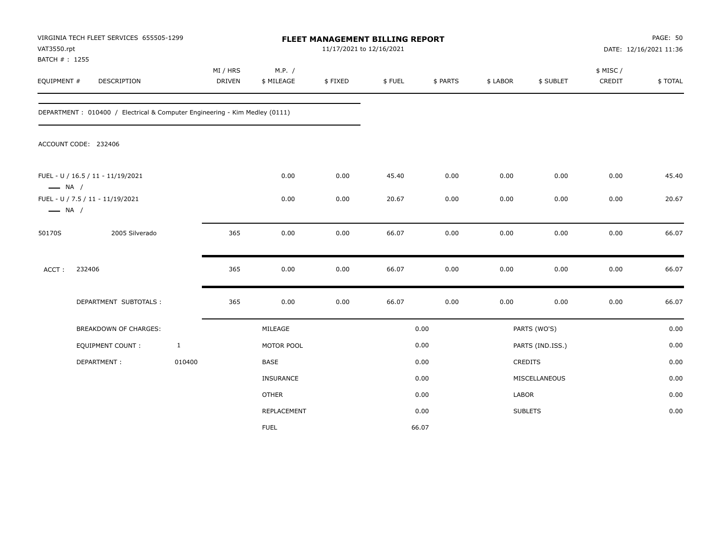| VAT3550.rpt<br>BATCH #: 1255 | VIRGINIA TECH FLEET SERVICES 655505-1299                                   |              | FLEET MANAGEMENT BILLING REPORT<br>11/17/2021 to 12/16/2021 |                      |         |        |          |          | PAGE: 50<br>DATE: 12/16/2021 11:36 |                    |         |
|------------------------------|----------------------------------------------------------------------------|--------------|-------------------------------------------------------------|----------------------|---------|--------|----------|----------|------------------------------------|--------------------|---------|
| EQUIPMENT #                  | DESCRIPTION                                                                |              | MI / HRS<br><b>DRIVEN</b>                                   | M.P. /<br>\$ MILEAGE | \$FIXED | \$FUEL | \$ PARTS | \$ LABOR | \$ SUBLET                          | \$ MISC/<br>CREDIT | \$TOTAL |
|                              | DEPARTMENT: 010400 / Electrical & Computer Engineering - Kim Medley (0111) |              |                                                             |                      |         |        |          |          |                                    |                    |         |
|                              | ACCOUNT CODE: 232406                                                       |              |                                                             |                      |         |        |          |          |                                    |                    |         |
| $\longrightarrow$ NA /       | FUEL - U / 16.5 / 11 - 11/19/2021                                          |              |                                                             | 0.00                 | 0.00    | 45.40  | 0.00     | 0.00     | 0.00                               | 0.00               | 45.40   |
| $\longrightarrow$ NA /       | FUEL - U / 7.5 / 11 - 11/19/2021                                           |              |                                                             | 0.00                 | 0.00    | 20.67  | 0.00     | 0.00     | 0.00                               | 0.00               | 20.67   |
| 50170S                       | 2005 Silverado                                                             |              | 365                                                         | 0.00                 | 0.00    | 66.07  | 0.00     | 0.00     | 0.00                               | 0.00               | 66.07   |
| ACCT:                        | 232406                                                                     |              | 365                                                         | 0.00                 | 0.00    | 66.07  | 0.00     | 0.00     | 0.00                               | 0.00               | 66.07   |
|                              | DEPARTMENT SUBTOTALS :                                                     |              | 365                                                         | 0.00                 | 0.00    | 66.07  | 0.00     | 0.00     | 0.00                               | 0.00               | 66.07   |
|                              | <b>BREAKDOWN OF CHARGES:</b>                                               |              |                                                             | MILEAGE              |         |        | 0.00     |          | PARTS (WO'S)                       |                    | 0.00    |
|                              | <b>EQUIPMENT COUNT:</b>                                                    | $\mathbf{1}$ |                                                             | MOTOR POOL           |         |        | 0.00     |          | PARTS (IND.ISS.)                   |                    | 0.00    |
|                              | DEPARTMENT:                                                                | 010400       |                                                             | BASE                 |         |        | 0.00     |          | <b>CREDITS</b>                     |                    | 0.00    |
|                              |                                                                            |              |                                                             | INSURANCE            |         |        | 0.00     |          | MISCELLANEOUS                      |                    | 0.00    |
|                              |                                                                            |              |                                                             | <b>OTHER</b>         |         |        | 0.00     | LABOR    |                                    |                    | 0.00    |
|                              |                                                                            |              |                                                             | REPLACEMENT          |         |        | 0.00     |          | <b>SUBLETS</b>                     |                    | 0.00    |
|                              |                                                                            |              |                                                             | <b>FUEL</b>          |         |        | 66.07    |          |                                    |                    |         |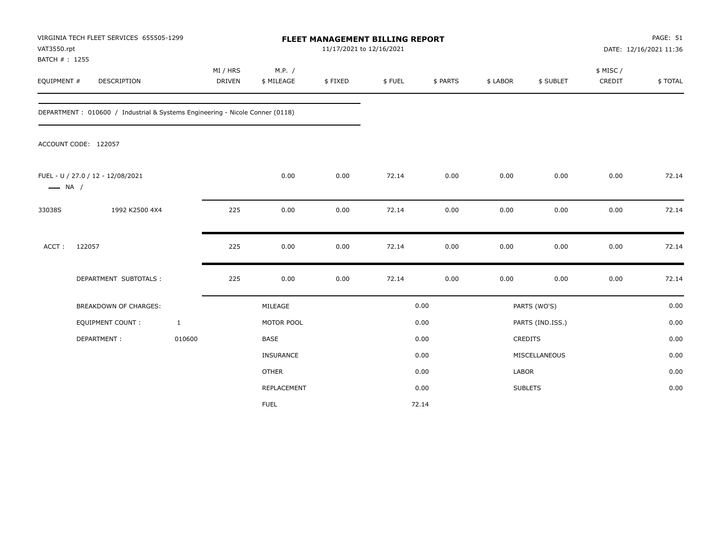| VAT3550.rpt                  | VIRGINIA TECH FLEET SERVICES 655505-1299                                     |                           |                      | PAGE: 51<br>FLEET MANAGEMENT BILLING REPORT<br>11/17/2021 to 12/16/2021<br>DATE: 12/16/2021 11:36 |        |          |          |                  |                     |         |
|------------------------------|------------------------------------------------------------------------------|---------------------------|----------------------|---------------------------------------------------------------------------------------------------|--------|----------|----------|------------------|---------------------|---------|
| BATCH #: 1255<br>EQUIPMENT # | DESCRIPTION                                                                  | MI / HRS<br><b>DRIVEN</b> | M.P. /<br>\$ MILEAGE | \$FIXED                                                                                           | \$FUEL | \$ PARTS | \$ LABOR | \$ SUBLET        | \$ MISC /<br>CREDIT | \$TOTAL |
|                              | DEPARTMENT: 010600 / Industrial & Systems Engineering - Nicole Conner (0118) |                           |                      |                                                                                                   |        |          |          |                  |                     |         |
|                              | ACCOUNT CODE: 122057                                                         |                           |                      |                                                                                                   |        |          |          |                  |                     |         |
| $\longrightarrow$ NA /       | FUEL - U / 27.0 / 12 - 12/08/2021                                            |                           | 0.00                 | 0.00                                                                                              | 72.14  | 0.00     | 0.00     | 0.00             | 0.00                | 72.14   |
| 33038S                       | 1992 K2500 4X4                                                               | 225                       | 0.00                 | 0.00                                                                                              | 72.14  | 0.00     | 0.00     | 0.00             | 0.00                | 72.14   |
| ACCT:                        | 122057                                                                       | 225                       | 0.00                 | 0.00                                                                                              | 72.14  | 0.00     | 0.00     | 0.00             | 0.00                | 72.14   |
|                              | DEPARTMENT SUBTOTALS :                                                       | 225                       | 0.00                 | 0.00                                                                                              | 72.14  | 0.00     | 0.00     | 0.00             | 0.00                | 72.14   |
|                              | BREAKDOWN OF CHARGES:                                                        |                           | MILEAGE              |                                                                                                   |        | 0.00     |          | PARTS (WO'S)     |                     | 0.00    |
|                              | EQUIPMENT COUNT:                                                             | $\mathbf{1}$              | MOTOR POOL           |                                                                                                   |        | 0.00     |          | PARTS (IND.ISS.) |                     | 0.00    |
|                              | DEPARTMENT:                                                                  | 010600                    | <b>BASE</b>          |                                                                                                   |        | 0.00     |          | CREDITS          |                     | 0.00    |
|                              |                                                                              |                           | <b>INSURANCE</b>     |                                                                                                   |        | 0.00     |          | MISCELLANEOUS    |                     | 0.00    |
|                              |                                                                              |                           | <b>OTHER</b>         |                                                                                                   |        | 0.00     | LABOR    |                  |                     | 0.00    |
|                              |                                                                              |                           | REPLACEMENT          |                                                                                                   |        | 0.00     |          | <b>SUBLETS</b>   |                     | 0.00    |
|                              |                                                                              |                           | <b>FUEL</b>          |                                                                                                   |        | 72.14    |          |                  |                     |         |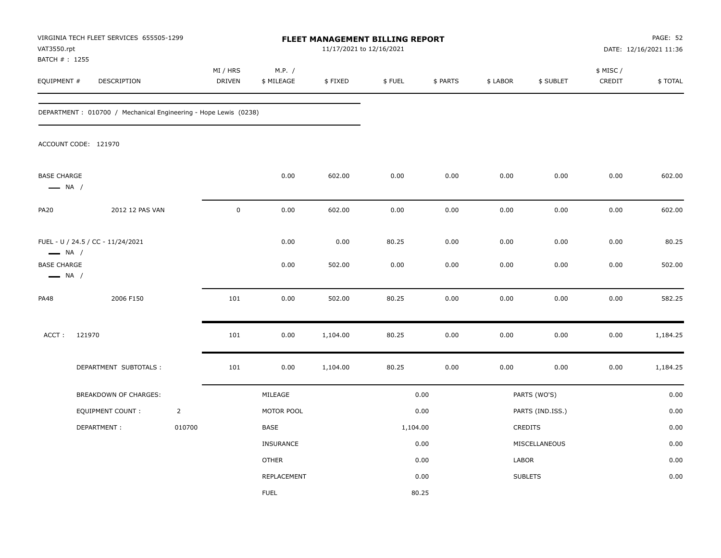| VAT3550.rpt                                                                       | VIRGINIA TECH FLEET SERVICES 655505-1299<br>BATCH # : 1255      |                |                    |                      |                | <b>FLEET MANAGEMENT BILLING REPORT</b><br>11/17/2021 to 12/16/2021 |              |              |                  |                     | PAGE: 52<br>DATE: 12/16/2021 11:36 |  |
|-----------------------------------------------------------------------------------|-----------------------------------------------------------------|----------------|--------------------|----------------------|----------------|--------------------------------------------------------------------|--------------|--------------|------------------|---------------------|------------------------------------|--|
| EQUIPMENT #                                                                       | DESCRIPTION                                                     |                | MI / HRS<br>DRIVEN | M.P. /<br>\$ MILEAGE | \$FIXED        | \$FUEL                                                             | \$ PARTS     | \$ LABOR     | \$ SUBLET        | \$ MISC /<br>CREDIT | \$TOTAL                            |  |
|                                                                                   | DEPARTMENT: 010700 / Mechanical Engineering - Hope Lewis (0238) |                |                    |                      |                |                                                                    |              |              |                  |                     |                                    |  |
|                                                                                   | ACCOUNT CODE: 121970                                            |                |                    |                      |                |                                                                    |              |              |                  |                     |                                    |  |
| <b>BASE CHARGE</b><br>$\longrightarrow$ NA /                                      |                                                                 |                |                    | 0.00                 | 602.00         | 0.00                                                               | 0.00         | 0.00         | 0.00             | 0.00                | 602.00                             |  |
| <b>PA20</b>                                                                       | 2012 12 PAS VAN                                                 |                | $\pmb{0}$          | 0.00                 | 602.00         | 0.00                                                               | 0.00         | 0.00         | 0.00             | 0.00                | 602.00                             |  |
| FUEL - U / 24.5 / CC - 11/24/2021<br>$\longrightarrow$ NA /<br><b>BASE CHARGE</b> |                                                                 |                |                    | 0.00<br>0.00         | 0.00<br>502.00 | 80.25<br>0.00                                                      | 0.00<br>0.00 | 0.00<br>0.00 | 0.00<br>0.00     | 0.00<br>0.00        | 80.25<br>502.00                    |  |
| $\longrightarrow$ NA /                                                            |                                                                 |                |                    |                      |                |                                                                    |              |              |                  |                     |                                    |  |
| <b>PA48</b>                                                                       | 2006 F150                                                       |                | 101                | 0.00                 | 502.00         | 80.25                                                              | 0.00         | 0.00         | 0.00             | 0.00                | 582.25                             |  |
| ACCT:                                                                             | 121970                                                          |                | 101                | 0.00                 | 1,104.00       | 80.25                                                              | 0.00         | 0.00         | 0.00             | 0.00                | 1,184.25                           |  |
|                                                                                   | DEPARTMENT SUBTOTALS :                                          |                | 101                | 0.00                 | 1,104.00       | 80.25                                                              | 0.00         | 0.00         | 0.00             | 0.00                | 1,184.25                           |  |
|                                                                                   | BREAKDOWN OF CHARGES:                                           |                |                    | MILEAGE              |                |                                                                    | 0.00         |              | PARTS (WO'S)     |                     | 0.00                               |  |
|                                                                                   | EQUIPMENT COUNT:                                                | $\overline{2}$ |                    | MOTOR POOL           |                |                                                                    | 0.00         |              | PARTS (IND.ISS.) |                     | 0.00                               |  |
|                                                                                   | DEPARTMENT:                                                     | 010700         |                    | BASE                 |                | 1,104.00                                                           |              |              | CREDITS          |                     | 0.00                               |  |
|                                                                                   |                                                                 |                |                    | <b>INSURANCE</b>     |                |                                                                    | 0.00         |              | MISCELLANEOUS    |                     | 0.00                               |  |
|                                                                                   |                                                                 |                |                    | <b>OTHER</b>         |                |                                                                    | 0.00         | LABOR        |                  |                     | 0.00                               |  |
|                                                                                   |                                                                 |                |                    | REPLACEMENT          |                |                                                                    | 0.00         |              | <b>SUBLETS</b>   |                     | 0.00                               |  |
|                                                                                   |                                                                 |                |                    | <b>FUEL</b>          |                |                                                                    | 80.25        |              |                  |                     |                                    |  |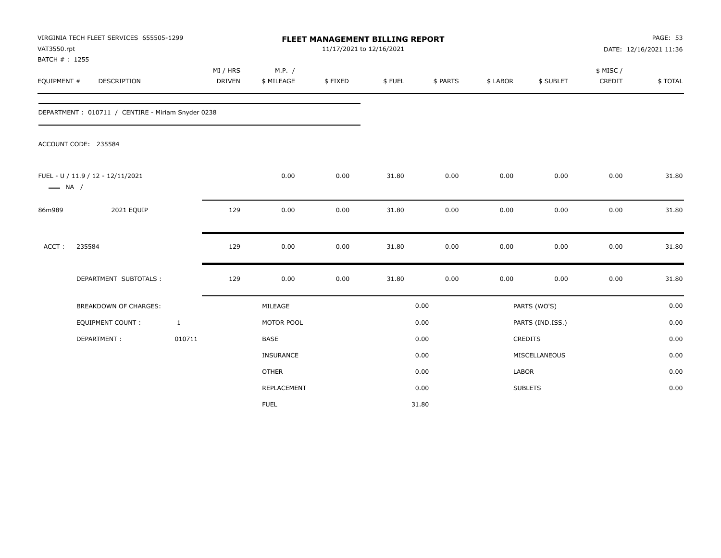| VAT3550.rpt<br>BATCH #: 1255 | VIRGINIA TECH FLEET SERVICES 655505-1299          |              | FLEET MANAGEMENT BILLING REPORT<br>11/17/2021 to 12/16/2021 |                      |         |        |          | DATE: 12/16/2021 11:36 |                  |                    |         |  |
|------------------------------|---------------------------------------------------|--------------|-------------------------------------------------------------|----------------------|---------|--------|----------|------------------------|------------------|--------------------|---------|--|
| EQUIPMENT #                  | <b>DESCRIPTION</b>                                |              | MI / HRS<br><b>DRIVEN</b>                                   | M.P. /<br>\$ MILEAGE | \$FIXED | \$FUEL | \$ PARTS | \$ LABOR               | \$ SUBLET        | \$ MISC/<br>CREDIT | \$TOTAL |  |
|                              | DEPARTMENT: 010711 / CENTIRE - Miriam Snyder 0238 |              |                                                             |                      |         |        |          |                        |                  |                    |         |  |
|                              | ACCOUNT CODE: 235584                              |              |                                                             |                      |         |        |          |                        |                  |                    |         |  |
| $\longrightarrow$ NA /       | FUEL - U / 11.9 / 12 - 12/11/2021                 |              |                                                             | 0.00                 | 0.00    | 31.80  | 0.00     | 0.00                   | 0.00             | 0.00               | 31.80   |  |
| 86m989                       | 2021 EQUIP                                        |              | 129                                                         | 0.00                 | 0.00    | 31.80  | 0.00     | 0.00                   | 0.00             | 0.00               | 31.80   |  |
| ACCT:                        | 235584                                            |              | 129                                                         | 0.00                 | 0.00    | 31.80  | 0.00     | 0.00                   | 0.00             | 0.00               | 31.80   |  |
|                              | DEPARTMENT SUBTOTALS :                            |              | 129                                                         | 0.00                 | 0.00    | 31.80  | 0.00     | 0.00                   | 0.00             | 0.00               | 31.80   |  |
|                              | <b>BREAKDOWN OF CHARGES:</b>                      |              |                                                             | MILEAGE              |         |        | 0.00     |                        | PARTS (WO'S)     |                    | 0.00    |  |
|                              | <b>EQUIPMENT COUNT:</b>                           | $\mathbf{1}$ |                                                             | MOTOR POOL           |         |        | 0.00     |                        | PARTS (IND.ISS.) |                    | 0.00    |  |
|                              | DEPARTMENT:                                       | 010711       |                                                             | <b>BASE</b>          |         |        | 0.00     |                        | <b>CREDITS</b>   |                    | 0.00    |  |
|                              |                                                   |              |                                                             | INSURANCE            |         |        | 0.00     |                        | MISCELLANEOUS    |                    | 0.00    |  |
|                              |                                                   |              |                                                             | <b>OTHER</b>         |         |        | 0.00     | LABOR                  |                  |                    | 0.00    |  |
|                              |                                                   |              |                                                             | REPLACEMENT          |         |        | 0.00     |                        | <b>SUBLETS</b>   |                    | 0.00    |  |
|                              |                                                   |              |                                                             | <b>FUEL</b>          |         |        | 31.80    |                        |                  |                    |         |  |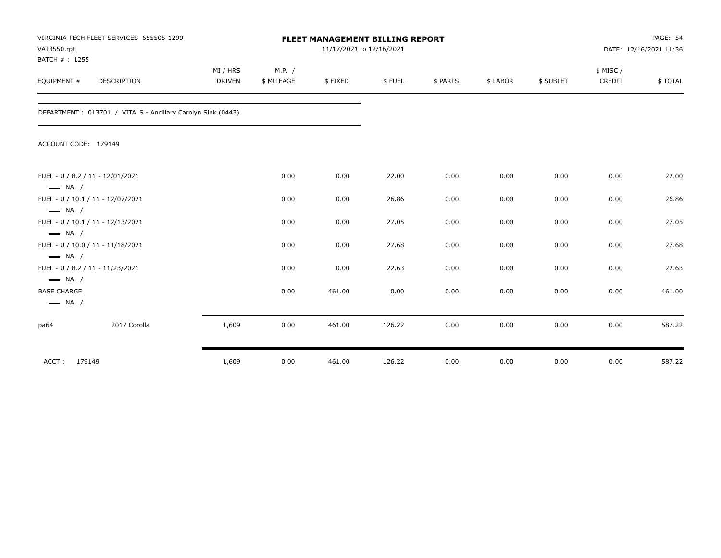| VAT3550.rpt<br>BATCH #: 1255                     | VIRGINIA TECH FLEET SERVICES 655505-1299                    |               | <b>FLEET MANAGEMENT BILLING REPORT</b><br>11/17/2021 to 12/16/2021 |         |        |          |          |           | PAGE: 54<br>DATE: 12/16/2021 11:36 |         |
|--------------------------------------------------|-------------------------------------------------------------|---------------|--------------------------------------------------------------------|---------|--------|----------|----------|-----------|------------------------------------|---------|
|                                                  |                                                             | MI / HRS      | M.P. /                                                             |         |        |          |          |           | \$ MISC/                           |         |
| EQUIPMENT #                                      | DESCRIPTION                                                 | <b>DRIVEN</b> | \$ MILEAGE                                                         | \$FIXED | \$FUEL | \$ PARTS | \$ LABOR | \$ SUBLET | CREDIT                             | \$TOTAL |
|                                                  | DEPARTMENT: 013701 / VITALS - Ancillary Carolyn Sink (0443) |               |                                                                    |         |        |          |          |           |                                    |         |
| ACCOUNT CODE: 179149                             |                                                             |               |                                                                    |         |        |          |          |           |                                    |         |
|                                                  | FUEL - U / 8.2 / 11 - 12/01/2021                            |               | 0.00                                                               | 0.00    | 22.00  | 0.00     | 0.00     | 0.00      | 0.00                               | 22.00   |
| $\longrightarrow$ NA /<br>$\longrightarrow$ NA / | FUEL - U / 10.1 / 11 - 12/07/2021                           |               | 0.00                                                               | 0.00    | 26.86  | 0.00     | 0.00     | 0.00      | 0.00                               | 26.86   |
| $\longrightarrow$ NA /                           | FUEL - U / 10.1 / 11 - 12/13/2021                           |               | 0.00                                                               | 0.00    | 27.05  | 0.00     | 0.00     | 0.00      | 0.00                               | 27.05   |
| $\longrightarrow$ NA /                           | FUEL - U / 10.0 / 11 - 11/18/2021                           |               | 0.00                                                               | 0.00    | 27.68  | 0.00     | 0.00     | 0.00      | 0.00                               | 27.68   |
| $\longrightarrow$ NA /                           | FUEL - U / 8.2 / 11 - 11/23/2021                            |               | 0.00                                                               | 0.00    | 22.63  | 0.00     | 0.00     | 0.00      | 0.00                               | 22.63   |
| <b>BASE CHARGE</b><br>$\longrightarrow$ NA /     |                                                             |               | 0.00                                                               | 461.00  | 0.00   | 0.00     | 0.00     | 0.00      | 0.00                               | 461.00  |
| pa64                                             | 2017 Corolla                                                | 1,609         | 0.00                                                               | 461.00  | 126.22 | 0.00     | 0.00     | 0.00      | 0.00                               | 587.22  |
| ACCT:<br>179149                                  |                                                             | 1,609         | 0.00                                                               | 461.00  | 126.22 | 0.00     | 0.00     | 0.00      | 0.00                               | 587.22  |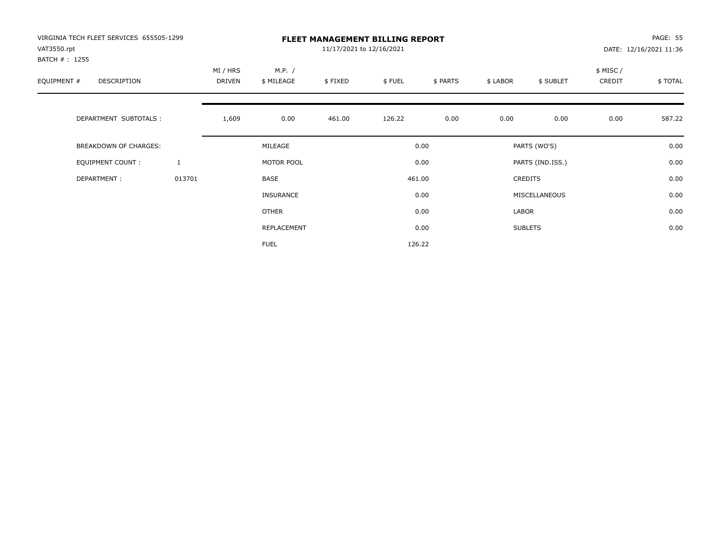| VIRGINIA TECH FLEET SERVICES 655505-1299<br>VAT3550.rpt |              | <b>FLEET MANAGEMENT BILLING REPORT</b><br>11/17/2021 to 12/16/2021 |                      |         |        |          |          |                  |                    | PAGE: 55<br>DATE: 12/16/2021 11:36 |  |
|---------------------------------------------------------|--------------|--------------------------------------------------------------------|----------------------|---------|--------|----------|----------|------------------|--------------------|------------------------------------|--|
| BATCH # : 1255<br>EQUIPMENT #<br>DESCRIPTION            |              | MI / HRS<br>DRIVEN                                                 | M.P. /<br>\$ MILEAGE | \$FIXED | \$FUEL | \$ PARTS | \$ LABOR | \$ SUBLET        | \$ MISC/<br>CREDIT | \$TOTAL                            |  |
| DEPARTMENT SUBTOTALS :                                  |              | 1,609                                                              | 0.00                 | 461.00  | 126.22 | 0.00     | 0.00     | 0.00             | 0.00               | 587.22                             |  |
| BREAKDOWN OF CHARGES:                                   |              |                                                                    | MILEAGE              |         |        | 0.00     |          | PARTS (WO'S)     |                    | 0.00                               |  |
| <b>EQUIPMENT COUNT:</b>                                 | $\mathbf{1}$ |                                                                    | MOTOR POOL           |         |        | 0.00     |          | PARTS (IND.ISS.) |                    | 0.00                               |  |
| DEPARTMENT:                                             | 013701       |                                                                    | BASE                 |         |        | 461.00   |          | <b>CREDITS</b>   |                    | 0.00                               |  |
|                                                         |              |                                                                    | <b>INSURANCE</b>     |         |        | 0.00     |          | MISCELLANEOUS    |                    | 0.00                               |  |
|                                                         |              |                                                                    | <b>OTHER</b>         |         |        | 0.00     | LABOR    |                  |                    | 0.00                               |  |
|                                                         |              |                                                                    | REPLACEMENT          |         |        | 0.00     |          | <b>SUBLETS</b>   |                    | 0.00                               |  |
|                                                         |              |                                                                    | <b>FUEL</b>          |         |        | 126.22   |          |                  |                    |                                    |  |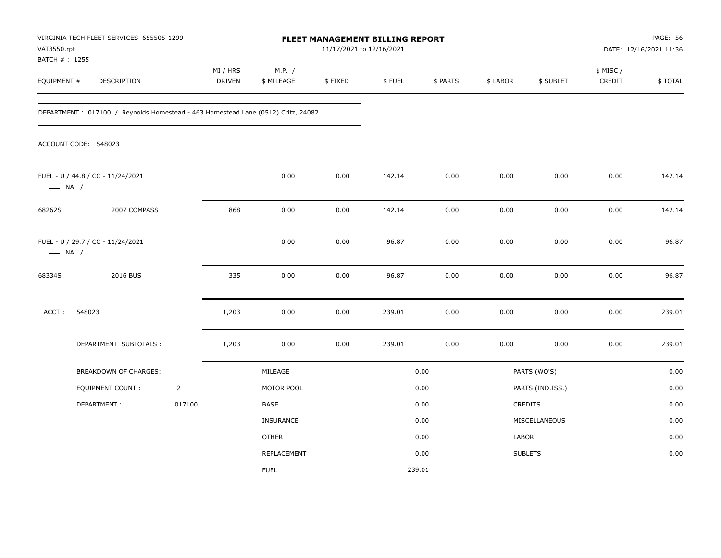| VAT3550.rpt                   | VIRGINIA TECH FLEET SERVICES 655505-1299                                         |                | FLEET MANAGEMENT BILLING REPORT<br>11/17/2021 to 12/16/2021 |                      |         |        |          |          | <b>PAGE: 56</b><br>DATE: 12/16/2021 11:36 |                     |         |
|-------------------------------|----------------------------------------------------------------------------------|----------------|-------------------------------------------------------------|----------------------|---------|--------|----------|----------|-------------------------------------------|---------------------|---------|
| BATCH # : 1255<br>EQUIPMENT # | DESCRIPTION                                                                      |                | MI / HRS<br>DRIVEN                                          | M.P. /<br>\$ MILEAGE | \$FIXED | \$FUEL | \$ PARTS | \$ LABOR | \$ SUBLET                                 | \$ MISC /<br>CREDIT | \$TOTAL |
|                               | DEPARTMENT: 017100 / Reynolds Homestead - 463 Homestead Lane (0512) Critz, 24082 |                |                                                             |                      |         |        |          |          |                                           |                     |         |
|                               | ACCOUNT CODE: 548023                                                             |                |                                                             |                      |         |        |          |          |                                           |                     |         |
| $\longrightarrow$ NA /        | FUEL - U / 44.8 / CC - 11/24/2021                                                |                |                                                             | 0.00                 | 0.00    | 142.14 | 0.00     | 0.00     | 0.00                                      | 0.00                | 142.14  |
| 68262S                        | 2007 COMPASS                                                                     |                | 868                                                         | 0.00                 | 0.00    | 142.14 | 0.00     | 0.00     | 0.00                                      | 0.00                | 142.14  |
| $\longrightarrow$ NA /        | FUEL - U / 29.7 / CC - 11/24/2021                                                |                |                                                             | 0.00                 | 0.00    | 96.87  | 0.00     | 0.00     | 0.00                                      | 0.00                | 96.87   |
| 68334S                        | 2016 BUS                                                                         |                | 335                                                         | 0.00                 | 0.00    | 96.87  | 0.00     | 0.00     | 0.00                                      | 0.00                | 96.87   |
| ACCT:                         | 548023                                                                           |                | 1,203                                                       | 0.00                 | 0.00    | 239.01 | 0.00     | 0.00     | 0.00                                      | 0.00                | 239.01  |
|                               | DEPARTMENT SUBTOTALS :                                                           |                | 1,203                                                       | 0.00                 | 0.00    | 239.01 | 0.00     | 0.00     | 0.00                                      | 0.00                | 239.01  |
|                               | BREAKDOWN OF CHARGES:                                                            |                |                                                             | MILEAGE              |         |        | 0.00     |          | PARTS (WO'S)                              |                     | 0.00    |
|                               | <b>EQUIPMENT COUNT:</b>                                                          | $\overline{2}$ |                                                             | MOTOR POOL           |         |        | 0.00     |          | PARTS (IND.ISS.)                          |                     | 0.00    |
|                               | DEPARTMENT:                                                                      | 017100         |                                                             | BASE                 |         |        | 0.00     |          | CREDITS                                   |                     | 0.00    |
|                               |                                                                                  |                |                                                             | INSURANCE            |         |        | 0.00     |          | MISCELLANEOUS                             |                     | 0.00    |
|                               |                                                                                  |                |                                                             | <b>OTHER</b>         |         |        | 0.00     | LABOR    |                                           |                     | 0.00    |
|                               |                                                                                  |                |                                                             | REPLACEMENT          |         |        | 0.00     |          | <b>SUBLETS</b>                            |                     | 0.00    |
|                               |                                                                                  |                |                                                             | <b>FUEL</b>          |         | 239.01 |          |          |                                           |                     |         |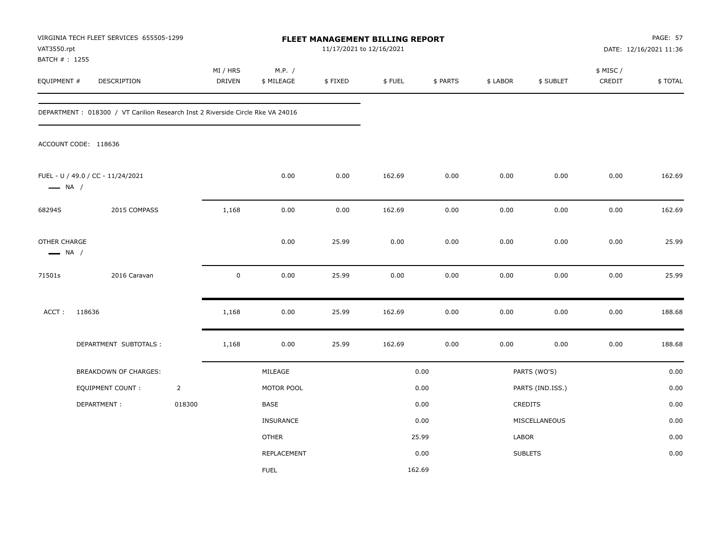| VAT3550.rpt<br>BATCH # : 1255          | VIRGINIA TECH FLEET SERVICES 655505-1299                                        |                | FLEET MANAGEMENT BILLING REPORT<br>11/17/2021 to 12/16/2021 |                      |         |        |          |          | <b>PAGE: 57</b><br>DATE: 12/16/2021 11:36 |                     |         |
|----------------------------------------|---------------------------------------------------------------------------------|----------------|-------------------------------------------------------------|----------------------|---------|--------|----------|----------|-------------------------------------------|---------------------|---------|
| EQUIPMENT #                            | DESCRIPTION                                                                     |                | MI / HRS<br>DRIVEN                                          | M.P. /<br>\$ MILEAGE | \$FIXED | \$FUEL | \$ PARTS | \$ LABOR | \$ SUBLET                                 | \$ MISC /<br>CREDIT | \$TOTAL |
|                                        | DEPARTMENT : 018300 / VT Carilion Research Inst 2 Riverside Circle Rke VA 24016 |                |                                                             |                      |         |        |          |          |                                           |                     |         |
|                                        | ACCOUNT CODE: 118636                                                            |                |                                                             |                      |         |        |          |          |                                           |                     |         |
| $\longrightarrow$ NA /                 | FUEL - U / 49.0 / CC - 11/24/2021                                               |                |                                                             | 0.00                 | 0.00    | 162.69 | 0.00     | 0.00     | 0.00                                      | 0.00                | 162.69  |
| 68294S                                 | 2015 COMPASS                                                                    |                | 1,168                                                       | 0.00                 | 0.00    | 162.69 | 0.00     | 0.00     | 0.00                                      | 0.00                | 162.69  |
| OTHER CHARGE<br>$\longrightarrow$ NA / |                                                                                 |                |                                                             | 0.00                 | 25.99   | 0.00   | 0.00     | 0.00     | 0.00                                      | 0.00                | 25.99   |
| 71501s                                 | 2016 Caravan                                                                    |                | $\mathbf 0$                                                 | 0.00                 | 25.99   | 0.00   | 0.00     | 0.00     | 0.00                                      | 0.00                | 25.99   |
| ACCT:                                  | 118636                                                                          |                | 1,168                                                       | 0.00                 | 25.99   | 162.69 | 0.00     | 0.00     | 0.00                                      | 0.00                | 188.68  |
|                                        | DEPARTMENT SUBTOTALS :                                                          |                | 1,168                                                       | 0.00                 | 25.99   | 162.69 | 0.00     | 0.00     | 0.00                                      | 0.00                | 188.68  |
|                                        | BREAKDOWN OF CHARGES:                                                           |                |                                                             | MILEAGE              |         |        | 0.00     |          | PARTS (WO'S)                              |                     | 0.00    |
|                                        | <b>EQUIPMENT COUNT:</b>                                                         | $\overline{2}$ |                                                             | MOTOR POOL           |         |        | 0.00     |          | PARTS (IND.ISS.)                          |                     | 0.00    |
|                                        | DEPARTMENT:                                                                     | 018300         |                                                             | <b>BASE</b>          |         |        | 0.00     |          | CREDITS                                   |                     | 0.00    |
|                                        |                                                                                 |                |                                                             | INSURANCE            |         |        | 0.00     |          | MISCELLANEOUS                             |                     | 0.00    |
|                                        |                                                                                 |                |                                                             | <b>OTHER</b>         |         |        | 25.99    | LABOR    |                                           |                     | 0.00    |
|                                        |                                                                                 |                |                                                             | REPLACEMENT          |         |        | 0.00     |          | <b>SUBLETS</b>                            |                     | 0.00    |
|                                        |                                                                                 |                |                                                             | <b>FUEL</b>          |         | 162.69 |          |          |                                           |                     |         |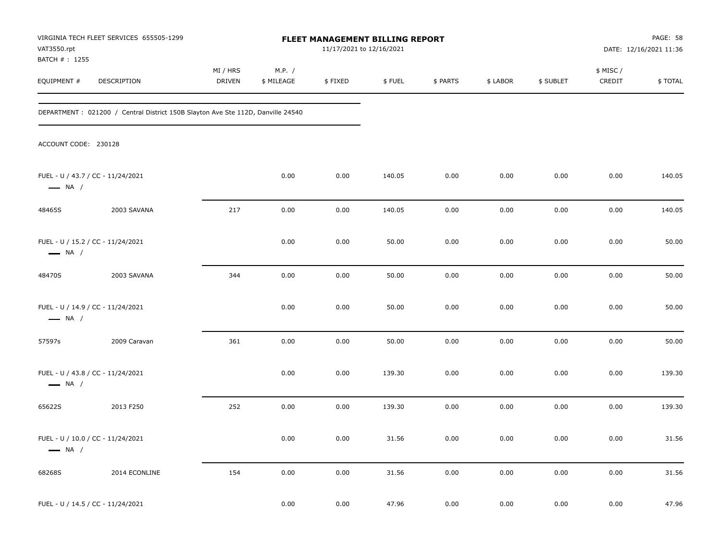| VAT3550.rpt                 | VIRGINIA TECH FLEET SERVICES 655505-1299                                        | FLEET MANAGEMENT BILLING REPORT<br>11/17/2021 to 12/16/2021 |                      |         |        |          |          |           | PAGE: 58<br>DATE: 12/16/2021 11:36 |         |
|-----------------------------|---------------------------------------------------------------------------------|-------------------------------------------------------------|----------------------|---------|--------|----------|----------|-----------|------------------------------------|---------|
| BATCH #: 1255<br>EQUIPMENT# | DESCRIPTION                                                                     | MI / HRS<br><b>DRIVEN</b>                                   | M.P. /<br>\$ MILEAGE | \$FIXED | \$FUEL | \$ PARTS | \$ LABOR | \$ SUBLET | \$ MISC/<br>CREDIT                 | \$TOTAL |
|                             | DEPARTMENT: 021200 / Central District 150B Slayton Ave Ste 112D, Danville 24540 |                                                             |                      |         |        |          |          |           |                                    |         |
| ACCOUNT CODE: 230128        |                                                                                 |                                                             |                      |         |        |          |          |           |                                    |         |
| $\longrightarrow$ NA /      | FUEL - U / 43.7 / CC - 11/24/2021                                               |                                                             | 0.00                 | 0.00    | 140.05 | 0.00     | 0.00     | 0.00      | 0.00                               | 140.05  |
| 48465S                      | 2003 SAVANA                                                                     | 217                                                         | 0.00                 | 0.00    | 140.05 | 0.00     | 0.00     | 0.00      | 0.00                               | 140.05  |
| $\longrightarrow$ NA /      | FUEL - U / 15.2 / CC - 11/24/2021                                               |                                                             | 0.00                 | 0.00    | 50.00  | 0.00     | 0.00     | 0.00      | 0.00                               | 50.00   |
| 48470S                      | 2003 SAVANA                                                                     | 344                                                         | 0.00                 | 0.00    | 50.00  | 0.00     | 0.00     | 0.00      | 0.00                               | 50.00   |
| $\longrightarrow$ NA /      | FUEL - U / 14.9 / CC - 11/24/2021                                               |                                                             | 0.00                 | 0.00    | 50.00  | 0.00     | 0.00     | 0.00      | 0.00                               | 50.00   |
| 57597s                      | 2009 Caravan                                                                    | 361                                                         | 0.00                 | 0.00    | 50.00  | 0.00     | 0.00     | 0.00      | 0.00                               | 50.00   |
| $\longrightarrow$ NA /      | FUEL - U / 43.8 / CC - 11/24/2021                                               |                                                             | 0.00                 | 0.00    | 139.30 | 0.00     | 0.00     | 0.00      | 0.00                               | 139.30  |
| 65622S                      | 2013 F250                                                                       | 252                                                         | 0.00                 | 0.00    | 139.30 | 0.00     | 0.00     | 0.00      | 0.00                               | 139.30  |
| $\longrightarrow$ NA /      | FUEL - U / 10.0 / CC - 11/24/2021                                               |                                                             | 0.00                 | 0.00    | 31.56  | 0.00     | 0.00     | 0.00      | 0.00                               | 31.56   |
| 68268S                      | 2014 ECONLINE                                                                   | 154                                                         | $0.00\,$             | 0.00    | 31.56  | $0.00\,$ | 0.00     | 0.00      | $0.00\,$                           | 31.56   |
|                             | FUEL - U / 14.5 / CC - 11/24/2021                                               |                                                             | 0.00                 | 0.00    | 47.96  | 0.00     | 0.00     | $0.00\,$  | 0.00                               | 47.96   |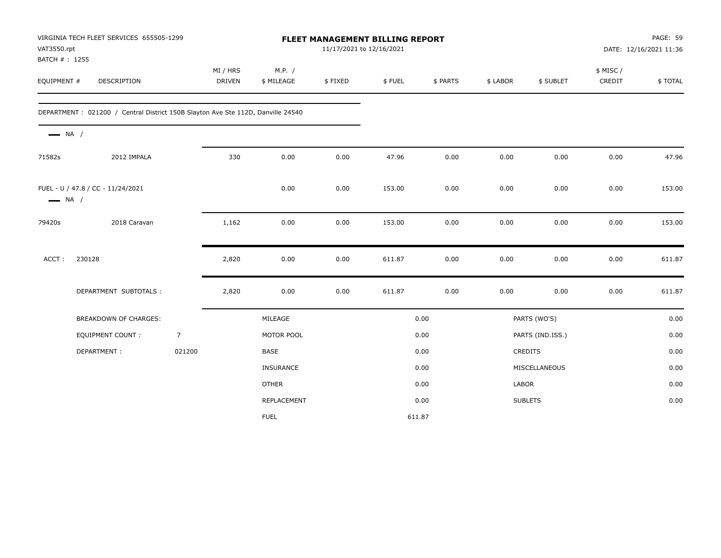| VAT3550.rpt<br>BATCH #: 1255 | VIRGINIA TECH FLEET SERVICES 655505-1299                                        |                |                           |                      |         | FLEET MANAGEMENT BILLING REPORT<br>11/17/2021 to 12/16/2021 |          |          |                  | PAGE: 59<br>DATE: 12/16/2021 11:36 |         |
|------------------------------|---------------------------------------------------------------------------------|----------------|---------------------------|----------------------|---------|-------------------------------------------------------------|----------|----------|------------------|------------------------------------|---------|
| EQUIPMENT #                  | <b>DESCRIPTION</b>                                                              |                | MI / HRS<br><b>DRIVEN</b> | M.P. /<br>\$ MILEAGE | \$FIXED | \$FUEL                                                      | \$ PARTS | \$ LABOR | \$ SUBLET        | \$ MISC/<br>CREDIT                 | \$TOTAL |
|                              | DEPARTMENT: 021200 / Central District 150B Slayton Ave Ste 112D, Danville 24540 |                |                           |                      |         |                                                             |          |          |                  |                                    |         |
| $\longrightarrow$ NA /       |                                                                                 |                |                           |                      |         |                                                             |          |          |                  |                                    |         |
| 71582s                       | 2012 IMPALA                                                                     |                | 330                       | 0.00                 | 0.00    | 47.96                                                       | 0.00     | 0.00     | 0.00             | 0.00                               | 47.96   |
| $\longrightarrow$ NA /       | FUEL - U / 47.8 / CC - 11/24/2021                                               |                |                           | 0.00                 | 0.00    | 153.00                                                      | 0.00     | 0.00     | 0.00             | 0.00                               | 153.00  |
| 79420s                       | 2018 Caravan                                                                    |                | 1,162                     | 0.00                 | 0.00    | 153.00                                                      | 0.00     | 0.00     | 0.00             | 0.00                               | 153.00  |
| ACCT:                        | 230128                                                                          |                | 2,820                     | 0.00                 | 0.00    | 611.87                                                      | 0.00     | 0.00     | 0.00             | 0.00                               | 611.87  |
|                              | DEPARTMENT SUBTOTALS :                                                          |                | 2,820                     | 0.00                 | 0.00    | 611.87                                                      | 0.00     | 0.00     | 0.00             | 0.00                               | 611.87  |
|                              | BREAKDOWN OF CHARGES:                                                           |                |                           | MILEAGE              |         |                                                             | 0.00     |          | PARTS (WO'S)     |                                    | 0.00    |
|                              | <b>EQUIPMENT COUNT:</b>                                                         | $\overline{7}$ |                           | MOTOR POOL           |         |                                                             | 0.00     |          | PARTS (IND.ISS.) |                                    | 0.00    |
|                              | DEPARTMENT:                                                                     | 021200         |                           | BASE                 |         |                                                             | 0.00     |          | CREDITS          |                                    | 0.00    |
|                              |                                                                                 |                |                           | <b>INSURANCE</b>     |         |                                                             | 0.00     |          | MISCELLANEOUS    |                                    | 0.00    |
|                              |                                                                                 |                |                           | <b>OTHER</b>         |         |                                                             | 0.00     | LABOR    |                  |                                    | 0.00    |
|                              |                                                                                 |                |                           | REPLACEMENT          |         |                                                             | 0.00     |          | <b>SUBLETS</b>   |                                    | 0.00    |
|                              |                                                                                 |                |                           | <b>FUEL</b>          |         |                                                             | 611.87   |          |                  |                                    |         |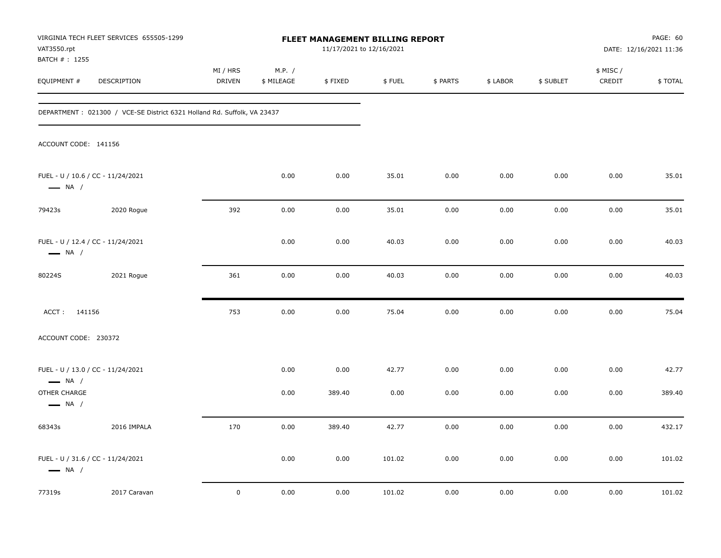| VAT3550.rpt                            | VIRGINIA TECH FLEET SERVICES 655505-1299                                 | FLEET MANAGEMENT BILLING REPORT<br>11/17/2021 to 12/16/2021 |                      |                |               |              |              |              | PAGE: 60<br>DATE: 12/16/2021 11:36 |                 |
|----------------------------------------|--------------------------------------------------------------------------|-------------------------------------------------------------|----------------------|----------------|---------------|--------------|--------------|--------------|------------------------------------|-----------------|
| BATCH # : 1255<br>EQUIPMENT #          | DESCRIPTION                                                              | MI / HRS<br><b>DRIVEN</b>                                   | M.P. /<br>\$ MILEAGE | \$FIXED        | \$FUEL        | \$ PARTS     | \$ LABOR     | \$ SUBLET    | \$ MISC /<br>CREDIT                | \$TOTAL         |
|                                        | DEPARTMENT : 021300 / VCE-SE District 6321 Holland Rd. Suffolk, VA 23437 |                                                             |                      |                |               |              |              |              |                                    |                 |
| ACCOUNT CODE: 141156                   |                                                                          |                                                             |                      |                |               |              |              |              |                                    |                 |
| $\longrightarrow$ NA /                 | FUEL - U / 10.6 / CC - 11/24/2021                                        |                                                             | 0.00                 | 0.00           | 35.01         | 0.00         | 0.00         | 0.00         | 0.00                               | 35.01           |
| 79423s                                 | 2020 Rogue                                                               | 392                                                         | 0.00                 | 0.00           | 35.01         | 0.00         | 0.00         | 0.00         | 0.00                               | 35.01           |
| $\longrightarrow$ NA /                 | FUEL - U / 12.4 / CC - 11/24/2021                                        |                                                             | 0.00                 | 0.00           | 40.03         | 0.00         | 0.00         | 0.00         | 0.00                               | 40.03           |
| 80224S                                 | 2021 Rogue                                                               | 361                                                         | 0.00                 | 0.00           | 40.03         | 0.00         | 0.00         | 0.00         | 0.00                               | 40.03           |
| ACCT: 141156                           |                                                                          | 753                                                         | 0.00                 | 0.00           | 75.04         | 0.00         | 0.00         | 0.00         | 0.00                               | 75.04           |
| ACCOUNT CODE: 230372                   |                                                                          |                                                             |                      |                |               |              |              |              |                                    |                 |
| $\longrightarrow$ NA /<br>OTHER CHARGE | FUEL - U / 13.0 / CC - 11/24/2021                                        |                                                             | 0.00<br>0.00         | 0.00<br>389.40 | 42.77<br>0.00 | 0.00<br>0.00 | 0.00<br>0.00 | 0.00<br>0.00 | 0.00<br>0.00                       | 42.77<br>389.40 |
| $\longrightarrow$ NA /                 |                                                                          |                                                             |                      |                |               |              |              |              |                                    |                 |
| 68343s                                 | 2016 IMPALA                                                              | 170                                                         | 0.00                 | 389.40         | 42.77         | 0.00         | 0.00         | 0.00         | 0.00                               | 432.17          |
| $\longrightarrow$ NA /                 | FUEL - U / 31.6 / CC - 11/24/2021                                        |                                                             | 0.00                 | 0.00           | 101.02        | 0.00         | 0.00         | 0.00         | 0.00                               | 101.02          |
| 77319s                                 | 2017 Caravan                                                             | $\mathbf 0$                                                 | 0.00                 | 0.00           | 101.02        | 0.00         | 0.00         | 0.00         | 0.00                               | 101.02          |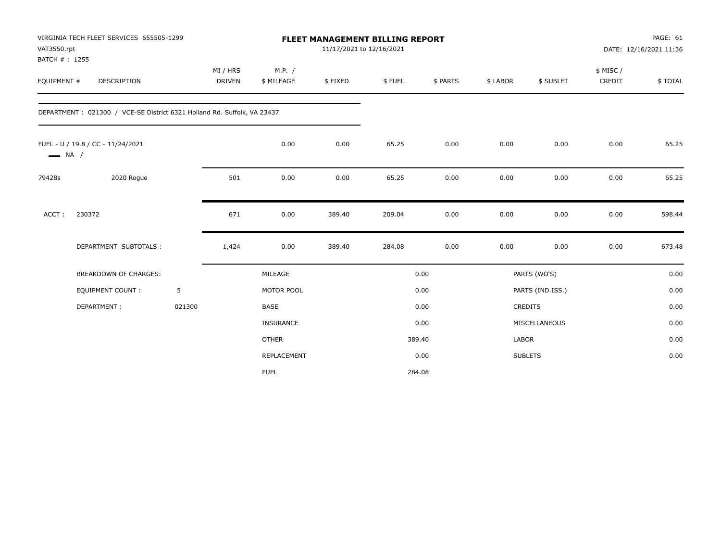| VAT3550.rpt            | VIRGINIA TECH FLEET SERVICES 655505-1299                                |        | FLEET MANAGEMENT BILLING REPORT<br>11/17/2021 to 12/16/2021 |              |         |        |          |              |                  | PAGE: 61<br>DATE: 12/16/2021 11:36 |         |
|------------------------|-------------------------------------------------------------------------|--------|-------------------------------------------------------------|--------------|---------|--------|----------|--------------|------------------|------------------------------------|---------|
| BATCH #: 1255          |                                                                         |        |                                                             |              |         |        |          |              |                  |                                    |         |
|                        |                                                                         |        | MI / HRS                                                    | M.P. /       |         |        |          |              |                  | \$ MISC /                          |         |
| EQUIPMENT #            | <b>DESCRIPTION</b>                                                      |        | <b>DRIVEN</b>                                               | \$ MILEAGE   | \$FIXED | \$FUEL | \$ PARTS | \$ LABOR     | \$ SUBLET        | CREDIT                             | \$TOTAL |
|                        | DEPARTMENT: 021300 / VCE-SE District 6321 Holland Rd. Suffolk, VA 23437 |        |                                                             |              |         |        |          |              |                  |                                    |         |
| $\longrightarrow$ NA / | FUEL - U / 19.8 / CC - 11/24/2021                                       |        |                                                             | 0.00         | 0.00    | 65.25  | 0.00     | 0.00         | 0.00             | 0.00                               | 65.25   |
| 79428s                 | 2020 Rogue                                                              |        | 501                                                         | 0.00         | 0.00    | 65.25  | 0.00     | 0.00         | 0.00             | 0.00                               | 65.25   |
| ACCT:                  | 230372                                                                  |        | 671                                                         | 0.00         | 389.40  | 209.04 | 0.00     | 0.00         | 0.00             | 0.00                               | 598.44  |
|                        | DEPARTMENT SUBTOTALS :                                                  |        | 1,424                                                       | 0.00         | 389.40  | 284.08 | 0.00     | 0.00         | 0.00             | 0.00                               | 673.48  |
|                        | BREAKDOWN OF CHARGES:                                                   |        |                                                             | MILEAGE      |         |        | 0.00     |              | PARTS (WO'S)     |                                    | 0.00    |
|                        | <b>EQUIPMENT COUNT:</b>                                                 | 5      |                                                             | MOTOR POOL   |         |        | 0.00     |              | PARTS (IND.ISS.) |                                    | 0.00    |
|                        | DEPARTMENT:                                                             | 021300 |                                                             | <b>BASE</b>  |         |        | 0.00     |              | CREDITS          |                                    | 0.00    |
|                        |                                                                         |        |                                                             | INSURANCE    |         |        | 0.00     |              | MISCELLANEOUS    |                                    | 0.00    |
|                        |                                                                         |        |                                                             | <b>OTHER</b> |         |        | 389.40   | <b>LABOR</b> |                  |                                    | 0.00    |
|                        |                                                                         |        |                                                             | REPLACEMENT  |         |        | 0.00     |              | <b>SUBLETS</b>   |                                    | 0.00    |
|                        |                                                                         |        |                                                             | <b>FUEL</b>  |         |        | 284.08   |              |                  |                                    |         |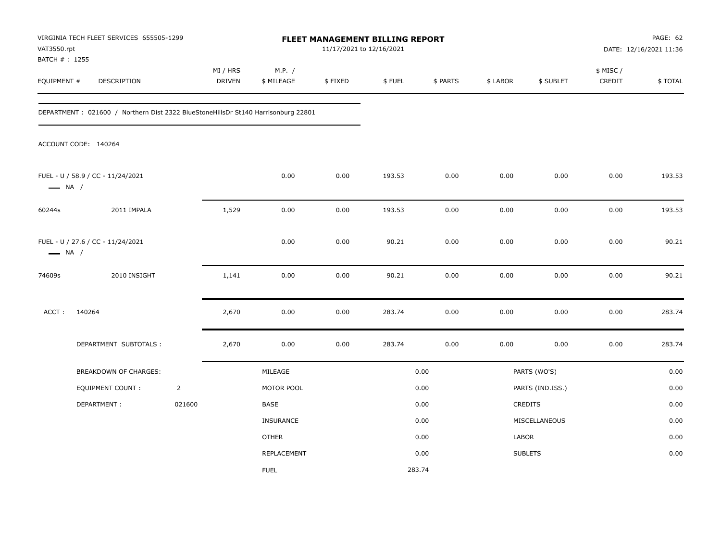| VAT3550.rpt                   | VIRGINIA TECH FLEET SERVICES 655505-1299                                          |                | FLEET MANAGEMENT BILLING REPORT<br>11/17/2021 to 12/16/2021 |                      |         |        |          |          | PAGE: 62<br>DATE: 12/16/2021 11:36 |                     |         |
|-------------------------------|-----------------------------------------------------------------------------------|----------------|-------------------------------------------------------------|----------------------|---------|--------|----------|----------|------------------------------------|---------------------|---------|
| BATCH # : 1255<br>EQUIPMENT # | DESCRIPTION                                                                       |                | MI / HRS<br>DRIVEN                                          | M.P. /<br>\$ MILEAGE | \$FIXED | \$FUEL | \$ PARTS | \$ LABOR | \$ SUBLET                          | \$ MISC /<br>CREDIT | \$TOTAL |
|                               | DEPARTMENT: 021600 / Northern Dist 2322 BlueStoneHillsDr St140 Harrisonburg 22801 |                |                                                             |                      |         |        |          |          |                                    |                     |         |
|                               | ACCOUNT CODE: 140264                                                              |                |                                                             |                      |         |        |          |          |                                    |                     |         |
| $\longrightarrow$ NA /        | FUEL - U / 58.9 / CC - 11/24/2021                                                 |                |                                                             | 0.00                 | 0.00    | 193.53 | 0.00     | 0.00     | 0.00                               | 0.00                | 193.53  |
| 60244s                        | 2011 IMPALA                                                                       |                | 1,529                                                       | 0.00                 | 0.00    | 193.53 | 0.00     | 0.00     | 0.00                               | 0.00                | 193.53  |
| $\longrightarrow$ NA /        | FUEL - U / 27.6 / CC - 11/24/2021                                                 |                |                                                             | 0.00                 | 0.00    | 90.21  | 0.00     | 0.00     | 0.00                               | 0.00                | 90.21   |
| 74609s                        | 2010 INSIGHT                                                                      |                | 1,141                                                       | 0.00                 | 0.00    | 90.21  | 0.00     | 0.00     | 0.00                               | 0.00                | 90.21   |
| ACCT:                         | 140264                                                                            |                | 2,670                                                       | 0.00                 | 0.00    | 283.74 | 0.00     | 0.00     | 0.00                               | 0.00                | 283.74  |
|                               | DEPARTMENT SUBTOTALS :                                                            |                | 2,670                                                       | 0.00                 | 0.00    | 283.74 | 0.00     | 0.00     | 0.00                               | 0.00                | 283.74  |
|                               | <b>BREAKDOWN OF CHARGES:</b>                                                      |                |                                                             | MILEAGE              |         |        | 0.00     |          | PARTS (WO'S)                       |                     | 0.00    |
|                               | <b>EQUIPMENT COUNT:</b>                                                           | $\overline{2}$ |                                                             | MOTOR POOL           |         |        | 0.00     |          | PARTS (IND.ISS.)                   |                     | 0.00    |
|                               | DEPARTMENT:                                                                       | 021600         |                                                             | BASE                 |         |        | 0.00     |          | CREDITS                            |                     | 0.00    |
|                               |                                                                                   |                |                                                             | INSURANCE            |         |        | 0.00     |          | MISCELLANEOUS                      |                     | 0.00    |
|                               |                                                                                   |                |                                                             | <b>OTHER</b>         |         |        | 0.00     | LABOR    |                                    |                     | 0.00    |
|                               |                                                                                   |                |                                                             | REPLACEMENT          |         |        | 0.00     |          | <b>SUBLETS</b>                     |                     | 0.00    |
|                               |                                                                                   |                |                                                             | <b>FUEL</b>          |         | 283.74 |          |          |                                    |                     |         |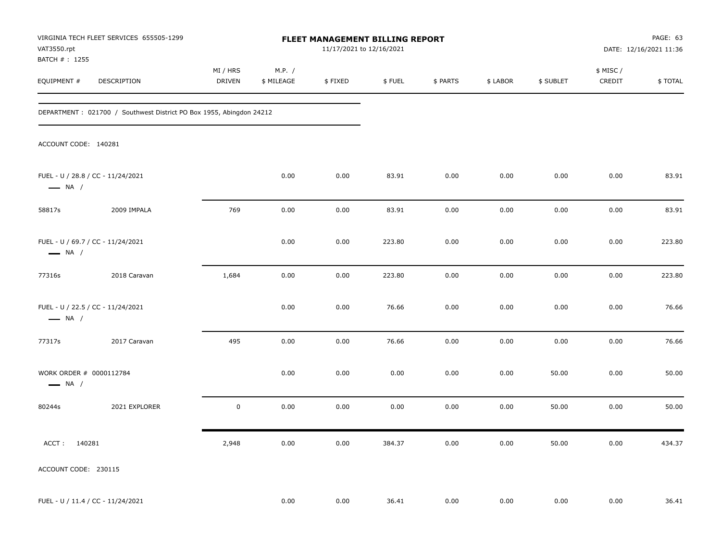| VAT3550.rpt<br>BATCH #: 1255                      | VIRGINIA TECH FLEET SERVICES 655505-1299                            | FLEET MANAGEMENT BILLING REPORT<br>11/17/2021 to 12/16/2021 |                      |          |        |          |          | PAGE: 63<br>DATE: 12/16/2021 11:36 |                     |         |
|---------------------------------------------------|---------------------------------------------------------------------|-------------------------------------------------------------|----------------------|----------|--------|----------|----------|------------------------------------|---------------------|---------|
| EQUIPMENT #                                       | <b>DESCRIPTION</b>                                                  | MI / HRS<br><b>DRIVEN</b>                                   | M.P. /<br>\$ MILEAGE | \$FIXED  | \$FUEL | \$ PARTS | \$ LABOR | \$ SUBLET                          | \$ MISC /<br>CREDIT | \$TOTAL |
|                                                   | DEPARTMENT: 021700 / Southwest District PO Box 1955, Abingdon 24212 |                                                             |                      |          |        |          |          |                                    |                     |         |
| ACCOUNT CODE: 140281                              |                                                                     |                                                             |                      |          |        |          |          |                                    |                     |         |
| $\longrightarrow$ NA /                            | FUEL - U / 28.8 / CC - 11/24/2021                                   |                                                             | 0.00                 | 0.00     | 83.91  | 0.00     | 0.00     | 0.00                               | 0.00                | 83.91   |
| 58817s                                            | 2009 IMPALA                                                         | 769                                                         | 0.00                 | 0.00     | 83.91  | 0.00     | 0.00     | 0.00                               | 0.00                | 83.91   |
| $\longrightarrow$ NA /                            | FUEL - U / 69.7 / CC - 11/24/2021                                   |                                                             | 0.00                 | 0.00     | 223.80 | 0.00     | 0.00     | 0.00                               | 0.00                | 223.80  |
| 77316s                                            | 2018 Caravan                                                        | 1,684                                                       | 0.00                 | 0.00     | 223.80 | 0.00     | 0.00     | 0.00                               | 0.00                | 223.80  |
| $\longrightarrow$ NA /                            | FUEL - U / 22.5 / CC - 11/24/2021                                   |                                                             | 0.00                 | 0.00     | 76.66  | 0.00     | 0.00     | 0.00                               | 0.00                | 76.66   |
| 77317s                                            | 2017 Caravan                                                        | 495                                                         | 0.00                 | 0.00     | 76.66  | 0.00     | 0.00     | 0.00                               | 0.00                | 76.66   |
| WORK ORDER # 0000112784<br>$\longrightarrow$ NA / |                                                                     |                                                             | 0.00                 | 0.00     | 0.00   | 0.00     | 0.00     | 50.00                              | 0.00                | 50.00   |
| 80244s                                            | 2021 EXPLORER                                                       | $\mathbf 0$                                                 | 0.00                 | 0.00     | 0.00   | 0.00     | 0.00     | 50.00                              | 0.00                | 50.00   |
| ACCT: 140281                                      |                                                                     | 2,948                                                       | 0.00                 | 0.00     | 384.37 | 0.00     | 0.00     | 50.00                              | 0.00                | 434.37  |
| ACCOUNT CODE: 230115                              |                                                                     |                                                             |                      |          |        |          |          |                                    |                     |         |
|                                                   | FUEL - U / 11.4 / CC - 11/24/2021                                   |                                                             | 0.00                 | $0.00\,$ | 36.41  | 0.00     | 0.00     | 0.00                               | 0.00                | 36.41   |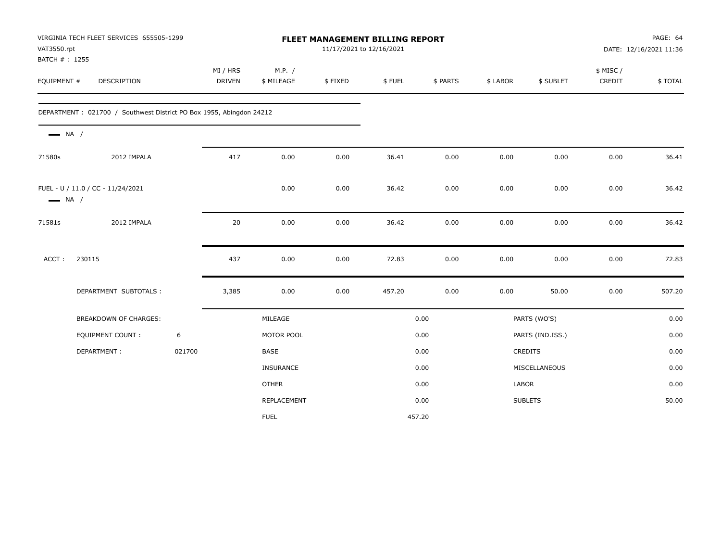| VAT3550.rpt<br>BATCH #: 1255 | VIRGINIA TECH FLEET SERVICES 655505-1299                            |        |                           |                      | FLEET MANAGEMENT BILLING REPORT<br>11/17/2021 to 12/16/2021 |        |          |          |                  |                     | PAGE: 64<br>DATE: 12/16/2021 11:36 |
|------------------------------|---------------------------------------------------------------------|--------|---------------------------|----------------------|-------------------------------------------------------------|--------|----------|----------|------------------|---------------------|------------------------------------|
| EQUIPMENT #                  | DESCRIPTION                                                         |        | MI / HRS<br><b>DRIVEN</b> | M.P. /<br>\$ MILEAGE | \$FIXED                                                     | \$FUEL | \$ PARTS | \$ LABOR | \$ SUBLET        | \$ MISC /<br>CREDIT | \$TOTAL                            |
|                              | DEPARTMENT: 021700 / Southwest District PO Box 1955, Abingdon 24212 |        |                           |                      |                                                             |        |          |          |                  |                     |                                    |
| $\longrightarrow$ NA /       |                                                                     |        |                           |                      |                                                             |        |          |          |                  |                     |                                    |
| 71580s                       | 2012 IMPALA                                                         |        | 417                       | 0.00                 | 0.00                                                        | 36.41  | 0.00     | 0.00     | 0.00             | 0.00                | 36.41                              |
| $\longrightarrow$ NA /       | FUEL - U / 11.0 / CC - 11/24/2021                                   |        |                           | 0.00                 | 0.00                                                        | 36.42  | 0.00     | 0.00     | 0.00             | 0.00                | 36.42                              |
| 71581s                       | 2012 IMPALA                                                         |        | 20                        | 0.00                 | 0.00                                                        | 36.42  | 0.00     | 0.00     | 0.00             | 0.00                | 36.42                              |
| ACCT:                        | 230115                                                              |        | 437                       | 0.00                 | 0.00                                                        | 72.83  | 0.00     | 0.00     | 0.00             | 0.00                | 72.83                              |
|                              | DEPARTMENT SUBTOTALS :                                              |        | 3,385                     | 0.00                 | 0.00                                                        | 457.20 | 0.00     | 0.00     | 50.00            | 0.00                | 507.20                             |
|                              | <b>BREAKDOWN OF CHARGES:</b>                                        |        |                           | MILEAGE              |                                                             |        | 0.00     |          | PARTS (WO'S)     |                     | 0.00                               |
|                              | EQUIPMENT COUNT:                                                    | 6      |                           | MOTOR POOL           |                                                             |        | 0.00     |          | PARTS (IND.ISS.) |                     | 0.00                               |
|                              | DEPARTMENT:                                                         | 021700 |                           | BASE                 |                                                             |        | 0.00     |          | CREDITS          |                     | 0.00                               |
|                              |                                                                     |        |                           | INSURANCE            |                                                             |        | 0.00     |          | MISCELLANEOUS    |                     | 0.00                               |
|                              |                                                                     |        |                           | <b>OTHER</b>         |                                                             |        | 0.00     | LABOR    |                  |                     | 0.00                               |
|                              |                                                                     |        |                           | REPLACEMENT          |                                                             |        | 0.00     |          | <b>SUBLETS</b>   |                     | 50.00                              |
|                              |                                                                     |        |                           | <b>FUEL</b>          |                                                             |        | 457.20   |          |                  |                     |                                    |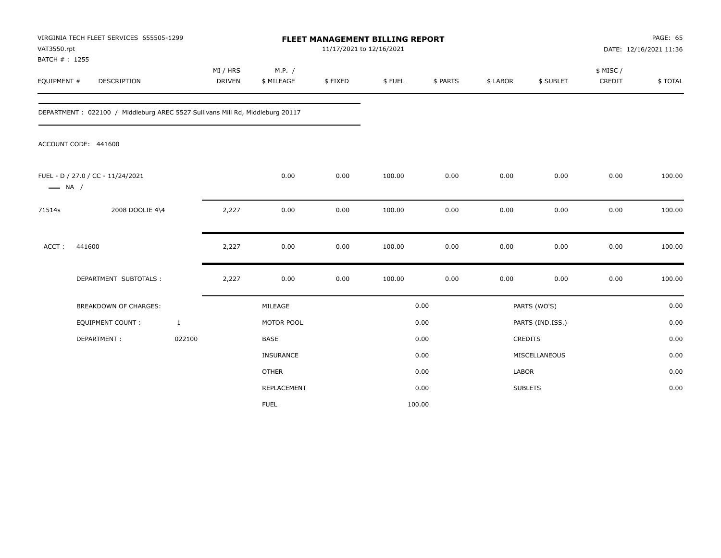| VAT3550.rpt<br>BATCH #: 1255 | VIRGINIA TECH FLEET SERVICES 655505-1299                                      | FLEET MANAGEMENT BILLING REPORT<br>11/17/2021 to 12/16/2021 |                      |         |        |          |          | PAGE: 65<br>DATE: 12/16/2021 11:36 |                     |         |
|------------------------------|-------------------------------------------------------------------------------|-------------------------------------------------------------|----------------------|---------|--------|----------|----------|------------------------------------|---------------------|---------|
| EQUIPMENT #                  | <b>DESCRIPTION</b>                                                            | MI / HRS<br><b>DRIVEN</b>                                   | M.P. /<br>\$ MILEAGE | \$FIXED | \$FUEL | \$ PARTS | \$ LABOR | \$ SUBLET                          | \$ MISC /<br>CREDIT | \$TOTAL |
|                              | DEPARTMENT: 022100 / Middleburg AREC 5527 Sullivans Mill Rd, Middleburg 20117 |                                                             |                      |         |        |          |          |                                    |                     |         |
|                              | ACCOUNT CODE: 441600                                                          |                                                             |                      |         |        |          |          |                                    |                     |         |
| $\longrightarrow$ NA /       | FUEL - D / 27.0 / CC - 11/24/2021                                             |                                                             | 0.00                 | 0.00    | 100.00 | 0.00     | 0.00     | 0.00                               | 0.00                | 100.00  |
| 71514s                       | 2008 DOOLIE 4\4                                                               | 2,227                                                       | 0.00                 | 0.00    | 100.00 | 0.00     | 0.00     | 0.00                               | 0.00                | 100.00  |
| ACCT:                        | 441600                                                                        | 2,227                                                       | 0.00                 | 0.00    | 100.00 | 0.00     | 0.00     | 0.00                               | 0.00                | 100.00  |
|                              | DEPARTMENT SUBTOTALS :                                                        | 2,227                                                       | 0.00                 | 0.00    | 100.00 | 0.00     | 0.00     | 0.00                               | 0.00                | 100.00  |
|                              | <b>BREAKDOWN OF CHARGES:</b>                                                  |                                                             | MILEAGE              |         |        | 0.00     |          | PARTS (WO'S)                       |                     | 0.00    |
|                              | <b>EQUIPMENT COUNT:</b>                                                       | $\mathbf{1}$                                                | MOTOR POOL           |         |        | 0.00     |          | PARTS (IND.ISS.)                   |                     | 0.00    |
|                              | DEPARTMENT:                                                                   | 022100                                                      | <b>BASE</b>          |         |        | 0.00     |          | <b>CREDITS</b>                     |                     | 0.00    |
|                              |                                                                               |                                                             | INSURANCE            |         |        | 0.00     |          | MISCELLANEOUS                      |                     | 0.00    |
|                              |                                                                               |                                                             | <b>OTHER</b>         |         |        | 0.00     | LABOR    |                                    |                     | 0.00    |
|                              |                                                                               |                                                             | REPLACEMENT          |         |        | 0.00     |          | <b>SUBLETS</b>                     |                     | 0.00    |
|                              |                                                                               |                                                             | <b>FUEL</b>          |         |        | 100.00   |          |                                    |                     |         |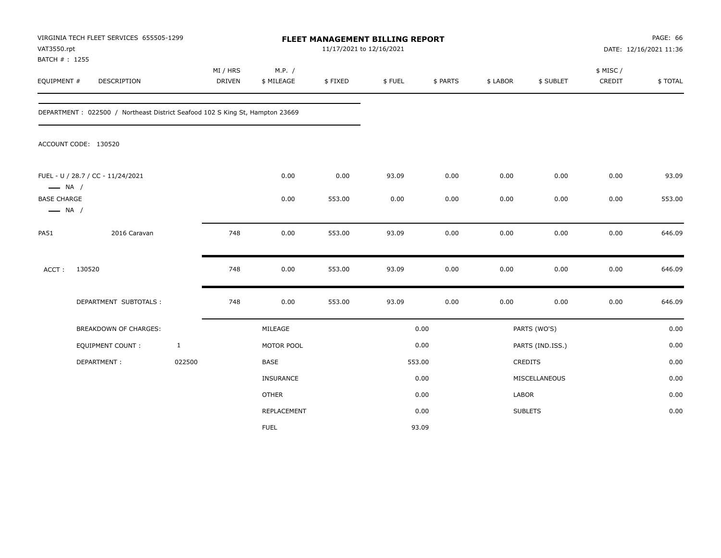| VAT3550.rpt<br>BATCH #: 1255                 | VIRGINIA TECH FLEET SERVICES 655505-1299                                     |              | FLEET MANAGEMENT BILLING REPORT<br>11/17/2021 to 12/16/2021 |                      |         |        |          |          | PAGE: 66<br>DATE: 12/16/2021 11:36 |                    |         |
|----------------------------------------------|------------------------------------------------------------------------------|--------------|-------------------------------------------------------------|----------------------|---------|--------|----------|----------|------------------------------------|--------------------|---------|
| EQUIPMENT #                                  | DESCRIPTION                                                                  |              | MI / HRS<br><b>DRIVEN</b>                                   | M.P. /<br>\$ MILEAGE | \$FIXED | \$FUEL | \$ PARTS | \$ LABOR | \$ SUBLET                          | \$ MISC/<br>CREDIT | \$TOTAL |
|                                              | DEPARTMENT: 022500 / Northeast District Seafood 102 S King St, Hampton 23669 |              |                                                             |                      |         |        |          |          |                                    |                    |         |
|                                              | ACCOUNT CODE: 130520                                                         |              |                                                             |                      |         |        |          |          |                                    |                    |         |
| $\longrightarrow$ NA /                       | FUEL - U / 28.7 / CC - 11/24/2021                                            |              |                                                             | 0.00                 | 0.00    | 93.09  | 0.00     | 0.00     | 0.00                               | 0.00               | 93.09   |
| <b>BASE CHARGE</b><br>$\longrightarrow$ NA / |                                                                              |              |                                                             | 0.00                 | 553.00  | 0.00   | 0.00     | 0.00     | 0.00                               | 0.00               | 553.00  |
| <b>PA51</b>                                  | 2016 Caravan                                                                 |              | 748                                                         | 0.00                 | 553.00  | 93.09  | 0.00     | 0.00     | 0.00                               | 0.00               | 646.09  |
| ACCT:                                        | 130520                                                                       |              | 748                                                         | 0.00                 | 553.00  | 93.09  | 0.00     | 0.00     | 0.00                               | 0.00               | 646.09  |
|                                              | DEPARTMENT SUBTOTALS :                                                       |              | 748                                                         | 0.00                 | 553.00  | 93.09  | 0.00     | 0.00     | 0.00                               | 0.00               | 646.09  |
|                                              | <b>BREAKDOWN OF CHARGES:</b>                                                 |              |                                                             | MILEAGE              |         |        | 0.00     |          | PARTS (WO'S)                       |                    | 0.00    |
|                                              | <b>EQUIPMENT COUNT:</b>                                                      | $\mathbf{1}$ |                                                             | MOTOR POOL           |         |        | 0.00     |          | PARTS (IND.ISS.)                   |                    | 0.00    |
|                                              | DEPARTMENT:                                                                  | 022500       |                                                             | BASE                 |         |        | 553.00   |          | <b>CREDITS</b>                     |                    | 0.00    |
|                                              |                                                                              |              |                                                             | INSURANCE            |         |        | 0.00     |          | MISCELLANEOUS                      |                    | 0.00    |
|                                              |                                                                              |              |                                                             | <b>OTHER</b>         |         |        | 0.00     | LABOR    |                                    |                    | 0.00    |
|                                              |                                                                              |              |                                                             | REPLACEMENT          |         |        | 0.00     |          | <b>SUBLETS</b>                     |                    | 0.00    |
|                                              |                                                                              |              |                                                             | <b>FUEL</b>          |         |        | 93.09    |          |                                    |                    |         |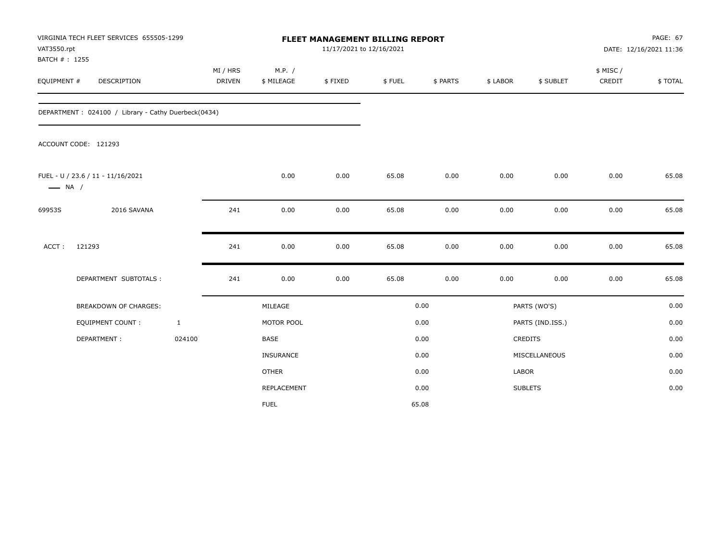| VAT3550.rpt<br>BATCH #: 1255 | VIRGINIA TECH FLEET SERVICES 655505-1299            |              |                    |                      |         | FLEET MANAGEMENT BILLING REPORT<br>11/17/2021 to 12/16/2021 |          |          |                  | <b>PAGE: 67</b><br>DATE: 12/16/2021 11:36 |         |  |
|------------------------------|-----------------------------------------------------|--------------|--------------------|----------------------|---------|-------------------------------------------------------------|----------|----------|------------------|-------------------------------------------|---------|--|
| EQUIPMENT #                  | DESCRIPTION                                         |              | MI / HRS<br>DRIVEN | M.P. /<br>\$ MILEAGE | \$FIXED | \$FUEL                                                      | \$ PARTS | \$ LABOR | \$ SUBLET        | \$ MISC/<br>CREDIT                        | \$TOTAL |  |
|                              | DEPARTMENT: 024100 / Library - Cathy Duerbeck(0434) |              |                    |                      |         |                                                             |          |          |                  |                                           |         |  |
|                              | ACCOUNT CODE: 121293                                |              |                    |                      |         |                                                             |          |          |                  |                                           |         |  |
| $\longrightarrow$ NA /       | FUEL - U / 23.6 / 11 - 11/16/2021                   |              |                    | 0.00                 | 0.00    | 65.08                                                       | 0.00     | 0.00     | 0.00             | 0.00                                      | 65.08   |  |
| 69953S                       | 2016 SAVANA                                         |              | 241                | 0.00                 | 0.00    | 65.08                                                       | 0.00     | 0.00     | 0.00             | 0.00                                      | 65.08   |  |
| ACCT:                        | 121293                                              |              | 241                | 0.00                 | 0.00    | 65.08                                                       | 0.00     | 0.00     | 0.00             | 0.00                                      | 65.08   |  |
|                              | DEPARTMENT SUBTOTALS :                              |              | 241                | 0.00                 | 0.00    | 65.08                                                       | 0.00     | 0.00     | 0.00             | 0.00                                      | 65.08   |  |
|                              | <b>BREAKDOWN OF CHARGES:</b>                        |              |                    | MILEAGE              |         |                                                             | 0.00     |          | PARTS (WO'S)     |                                           | 0.00    |  |
|                              | <b>EQUIPMENT COUNT:</b>                             | $\mathbf{1}$ |                    | MOTOR POOL           |         |                                                             | 0.00     |          | PARTS (IND.ISS.) |                                           | 0.00    |  |
|                              | DEPARTMENT:                                         | 024100       |                    | <b>BASE</b>          |         |                                                             | 0.00     |          | <b>CREDITS</b>   |                                           | 0.00    |  |
|                              |                                                     |              |                    | INSURANCE            |         |                                                             | 0.00     |          | MISCELLANEOUS    |                                           | 0.00    |  |
|                              |                                                     |              |                    | <b>OTHER</b>         |         |                                                             | 0.00     | LABOR    |                  |                                           | 0.00    |  |
|                              |                                                     |              |                    | REPLACEMENT          |         |                                                             | 0.00     |          | <b>SUBLETS</b>   |                                           | 0.00    |  |
|                              |                                                     |              |                    | <b>FUEL</b>          |         |                                                             | 65.08    |          |                  |                                           |         |  |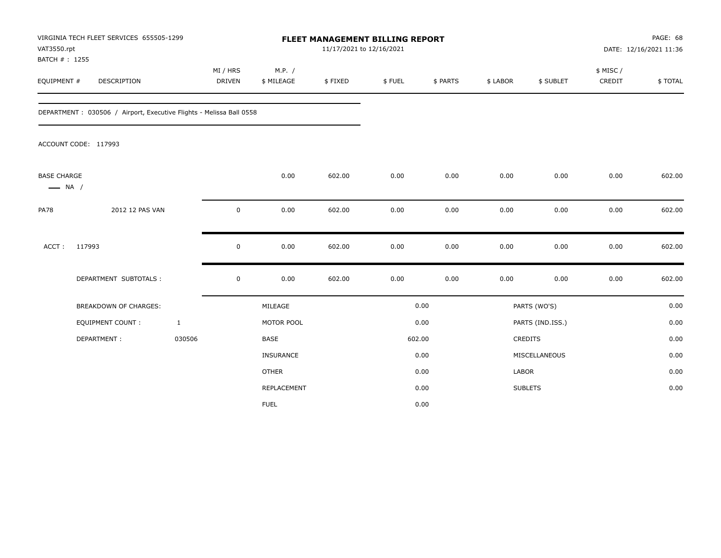| VAT3550.rpt                                  | VIRGINIA TECH FLEET SERVICES 655505-1299                             |                           | FLEET MANAGEMENT BILLING REPORT<br>11/17/2021 to 12/16/2021 |         |        |          |              |                  | PAGE: 68<br>DATE: 12/16/2021 11:36 |         |
|----------------------------------------------|----------------------------------------------------------------------|---------------------------|-------------------------------------------------------------|---------|--------|----------|--------------|------------------|------------------------------------|---------|
| BATCH #: 1255<br>EQUIPMENT #                 | DESCRIPTION                                                          | MI / HRS<br><b>DRIVEN</b> | M.P. /<br>\$ MILEAGE                                        | \$FIXED | \$FUEL | \$ PARTS | \$ LABOR     | \$ SUBLET        | \$ MISC /<br>CREDIT                | \$TOTAL |
|                                              | DEPARTMENT : 030506 / Airport, Executive Flights - Melissa Ball 0558 |                           |                                                             |         |        |          |              |                  |                                    |         |
|                                              | ACCOUNT CODE: 117993                                                 |                           |                                                             |         |        |          |              |                  |                                    |         |
| <b>BASE CHARGE</b><br>$\longrightarrow$ NA / |                                                                      |                           | 0.00                                                        | 602.00  | 0.00   | 0.00     | 0.00         | 0.00             | 0.00                               | 602.00  |
| <b>PA78</b>                                  | 2012 12 PAS VAN                                                      | 0                         | 0.00                                                        | 602.00  | 0.00   | 0.00     | 0.00         | 0.00             | 0.00                               | 602.00  |
| ACCT:                                        | 117993                                                               | 0                         | 0.00                                                        | 602.00  | 0.00   | 0.00     | 0.00         | 0.00             | 0.00                               | 602.00  |
|                                              | DEPARTMENT SUBTOTALS :                                               | $\mathsf 0$               | 0.00                                                        | 602.00  | 0.00   | 0.00     | 0.00         | 0.00             | 0.00                               | 602.00  |
|                                              | <b>BREAKDOWN OF CHARGES:</b>                                         |                           | MILEAGE                                                     |         |        | 0.00     |              | PARTS (WO'S)     |                                    | 0.00    |
|                                              | <b>EQUIPMENT COUNT:</b>                                              | $\mathbf{1}$              | MOTOR POOL                                                  |         |        | 0.00     |              | PARTS (IND.ISS.) |                                    | 0.00    |
|                                              | DEPARTMENT:                                                          | 030506                    | BASE                                                        |         |        | 602.00   |              | CREDITS          |                                    | 0.00    |
|                                              |                                                                      |                           | INSURANCE                                                   |         |        | 0.00     |              | MISCELLANEOUS    |                                    | 0.00    |
|                                              |                                                                      |                           | <b>OTHER</b>                                                |         |        | 0.00     | <b>LABOR</b> |                  |                                    | 0.00    |
|                                              |                                                                      |                           | REPLACEMENT                                                 |         |        | 0.00     |              | <b>SUBLETS</b>   |                                    | 0.00    |
|                                              |                                                                      |                           | <b>FUEL</b>                                                 |         |        | 0.00     |              |                  |                                    |         |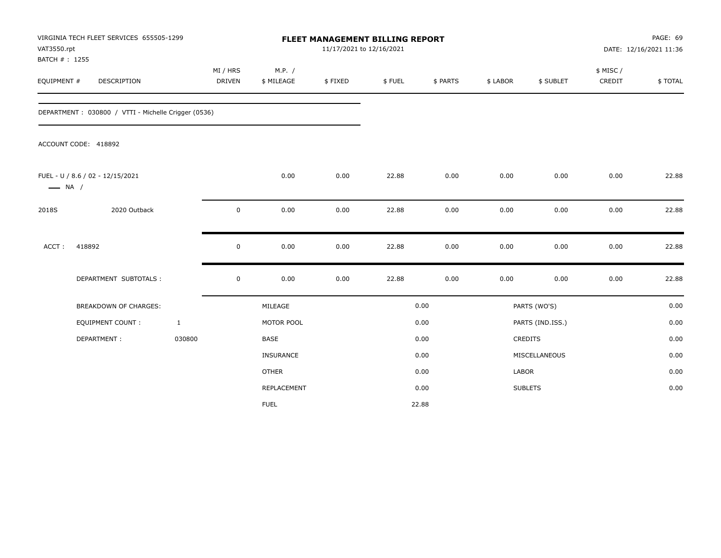| VAT3550.rpt                  | VIRGINIA TECH FLEET SERVICES 655505-1299            |              | FLEET MANAGEMENT BILLING REPORT<br>11/17/2021 to 12/16/2021 |                      |         |        |          |          |                  | PAGE: 69<br>DATE: 12/16/2021 11:36 |         |  |
|------------------------------|-----------------------------------------------------|--------------|-------------------------------------------------------------|----------------------|---------|--------|----------|----------|------------------|------------------------------------|---------|--|
| BATCH #: 1255<br>EQUIPMENT # | <b>DESCRIPTION</b>                                  |              | MI / HRS<br><b>DRIVEN</b>                                   | M.P. /<br>\$ MILEAGE | \$FIXED | \$FUEL | \$ PARTS | \$ LABOR | \$ SUBLET        | \$ MISC/<br>CREDIT                 | \$TOTAL |  |
|                              | DEPARTMENT: 030800 / VTTI - Michelle Crigger (0536) |              |                                                             |                      |         |        |          |          |                  |                                    |         |  |
|                              | ACCOUNT CODE: 418892                                |              |                                                             |                      |         |        |          |          |                  |                                    |         |  |
| $\longrightarrow$ NA /       | FUEL - U / 8.6 / 02 - 12/15/2021                    |              |                                                             | 0.00                 | 0.00    | 22.88  | 0.00     | 0.00     | 0.00             | 0.00                               | 22.88   |  |
| 2018S                        | 2020 Outback                                        |              | $\mathbf 0$                                                 | 0.00                 | 0.00    | 22.88  | 0.00     | 0.00     | 0.00             | 0.00                               | 22.88   |  |
| ACCT:                        | 418892                                              |              | $\mathbf 0$                                                 | 0.00                 | 0.00    | 22.88  | 0.00     | 0.00     | 0.00             | 0.00                               | 22.88   |  |
|                              | DEPARTMENT SUBTOTALS :                              |              | $\mathbf 0$                                                 | 0.00                 | 0.00    | 22.88  | 0.00     | 0.00     | 0.00             | 0.00                               | 22.88   |  |
|                              | <b>BREAKDOWN OF CHARGES:</b>                        |              |                                                             | MILEAGE              |         |        | 0.00     |          | PARTS (WO'S)     |                                    | 0.00    |  |
|                              | <b>EQUIPMENT COUNT:</b>                             | $\mathbf{1}$ |                                                             | MOTOR POOL           |         |        | 0.00     |          | PARTS (IND.ISS.) |                                    | 0.00    |  |
|                              | DEPARTMENT:                                         | 030800       |                                                             | <b>BASE</b>          |         |        | 0.00     |          | <b>CREDITS</b>   |                                    | 0.00    |  |
|                              |                                                     |              |                                                             | <b>INSURANCE</b>     |         |        | 0.00     |          | MISCELLANEOUS    |                                    | 0.00    |  |
|                              |                                                     |              |                                                             | <b>OTHER</b>         |         |        | 0.00     | LABOR    |                  |                                    | 0.00    |  |
|                              |                                                     |              |                                                             | REPLACEMENT          |         |        | 0.00     |          | <b>SUBLETS</b>   |                                    | 0.00    |  |
|                              |                                                     |              |                                                             | <b>FUEL</b>          |         |        | 22.88    |          |                  |                                    |         |  |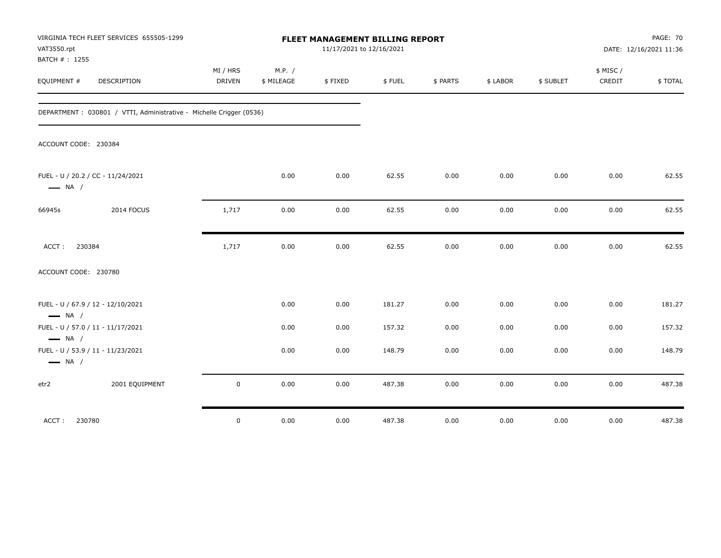| VAT3550.rpt<br>BATCH #: 1255 | VIRGINIA TECH FLEET SERVICES 655505-1299                             | FLEET MANAGEMENT BILLING REPORT<br>11/17/2021 to 12/16/2021 |                      |         |        |          |          |           | <b>PAGE: 70</b><br>DATE: 12/16/2021 11:36 |         |
|------------------------------|----------------------------------------------------------------------|-------------------------------------------------------------|----------------------|---------|--------|----------|----------|-----------|-------------------------------------------|---------|
| EQUIPMENT #                  | <b>DESCRIPTION</b>                                                   | MI / HRS<br><b>DRIVEN</b>                                   | M.P. /<br>\$ MILEAGE | \$FIXED | \$FUEL | \$ PARTS | \$ LABOR | \$ SUBLET | \$ MISC /<br>CREDIT                       | \$TOTAL |
|                              | DEPARTMENT : 030801 / VTTI, Administrative - Michelle Crigger (0536) |                                                             |                      |         |        |          |          |           |                                           |         |
| ACCOUNT CODE: 230384         |                                                                      |                                                             |                      |         |        |          |          |           |                                           |         |
| $\longrightarrow$ NA /       | FUEL - U / 20.2 / CC - 11/24/2021                                    |                                                             | 0.00                 | 0.00    | 62.55  | 0.00     | 0.00     | 0.00      | 0.00                                      | 62.55   |
| 66945s                       | 2014 FOCUS                                                           | 1,717                                                       | 0.00                 | 0.00    | 62.55  | 0.00     | 0.00     | 0.00      | 0.00                                      | 62.55   |
| 230384<br>ACCT:              |                                                                      | 1,717                                                       | 0.00                 | 0.00    | 62.55  | 0.00     | 0.00     | 0.00      | 0.00                                      | 62.55   |
| ACCOUNT CODE: 230780         |                                                                      |                                                             |                      |         |        |          |          |           |                                           |         |
| $\longrightarrow$ NA /       | FUEL - U / 67.9 / 12 - 12/10/2021                                    |                                                             | 0.00                 | 0.00    | 181.27 | 0.00     | 0.00     | 0.00      | 0.00                                      | 181.27  |
| $\longrightarrow$ NA /       | FUEL - U / 57.0 / 11 - 11/17/2021                                    |                                                             | 0.00                 | 0.00    | 157.32 | 0.00     | 0.00     | 0.00      | 0.00                                      | 157.32  |
| $\longrightarrow$ NA /       | FUEL - U / 53.9 / 11 - 11/23/2021                                    |                                                             | 0.00                 | 0.00    | 148.79 | 0.00     | 0.00     | 0.00      | 0.00                                      | 148.79  |
| etr2                         | 2001 EQUIPMENT                                                       | $\mathbf 0$                                                 | 0.00                 | 0.00    | 487.38 | 0.00     | 0.00     | 0.00      | 0.00                                      | 487.38  |
| ACCT: 230780                 |                                                                      | $\mathbf 0$                                                 | 0.00                 | 0.00    | 487.38 | 0.00     | 0.00     | 0.00      | 0.00                                      | 487.38  |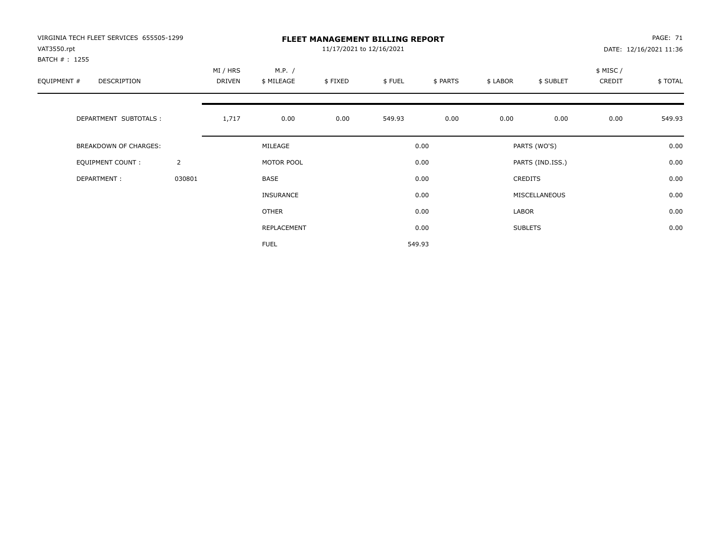| VIRGINIA TECH FLEET SERVICES 655505-1299<br>VAT3550.rpt |                | <b>FLEET MANAGEMENT BILLING REPORT</b><br>11/17/2021 to 12/16/2021 |                      |         |        |          |          |                  |                    | PAGE: 71<br>DATE: 12/16/2021 11:36 |  |
|---------------------------------------------------------|----------------|--------------------------------------------------------------------|----------------------|---------|--------|----------|----------|------------------|--------------------|------------------------------------|--|
| BATCH #: 1255<br>EQUIPMENT #<br>DESCRIPTION             |                | MI / HRS<br>DRIVEN                                                 | M.P. /<br>\$ MILEAGE | \$FIXED | \$FUEL | \$ PARTS | \$ LABOR | \$ SUBLET        | \$ MISC/<br>CREDIT | \$TOTAL                            |  |
| DEPARTMENT SUBTOTALS :                                  |                | 1,717                                                              | 0.00                 | 0.00    | 549.93 | 0.00     | 0.00     | 0.00             | 0.00               | 549.93                             |  |
| <b>BREAKDOWN OF CHARGES:</b>                            |                |                                                                    | MILEAGE              |         |        | 0.00     |          | PARTS (WO'S)     |                    | 0.00                               |  |
| EQUIPMENT COUNT:                                        | $\overline{2}$ |                                                                    | MOTOR POOL           |         |        | 0.00     |          | PARTS (IND.ISS.) |                    | 0.00                               |  |
| DEPARTMENT:                                             | 030801         |                                                                    | <b>BASE</b>          |         |        | 0.00     |          | <b>CREDITS</b>   |                    | 0.00                               |  |
|                                                         |                |                                                                    | <b>INSURANCE</b>     |         |        | 0.00     |          | MISCELLANEOUS    |                    | 0.00                               |  |
|                                                         |                |                                                                    | <b>OTHER</b>         |         |        | 0.00     | LABOR    |                  |                    | 0.00                               |  |
|                                                         |                |                                                                    | REPLACEMENT          |         |        | 0.00     |          | <b>SUBLETS</b>   |                    | 0.00                               |  |
|                                                         |                |                                                                    | <b>FUEL</b>          |         |        | 549.93   |          |                  |                    |                                    |  |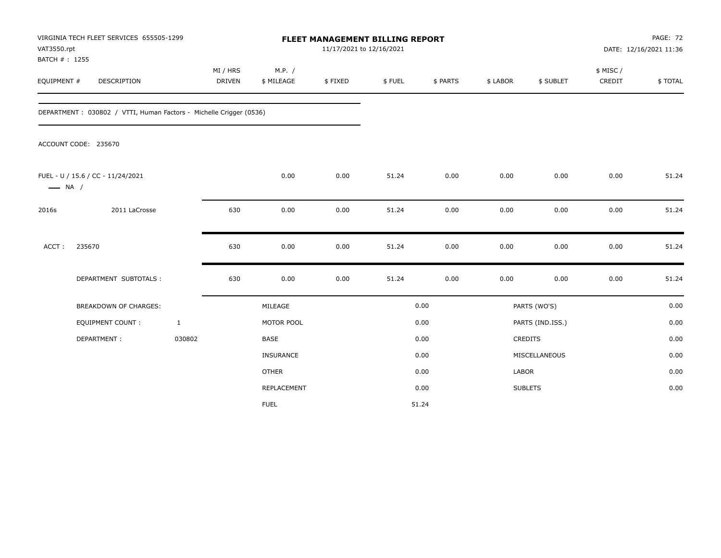| VAT3550.rpt            | VIRGINIA TECH FLEET SERVICES 655505-1299                           |              | <b>FLEET MANAGEMENT BILLING REPORT</b><br>11/17/2021 to 12/16/2021 |              |         |        |          |              | PAGE: 72<br>DATE: 12/16/2021 11:36 |           |         |
|------------------------|--------------------------------------------------------------------|--------------|--------------------------------------------------------------------|--------------|---------|--------|----------|--------------|------------------------------------|-----------|---------|
| BATCH #: 1255          |                                                                    |              | MI / HRS                                                           | M.P. /       |         |        |          |              |                                    | \$ MISC / |         |
| EQUIPMENT #            | DESCRIPTION                                                        |              | <b>DRIVEN</b>                                                      | \$ MILEAGE   | \$FIXED | \$FUEL | \$ PARTS | \$ LABOR     | \$ SUBLET                          | CREDIT    | \$TOTAL |
|                        | DEPARTMENT: 030802 / VTTI, Human Factors - Michelle Crigger (0536) |              |                                                                    |              |         |        |          |              |                                    |           |         |
|                        | ACCOUNT CODE: 235670                                               |              |                                                                    |              |         |        |          |              |                                    |           |         |
| $\longrightarrow$ NA / | FUEL - U / 15.6 / CC - 11/24/2021                                  |              |                                                                    | 0.00         | 0.00    | 51.24  | 0.00     | 0.00         | 0.00                               | 0.00      | 51.24   |
| 2016s                  | 2011 LaCrosse                                                      |              | 630                                                                | 0.00         | 0.00    | 51.24  | 0.00     | 0.00         | 0.00                               | 0.00      | 51.24   |
| ACCT:                  | 235670                                                             |              | 630                                                                | 0.00         | 0.00    | 51.24  | 0.00     | 0.00         | 0.00                               | 0.00      | 51.24   |
|                        | DEPARTMENT SUBTOTALS :                                             |              | 630                                                                | 0.00         | 0.00    | 51.24  | 0.00     | 0.00         | 0.00                               | 0.00      | 51.24   |
|                        | <b>BREAKDOWN OF CHARGES:</b>                                       |              |                                                                    | MILEAGE      |         |        | 0.00     |              | PARTS (WO'S)                       |           | 0.00    |
|                        | <b>EQUIPMENT COUNT:</b>                                            | $\mathbf{1}$ |                                                                    | MOTOR POOL   |         |        | 0.00     |              | PARTS (IND.ISS.)                   |           | 0.00    |
|                        | DEPARTMENT:                                                        | 030802       |                                                                    | <b>BASE</b>  |         |        | 0.00     |              | CREDITS                            |           | 0.00    |
|                        |                                                                    |              |                                                                    | INSURANCE    |         |        | 0.00     |              | MISCELLANEOUS                      |           | 0.00    |
|                        |                                                                    |              |                                                                    | <b>OTHER</b> |         |        | 0.00     | <b>LABOR</b> |                                    |           | 0.00    |
|                        |                                                                    |              |                                                                    | REPLACEMENT  |         |        | 0.00     |              | <b>SUBLETS</b>                     |           | 0.00    |
|                        |                                                                    |              |                                                                    | <b>FUEL</b>  |         |        | 51.24    |              |                                    |           |         |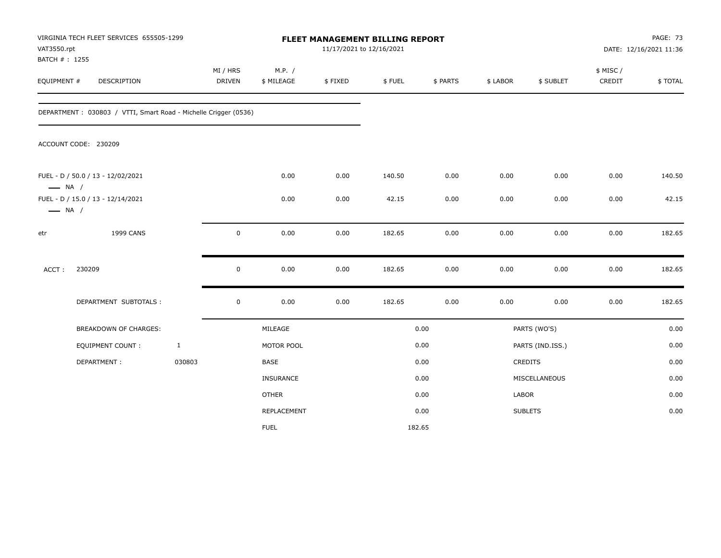| VAT3550.rpt<br>BATCH #: 1255 | VIRGINIA TECH FLEET SERVICES 655505-1299                        |              |                    |                      | 11/17/2021 to 12/16/2021 | FLEET MANAGEMENT BILLING REPORT |          |          |                  |                    | <b>PAGE: 73</b><br>DATE: 12/16/2021 11:36 |
|------------------------------|-----------------------------------------------------------------|--------------|--------------------|----------------------|--------------------------|---------------------------------|----------|----------|------------------|--------------------|-------------------------------------------|
| EQUIPMENT #                  | DESCRIPTION                                                     |              | MI / HRS<br>DRIVEN | M.P. /<br>\$ MILEAGE | \$FIXED                  | \$FUEL                          | \$ PARTS | \$ LABOR | \$ SUBLET        | \$ MISC/<br>CREDIT | \$TOTAL                                   |
|                              | DEPARTMENT: 030803 / VTTI, Smart Road - Michelle Crigger (0536) |              |                    |                      |                          |                                 |          |          |                  |                    |                                           |
|                              | ACCOUNT CODE: 230209                                            |              |                    |                      |                          |                                 |          |          |                  |                    |                                           |
| $\longrightarrow$ NA /       | FUEL - D / 50.0 / 13 - 12/02/2021                               |              |                    | 0.00                 | 0.00                     | 140.50                          | 0.00     | 0.00     | 0.00             | 0.00               | 140.50                                    |
| $\longrightarrow$ NA /       | FUEL - D / 15.0 / 13 - 12/14/2021                               |              |                    | 0.00                 | 0.00                     | 42.15                           | 0.00     | 0.00     | 0.00             | 0.00               | 42.15                                     |
| etr                          | 1999 CANS                                                       |              | $\mathbf 0$        | 0.00                 | 0.00                     | 182.65                          | 0.00     | 0.00     | 0.00             | 0.00               | 182.65                                    |
| ACCT:                        | 230209                                                          |              | $\mathsf 0$        | 0.00                 | 0.00                     | 182.65                          | 0.00     | 0.00     | 0.00             | 0.00               | 182.65                                    |
|                              | DEPARTMENT SUBTOTALS :                                          |              | $\mathbf 0$        | 0.00                 | 0.00                     | 182.65                          | 0.00     | 0.00     | 0.00             | 0.00               | 182.65                                    |
|                              | BREAKDOWN OF CHARGES:                                           |              |                    | MILEAGE              |                          |                                 | 0.00     |          | PARTS (WO'S)     |                    | 0.00                                      |
|                              | EQUIPMENT COUNT :                                               | $\mathbf{1}$ |                    | MOTOR POOL           |                          |                                 | 0.00     |          | PARTS (IND.ISS.) |                    | 0.00                                      |
|                              | DEPARTMENT:                                                     | 030803       |                    | BASE                 |                          |                                 | 0.00     |          | CREDITS          |                    | 0.00                                      |
|                              |                                                                 |              |                    | <b>INSURANCE</b>     |                          |                                 | 0.00     |          | MISCELLANEOUS    |                    | 0.00                                      |
|                              |                                                                 |              |                    | <b>OTHER</b>         |                          |                                 | 0.00     | LABOR    |                  |                    | 0.00                                      |
|                              |                                                                 |              |                    | REPLACEMENT          |                          |                                 | 0.00     |          | <b>SUBLETS</b>   |                    | 0.00                                      |
|                              |                                                                 |              |                    | <b>FUEL</b>          |                          | 182.65                          |          |          |                  |                    |                                           |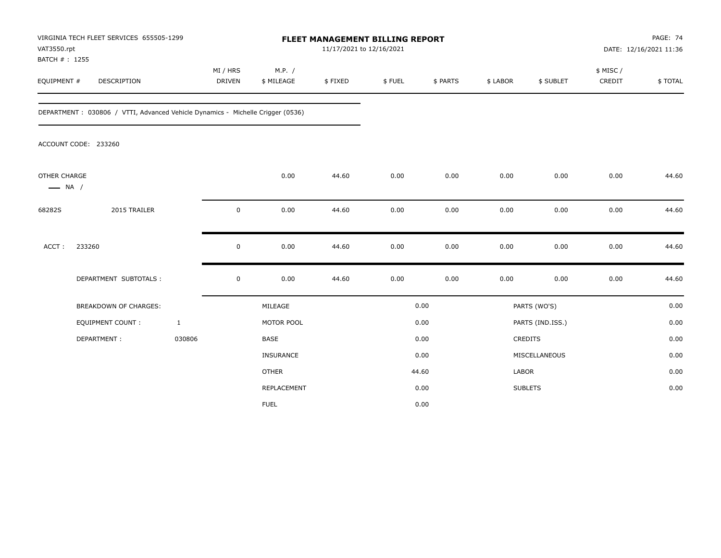| VAT3550.rpt<br>BATCH #: 1255           | VIRGINIA TECH FLEET SERVICES 655505-1299                                       |                           |                      | FLEET MANAGEMENT BILLING REPORT<br>11/17/2021 to 12/16/2021 |        |          |              |                  |                     | PAGE: 74<br>DATE: 12/16/2021 11:36 |
|----------------------------------------|--------------------------------------------------------------------------------|---------------------------|----------------------|-------------------------------------------------------------|--------|----------|--------------|------------------|---------------------|------------------------------------|
| EQUIPMENT #                            | DESCRIPTION                                                                    | MI / HRS<br><b>DRIVEN</b> | M.P. /<br>\$ MILEAGE | \$FIXED                                                     | \$FUEL | \$ PARTS | \$ LABOR     | \$ SUBLET        | \$ MISC /<br>CREDIT | \$TOTAL                            |
|                                        | DEPARTMENT: 030806 / VTTI, Advanced Vehicle Dynamics - Michelle Crigger (0536) |                           |                      |                                                             |        |          |              |                  |                     |                                    |
|                                        | ACCOUNT CODE: 233260                                                           |                           |                      |                                                             |        |          |              |                  |                     |                                    |
| OTHER CHARGE<br>$\longrightarrow$ NA / |                                                                                |                           | 0.00                 | 44.60                                                       | 0.00   | 0.00     | 0.00         | 0.00             | 0.00                | 44.60                              |
| 68282S                                 | 2015 TRAILER                                                                   | $\mathbf 0$               | 0.00                 | 44.60                                                       | 0.00   | 0.00     | 0.00         | 0.00             | 0.00                | 44.60                              |
| ACCT:                                  | 233260                                                                         | 0                         | 0.00                 | 44.60                                                       | 0.00   | 0.00     | 0.00         | 0.00             | 0.00                | 44.60                              |
|                                        | DEPARTMENT SUBTOTALS :                                                         | $\mathsf 0$               | 0.00                 | 44.60                                                       | 0.00   | 0.00     | 0.00         | 0.00             | 0.00                | 44.60                              |
|                                        | <b>BREAKDOWN OF CHARGES:</b>                                                   |                           | MILEAGE              |                                                             |        | 0.00     |              | PARTS (WO'S)     |                     | 0.00                               |
|                                        | EQUIPMENT COUNT :                                                              | $\mathbf{1}$              | MOTOR POOL           |                                                             |        | 0.00     |              | PARTS (IND.ISS.) |                     | 0.00                               |
|                                        | DEPARTMENT:                                                                    | 030806                    | BASE                 |                                                             |        | 0.00     |              | CREDITS          |                     | 0.00                               |
|                                        |                                                                                |                           | INSURANCE            |                                                             |        | 0.00     |              | MISCELLANEOUS    |                     | 0.00                               |
|                                        |                                                                                |                           | <b>OTHER</b>         |                                                             |        | 44.60    | <b>LABOR</b> |                  |                     | 0.00                               |
|                                        |                                                                                |                           | REPLACEMENT          |                                                             |        | 0.00     |              | <b>SUBLETS</b>   |                     | 0.00                               |
|                                        |                                                                                |                           | <b>FUEL</b>          |                                                             |        | 0.00     |              |                  |                     |                                    |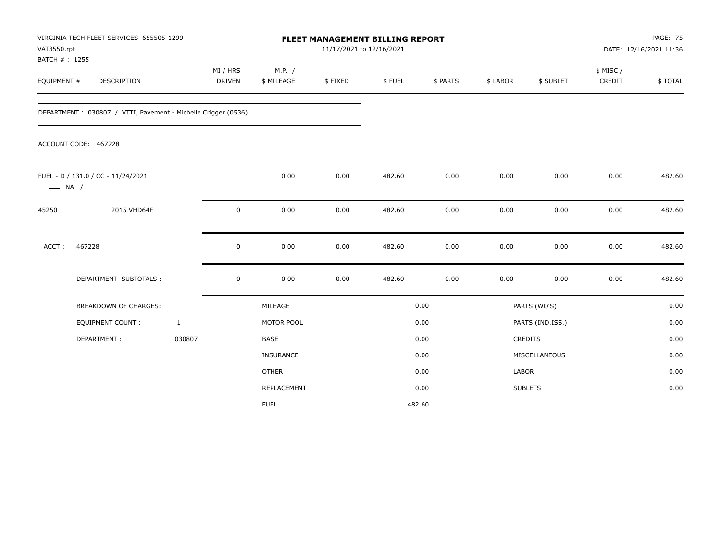| VAT3550.rpt<br>BATCH #: 1255 | VIRGINIA TECH FLEET SERVICES 655505-1299                      |              |                           |                      | 11/17/2021 to 12/16/2021 | <b>FLEET MANAGEMENT BILLING REPORT</b> |          |          |                  |                     | <b>PAGE: 75</b><br>DATE: 12/16/2021 11:36 |
|------------------------------|---------------------------------------------------------------|--------------|---------------------------|----------------------|--------------------------|----------------------------------------|----------|----------|------------------|---------------------|-------------------------------------------|
| EQUIPMENT #                  | DESCRIPTION                                                   |              | MI / HRS<br><b>DRIVEN</b> | M.P. /<br>\$ MILEAGE | \$FIXED                  | \$FUEL                                 | \$ PARTS | \$ LABOR | \$ SUBLET        | \$ MISC /<br>CREDIT | \$TOTAL                                   |
|                              | DEPARTMENT: 030807 / VTTI, Pavement - Michelle Crigger (0536) |              |                           |                      |                          |                                        |          |          |                  |                     |                                           |
|                              | ACCOUNT CODE: 467228                                          |              |                           |                      |                          |                                        |          |          |                  |                     |                                           |
| $\longrightarrow$ NA /       | FUEL - D / 131.0 / CC - 11/24/2021                            |              |                           | 0.00                 | 0.00                     | 482.60                                 | 0.00     | 0.00     | 0.00             | 0.00                | 482.60                                    |
| 45250                        | 2015 VHD64F                                                   |              | $\mathbf 0$               | 0.00                 | 0.00                     | 482.60                                 | 0.00     | 0.00     | 0.00             | 0.00                | 482.60                                    |
| ACCT:                        | 467228                                                        |              | $\mathbf 0$               | 0.00                 | 0.00                     | 482.60                                 | 0.00     | 0.00     | 0.00             | 0.00                | 482.60                                    |
|                              | DEPARTMENT SUBTOTALS :                                        |              | $\mathbf 0$               | 0.00                 | 0.00                     | 482.60                                 | 0.00     | 0.00     | 0.00             | 0.00                | 482.60                                    |
|                              | <b>BREAKDOWN OF CHARGES:</b>                                  |              |                           | MILEAGE              |                          |                                        | 0.00     |          | PARTS (WO'S)     |                     | 0.00                                      |
|                              | <b>EQUIPMENT COUNT:</b>                                       | $\mathbf{1}$ |                           | MOTOR POOL           |                          |                                        | 0.00     |          | PARTS (IND.ISS.) |                     | 0.00                                      |
|                              | DEPARTMENT:                                                   | 030807       |                           | <b>BASE</b>          |                          |                                        | 0.00     |          | CREDITS          |                     | 0.00                                      |
|                              |                                                               |              |                           | INSURANCE            |                          |                                        | 0.00     |          | MISCELLANEOUS    |                     | 0.00                                      |
|                              |                                                               |              |                           | <b>OTHER</b>         |                          |                                        | 0.00     | LABOR    |                  |                     | 0.00                                      |
|                              |                                                               |              |                           | <b>REPLACEMENT</b>   |                          |                                        | 0.00     |          | <b>SUBLETS</b>   |                     | 0.00                                      |
|                              |                                                               |              |                           | <b>FUEL</b>          |                          | 482.60                                 |          |          |                  |                     |                                           |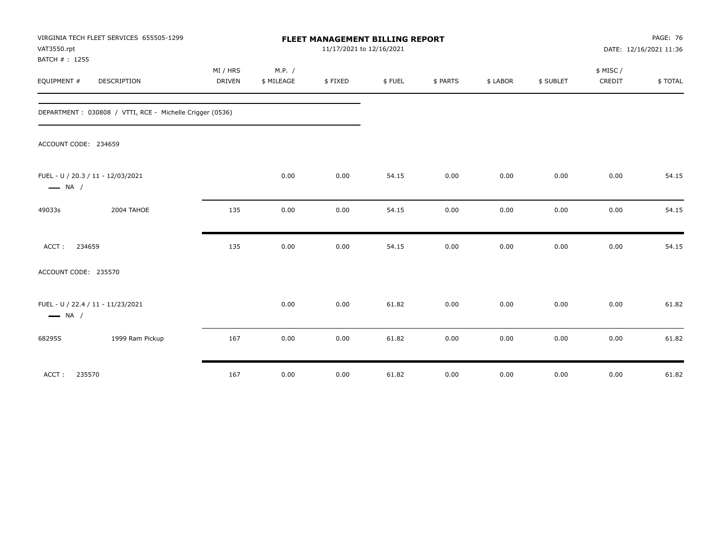| VAT3550.rpt<br>BATCH #: 1255 | VIRGINIA TECH FLEET SERVICES 655505-1299                 |                    |                      | <b>FLEET MANAGEMENT BILLING REPORT</b><br>11/17/2021 to 12/16/2021 |        |          |          |           |                    | <b>PAGE: 76</b><br>DATE: 12/16/2021 11:36 |
|------------------------------|----------------------------------------------------------|--------------------|----------------------|--------------------------------------------------------------------|--------|----------|----------|-----------|--------------------|-------------------------------------------|
| EQUIPMENT #                  | DESCRIPTION                                              | MI / HRS<br>DRIVEN | M.P. /<br>\$ MILEAGE | \$FIXED                                                            | \$FUEL | \$ PARTS | \$ LABOR | \$ SUBLET | \$ MISC/<br>CREDIT | \$TOTAL                                   |
|                              | DEPARTMENT: 030808 / VTTI, RCE - Michelle Crigger (0536) |                    |                      |                                                                    |        |          |          |           |                    |                                           |
| ACCOUNT CODE: 234659         |                                                          |                    |                      |                                                                    |        |          |          |           |                    |                                           |
| $\longrightarrow$ NA /       | FUEL - U / 20.3 / 11 - 12/03/2021                        |                    | 0.00                 | 0.00                                                               | 54.15  | 0.00     | 0.00     | 0.00      | 0.00               | 54.15                                     |
| 49033s                       | 2004 TAHOE                                               | 135                | 0.00                 | 0.00                                                               | 54.15  | 0.00     | 0.00     | 0.00      | 0.00               | 54.15                                     |
| ACCT:<br>234659              |                                                          | 135                | 0.00                 | 0.00                                                               | 54.15  | 0.00     | 0.00     | 0.00      | 0.00               | 54.15                                     |
| ACCOUNT CODE: 235570         |                                                          |                    |                      |                                                                    |        |          |          |           |                    |                                           |
| $\longrightarrow$ NA /       | FUEL - U / 22.4 / 11 - 11/23/2021                        |                    | 0.00                 | 0.00                                                               | 61.82  | 0.00     | 0.00     | 0.00      | 0.00               | 61.82                                     |
| 68295S                       | 1999 Ram Pickup                                          | 167                | 0.00                 | 0.00                                                               | 61.82  | 0.00     | 0.00     | 0.00      | 0.00               | 61.82                                     |
| ACCT:<br>235570              |                                                          | 167                | 0.00                 | 0.00                                                               | 61.82  | 0.00     | 0.00     | 0.00      | 0.00               | 61.82                                     |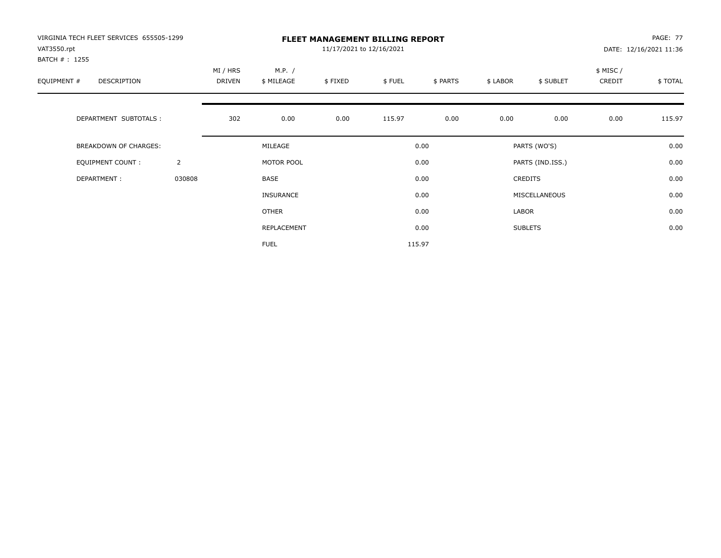| VIRGINIA TECH FLEET SERVICES 655505-1299<br>VAT3550.rpt |                |                    |                      | 11/17/2021 to 12/16/2021 | <b>FLEET MANAGEMENT BILLING REPORT</b> |          |          |                  |                     | <b>PAGE: 77</b><br>DATE: 12/16/2021 11:36 |
|---------------------------------------------------------|----------------|--------------------|----------------------|--------------------------|----------------------------------------|----------|----------|------------------|---------------------|-------------------------------------------|
| BATCH #: 1255<br>EQUIPMENT #<br><b>DESCRIPTION</b>      |                | MI / HRS<br>DRIVEN | M.P. /<br>\$ MILEAGE | \$FIXED                  | \$FUEL                                 | \$ PARTS | \$ LABOR | \$ SUBLET        | \$ MISC /<br>CREDIT | \$TOTAL                                   |
| DEPARTMENT SUBTOTALS :                                  |                | 302                | 0.00                 | 0.00                     | 115.97                                 | 0.00     | 0.00     | 0.00             | 0.00                | 115.97                                    |
| <b>BREAKDOWN OF CHARGES:</b>                            |                |                    | MILEAGE              |                          |                                        | 0.00     |          | PARTS (WO'S)     |                     | 0.00                                      |
| EQUIPMENT COUNT:                                        | $\overline{2}$ |                    | MOTOR POOL           |                          |                                        | 0.00     |          | PARTS (IND.ISS.) |                     | 0.00                                      |
| DEPARTMENT:                                             | 030808         |                    | <b>BASE</b>          |                          |                                        | 0.00     |          | <b>CREDITS</b>   |                     | 0.00                                      |
|                                                         |                |                    | INSURANCE            |                          |                                        | 0.00     |          | MISCELLANEOUS    |                     | 0.00                                      |
|                                                         |                |                    | OTHER                |                          |                                        | 0.00     | LABOR    |                  |                     | 0.00                                      |
|                                                         |                |                    | REPLACEMENT          |                          |                                        | 0.00     |          | <b>SUBLETS</b>   |                     | 0.00                                      |
|                                                         |                |                    | <b>FUEL</b>          |                          |                                        | 115.97   |          |                  |                     |                                           |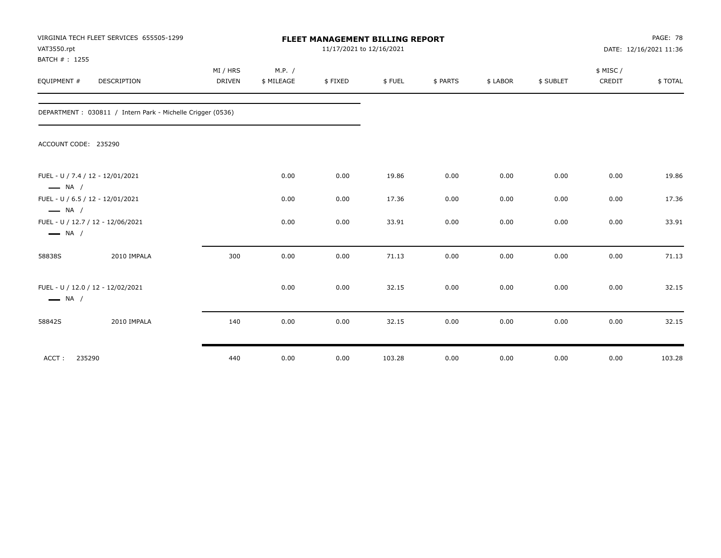| VAT3550.rpt<br>BATCH #: 1255 | VIRGINIA TECH FLEET SERVICES 655505-1299                    |          |            | FLEET MANAGEMENT BILLING REPORT<br>11/17/2021 to 12/16/2021 |        |          |          |           |           | PAGE: 78<br>DATE: 12/16/2021 11:36 |
|------------------------------|-------------------------------------------------------------|----------|------------|-------------------------------------------------------------|--------|----------|----------|-----------|-----------|------------------------------------|
|                              |                                                             | MI / HRS | M.P. /     |                                                             |        |          |          |           | \$ MISC / |                                    |
| EQUIPMENT #                  | DESCRIPTION                                                 | DRIVEN   | \$ MILEAGE | \$FIXED                                                     | \$FUEL | \$ PARTS | \$ LABOR | \$ SUBLET | CREDIT    | \$TOTAL                            |
|                              | DEPARTMENT : 030811 / Intern Park - Michelle Crigger (0536) |          |            |                                                             |        |          |          |           |           |                                    |
| ACCOUNT CODE: 235290         |                                                             |          |            |                                                             |        |          |          |           |           |                                    |
| $\longrightarrow$ NA /       | FUEL - U / 7.4 / 12 - 12/01/2021                            |          | 0.00       | 0.00                                                        | 19.86  | 0.00     | 0.00     | 0.00      | 0.00      | 19.86                              |
| $\longrightarrow$ NA /       | FUEL - U / 6.5 / 12 - 12/01/2021                            |          | 0.00       | 0.00                                                        | 17.36  | 0.00     | 0.00     | 0.00      | 0.00      | 17.36                              |
| $\longrightarrow$ NA /       | FUEL - U / 12.7 / 12 - 12/06/2021                           |          | 0.00       | 0.00                                                        | 33.91  | 0.00     | 0.00     | 0.00      | 0.00      | 33.91                              |
| 58838S                       | 2010 IMPALA                                                 | 300      | 0.00       | 0.00                                                        | 71.13  | 0.00     | 0.00     | 0.00      | 0.00      | 71.13                              |
| $\longrightarrow$ NA /       | FUEL - U / 12.0 / 12 - 12/02/2021                           |          | 0.00       | 0.00                                                        | 32.15  | 0.00     | 0.00     | 0.00      | 0.00      | 32.15                              |
| 58842S                       | 2010 IMPALA                                                 | 140      | 0.00       | 0.00                                                        | 32.15  | 0.00     | 0.00     | 0.00      | 0.00      | 32.15                              |
| 235290<br>ACCT:              |                                                             | 440      | 0.00       | 0.00                                                        | 103.28 | 0.00     | 0.00     | 0.00      | 0.00      | 103.28                             |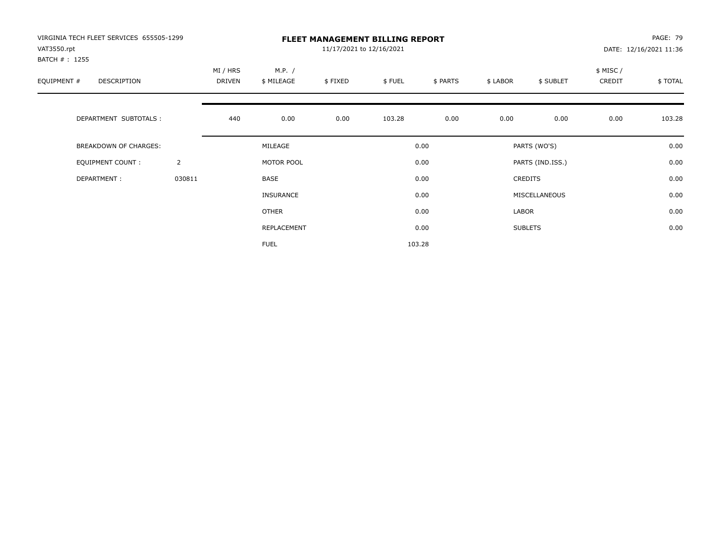| VIRGINIA TECH FLEET SERVICES 655505-1299<br>VAT3550.rpt<br>BATCH # : 1255 |                |                    |                      | 11/17/2021 to 12/16/2021 | <b>FLEET MANAGEMENT BILLING REPORT</b> |          |          |                  |                     | PAGE: 79<br>DATE: 12/16/2021 11:36 |
|---------------------------------------------------------------------------|----------------|--------------------|----------------------|--------------------------|----------------------------------------|----------|----------|------------------|---------------------|------------------------------------|
| EQUIPMENT #<br>DESCRIPTION                                                |                | MI / HRS<br>DRIVEN | M.P. /<br>\$ MILEAGE | \$FIXED                  | \$FUEL                                 | \$ PARTS | \$ LABOR | \$ SUBLET        | \$ MISC /<br>CREDIT | \$TOTAL                            |
| DEPARTMENT SUBTOTALS :                                                    |                | 440                | 0.00                 | 0.00                     | 103.28                                 | 0.00     | 0.00     | 0.00             | 0.00                | 103.28                             |
| BREAKDOWN OF CHARGES:                                                     |                |                    | MILEAGE              |                          |                                        | 0.00     |          | PARTS (WO'S)     |                     | 0.00                               |
| <b>EQUIPMENT COUNT:</b>                                                   | $\overline{2}$ |                    | MOTOR POOL           |                          |                                        | 0.00     |          | PARTS (IND.ISS.) |                     | 0.00                               |
| DEPARTMENT:                                                               | 030811         |                    | <b>BASE</b>          |                          |                                        | 0.00     |          | <b>CREDITS</b>   |                     | 0.00                               |
|                                                                           |                |                    | <b>INSURANCE</b>     |                          |                                        | 0.00     |          | MISCELLANEOUS    |                     | 0.00                               |
|                                                                           |                |                    | <b>OTHER</b>         |                          |                                        | 0.00     | LABOR    |                  |                     | 0.00                               |
|                                                                           |                |                    | REPLACEMENT          |                          |                                        | 0.00     |          | <b>SUBLETS</b>   |                     | 0.00                               |
|                                                                           |                |                    | <b>FUEL</b>          |                          |                                        | 103.28   |          |                  |                     |                                    |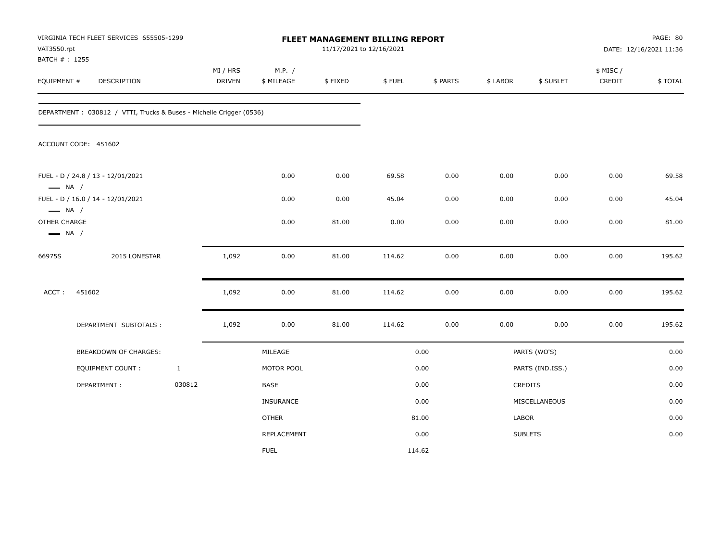| VAT3550.rpt<br>BATCH #: 1255                                     | VIRGINIA TECH FLEET SERVICES 655505-1299                            |              |                    |                      | FLEET MANAGEMENT BILLING REPORT<br>11/17/2021 to 12/16/2021 |        |          |          |                  |                     | PAGE: 80<br>DATE: 12/16/2021 11:36 |
|------------------------------------------------------------------|---------------------------------------------------------------------|--------------|--------------------|----------------------|-------------------------------------------------------------|--------|----------|----------|------------------|---------------------|------------------------------------|
| EQUIPMENT #                                                      | DESCRIPTION                                                         |              | MI / HRS<br>DRIVEN | M.P. /<br>\$ MILEAGE | \$FIXED                                                     | \$FUEL | \$ PARTS | \$ LABOR | \$ SUBLET        | \$ MISC /<br>CREDIT | \$TOTAL                            |
|                                                                  | DEPARTMENT: 030812 / VTTI, Trucks & Buses - Michelle Crigger (0536) |              |                    |                      |                                                             |        |          |          |                  |                     |                                    |
|                                                                  | ACCOUNT CODE: 451602                                                |              |                    |                      |                                                             |        |          |          |                  |                     |                                    |
| $\longrightarrow$ NA /                                           | FUEL - D / 24.8 / 13 - 12/01/2021                                   |              |                    | 0.00                 | 0.00                                                        | 69.58  | 0.00     | 0.00     | 0.00             | 0.00                | 69.58                              |
|                                                                  | FUEL - D / 16.0 / 14 - 12/01/2021                                   |              |                    | 0.00                 | 0.00                                                        | 45.04  | 0.00     | 0.00     | 0.00             | 0.00                | 45.04                              |
| $\longrightarrow$ NA /<br>OTHER CHARGE<br>$\longrightarrow$ NA / |                                                                     |              |                    | 0.00                 | 81.00                                                       | 0.00   | 0.00     | 0.00     | 0.00             | 0.00                | 81.00                              |
| 66975S                                                           | 2015 LONESTAR                                                       |              | 1,092              | 0.00                 | 81.00                                                       | 114.62 | 0.00     | 0.00     | 0.00             | 0.00                | 195.62                             |
| ACCT:                                                            | 451602                                                              |              | 1,092              | 0.00                 | 81.00                                                       | 114.62 | 0.00     | 0.00     | 0.00             | 0.00                | 195.62                             |
|                                                                  | DEPARTMENT SUBTOTALS :                                              |              | 1,092              | 0.00                 | 81.00                                                       | 114.62 | $0.00\,$ | 0.00     | 0.00             | 0.00                | 195.62                             |
|                                                                  | BREAKDOWN OF CHARGES:                                               |              |                    | MILEAGE              |                                                             |        | 0.00     |          | PARTS (WO'S)     |                     | 0.00                               |
|                                                                  | <b>EQUIPMENT COUNT:</b>                                             | $\mathbf{1}$ |                    | MOTOR POOL           |                                                             |        | 0.00     |          | PARTS (IND.ISS.) |                     | 0.00                               |
|                                                                  | DEPARTMENT:                                                         | 030812       |                    | BASE                 |                                                             |        | 0.00     |          | <b>CREDITS</b>   |                     | 0.00                               |
|                                                                  |                                                                     |              |                    | <b>INSURANCE</b>     |                                                             |        | 0.00     |          | MISCELLANEOUS    |                     | 0.00                               |
|                                                                  |                                                                     |              |                    | <b>OTHER</b>         |                                                             |        | 81.00    | LABOR    |                  |                     | 0.00                               |
|                                                                  |                                                                     |              |                    | <b>REPLACEMENT</b>   |                                                             |        | 0.00     |          | <b>SUBLETS</b>   |                     | 0.00                               |
|                                                                  |                                                                     |              |                    | <b>FUEL</b>          |                                                             |        | 114.62   |          |                  |                     |                                    |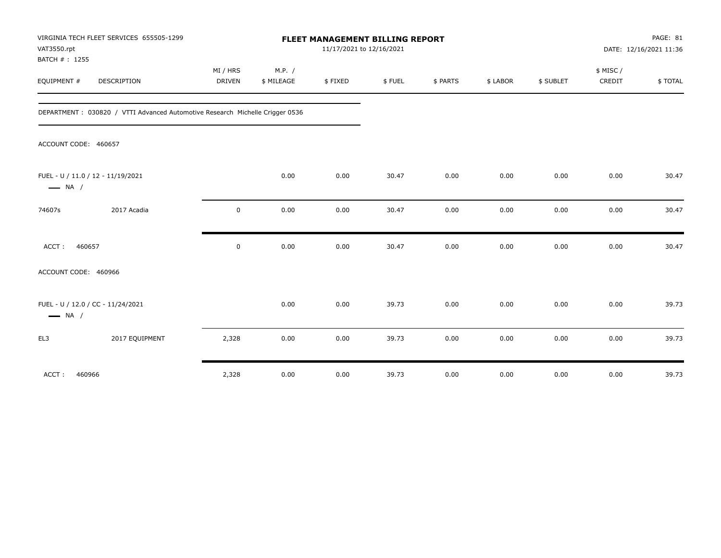| VAT3550.rpt<br>BATCH #: 1255                                | VIRGINIA TECH FLEET SERVICES 655505-1299                                      |                    |                      | 11/17/2021 to 12/16/2021 | FLEET MANAGEMENT BILLING REPORT |          |          |           |                    | PAGE: 81<br>DATE: 12/16/2021 11:36 |
|-------------------------------------------------------------|-------------------------------------------------------------------------------|--------------------|----------------------|--------------------------|---------------------------------|----------|----------|-----------|--------------------|------------------------------------|
| EQUIPMENT #                                                 | DESCRIPTION                                                                   | MI / HRS<br>DRIVEN | M.P. /<br>\$ MILEAGE | \$FIXED                  | \$FUEL                          | \$ PARTS | \$ LABOR | \$ SUBLET | \$ MISC/<br>CREDIT | \$TOTAL                            |
|                                                             | DEPARTMENT : 030820 / VTTI Advanced Automotive Research Michelle Crigger 0536 |                    |                      |                          |                                 |          |          |           |                    |                                    |
| ACCOUNT CODE: 460657                                        |                                                                               |                    |                      |                          |                                 |          |          |           |                    |                                    |
| FUEL - U / 11.0 / 12 - 11/19/2021<br>$\longrightarrow$ NA / |                                                                               |                    | 0.00                 | 0.00                     | 30.47                           | 0.00     | 0.00     | 0.00      | 0.00               | 30.47                              |
| 74607s                                                      | 2017 Acadia                                                                   | $\mathbf 0$        | 0.00                 | 0.00                     | 30.47                           | 0.00     | 0.00     | 0.00      | 0.00               | 30.47                              |
| ACCT:<br>460657                                             |                                                                               | $\mathbf 0$        | 0.00                 | 0.00                     | 30.47                           | 0.00     | 0.00     | 0.00      | 0.00               | 30.47                              |
| ACCOUNT CODE: 460966                                        |                                                                               |                    |                      |                          |                                 |          |          |           |                    |                                    |
| FUEL - U / 12.0 / CC - 11/24/2021<br>$\longrightarrow$ NA / |                                                                               |                    | 0.00                 | 0.00                     | 39.73                           | 0.00     | 0.00     | 0.00      | 0.00               | 39.73                              |
| EL3                                                         | 2017 EQUIPMENT                                                                | 2,328              | 0.00                 | 0.00                     | 39.73                           | 0.00     | 0.00     | 0.00      | 0.00               | 39.73                              |
| ACCT:<br>460966                                             |                                                                               | 2,328              | 0.00                 | 0.00                     | 39.73                           | 0.00     | 0.00     | 0.00      | 0.00               | 39.73                              |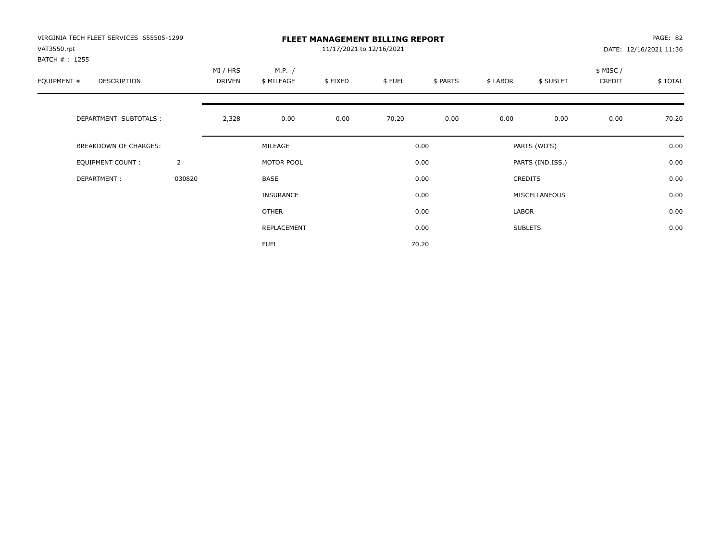| VIRGINIA TECH FLEET SERVICES 655505-1299<br>VAT3550.rpt |                |                    |                      | 11/17/2021 to 12/16/2021 | <b>FLEET MANAGEMENT BILLING REPORT</b> |          |          |                  |                    | PAGE: 82<br>DATE: 12/16/2021 11:36 |
|---------------------------------------------------------|----------------|--------------------|----------------------|--------------------------|----------------------------------------|----------|----------|------------------|--------------------|------------------------------------|
| BATCH #: 1255<br>EQUIPMENT #<br>DESCRIPTION             |                | MI / HRS<br>DRIVEN | M.P. /<br>\$ MILEAGE | \$FIXED                  | \$FUEL                                 | \$ PARTS | \$ LABOR | \$ SUBLET        | \$ MISC/<br>CREDIT | \$TOTAL                            |
| DEPARTMENT SUBTOTALS :                                  |                | 2,328              | 0.00                 | 0.00                     | 70.20                                  | 0.00     | 0.00     | 0.00             | 0.00               | 70.20                              |
| BREAKDOWN OF CHARGES:                                   |                |                    | MILEAGE              |                          |                                        | 0.00     |          | PARTS (WO'S)     |                    | 0.00                               |
| <b>EQUIPMENT COUNT:</b>                                 | $\overline{2}$ |                    | MOTOR POOL           |                          |                                        | 0.00     |          | PARTS (IND.ISS.) |                    | 0.00                               |
| DEPARTMENT:                                             | 030820         |                    | BASE                 |                          |                                        | 0.00     |          | <b>CREDITS</b>   |                    | 0.00                               |
|                                                         |                |                    | <b>INSURANCE</b>     |                          |                                        | 0.00     |          | MISCELLANEOUS    |                    | 0.00                               |
|                                                         |                |                    | OTHER                |                          |                                        | 0.00     | LABOR    |                  |                    | 0.00                               |
|                                                         |                |                    | REPLACEMENT          |                          |                                        | 0.00     |          | <b>SUBLETS</b>   |                    | 0.00                               |
|                                                         |                |                    | <b>FUEL</b>          |                          |                                        | 70.20    |          |                  |                    |                                    |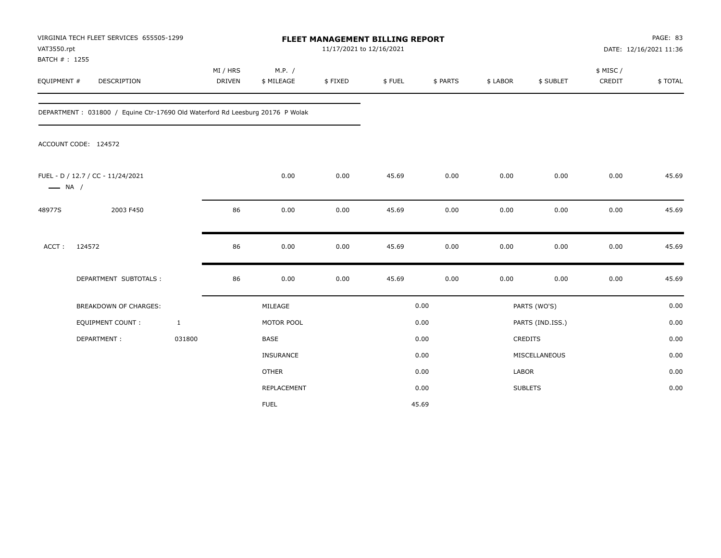| VAT3550.rpt                  | VIRGINIA TECH FLEET SERVICES 655505-1299                                      |                           |                      | FLEET MANAGEMENT BILLING REPORT<br>11/17/2021 to 12/16/2021 |        |          |              |                  |                     | PAGE: 83<br>DATE: 12/16/2021 11:36 |
|------------------------------|-------------------------------------------------------------------------------|---------------------------|----------------------|-------------------------------------------------------------|--------|----------|--------------|------------------|---------------------|------------------------------------|
| BATCH #: 1255<br>EQUIPMENT # | DESCRIPTION                                                                   | MI / HRS<br><b>DRIVEN</b> | M.P. /<br>\$ MILEAGE | \$FIXED                                                     | \$FUEL | \$ PARTS | \$ LABOR     | \$ SUBLET        | \$ MISC /<br>CREDIT | \$TOTAL                            |
|                              | DEPARTMENT: 031800 / Equine Ctr-17690 Old Waterford Rd Leesburg 20176 P Wolak |                           |                      |                                                             |        |          |              |                  |                     |                                    |
|                              | ACCOUNT CODE: 124572                                                          |                           |                      |                                                             |        |          |              |                  |                     |                                    |
| $\longrightarrow$ NA /       | FUEL - D / 12.7 / CC - 11/24/2021                                             |                           | 0.00                 | 0.00                                                        | 45.69  | 0.00     | 0.00         | 0.00             | 0.00                | 45.69                              |
| 48977S                       | 2003 F450                                                                     | 86                        | 0.00                 | 0.00                                                        | 45.69  | 0.00     | 0.00         | 0.00             | 0.00                | 45.69                              |
| ACCT:                        | 124572                                                                        | 86                        | 0.00                 | 0.00                                                        | 45.69  | 0.00     | 0.00         | 0.00             | 0.00                | 45.69                              |
|                              | DEPARTMENT SUBTOTALS :                                                        | 86                        | 0.00                 | 0.00                                                        | 45.69  | 0.00     | 0.00         | 0.00             | 0.00                | 45.69                              |
|                              | <b>BREAKDOWN OF CHARGES:</b>                                                  |                           | MILEAGE              |                                                             |        | 0.00     |              | PARTS (WO'S)     |                     | 0.00                               |
|                              | EQUIPMENT COUNT :                                                             | $\mathbf{1}$              | MOTOR POOL           |                                                             |        | 0.00     |              | PARTS (IND.ISS.) |                     | 0.00                               |
|                              | DEPARTMENT:                                                                   | 031800                    | BASE                 |                                                             |        | 0.00     |              | CREDITS          |                     | 0.00                               |
|                              |                                                                               |                           | INSURANCE            |                                                             |        | 0.00     |              | MISCELLANEOUS    |                     | 0.00                               |
|                              |                                                                               |                           | <b>OTHER</b>         |                                                             |        | 0.00     | <b>LABOR</b> |                  |                     | 0.00                               |
|                              |                                                                               |                           | REPLACEMENT          |                                                             |        | 0.00     |              | <b>SUBLETS</b>   |                     | 0.00                               |
|                              |                                                                               |                           | <b>FUEL</b>          |                                                             |        | 45.69    |              |                  |                     |                                    |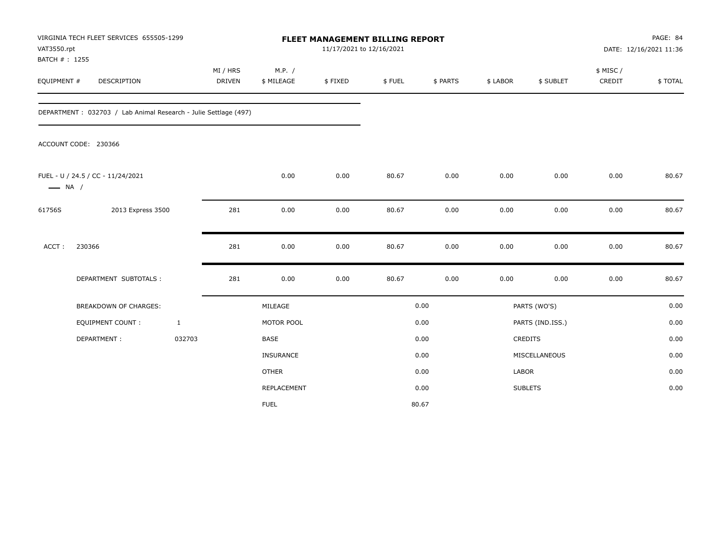| VAT3550.rpt<br>BATCH #: 1255 | VIRGINIA TECH FLEET SERVICES 655505-1299                        |              |               |                      | <b>FLEET MANAGEMENT BILLING REPORT</b><br>11/17/2021 to 12/16/2021 |        |          |              |                  |                     | PAGE: 84<br>DATE: 12/16/2021 11:36 |
|------------------------------|-----------------------------------------------------------------|--------------|---------------|----------------------|--------------------------------------------------------------------|--------|----------|--------------|------------------|---------------------|------------------------------------|
| EQUIPMENT #                  | DESCRIPTION                                                     | MI / HRS     | <b>DRIVEN</b> | M.P. /<br>\$ MILEAGE | \$FIXED                                                            | \$FUEL | \$ PARTS | \$ LABOR     | \$ SUBLET        | \$ MISC /<br>CREDIT | \$TOTAL                            |
|                              | DEPARTMENT: 032703 / Lab Animal Research - Julie Settlage (497) |              |               |                      |                                                                    |        |          |              |                  |                     |                                    |
|                              | ACCOUNT CODE: 230366                                            |              |               |                      |                                                                    |        |          |              |                  |                     |                                    |
| $\longrightarrow$ NA /       | FUEL - U / 24.5 / CC - 11/24/2021                               |              |               | 0.00                 | 0.00                                                               | 80.67  | 0.00     | 0.00         | 0.00             | 0.00                | 80.67                              |
| 61756S                       | 2013 Express 3500                                               |              | 281           | 0.00                 | 0.00                                                               | 80.67  | 0.00     | 0.00         | 0.00             | 0.00                | 80.67                              |
| ACCT:                        | 230366                                                          |              | 281           | 0.00                 | 0.00                                                               | 80.67  | 0.00     | 0.00         | 0.00             | 0.00                | 80.67                              |
|                              | DEPARTMENT SUBTOTALS :                                          |              | 281           | 0.00                 | 0.00                                                               | 80.67  | 0.00     | 0.00         | 0.00             | 0.00                | 80.67                              |
|                              | BREAKDOWN OF CHARGES:                                           |              |               | MILEAGE              |                                                                    |        | 0.00     |              | PARTS (WO'S)     |                     | 0.00                               |
|                              | <b>EQUIPMENT COUNT:</b>                                         | $\mathbf{1}$ |               | MOTOR POOL           |                                                                    |        | 0.00     |              | PARTS (IND.ISS.) |                     | 0.00                               |
|                              | DEPARTMENT:                                                     | 032703       |               | <b>BASE</b>          |                                                                    |        | 0.00     |              | CREDITS          |                     | 0.00                               |
|                              |                                                                 |              |               | INSURANCE            |                                                                    |        | 0.00     |              | MISCELLANEOUS    |                     | 0.00                               |
|                              |                                                                 |              |               | <b>OTHER</b>         |                                                                    |        | 0.00     | <b>LABOR</b> |                  |                     | 0.00                               |
|                              |                                                                 |              |               | REPLACEMENT          |                                                                    |        | 0.00     |              | <b>SUBLETS</b>   |                     | 0.00                               |
|                              |                                                                 |              |               | <b>FUEL</b>          |                                                                    |        | 80.67    |              |                  |                     |                                    |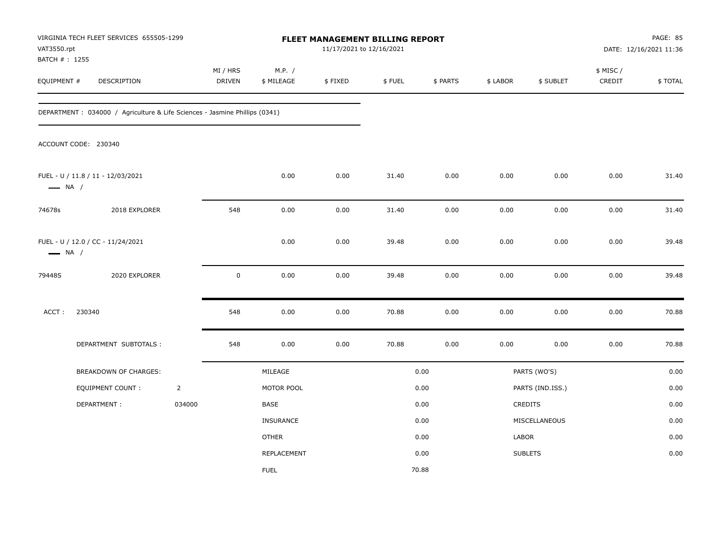| VAT3550.rpt            | VIRGINIA TECH FLEET SERVICES 655505-1299<br>BATCH #: 1255<br>DESCRIPTION    |                |                    |                      |          | FLEET MANAGEMENT BILLING REPORT<br>11/17/2021 to 12/16/2021 |          |          |                  | PAGE: 85<br>DATE: 12/16/2021 11:36 |         |
|------------------------|-----------------------------------------------------------------------------|----------------|--------------------|----------------------|----------|-------------------------------------------------------------|----------|----------|------------------|------------------------------------|---------|
| EQUIPMENT #            |                                                                             |                | MI / HRS<br>DRIVEN | M.P. /<br>\$ MILEAGE | \$FIXED  | \$FUEL                                                      | \$ PARTS | \$ LABOR | \$ SUBLET        | \$ MISC /<br>CREDIT                | \$TOTAL |
|                        | DEPARTMENT : 034000 / Agriculture & Life Sciences - Jasmine Phillips (0341) |                |                    |                      |          |                                                             |          |          |                  |                                    |         |
|                        | ACCOUNT CODE: 230340                                                        |                |                    |                      |          |                                                             |          |          |                  |                                    |         |
| $\longrightarrow$ NA / | FUEL - U / 11.8 / 11 - 12/03/2021                                           |                |                    | 0.00                 | 0.00     | 31.40                                                       | 0.00     | 0.00     | 0.00             | 0.00                               | 31.40   |
| 74678s                 | 2018 EXPLORER                                                               |                | 548                | 0.00                 | 0.00     | 31.40                                                       | 0.00     | 0.00     | 0.00             | 0.00                               | 31.40   |
| $\longrightarrow$ NA / | FUEL - U / 12.0 / CC - 11/24/2021                                           |                |                    | 0.00                 | 0.00     | 39.48                                                       | 0.00     | 0.00     | 0.00             | 0.00                               | 39.48   |
| 79448S                 | 2020 EXPLORER                                                               |                | $\mathbf 0$        | 0.00                 | $0.00\,$ | 39.48                                                       | 0.00     | 0.00     | 0.00             | 0.00                               | 39.48   |
| ACCT:                  | 230340                                                                      |                | 548                | 0.00                 | 0.00     | 70.88                                                       | 0.00     | 0.00     | 0.00             | 0.00                               | 70.88   |
|                        | DEPARTMENT SUBTOTALS :                                                      |                | 548                | 0.00                 | $0.00\,$ | 70.88                                                       | 0.00     | 0.00     | 0.00             | 0.00                               | 70.88   |
|                        | BREAKDOWN OF CHARGES:                                                       |                |                    | MILEAGE              |          |                                                             | 0.00     |          | PARTS (WO'S)     |                                    | 0.00    |
|                        | <b>EQUIPMENT COUNT:</b>                                                     | $\overline{2}$ |                    | MOTOR POOL           |          |                                                             | 0.00     |          | PARTS (IND.ISS.) |                                    | 0.00    |
|                        | DEPARTMENT:                                                                 | 034000         |                    | <b>BASE</b>          |          |                                                             | 0.00     |          | CREDITS          |                                    | 0.00    |
|                        |                                                                             |                |                    | <b>INSURANCE</b>     |          |                                                             | 0.00     |          | MISCELLANEOUS    |                                    | 0.00    |
|                        |                                                                             |                |                    | <b>OTHER</b>         |          |                                                             | 0.00     | LABOR    |                  |                                    | 0.00    |
|                        |                                                                             |                |                    | REPLACEMENT          |          |                                                             | 0.00     |          | <b>SUBLETS</b>   |                                    | 0.00    |
|                        |                                                                             |                |                    | <b>FUEL</b>          |          |                                                             | 70.88    |          |                  |                                    |         |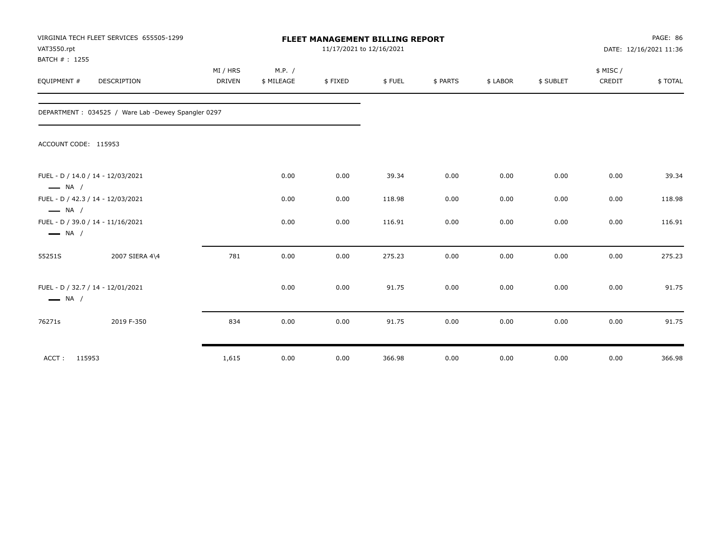| VAT3550.rpt<br>BATCH #: 1255 | VIRGINIA TECH FLEET SERVICES 655505-1299           | <b>FLEET MANAGEMENT BILLING REPORT</b><br>11/17/2021 to 12/16/2021 |            |         |        |          |          |           | PAGE: 86<br>DATE: 12/16/2021 11:36 |          |
|------------------------------|----------------------------------------------------|--------------------------------------------------------------------|------------|---------|--------|----------|----------|-----------|------------------------------------|----------|
|                              |                                                    | MI / HRS                                                           | M.P. /     |         |        |          |          |           | \$ MISC/                           |          |
| EQUIPMENT #                  | DESCRIPTION                                        | DRIVEN                                                             | \$ MILEAGE | \$FIXED | \$FUEL | \$ PARTS | \$ LABOR | \$ SUBLET | CREDIT                             | \$ TOTAL |
|                              | DEPARTMENT: 034525 / Ware Lab -Dewey Spangler 0297 |                                                                    |            |         |        |          |          |           |                                    |          |
| ACCOUNT CODE: 115953         |                                                    |                                                                    |            |         |        |          |          |           |                                    |          |
| $\longrightarrow$ NA /       | FUEL - D / 14.0 / 14 - 12/03/2021                  |                                                                    | 0.00       | 0.00    | 39.34  | 0.00     | 0.00     | 0.00      | 0.00                               | 39.34    |
| $\longrightarrow$ NA /       | FUEL - D / 42.3 / 14 - 12/03/2021                  |                                                                    | 0.00       | 0.00    | 118.98 | 0.00     | 0.00     | 0.00      | 0.00                               | 118.98   |
| $\longrightarrow$ NA /       | FUEL - D / 39.0 / 14 - 11/16/2021                  |                                                                    | 0.00       | 0.00    | 116.91 | 0.00     | 0.00     | 0.00      | 0.00                               | 116.91   |
| 55251S                       | 2007 SIERA 4\4                                     | 781                                                                | 0.00       | 0.00    | 275.23 | 0.00     | 0.00     | 0.00      | 0.00                               | 275.23   |
| $\longrightarrow$ NA /       | FUEL - D / 32.7 / 14 - 12/01/2021                  |                                                                    | 0.00       | 0.00    | 91.75  | 0.00     | 0.00     | 0.00      | 0.00                               | 91.75    |
| 76271s                       | 2019 F-350                                         | 834                                                                | 0.00       | 0.00    | 91.75  | 0.00     | 0.00     | 0.00      | 0.00                               | 91.75    |
| ACCT: 115953                 |                                                    | 1,615                                                              | 0.00       | 0.00    | 366.98 | 0.00     | 0.00     | 0.00      | 0.00                               | 366.98   |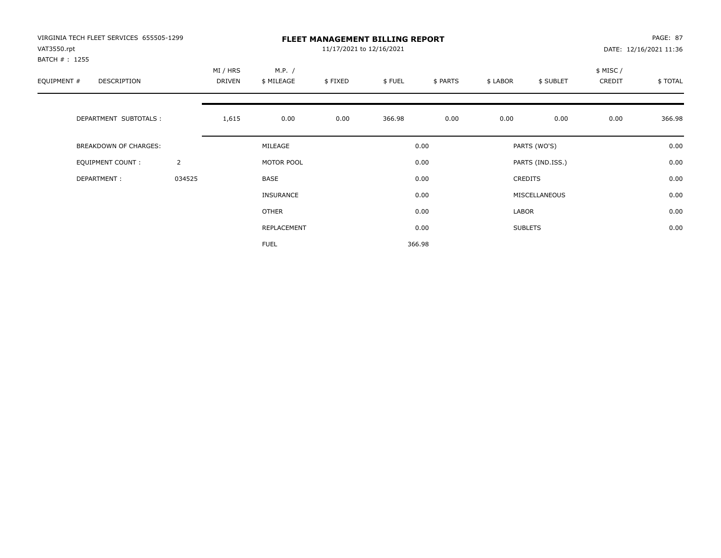| VIRGINIA TECH FLEET SERVICES 655505-1299<br>VAT3550.rpt |                | <b>FLEET MANAGEMENT BILLING REPORT</b><br>11/17/2021 to 12/16/2021 |                      |         |        |          |          |                  |                    | PAGE: 87<br>DATE: 12/16/2021 11:36 |  |
|---------------------------------------------------------|----------------|--------------------------------------------------------------------|----------------------|---------|--------|----------|----------|------------------|--------------------|------------------------------------|--|
| BATCH # : 1255<br>EQUIPMENT #<br>DESCRIPTION            |                | MI / HRS<br>DRIVEN                                                 | M.P. /<br>\$ MILEAGE | \$FIXED | \$FUEL | \$ PARTS | \$ LABOR | \$ SUBLET        | \$ MISC/<br>CREDIT | \$TOTAL                            |  |
| DEPARTMENT SUBTOTALS :                                  |                | 1,615                                                              | 0.00                 | 0.00    | 366.98 | 0.00     | 0.00     | 0.00             | 0.00               | 366.98                             |  |
| BREAKDOWN OF CHARGES:                                   |                |                                                                    | MILEAGE              |         |        | 0.00     |          | PARTS (WO'S)     |                    | 0.00                               |  |
| <b>EQUIPMENT COUNT:</b>                                 | $\overline{2}$ |                                                                    | MOTOR POOL           |         |        | 0.00     |          | PARTS (IND.ISS.) |                    | 0.00                               |  |
| DEPARTMENT:                                             | 034525         |                                                                    | BASE                 |         |        | 0.00     |          | <b>CREDITS</b>   |                    | 0.00                               |  |
|                                                         |                |                                                                    | <b>INSURANCE</b>     |         |        | 0.00     |          | MISCELLANEOUS    |                    | 0.00                               |  |
|                                                         |                |                                                                    | <b>OTHER</b>         |         |        | 0.00     | LABOR    |                  |                    | 0.00                               |  |
|                                                         |                |                                                                    | REPLACEMENT          |         |        | 0.00     |          | <b>SUBLETS</b>   |                    | 0.00                               |  |
|                                                         |                |                                                                    | <b>FUEL</b>          |         |        | 366.98   |          |                  |                    |                                    |  |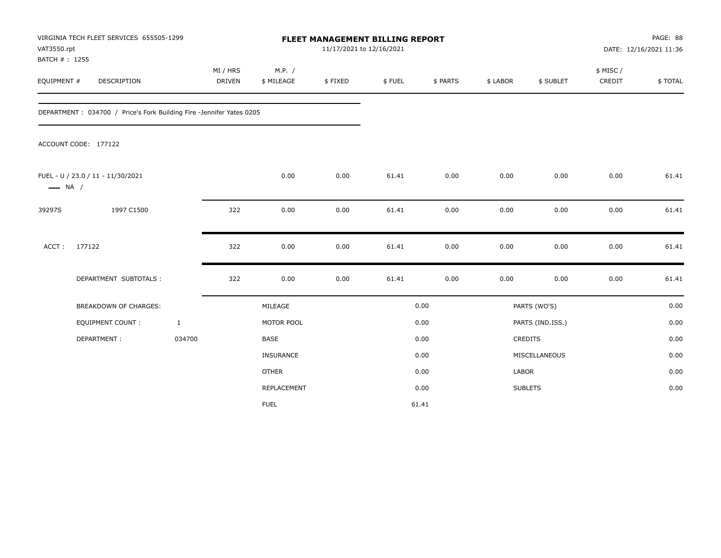| VAT3550.rpt                  | VIRGINIA TECH FLEET SERVICES 655505-1299                             |              |                           |                      |         |        | <b>FLEET MANAGEMENT BILLING REPORT</b><br>11/17/2021 to 12/16/2021 |              |                  |                     | PAGE: 88<br>DATE: 12/16/2021 11:36 |  |  |
|------------------------------|----------------------------------------------------------------------|--------------|---------------------------|----------------------|---------|--------|--------------------------------------------------------------------|--------------|------------------|---------------------|------------------------------------|--|--|
| BATCH #: 1255<br>EQUIPMENT # | DESCRIPTION                                                          |              | MI / HRS<br><b>DRIVEN</b> | M.P. /<br>\$ MILEAGE | \$FIXED | \$FUEL | \$ PARTS                                                           | \$ LABOR     | \$ SUBLET        | \$ MISC /<br>CREDIT | \$TOTAL                            |  |  |
|                              | DEPARTMENT: 034700 / Price's Fork Building Fire -Jennifer Yates 0205 |              |                           |                      |         |        |                                                                    |              |                  |                     |                                    |  |  |
|                              | ACCOUNT CODE: 177122                                                 |              |                           |                      |         |        |                                                                    |              |                  |                     |                                    |  |  |
| $\longrightarrow$ NA /       | FUEL - U / 23.0 / 11 - 11/30/2021                                    |              |                           | 0.00                 | 0.00    | 61.41  | 0.00                                                               | 0.00         | 0.00             | 0.00                | 61.41                              |  |  |
| 39297S                       | 1997 C1500                                                           |              | 322                       | 0.00                 | 0.00    | 61.41  | 0.00                                                               | 0.00         | 0.00             | 0.00                | 61.41                              |  |  |
| ACCT:                        | 177122                                                               |              | 322                       | 0.00                 | 0.00    | 61.41  | 0.00                                                               | 0.00         | 0.00             | 0.00                | 61.41                              |  |  |
|                              | DEPARTMENT SUBTOTALS :                                               |              | 322                       | 0.00                 | 0.00    | 61.41  | 0.00                                                               | 0.00         | 0.00             | 0.00                | 61.41                              |  |  |
|                              | BREAKDOWN OF CHARGES:                                                |              |                           | MILEAGE              |         |        | 0.00                                                               |              | PARTS (WO'S)     |                     | 0.00                               |  |  |
|                              | EQUIPMENT COUNT :                                                    | $\mathbf{1}$ |                           | MOTOR POOL           |         |        | 0.00                                                               |              | PARTS (IND.ISS.) |                     | 0.00                               |  |  |
|                              | DEPARTMENT:                                                          | 034700       |                           | <b>BASE</b>          |         |        | 0.00                                                               |              | CREDITS          |                     | 0.00                               |  |  |
|                              |                                                                      |              |                           | INSURANCE            |         |        | 0.00                                                               |              | MISCELLANEOUS    |                     | 0.00                               |  |  |
|                              |                                                                      |              |                           | <b>OTHER</b>         |         |        | 0.00                                                               | <b>LABOR</b> |                  |                     | 0.00                               |  |  |
|                              |                                                                      |              |                           | REPLACEMENT          |         |        | 0.00                                                               |              | <b>SUBLETS</b>   |                     | 0.00                               |  |  |
|                              |                                                                      |              |                           | <b>FUEL</b>          |         |        | 61.41                                                              |              |                  |                     |                                    |  |  |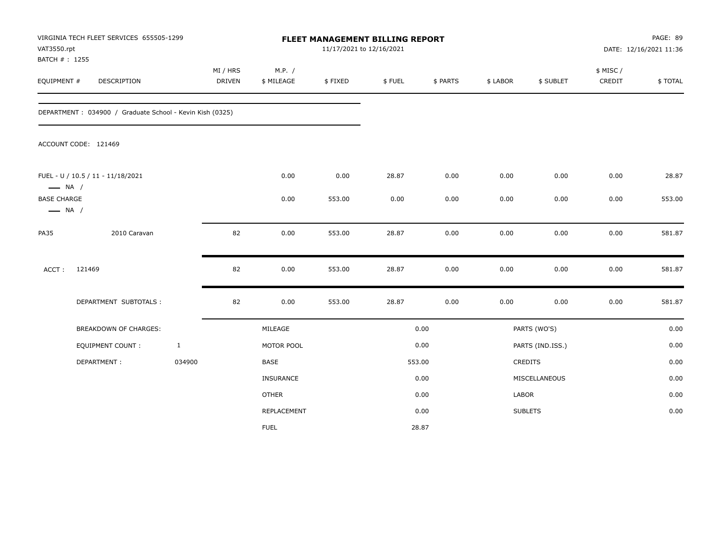| VAT3550.rpt<br>BATCH #: 1255                 | VIRGINIA TECH FLEET SERVICES 655505-1299                 |              |                    |                      |         | FLEET MANAGEMENT BILLING REPORT<br>11/17/2021 to 12/16/2021 |          |          |                  | PAGE: 89<br>DATE: 12/16/2021 11:36 |         |  |
|----------------------------------------------|----------------------------------------------------------|--------------|--------------------|----------------------|---------|-------------------------------------------------------------|----------|----------|------------------|------------------------------------|---------|--|
| EQUIPMENT #                                  | DESCRIPTION                                              |              | MI / HRS<br>DRIVEN | M.P. /<br>\$ MILEAGE | \$FIXED | \$FUEL                                                      | \$ PARTS | \$ LABOR | \$ SUBLET        | \$ MISC/<br>CREDIT                 | \$TOTAL |  |
|                                              | DEPARTMENT: 034900 / Graduate School - Kevin Kish (0325) |              |                    |                      |         |                                                             |          |          |                  |                                    |         |  |
|                                              | ACCOUNT CODE: 121469                                     |              |                    |                      |         |                                                             |          |          |                  |                                    |         |  |
| $\longrightarrow$ NA /                       | FUEL - U / 10.5 / 11 - 11/18/2021                        |              |                    | 0.00                 | 0.00    | 28.87                                                       | 0.00     | 0.00     | 0.00             | 0.00                               | 28.87   |  |
| <b>BASE CHARGE</b><br>$\longrightarrow$ NA / |                                                          |              |                    | 0.00                 | 553.00  | 0.00                                                        | 0.00     | 0.00     | 0.00             | 0.00                               | 553.00  |  |
| <b>PA35</b>                                  | 2010 Caravan                                             |              | 82                 | 0.00                 | 553.00  | 28.87                                                       | 0.00     | 0.00     | 0.00             | 0.00                               | 581.87  |  |
| ACCT:                                        | 121469                                                   |              | 82                 | 0.00                 | 553.00  | 28.87                                                       | 0.00     | 0.00     | 0.00             | 0.00                               | 581.87  |  |
|                                              | DEPARTMENT SUBTOTALS :                                   |              | 82                 | 0.00                 | 553.00  | 28.87                                                       | 0.00     | 0.00     | 0.00             | 0.00                               | 581.87  |  |
|                                              | BREAKDOWN OF CHARGES:                                    |              |                    | MILEAGE              |         |                                                             | 0.00     |          | PARTS (WO'S)     |                                    | 0.00    |  |
|                                              | EQUIPMENT COUNT :                                        | $\mathbf{1}$ |                    | MOTOR POOL           |         |                                                             | 0.00     |          | PARTS (IND.ISS.) |                                    | 0.00    |  |
|                                              | DEPARTMENT:                                              | 034900       |                    | BASE                 |         |                                                             | 553.00   |          | CREDITS          |                                    | 0.00    |  |
|                                              |                                                          |              |                    | INSURANCE            |         |                                                             | 0.00     |          | MISCELLANEOUS    |                                    | 0.00    |  |
|                                              |                                                          |              |                    | <b>OTHER</b>         |         |                                                             | 0.00     | LABOR    |                  |                                    | 0.00    |  |
|                                              |                                                          |              |                    | REPLACEMENT          |         |                                                             | 0.00     |          | <b>SUBLETS</b>   |                                    | 0.00    |  |
|                                              |                                                          |              |                    | <b>FUEL</b>          |         |                                                             | 28.87    |          |                  |                                    |         |  |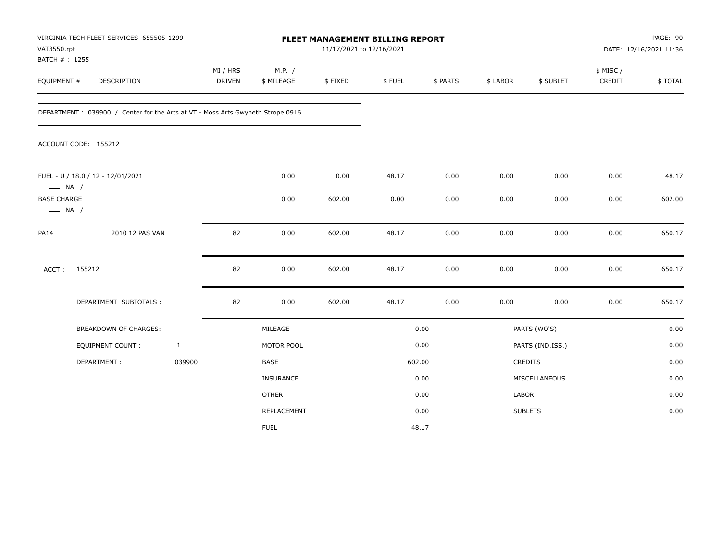| VAT3550.rpt<br>BATCH #: 1255                 | VIRGINIA TECH FLEET SERVICES 655505-1299                                        |              |                    |                      |         | FLEET MANAGEMENT BILLING REPORT<br>11/17/2021 to 12/16/2021 |          |          |                  | PAGE: 90<br>DATE: 12/16/2021 11:36 |         |  |
|----------------------------------------------|---------------------------------------------------------------------------------|--------------|--------------------|----------------------|---------|-------------------------------------------------------------|----------|----------|------------------|------------------------------------|---------|--|
| EQUIPMENT #                                  | DESCRIPTION                                                                     |              | MI / HRS<br>DRIVEN | M.P. /<br>\$ MILEAGE | \$FIXED | \$FUEL                                                      | \$ PARTS | \$ LABOR | \$ SUBLET        | \$ MISC /<br>CREDIT                | \$TOTAL |  |
|                                              | DEPARTMENT : 039900 / Center for the Arts at VT - Moss Arts Gwyneth Strope 0916 |              |                    |                      |         |                                                             |          |          |                  |                                    |         |  |
|                                              | ACCOUNT CODE: 155212                                                            |              |                    |                      |         |                                                             |          |          |                  |                                    |         |  |
| $\longrightarrow$ NA /                       | FUEL - U / 18.0 / 12 - 12/01/2021                                               |              |                    | 0.00                 | 0.00    | 48.17                                                       | 0.00     | 0.00     | 0.00             | 0.00                               | 48.17   |  |
| <b>BASE CHARGE</b><br>$\longrightarrow$ NA / |                                                                                 |              |                    | 0.00                 | 602.00  | 0.00                                                        | 0.00     | 0.00     | 0.00             | 0.00                               | 602.00  |  |
| <b>PA14</b>                                  | 2010 12 PAS VAN                                                                 |              | 82                 | 0.00                 | 602.00  | 48.17                                                       | 0.00     | 0.00     | 0.00             | 0.00                               | 650.17  |  |
| ACCT:                                        | 155212                                                                          |              | 82                 | 0.00                 | 602.00  | 48.17                                                       | 0.00     | 0.00     | 0.00             | 0.00                               | 650.17  |  |
|                                              | DEPARTMENT SUBTOTALS :                                                          |              | 82                 | 0.00                 | 602.00  | 48.17                                                       | 0.00     | 0.00     | 0.00             | 0.00                               | 650.17  |  |
|                                              | <b>BREAKDOWN OF CHARGES:</b>                                                    |              |                    | MILEAGE              |         |                                                             | 0.00     |          | PARTS (WO'S)     |                                    | 0.00    |  |
|                                              | EQUIPMENT COUNT:                                                                | $\mathbf{1}$ |                    | MOTOR POOL           |         |                                                             | 0.00     |          | PARTS (IND.ISS.) |                                    | 0.00    |  |
|                                              | DEPARTMENT:                                                                     | 039900       |                    | BASE                 |         | 602.00                                                      |          |          | CREDITS          |                                    | 0.00    |  |
|                                              |                                                                                 |              |                    | INSURANCE            |         |                                                             | 0.00     |          | MISCELLANEOUS    |                                    | 0.00    |  |
|                                              |                                                                                 |              |                    | <b>OTHER</b>         |         |                                                             | 0.00     | LABOR    |                  |                                    | 0.00    |  |
|                                              |                                                                                 |              |                    | REPLACEMENT          |         |                                                             | 0.00     |          | <b>SUBLETS</b>   |                                    | 0.00    |  |
|                                              |                                                                                 |              |                    | <b>FUEL</b>          |         |                                                             | 48.17    |          |                  |                                    |         |  |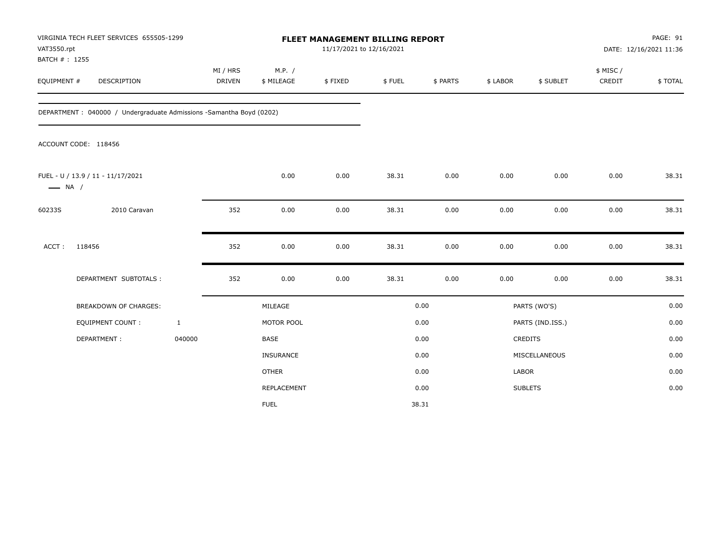| VAT3550.rpt<br>BATCH #: 1255 | VIRGINIA TECH FLEET SERVICES 655505-1299                             |                    |                      |         | FLEET MANAGEMENT BILLING REPORT<br>11/17/2021 to 12/16/2021 |          |          |                  | PAGE: 91<br>DATE: 12/16/2021 11:36 |         |  |
|------------------------------|----------------------------------------------------------------------|--------------------|----------------------|---------|-------------------------------------------------------------|----------|----------|------------------|------------------------------------|---------|--|
| EQUIPMENT #                  | DESCRIPTION                                                          | MI / HRS<br>DRIVEN | M.P. /<br>\$ MILEAGE | \$FIXED | \$FUEL                                                      | \$ PARTS | \$ LABOR | \$ SUBLET        | \$ MISC /<br>CREDIT                | \$TOTAL |  |
|                              | DEPARTMENT : 040000 / Undergraduate Admissions -Samantha Boyd (0202) |                    |                      |         |                                                             |          |          |                  |                                    |         |  |
|                              | ACCOUNT CODE: 118456                                                 |                    |                      |         |                                                             |          |          |                  |                                    |         |  |
| $\longrightarrow$ NA /       | FUEL - U / 13.9 / 11 - 11/17/2021                                    |                    | 0.00                 | 0.00    | 38.31                                                       | 0.00     | 0.00     | 0.00             | 0.00                               | 38.31   |  |
| 60233S                       | 2010 Caravan                                                         | 352                | 0.00                 | 0.00    | 38.31                                                       | 0.00     | 0.00     | 0.00             | 0.00                               | 38.31   |  |
| ACCT:                        | 118456                                                               | 352                | 0.00                 | 0.00    | 38.31                                                       | 0.00     | 0.00     | 0.00             | 0.00                               | 38.31   |  |
|                              | DEPARTMENT SUBTOTALS :                                               | 352                | 0.00                 | 0.00    | 38.31                                                       | 0.00     | 0.00     | 0.00             | 0.00                               | 38.31   |  |
|                              | <b>BREAKDOWN OF CHARGES:</b>                                         |                    | MILEAGE              |         |                                                             | 0.00     |          | PARTS (WO'S)     |                                    | 0.00    |  |
|                              | EQUIPMENT COUNT:                                                     | $\mathbf{1}$       | MOTOR POOL           |         |                                                             | 0.00     |          | PARTS (IND.ISS.) |                                    | 0.00    |  |
|                              | DEPARTMENT:                                                          | 040000             | <b>BASE</b>          |         |                                                             | 0.00     |          | CREDITS          |                                    | 0.00    |  |
|                              |                                                                      |                    | <b>INSURANCE</b>     |         |                                                             | 0.00     |          | MISCELLANEOUS    |                                    | 0.00    |  |
|                              |                                                                      |                    | <b>OTHER</b>         |         |                                                             | 0.00     | LABOR    |                  |                                    | 0.00    |  |
|                              |                                                                      |                    | <b>REPLACEMENT</b>   |         |                                                             | 0.00     |          | <b>SUBLETS</b>   |                                    | 0.00    |  |
|                              |                                                                      |                    | <b>FUEL</b>          |         |                                                             | 38.31    |          |                  |                                    |         |  |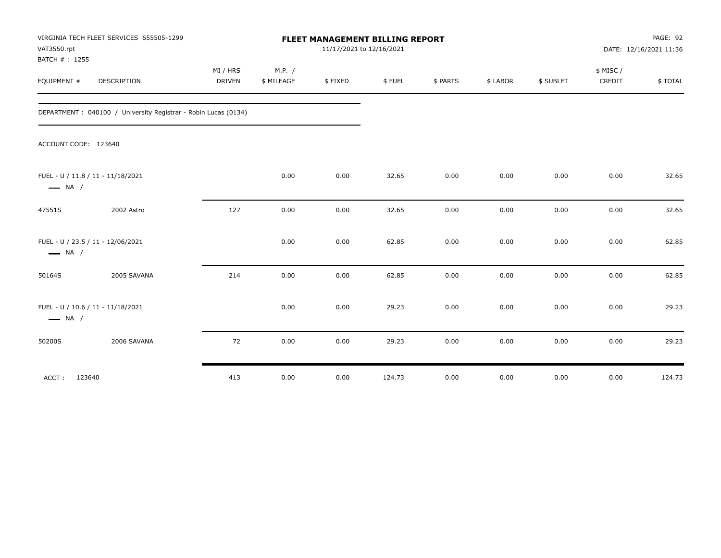| VAT3550.rpt<br>BATCH #: 1255 | VIRGINIA TECH FLEET SERVICES 655505-1299                        | FLEET MANAGEMENT BILLING REPORT<br>11/17/2021 to 12/16/2021 |                      |         |        |          |          |           | PAGE: 92<br>DATE: 12/16/2021 11:36 |         |
|------------------------------|-----------------------------------------------------------------|-------------------------------------------------------------|----------------------|---------|--------|----------|----------|-----------|------------------------------------|---------|
| EQUIPMENT #                  | DESCRIPTION                                                     | MI / HRS<br><b>DRIVEN</b>                                   | M.P. /<br>\$ MILEAGE | \$FIXED | \$FUEL | \$ PARTS | \$ LABOR | \$ SUBLET | \$ MISC/<br>CREDIT                 | \$TOTAL |
|                              | DEPARTMENT : 040100 / University Registrar - Robin Lucas (0134) |                                                             |                      |         |        |          |          |           |                                    |         |
| ACCOUNT CODE: 123640         |                                                                 |                                                             |                      |         |        |          |          |           |                                    |         |
| $\longrightarrow$ NA /       | FUEL - U / 11.8 / 11 - 11/18/2021                               |                                                             | 0.00                 | 0.00    | 32.65  | 0.00     | 0.00     | 0.00      | 0.00                               | 32.65   |
| 47551S                       | 2002 Astro                                                      | 127                                                         | 0.00                 | 0.00    | 32.65  | 0.00     | 0.00     | 0.00      | 0.00                               | 32.65   |
| $\longrightarrow$ NA /       | FUEL - U / 23.5 / 11 - 12/06/2021                               |                                                             | 0.00                 | 0.00    | 62.85  | 0.00     | 0.00     | 0.00      | 0.00                               | 62.85   |
| 50164S                       | 2005 SAVANA                                                     | 214                                                         | 0.00                 | 0.00    | 62.85  | 0.00     | 0.00     | 0.00      | 0.00                               | 62.85   |
| $\longrightarrow$ NA /       | FUEL - U / 10.6 / 11 - 11/18/2021                               |                                                             | 0.00                 | 0.00    | 29.23  | 0.00     | 0.00     | 0.00      | 0.00                               | 29.23   |
| 50200S                       | 2006 SAVANA                                                     | 72                                                          | 0.00                 | 0.00    | 29.23  | 0.00     | 0.00     | 0.00      | 0.00                               | 29.23   |
| ACCT:<br>123640              |                                                                 | 413                                                         | 0.00                 | 0.00    | 124.73 | 0.00     | 0.00     | 0.00      | 0.00                               | 124.73  |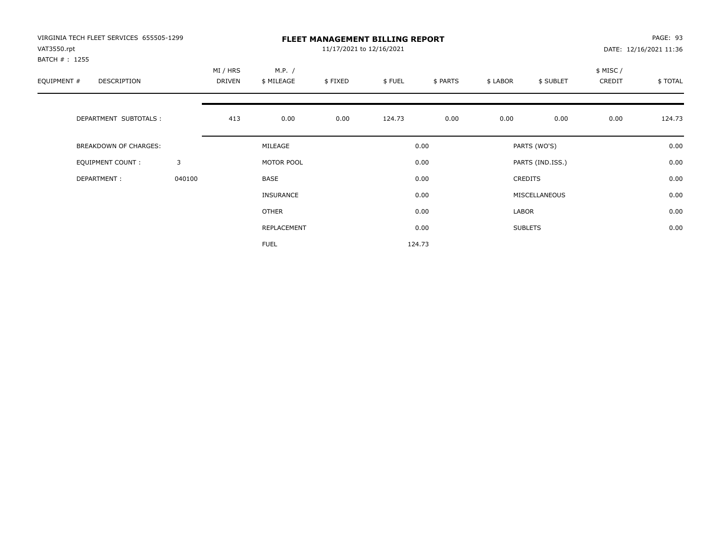| VIRGINIA TECH FLEET SERVICES 655505-1299<br>VAT3550.rpt |        | <b>FLEET MANAGEMENT BILLING REPORT</b><br>11/17/2021 to 12/16/2021 |                      |         |        |          |          |                  |                     | PAGE: 93<br>DATE: 12/16/2021 11:36 |  |
|---------------------------------------------------------|--------|--------------------------------------------------------------------|----------------------|---------|--------|----------|----------|------------------|---------------------|------------------------------------|--|
| BATCH #: 1255<br>EQUIPMENT #<br><b>DESCRIPTION</b>      |        | MI / HRS<br>DRIVEN                                                 | M.P. /<br>\$ MILEAGE | \$FIXED | \$FUEL | \$ PARTS | \$ LABOR | \$ SUBLET        | \$ MISC /<br>CREDIT | \$TOTAL                            |  |
| DEPARTMENT SUBTOTALS :                                  |        | 413                                                                | 0.00                 | 0.00    | 124.73 | 0.00     | 0.00     | 0.00             | 0.00                | 124.73                             |  |
| <b>BREAKDOWN OF CHARGES:</b>                            |        |                                                                    | MILEAGE              |         |        | 0.00     |          | PARTS (WO'S)     |                     | 0.00                               |  |
| EQUIPMENT COUNT:                                        | 3      |                                                                    | MOTOR POOL           |         |        | 0.00     |          | PARTS (IND.ISS.) |                     | 0.00                               |  |
| DEPARTMENT:                                             | 040100 |                                                                    | <b>BASE</b>          |         |        | 0.00     |          | <b>CREDITS</b>   |                     | 0.00                               |  |
|                                                         |        |                                                                    | INSURANCE            |         |        | 0.00     |          | MISCELLANEOUS    |                     | 0.00                               |  |
|                                                         |        |                                                                    | <b>OTHER</b>         |         |        | 0.00     | LABOR    |                  |                     | 0.00                               |  |
|                                                         |        |                                                                    | REPLACEMENT          |         |        | 0.00     |          | <b>SUBLETS</b>   |                     | 0.00                               |  |
|                                                         |        |                                                                    | <b>FUEL</b>          |         |        | 124.73   |          |                  |                     |                                    |  |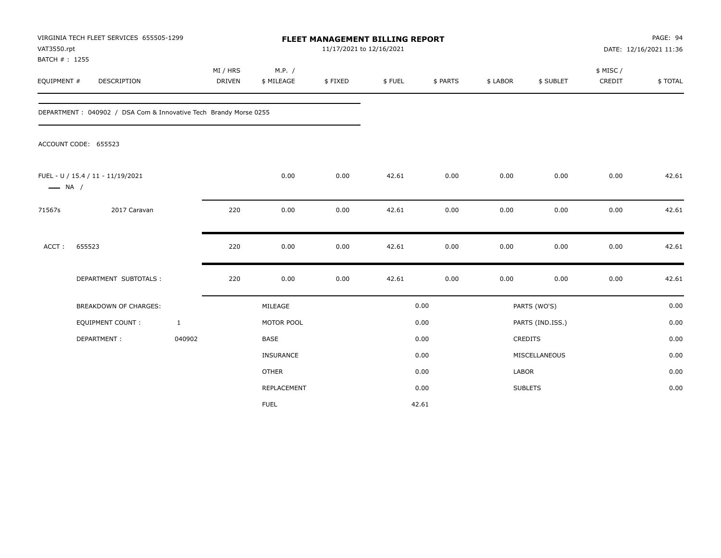| VAT3550.rpt                  | VIRGINIA TECH FLEET SERVICES 655505-1299                          |                           | <b>FLEET MANAGEMENT BILLING REPORT</b><br>11/17/2021 to 12/16/2021 |         |        |          |              |                  |                     | PAGE: 94<br>DATE: 12/16/2021 11:36 |  |
|------------------------------|-------------------------------------------------------------------|---------------------------|--------------------------------------------------------------------|---------|--------|----------|--------------|------------------|---------------------|------------------------------------|--|
| BATCH #: 1255<br>EQUIPMENT # | DESCRIPTION                                                       | MI / HRS<br><b>DRIVEN</b> | M.P. /<br>\$ MILEAGE                                               | \$FIXED | \$FUEL | \$ PARTS | \$ LABOR     | \$ SUBLET        | \$ MISC /<br>CREDIT | \$TOTAL                            |  |
|                              | DEPARTMENT : 040902 / DSA Com & Innovative Tech Brandy Morse 0255 |                           |                                                                    |         |        |          |              |                  |                     |                                    |  |
|                              | ACCOUNT CODE: 655523                                              |                           |                                                                    |         |        |          |              |                  |                     |                                    |  |
| $\longrightarrow$ NA /       | FUEL - U / 15.4 / 11 - 11/19/2021                                 |                           | 0.00                                                               | 0.00    | 42.61  | 0.00     | 0.00         | 0.00             | 0.00                | 42.61                              |  |
| 71567s                       | 2017 Caravan                                                      | 220                       | 0.00                                                               | 0.00    | 42.61  | 0.00     | 0.00         | 0.00             | 0.00                | 42.61                              |  |
| ACCT:                        | 655523                                                            | 220                       | 0.00                                                               | 0.00    | 42.61  | 0.00     | 0.00         | 0.00             | 0.00                | 42.61                              |  |
|                              | DEPARTMENT SUBTOTALS :                                            | 220                       | 0.00                                                               | 0.00    | 42.61  | 0.00     | 0.00         | 0.00             | 0.00                | 42.61                              |  |
|                              | BREAKDOWN OF CHARGES:                                             |                           | MILEAGE                                                            |         |        | 0.00     |              | PARTS (WO'S)     |                     | 0.00                               |  |
|                              | EQUIPMENT COUNT :                                                 | $\mathbf{1}$              | MOTOR POOL                                                         |         |        | 0.00     |              | PARTS (IND.ISS.) |                     | 0.00                               |  |
|                              | DEPARTMENT:                                                       | 040902                    | <b>BASE</b>                                                        |         |        | 0.00     |              | CREDITS          |                     | 0.00                               |  |
|                              |                                                                   |                           | INSURANCE                                                          |         |        | 0.00     |              | MISCELLANEOUS    |                     | 0.00                               |  |
|                              |                                                                   |                           | <b>OTHER</b>                                                       |         |        | 0.00     | <b>LABOR</b> |                  |                     | 0.00                               |  |
|                              |                                                                   |                           | REPLACEMENT                                                        |         |        | 0.00     |              | <b>SUBLETS</b>   |                     | 0.00                               |  |
|                              |                                                                   |                           | <b>FUEL</b>                                                        |         |        | 42.61    |              |                  |                     |                                    |  |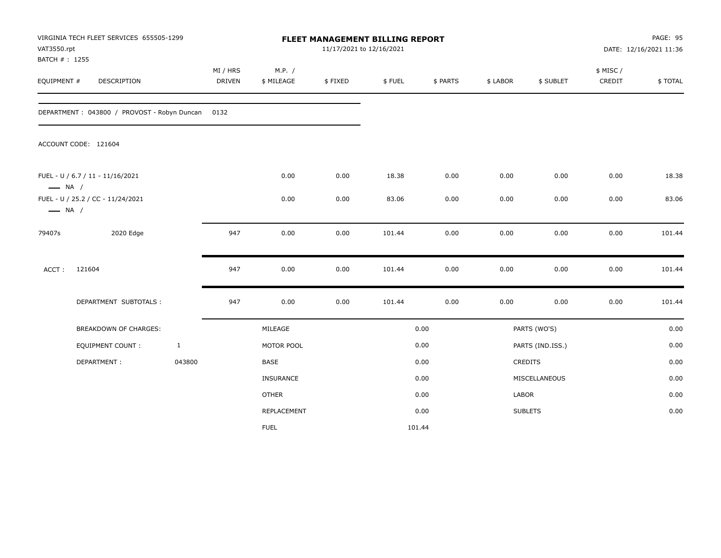| VAT3550.rpt<br>BATCH #: 1255 | VIRGINIA TECH FLEET SERVICES 655505-1299    |              | FLEET MANAGEMENT BILLING REPORT<br>11/17/2021 to 12/16/2021 |                      |         |        |          |          | PAGE: 95<br>DATE: 12/16/2021 11:36 |                    |         |
|------------------------------|---------------------------------------------|--------------|-------------------------------------------------------------|----------------------|---------|--------|----------|----------|------------------------------------|--------------------|---------|
| EQUIPMENT #                  | DESCRIPTION                                 |              | MI / HRS<br><b>DRIVEN</b>                                   | M.P. /<br>\$ MILEAGE | \$FIXED | \$FUEL | \$ PARTS | \$ LABOR | \$ SUBLET                          | \$ MISC/<br>CREDIT | \$TOTAL |
|                              | DEPARTMENT: 043800 / PROVOST - Robyn Duncan |              | 0132                                                        |                      |         |        |          |          |                                    |                    |         |
|                              | ACCOUNT CODE: 121604                        |              |                                                             |                      |         |        |          |          |                                    |                    |         |
| $\longrightarrow$ NA /       | FUEL - U / 6.7 / 11 - 11/16/2021            |              |                                                             | 0.00                 | 0.00    | 18.38  | 0.00     | 0.00     | 0.00                               | 0.00               | 18.38   |
| $\longrightarrow$ NA /       | FUEL - U / 25.2 / CC - 11/24/2021           |              |                                                             | 0.00                 | 0.00    | 83.06  | 0.00     | 0.00     | 0.00                               | 0.00               | 83.06   |
| 79407s                       | 2020 Edge                                   |              | 947                                                         | 0.00                 | 0.00    | 101.44 | 0.00     | 0.00     | 0.00                               | 0.00               | 101.44  |
| ACCT:                        | 121604                                      |              | 947                                                         | 0.00                 | 0.00    | 101.44 | 0.00     | 0.00     | 0.00                               | 0.00               | 101.44  |
|                              | DEPARTMENT SUBTOTALS :                      |              | 947                                                         | 0.00                 | 0.00    | 101.44 | 0.00     | 0.00     | 0.00                               | 0.00               | 101.44  |
|                              | BREAKDOWN OF CHARGES:                       |              |                                                             | MILEAGE              |         |        | 0.00     |          | PARTS (WO'S)                       |                    | 0.00    |
|                              | EQUIPMENT COUNT :                           | $\mathbf{1}$ |                                                             | MOTOR POOL           |         |        | 0.00     |          | PARTS (IND.ISS.)                   |                    | 0.00    |
|                              | DEPARTMENT:                                 | 043800       |                                                             | <b>BASE</b>          |         |        | 0.00     |          | CREDITS                            |                    | 0.00    |
|                              |                                             |              |                                                             | INSURANCE            |         |        | 0.00     |          | MISCELLANEOUS                      |                    | 0.00    |
|                              |                                             |              |                                                             | <b>OTHER</b>         |         |        | 0.00     | LABOR    |                                    |                    | 0.00    |
|                              |                                             |              |                                                             | REPLACEMENT          |         |        | 0.00     |          | <b>SUBLETS</b>                     |                    | 0.00    |
|                              |                                             |              |                                                             | <b>FUEL</b>          |         |        | 101.44   |          |                                    |                    |         |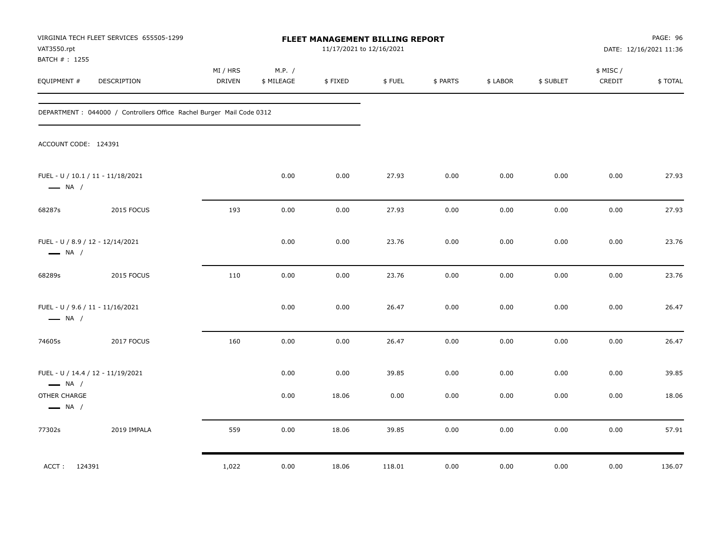| VAT3550.rpt<br>BATCH #: 1255                               | VIRGINIA TECH FLEET SERVICES 655505-1299                              | FLEET MANAGEMENT BILLING REPORT<br>11/17/2021 to 12/16/2021 |                      |               |               |              |              |              |                     | PAGE: 96<br>DATE: 12/16/2021 11:36 |
|------------------------------------------------------------|-----------------------------------------------------------------------|-------------------------------------------------------------|----------------------|---------------|---------------|--------------|--------------|--------------|---------------------|------------------------------------|
| EQUIPMENT #                                                | DESCRIPTION                                                           | MI / HRS<br>DRIVEN                                          | M.P. /<br>\$ MILEAGE | \$FIXED       | \$FUEL        | \$ PARTS     | \$ LABOR     | \$ SUBLET    | \$ MISC /<br>CREDIT | \$TOTAL                            |
|                                                            | DEPARTMENT : 044000 / Controllers Office Rachel Burger Mail Code 0312 |                                                             |                      |               |               |              |              |              |                     |                                    |
| ACCOUNT CODE: 124391                                       |                                                                       |                                                             |                      |               |               |              |              |              |                     |                                    |
| $\longrightarrow$ NA /                                     | FUEL - U / 10.1 / 11 - 11/18/2021                                     |                                                             | 0.00                 | 0.00          | 27.93         | 0.00         | 0.00         | 0.00         | 0.00                | 27.93                              |
| 68287s                                                     | 2015 FOCUS                                                            | 193                                                         | 0.00                 | 0.00          | 27.93         | 0.00         | 0.00         | 0.00         | 0.00                | 27.93                              |
| FUEL - U / 8.9 / 12 - 12/14/2021<br>$\longrightarrow$ NA / |                                                                       |                                                             | 0.00                 | 0.00          | 23.76         | 0.00         | 0.00         | 0.00         | 0.00                | 23.76                              |
| 68289s                                                     | 2015 FOCUS                                                            | 110                                                         | 0.00                 | 0.00          | 23.76         | 0.00         | 0.00         | 0.00         | 0.00                | 23.76                              |
| FUEL - U / 9.6 / 11 - 11/16/2021<br>$\longrightarrow$ NA / |                                                                       |                                                             | 0.00                 | 0.00          | 26.47         | 0.00         | 0.00         | 0.00         | 0.00                | 26.47                              |
| 74605s                                                     | 2017 FOCUS                                                            | 160                                                         | 0.00                 | 0.00          | 26.47         | 0.00         | 0.00         | 0.00         | 0.00                | 26.47                              |
| $\longrightarrow$ NA /<br>OTHER CHARGE                     | FUEL - U / 14.4 / 12 - 11/19/2021                                     |                                                             | 0.00<br>0.00         | 0.00<br>18.06 | 39.85<br>0.00 | 0.00<br>0.00 | 0.00<br>0.00 | 0.00<br>0.00 | 0.00<br>0.00        | 39.85<br>18.06                     |
| $\longrightarrow$ NA /<br>77302s                           | 2019 IMPALA                                                           | 559                                                         | 0.00                 | 18.06         | 39.85         | 0.00         | 0.00         | 0.00         | 0.00                | 57.91                              |
| ACCT: 124391                                               |                                                                       | 1,022                                                       | 0.00                 | 18.06         | 118.01        | 0.00         | 0.00         | 0.00         | 0.00                | 136.07                             |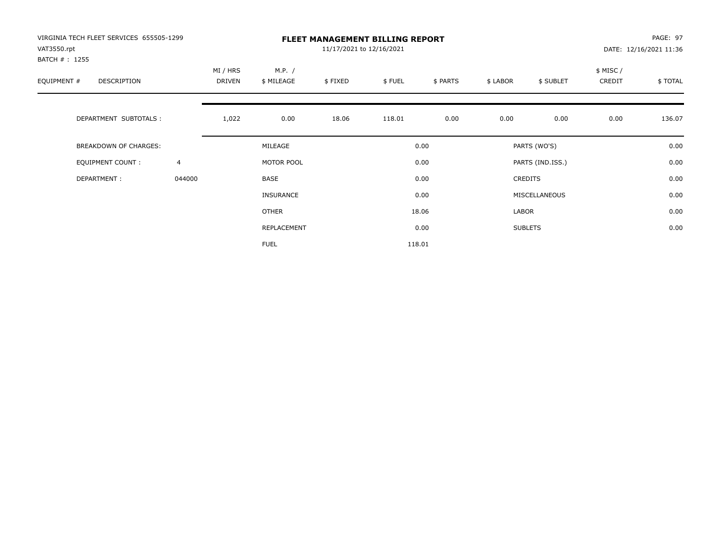| VIRGINIA TECH FLEET SERVICES 655505-1299<br>VAT3550.rpt |                | <b>FLEET MANAGEMENT BILLING REPORT</b><br>11/17/2021 to 12/16/2021 |                      |         |        |          |          |                  |                    | PAGE: 97<br>DATE: 12/16/2021 11:36 |  |
|---------------------------------------------------------|----------------|--------------------------------------------------------------------|----------------------|---------|--------|----------|----------|------------------|--------------------|------------------------------------|--|
| BATCH # : 1255<br>EQUIPMENT #<br>DESCRIPTION            |                | MI / HRS<br>DRIVEN                                                 | M.P. /<br>\$ MILEAGE | \$FIXED | \$FUEL | \$ PARTS | \$ LABOR | \$ SUBLET        | \$ MISC/<br>CREDIT | \$TOTAL                            |  |
| DEPARTMENT SUBTOTALS :                                  |                | 1,022                                                              | 0.00                 | 18.06   | 118.01 | 0.00     | 0.00     | 0.00             | 0.00               | 136.07                             |  |
| <b>BREAKDOWN OF CHARGES:</b>                            |                |                                                                    | MILEAGE              |         |        | 0.00     |          | PARTS (WO'S)     |                    | 0.00                               |  |
| EQUIPMENT COUNT:                                        | $\overline{4}$ |                                                                    | MOTOR POOL           |         |        | 0.00     |          | PARTS (IND.ISS.) |                    | 0.00                               |  |
| DEPARTMENT:                                             | 044000         |                                                                    | <b>BASE</b>          |         |        | 0.00     |          | <b>CREDITS</b>   |                    | 0.00                               |  |
|                                                         |                |                                                                    | <b>INSURANCE</b>     |         |        | 0.00     |          | MISCELLANEOUS    |                    | 0.00                               |  |
|                                                         |                |                                                                    | OTHER                |         |        | 18.06    | LABOR    |                  |                    | 0.00                               |  |
|                                                         |                |                                                                    | REPLACEMENT          |         |        | 0.00     |          | <b>SUBLETS</b>   |                    | 0.00                               |  |
|                                                         |                |                                                                    | <b>FUEL</b>          |         |        | 118.01   |          |                  |                    |                                    |  |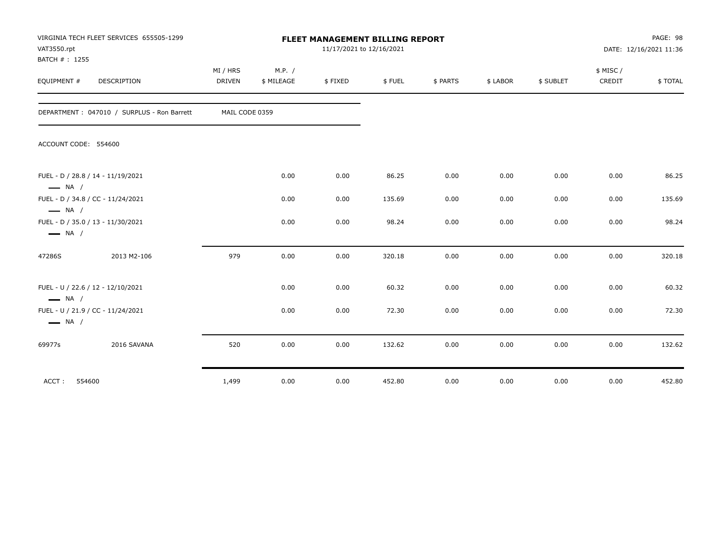| VAT3550.rpt<br>BATCH #: 1255            | VIRGINIA TECH FLEET SERVICES 655505-1299   | FLEET MANAGEMENT BILLING REPORT<br>11/17/2021 to 12/16/2021 |                      |         |        |          |          |           |                     | PAGE: 98<br>DATE: 12/16/2021 11:36 |  |
|-----------------------------------------|--------------------------------------------|-------------------------------------------------------------|----------------------|---------|--------|----------|----------|-----------|---------------------|------------------------------------|--|
| EQUIPMENT #                             | <b>DESCRIPTION</b>                         | MI / HRS<br><b>DRIVEN</b>                                   | M.P. /<br>\$ MILEAGE | \$FIXED | \$FUEL | \$ PARTS | \$ LABOR | \$ SUBLET | \$ MISC /<br>CREDIT | \$TOTAL                            |  |
|                                         | DEPARTMENT: 047010 / SURPLUS - Ron Barrett | MAIL CODE 0359                                              |                      |         |        |          |          |           |                     |                                    |  |
| ACCOUNT CODE: 554600                    |                                            |                                                             |                      |         |        |          |          |           |                     |                                    |  |
| $\longrightarrow$ NA /                  | FUEL - D / 28.8 / 14 - 11/19/2021          |                                                             | 0.00                 | 0.00    | 86.25  | 0.00     | 0.00     | 0.00      | 0.00                | 86.25                              |  |
|                                         | FUEL - D / 34.8 / CC - 11/24/2021          |                                                             | 0.00                 | 0.00    | 135.69 | 0.00     | 0.00     | 0.00      | 0.00                | 135.69                             |  |
| $\equiv$ NA /<br>$\longrightarrow$ NA / | FUEL - D / 35.0 / 13 - 11/30/2021          |                                                             | 0.00                 | 0.00    | 98.24  | 0.00     | 0.00     | 0.00      | 0.00                | 98.24                              |  |
| 47286S                                  | 2013 M2-106                                | 979                                                         | 0.00                 | 0.00    | 320.18 | 0.00     | 0.00     | 0.00      | 0.00                | 320.18                             |  |
| $\longrightarrow$ NA /                  | FUEL - U / 22.6 / 12 - 12/10/2021          |                                                             | 0.00                 | 0.00    | 60.32  | 0.00     | 0.00     | 0.00      | 0.00                | 60.32                              |  |
| $\longrightarrow$ NA /                  | FUEL - U / 21.9 / CC - 11/24/2021          |                                                             | 0.00                 | 0.00    | 72.30  | 0.00     | 0.00     | 0.00      | 0.00                | 72.30                              |  |
| 69977s                                  | 2016 SAVANA                                | 520                                                         | 0.00                 | 0.00    | 132.62 | 0.00     | 0.00     | 0.00      | 0.00                | 132.62                             |  |
| ACCT:                                   | 554600                                     | 1,499                                                       | 0.00                 | 0.00    | 452.80 | 0.00     | 0.00     | 0.00      | 0.00                | 452.80                             |  |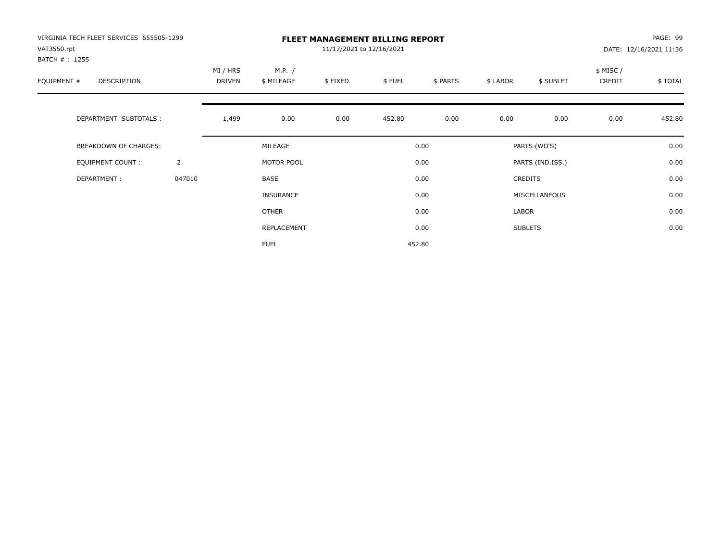| VIRGINIA TECH FLEET SERVICES 655505-1299<br>VAT3550.rpt |                | PAGE: 99<br><b>FLEET MANAGEMENT BILLING REPORT</b><br>11/17/2021 to 12/16/2021<br>DATE: 12/16/2021 11:36 |                      |         |        |          |          |                  |                    |         |
|---------------------------------------------------------|----------------|----------------------------------------------------------------------------------------------------------|----------------------|---------|--------|----------|----------|------------------|--------------------|---------|
| BATCH # : 1255<br>EQUIPMENT #<br>DESCRIPTION            |                | MI / HRS<br><b>DRIVEN</b>                                                                                | M.P. /<br>\$ MILEAGE | \$FIXED | \$FUEL | \$ PARTS | \$ LABOR | \$ SUBLET        | \$ MISC/<br>CREDIT | \$TOTAL |
| DEPARTMENT SUBTOTALS :                                  |                | 1,499                                                                                                    | 0.00                 | 0.00    | 452.80 | 0.00     | 0.00     | 0.00             | 0.00               | 452.80  |
| <b>BREAKDOWN OF CHARGES:</b>                            |                |                                                                                                          | MILEAGE              |         |        | 0.00     |          | PARTS (WO'S)     |                    | 0.00    |
| EQUIPMENT COUNT:                                        | $\overline{2}$ |                                                                                                          | MOTOR POOL           |         |        | 0.00     |          | PARTS (IND.ISS.) |                    | 0.00    |
| DEPARTMENT:                                             | 047010         |                                                                                                          | <b>BASE</b>          |         |        | 0.00     |          | <b>CREDITS</b>   |                    | 0.00    |
|                                                         |                |                                                                                                          | <b>INSURANCE</b>     |         |        | 0.00     |          | MISCELLANEOUS    |                    | 0.00    |
|                                                         |                |                                                                                                          | OTHER                |         |        | 0.00     | LABOR    |                  |                    | 0.00    |
|                                                         |                |                                                                                                          | REPLACEMENT          |         |        | 0.00     |          | <b>SUBLETS</b>   |                    | 0.00    |
|                                                         |                |                                                                                                          | <b>FUEL</b>          |         |        | 452.80   |          |                  |                    |         |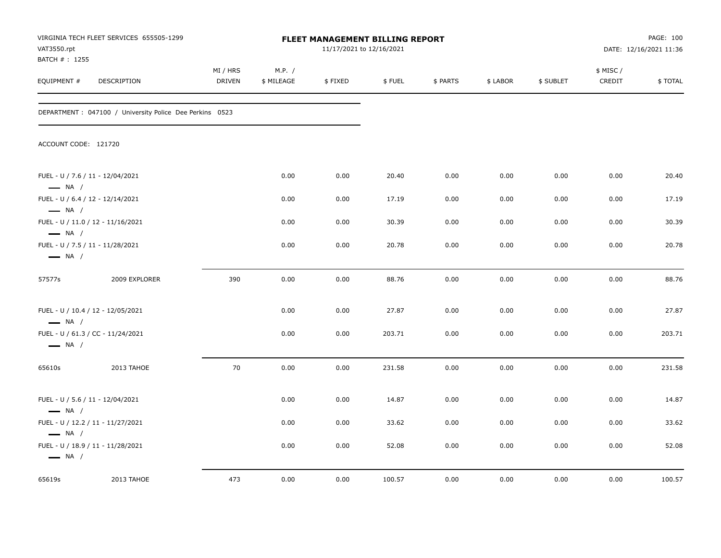| VAT3550.rpt<br>BATCH #: 1255                     | VIRGINIA TECH FLEET SERVICES 655505-1299                 |                    | <b>FLEET MANAGEMENT BILLING REPORT</b><br>11/17/2021 to 12/16/2021 |         |        |          |          |           |                     | PAGE: 100<br>DATE: 12/16/2021 11:36 |  |
|--------------------------------------------------|----------------------------------------------------------|--------------------|--------------------------------------------------------------------|---------|--------|----------|----------|-----------|---------------------|-------------------------------------|--|
| EQUIPMENT #                                      | DESCRIPTION                                              | MI / HRS<br>DRIVEN | M.P. /<br>\$ MILEAGE                                               | \$FIXED | \$FUEL | \$ PARTS | \$ LABOR | \$ SUBLET | \$ MISC /<br>CREDIT | \$TOTAL                             |  |
|                                                  | DEPARTMENT : 047100 / University Police Dee Perkins 0523 |                    |                                                                    |         |        |          |          |           |                     |                                     |  |
| ACCOUNT CODE: 121720                             |                                                          |                    |                                                                    |         |        |          |          |           |                     |                                     |  |
| $\longrightarrow$ NA /                           | FUEL - U / 7.6 / 11 - 12/04/2021                         |                    | 0.00                                                               | 0.00    | 20.40  | 0.00     | 0.00     | 0.00      | 0.00                | 20.40                               |  |
| $\longrightarrow$ NA /                           | FUEL - U / 6.4 / 12 - 12/14/2021                         |                    | 0.00                                                               | 0.00    | 17.19  | 0.00     | 0.00     | 0.00      | 0.00                | 17.19                               |  |
| $\longrightarrow$ NA /                           | FUEL - U / 11.0 / 12 - 11/16/2021                        |                    | 0.00                                                               | 0.00    | 30.39  | 0.00     | 0.00     | 0.00      | 0.00                | 30.39                               |  |
| $\longrightarrow$ NA /                           | FUEL - U / 7.5 / 11 - 11/28/2021                         |                    | 0.00                                                               | 0.00    | 20.78  | 0.00     | 0.00     | 0.00      | 0.00                | 20.78                               |  |
| 57577s                                           | 2009 EXPLORER                                            | 390                | 0.00                                                               | 0.00    | 88.76  | 0.00     | 0.00     | 0.00      | 0.00                | 88.76                               |  |
| $\longrightarrow$ NA /                           | FUEL - U / 10.4 / 12 - 12/05/2021                        |                    | 0.00                                                               | 0.00    | 27.87  | 0.00     | 0.00     | 0.00      | 0.00                | 27.87                               |  |
| $\longrightarrow$ NA /                           | FUEL - U / 61.3 / CC - 11/24/2021                        |                    | 0.00                                                               | 0.00    | 203.71 | 0.00     | 0.00     | 0.00      | 0.00                | 203.71                              |  |
| 65610s                                           | 2013 TAHOE                                               | 70                 | 0.00                                                               | 0.00    | 231.58 | 0.00     | 0.00     | 0.00      | 0.00                | 231.58                              |  |
| $\longrightarrow$ NA /                           | FUEL - U / 5.6 / 11 - 12/04/2021                         |                    | 0.00                                                               | 0.00    | 14.87  | 0.00     | 0.00     | 0.00      | 0.00                | 14.87                               |  |
|                                                  | FUEL - U / 12.2 / 11 - 11/27/2021                        |                    | 0.00                                                               | 0.00    | 33.62  | 0.00     | 0.00     | 0.00      | 0.00                | 33.62                               |  |
| $\longrightarrow$ NA /<br>$\longrightarrow$ NA / | FUEL - U / 18.9 / 11 - 11/28/2021                        |                    | 0.00                                                               | 0.00    | 52.08  | 0.00     | 0.00     | 0.00      | 0.00                | 52.08                               |  |
| 65619s                                           | 2013 TAHOE                                               | 473                | 0.00                                                               | 0.00    | 100.57 | 0.00     | 0.00     | 0.00      | 0.00                | 100.57                              |  |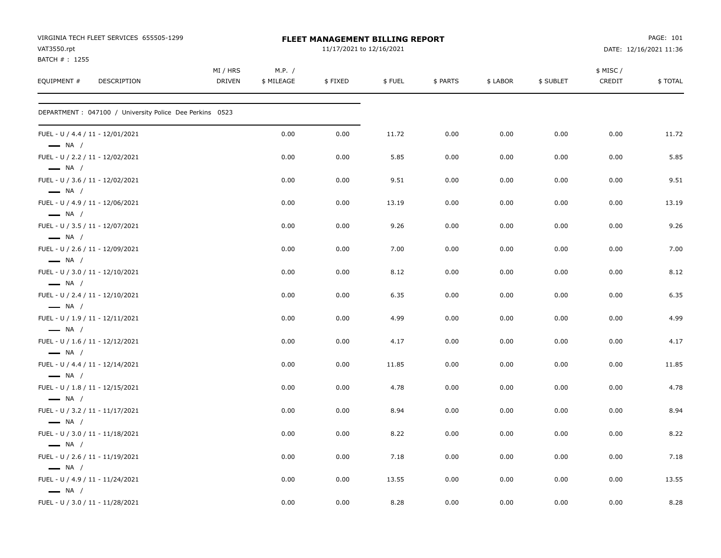| VIRGINIA TECH FLEET SERVICES 655505-1299<br>VAT3550.rpt<br>BATCH #: 1255 |                           |                      | <b>FLEET MANAGEMENT BILLING REPORT</b><br>11/17/2021 to 12/16/2021 |        |          |          | PAGE: 101<br>DATE: 12/16/2021 11:36 |                     |         |
|--------------------------------------------------------------------------|---------------------------|----------------------|--------------------------------------------------------------------|--------|----------|----------|-------------------------------------|---------------------|---------|
| EQUIPMENT #<br>DESCRIPTION                                               | MI / HRS<br><b>DRIVEN</b> | M.P. /<br>\$ MILEAGE | \$FIXED                                                            | \$FUEL | \$ PARTS | \$ LABOR | \$ SUBLET                           | \$ MISC /<br>CREDIT | \$TOTAL |
| DEPARTMENT : 047100 / University Police Dee Perkins 0523                 |                           |                      |                                                                    |        |          |          |                                     |                     |         |
| FUEL - U / 4.4 / 11 - 12/01/2021<br>$\longrightarrow$ NA /               |                           | 0.00                 | 0.00                                                               | 11.72  | 0.00     | 0.00     | 0.00                                | 0.00                | 11.72   |
| FUEL - U / 2.2 / 11 - 12/02/2021<br>$\longrightarrow$ NA /               |                           | 0.00                 | 0.00                                                               | 5.85   | 0.00     | 0.00     | 0.00                                | 0.00                | 5.85    |
| FUEL - U / 3.6 / 11 - 12/02/2021<br>$\longrightarrow$ NA /               |                           | 0.00                 | 0.00                                                               | 9.51   | 0.00     | 0.00     | 0.00                                | 0.00                | 9.51    |
| FUEL - U / 4.9 / 11 - 12/06/2021<br>$\longrightarrow$ NA /               |                           | 0.00                 | 0.00                                                               | 13.19  | 0.00     | 0.00     | 0.00                                | 0.00                | 13.19   |
| FUEL - U / 3.5 / 11 - 12/07/2021<br>$\longrightarrow$ NA /               |                           | 0.00                 | 0.00                                                               | 9.26   | 0.00     | 0.00     | 0.00                                | 0.00                | 9.26    |
| FUEL - U / 2.6 / 11 - 12/09/2021<br>$\longrightarrow$ NA /               |                           | 0.00                 | 0.00                                                               | 7.00   | 0.00     | 0.00     | 0.00                                | 0.00                | 7.00    |
| FUEL - U / 3.0 / 11 - 12/10/2021<br>$\longrightarrow$ NA /               |                           | 0.00                 | 0.00                                                               | 8.12   | 0.00     | 0.00     | 0.00                                | 0.00                | 8.12    |
| FUEL - U / 2.4 / 11 - 12/10/2021<br>$\longrightarrow$ NA /               |                           | 0.00                 | 0.00                                                               | 6.35   | 0.00     | 0.00     | 0.00                                | 0.00                | 6.35    |
| FUEL - U / 1.9 / 11 - 12/11/2021<br>$\longrightarrow$ NA /               |                           | 0.00                 | 0.00                                                               | 4.99   | 0.00     | 0.00     | 0.00                                | 0.00                | 4.99    |
| FUEL - U / 1.6 / 11 - 12/12/2021<br>$\longrightarrow$ NA /               |                           | 0.00                 | 0.00                                                               | 4.17   | 0.00     | 0.00     | 0.00                                | 0.00                | 4.17    |
| FUEL - U / 4.4 / 11 - 12/14/2021<br>$\longrightarrow$ NA /               |                           | 0.00                 | 0.00                                                               | 11.85  | 0.00     | 0.00     | 0.00                                | 0.00                | 11.85   |
| FUEL - U / 1.8 / 11 - 12/15/2021<br>$\longrightarrow$ NA /               |                           | 0.00                 | 0.00                                                               | 4.78   | 0.00     | 0.00     | 0.00                                | 0.00                | 4.78    |
| FUEL - U / 3.2 / 11 - 11/17/2021<br>$\longrightarrow$ NA /               |                           | 0.00                 | 0.00                                                               | 8.94   | 0.00     | 0.00     | 0.00                                | 0.00                | 8.94    |
| FUEL - U / 3.0 / 11 - 11/18/2021<br>$\longrightarrow$ NA /               |                           | 0.00                 | 0.00                                                               | 8.22   | 0.00     | 0.00     | 0.00                                | 0.00                | 8.22    |
| FUEL - U / 2.6 / 11 - 11/19/2021<br>$\equiv$ NA /                        |                           | 0.00                 | 0.00                                                               | 7.18   | 0.00     | 0.00     | 0.00                                | 0.00                | 7.18    |
| FUEL - U / 4.9 / 11 - 11/24/2021<br>$\longrightarrow$ NA /               |                           | 0.00                 | 0.00                                                               | 13.55  | 0.00     | 0.00     | 0.00                                | 0.00                | 13.55   |
| FUEL - U / 3.0 / 11 - 11/28/2021                                         |                           | 0.00                 | 0.00                                                               | 8.28   | 0.00     | 0.00     | 0.00                                | 0.00                | 8.28    |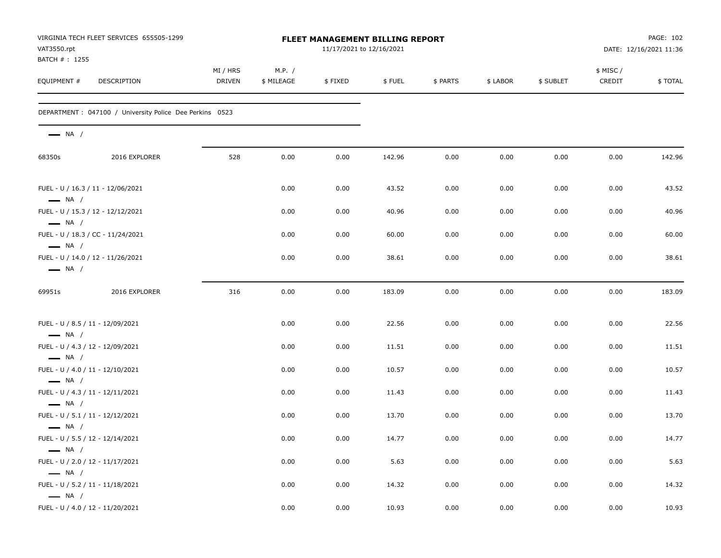| VAT3550.rpt                                                | VIRGINIA TECH FLEET SERVICES 655505-1299                 | FLEET MANAGEMENT BILLING REPORT<br>11/17/2021 to 12/16/2021 |                      |         |        |          |          |           |                    | PAGE: 102<br>DATE: 12/16/2021 11:36 |  |
|------------------------------------------------------------|----------------------------------------------------------|-------------------------------------------------------------|----------------------|---------|--------|----------|----------|-----------|--------------------|-------------------------------------|--|
| BATCH #: 1255<br>EQUIPMENT #                               | <b>DESCRIPTION</b>                                       | MI / HRS<br><b>DRIVEN</b>                                   | M.P. /<br>\$ MILEAGE | \$FIXED | \$FUEL | \$ PARTS | \$ LABOR | \$ SUBLET | \$ MISC/<br>CREDIT | \$TOTAL                             |  |
|                                                            | DEPARTMENT : 047100 / University Police Dee Perkins 0523 |                                                             |                      |         |        |          |          |           |                    |                                     |  |
| $\longrightarrow$ NA /                                     |                                                          |                                                             |                      |         |        |          |          |           |                    |                                     |  |
| 68350s                                                     | 2016 EXPLORER                                            | 528                                                         | 0.00                 | 0.00    | 142.96 | 0.00     | 0.00     | 0.00      | 0.00               | 142.96                              |  |
| $\longrightarrow$ NA /                                     | FUEL - U / 16.3 / 11 - 12/06/2021                        |                                                             | 0.00                 | 0.00    | 43.52  | 0.00     | 0.00     | 0.00      | 0.00               | 43.52                               |  |
| $\longrightarrow$ NA /                                     | FUEL - U / 15.3 / 12 - 12/12/2021                        |                                                             | 0.00                 | 0.00    | 40.96  | 0.00     | 0.00     | 0.00      | 0.00               | 40.96                               |  |
| $\longrightarrow$ NA /                                     | FUEL - U / 18.3 / CC - 11/24/2021                        |                                                             | 0.00                 | 0.00    | 60.00  | 0.00     | 0.00     | 0.00      | 0.00               | 60.00                               |  |
| $\longrightarrow$ NA /                                     | FUEL - U / 14.0 / 12 - 11/26/2021                        |                                                             | 0.00                 | 0.00    | 38.61  | 0.00     | 0.00     | 0.00      | 0.00               | 38.61                               |  |
| 69951s                                                     | 2016 EXPLORER                                            | 316                                                         | 0.00                 | 0.00    | 183.09 | 0.00     | 0.00     | 0.00      | 0.00               | 183.09                              |  |
| FUEL - U / 8.5 / 11 - 12/09/2021<br>$\longrightarrow$ NA / |                                                          |                                                             | 0.00                 | 0.00    | 22.56  | 0.00     | 0.00     | 0.00      | 0.00               | 22.56                               |  |
| FUEL - U / 4.3 / 12 - 12/09/2021                           |                                                          |                                                             | 0.00                 | 0.00    | 11.51  | 0.00     | 0.00     | 0.00      | 0.00               | 11.51                               |  |
| $\longrightarrow$ NA /<br>FUEL - U / 4.0 / 11 - 12/10/2021 |                                                          |                                                             | 0.00                 | 0.00    | 10.57  | 0.00     | 0.00     | 0.00      | 0.00               | 10.57                               |  |
| $\longrightarrow$ NA /<br>FUEL - U / 4.3 / 11 - 12/11/2021 |                                                          |                                                             | 0.00                 | 0.00    | 11.43  | 0.00     | 0.00     | 0.00      | 0.00               | 11.43                               |  |
| $\longrightarrow$ NA /<br>FUEL - U / 5.1 / 11 - 12/12/2021 |                                                          |                                                             | 0.00                 | 0.00    | 13.70  | 0.00     | 0.00     | 0.00      | 0.00               | 13.70                               |  |
| $\longrightarrow$ NA /<br>FUEL - U / 5.5 / 12 - 12/14/2021 |                                                          |                                                             | 0.00                 | 0.00    | 14.77  | 0.00     | 0.00     | 0.00      | 0.00               | 14.77                               |  |
| $\longrightarrow$ NA /<br>FUEL - U / 2.0 / 12 - 11/17/2021 |                                                          |                                                             | 0.00                 | 0.00    | 5.63   | 0.00     | 0.00     | 0.00      | 0.00               | 5.63                                |  |
| $\longrightarrow$ NA /<br>FUEL - U / 5.2 / 11 - 11/18/2021 |                                                          |                                                             | 0.00                 | 0.00    | 14.32  | 0.00     | 0.00     | 0.00      | 0.00               | 14.32                               |  |
| $\longrightarrow$ NA /                                     | FUEL - U / 4.0 / 12 - 11/20/2021                         |                                                             | 0.00                 | 0.00    | 10.93  | 0.00     | 0.00     | 0.00      | $0.00\,$           | 10.93                               |  |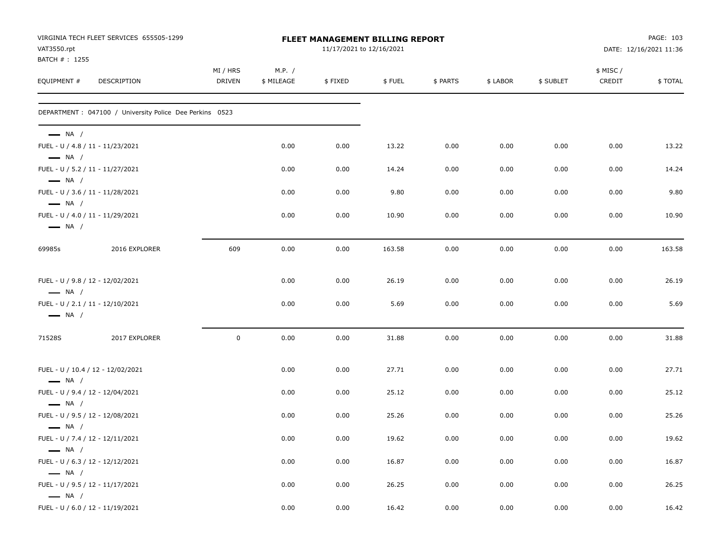| VAT3550.rpt                                                                          | VIRGINIA TECH FLEET SERVICES 655505-1299                 | FLEET MANAGEMENT BILLING REPORT<br>11/17/2021 to 12/16/2021 |                      |         |        |          |          |           |                    | PAGE: 103<br>DATE: 12/16/2021 11:36 |  |
|--------------------------------------------------------------------------------------|----------------------------------------------------------|-------------------------------------------------------------|----------------------|---------|--------|----------|----------|-----------|--------------------|-------------------------------------|--|
| BATCH #: 1255<br>EQUIPMENT #                                                         | DESCRIPTION                                              | MI / HRS<br>DRIVEN                                          | M.P. /<br>\$ MILEAGE | \$FIXED | \$FUEL | \$ PARTS | \$ LABOR | \$ SUBLET | \$ MISC/<br>CREDIT | \$TOTAL                             |  |
|                                                                                      | DEPARTMENT : 047100 / University Police Dee Perkins 0523 |                                                             |                      |         |        |          |          |           |                    |                                     |  |
| $\longrightarrow$ NA /                                                               |                                                          |                                                             |                      |         |        |          |          |           |                    |                                     |  |
| FUEL - U / 4.8 / 11 - 11/23/2021<br>$\longrightarrow$ NA /                           |                                                          |                                                             | 0.00                 | 0.00    | 13.22  | 0.00     | 0.00     | 0.00      | 0.00               | 13.22                               |  |
| FUEL - U / 5.2 / 11 - 11/27/2021<br>$\longrightarrow$ NA /                           |                                                          |                                                             | 0.00                 | 0.00    | 14.24  | 0.00     | 0.00     | 0.00      | 0.00               | 14.24                               |  |
| FUEL - U / 3.6 / 11 - 11/28/2021<br>$\longrightarrow$ NA /                           |                                                          |                                                             | 0.00                 | 0.00    | 9.80   | 0.00     | 0.00     | 0.00      | 0.00               | 9.80                                |  |
| FUEL - U / 4.0 / 11 - 11/29/2021<br>$\longrightarrow$ NA /                           |                                                          |                                                             | 0.00                 | 0.00    | 10.90  | 0.00     | 0.00     | 0.00      | 0.00               | 10.90                               |  |
| 69985s                                                                               | 2016 EXPLORER                                            | 609                                                         | 0.00                 | 0.00    | 163.58 | 0.00     | 0.00     | 0.00      | 0.00               | 163.58                              |  |
| FUEL - U / 9.8 / 12 - 12/02/2021<br>$\longrightarrow$ NA /                           |                                                          |                                                             | 0.00                 | 0.00    | 26.19  | 0.00     | 0.00     | 0.00      | 0.00               | 26.19                               |  |
| FUEL - U / 2.1 / 11 - 12/10/2021<br>$\longrightarrow$ NA /                           |                                                          |                                                             | 0.00                 | 0.00    | 5.69   | 0.00     | 0.00     | 0.00      | 0.00               | 5.69                                |  |
| 71528S                                                                               | 2017 EXPLORER                                            | 0                                                           | 0.00                 | 0.00    | 31.88  | 0.00     | 0.00     | 0.00      | 0.00               | 31.88                               |  |
| $\longrightarrow$ NA /                                                               | FUEL - U / 10.4 / 12 - 12/02/2021                        |                                                             | 0.00                 | 0.00    | 27.71  | 0.00     | 0.00     | 0.00      | 0.00               | 27.71                               |  |
| FUEL - U / 9.4 / 12 - 12/04/2021                                                     |                                                          |                                                             | 0.00                 | 0.00    | 25.12  | 0.00     | 0.00     | 0.00      | 0.00               | 25.12                               |  |
| $\longrightarrow$ NA /<br>FUEL - U / 9.5 / 12 - 12/08/2021<br>$\longrightarrow$ NA / |                                                          |                                                             | 0.00                 | 0.00    | 25.26  | 0.00     | 0.00     | 0.00      | 0.00               | 25.26                               |  |
| FUEL - U / 7.4 / 12 - 12/11/2021<br>$\longrightarrow$ NA /                           |                                                          |                                                             | 0.00                 | 0.00    | 19.62  | 0.00     | 0.00     | 0.00      | 0.00               | 19.62                               |  |
| FUEL - U / 6.3 / 12 - 12/12/2021<br>$\longrightarrow$ NA /                           |                                                          |                                                             | 0.00                 | 0.00    | 16.87  | 0.00     | 0.00     | 0.00      | 0.00               | 16.87                               |  |
| FUEL - U / 9.5 / 12 - 11/17/2021<br>$\longrightarrow$ NA /                           |                                                          |                                                             | 0.00                 | 0.00    | 26.25  | 0.00     | 0.00     | 0.00      | 0.00               | 26.25                               |  |
| FUEL - U / 6.0 / 12 - 11/19/2021                                                     |                                                          |                                                             | 0.00                 | 0.00    | 16.42  | 0.00     | 0.00     | 0.00      | 0.00               | 16.42                               |  |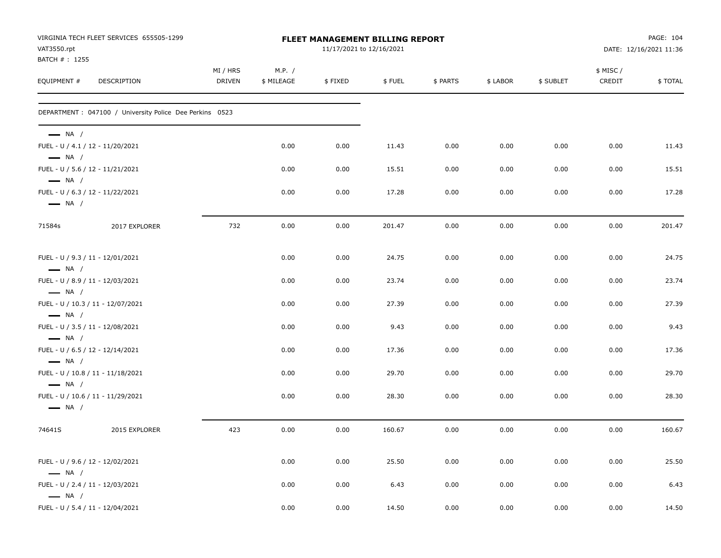| VAT3550.rpt                                      | VIRGINIA TECH FLEET SERVICES 655505-1299                 | FLEET MANAGEMENT BILLING REPORT<br>11/17/2021 to 12/16/2021 |                      |         |        |          |          |           |                    | PAGE: 104<br>DATE: 12/16/2021 11:36 |  |
|--------------------------------------------------|----------------------------------------------------------|-------------------------------------------------------------|----------------------|---------|--------|----------|----------|-----------|--------------------|-------------------------------------|--|
| BATCH #: 1255<br>EQUIPMENT #                     | DESCRIPTION                                              | MI / HRS<br>DRIVEN                                          | M.P. /<br>\$ MILEAGE | \$FIXED | \$FUEL | \$ PARTS | \$ LABOR | \$ SUBLET | \$ MISC/<br>CREDIT | \$TOTAL                             |  |
|                                                  | DEPARTMENT : 047100 / University Police Dee Perkins 0523 |                                                             |                      |         |        |          |          |           |                    |                                     |  |
| $\longrightarrow$ NA /<br>$\longrightarrow$ NA / | FUEL - U / 4.1 / 12 - 11/20/2021                         |                                                             | 0.00                 | 0.00    | 11.43  | 0.00     | 0.00     | 0.00      | 0.00               | 11.43                               |  |
|                                                  | FUEL - U / 5.6 / 12 - 11/21/2021                         |                                                             | 0.00                 | 0.00    | 15.51  | 0.00     | 0.00     | 0.00      | 0.00               | 15.51                               |  |
| $\longrightarrow$ NA /<br>$\longrightarrow$ NA / | FUEL - U / 6.3 / 12 - 11/22/2021                         |                                                             | 0.00                 | 0.00    | 17.28  | 0.00     | 0.00     | 0.00      | 0.00               | 17.28                               |  |
| 71584s                                           | 2017 EXPLORER                                            | 732                                                         | 0.00                 | 0.00    | 201.47 | 0.00     | 0.00     | 0.00      | 0.00               | 201.47                              |  |
| $\longrightarrow$ NA /                           | FUEL - U / 9.3 / 11 - 12/01/2021                         |                                                             | 0.00                 | 0.00    | 24.75  | 0.00     | 0.00     | 0.00      | 0.00               | 24.75                               |  |
| $\longrightarrow$ NA /                           | FUEL - U / 8.9 / 11 - 12/03/2021                         |                                                             | 0.00                 | 0.00    | 23.74  | 0.00     | 0.00     | 0.00      | 0.00               | 23.74                               |  |
|                                                  | FUEL - U / 10.3 / 11 - 12/07/2021                        |                                                             | 0.00                 | 0.00    | 27.39  | 0.00     | 0.00     | 0.00      | 0.00               | 27.39                               |  |
| $\longrightarrow$ NA /                           | FUEL - U / 3.5 / 11 - 12/08/2021                         |                                                             | 0.00                 | 0.00    | 9.43   | 0.00     | 0.00     | 0.00      | 0.00               | 9.43                                |  |
| $\longrightarrow$ NA /                           | FUEL - U / 6.5 / 12 - 12/14/2021                         |                                                             | 0.00                 | 0.00    | 17.36  | 0.00     | 0.00     | 0.00      | 0.00               | 17.36                               |  |
| $\longrightarrow$ NA /                           | FUEL - U / 10.8 / 11 - 11/18/2021                        |                                                             | 0.00                 | 0.00    | 29.70  | 0.00     | 0.00     | 0.00      | 0.00               | 29.70                               |  |
| $\longrightarrow$ NA /<br>$\longrightarrow$ NA / | FUEL - U / 10.6 / 11 - 11/29/2021                        |                                                             | 0.00                 | 0.00    | 28.30  | 0.00     | 0.00     | 0.00      | 0.00               | 28.30                               |  |
| 74641S                                           | 2015 EXPLORER                                            | 423                                                         | 0.00                 | 0.00    | 160.67 | 0.00     | 0.00     | 0.00      | 0.00               | 160.67                              |  |
| $\longrightarrow$ NA /                           | FUEL - U / 9.6 / 12 - 12/02/2021                         |                                                             | 0.00                 | 0.00    | 25.50  | 0.00     | 0.00     | 0.00      | 0.00               | 25.50                               |  |
| $\longrightarrow$ NA /                           | FUEL - U / 2.4 / 11 - 12/03/2021                         |                                                             | 0.00                 | 0.00    | 6.43   | 0.00     | 0.00     | 0.00      | 0.00               | 6.43                                |  |
|                                                  | FUEL - U / 5.4 / 11 - 12/04/2021                         |                                                             | 0.00                 | 0.00    | 14.50  | 0.00     | 0.00     | 0.00      | 0.00               | 14.50                               |  |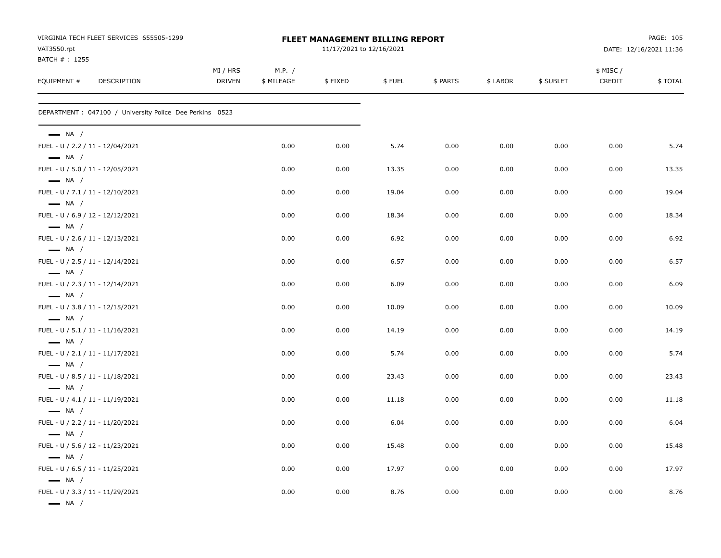|                                                            | VIRGINIA TECH FLEET SERVICES 655505-1299                 | <b>FLEET MANAGEMENT BILLING REPORT</b><br>11/17/2021 to 12/16/2021 |            |         |        |          |          |           | PAGE: 105 |                        |
|------------------------------------------------------------|----------------------------------------------------------|--------------------------------------------------------------------|------------|---------|--------|----------|----------|-----------|-----------|------------------------|
| VAT3550.rpt<br>BATCH # : 1255                              |                                                          |                                                                    |            |         |        |          |          |           |           | DATE: 12/16/2021 11:36 |
|                                                            |                                                          | MI / HRS                                                           | M.P. /     |         |        |          |          |           | \$ MISC/  |                        |
| EQUIPMENT #                                                | DESCRIPTION                                              | <b>DRIVEN</b>                                                      | \$ MILEAGE | \$FIXED | \$FUEL | \$ PARTS | \$ LABOR | \$ SUBLET | CREDIT    | \$TOTAL                |
|                                                            | DEPARTMENT : 047100 / University Police Dee Perkins 0523 |                                                                    |            |         |        |          |          |           |           |                        |
| $\longrightarrow$ NA /                                     |                                                          |                                                                    |            |         |        |          |          |           |           |                        |
| $\longrightarrow$ NA /                                     | FUEL - U / 2.2 / 11 - 12/04/2021                         |                                                                    | 0.00       | 0.00    | 5.74   | 0.00     | 0.00     | 0.00      | 0.00      | 5.74                   |
| $\longrightarrow$ NA /                                     | FUEL - U / 5.0 / 11 - 12/05/2021                         |                                                                    | 0.00       | 0.00    | 13.35  | 0.00     | 0.00     | 0.00      | 0.00      | 13.35                  |
| FUEL - U / 7.1 / 11 - 12/10/2021                           |                                                          |                                                                    | 0.00       | 0.00    | 19.04  | 0.00     | 0.00     | 0.00      | 0.00      | 19.04                  |
| $\longrightarrow$ NA /                                     | FUEL - U / 6.9 / 12 - 12/12/2021                         |                                                                    | 0.00       | 0.00    | 18.34  | 0.00     | 0.00     | 0.00      | 0.00      | 18.34                  |
| $\longrightarrow$ NA /                                     | FUEL - U / 2.6 / 11 - 12/13/2021                         |                                                                    | 0.00       | 0.00    | 6.92   | 0.00     | 0.00     | 0.00      | 0.00      | 6.92                   |
| $\longrightarrow$ NA /<br>FUEL - U / 2.5 / 11 - 12/14/2021 |                                                          |                                                                    | 0.00       | 0.00    | 6.57   | 0.00     | 0.00     | 0.00      | 0.00      | 6.57                   |
| $\longrightarrow$ NA /<br>FUEL - U / 2.3 / 11 - 12/14/2021 |                                                          |                                                                    | 0.00       | 0.00    | 6.09   | 0.00     | 0.00     | 0.00      | 0.00      | 6.09                   |
| $\longrightarrow$ NA /                                     | FUEL - U / 3.8 / 11 - 12/15/2021                         |                                                                    | 0.00       | 0.00    | 10.09  | 0.00     | 0.00     | 0.00      | 0.00      | 10.09                  |
| $\longrightarrow$ NA /                                     |                                                          |                                                                    |            |         |        |          |          |           |           |                        |
| $\longrightarrow$ NA /                                     | FUEL - U / 5.1 / 11 - 11/16/2021                         |                                                                    | 0.00       | 0.00    | 14.19  | 0.00     | 0.00     | 0.00      | 0.00      | 14.19                  |
| $\longrightarrow$ NA /                                     | FUEL - U / 2.1 / 11 - 11/17/2021                         |                                                                    | 0.00       | 0.00    | 5.74   | 0.00     | 0.00     | 0.00      | 0.00      | 5.74                   |
| FUEL - U / 8.5 / 11 - 11/18/2021                           |                                                          |                                                                    | 0.00       | 0.00    | 23.43  | 0.00     | 0.00     | 0.00      | 0.00      | 23.43                  |
| $\longrightarrow$ NA /                                     | FUEL - U / 4.1 / 11 - 11/19/2021                         |                                                                    | 0.00       | 0.00    | 11.18  | 0.00     | 0.00     | 0.00      | 0.00      | 11.18                  |
| $\longrightarrow$ NA /                                     | FUEL - U / 2.2 / 11 - 11/20/2021                         |                                                                    | 0.00       | 0.00    | 6.04   | 0.00     | 0.00     | 0.00      | 0.00      | 6.04                   |
| $\longrightarrow$ NA /<br>FUEL - U / 5.6 / 12 - 11/23/2021 |                                                          |                                                                    | 0.00       | 0.00    | 15.48  | 0.00     | 0.00     | 0.00      | 0.00      | 15.48                  |
| $\longrightarrow$ NA /                                     | FUEL - U / 6.5 / 11 - 11/25/2021                         |                                                                    | 0.00       | 0.00    | 17.97  | 0.00     | 0.00     | 0.00      | 0.00      | 17.97                  |
| $\longrightarrow$ NA /                                     |                                                          |                                                                    |            |         |        |          |          |           |           |                        |
| $\longrightarrow$ NA /                                     | FUEL - U / 3.3 / 11 - 11/29/2021                         |                                                                    | 0.00       | 0.00    | 8.76   | 0.00     | 0.00     | 0.00      | 0.00      | 8.76                   |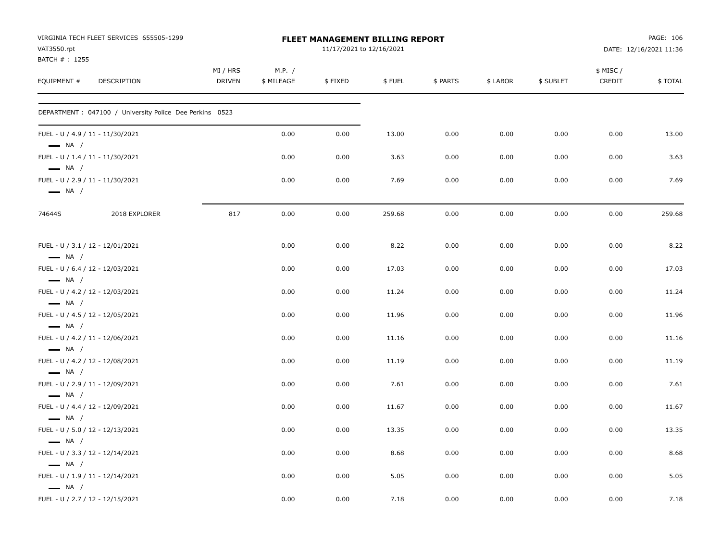| VAT3550.rpt<br>BATCH #: 1255 | VIRGINIA TECH FLEET SERVICES 655505-1299                 |                           |                      | <b>FLEET MANAGEMENT BILLING REPORT</b><br>11/17/2021 to 12/16/2021 |        |          |          |           |                     | PAGE: 106<br>DATE: 12/16/2021 11:36 |
|------------------------------|----------------------------------------------------------|---------------------------|----------------------|--------------------------------------------------------------------|--------|----------|----------|-----------|---------------------|-------------------------------------|
| EQUIPMENT #                  | DESCRIPTION                                              | MI / HRS<br><b>DRIVEN</b> | M.P. /<br>\$ MILEAGE | \$FIXED                                                            | \$FUEL | \$ PARTS | \$ LABOR | \$ SUBLET | \$ MISC /<br>CREDIT | \$TOTAL                             |
|                              | DEPARTMENT : 047100 / University Police Dee Perkins 0523 |                           |                      |                                                                    |        |          |          |           |                     |                                     |
| $\longrightarrow$ NA /       | FUEL - U / 4.9 / 11 - 11/30/2021                         |                           | 0.00                 | 0.00                                                               | 13.00  | 0.00     | 0.00     | 0.00      | 0.00                | 13.00                               |
| $\longrightarrow$ NA /       | FUEL - U / 1.4 / 11 - 11/30/2021                         |                           | 0.00                 | 0.00                                                               | 3.63   | 0.00     | 0.00     | 0.00      | 0.00                | 3.63                                |
| $\longrightarrow$ NA /       | FUEL - U / 2.9 / 11 - 11/30/2021                         |                           | 0.00                 | 0.00                                                               | 7.69   | 0.00     | 0.00     | 0.00      | 0.00                | 7.69                                |
| 74644S                       | 2018 EXPLORER                                            | 817                       | 0.00                 | 0.00                                                               | 259.68 | 0.00     | 0.00     | 0.00      | 0.00                | 259.68                              |
| $\longrightarrow$ NA /       | FUEL - U / 3.1 / 12 - 12/01/2021                         |                           | 0.00                 | 0.00                                                               | 8.22   | 0.00     | 0.00     | 0.00      | 0.00                | 8.22                                |
| $\longrightarrow$ NA /       | FUEL - U / 6.4 / 12 - 12/03/2021                         |                           | 0.00                 | 0.00                                                               | 17.03  | 0.00     | 0.00     | 0.00      | 0.00                | 17.03                               |
| $\longrightarrow$ NA /       | FUEL - U / 4.2 / 12 - 12/03/2021                         |                           | 0.00                 | 0.00                                                               | 11.24  | 0.00     | 0.00     | 0.00      | 0.00                | 11.24                               |
| $\longrightarrow$ NA /       | FUEL - U / 4.5 / 12 - 12/05/2021                         |                           | 0.00                 | 0.00                                                               | 11.96  | 0.00     | 0.00     | 0.00      | 0.00                | 11.96                               |
| $\longrightarrow$ NA /       | FUEL - U / 4.2 / 11 - 12/06/2021                         |                           | 0.00                 | 0.00                                                               | 11.16  | 0.00     | 0.00     | 0.00      | 0.00                | 11.16                               |
| $\longrightarrow$ NA /       | FUEL - U / 4.2 / 12 - 12/08/2021                         |                           | 0.00                 | 0.00                                                               | 11.19  | 0.00     | 0.00     | 0.00      | 0.00                | 11.19                               |
|                              | FUEL - U / 2.9 / 11 - 12/09/2021                         |                           | 0.00                 | 0.00                                                               | 7.61   | 0.00     | 0.00     | 0.00      | 0.00                | 7.61                                |
| $\longrightarrow$ NA /       | FUEL - U / 4.4 / 12 - 12/09/2021                         |                           | 0.00                 | 0.00                                                               | 11.67  | 0.00     | 0.00     | 0.00      | 0.00                | 11.67                               |
| $\longrightarrow$ NA /       | FUEL - U / 5.0 / 12 - 12/13/2021                         |                           | 0.00                 | 0.00                                                               | 13.35  | 0.00     | 0.00     | 0.00      | 0.00                | 13.35                               |
| $\longrightarrow$ NA /       | FUEL - U / 3.3 / 12 - 12/14/2021                         |                           | 0.00                 | 0.00                                                               | 8.68   | 0.00     | 0.00     | 0.00      | 0.00                | 8.68                                |
| $\longrightarrow$ NA /       | FUEL - U / 1.9 / 11 - 12/14/2021                         |                           | 0.00                 | 0.00                                                               | 5.05   | 0.00     | 0.00     | 0.00      | 0.00                | 5.05                                |
| $\longrightarrow$ NA /       | FUEL - U / 2.7 / 12 - 12/15/2021                         |                           | 0.00                 | 0.00                                                               | 7.18   | 0.00     | 0.00     | 0.00      | 0.00                | 7.18                                |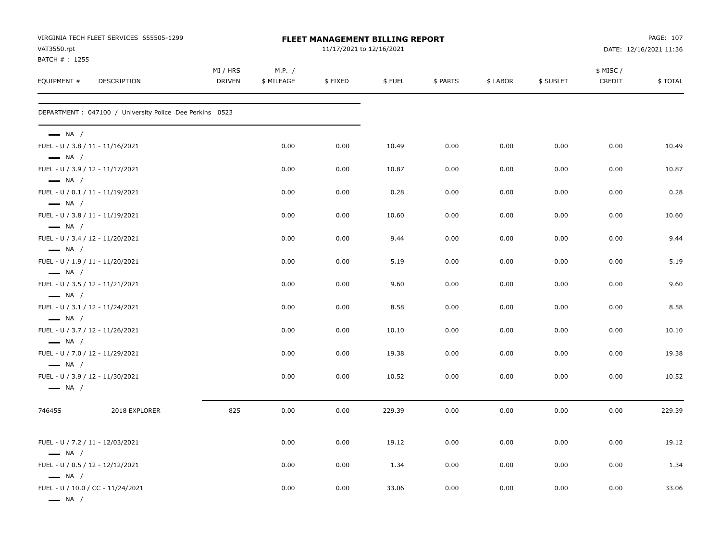| VAT3550.rpt<br>BATCH #: 1255 | VIRGINIA TECH FLEET SERVICES 655505-1299                 | FLEET MANAGEMENT BILLING REPORT<br>11/17/2021 to 12/16/2021 |                      |         |        |          |          |           |                    | PAGE: 107<br>DATE: 12/16/2021 11:36 |  |
|------------------------------|----------------------------------------------------------|-------------------------------------------------------------|----------------------|---------|--------|----------|----------|-----------|--------------------|-------------------------------------|--|
| EQUIPMENT #                  | DESCRIPTION                                              | MI / HRS<br><b>DRIVEN</b>                                   | M.P. /<br>\$ MILEAGE | \$FIXED | \$FUEL | \$ PARTS | \$ LABOR | \$ SUBLET | \$ MISC/<br>CREDIT | \$TOTAL                             |  |
|                              | DEPARTMENT : 047100 / University Police Dee Perkins 0523 |                                                             |                      |         |        |          |          |           |                    |                                     |  |
| $\longrightarrow$ NA /       | FUEL - U / 3.8 / 11 - 11/16/2021                         |                                                             | 0.00                 | 0.00    | 10.49  | 0.00     | 0.00     | 0.00      | 0.00               | 10.49                               |  |
| $\longrightarrow$ NA /       |                                                          |                                                             |                      |         |        |          |          |           |                    |                                     |  |
| $\longrightarrow$ NA /       | FUEL - U / 3.9 / 12 - 11/17/2021                         |                                                             | 0.00                 | 0.00    | 10.87  | 0.00     | 0.00     | 0.00      | 0.00               | 10.87                               |  |
| $\longrightarrow$ NA /       | FUEL - U / 0.1 / 11 - 11/19/2021                         |                                                             | 0.00                 | 0.00    | 0.28   | 0.00     | 0.00     | 0.00      | 0.00               | 0.28                                |  |
| $\longrightarrow$ NA /       | FUEL - U / 3.8 / 11 - 11/19/2021                         |                                                             | 0.00                 | 0.00    | 10.60  | 0.00     | 0.00     | 0.00      | 0.00               | 10.60                               |  |
| $\longrightarrow$ NA /       | FUEL - U / 3.4 / 12 - 11/20/2021                         |                                                             | 0.00                 | 0.00    | 9.44   | 0.00     | 0.00     | 0.00      | 0.00               | 9.44                                |  |
| $\longrightarrow$ NA /       | FUEL - U / 1.9 / 11 - 11/20/2021                         |                                                             | 0.00                 | 0.00    | 5.19   | 0.00     | 0.00     | 0.00      | 0.00               | 5.19                                |  |
| $\longrightarrow$ NA /       | FUEL - U / 3.5 / 12 - 11/21/2021                         |                                                             | 0.00                 | 0.00    | 9.60   | 0.00     | 0.00     | 0.00      | 0.00               | 9.60                                |  |
| $\longrightarrow$ NA /       | FUEL - U / 3.1 / 12 - 11/24/2021                         |                                                             | 0.00                 | 0.00    | 8.58   | 0.00     | 0.00     | 0.00      | 0.00               | 8.58                                |  |
| $\longrightarrow$ NA /       | FUEL - U / 3.7 / 12 - 11/26/2021                         |                                                             | 0.00                 | 0.00    | 10.10  | 0.00     | 0.00     | 0.00      | 0.00               | 10.10                               |  |
| $\longrightarrow$ NA /       | FUEL - U / 7.0 / 12 - 11/29/2021                         |                                                             | 0.00                 | 0.00    | 19.38  | 0.00     | 0.00     | 0.00      | 0.00               | 19.38                               |  |
| $\longrightarrow$ NA /       | FUEL - U / 3.9 / 12 - 11/30/2021                         |                                                             | 0.00                 | 0.00    | 10.52  | 0.00     | 0.00     | 0.00      | 0.00               | 10.52                               |  |
| 74645S                       | 2018 EXPLORER                                            | 825                                                         | 0.00                 | 0.00    | 229.39 | 0.00     | 0.00     | 0.00      | 0.00               | 229.39                              |  |
| $\longrightarrow$ NA /       | FUEL - U / 7.2 / 11 - 12/03/2021                         |                                                             | 0.00                 | 0.00    | 19.12  | 0.00     | 0.00     | 0.00      | 0.00               | 19.12                               |  |
| $\longrightarrow$ NA /       | FUEL - U / 0.5 / 12 - 12/12/2021                         |                                                             | 0.00                 | 0.00    | 1.34   | 0.00     | 0.00     | 0.00      | 0.00               | 1.34                                |  |
| $\longrightarrow$ NA /       | FUEL - U / 10.0 / CC - 11/24/2021                        |                                                             | 0.00                 | 0.00    | 33.06  | 0.00     | 0.00     | 0.00      | 0.00               | 33.06                               |  |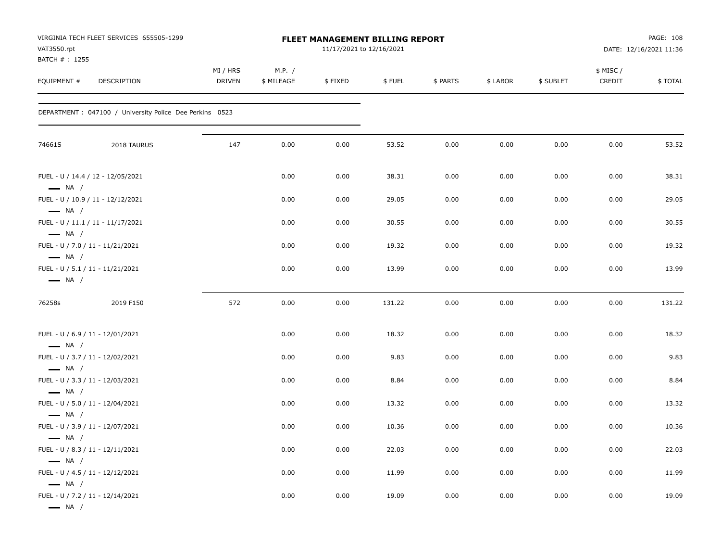| VAT3550.rpt<br>BATCH # : 1255                                                        | VIRGINIA TECH FLEET SERVICES 655505-1299                 | FLEET MANAGEMENT BILLING REPORT<br>11/17/2021 to 12/16/2021 |                      |         |        |          |          |           |                    | PAGE: 108<br>DATE: 12/16/2021 11:36 |  |
|--------------------------------------------------------------------------------------|----------------------------------------------------------|-------------------------------------------------------------|----------------------|---------|--------|----------|----------|-----------|--------------------|-------------------------------------|--|
| EQUIPMENT #                                                                          | DESCRIPTION                                              | MI / HRS<br>DRIVEN                                          | M.P. /<br>\$ MILEAGE | \$FIXED | \$FUEL | \$ PARTS | \$ LABOR | \$ SUBLET | \$ MISC/<br>CREDIT | \$TOTAL                             |  |
|                                                                                      | DEPARTMENT : 047100 / University Police Dee Perkins 0523 |                                                             |                      |         |        |          |          |           |                    |                                     |  |
| 74661S                                                                               | 2018 TAURUS                                              | 147                                                         | 0.00                 | 0.00    | 53.52  | 0.00     | 0.00     | 0.00      | 0.00               | 53.52                               |  |
| $\longrightarrow$ NA /                                                               | FUEL - U / 14.4 / 12 - 12/05/2021                        |                                                             | 0.00                 | 0.00    | 38.31  | 0.00     | 0.00     | 0.00      | 0.00               | 38.31                               |  |
|                                                                                      | FUEL - U / 10.9 / 11 - 12/12/2021                        |                                                             | 0.00                 | 0.00    | 29.05  | 0.00     | 0.00     | 0.00      | 0.00               | 29.05                               |  |
| $\longrightarrow$ NA /<br>$\longrightarrow$ NA /                                     | FUEL - U / 11.1 / 11 - 11/17/2021                        |                                                             | 0.00                 | 0.00    | 30.55  | 0.00     | 0.00     | 0.00      | 0.00               | 30.55                               |  |
| FUEL - U / 7.0 / 11 - 11/21/2021<br>$\longrightarrow$ NA /                           |                                                          |                                                             | 0.00                 | 0.00    | 19.32  | 0.00     | 0.00     | 0.00      | 0.00               | 19.32                               |  |
| FUEL - U / 5.1 / 11 - 11/21/2021<br>$\longrightarrow$ NA /                           |                                                          |                                                             | 0.00                 | 0.00    | 13.99  | 0.00     | 0.00     | 0.00      | 0.00               | 13.99                               |  |
| 76258s                                                                               | 2019 F150                                                | 572                                                         | 0.00                 | 0.00    | 131.22 | 0.00     | 0.00     | 0.00      | 0.00               | 131.22                              |  |
| FUEL - U / 6.9 / 11 - 12/01/2021<br>$\longrightarrow$ NA /                           |                                                          |                                                             | 0.00                 | 0.00    | 18.32  | 0.00     | 0.00     | 0.00      | 0.00               | 18.32                               |  |
| FUEL - U / 3.7 / 11 - 12/02/2021                                                     |                                                          |                                                             | 0.00                 | 0.00    | 9.83   | 0.00     | 0.00     | 0.00      | 0.00               | 9.83                                |  |
| $\longrightarrow$ NA /<br>FUEL - U / 3.3 / 11 - 12/03/2021<br>$\longrightarrow$ NA / |                                                          |                                                             | 0.00                 | 0.00    | 8.84   | 0.00     | 0.00     | 0.00      | 0.00               | 8.84                                |  |
| FUEL - U / 5.0 / 11 - 12/04/2021                                                     |                                                          |                                                             | 0.00                 | 0.00    | 13.32  | 0.00     | 0.00     | 0.00      | 0.00               | 13.32                               |  |
| $\longrightarrow$ NA /<br>FUEL - U / 3.9 / 11 - 12/07/2021                           |                                                          |                                                             | 0.00                 | 0.00    | 10.36  | 0.00     | 0.00     | 0.00      | 0.00               | 10.36                               |  |
| — NA /<br>FUEL - U / 8.3 / 11 - 12/11/2021                                           |                                                          |                                                             | 0.00                 | 0.00    | 22.03  | 0.00     | 0.00     | 0.00      | 0.00               | 22.03                               |  |
| $\longrightarrow$ NA /<br>FUEL - U / 4.5 / 11 - 12/12/2021<br>$\longrightarrow$ NA / |                                                          |                                                             | 0.00                 | 0.00    | 11.99  | 0.00     | 0.00     | 0.00      | 0.00               | 11.99                               |  |
| FUEL - U / 7.2 / 11 - 12/14/2021<br>$\longrightarrow$ NA /                           |                                                          |                                                             | 0.00                 | 0.00    | 19.09  | 0.00     | 0.00     | 0.00      | $0.00\,$           | 19.09                               |  |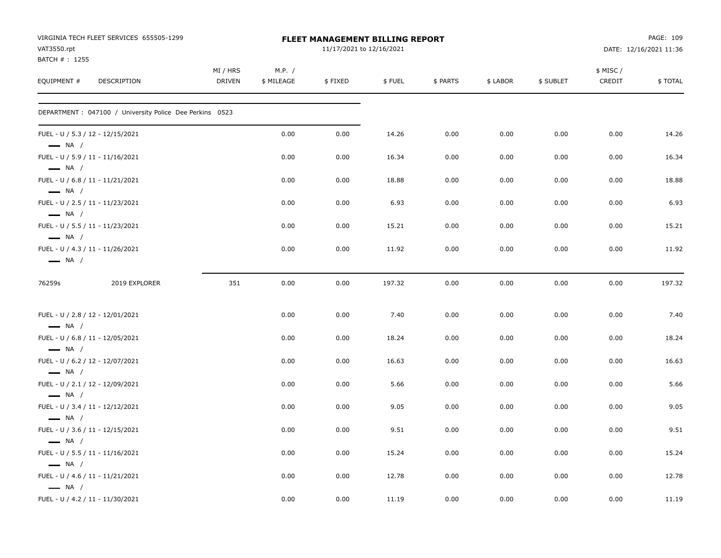| VAT3550.rpt<br>BATCH #: 1255                               | VIRGINIA TECH FLEET SERVICES 655505-1299                 |                    |                      | <b>FLEET MANAGEMENT BILLING REPORT</b><br>11/17/2021 to 12/16/2021 |        |          |          |           |                     | PAGE: 109<br>DATE: 12/16/2021 11:36 |
|------------------------------------------------------------|----------------------------------------------------------|--------------------|----------------------|--------------------------------------------------------------------|--------|----------|----------|-----------|---------------------|-------------------------------------|
| EQUIPMENT #                                                | DESCRIPTION                                              | MI / HRS<br>DRIVEN | M.P. /<br>\$ MILEAGE | \$FIXED                                                            | \$FUEL | \$ PARTS | \$ LABOR | \$ SUBLET | \$ MISC /<br>CREDIT | \$TOTAL                             |
|                                                            | DEPARTMENT : 047100 / University Police Dee Perkins 0523 |                    |                      |                                                                    |        |          |          |           |                     |                                     |
| FUEL - U / 5.3 / 12 - 12/15/2021<br>$\longrightarrow$ NA / |                                                          |                    | 0.00                 | 0.00                                                               | 14.26  | 0.00     | 0.00     | 0.00      | 0.00                | 14.26                               |
| FUEL - U / 5.9 / 11 - 11/16/2021<br>$\longrightarrow$ NA / |                                                          |                    | 0.00                 | 0.00                                                               | 16.34  | 0.00     | 0.00     | 0.00      | 0.00                | 16.34                               |
| FUEL - U / 6.8 / 11 - 11/21/2021<br>$\longrightarrow$ NA / |                                                          |                    | 0.00                 | 0.00                                                               | 18.88  | 0.00     | 0.00     | 0.00      | 0.00                | 18.88                               |
| FUEL - U / 2.5 / 11 - 11/23/2021<br>$\longrightarrow$ NA / |                                                          |                    | 0.00                 | 0.00                                                               | 6.93   | 0.00     | 0.00     | 0.00      | 0.00                | 6.93                                |
| FUEL - U / 5.5 / 11 - 11/23/2021<br>$\longrightarrow$ NA / |                                                          |                    | 0.00                 | 0.00                                                               | 15.21  | 0.00     | 0.00     | 0.00      | 0.00                | 15.21                               |
| FUEL - U / 4.3 / 11 - 11/26/2021<br>$\longrightarrow$ NA / |                                                          |                    | 0.00                 | 0.00                                                               | 11.92  | 0.00     | 0.00     | 0.00      | 0.00                | 11.92                               |
| 76259s                                                     | 2019 EXPLORER                                            | 351                | 0.00                 | 0.00                                                               | 197.32 | 0.00     | 0.00     | 0.00      | 0.00                | 197.32                              |
| FUEL - U / 2.8 / 12 - 12/01/2021<br>$\longrightarrow$ NA / |                                                          |                    | 0.00                 | 0.00                                                               | 7.40   | 0.00     | 0.00     | 0.00      | 0.00                | 7.40                                |
| FUEL - U / 6.8 / 11 - 12/05/2021<br>$\longrightarrow$ NA / |                                                          |                    | 0.00                 | 0.00                                                               | 18.24  | 0.00     | 0.00     | 0.00      | 0.00                | 18.24                               |
| FUEL - U / 6.2 / 12 - 12/07/2021<br>$\longrightarrow$ NA / |                                                          |                    | 0.00                 | 0.00                                                               | 16.63  | 0.00     | 0.00     | 0.00      | 0.00                | 16.63                               |
| FUEL - U / 2.1 / 12 - 12/09/2021<br>$\longrightarrow$ NA / |                                                          |                    | 0.00                 | 0.00                                                               | 5.66   | 0.00     | 0.00     | 0.00      | 0.00                | 5.66                                |
| FUEL - U / 3.4 / 11 - 12/12/2021<br>$\longrightarrow$ NA / |                                                          |                    | 0.00                 | 0.00                                                               | 9.05   | 0.00     | 0.00     | 0.00      | 0.00                | 9.05                                |
| FUEL - U / 3.6 / 11 - 12/15/2021<br>$\longrightarrow$ NA / |                                                          |                    | 0.00                 | 0.00                                                               | 9.51   | 0.00     | 0.00     | 0.00      | 0.00                | 9.51                                |
| FUEL - U / 5.5 / 11 - 11/16/2021<br>$\longrightarrow$ NA / |                                                          |                    | 0.00                 | 0.00                                                               | 15.24  | 0.00     | 0.00     | 0.00      | 0.00                | 15.24                               |
| FUEL - U / 4.6 / 11 - 11/21/2021<br>$\longrightarrow$ NA / |                                                          |                    | 0.00                 | 0.00                                                               | 12.78  | 0.00     | 0.00     | 0.00      | 0.00                | 12.78                               |
| FUEL - U / 4.2 / 11 - 11/30/2021                           |                                                          |                    | 0.00                 | 0.00                                                               | 11.19  | 0.00     | 0.00     | 0.00      | 0.00                | 11.19                               |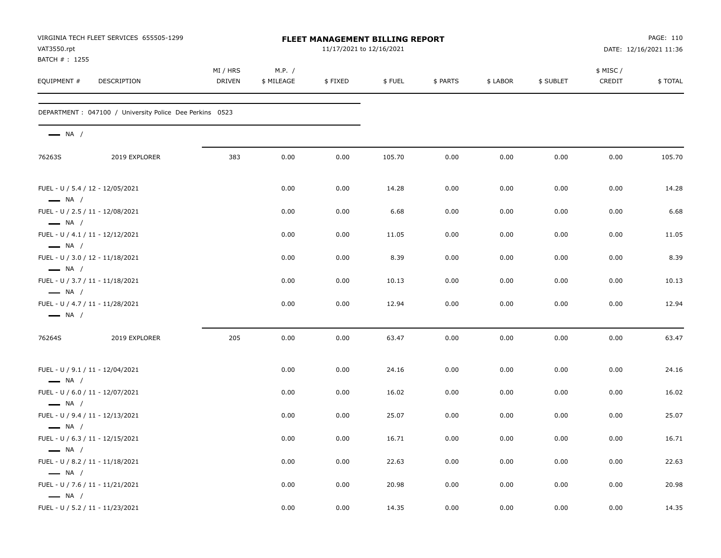| VAT3550.rpt                                                | VIRGINIA TECH FLEET SERVICES 655505-1299                 |                           |                      | <b>FLEET MANAGEMENT BILLING REPORT</b><br>11/17/2021 to 12/16/2021 |        |          |          | PAGE: 110<br>DATE: 12/16/2021 11:36 |                    |         |
|------------------------------------------------------------|----------------------------------------------------------|---------------------------|----------------------|--------------------------------------------------------------------|--------|----------|----------|-------------------------------------|--------------------|---------|
| BATCH # : 1255<br>EQUIPMENT #                              | DESCRIPTION                                              | MI / HRS<br><b>DRIVEN</b> | M.P. /<br>\$ MILEAGE | \$FIXED                                                            | \$FUEL | \$ PARTS | \$ LABOR | \$ SUBLET                           | \$ MISC/<br>CREDIT | \$TOTAL |
|                                                            | DEPARTMENT : 047100 / University Police Dee Perkins 0523 |                           |                      |                                                                    |        |          |          |                                     |                    |         |
| $\longrightarrow$ NA /                                     |                                                          |                           |                      |                                                                    |        |          |          |                                     |                    |         |
| 76263S                                                     | 2019 EXPLORER                                            | 383                       | 0.00                 | 0.00                                                               | 105.70 | 0.00     | 0.00     | 0.00                                | 0.00               | 105.70  |
| FUEL - U / 5.4 / 12 - 12/05/2021<br>$\longrightarrow$ NA / |                                                          |                           | 0.00                 | 0.00                                                               | 14.28  | 0.00     | 0.00     | 0.00                                | 0.00               | 14.28   |
| FUEL - U / 2.5 / 11 - 12/08/2021<br>$\longrightarrow$ NA / |                                                          |                           | 0.00                 | 0.00                                                               | 6.68   | 0.00     | 0.00     | 0.00                                | 0.00               | 6.68    |
| FUEL - U / 4.1 / 11 - 12/12/2021<br>$\longrightarrow$ NA / |                                                          |                           | 0.00                 | 0.00                                                               | 11.05  | 0.00     | 0.00     | 0.00                                | 0.00               | 11.05   |
| FUEL - U / 3.0 / 12 - 11/18/2021<br>$\longrightarrow$ NA / |                                                          |                           | 0.00                 | 0.00                                                               | 8.39   | 0.00     | 0.00     | 0.00                                | 0.00               | 8.39    |
| FUEL - U / 3.7 / 11 - 11/18/2021<br>$\longrightarrow$ NA / |                                                          |                           | 0.00                 | 0.00                                                               | 10.13  | 0.00     | 0.00     | 0.00                                | 0.00               | 10.13   |
| FUEL - U / 4.7 / 11 - 11/28/2021<br>$\longrightarrow$ NA / |                                                          |                           | 0.00                 | 0.00                                                               | 12.94  | 0.00     | 0.00     | 0.00                                | 0.00               | 12.94   |
| 76264S                                                     | 2019 EXPLORER                                            | 205                       | 0.00                 | 0.00                                                               | 63.47  | 0.00     | 0.00     | 0.00                                | 0.00               | 63.47   |
| FUEL - U / 9.1 / 11 - 12/04/2021<br>$\longrightarrow$ NA / |                                                          |                           | 0.00                 | 0.00                                                               | 24.16  | 0.00     | 0.00     | 0.00                                | 0.00               | 24.16   |
| FUEL - U / 6.0 / 11 - 12/07/2021<br>$\longrightarrow$ NA / |                                                          |                           | 0.00                 | 0.00                                                               | 16.02  | 0.00     | 0.00     | 0.00                                | 0.00               | 16.02   |
| FUEL - U / 9.4 / 11 - 12/13/2021<br>$\longrightarrow$ NA / |                                                          |                           | 0.00                 | 0.00                                                               | 25.07  | 0.00     | 0.00     | 0.00                                | 0.00               | 25.07   |
| FUEL - U / 6.3 / 11 - 12/15/2021<br>$\longrightarrow$ NA / |                                                          |                           | 0.00                 | 0.00                                                               | 16.71  | 0.00     | 0.00     | 0.00                                | 0.00               | 16.71   |
| FUEL - U / 8.2 / 11 - 11/18/2021                           |                                                          |                           | 0.00                 | 0.00                                                               | 22.63  | 0.00     | 0.00     | 0.00                                | 0.00               | 22.63   |
| $\longrightarrow$ NA /<br>FUEL - U / 7.6 / 11 - 11/21/2021 |                                                          |                           | 0.00                 | 0.00                                                               | 20.98  | 0.00     | 0.00     | 0.00                                | 0.00               | 20.98   |
| $\longrightarrow$ NA /<br>FUEL - U / 5.2 / 11 - 11/23/2021 |                                                          |                           | 0.00                 | 0.00                                                               | 14.35  | 0.00     | 0.00     | 0.00                                | $0.00\,$           | 14.35   |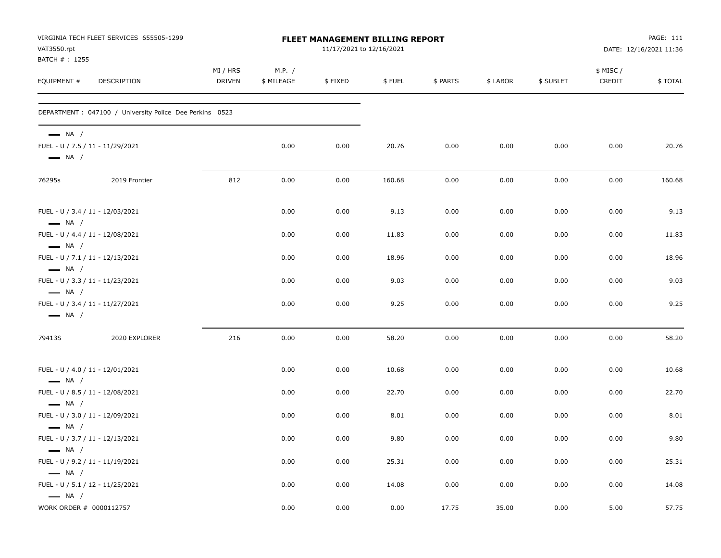| VAT3550.rpt                                      | VIRGINIA TECH FLEET SERVICES 655505-1299                 |                    |                      | FLEET MANAGEMENT BILLING REPORT<br>11/17/2021 to 12/16/2021 |        |          |          |           |                    | PAGE: 111<br>DATE: 12/16/2021 11:36 |
|--------------------------------------------------|----------------------------------------------------------|--------------------|----------------------|-------------------------------------------------------------|--------|----------|----------|-----------|--------------------|-------------------------------------|
| BATCH #: 1255<br>EQUIPMENT #                     | DESCRIPTION                                              | MI / HRS<br>DRIVEN | M.P. /<br>\$ MILEAGE | \$FIXED                                                     | \$FUEL | \$ PARTS | \$ LABOR | \$ SUBLET | \$ MISC/<br>CREDIT | \$TOTAL                             |
|                                                  | DEPARTMENT : 047100 / University Police Dee Perkins 0523 |                    |                      |                                                             |        |          |          |           |                    |                                     |
| $\longrightarrow$ NA /<br>$\longrightarrow$ NA / | FUEL - U / 7.5 / 11 - 11/29/2021                         |                    | 0.00                 | 0.00                                                        | 20.76  | 0.00     | 0.00     | 0.00      | 0.00               | 20.76                               |
| 76295s                                           | 2019 Frontier                                            | 812                | 0.00                 | 0.00                                                        | 160.68 | 0.00     | 0.00     | 0.00      | 0.00               | 160.68                              |
| $\longrightarrow$ NA /                           | FUEL - U / 3.4 / 11 - 12/03/2021                         |                    | 0.00                 | 0.00                                                        | 9.13   | 0.00     | 0.00     | 0.00      | 0.00               | 9.13                                |
| $\longrightarrow$ NA /                           | FUEL - U / 4.4 / 11 - 12/08/2021                         |                    | 0.00                 | 0.00                                                        | 11.83  | 0.00     | 0.00     | 0.00      | 0.00               | 11.83                               |
| $\longrightarrow$ NA /                           | FUEL - U / 7.1 / 11 - 12/13/2021                         |                    | 0.00                 | 0.00                                                        | 18.96  | 0.00     | 0.00     | 0.00      | 0.00               | 18.96                               |
| $\longrightarrow$ NA /                           | FUEL - U / 3.3 / 11 - 11/23/2021                         |                    | 0.00                 | 0.00                                                        | 9.03   | 0.00     | 0.00     | 0.00      | 0.00               | 9.03                                |
| $\longrightarrow$ NA /                           | FUEL - U / 3.4 / 11 - 11/27/2021                         |                    | 0.00                 | 0.00                                                        | 9.25   | 0.00     | 0.00     | 0.00      | 0.00               | 9.25                                |
| 79413S                                           | 2020 EXPLORER                                            | 216                | 0.00                 | 0.00                                                        | 58.20  | 0.00     | 0.00     | 0.00      | 0.00               | 58.20                               |
| $\longrightarrow$ NA /                           | FUEL - U / 4.0 / 11 - 12/01/2021                         |                    | 0.00                 | 0.00                                                        | 10.68  | 0.00     | 0.00     | 0.00      | 0.00               | 10.68                               |
| $\longrightarrow$ NA /                           | FUEL - U / 8.5 / 11 - 12/08/2021                         |                    | 0.00                 | 0.00                                                        | 22.70  | 0.00     | 0.00     | 0.00      | 0.00               | 22.70                               |
| $\longrightarrow$ NA /                           | FUEL - U / 3.0 / 11 - 12/09/2021                         |                    | 0.00                 | 0.00                                                        | 8.01   | 0.00     | 0.00     | 0.00      | 0.00               | 8.01                                |
| $\longrightarrow$ NA /                           | FUEL - U / 3.7 / 11 - 12/13/2021                         |                    | 0.00                 | 0.00                                                        | 9.80   | 0.00     | 0.00     | 0.00      | 0.00               | 9.80                                |
| $\longrightarrow$ NA /                           | FUEL - U / 9.2 / 11 - 11/19/2021                         |                    | 0.00                 | 0.00                                                        | 25.31  | 0.00     | 0.00     | 0.00      | 0.00               | 25.31                               |
| $\longrightarrow$ NA /                           | FUEL - U / 5.1 / 12 - 11/25/2021                         |                    | 0.00                 | 0.00                                                        | 14.08  | 0.00     | 0.00     | 0.00      | 0.00               | 14.08                               |
| WORK ORDER # 0000112757                          |                                                          |                    | 0.00                 | 0.00                                                        | 0.00   | 17.75    | 35.00    | 0.00      | 5.00               | 57.75                               |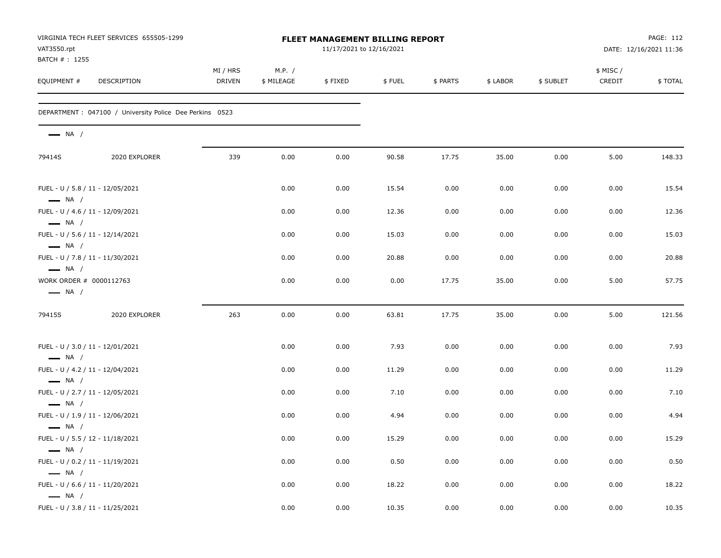| VAT3550.rpt                   | VIRGINIA TECH FLEET SERVICES 655505-1299                 |                           |                      | FLEET MANAGEMENT BILLING REPORT<br>11/17/2021 to 12/16/2021 |        |          |          | PAGE: 112<br>DATE: 12/16/2021 11:36 |                    |         |
|-------------------------------|----------------------------------------------------------|---------------------------|----------------------|-------------------------------------------------------------|--------|----------|----------|-------------------------------------|--------------------|---------|
| BATCH # : 1255<br>EQUIPMENT # | DESCRIPTION                                              | MI / HRS<br><b>DRIVEN</b> | M.P. /<br>\$ MILEAGE | \$FIXED                                                     | \$FUEL | \$ PARTS | \$ LABOR | \$ SUBLET                           | \$ MISC/<br>CREDIT | \$TOTAL |
|                               | DEPARTMENT : 047100 / University Police Dee Perkins 0523 |                           |                      |                                                             |        |          |          |                                     |                    |         |
| $\longrightarrow$ NA /        |                                                          |                           |                      |                                                             |        |          |          |                                     |                    |         |
| 79414S                        | 2020 EXPLORER                                            | 339                       | 0.00                 | 0.00                                                        | 90.58  | 17.75    | 35.00    | 0.00                                | 5.00               | 148.33  |
| $\longrightarrow$ NA /        | FUEL - U / 5.8 / 11 - 12/05/2021                         |                           | 0.00                 | 0.00                                                        | 15.54  | 0.00     | 0.00     | 0.00                                | 0.00               | 15.54   |
| $\longrightarrow$ NA /        | FUEL - U / 4.6 / 11 - 12/09/2021                         |                           | 0.00                 | 0.00                                                        | 12.36  | 0.00     | 0.00     | 0.00                                | 0.00               | 12.36   |
| $\longrightarrow$ NA /        | FUEL - U / 5.6 / 11 - 12/14/2021                         |                           | 0.00                 | 0.00                                                        | 15.03  | 0.00     | 0.00     | 0.00                                | 0.00               | 15.03   |
| $\longrightarrow$ NA /        | FUEL - U / 7.8 / 11 - 11/30/2021                         |                           | 0.00                 | 0.00                                                        | 20.88  | 0.00     | 0.00     | 0.00                                | 0.00               | 20.88   |
| $\longrightarrow$ NA /        | WORK ORDER # 0000112763                                  |                           | 0.00                 | 0.00                                                        | 0.00   | 17.75    | 35.00    | 0.00                                | 5.00               | 57.75   |
| 79415S                        | 2020 EXPLORER                                            | 263                       | 0.00                 | 0.00                                                        | 63.81  | 17.75    | 35.00    | 0.00                                | 5.00               | 121.56  |
| $\longrightarrow$ NA /        | FUEL - U / 3.0 / 11 - 12/01/2021                         |                           | 0.00                 | 0.00                                                        | 7.93   | 0.00     | 0.00     | 0.00                                | 0.00               | 7.93    |
|                               | FUEL - U / 4.2 / 11 - 12/04/2021                         |                           | 0.00                 | 0.00                                                        | 11.29  | 0.00     | 0.00     | 0.00                                | 0.00               | 11.29   |
| $\longrightarrow$ NA /        | FUEL - U / 2.7 / 11 - 12/05/2021                         |                           | 0.00                 | 0.00                                                        | 7.10   | 0.00     | 0.00     | 0.00                                | 0.00               | 7.10    |
| $\longrightarrow$ NA /        | FUEL - U / 1.9 / 11 - 12/06/2021                         |                           | 0.00                 | 0.00                                                        | 4.94   | 0.00     | 0.00     | 0.00                                | 0.00               | 4.94    |
| $\longrightarrow$ NA /        | FUEL - U / 5.5 / 12 - 11/18/2021                         |                           | 0.00                 | 0.00                                                        | 15.29  | 0.00     | 0.00     | 0.00                                | 0.00               | 15.29   |
| $\longrightarrow$ NA /        | FUEL - U / 0.2 / 11 - 11/19/2021                         |                           | 0.00                 | 0.00                                                        | 0.50   | $0.00\,$ | 0.00     | 0.00                                | 0.00               | 0.50    |
| $\longrightarrow$ NA /        | FUEL - U / 6.6 / 11 - 11/20/2021                         |                           | 0.00                 | 0.00                                                        | 18.22  | 0.00     | 0.00     | 0.00                                | 0.00               | 18.22   |
| $\longrightarrow$ NA /        | FUEL - U / 3.8 / 11 - 11/25/2021                         |                           | 0.00                 | 0.00                                                        | 10.35  | 0.00     | 0.00     | 0.00                                | 0.00               | 10.35   |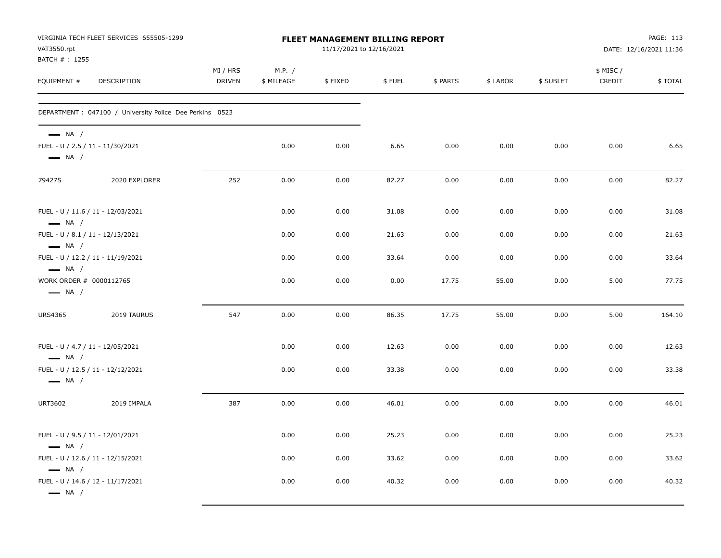| VAT3550.rpt<br>BATCH #: 1255                                                          | VIRGINIA TECH FLEET SERVICES 655505-1299                 |                           | FLEET MANAGEMENT BILLING REPORT<br>11/17/2021 to 12/16/2021 |         |        |          |          |           | PAGE: 113<br>DATE: 12/16/2021 11:36 |         |  |
|---------------------------------------------------------------------------------------|----------------------------------------------------------|---------------------------|-------------------------------------------------------------|---------|--------|----------|----------|-----------|-------------------------------------|---------|--|
| EQUIPMENT #                                                                           | DESCRIPTION                                              | MI / HRS<br><b>DRIVEN</b> | M.P. /<br>\$ MILEAGE                                        | \$FIXED | \$FUEL | \$ PARTS | \$ LABOR | \$ SUBLET | \$ MISC /<br>CREDIT                 | \$TOTAL |  |
|                                                                                       | DEPARTMENT : 047100 / University Police Dee Perkins 0523 |                           |                                                             |         |        |          |          |           |                                     |         |  |
| $\longrightarrow$ NA /<br>FUEL - U / 2.5 / 11 - 11/30/2021<br>$\longrightarrow$ NA /  |                                                          |                           | 0.00                                                        | 0.00    | 6.65   | 0.00     | 0.00     | 0.00      | 0.00                                | 6.65    |  |
| 79427S                                                                                | 2020 EXPLORER                                            | 252                       | 0.00                                                        | 0.00    | 82.27  | 0.00     | 0.00     | 0.00      | 0.00                                | 82.27   |  |
| FUEL - U / 11.6 / 11 - 12/03/2021<br>$\longrightarrow$ NA /                           |                                                          |                           | 0.00                                                        | 0.00    | 31.08  | 0.00     | 0.00     | 0.00      | 0.00                                | 31.08   |  |
| FUEL - U / 8.1 / 11 - 12/13/2021<br>$\longrightarrow$ NA /                            |                                                          |                           | 0.00                                                        | 0.00    | 21.63  | 0.00     | 0.00     | 0.00      | 0.00                                | 21.63   |  |
| FUEL - U / 12.2 / 11 - 11/19/2021<br>$\longrightarrow$ NA /                           |                                                          |                           | 0.00                                                        | 0.00    | 33.64  | 0.00     | 0.00     | 0.00      | 0.00                                | 33.64   |  |
| WORK ORDER # 0000112765<br>$\longrightarrow$ NA /                                     |                                                          |                           | 0.00                                                        | 0.00    | 0.00   | 17.75    | 55.00    | 0.00      | 5.00                                | 77.75   |  |
| <b>URS4365</b>                                                                        | 2019 TAURUS                                              | 547                       | 0.00                                                        | 0.00    | 86.35  | 17.75    | 55.00    | 0.00      | 5.00                                | 164.10  |  |
| FUEL - U / 4.7 / 11 - 12/05/2021<br>$\longrightarrow$ NA /                            |                                                          |                           | 0.00                                                        | 0.00    | 12.63  | 0.00     | 0.00     | 0.00      | 0.00                                | 12.63   |  |
| FUEL - U / 12.5 / 11 - 12/12/2021<br>$\longrightarrow$ NA /                           |                                                          |                           | 0.00                                                        | 0.00    | 33.38  | 0.00     | 0.00     | 0.00      | 0.00                                | 33.38   |  |
| <b>URT3602</b>                                                                        | 2019 IMPALA                                              | 387                       | 0.00                                                        | 0.00    | 46.01  | 0.00     | 0.00     | 0.00      | 0.00                                | 46.01   |  |
| FUEL - U / 9.5 / 11 - 12/01/2021<br>$\longrightarrow$ NA /                            |                                                          |                           | 0.00                                                        | 0.00    | 25.23  | 0.00     | 0.00     | 0.00      | 0.00                                | 25.23   |  |
| FUEL - U / 12.6 / 11 - 12/15/2021                                                     |                                                          |                           | 0.00                                                        | 0.00    | 33.62  | 0.00     | 0.00     | 0.00      | 0.00                                | 33.62   |  |
| $\longrightarrow$ NA /<br>FUEL - U / 14.6 / 12 - 11/17/2021<br>$\longrightarrow$ NA / |                                                          |                           | 0.00                                                        | 0.00    | 40.32  | 0.00     | 0.00     | 0.00      | 0.00                                | 40.32   |  |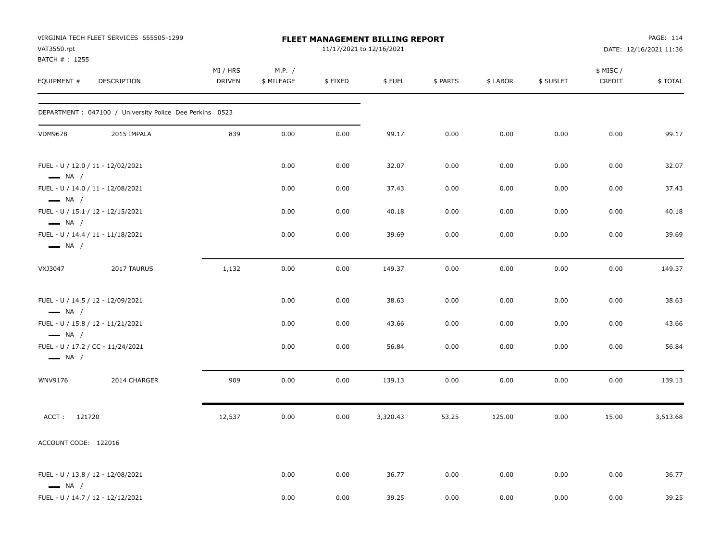| VAT3550.rpt<br>BATCH #: 1255 | VIRGINIA TECH FLEET SERVICES 655505-1299                 |                           |                      |         | FLEET MANAGEMENT BILLING REPORT<br>11/17/2021 to 12/16/2021 |          |          |           |                    | PAGE: 114<br>DATE: 12/16/2021 11:36 |
|------------------------------|----------------------------------------------------------|---------------------------|----------------------|---------|-------------------------------------------------------------|----------|----------|-----------|--------------------|-------------------------------------|
| EQUIPMENT #                  | DESCRIPTION                                              | MI / HRS<br><b>DRIVEN</b> | M.P. /<br>\$ MILEAGE | \$FIXED | \$FUEL                                                      | \$ PARTS | \$ LABOR | \$ SUBLET | \$ MISC/<br>CREDIT | \$TOTAL                             |
|                              | DEPARTMENT : 047100 / University Police Dee Perkins 0523 |                           |                      |         |                                                             |          |          |           |                    |                                     |
| <b>VDM9678</b>               | 2015 IMPALA                                              | 839                       | 0.00                 | 0.00    | 99.17                                                       | 0.00     | 0.00     | 0.00      | 0.00               | 99.17                               |
| $\longrightarrow$ NA /       | FUEL - U / 12.0 / 11 - 12/02/2021                        |                           | 0.00                 | 0.00    | 32.07                                                       | 0.00     | 0.00     | 0.00      | 0.00               | 32.07                               |
| $\longrightarrow$ NA /       | FUEL - U / 14.0 / 11 - 12/08/2021                        |                           | 0.00                 | 0.00    | 37.43                                                       | 0.00     | 0.00     | 0.00      | 0.00               | 37.43                               |
| $\longrightarrow$ NA /       | FUEL - U / 15.1 / 12 - 12/15/2021                        |                           | 0.00                 | 0.00    | 40.18                                                       | 0.00     | 0.00     | 0.00      | 0.00               | 40.18                               |
| $\longrightarrow$ NA /       | FUEL - U / 14.4 / 11 - 11/18/2021                        |                           | 0.00                 | 0.00    | 39.69                                                       | 0.00     | 0.00     | 0.00      | 0.00               | 39.69                               |
| VXJ3047                      | 2017 TAURUS                                              | 1,132                     | 0.00                 | 0.00    | 149.37                                                      | 0.00     | 0.00     | 0.00      | 0.00               | 149.37                              |
| $\longrightarrow$ NA /       | FUEL - U / 14.5 / 12 - 12/09/2021                        |                           | 0.00                 | 0.00    | 38.63                                                       | 0.00     | 0.00     | 0.00      | 0.00               | 38.63                               |
| $\longrightarrow$ NA /       | FUEL - U / 15.8 / 12 - 11/21/2021                        |                           | 0.00                 | 0.00    | 43.66                                                       | 0.00     | 0.00     | 0.00      | 0.00               | 43.66                               |
| $\longrightarrow$ NA /       | FUEL - U / 17.2 / CC - 11/24/2021                        |                           | 0.00                 | 0.00    | 56.84                                                       | 0.00     | 0.00     | 0.00      | 0.00               | 56.84                               |
| WNV9176                      | 2014 CHARGER                                             | 909                       | 0.00                 | 0.00    | 139.13                                                      | 0.00     | 0.00     | 0.00      | 0.00               | 139.13                              |
| ACCT: 121720                 |                                                          | 12,537                    | 0.00                 | 0.00    | 3,320.43                                                    | 53.25    | 125.00   | 0.00      | 15.00              | 3,513.68                            |
| ACCOUNT CODE: 122016         |                                                          |                           |                      |         |                                                             |          |          |           |                    |                                     |
| $\longrightarrow$ NA /       | FUEL - U / 13.8 / 12 - 12/08/2021                        |                           | 0.00                 | 0.00    | 36.77                                                       | 0.00     | 0.00     | 0.00      | 0.00               | 36.77                               |
|                              | FUEL - U / 14.7 / 12 - 12/12/2021                        |                           | 0.00                 | 0.00    | 39.25                                                       | 0.00     | 0.00     | 0.00      | 0.00               | 39.25                               |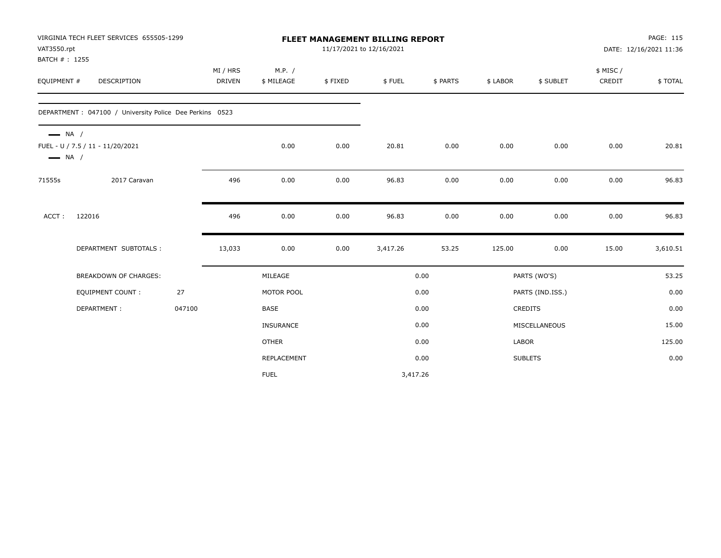| VAT3550.rpt<br>BATCH #: 1255                     | VIRGINIA TECH FLEET SERVICES 655505-1299                 |        |                           |                      |         | <b>FLEET MANAGEMENT BILLING REPORT</b><br>11/17/2021 to 12/16/2021 |          |          |                  |                     | PAGE: 115<br>DATE: 12/16/2021 11:36 |
|--------------------------------------------------|----------------------------------------------------------|--------|---------------------------|----------------------|---------|--------------------------------------------------------------------|----------|----------|------------------|---------------------|-------------------------------------|
| EQUIPMENT #                                      | <b>DESCRIPTION</b>                                       |        | MI / HRS<br><b>DRIVEN</b> | M.P. /<br>\$ MILEAGE | \$FIXED | \$FUEL                                                             | \$ PARTS | \$ LABOR | \$ SUBLET        | \$ MISC /<br>CREDIT | \$TOTAL                             |
|                                                  | DEPARTMENT : 047100 / University Police Dee Perkins 0523 |        |                           |                      |         |                                                                    |          |          |                  |                     |                                     |
| $\longrightarrow$ NA /<br>$\longrightarrow$ NA / | FUEL - U / 7.5 / 11 - 11/20/2021                         |        |                           | 0.00                 | 0.00    | 20.81                                                              | 0.00     | 0.00     | 0.00             | 0.00                | 20.81                               |
| 71555s                                           | 2017 Caravan                                             |        | 496                       | 0.00                 | 0.00    | 96.83                                                              | 0.00     | 0.00     | 0.00             | 0.00                | 96.83                               |
| ACCT:                                            | 122016                                                   |        | 496                       | 0.00                 | 0.00    | 96.83                                                              | 0.00     | 0.00     | 0.00             | 0.00                | 96.83                               |
|                                                  | DEPARTMENT SUBTOTALS :                                   |        | 13,033                    | 0.00                 | 0.00    | 3,417.26                                                           | 53.25    | 125.00   | 0.00             | 15.00               | 3,610.51                            |
|                                                  | BREAKDOWN OF CHARGES:                                    |        |                           | MILEAGE              |         |                                                                    | 0.00     |          | PARTS (WO'S)     |                     | 53.25                               |
|                                                  | <b>EQUIPMENT COUNT:</b>                                  | 27     |                           | MOTOR POOL           |         |                                                                    | 0.00     |          | PARTS (IND.ISS.) |                     | 0.00                                |
|                                                  | DEPARTMENT:                                              | 047100 |                           | <b>BASE</b>          |         |                                                                    | 0.00     |          | CREDITS          |                     | 0.00                                |
|                                                  |                                                          |        |                           | INSURANCE            |         |                                                                    | 0.00     |          | MISCELLANEOUS    |                     | 15.00                               |
|                                                  |                                                          |        |                           | <b>OTHER</b>         |         |                                                                    | 0.00     | LABOR    |                  |                     | 125.00                              |
|                                                  |                                                          |        |                           | REPLACEMENT          |         |                                                                    | 0.00     |          | <b>SUBLETS</b>   |                     | 0.00                                |
|                                                  |                                                          |        |                           | <b>FUEL</b>          |         | 3,417.26                                                           |          |          |                  |                     |                                     |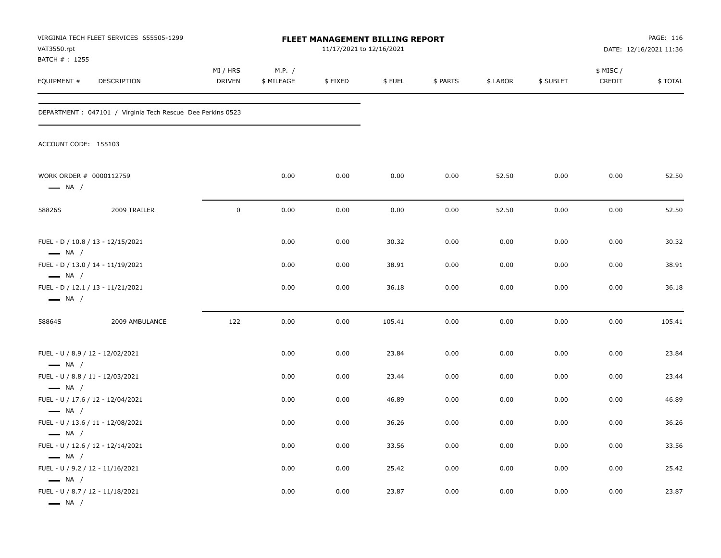| VAT3550.rpt<br>BATCH #: 1255                                                         | VIRGINIA TECH FLEET SERVICES 655505-1299                    |                           |                      | FLEET MANAGEMENT BILLING REPORT<br>11/17/2021 to 12/16/2021 |        | PAGE: 116<br>DATE: 12/16/2021 11:36 |          |           |                    |         |
|--------------------------------------------------------------------------------------|-------------------------------------------------------------|---------------------------|----------------------|-------------------------------------------------------------|--------|-------------------------------------|----------|-----------|--------------------|---------|
| EQUIPMENT #                                                                          | DESCRIPTION                                                 | MI / HRS<br><b>DRIVEN</b> | M.P. /<br>\$ MILEAGE | \$FIXED                                                     | \$FUEL | \$ PARTS                            | \$ LABOR | \$ SUBLET | \$ MISC/<br>CREDIT | \$TOTAL |
|                                                                                      | DEPARTMENT : 047101 / Virginia Tech Rescue Dee Perkins 0523 |                           |                      |                                                             |        |                                     |          |           |                    |         |
| ACCOUNT CODE: 155103                                                                 |                                                             |                           |                      |                                                             |        |                                     |          |           |                    |         |
| WORK ORDER # 0000112759<br>$\longrightarrow$ NA /                                    |                                                             |                           | 0.00                 | 0.00                                                        | 0.00   | 0.00                                | 52.50    | 0.00      | 0.00               | 52.50   |
| 58826S                                                                               | 2009 TRAILER                                                | $\mathsf 0$               | 0.00                 | 0.00                                                        | 0.00   | 0.00                                | 52.50    | 0.00      | 0.00               | 52.50   |
| $\longrightarrow$ NA /                                                               | FUEL - D / 10.8 / 13 - 12/15/2021                           |                           | 0.00                 | 0.00                                                        | 30.32  | 0.00                                | 0.00     | 0.00      | 0.00               | 30.32   |
| $\longrightarrow$ NA /                                                               | FUEL - D / 13.0 / 14 - 11/19/2021                           |                           | 0.00                 | 0.00                                                        | 38.91  | 0.00                                | 0.00     | 0.00      | 0.00               | 38.91   |
| $\longrightarrow$ NA /                                                               | FUEL - D / 12.1 / 13 - 11/21/2021                           |                           | 0.00                 | 0.00                                                        | 36.18  | 0.00                                | 0.00     | 0.00      | 0.00               | 36.18   |
| 58864S                                                                               | 2009 AMBULANCE                                              | 122                       | 0.00                 | 0.00                                                        | 105.41 | 0.00                                | 0.00     | 0.00      | 0.00               | 105.41  |
| FUEL - U / 8.9 / 12 - 12/02/2021<br>$\longrightarrow$ NA /                           |                                                             |                           | 0.00                 | 0.00                                                        | 23.84  | 0.00                                | 0.00     | 0.00      | 0.00               | 23.84   |
| FUEL - U / 8.8 / 11 - 12/03/2021<br>$\longrightarrow$ NA /                           |                                                             |                           | 0.00                 | 0.00                                                        | 23.44  | 0.00                                | 0.00     | 0.00      | 0.00               | 23.44   |
| $\longrightarrow$ NA /                                                               | FUEL - U / 17.6 / 12 - 12/04/2021                           |                           | 0.00                 | 0.00                                                        | 46.89  | 0.00                                | 0.00     | 0.00      | 0.00               | 46.89   |
| $\longrightarrow$ NA /                                                               | FUEL - U / 13.6 / 11 - 12/08/2021                           |                           | 0.00                 | 0.00                                                        | 36.26  | 0.00                                | 0.00     | 0.00      | 0.00               | 36.26   |
| $\longrightarrow$ NA /                                                               | FUEL - U / 12.6 / 12 - 12/14/2021                           |                           | 0.00                 | 0.00                                                        | 33.56  | 0.00                                | 0.00     | 0.00      | 0.00               | 33.56   |
| FUEL - U / 9.2 / 12 - 11/16/2021                                                     |                                                             |                           | 0.00                 | 0.00                                                        | 25.42  | 0.00                                | 0.00     | 0.00      | 0.00               | 25.42   |
| $\longrightarrow$ NA /<br>FUEL - U / 8.7 / 12 - 11/18/2021<br>$\longrightarrow$ NA / |                                                             |                           | 0.00                 | 0.00                                                        | 23.87  | 0.00                                | 0.00     | 0.00      | 0.00               | 23.87   |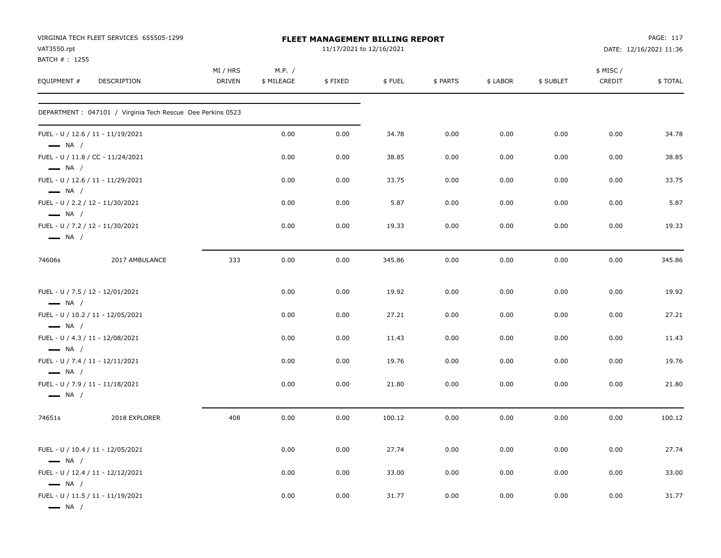| VAT3550.rpt                  | VIRGINIA TECH FLEET SERVICES 655505-1299                    |                           |                      | FLEET MANAGEMENT BILLING REPORT<br>11/17/2021 to 12/16/2021 |        |          |          |           |                     | PAGE: 117<br>DATE: 12/16/2021 11:36 |
|------------------------------|-------------------------------------------------------------|---------------------------|----------------------|-------------------------------------------------------------|--------|----------|----------|-----------|---------------------|-------------------------------------|
| BATCH #: 1255<br>EQUIPMENT # | DESCRIPTION                                                 | MI / HRS<br><b>DRIVEN</b> | M.P. /<br>\$ MILEAGE | \$FIXED                                                     | \$FUEL | \$ PARTS | \$ LABOR | \$ SUBLET | \$ MISC /<br>CREDIT | \$TOTAL                             |
|                              | DEPARTMENT : 047101 / Virginia Tech Rescue Dee Perkins 0523 |                           |                      |                                                             |        |          |          |           |                     |                                     |
| $\longrightarrow$ NA /       | FUEL - U / 12.6 / 11 - 11/19/2021                           |                           | 0.00                 | 0.00                                                        | 34.78  | 0.00     | 0.00     | 0.00      | 0.00                | 34.78                               |
| $\longrightarrow$ NA /       | FUEL - U / 11.8 / CC - 11/24/2021                           |                           | 0.00                 | 0.00                                                        | 38.85  | 0.00     | 0.00     | 0.00      | 0.00                | 38.85                               |
| $\longrightarrow$ NA /       | FUEL - U / 12.6 / 11 - 11/29/2021                           |                           | 0.00                 | 0.00                                                        | 33.75  | 0.00     | 0.00     | 0.00      | 0.00                | 33.75                               |
| $\longrightarrow$ NA /       | FUEL - U / 2.2 / 12 - 11/30/2021                            |                           | 0.00                 | 0.00                                                        | 5.87   | 0.00     | 0.00     | 0.00      | 0.00                | 5.87                                |
| $\longrightarrow$ NA /       | FUEL - U / 7.2 / 12 - 11/30/2021                            |                           | 0.00                 | 0.00                                                        | 19.33  | 0.00     | 0.00     | 0.00      | 0.00                | 19.33                               |
| 74606s                       | 2017 AMBULANCE                                              | 333                       | 0.00                 | 0.00                                                        | 345.86 | 0.00     | 0.00     | 0.00      | 0.00                | 345.86                              |
| $\longrightarrow$ NA /       | FUEL - U / 7.5 / 12 - 12/01/2021                            |                           | 0.00                 | 0.00                                                        | 19.92  | 0.00     | 0.00     | 0.00      | 0.00                | 19.92                               |
| $\longrightarrow$ NA /       | FUEL - U / 10.2 / 11 - 12/05/2021                           |                           | 0.00                 | 0.00                                                        | 27.21  | 0.00     | 0.00     | 0.00      | 0.00                | 27.21                               |
| $\longrightarrow$ NA /       | FUEL - U / 4.3 / 11 - 12/08/2021                            |                           | 0.00                 | 0.00                                                        | 11.43  | 0.00     | 0.00     | 0.00      | 0.00                | 11.43                               |
| $\longrightarrow$ NA /       | FUEL - U / 7.4 / 11 - 12/11/2021                            |                           | 0.00                 | 0.00                                                        | 19.76  | 0.00     | 0.00     | 0.00      | 0.00                | 19.76                               |
| $\longrightarrow$ NA /       | FUEL - U / 7.9 / 11 - 11/18/2021                            |                           | 0.00                 | 0.00                                                        | 21.80  | 0.00     | 0.00     | 0.00      | 0.00                | 21.80                               |
| 74651s                       | 2018 EXPLORER                                               | 408                       | 0.00                 | 0.00                                                        | 100.12 | 0.00     | 0.00     | 0.00      | 0.00                | 100.12                              |
| $\longrightarrow$ NA /       | FUEL - U / 10.4 / 11 - 12/05/2021                           |                           | 0.00                 | 0.00                                                        | 27.74  | 0.00     | 0.00     | 0.00      | 0.00                | 27.74                               |
| $\longrightarrow$ NA /       | FUEL - U / 12.4 / 11 - 12/12/2021                           |                           | 0.00                 | 0.00                                                        | 33.00  | 0.00     | 0.00     | 0.00      | 0.00                | 33.00                               |
| $\longrightarrow$ NA /       | FUEL - U / 11.5 / 11 - 11/19/2021                           |                           | 0.00                 | 0.00                                                        | 31.77  | 0.00     | 0.00     | 0.00      | 0.00                | 31.77                               |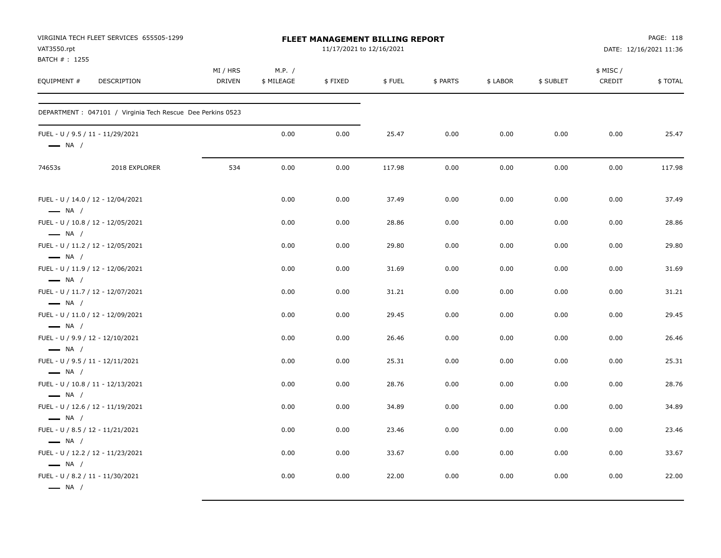| VAT3550.rpt<br>BATCH #: 1255                                                         | VIRGINIA TECH FLEET SERVICES 655505-1299                   |                           |                      | <b>FLEET MANAGEMENT BILLING REPORT</b><br>11/17/2021 to 12/16/2021 |        | PAGE: 118<br>DATE: 12/16/2021 11:36 |          |           |                    |         |  |
|--------------------------------------------------------------------------------------|------------------------------------------------------------|---------------------------|----------------------|--------------------------------------------------------------------|--------|-------------------------------------|----------|-----------|--------------------|---------|--|
| EQUIPMENT #                                                                          | DESCRIPTION                                                | MI / HRS<br><b>DRIVEN</b> | M.P. /<br>\$ MILEAGE | \$FIXED                                                            | \$FUEL | \$ PARTS                            | \$ LABOR | \$ SUBLET | \$ MISC/<br>CREDIT | \$TOTAL |  |
|                                                                                      | DEPARTMENT: 047101 / Virginia Tech Rescue Dee Perkins 0523 |                           |                      |                                                                    |        |                                     |          |           |                    |         |  |
| FUEL - U / 9.5 / 11 - 11/29/2021<br>$\longrightarrow$ NA /                           |                                                            |                           | 0.00                 | 0.00                                                               | 25.47  | 0.00                                | 0.00     | 0.00      | 0.00               | 25.47   |  |
| 74653s                                                                               | 2018 EXPLORER                                              | 534                       | 0.00                 | 0.00                                                               | 117.98 | 0.00                                | 0.00     | 0.00      | 0.00               | 117.98  |  |
| FUEL - U / 14.0 / 12 - 12/04/2021<br>$\longrightarrow$ NA /                          |                                                            |                           | 0.00                 | 0.00                                                               | 37.49  | 0.00                                | 0.00     | 0.00      | 0.00               | 37.49   |  |
| FUEL - U / 10.8 / 12 - 12/05/2021<br>$\longrightarrow$ NA /                          |                                                            |                           | 0.00                 | 0.00                                                               | 28.86  | 0.00                                | 0.00     | 0.00      | 0.00               | 28.86   |  |
| FUEL - U / 11.2 / 12 - 12/05/2021<br>$\longrightarrow$ NA /                          |                                                            |                           | 0.00                 | 0.00                                                               | 29.80  | 0.00                                | 0.00     | 0.00      | 0.00               | 29.80   |  |
| FUEL - U / 11.9 / 12 - 12/06/2021<br>$\longrightarrow$ NA /                          |                                                            |                           | 0.00                 | 0.00                                                               | 31.69  | 0.00                                | 0.00     | 0.00      | 0.00               | 31.69   |  |
| FUEL - U / 11.7 / 12 - 12/07/2021<br>$\longrightarrow$ NA /                          |                                                            |                           | 0.00                 | 0.00                                                               | 31.21  | 0.00                                | 0.00     | 0.00      | 0.00               | 31.21   |  |
| FUEL - U / 11.0 / 12 - 12/09/2021<br>$\longrightarrow$ NA /                          |                                                            |                           | 0.00                 | 0.00                                                               | 29.45  | 0.00                                | 0.00     | 0.00      | 0.00               | 29.45   |  |
| FUEL - U / 9.9 / 12 - 12/10/2021<br>$\longrightarrow$ NA /                           |                                                            |                           | 0.00                 | 0.00                                                               | 26.46  | 0.00                                | 0.00     | 0.00      | 0.00               | 26.46   |  |
| FUEL - U / 9.5 / 11 - 12/11/2021<br>$\longrightarrow$ NA /                           |                                                            |                           | 0.00                 | 0.00                                                               | 25.31  | 0.00                                | 0.00     | 0.00      | 0.00               | 25.31   |  |
| FUEL - U / 10.8 / 11 - 12/13/2021<br>$\longrightarrow$ NA /                          |                                                            |                           | 0.00                 | 0.00                                                               | 28.76  | 0.00                                | 0.00     | 0.00      | 0.00               | 28.76   |  |
| FUEL - U / 12.6 / 12 - 11/19/2021<br>$\longrightarrow$ NA /                          |                                                            |                           | 0.00                 | 0.00                                                               | 34.89  | 0.00                                | 0.00     | 0.00      | 0.00               | 34.89   |  |
| FUEL - U / 8.5 / 12 - 11/21/2021<br>$\longrightarrow$ NA /                           |                                                            |                           | 0.00                 | 0.00                                                               | 23.46  | 0.00                                | 0.00     | 0.00      | 0.00               | 23.46   |  |
| FUEL - U / 12.2 / 12 - 11/23/2021                                                    |                                                            |                           | 0.00                 | 0.00                                                               | 33.67  | 0.00                                | 0.00     | 0.00      | 0.00               | 33.67   |  |
| $\longrightarrow$ NA /<br>FUEL - U / 8.2 / 11 - 11/30/2021<br>$\longrightarrow$ NA / |                                                            |                           | 0.00                 | 0.00                                                               | 22.00  | 0.00                                | 0.00     | 0.00      | 0.00               | 22.00   |  |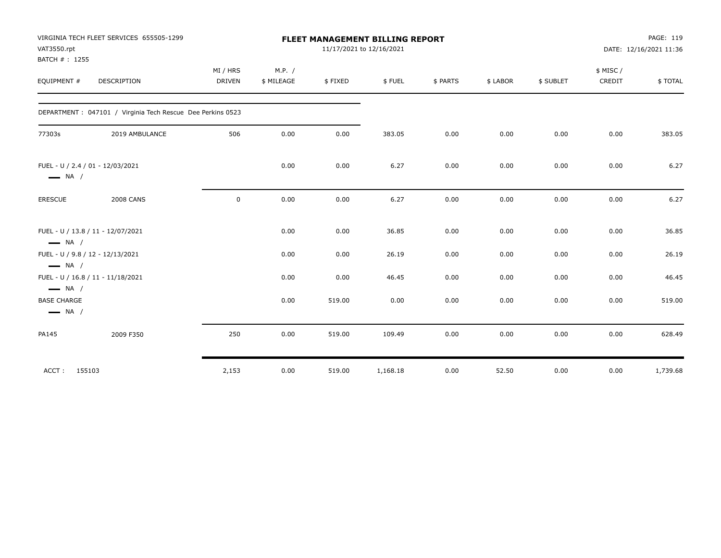| VAT3550.rpt<br>BATCH #: 1255                 | VIRGINIA TECH FLEET SERVICES 655505-1299                    |                    |                      |         | <b>FLEET MANAGEMENT BILLING REPORT</b><br>11/17/2021 to 12/16/2021 |          |          |           |                    | PAGE: 119<br>DATE: 12/16/2021 11:36 |
|----------------------------------------------|-------------------------------------------------------------|--------------------|----------------------|---------|--------------------------------------------------------------------|----------|----------|-----------|--------------------|-------------------------------------|
| EQUIPMENT #                                  | DESCRIPTION                                                 | MI / HRS<br>DRIVEN | M.P. /<br>\$ MILEAGE | \$FIXED | \$FUEL                                                             | \$ PARTS | \$ LABOR | \$ SUBLET | \$ MISC/<br>CREDIT | \$TOTAL                             |
|                                              | DEPARTMENT : 047101 / Virginia Tech Rescue Dee Perkins 0523 |                    |                      |         |                                                                    |          |          |           |                    |                                     |
| 77303s                                       | 2019 AMBULANCE                                              | 506                | 0.00                 | 0.00    | 383.05                                                             | 0.00     | 0.00     | 0.00      | 0.00               | 383.05                              |
| $\longrightarrow$ NA /                       | FUEL - U / 2.4 / 01 - 12/03/2021                            |                    | 0.00                 | 0.00    | 6.27                                                               | 0.00     | 0.00     | 0.00      | 0.00               | 6.27                                |
| <b>ERESCUE</b>                               | <b>2008 CANS</b>                                            | $\mathbf 0$        | 0.00                 | 0.00    | 6.27                                                               | 0.00     | 0.00     | 0.00      | 0.00               | 6.27                                |
| $\longrightarrow$ NA /                       | FUEL - U / 13.8 / 11 - 12/07/2021                           |                    | 0.00                 | 0.00    | 36.85                                                              | 0.00     | 0.00     | 0.00      | 0.00               | 36.85                               |
| $\longrightarrow$ NA /                       | FUEL - U / 9.8 / 12 - 12/13/2021                            |                    | 0.00                 | 0.00    | 26.19                                                              | 0.00     | 0.00     | 0.00      | 0.00               | 26.19                               |
| $\longrightarrow$ NA /                       | FUEL - U / 16.8 / 11 - 11/18/2021                           |                    | 0.00                 | 0.00    | 46.45                                                              | 0.00     | 0.00     | 0.00      | 0.00               | 46.45                               |
| <b>BASE CHARGE</b><br>$\longrightarrow$ NA / |                                                             |                    | 0.00                 | 519.00  | 0.00                                                               | 0.00     | 0.00     | 0.00      | 0.00               | 519.00                              |
| PA145                                        | 2009 F350                                                   | 250                | 0.00                 | 519.00  | 109.49                                                             | 0.00     | 0.00     | 0.00      | 0.00               | 628.49                              |
| ACCT:                                        | 155103                                                      | 2,153              | 0.00                 | 519.00  | 1,168.18                                                           | 0.00     | 52.50    | 0.00      | 0.00               | 1,739.68                            |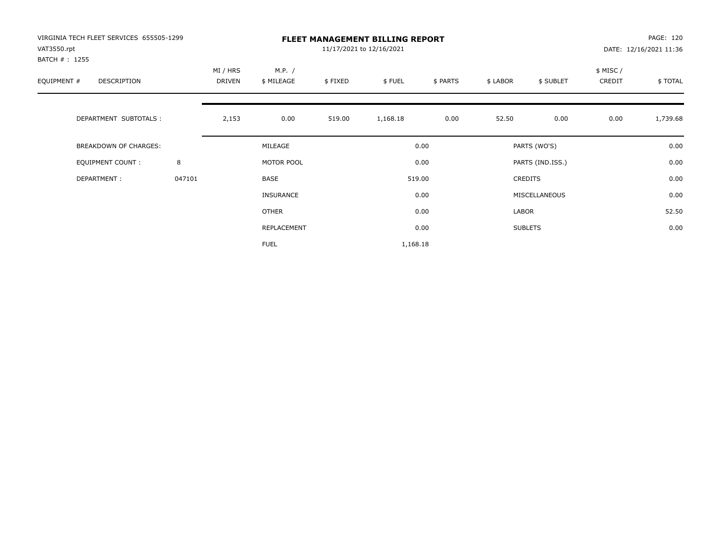| VIRGINIA TECH FLEET SERVICES 655505-1299<br>VAT3550.rpt<br>BATCH # : 1255 |        |                    |                      |         | <b>FLEET MANAGEMENT BILLING REPORT</b><br>11/17/2021 to 12/16/2021 |          |          |                  |                     | PAGE: 120<br>DATE: 12/16/2021 11:36 |
|---------------------------------------------------------------------------|--------|--------------------|----------------------|---------|--------------------------------------------------------------------|----------|----------|------------------|---------------------|-------------------------------------|
| EQUIPMENT #<br>DESCRIPTION                                                |        | MI / HRS<br>DRIVEN | M.P. /<br>\$ MILEAGE | \$FIXED | \$FUEL                                                             | \$ PARTS | \$ LABOR | \$ SUBLET        | \$ MISC /<br>CREDIT | \$TOTAL                             |
| DEPARTMENT SUBTOTALS :                                                    |        | 2,153              | 0.00                 | 519.00  | 1,168.18                                                           | 0.00     | 52.50    | 0.00             | 0.00                | 1,739.68                            |
| <b>BREAKDOWN OF CHARGES:</b>                                              |        |                    | MILEAGE              |         |                                                                    | 0.00     |          | PARTS (WO'S)     |                     | 0.00                                |
| EQUIPMENT COUNT:                                                          | 8      |                    | MOTOR POOL           |         |                                                                    | 0.00     |          | PARTS (IND.ISS.) |                     | 0.00                                |
| DEPARTMENT:                                                               | 047101 |                    | BASE                 |         |                                                                    | 519.00   |          | <b>CREDITS</b>   |                     | 0.00                                |
|                                                                           |        |                    | <b>INSURANCE</b>     |         |                                                                    | 0.00     |          | MISCELLANEOUS    |                     | 0.00                                |
|                                                                           |        |                    | OTHER                |         |                                                                    | 0.00     | LABOR    |                  |                     | 52.50                               |
|                                                                           |        |                    | REPLACEMENT          |         |                                                                    | 0.00     |          | <b>SUBLETS</b>   |                     | 0.00                                |
|                                                                           |        |                    | <b>FUEL</b>          |         | 1,168.18                                                           |          |          |                  |                     |                                     |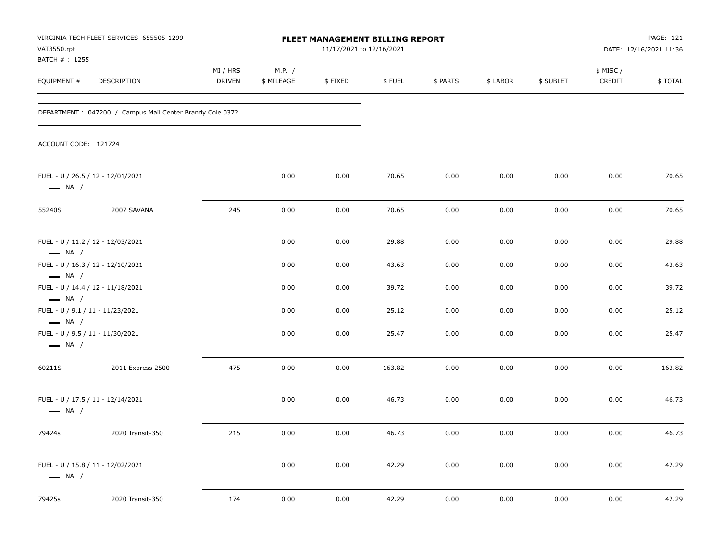| VAT3550.rpt                                                                          | VIRGINIA TECH FLEET SERVICES 655505-1299                  | FLEET MANAGEMENT BILLING REPORT<br>11/17/2021 to 12/16/2021 |                        |         |        |          | PAGE: 121<br>DATE: 12/16/2021 11:36 |           |                    |          |
|--------------------------------------------------------------------------------------|-----------------------------------------------------------|-------------------------------------------------------------|------------------------|---------|--------|----------|-------------------------------------|-----------|--------------------|----------|
| BATCH #: 1255<br>EQUIPMENT #                                                         | DESCRIPTION                                               | MI / HRS<br>DRIVEN                                          | M.P. $/$<br>\$ MILEAGE | \$FIXED | \$FUEL | \$ PARTS | \$ LABOR                            | \$ SUBLET | \$ MISC/<br>CREDIT | \$ TOTAL |
|                                                                                      | DEPARTMENT : 047200 / Campus Mail Center Brandy Cole 0372 |                                                             |                        |         |        |          |                                     |           |                    |          |
| ACCOUNT CODE: 121724                                                                 |                                                           |                                                             |                        |         |        |          |                                     |           |                    |          |
| $\longrightarrow$ NA /                                                               | FUEL - U / 26.5 / 12 - 12/01/2021                         |                                                             | 0.00                   | 0.00    | 70.65  | 0.00     | 0.00                                | 0.00      | 0.00               | 70.65    |
| 55240S                                                                               | 2007 SAVANA                                               | 245                                                         | 0.00                   | 0.00    | 70.65  | 0.00     | 0.00                                | 0.00      | 0.00               | 70.65    |
| $\longrightarrow$ NA /                                                               | FUEL - U / 11.2 / 12 - 12/03/2021                         |                                                             | 0.00                   | 0.00    | 29.88  | 0.00     | 0.00                                | 0.00      | 0.00               | 29.88    |
|                                                                                      | FUEL - U / 16.3 / 12 - 12/10/2021                         |                                                             | 0.00                   | 0.00    | 43.63  | 0.00     | 0.00                                | 0.00      | 0.00               | 43.63    |
| $\longrightarrow$ NA /<br>$\longrightarrow$ NA /                                     | FUEL - U / 14.4 / 12 - 11/18/2021                         |                                                             | 0.00                   | 0.00    | 39.72  | 0.00     | 0.00                                | 0.00      | 0.00               | 39.72    |
| FUEL - U / 9.1 / 11 - 11/23/2021                                                     |                                                           |                                                             | 0.00                   | 0.00    | 25.12  | 0.00     | 0.00                                | 0.00      | 0.00               | 25.12    |
| $\longrightarrow$ NA /<br>FUEL - U / 9.5 / 11 - 11/30/2021<br>$\longrightarrow$ NA / |                                                           |                                                             | 0.00                   | 0.00    | 25.47  | 0.00     | 0.00                                | 0.00      | 0.00               | 25.47    |
| 60211S                                                                               | 2011 Express 2500                                         | 475                                                         | 0.00                   | 0.00    | 163.82 | 0.00     | 0.00                                | 0.00      | 0.00               | 163.82   |
| $\longrightarrow$ NA /                                                               | FUEL - U / 17.5 / 11 - 12/14/2021                         |                                                             | 0.00                   | 0.00    | 46.73  | 0.00     | 0.00                                | 0.00      | 0.00               | 46.73    |
| 79424s                                                                               | 2020 Transit-350                                          | 215                                                         | 0.00                   | 0.00    | 46.73  | 0.00     | 0.00                                | 0.00      | 0.00               | 46.73    |
| $\longrightarrow$ NA /                                                               | FUEL - U / 15.8 / 11 - 12/02/2021                         |                                                             | 0.00                   | 0.00    | 42.29  | 0.00     | 0.00                                | 0.00      | 0.00               | 42.29    |
| 79425s                                                                               | 2020 Transit-350                                          | 174                                                         | 0.00                   | 0.00    | 42.29  | 0.00     | 0.00                                | 0.00      | 0.00               | 42.29    |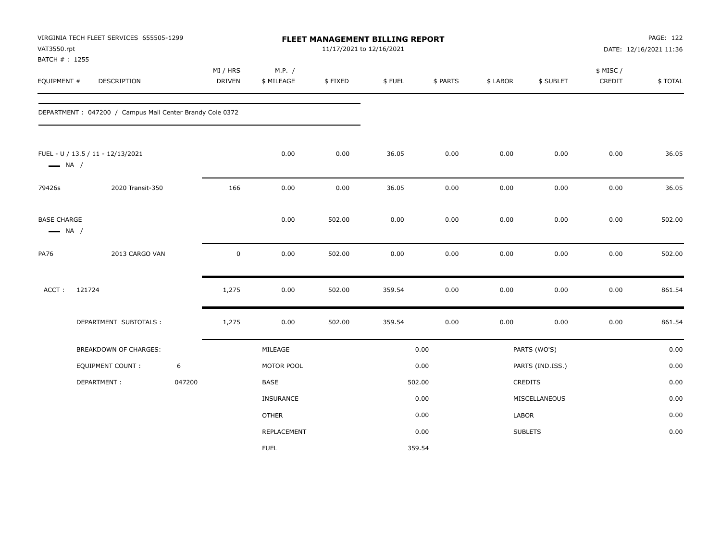| VAT3550.rpt                                  | VIRGINIA TECH FLEET SERVICES 655505-1299<br>BATCH #: 1255 |        |                    |                      |         | FLEET MANAGEMENT BILLING REPORT<br>11/17/2021 to 12/16/2021 |          |          |                  | PAGE: 122<br>DATE: 12/16/2021 11:36 |         |  |
|----------------------------------------------|-----------------------------------------------------------|--------|--------------------|----------------------|---------|-------------------------------------------------------------|----------|----------|------------------|-------------------------------------|---------|--|
| EQUIPMENT #                                  | DESCRIPTION                                               |        | MI / HRS<br>DRIVEN | M.P. /<br>\$ MILEAGE | \$FIXED | \$FUEL                                                      | \$ PARTS | \$ LABOR | \$ SUBLET        | \$ MISC /<br>CREDIT                 | \$TOTAL |  |
|                                              | DEPARTMENT : 047200 / Campus Mail Center Brandy Cole 0372 |        |                    |                      |         |                                                             |          |          |                  |                                     |         |  |
| $\longrightarrow$ NA /                       | FUEL - U / 13.5 / 11 - 12/13/2021                         |        |                    | 0.00                 | 0.00    | 36.05                                                       | 0.00     | 0.00     | 0.00             | 0.00                                | 36.05   |  |
| 79426s                                       | 2020 Transit-350                                          |        | 166                | 0.00                 | 0.00    | 36.05                                                       | 0.00     | 0.00     | 0.00             | 0.00                                | 36.05   |  |
| <b>BASE CHARGE</b><br>$\longrightarrow$ NA / |                                                           |        |                    | 0.00                 | 502.00  | 0.00                                                        | 0.00     | 0.00     | 0.00             | 0.00                                | 502.00  |  |
| <b>PA76</b>                                  | 2013 CARGO VAN                                            |        | $\mathsf 0$        | 0.00                 | 502.00  | 0.00                                                        | 0.00     | 0.00     | 0.00             | 0.00                                | 502.00  |  |
| ACCT:                                        | 121724                                                    |        | 1,275              | 0.00                 | 502.00  | 359.54                                                      | 0.00     | 0.00     | 0.00             | 0.00                                | 861.54  |  |
|                                              | DEPARTMENT SUBTOTALS :                                    |        | 1,275              | 0.00                 | 502.00  | 359.54                                                      | 0.00     | 0.00     | 0.00             | 0.00                                | 861.54  |  |
|                                              | BREAKDOWN OF CHARGES:                                     |        |                    | MILEAGE              |         |                                                             | 0.00     |          | PARTS (WO'S)     |                                     | 0.00    |  |
|                                              | <b>EQUIPMENT COUNT:</b>                                   | 6      |                    | MOTOR POOL           |         |                                                             | 0.00     |          | PARTS (IND.ISS.) |                                     | 0.00    |  |
|                                              | DEPARTMENT:                                               | 047200 |                    | <b>BASE</b>          |         | 502.00                                                      |          |          | CREDITS          |                                     | 0.00    |  |
|                                              |                                                           |        |                    | INSURANCE            |         |                                                             | 0.00     |          | MISCELLANEOUS    |                                     | 0.00    |  |
|                                              |                                                           |        |                    | <b>OTHER</b>         |         |                                                             | 0.00     | LABOR    |                  |                                     | 0.00    |  |
|                                              |                                                           |        |                    | REPLACEMENT          |         |                                                             | 0.00     |          | <b>SUBLETS</b>   |                                     | 0.00    |  |
|                                              |                                                           |        |                    | <b>FUEL</b>          |         |                                                             | 359.54   |          |                  |                                     |         |  |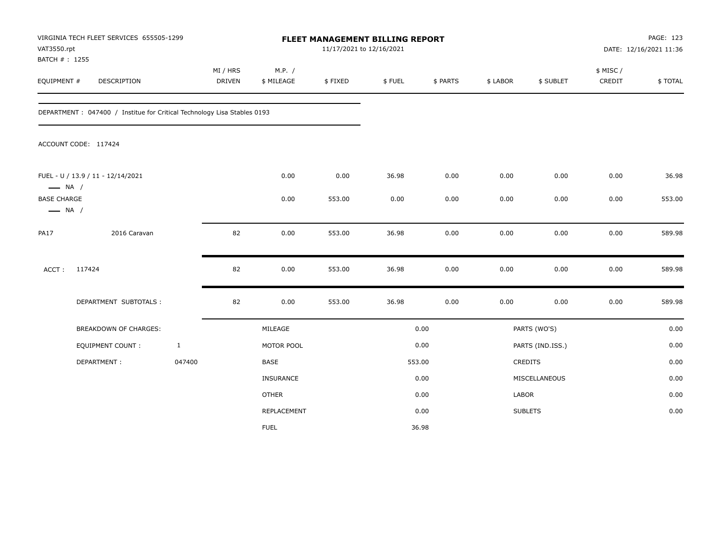| VAT3550.rpt<br>BATCH #: 1255                 | VIRGINIA TECH FLEET SERVICES 655505-1299                                 |              |                           |                      | 11/17/2021 to 12/16/2021 | FLEET MANAGEMENT BILLING REPORT<br>DATE: 12/16/2021 11:36 |          |          |                  |                    | PAGE: 123 |
|----------------------------------------------|--------------------------------------------------------------------------|--------------|---------------------------|----------------------|--------------------------|-----------------------------------------------------------|----------|----------|------------------|--------------------|-----------|
| EQUIPMENT #                                  | DESCRIPTION                                                              |              | MI / HRS<br><b>DRIVEN</b> | M.P. /<br>\$ MILEAGE | \$FIXED                  | \$FUEL                                                    | \$ PARTS | \$ LABOR | \$ SUBLET        | \$ MISC/<br>CREDIT | \$TOTAL   |
|                                              | DEPARTMENT : 047400 / Institue for Critical Technology Lisa Stables 0193 |              |                           |                      |                          |                                                           |          |          |                  |                    |           |
|                                              | ACCOUNT CODE: 117424                                                     |              |                           |                      |                          |                                                           |          |          |                  |                    |           |
| $\longrightarrow$ NA /                       | FUEL - U / 13.9 / 11 - 12/14/2021                                        |              |                           | 0.00                 | 0.00                     | 36.98                                                     | 0.00     | 0.00     | 0.00             | 0.00               | 36.98     |
| <b>BASE CHARGE</b><br>$\longrightarrow$ NA / |                                                                          |              |                           | 0.00                 | 553.00                   | 0.00                                                      | 0.00     | 0.00     | 0.00             | 0.00               | 553.00    |
| <b>PA17</b>                                  | 2016 Caravan                                                             |              | 82                        | 0.00                 | 553.00                   | 36.98                                                     | 0.00     | 0.00     | 0.00             | 0.00               | 589.98    |
| ACCT:                                        | 117424                                                                   |              | 82                        | 0.00                 | 553.00                   | 36.98                                                     | 0.00     | 0.00     | 0.00             | 0.00               | 589.98    |
|                                              | DEPARTMENT SUBTOTALS :                                                   |              | 82                        | 0.00                 | 553.00                   | 36.98                                                     | 0.00     | 0.00     | 0.00             | 0.00               | 589.98    |
|                                              | BREAKDOWN OF CHARGES:                                                    |              |                           | MILEAGE              |                          |                                                           | 0.00     |          | PARTS (WO'S)     |                    | 0.00      |
|                                              | <b>EQUIPMENT COUNT:</b>                                                  | $\mathbf{1}$ |                           | MOTOR POOL           |                          |                                                           | 0.00     |          | PARTS (IND.ISS.) |                    | 0.00      |
|                                              | DEPARTMENT:                                                              | 047400       |                           | BASE                 |                          |                                                           | 553.00   |          | <b>CREDITS</b>   |                    | 0.00      |
|                                              |                                                                          |              |                           | <b>INSURANCE</b>     |                          |                                                           | 0.00     |          | MISCELLANEOUS    |                    | 0.00      |
|                                              |                                                                          |              |                           | <b>OTHER</b>         |                          |                                                           | 0.00     | LABOR    |                  |                    | 0.00      |
|                                              |                                                                          |              |                           | REPLACEMENT          |                          |                                                           | 0.00     |          | <b>SUBLETS</b>   |                    | 0.00      |
|                                              |                                                                          |              |                           | <b>FUEL</b>          |                          |                                                           | 36.98    |          |                  |                    |           |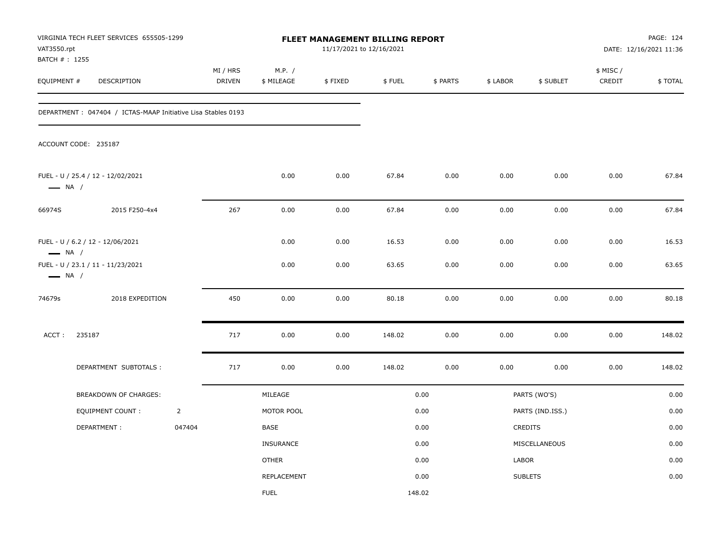| VAT3550.rpt                   | VIRGINIA TECH FLEET SERVICES 655505-1299                      |                |                    |                      |         | <b>FLEET MANAGEMENT BILLING REPORT</b><br>11/17/2021 to 12/16/2021 |          |          |                  | PAGE: 124<br>DATE: 12/16/2021 11:36 |         |  |
|-------------------------------|---------------------------------------------------------------|----------------|--------------------|----------------------|---------|--------------------------------------------------------------------|----------|----------|------------------|-------------------------------------|---------|--|
| BATCH # : 1255<br>EQUIPMENT # | DESCRIPTION                                                   |                | MI / HRS<br>DRIVEN | M.P. /<br>\$ MILEAGE | \$FIXED | \$FUEL                                                             | \$ PARTS | \$ LABOR | \$ SUBLET        | \$ MISC /<br>CREDIT                 | \$TOTAL |  |
|                               | DEPARTMENT : 047404 / ICTAS-MAAP Initiative Lisa Stables 0193 |                |                    |                      |         |                                                                    |          |          |                  |                                     |         |  |
|                               | ACCOUNT CODE: 235187                                          |                |                    |                      |         |                                                                    |          |          |                  |                                     |         |  |
| $\longrightarrow$ NA /        | FUEL - U / 25.4 / 12 - 12/02/2021                             |                |                    | 0.00                 | 0.00    | 67.84                                                              | 0.00     | 0.00     | 0.00             | 0.00                                | 67.84   |  |
| 66974S                        | 2015 F250-4x4                                                 |                | 267                | 0.00                 | 0.00    | 67.84                                                              | 0.00     | 0.00     | 0.00             | 0.00                                | 67.84   |  |
| $\longrightarrow$ NA /        | FUEL - U / 6.2 / 12 - 12/06/2021                              |                |                    | 0.00                 | 0.00    | 16.53                                                              | 0.00     | 0.00     | 0.00             | 0.00                                | 16.53   |  |
| $\longrightarrow$ NA /        | FUEL - U / 23.1 / 11 - 11/23/2021                             |                |                    | 0.00                 | 0.00    | 63.65                                                              | 0.00     | 0.00     | 0.00             | 0.00                                | 63.65   |  |
| 74679s                        | 2018 EXPEDITION                                               |                | 450                | 0.00                 | 0.00    | 80.18                                                              | 0.00     | 0.00     | 0.00             | 0.00                                | 80.18   |  |
| ACCT:                         | 235187                                                        |                | 717                | 0.00                 | 0.00    | 148.02                                                             | 0.00     | 0.00     | 0.00             | 0.00                                | 148.02  |  |
|                               | DEPARTMENT SUBTOTALS :                                        |                | 717                | 0.00                 | 0.00    | 148.02                                                             | 0.00     | 0.00     | 0.00             | 0.00                                | 148.02  |  |
|                               | BREAKDOWN OF CHARGES:                                         |                |                    | MILEAGE              |         |                                                                    | 0.00     |          | PARTS (WO'S)     |                                     | 0.00    |  |
|                               | EQUIPMENT COUNT:                                              | $\overline{2}$ |                    | MOTOR POOL           |         |                                                                    | 0.00     |          | PARTS (IND.ISS.) |                                     | 0.00    |  |
|                               | DEPARTMENT:                                                   | 047404         |                    | BASE                 |         |                                                                    | 0.00     |          | CREDITS          |                                     | 0.00    |  |
|                               |                                                               |                |                    | <b>INSURANCE</b>     |         |                                                                    | 0.00     |          | MISCELLANEOUS    |                                     | 0.00    |  |
|                               |                                                               |                |                    | <b>OTHER</b>         |         |                                                                    | 0.00     | LABOR    |                  |                                     | 0.00    |  |
|                               |                                                               |                |                    | REPLACEMENT          |         |                                                                    | 0.00     |          | <b>SUBLETS</b>   |                                     | 0.00    |  |
|                               |                                                               |                |                    | <b>FUEL</b>          |         | 148.02                                                             |          |          |                  |                                     |         |  |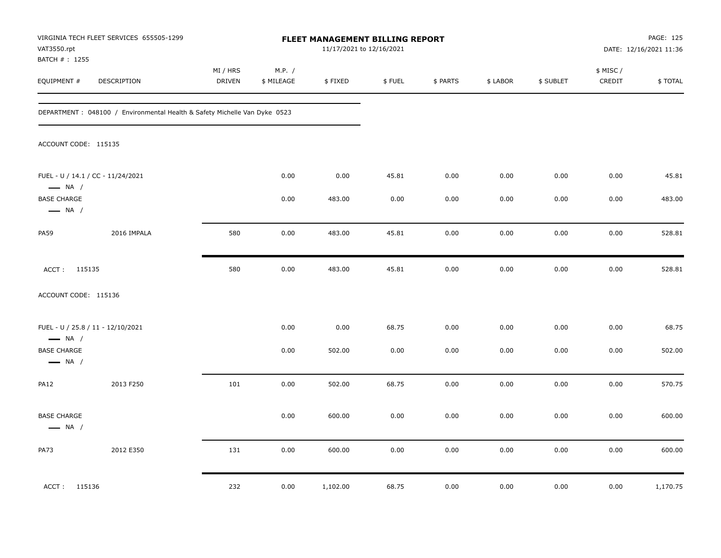| VAT3550.rpt<br>BATCH #: 1255                 | VIRGINIA TECH FLEET SERVICES 655505-1299                                   | <b>FLEET MANAGEMENT BILLING REPORT</b><br>11/17/2021 to 12/16/2021 |                      |          |        |          |          |           |                     | PAGE: 125<br>DATE: 12/16/2021 11:36 |  |
|----------------------------------------------|----------------------------------------------------------------------------|--------------------------------------------------------------------|----------------------|----------|--------|----------|----------|-----------|---------------------|-------------------------------------|--|
| EQUIPMENT #                                  | DESCRIPTION                                                                | MI / HRS<br><b>DRIVEN</b>                                          | M.P. /<br>\$ MILEAGE | \$FIXED  | \$FUEL | \$ PARTS | \$ LABOR | \$ SUBLET | \$ MISC /<br>CREDIT | \$TOTAL                             |  |
|                                              | DEPARTMENT : 048100 / Environmental Health & Safety Michelle Van Dyke 0523 |                                                                    |                      |          |        |          |          |           |                     |                                     |  |
| ACCOUNT CODE: 115135                         |                                                                            |                                                                    |                      |          |        |          |          |           |                     |                                     |  |
| $\longrightarrow$ NA /                       | FUEL - U / 14.1 / CC - 11/24/2021                                          |                                                                    | 0.00                 | 0.00     | 45.81  | 0.00     | 0.00     | 0.00      | 0.00                | 45.81                               |  |
| <b>BASE CHARGE</b><br>$\longrightarrow$ NA / |                                                                            |                                                                    | 0.00                 | 483.00   | 0.00   | 0.00     | 0.00     | 0.00      | 0.00                | 483.00                              |  |
| <b>PA59</b>                                  | 2016 IMPALA                                                                | 580                                                                | 0.00                 | 483.00   | 45.81  | 0.00     | 0.00     | 0.00      | 0.00                | 528.81                              |  |
| ACCT: 115135                                 |                                                                            | 580                                                                | 0.00                 | 483.00   | 45.81  | 0.00     | 0.00     | 0.00      | 0.00                | 528.81                              |  |
| ACCOUNT CODE: 115136                         |                                                                            |                                                                    |                      |          |        |          |          |           |                     |                                     |  |
| $\longrightarrow$ NA /                       | FUEL - U / 25.8 / 11 - 12/10/2021                                          |                                                                    | 0.00                 | 0.00     | 68.75  | 0.00     | 0.00     | 0.00      | 0.00                | 68.75                               |  |
| <b>BASE CHARGE</b><br>$\longrightarrow$ NA / |                                                                            |                                                                    | 0.00                 | 502.00   | 0.00   | 0.00     | 0.00     | 0.00      | 0.00                | 502.00                              |  |
| <b>PA12</b>                                  | 2013 F250                                                                  | 101                                                                | 0.00                 | 502.00   | 68.75  | 0.00     | 0.00     | 0.00      | 0.00                | 570.75                              |  |
| <b>BASE CHARGE</b><br>$\longrightarrow$ NA / |                                                                            |                                                                    | 0.00                 | 600.00   | 0.00   | 0.00     | 0.00     | 0.00      | 0.00                | 600.00                              |  |
| <b>PA73</b>                                  | 2012 E350                                                                  | 131                                                                | 0.00                 | 600.00   | 0.00   | 0.00     | 0.00     | 0.00      | 0.00                | 600.00                              |  |
| ACCT: 115136                                 |                                                                            | 232                                                                | 0.00                 | 1,102.00 | 68.75  | 0.00     | 0.00     | 0.00      | 0.00                | 1,170.75                            |  |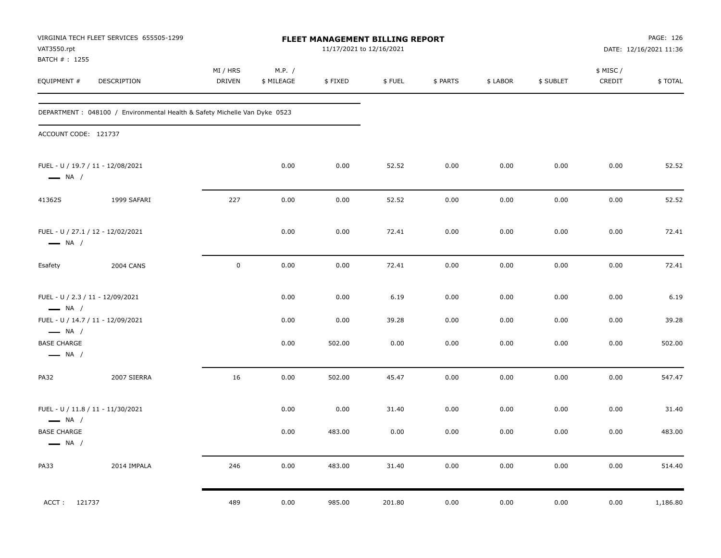| VAT3550.rpt                                                 | VIRGINIA TECH FLEET SERVICES 655505-1299                                   | FLEET MANAGEMENT BILLING REPORT<br>11/17/2021 to 12/16/2021 |                      |         |        |          |          |           | PAGE: 126<br>DATE: 12/16/2021 11:36 |          |
|-------------------------------------------------------------|----------------------------------------------------------------------------|-------------------------------------------------------------|----------------------|---------|--------|----------|----------|-----------|-------------------------------------|----------|
| BATCH # : 1255<br>EQUIPMENT #                               | DESCRIPTION                                                                | MI / HRS<br>DRIVEN                                          | M.P. /<br>\$ MILEAGE | \$FIXED | \$FUEL | \$ PARTS | \$ LABOR | \$ SUBLET | \$ MISC /<br>CREDIT                 | \$TOTAL  |
|                                                             | DEPARTMENT : 048100 / Environmental Health & Safety Michelle Van Dyke 0523 |                                                             |                      |         |        |          |          |           |                                     |          |
| ACCOUNT CODE: 121737                                        |                                                                            |                                                             |                      |         |        |          |          |           |                                     |          |
| FUEL - U / 19.7 / 11 - 12/08/2021<br>$\longrightarrow$ NA / |                                                                            |                                                             | 0.00                 | 0.00    | 52.52  | 0.00     | 0.00     | 0.00      | 0.00                                | 52.52    |
| 41362S                                                      | 1999 SAFARI                                                                | 227                                                         | 0.00                 | 0.00    | 52.52  | 0.00     | 0.00     | 0.00      | 0.00                                | 52.52    |
| FUEL - U / 27.1 / 12 - 12/02/2021<br>$\longrightarrow$ NA / |                                                                            |                                                             | 0.00                 | 0.00    | 72.41  | 0.00     | 0.00     | 0.00      | 0.00                                | 72.41    |
| Esafety                                                     | <b>2004 CANS</b>                                                           | $\mathsf 0$                                                 | 0.00                 | 0.00    | 72.41  | 0.00     | 0.00     | 0.00      | 0.00                                | 72.41    |
| FUEL - U / 2.3 / 11 - 12/09/2021<br>$\longrightarrow$ NA /  |                                                                            |                                                             | 0.00                 | 0.00    | 6.19   | 0.00     | 0.00     | 0.00      | 0.00                                | 6.19     |
| FUEL - U / 14.7 / 11 - 12/09/2021<br>$\longrightarrow$ NA / |                                                                            |                                                             | 0.00                 | 0.00    | 39.28  | 0.00     | 0.00     | 0.00      | 0.00                                | 39.28    |
| <b>BASE CHARGE</b><br>$\longrightarrow$ NA /                |                                                                            |                                                             | 0.00                 | 502.00  | 0.00   | 0.00     | 0.00     | 0.00      | 0.00                                | 502.00   |
| PA32                                                        | 2007 SIERRA                                                                | 16                                                          | 0.00                 | 502.00  | 45.47  | 0.00     | 0.00     | 0.00      | 0.00                                | 547.47   |
| FUEL - U / 11.8 / 11 - 11/30/2021<br>$\longrightarrow$ NA / |                                                                            |                                                             | 0.00                 | 0.00    | 31.40  | 0.00     | 0.00     | 0.00      | 0.00                                | 31.40    |
| <b>BASE CHARGE</b><br>$\longrightarrow$ NA /                |                                                                            |                                                             | 0.00                 | 483.00  | 0.00   | 0.00     | 0.00     | 0.00      | 0.00                                | 483.00   |
| <b>PA33</b>                                                 | 2014 IMPALA                                                                | 246                                                         | $0.00\,$             | 483.00  | 31.40  | $0.00\,$ | 0.00     | 0.00      | 0.00                                | 514.40   |
| 121737<br>ACCT:                                             |                                                                            | 489                                                         | 0.00                 | 985.00  | 201.80 | 0.00     | 0.00     | 0.00      | 0.00                                | 1,186.80 |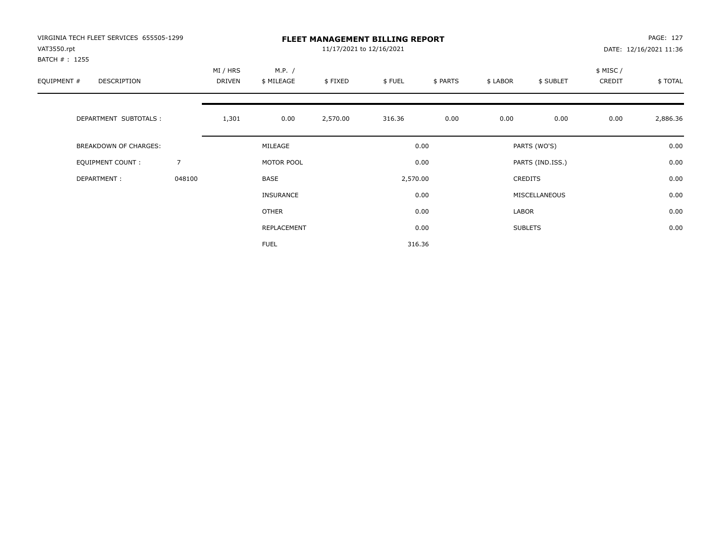| VIRGINIA TECH FLEET SERVICES 655505-1299<br>VAT3550.rpt |        | <b>FLEET MANAGEMENT BILLING REPORT</b><br>11/17/2021 to 12/16/2021 |                      |          |          |          |          |                  |                     | PAGE: 127<br>DATE: 12/16/2021 11:36 |  |
|---------------------------------------------------------|--------|--------------------------------------------------------------------|----------------------|----------|----------|----------|----------|------------------|---------------------|-------------------------------------|--|
| BATCH # : 1255<br>EQUIPMENT #<br>DESCRIPTION            |        | MI / HRS<br>DRIVEN                                                 | M.P. /<br>\$ MILEAGE | \$FIXED  | \$FUEL   | \$ PARTS | \$ LABOR | \$ SUBLET        | \$ MISC /<br>CREDIT | \$TOTAL                             |  |
| DEPARTMENT SUBTOTALS :                                  |        | 1,301                                                              | 0.00                 | 2,570.00 | 316.36   | 0.00     | 0.00     | 0.00             | 0.00                | 2,886.36                            |  |
| <b>BREAKDOWN OF CHARGES:</b>                            |        |                                                                    | MILEAGE              |          |          | 0.00     |          | PARTS (WO'S)     |                     | 0.00                                |  |
| EQUIPMENT COUNT:                                        | 7      |                                                                    | MOTOR POOL           |          |          | 0.00     |          | PARTS (IND.ISS.) |                     | 0.00                                |  |
| DEPARTMENT:                                             | 048100 |                                                                    | <b>BASE</b>          |          | 2,570.00 |          |          | <b>CREDITS</b>   |                     | 0.00                                |  |
|                                                         |        |                                                                    | <b>INSURANCE</b>     |          |          | 0.00     |          | MISCELLANEOUS    |                     | 0.00                                |  |
|                                                         |        |                                                                    | OTHER                |          |          | 0.00     | LABOR    |                  |                     | 0.00                                |  |
|                                                         |        |                                                                    | REPLACEMENT          |          |          | 0.00     |          | <b>SUBLETS</b>   |                     | 0.00                                |  |
|                                                         |        |                                                                    | <b>FUEL</b>          |          |          | 316.36   |          |                  |                     |                                     |  |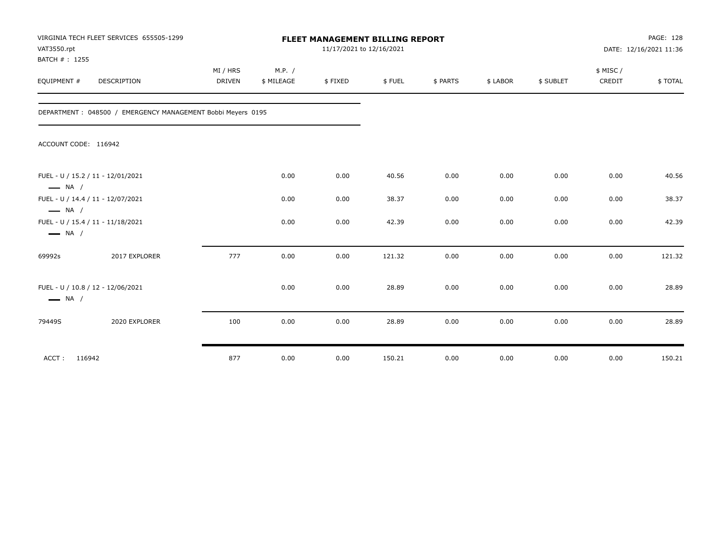| VAT3550.rpt<br>BATCH #: 1255 | VIRGINIA TECH FLEET SERVICES 655505-1299                    |                           | FLEET MANAGEMENT BILLING REPORT<br>11/17/2021 to 12/16/2021 |         |        |          |          |           |                    | PAGE: 128<br>DATE: 12/16/2021 11:36 |  |
|------------------------------|-------------------------------------------------------------|---------------------------|-------------------------------------------------------------|---------|--------|----------|----------|-----------|--------------------|-------------------------------------|--|
| EQUIPMENT #                  | DESCRIPTION                                                 | MI / HRS<br><b>DRIVEN</b> | M.P. /<br>\$ MILEAGE                                        | \$FIXED | \$FUEL | \$ PARTS | \$ LABOR | \$ SUBLET | \$ MISC/<br>CREDIT | \$ TOTAL                            |  |
|                              | DEPARTMENT: 048500 / EMERGENCY MANAGEMENT Bobbi Meyers 0195 |                           |                                                             |         |        |          |          |           |                    |                                     |  |
| ACCOUNT CODE: 116942         |                                                             |                           |                                                             |         |        |          |          |           |                    |                                     |  |
| $\longrightarrow$ NA /       | FUEL - U / 15.2 / 11 - 12/01/2021                           |                           | 0.00                                                        | 0.00    | 40.56  | 0.00     | 0.00     | 0.00      | 0.00               | 40.56                               |  |
| $\longrightarrow$ NA /       | FUEL - U / 14.4 / 11 - 12/07/2021                           |                           | 0.00                                                        | 0.00    | 38.37  | 0.00     | 0.00     | 0.00      | 0.00               | 38.37                               |  |
| $\longrightarrow$ NA /       | FUEL - U / 15.4 / 11 - 11/18/2021                           |                           | 0.00                                                        | 0.00    | 42.39  | 0.00     | 0.00     | 0.00      | 0.00               | 42.39                               |  |
| 69992s                       | 2017 EXPLORER                                               | 777                       | 0.00                                                        | 0.00    | 121.32 | 0.00     | 0.00     | 0.00      | 0.00               | 121.32                              |  |
| $\longrightarrow$ NA /       | FUEL - U / 10.8 / 12 - 12/06/2021                           |                           | 0.00                                                        | 0.00    | 28.89  | 0.00     | 0.00     | 0.00      | 0.00               | 28.89                               |  |
| 79449S                       | 2020 EXPLORER                                               | 100                       | 0.00                                                        | 0.00    | 28.89  | 0.00     | 0.00     | 0.00      | 0.00               | 28.89                               |  |
| ACCT: 116942                 |                                                             | 877                       | 0.00                                                        | 0.00    | 150.21 | 0.00     | 0.00     | 0.00      | 0.00               | 150.21                              |  |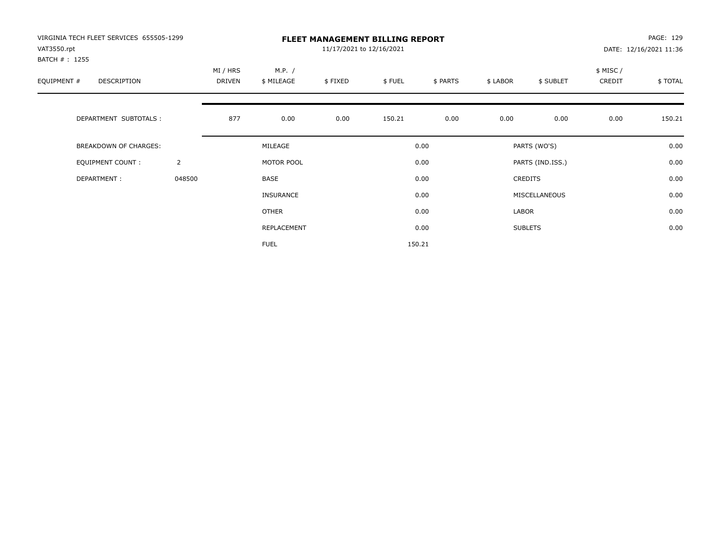| VIRGINIA TECH FLEET SERVICES 655505-1299<br>VAT3550.rpt<br>BATCH # : 1255 |                | <b>FLEET MANAGEMENT BILLING REPORT</b><br>11/17/2021 to 12/16/2021 |                      |         |        |          |          |                  |                     | PAGE: 129<br>DATE: 12/16/2021 11:36 |  |
|---------------------------------------------------------------------------|----------------|--------------------------------------------------------------------|----------------------|---------|--------|----------|----------|------------------|---------------------|-------------------------------------|--|
| EQUIPMENT #<br>DESCRIPTION                                                |                | MI / HRS<br><b>DRIVEN</b>                                          | M.P. /<br>\$ MILEAGE | \$FIXED | \$FUEL | \$ PARTS | \$ LABOR | \$ SUBLET        | \$ MISC /<br>CREDIT | \$TOTAL                             |  |
| DEPARTMENT SUBTOTALS :                                                    |                | 877                                                                | 0.00                 | 0.00    | 150.21 | 0.00     | 0.00     | 0.00             | 0.00                | 150.21                              |  |
| <b>BREAKDOWN OF CHARGES:</b>                                              |                |                                                                    | MILEAGE              |         |        | 0.00     |          | PARTS (WO'S)     |                     | 0.00                                |  |
| EQUIPMENT COUNT:                                                          | $\overline{2}$ |                                                                    | MOTOR POOL           |         |        | 0.00     |          | PARTS (IND.ISS.) |                     | 0.00                                |  |
| DEPARTMENT:                                                               | 048500         |                                                                    | <b>BASE</b>          |         |        | 0.00     |          | <b>CREDITS</b>   |                     | 0.00                                |  |
|                                                                           |                |                                                                    | <b>INSURANCE</b>     |         |        | 0.00     |          | MISCELLANEOUS    |                     | 0.00                                |  |
|                                                                           |                |                                                                    | OTHER                |         |        | 0.00     | LABOR    |                  |                     | 0.00                                |  |
|                                                                           |                |                                                                    | REPLACEMENT          |         |        | 0.00     |          | <b>SUBLETS</b>   |                     | 0.00                                |  |
|                                                                           |                |                                                                    | <b>FUEL</b>          |         |        | 150.21   |          |                  |                     |                                     |  |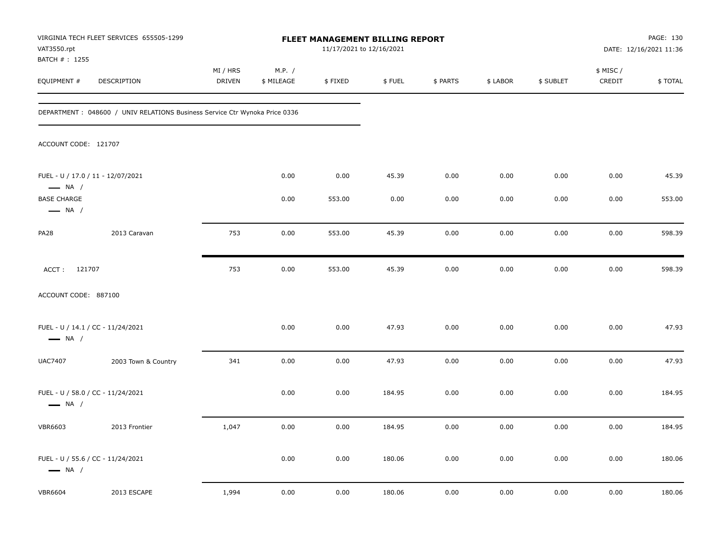| VAT3550.rpt                                  | VIRGINIA TECH FLEET SERVICES 655505-1299                                    |                    |                      | 11/17/2021 to 12/16/2021 |        | <b>FLEET MANAGEMENT BILLING REPORT</b><br>DATE: 12/16/2021 11:36 |          |           |                     |         |
|----------------------------------------------|-----------------------------------------------------------------------------|--------------------|----------------------|--------------------------|--------|------------------------------------------------------------------|----------|-----------|---------------------|---------|
| BATCH # : 1255<br>EQUIPMENT #                | DESCRIPTION                                                                 | MI / HRS<br>DRIVEN | M.P. /<br>\$ MILEAGE | \$FIXED                  | \$FUEL | \$ PARTS                                                         | \$ LABOR | \$ SUBLET | \$ MISC /<br>CREDIT | \$TOTAL |
|                                              | DEPARTMENT : 048600 / UNIV RELATIONS Business Service Ctr Wynoka Price 0336 |                    |                      |                          |        |                                                                  |          |           |                     |         |
| ACCOUNT CODE: 121707                         |                                                                             |                    |                      |                          |        |                                                                  |          |           |                     |         |
| $\longrightarrow$ NA /                       | FUEL - U / 17.0 / 11 - 12/07/2021                                           |                    | 0.00                 | 0.00                     | 45.39  | 0.00                                                             | 0.00     | 0.00      | 0.00                | 45.39   |
| <b>BASE CHARGE</b><br>$\longrightarrow$ NA / |                                                                             |                    | 0.00                 | 553.00                   | 0.00   | 0.00                                                             | 0.00     | 0.00      | 0.00                | 553.00  |
| PA28                                         | 2013 Caravan                                                                | 753                | 0.00                 | 553.00                   | 45.39  | 0.00                                                             | 0.00     | 0.00      | 0.00                | 598.39  |
| ACCT: 121707                                 |                                                                             | 753                | 0.00                 | 553.00                   | 45.39  | 0.00                                                             | 0.00     | 0.00      | 0.00                | 598.39  |
| ACCOUNT CODE: 887100                         |                                                                             |                    |                      |                          |        |                                                                  |          |           |                     |         |
| $\longrightarrow$ NA /                       | FUEL - U / 14.1 / CC - 11/24/2021                                           |                    | 0.00                 | 0.00                     | 47.93  | 0.00                                                             | 0.00     | 0.00      | 0.00                | 47.93   |
| <b>UAC7407</b>                               | 2003 Town & Country                                                         | 341                | 0.00                 | 0.00                     | 47.93  | 0.00                                                             | 0.00     | 0.00      | 0.00                | 47.93   |
| $\longrightarrow$ NA /                       | FUEL - U / 58.0 / CC - 11/24/2021                                           |                    | 0.00                 | 0.00                     | 184.95 | 0.00                                                             | 0.00     | 0.00      | 0.00                | 184.95  |
| <b>VBR6603</b>                               | 2013 Frontier                                                               | 1,047              | 0.00                 | 0.00                     | 184.95 | 0.00                                                             | 0.00     | 0.00      | 0.00                | 184.95  |
| $\longrightarrow$ NA /                       | FUEL - U / 55.6 / CC - 11/24/2021                                           |                    | 0.00                 | 0.00                     | 180.06 | 0.00                                                             | 0.00     | 0.00      | 0.00                | 180.06  |
| <b>VBR6604</b>                               | 2013 ESCAPE                                                                 | 1,994              | 0.00                 | 0.00                     | 180.06 | 0.00                                                             | 0.00     | 0.00      | 0.00                | 180.06  |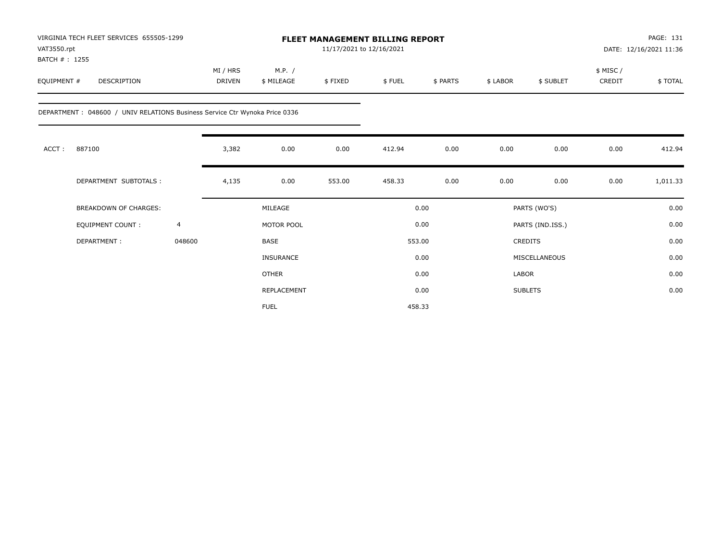| VAT3550.rpt<br>BATCH #: 1255 | VIRGINIA TECH FLEET SERVICES 655505-1299                                    |                |                           |                      |         | FLEET MANAGEMENT BILLING REPORT<br>11/17/2021 to 12/16/2021 |          |          |                  |                     | PAGE: 131<br>DATE: 12/16/2021 11:36 |  |
|------------------------------|-----------------------------------------------------------------------------|----------------|---------------------------|----------------------|---------|-------------------------------------------------------------|----------|----------|------------------|---------------------|-------------------------------------|--|
| EQUIPMENT #                  | <b>DESCRIPTION</b>                                                          |                | MI / HRS<br><b>DRIVEN</b> | M.P. /<br>\$ MILEAGE | \$FIXED | \$FUEL                                                      | \$ PARTS | \$ LABOR | \$ SUBLET        | \$ MISC /<br>CREDIT | \$TOTAL                             |  |
|                              | DEPARTMENT : 048600 / UNIV RELATIONS Business Service Ctr Wynoka Price 0336 |                |                           |                      |         |                                                             |          |          |                  |                     |                                     |  |
| ACCT:                        | 887100                                                                      |                | 3,382                     | 0.00                 | 0.00    | 412.94                                                      | 0.00     | 0.00     | 0.00             | 0.00                | 412.94                              |  |
|                              | DEPARTMENT SUBTOTALS :                                                      |                | 4,135                     | 0.00                 | 553.00  | 458.33                                                      | 0.00     | 0.00     | 0.00             | 0.00                | 1,011.33                            |  |
|                              | <b>BREAKDOWN OF CHARGES:</b>                                                |                |                           | MILEAGE              |         |                                                             | 0.00     |          | PARTS (WO'S)     |                     | 0.00                                |  |
|                              | EQUIPMENT COUNT:                                                            | $\overline{4}$ |                           | MOTOR POOL           |         |                                                             | 0.00     |          | PARTS (IND.ISS.) |                     | 0.00                                |  |
|                              | DEPARTMENT:                                                                 | 048600         |                           | <b>BASE</b>          |         |                                                             | 553.00   |          | <b>CREDITS</b>   |                     | 0.00                                |  |
|                              |                                                                             |                |                           | <b>INSURANCE</b>     |         |                                                             | 0.00     |          | MISCELLANEOUS    |                     | 0.00                                |  |
|                              |                                                                             |                |                           | <b>OTHER</b>         |         |                                                             | 0.00     | LABOR    |                  |                     | 0.00                                |  |
|                              |                                                                             |                |                           | REPLACEMENT          |         |                                                             | 0.00     |          | <b>SUBLETS</b>   |                     | 0.00                                |  |
|                              |                                                                             |                |                           | <b>FUEL</b>          |         |                                                             | 458.33   |          |                  |                     |                                     |  |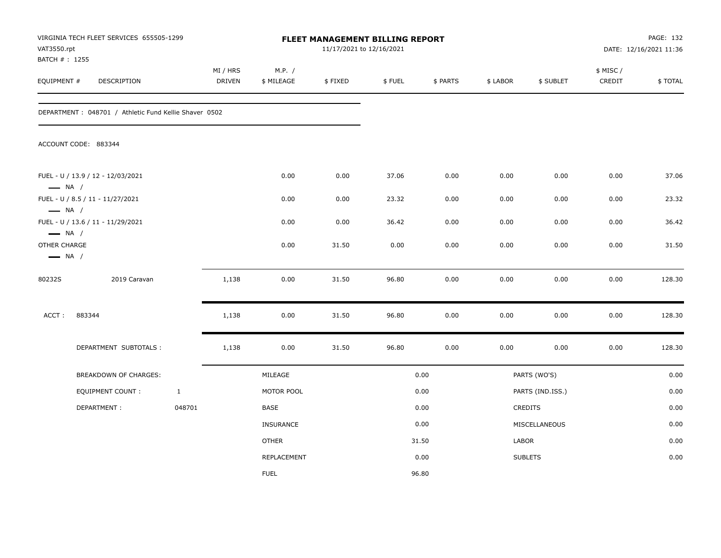| VAT3550.rpt<br>BATCH # : 1255                    | VIRGINIA TECH FLEET SERVICES 655505-1299               |              |                           |                      |         | FLEET MANAGEMENT BILLING REPORT<br>11/17/2021 to 12/16/2021 |          |          |                  | PAGE: 132<br>DATE: 12/16/2021 11:36 |         |  |
|--------------------------------------------------|--------------------------------------------------------|--------------|---------------------------|----------------------|---------|-------------------------------------------------------------|----------|----------|------------------|-------------------------------------|---------|--|
| EQUIPMENT #                                      | <b>DESCRIPTION</b>                                     |              | MI / HRS<br><b>DRIVEN</b> | M.P. /<br>\$ MILEAGE | \$FIXED | \$FUEL                                                      | \$ PARTS | \$ LABOR | \$ SUBLET        | \$ MISC/<br>CREDIT                  | \$TOTAL |  |
|                                                  | DEPARTMENT : 048701 / Athletic Fund Kellie Shaver 0502 |              |                           |                      |         |                                                             |          |          |                  |                                     |         |  |
|                                                  | ACCOUNT CODE: 883344                                   |              |                           |                      |         |                                                             |          |          |                  |                                     |         |  |
| $\longrightarrow$ NA /                           | FUEL - U / 13.9 / 12 - 12/03/2021                      |              |                           | 0.00                 | 0.00    | 37.06                                                       | 0.00     | 0.00     | 0.00             | 0.00                                | 37.06   |  |
|                                                  | FUEL - U / 8.5 / 11 - 11/27/2021                       |              |                           | 0.00                 | 0.00    | 23.32                                                       | 0.00     | 0.00     | 0.00             | 0.00                                | 23.32   |  |
| $\longrightarrow$ NA /<br>$\longrightarrow$ NA / | FUEL - U / 13.6 / 11 - 11/29/2021                      |              |                           | 0.00                 | 0.00    | 36.42                                                       | 0.00     | 0.00     | 0.00             | 0.00                                | 36.42   |  |
| OTHER CHARGE<br>$\longrightarrow$ NA /           |                                                        |              |                           | 0.00                 | 31.50   | 0.00                                                        | 0.00     | 0.00     | 0.00             | 0.00                                | 31.50   |  |
| 80232S                                           | 2019 Caravan                                           |              | 1,138                     | 0.00                 | 31.50   | 96.80                                                       | 0.00     | 0.00     | 0.00             | 0.00                                | 128.30  |  |
| ACCT:                                            | 883344                                                 |              | 1,138                     | 0.00                 | 31.50   | 96.80                                                       | 0.00     | 0.00     | 0.00             | 0.00                                | 128.30  |  |
|                                                  | DEPARTMENT SUBTOTALS :                                 |              | 1,138                     | 0.00                 | 31.50   | 96.80                                                       | 0.00     | 0.00     | 0.00             | 0.00                                | 128.30  |  |
|                                                  | BREAKDOWN OF CHARGES:                                  |              |                           | MILEAGE              |         |                                                             | 0.00     |          | PARTS (WO'S)     |                                     | 0.00    |  |
|                                                  | EQUIPMENT COUNT:                                       | $\mathbf{1}$ |                           | MOTOR POOL           |         |                                                             | 0.00     |          | PARTS (IND.ISS.) |                                     | 0.00    |  |
|                                                  | DEPARTMENT:                                            | 048701       |                           | BASE                 |         |                                                             | 0.00     |          | <b>CREDITS</b>   |                                     | 0.00    |  |
|                                                  |                                                        |              |                           | INSURANCE            |         |                                                             | 0.00     |          | MISCELLANEOUS    |                                     | 0.00    |  |
|                                                  |                                                        |              |                           | <b>OTHER</b>         |         |                                                             | 31.50    | LABOR    |                  |                                     | 0.00    |  |
|                                                  |                                                        |              |                           | <b>REPLACEMENT</b>   |         |                                                             | 0.00     |          | <b>SUBLETS</b>   |                                     | 0.00    |  |
|                                                  |                                                        |              |                           | <b>FUEL</b>          |         |                                                             | 96.80    |          |                  |                                     |         |  |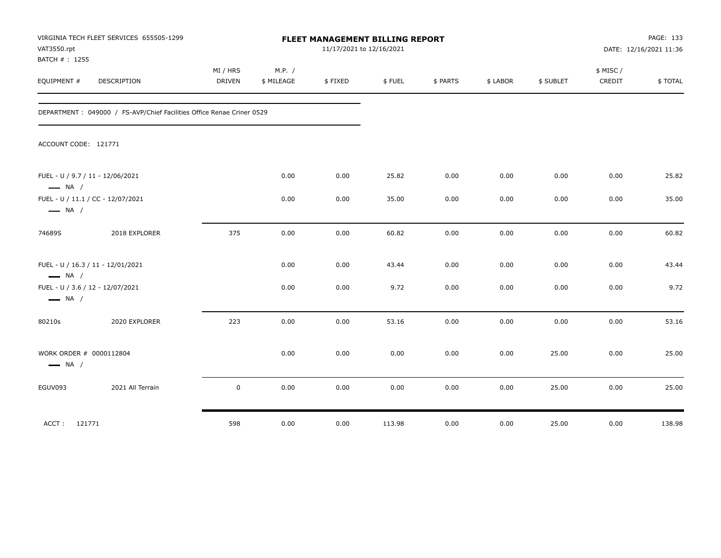| VAT3550.rpt<br>BATCH #: 1255 | VIRGINIA TECH FLEET SERVICES 655505-1299                              | FLEET MANAGEMENT BILLING REPORT<br>11/17/2021 to 12/16/2021 |                      |         |        |          |          |           | PAGE: 133<br>DATE: 12/16/2021 11:36 |         |
|------------------------------|-----------------------------------------------------------------------|-------------------------------------------------------------|----------------------|---------|--------|----------|----------|-----------|-------------------------------------|---------|
| EQUIPMENT #                  | DESCRIPTION                                                           | MI / HRS<br><b>DRIVEN</b>                                   | M.P. /<br>\$ MILEAGE | \$FIXED | \$FUEL | \$ PARTS | \$ LABOR | \$ SUBLET | \$ MISC /<br>CREDIT                 | \$TOTAL |
|                              | DEPARTMENT: 049000 / FS-AVP/Chief Facilities Office Renae Criner 0529 |                                                             |                      |         |        |          |          |           |                                     |         |
|                              | ACCOUNT CODE: 121771                                                  |                                                             |                      |         |        |          |          |           |                                     |         |
| $\longrightarrow$ NA /       | FUEL - U / 9.7 / 11 - 12/06/2021                                      |                                                             | 0.00                 | 0.00    | 25.82  | 0.00     | 0.00     | 0.00      | 0.00                                | 25.82   |
| $\longrightarrow$ NA /       | FUEL - U / 11.1 / CC - 12/07/2021                                     |                                                             | 0.00                 | 0.00    | 35.00  | 0.00     | 0.00     | 0.00      | 0.00                                | 35.00   |
| 74689S                       | 2018 EXPLORER                                                         | 375                                                         | 0.00                 | 0.00    | 60.82  | 0.00     | 0.00     | 0.00      | 0.00                                | 60.82   |
| $\longrightarrow$ NA /       | FUEL - U / 16.3 / 11 - 12/01/2021                                     |                                                             | 0.00                 | 0.00    | 43.44  | 0.00     | 0.00     | 0.00      | 0.00                                | 43.44   |
| $\longrightarrow$ NA /       | FUEL - U / 3.6 / 12 - 12/07/2021                                      |                                                             | 0.00                 | 0.00    | 9.72   | 0.00     | 0.00     | 0.00      | 0.00                                | 9.72    |
| 80210s                       | 2020 EXPLORER                                                         | 223                                                         | 0.00                 | 0.00    | 53.16  | 0.00     | 0.00     | 0.00      | 0.00                                | 53.16   |
| $\longrightarrow$ NA /       | WORK ORDER # 0000112804                                               |                                                             | 0.00                 | 0.00    | 0.00   | 0.00     | 0.00     | 25.00     | 0.00                                | 25.00   |
| EGUV093                      | 2021 All Terrain                                                      | $\mathbf 0$                                                 | 0.00                 | 0.00    | 0.00   | 0.00     | 0.00     | 25.00     | 0.00                                | 25.00   |
| ACCT: 121771                 |                                                                       | 598                                                         | 0.00                 | 0.00    | 113.98 | 0.00     | 0.00     | 25.00     | 0.00                                | 138.98  |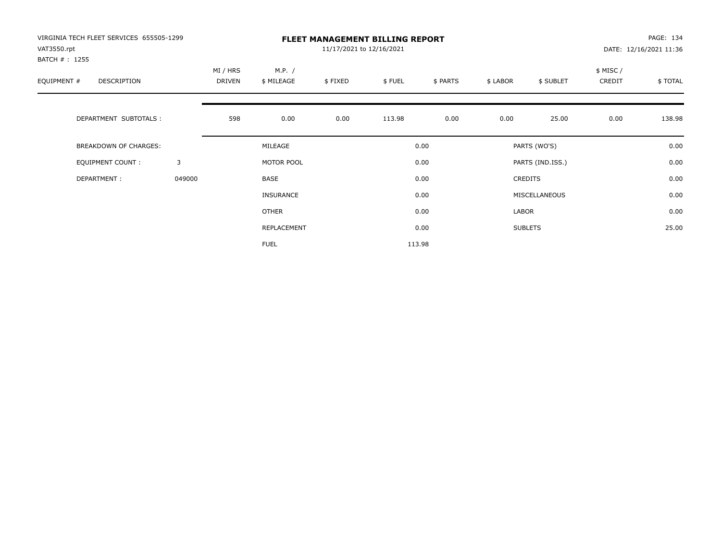| VIRGINIA TECH FLEET SERVICES 655505-1299<br>VAT3550.rpt |        | PAGE: 134<br><b>FLEET MANAGEMENT BILLING REPORT</b><br>11/17/2021 to 12/16/2021<br>DATE: 12/16/2021 11:36 |                      |         |        |          |          |                  |                     |         |
|---------------------------------------------------------|--------|-----------------------------------------------------------------------------------------------------------|----------------------|---------|--------|----------|----------|------------------|---------------------|---------|
| BATCH #: 1255<br>EQUIPMENT #<br><b>DESCRIPTION</b>      |        | MI / HRS<br>DRIVEN                                                                                        | M.P. /<br>\$ MILEAGE | \$FIXED | \$FUEL | \$ PARTS | \$ LABOR | \$ SUBLET        | \$ MISC /<br>CREDIT | \$TOTAL |
| DEPARTMENT SUBTOTALS :                                  |        | 598                                                                                                       | 0.00                 | 0.00    | 113.98 | 0.00     | 0.00     | 25.00            | 0.00                | 138.98  |
| <b>BREAKDOWN OF CHARGES:</b>                            |        |                                                                                                           | MILEAGE              |         |        | 0.00     |          | PARTS (WO'S)     |                     | 0.00    |
| EQUIPMENT COUNT:                                        | 3      |                                                                                                           | MOTOR POOL           |         |        | 0.00     |          | PARTS (IND.ISS.) |                     | 0.00    |
| DEPARTMENT:                                             | 049000 |                                                                                                           | <b>BASE</b>          |         |        | 0.00     |          | <b>CREDITS</b>   |                     | 0.00    |
|                                                         |        |                                                                                                           | INSURANCE            |         |        | 0.00     |          | MISCELLANEOUS    |                     | 0.00    |
|                                                         |        |                                                                                                           | OTHER                |         |        | 0.00     | LABOR    |                  |                     | 0.00    |
|                                                         |        |                                                                                                           | REPLACEMENT          |         |        | 0.00     |          | <b>SUBLETS</b>   |                     | 25.00   |
|                                                         |        |                                                                                                           | <b>FUEL</b>          |         |        | 113.98   |          |                  |                     |         |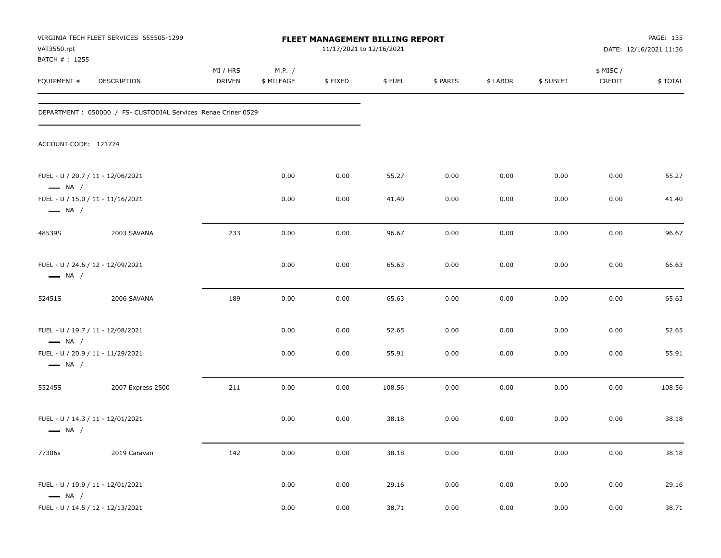| VAT3550.rpt<br>BATCH #: 1255                                | VIRGINIA TECH FLEET SERVICES 655505-1299                       |                           |                      | FLEET MANAGEMENT BILLING REPORT<br>11/17/2021 to 12/16/2021 |        |          |          | PAGE: 135<br>DATE: 12/16/2021 11:36 |                    |         |
|-------------------------------------------------------------|----------------------------------------------------------------|---------------------------|----------------------|-------------------------------------------------------------|--------|----------|----------|-------------------------------------|--------------------|---------|
| EQUIPMENT #                                                 | DESCRIPTION                                                    | MI / HRS<br><b>DRIVEN</b> | M.P. /<br>\$ MILEAGE | \$FIXED                                                     | \$FUEL | \$ PARTS | \$ LABOR | \$ SUBLET                           | \$ MISC/<br>CREDIT | \$TOTAL |
|                                                             | DEPARTMENT : 050000 / FS- CUSTODIAL Services Renae Criner 0529 |                           |                      |                                                             |        |          |          |                                     |                    |         |
| ACCOUNT CODE: 121774                                        |                                                                |                           |                      |                                                             |        |          |          |                                     |                    |         |
| FUEL - U / 20.7 / 11 - 12/06/2021<br>$\longrightarrow$ NA / |                                                                |                           | 0.00                 | 0.00                                                        | 55.27  | 0.00     | 0.00     | 0.00                                | 0.00               | 55.27   |
| $\longrightarrow$ NA /                                      | FUEL - U / 15.0 / 11 - 11/16/2021                              |                           | 0.00                 | 0.00                                                        | 41.40  | 0.00     | 0.00     | 0.00                                | 0.00               | 41.40   |
| 48539S                                                      | 2003 SAVANA                                                    | 233                       | 0.00                 | 0.00                                                        | 96.67  | 0.00     | 0.00     | 0.00                                | 0.00               | 96.67   |
| FUEL - U / 24.6 / 12 - 12/09/2021<br>$\longrightarrow$ NA / |                                                                |                           | 0.00                 | 0.00                                                        | 65.63  | 0.00     | 0.00     | 0.00                                | 0.00               | 65.63   |
| 52451S                                                      | 2006 SAVANA                                                    | 189                       | 0.00                 | 0.00                                                        | 65.63  | 0.00     | 0.00     | 0.00                                | 0.00               | 65.63   |
| FUEL - U / 19.7 / 11 - 12/08/2021<br>$\longrightarrow$ NA / |                                                                |                           | 0.00                 | 0.00                                                        | 52.65  | 0.00     | 0.00     | 0.00                                | 0.00               | 52.65   |
| $\longrightarrow$ NA /                                      | FUEL - U / 20.9 / 11 - 11/29/2021                              |                           | 0.00                 | 0.00                                                        | 55.91  | 0.00     | 0.00     | 0.00                                | 0.00               | 55.91   |
| 55245S                                                      | 2007 Express 2500                                              | 211                       | 0.00                 | 0.00                                                        | 108.56 | 0.00     | 0.00     | 0.00                                | 0.00               | 108.56  |
| FUEL - U / 14.3 / 11 - 12/01/2021<br>$\longrightarrow$ NA / |                                                                |                           | 0.00                 | 0.00                                                        | 38.18  | 0.00     | 0.00     | 0.00                                | 0.00               | 38.18   |
| 77306s                                                      | 2019 Caravan                                                   | 142                       | 0.00                 | 0.00                                                        | 38.18  | 0.00     | 0.00     | 0.00                                | 0.00               | 38.18   |
| $\longrightarrow$ NA /                                      | FUEL - U / 10.9 / 11 - 12/01/2021                              |                           | 0.00                 | 0.00                                                        | 29.16  | 0.00     | 0.00     | 0.00                                | $0.00\,$           | 29.16   |
|                                                             | FUEL - U / 14.5 / 12 - 12/13/2021                              |                           | 0.00                 | 0.00                                                        | 38.71  | 0.00     | 0.00     | $0.00\,$                            | $0.00\,$           | 38.71   |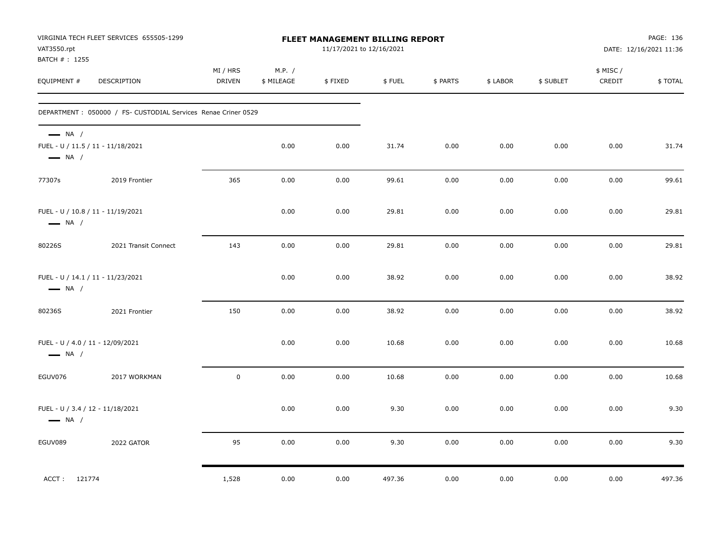| VAT3550.rpt<br>BATCH #: 1255                                                          | VIRGINIA TECH FLEET SERVICES 655505-1299                      |                           |                      | FLEET MANAGEMENT BILLING REPORT<br>11/17/2021 to 12/16/2021 |        |          |          | PAGE: 136<br>DATE: 12/16/2021 11:36 |                    |         |
|---------------------------------------------------------------------------------------|---------------------------------------------------------------|---------------------------|----------------------|-------------------------------------------------------------|--------|----------|----------|-------------------------------------|--------------------|---------|
| EQUIPMENT #                                                                           | DESCRIPTION                                                   | MI / HRS<br><b>DRIVEN</b> | M.P. /<br>\$ MILEAGE | \$FIXED                                                     | \$FUEL | \$ PARTS | \$ LABOR | \$ SUBLET                           | \$ MISC/<br>CREDIT | \$TOTAL |
|                                                                                       | DEPARTMENT: 050000 / FS- CUSTODIAL Services Renae Criner 0529 |                           |                      |                                                             |        |          |          |                                     |                    |         |
| $\longrightarrow$ NA /<br>FUEL - U / 11.5 / 11 - 11/18/2021<br>$\longrightarrow$ NA / |                                                               |                           | 0.00                 | 0.00                                                        | 31.74  | 0.00     | 0.00     | 0.00                                | 0.00               | 31.74   |
| 77307s                                                                                | 2019 Frontier                                                 | 365                       | 0.00                 | 0.00                                                        | 99.61  | 0.00     | 0.00     | 0.00                                | 0.00               | 99.61   |
| FUEL - U / 10.8 / 11 - 11/19/2021<br>$\longrightarrow$ NA /                           |                                                               |                           | 0.00                 | 0.00                                                        | 29.81  | 0.00     | 0.00     | 0.00                                | 0.00               | 29.81   |
| 80226S                                                                                | 2021 Transit Connect                                          | 143                       | 0.00                 | 0.00                                                        | 29.81  | 0.00     | 0.00     | 0.00                                | 0.00               | 29.81   |
| FUEL - U / 14.1 / 11 - 11/23/2021<br>$\longrightarrow$ NA /                           |                                                               |                           | 0.00                 | 0.00                                                        | 38.92  | 0.00     | 0.00     | 0.00                                | 0.00               | 38.92   |
| 80236S                                                                                | 2021 Frontier                                                 | 150                       | 0.00                 | 0.00                                                        | 38.92  | 0.00     | 0.00     | 0.00                                | 0.00               | 38.92   |
| FUEL - U / 4.0 / 11 - 12/09/2021<br>$\longrightarrow$ NA /                            |                                                               |                           | 0.00                 | 0.00                                                        | 10.68  | 0.00     | 0.00     | 0.00                                | 0.00               | 10.68   |
| EGUV076                                                                               | 2017 WORKMAN                                                  | $\pmb{0}$                 | 0.00                 | 0.00                                                        | 10.68  | 0.00     | 0.00     | 0.00                                | 0.00               | 10.68   |
| FUEL - U / 3.4 / 12 - 11/18/2021<br>$\longrightarrow$ NA /                            |                                                               |                           | 0.00                 | 0.00                                                        | 9.30   | 0.00     | 0.00     | 0.00                                | 0.00               | 9.30    |
| EGUV089                                                                               | 2022 GATOR                                                    | 95                        | 0.00                 | 0.00                                                        | 9.30   | 0.00     | 0.00     | 0.00                                | 0.00               | 9.30    |
| ACCT: 121774                                                                          |                                                               | 1,528                     | 0.00                 | 0.00                                                        | 497.36 | 0.00     | 0.00     | 0.00                                | 0.00               | 497.36  |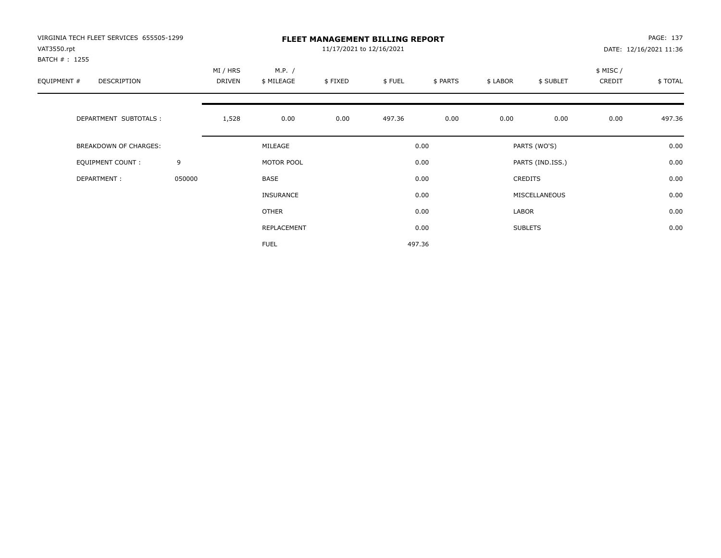| VIRGINIA TECH FLEET SERVICES 655505-1299<br>VAT3550.rpt<br>BATCH # : 1255 |        |                           |                      | PAGE: 137<br>DATE: 12/16/2021 11:36 |        |          |          |                  |                     |         |
|---------------------------------------------------------------------------|--------|---------------------------|----------------------|-------------------------------------|--------|----------|----------|------------------|---------------------|---------|
| EQUIPMENT #<br>DESCRIPTION                                                |        | MI / HRS<br><b>DRIVEN</b> | M.P. /<br>\$ MILEAGE | \$FIXED                             | \$FUEL | \$ PARTS | \$ LABOR | \$ SUBLET        | \$ MISC /<br>CREDIT | \$TOTAL |
| DEPARTMENT SUBTOTALS :                                                    |        | 1,528                     | 0.00                 | 0.00                                | 497.36 | 0.00     | 0.00     | 0.00             | 0.00                | 497.36  |
| <b>BREAKDOWN OF CHARGES:</b>                                              |        |                           | MILEAGE              |                                     |        | 0.00     |          | PARTS (WO'S)     |                     | 0.00    |
| EQUIPMENT COUNT:                                                          | 9      |                           | MOTOR POOL           |                                     |        | 0.00     |          | PARTS (IND.ISS.) |                     | 0.00    |
| DEPARTMENT:                                                               | 050000 |                           | <b>BASE</b>          |                                     |        | 0.00     |          | <b>CREDITS</b>   |                     | 0.00    |
|                                                                           |        |                           | <b>INSURANCE</b>     |                                     |        | 0.00     |          | MISCELLANEOUS    |                     | 0.00    |
|                                                                           |        |                           | OTHER                |                                     |        | 0.00     | LABOR    |                  |                     | 0.00    |
|                                                                           |        |                           | REPLACEMENT          |                                     |        | 0.00     |          | <b>SUBLETS</b>   |                     | 0.00    |
|                                                                           |        |                           | <b>FUEL</b>          |                                     |        | 497.36   |          |                  |                     |         |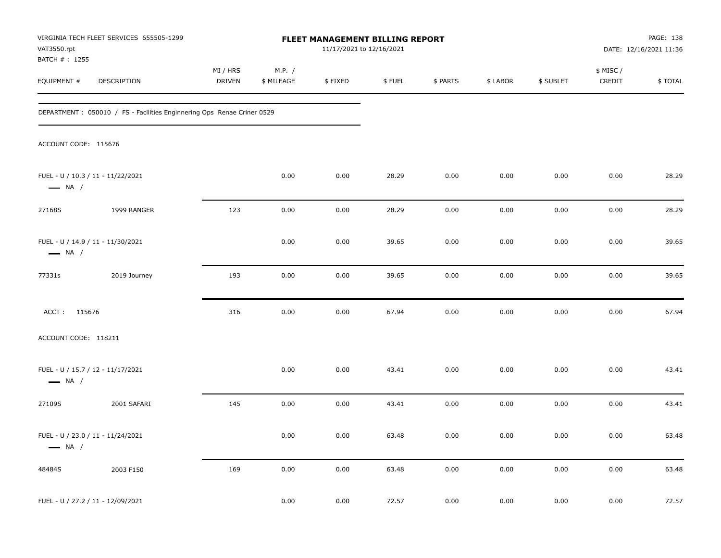| VAT3550.rpt                  | VIRGINIA TECH FLEET SERVICES 655505-1299                                | FLEET MANAGEMENT BILLING REPORT<br>11/17/2021 to 12/16/2021 |                      |         |        |          |          |           | PAGE: 138<br>DATE: 12/16/2021 11:36 |         |
|------------------------------|-------------------------------------------------------------------------|-------------------------------------------------------------|----------------------|---------|--------|----------|----------|-----------|-------------------------------------|---------|
| BATCH #: 1255<br>EQUIPMENT # | DESCRIPTION                                                             | MI / HRS<br><b>DRIVEN</b>                                   | M.P. /<br>\$ MILEAGE | \$FIXED | \$FUEL | \$ PARTS | \$ LABOR | \$ SUBLET | \$ MISC /<br>CREDIT                 | \$TOTAL |
|                              | DEPARTMENT : 050010 / FS - Facilities Enginnering Ops Renae Criner 0529 |                                                             |                      |         |        |          |          |           |                                     |         |
| ACCOUNT CODE: 115676         |                                                                         |                                                             |                      |         |        |          |          |           |                                     |         |
| $\longrightarrow$ NA /       | FUEL - U / 10.3 / 11 - 11/22/2021                                       |                                                             | 0.00                 | 0.00    | 28.29  | 0.00     | 0.00     | 0.00      | 0.00                                | 28.29   |
| 27168S                       | 1999 RANGER                                                             | 123                                                         | 0.00                 | 0.00    | 28.29  | 0.00     | 0.00     | 0.00      | 0.00                                | 28.29   |
| $\longrightarrow$ NA /       | FUEL - U / 14.9 / 11 - 11/30/2021                                       |                                                             | 0.00                 | 0.00    | 39.65  | 0.00     | 0.00     | 0.00      | 0.00                                | 39.65   |
| 77331s                       | 2019 Journey                                                            | 193                                                         | 0.00                 | 0.00    | 39.65  | 0.00     | 0.00     | 0.00      | 0.00                                | 39.65   |
| ACCT: 115676                 |                                                                         | 316                                                         | 0.00                 | 0.00    | 67.94  | 0.00     | 0.00     | 0.00      | 0.00                                | 67.94   |
| ACCOUNT CODE: 118211         |                                                                         |                                                             |                      |         |        |          |          |           |                                     |         |
| $\longrightarrow$ NA /       | FUEL - U / 15.7 / 12 - 11/17/2021                                       |                                                             | 0.00                 | 0.00    | 43.41  | 0.00     | 0.00     | 0.00      | 0.00                                | 43.41   |
| 27109S                       | 2001 SAFARI                                                             | 145                                                         | 0.00                 | 0.00    | 43.41  | 0.00     | 0.00     | 0.00      | 0.00                                | 43.41   |
| $\longrightarrow$ NA /       | FUEL - U / 23.0 / 11 - 11/24/2021                                       |                                                             | 0.00                 | 0.00    | 63.48  | 0.00     | 0.00     | 0.00      | 0.00                                | 63.48   |
| 48484S                       | 2003 F150                                                               | 169                                                         | 0.00                 | 0.00    | 63.48  | 0.00     | 0.00     | 0.00      | 0.00                                | 63.48   |
|                              | FUEL - U / 27.2 / 11 - 12/09/2021                                       |                                                             | 0.00                 | 0.00    | 72.57  | 0.00     | 0.00     | 0.00      | 0.00                                | 72.57   |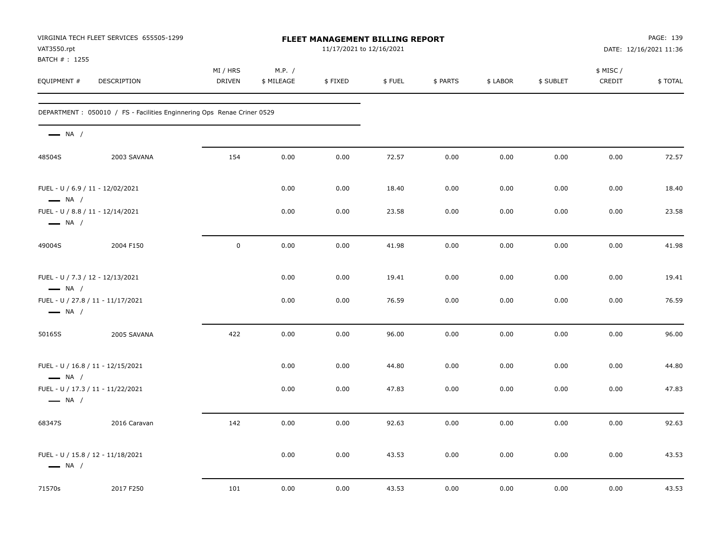| VAT3550.rpt<br>BATCH #: 1255                                | VIRGINIA TECH FLEET SERVICES 655505-1299                                |                    |                      | <b>FLEET MANAGEMENT BILLING REPORT</b><br>11/17/2021 to 12/16/2021 |        |          | PAGE: 139<br>DATE: 12/16/2021 11:36 |           |                     |         |
|-------------------------------------------------------------|-------------------------------------------------------------------------|--------------------|----------------------|--------------------------------------------------------------------|--------|----------|-------------------------------------|-----------|---------------------|---------|
| EQUIPMENT #                                                 | DESCRIPTION                                                             | MI / HRS<br>DRIVEN | M.P. /<br>\$ MILEAGE | \$FIXED                                                            | \$FUEL | \$ PARTS | \$ LABOR                            | \$ SUBLET | \$ MISC /<br>CREDIT | \$TOTAL |
|                                                             | DEPARTMENT : 050010 / FS - Facilities Enginnering Ops Renae Criner 0529 |                    |                      |                                                                    |        |          |                                     |           |                     |         |
| $\longrightarrow$ NA /                                      |                                                                         |                    |                      |                                                                    |        |          |                                     |           |                     |         |
| 48504S                                                      | 2003 SAVANA                                                             | 154                | 0.00                 | 0.00                                                               | 72.57  | 0.00     | 0.00                                | 0.00      | 0.00                | 72.57   |
| FUEL - U / 6.9 / 11 - 12/02/2021<br>$\longrightarrow$ NA /  |                                                                         |                    | 0.00                 | 0.00                                                               | 18.40  | 0.00     | 0.00                                | 0.00      | 0.00                | 18.40   |
| FUEL - U / 8.8 / 11 - 12/14/2021<br>$\longrightarrow$ NA /  |                                                                         |                    | 0.00                 | 0.00                                                               | 23.58  | 0.00     | 0.00                                | 0.00      | 0.00                | 23.58   |
| 49004S                                                      | 2004 F150                                                               | $\mathbf 0$        | 0.00                 | 0.00                                                               | 41.98  | 0.00     | 0.00                                | 0.00      | 0.00                | 41.98   |
| FUEL - U / 7.3 / 12 - 12/13/2021<br>$\longrightarrow$ NA /  |                                                                         |                    | 0.00                 | 0.00                                                               | 19.41  | 0.00     | 0.00                                | 0.00      | 0.00                | 19.41   |
| FUEL - U / 27.8 / 11 - 11/17/2021<br>$\longrightarrow$ NA / |                                                                         |                    | 0.00                 | 0.00                                                               | 76.59  | 0.00     | 0.00                                | 0.00      | 0.00                | 76.59   |
| 50165S                                                      | 2005 SAVANA                                                             | 422                | 0.00                 | 0.00                                                               | 96.00  | 0.00     | 0.00                                | 0.00      | 0.00                | 96.00   |
| FUEL - U / 16.8 / 11 - 12/15/2021<br>$\longrightarrow$ NA / |                                                                         |                    | 0.00                 | 0.00                                                               | 44.80  | 0.00     | 0.00                                | 0.00      | 0.00                | 44.80   |
| FUEL - U / 17.3 / 11 - 11/22/2021<br>$\longrightarrow$ NA / |                                                                         |                    | 0.00                 | 0.00                                                               | 47.83  | 0.00     | 0.00                                | 0.00      | 0.00                | 47.83   |
| 68347S                                                      | 2016 Caravan                                                            | 142                | 0.00                 | 0.00                                                               | 92.63  | 0.00     | 0.00                                | 0.00      | 0.00                | 92.63   |
| FUEL - U / 15.8 / 12 - 11/18/2021<br>$\longrightarrow$ NA / |                                                                         |                    | 0.00                 | 0.00                                                               | 43.53  | 0.00     | 0.00                                | 0.00      | 0.00                | 43.53   |
| 71570s                                                      | 2017 F250                                                               | 101                | 0.00                 | 0.00                                                               | 43.53  | 0.00     | 0.00                                | 0.00      | 0.00                | 43.53   |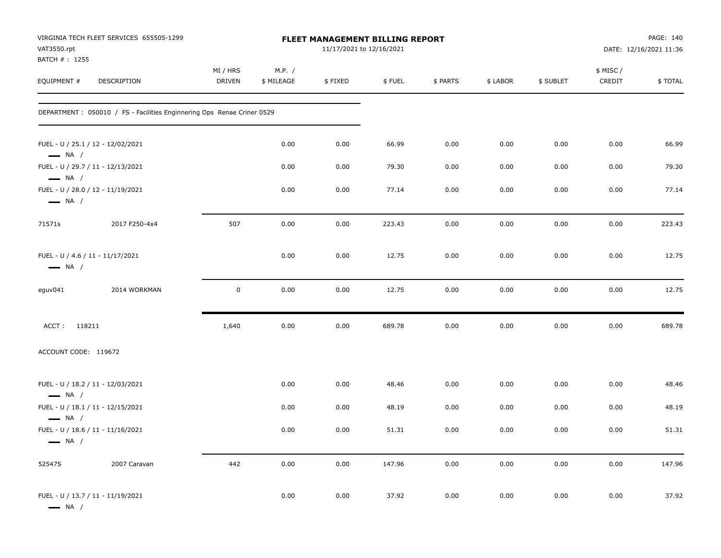| VAT3550.rpt<br>BATCH #: 1255                               | VIRGINIA TECH FLEET SERVICES 655505-1299                               |                           |                      | FLEET MANAGEMENT BILLING REPORT<br>11/17/2021 to 12/16/2021 |        |          |          |           |                    | PAGE: 140<br>DATE: 12/16/2021 11:36 |
|------------------------------------------------------------|------------------------------------------------------------------------|---------------------------|----------------------|-------------------------------------------------------------|--------|----------|----------|-----------|--------------------|-------------------------------------|
| EQUIPMENT#                                                 | DESCRIPTION                                                            | MI / HRS<br><b>DRIVEN</b> | M.P. /<br>\$ MILEAGE | \$FIXED                                                     | \$FUEL | \$ PARTS | \$ LABOR | \$ SUBLET | \$ MISC/<br>CREDIT | \$TOTAL                             |
|                                                            | DEPARTMENT: 050010 / FS - Facilities Enginnering Ops Renae Criner 0529 |                           |                      |                                                             |        |          |          |           |                    |                                     |
| $\longrightarrow$ NA /                                     | FUEL - U / 25.1 / 12 - 12/02/2021                                      |                           | 0.00                 | 0.00                                                        | 66.99  | 0.00     | 0.00     | 0.00      | 0.00               | 66.99                               |
| $\longrightarrow$ NA /                                     | FUEL - U / 29.7 / 11 - 12/13/2021                                      |                           | 0.00                 | 0.00                                                        | 79.30  | 0.00     | 0.00     | 0.00      | 0.00               | 79.30                               |
| $\longrightarrow$ NA /                                     | FUEL - U / 28.0 / 12 - 11/19/2021                                      |                           | 0.00                 | 0.00                                                        | 77.14  | 0.00     | 0.00     | 0.00      | 0.00               | 77.14                               |
| 71571s                                                     | 2017 F250-4x4                                                          | 507                       | 0.00                 | 0.00                                                        | 223.43 | 0.00     | 0.00     | 0.00      | 0.00               | 223.43                              |
| FUEL - U / 4.6 / 11 - 11/17/2021<br>$\longrightarrow$ NA / |                                                                        |                           | 0.00                 | 0.00                                                        | 12.75  | 0.00     | 0.00     | 0.00      | 0.00               | 12.75                               |
| eguv041                                                    | 2014 WORKMAN                                                           | $\mathbf 0$               | 0.00                 | 0.00                                                        | 12.75  | 0.00     | 0.00     | 0.00      | 0.00               | 12.75                               |
| ACCT: 118211                                               |                                                                        | 1,640                     | 0.00                 | 0.00                                                        | 689.78 | 0.00     | 0.00     | 0.00      | 0.00               | 689.78                              |
| ACCOUNT CODE: 119672                                       |                                                                        |                           |                      |                                                             |        |          |          |           |                    |                                     |
| $\longrightarrow$ NA /                                     | FUEL - U / 18.2 / 11 - 12/03/2021                                      |                           | 0.00                 | 0.00                                                        | 48.46  | 0.00     | 0.00     | 0.00      | 0.00               | 48.46                               |
| $\longrightarrow$ NA /                                     | FUEL - U / 18.1 / 11 - 12/15/2021                                      |                           | 0.00                 | 0.00                                                        | 48.19  | 0.00     | 0.00     | 0.00      | 0.00               | 48.19                               |
| $\longrightarrow$ NA /                                     | FUEL - U / 18.6 / 11 - 11/16/2021                                      |                           | 0.00                 | 0.00                                                        | 51.31  | 0.00     | 0.00     | 0.00      | 0.00               | 51.31                               |
| 52547S                                                     | 2007 Caravan                                                           | 442                       | 0.00                 | 0.00                                                        | 147.96 | 0.00     | $0.00\,$ | 0.00      | 0.00               | 147.96                              |
| $\longrightarrow$ NA /                                     | FUEL - U / 13.7 / 11 - 11/19/2021                                      |                           | 0.00                 | 0.00                                                        | 37.92  | 0.00     | 0.00     | 0.00      | 0.00               | 37.92                               |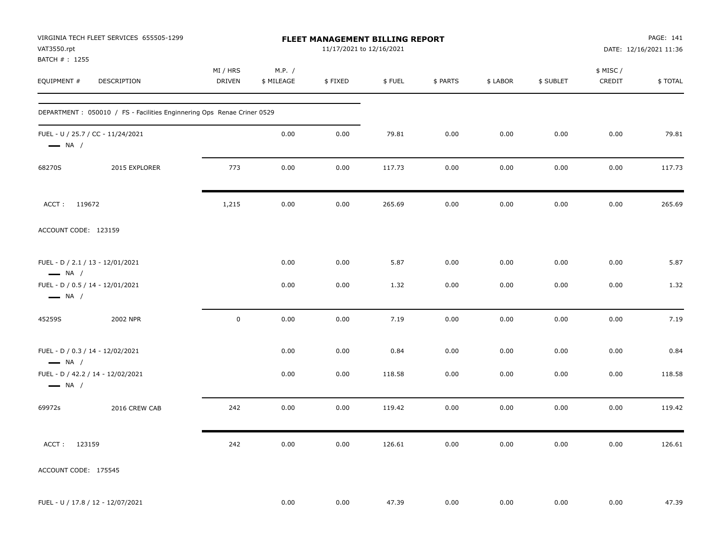| VAT3550.rpt<br>BATCH #: 1255                               | VIRGINIA TECH FLEET SERVICES 655505-1299                                |                           |                      | FLEET MANAGEMENT BILLING REPORT<br>11/17/2021 to 12/16/2021 |        |          |          |           |                    | PAGE: 141<br>DATE: 12/16/2021 11:36 |
|------------------------------------------------------------|-------------------------------------------------------------------------|---------------------------|----------------------|-------------------------------------------------------------|--------|----------|----------|-----------|--------------------|-------------------------------------|
| EQUIPMENT #                                                | <b>DESCRIPTION</b>                                                      | MI / HRS<br><b>DRIVEN</b> | M.P. /<br>\$ MILEAGE | \$FIXED                                                     | \$FUEL | \$ PARTS | \$ LABOR | \$ SUBLET | \$ MISC/<br>CREDIT | \$TOTAL                             |
|                                                            | DEPARTMENT : 050010 / FS - Facilities Enginnering Ops Renae Criner 0529 |                           |                      |                                                             |        |          |          |           |                    |                                     |
| $\longrightarrow$ NA /                                     | FUEL - U / 25.7 / CC - 11/24/2021                                       |                           | 0.00                 | 0.00                                                        | 79.81  | 0.00     | 0.00     | 0.00      | 0.00               | 79.81                               |
| 68270S                                                     | 2015 EXPLORER                                                           | 773                       | 0.00                 | 0.00                                                        | 117.73 | 0.00     | 0.00     | 0.00      | 0.00               | 117.73                              |
| ACCT: 119672                                               |                                                                         | 1,215                     | 0.00                 | 0.00                                                        | 265.69 | 0.00     | 0.00     | 0.00      | 0.00               | 265.69                              |
| ACCOUNT CODE: 123159                                       |                                                                         |                           |                      |                                                             |        |          |          |           |                    |                                     |
| FUEL - D / 2.1 / 13 - 12/01/2021<br>$\longrightarrow$ NA / |                                                                         |                           | 0.00                 | 0.00                                                        | 5.87   | 0.00     | 0.00     | 0.00      | 0.00               | 5.87                                |
| FUEL - D / 0.5 / 14 - 12/01/2021<br>$\longrightarrow$ NA / |                                                                         |                           | 0.00                 | 0.00                                                        | 1.32   | 0.00     | 0.00     | 0.00      | 0.00               | 1.32                                |
| 45259S                                                     | 2002 NPR                                                                | $\mathbf 0$               | 0.00                 | 0.00                                                        | 7.19   | 0.00     | 0.00     | 0.00      | 0.00               | 7.19                                |
| FUEL - D / 0.3 / 14 - 12/02/2021<br>$\longrightarrow$ NA / |                                                                         |                           | 0.00                 | 0.00                                                        | 0.84   | 0.00     | 0.00     | 0.00      | 0.00               | 0.84                                |
| $\longrightarrow$ NA /                                     | FUEL - D / 42.2 / 14 - 12/02/2021                                       |                           | 0.00                 | 0.00                                                        | 118.58 | 0.00     | 0.00     | 0.00      | 0.00               | 118.58                              |
| 69972s                                                     | 2016 CREW CAB                                                           | 242                       | 0.00                 | 0.00                                                        | 119.42 | 0.00     | 0.00     | 0.00      | 0.00               | 119.42                              |
| ACCT: 123159                                               |                                                                         | 242                       | 0.00                 | 0.00                                                        | 126.61 | 0.00     | 0.00     | 0.00      | 0.00               | 126.61                              |
| ACCOUNT CODE: 175545                                       |                                                                         |                           |                      |                                                             |        |          |          |           |                    |                                     |
|                                                            | FUEL - U / 17.8 / 12 - 12/07/2021                                       |                           | 0.00                 | 0.00                                                        | 47.39  | 0.00     | 0.00     | 0.00      | 0.00               | 47.39                               |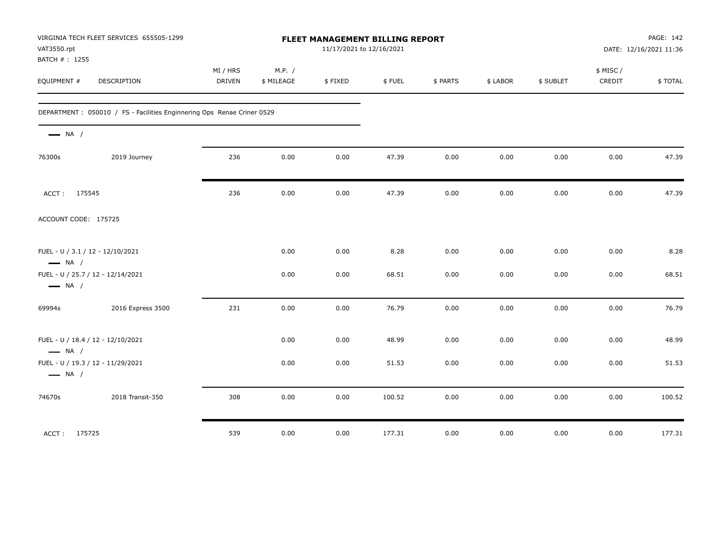| VAT3550.rpt<br>BATCH #: 1255                                | VIRGINIA TECH FLEET SERVICES 655505-1299                                |                           |                      | FLEET MANAGEMENT BILLING REPORT<br>11/17/2021 to 12/16/2021 |        |          |          |           |                     | PAGE: 142<br>DATE: 12/16/2021 11:36 |
|-------------------------------------------------------------|-------------------------------------------------------------------------|---------------------------|----------------------|-------------------------------------------------------------|--------|----------|----------|-----------|---------------------|-------------------------------------|
| EQUIPMENT #                                                 | DESCRIPTION                                                             | MI / HRS<br><b>DRIVEN</b> | M.P. /<br>\$ MILEAGE | \$FIXED                                                     | \$FUEL | \$ PARTS | \$ LABOR | \$ SUBLET | \$ MISC /<br>CREDIT | \$TOTAL                             |
|                                                             | DEPARTMENT : 050010 / FS - Facilities Enginnering Ops Renae Criner 0529 |                           |                      |                                                             |        |          |          |           |                     |                                     |
| $\longrightarrow$ NA /                                      |                                                                         |                           |                      |                                                             |        |          |          |           |                     |                                     |
| 76300s                                                      | 2019 Journey                                                            | 236                       | 0.00                 | 0.00                                                        | 47.39  | 0.00     | 0.00     | 0.00      | 0.00                | 47.39                               |
| ACCT: 175545                                                |                                                                         | 236                       | 0.00                 | 0.00                                                        | 47.39  | 0.00     | $0.00\,$ | 0.00      | 0.00                | 47.39                               |
| ACCOUNT CODE: 175725                                        |                                                                         |                           |                      |                                                             |        |          |          |           |                     |                                     |
| FUEL - U / 3.1 / 12 - 12/10/2021<br>$\longrightarrow$ NA /  |                                                                         |                           | 0.00                 | 0.00                                                        | 8.28   | 0.00     | 0.00     | 0.00      | 0.00                | 8.28                                |
| FUEL - U / 25.7 / 12 - 12/14/2021<br>$\longrightarrow$ NA / |                                                                         |                           | 0.00                 | 0.00                                                        | 68.51  | 0.00     | 0.00     | 0.00      | 0.00                | 68.51                               |
| 69994s                                                      | 2016 Express 3500                                                       | 231                       | 0.00                 | 0.00                                                        | 76.79  | 0.00     | 0.00     | 0.00      | 0.00                | 76.79                               |
| FUEL - U / 18.4 / 12 - 12/10/2021<br>$\longrightarrow$ NA / |                                                                         |                           | 0.00                 | 0.00                                                        | 48.99  | 0.00     | 0.00     | 0.00      | 0.00                | 48.99                               |
| FUEL - U / 19.3 / 12 - 11/29/2021<br>$\longrightarrow$ NA / |                                                                         |                           | 0.00                 | 0.00                                                        | 51.53  | 0.00     | 0.00     | 0.00      | 0.00                | 51.53                               |
| 74670s                                                      | 2018 Transit-350                                                        | 308                       | 0.00                 | 0.00                                                        | 100.52 | 0.00     | 0.00     | 0.00      | 0.00                | 100.52                              |
| ACCT: 175725                                                |                                                                         | 539                       | 0.00                 | 0.00                                                        | 177.31 | 0.00     | 0.00     | 0.00      | 0.00                | 177.31                              |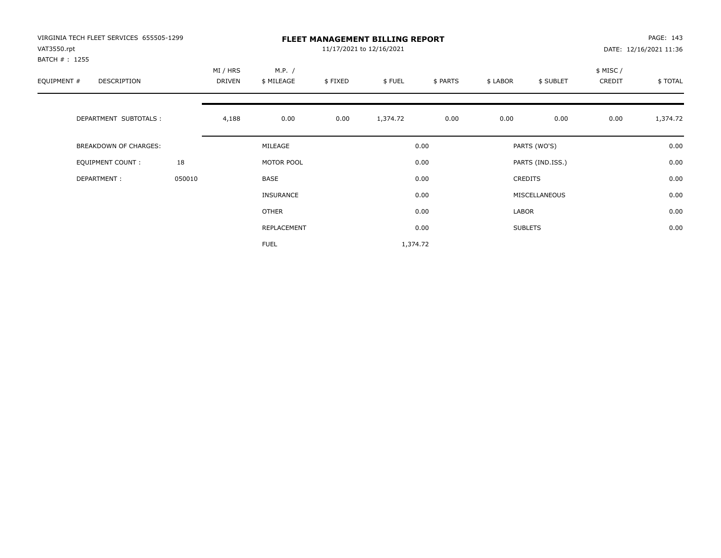| VIRGINIA TECH FLEET SERVICES 655505-1299<br>VAT3550.rpt<br>BATCH # : 1255 |        |                    |                      | PAGE: 143<br>DATE: 12/16/2021 11:36 |          |          |          |                  |                     |          |
|---------------------------------------------------------------------------|--------|--------------------|----------------------|-------------------------------------|----------|----------|----------|------------------|---------------------|----------|
| EQUIPMENT #<br><b>DESCRIPTION</b>                                         |        | MI / HRS<br>DRIVEN | M.P. /<br>\$ MILEAGE | \$FIXED                             | \$FUEL   | \$ PARTS | \$ LABOR | \$ SUBLET        | \$ MISC /<br>CREDIT | \$TOTAL  |
| DEPARTMENT SUBTOTALS :                                                    |        | 4,188              | 0.00                 | 0.00                                | 1,374.72 | 0.00     | 0.00     | 0.00             | 0.00                | 1,374.72 |
| <b>BREAKDOWN OF CHARGES:</b>                                              |        |                    | MILEAGE              |                                     |          | 0.00     |          | PARTS (WO'S)     |                     | 0.00     |
| EQUIPMENT COUNT:                                                          | 18     |                    | MOTOR POOL           |                                     |          | 0.00     |          | PARTS (IND.ISS.) |                     | 0.00     |
| DEPARTMENT:                                                               | 050010 |                    | <b>BASE</b>          |                                     |          | 0.00     |          | <b>CREDITS</b>   |                     | 0.00     |
|                                                                           |        |                    | <b>INSURANCE</b>     |                                     |          | 0.00     |          | MISCELLANEOUS    |                     | 0.00     |
|                                                                           |        |                    | OTHER                |                                     |          | 0.00     | LABOR    |                  |                     | 0.00     |
|                                                                           |        |                    | REPLACEMENT          |                                     |          | 0.00     |          | <b>SUBLETS</b>   |                     | 0.00     |
|                                                                           |        |                    | <b>FUEL</b>          |                                     | 1,374.72 |          |          |                  |                     |          |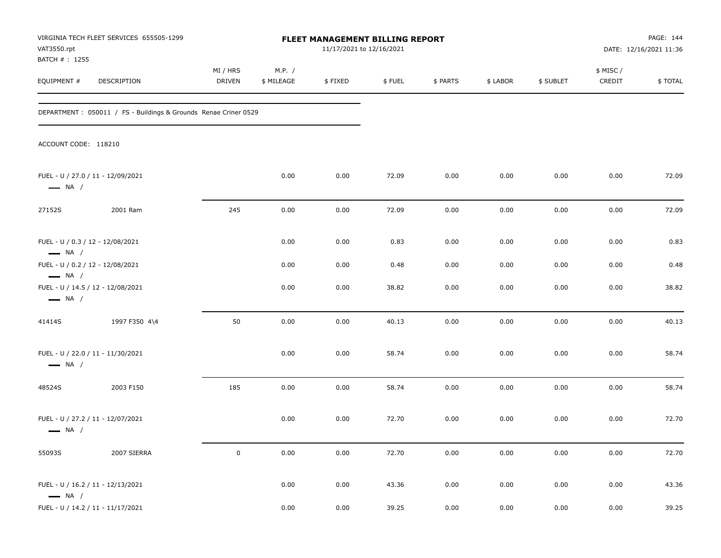| VAT3550.rpt<br>BATCH #: 1255                                                          | VIRGINIA TECH FLEET SERVICES 655505-1299                         | FLEET MANAGEMENT BILLING REPORT<br>11/17/2021 to 12/16/2021 |                      |         |        |          |          |           | PAGE: 144<br>DATE: 12/16/2021 11:36 |         |
|---------------------------------------------------------------------------------------|------------------------------------------------------------------|-------------------------------------------------------------|----------------------|---------|--------|----------|----------|-----------|-------------------------------------|---------|
| EQUIPMENT #                                                                           | DESCRIPTION                                                      | MI / HRS<br>DRIVEN                                          | M.P. /<br>\$ MILEAGE | \$FIXED | \$FUEL | \$ PARTS | \$ LABOR | \$ SUBLET | \$ MISC/<br>CREDIT                  | \$TOTAL |
|                                                                                       | DEPARTMENT : 050011 / FS - Buildings & Grounds Renae Criner 0529 |                                                             |                      |         |        |          |          |           |                                     |         |
| ACCOUNT CODE: 118210                                                                  |                                                                  |                                                             |                      |         |        |          |          |           |                                     |         |
| FUEL - U / 27.0 / 11 - 12/09/2021<br>$\longrightarrow$ NA /                           |                                                                  |                                                             | 0.00                 | 0.00    | 72.09  | 0.00     | 0.00     | 0.00      | 0.00                                | 72.09   |
| 27152S                                                                                | 2001 Ram                                                         | 245                                                         | 0.00                 | 0.00    | 72.09  | 0.00     | 0.00     | 0.00      | 0.00                                | 72.09   |
| FUEL - U / 0.3 / 12 - 12/08/2021<br>$\longrightarrow$ NA /                            |                                                                  |                                                             | 0.00                 | 0.00    | 0.83   | 0.00     | 0.00     | 0.00      | 0.00                                | 0.83    |
| FUEL - U / 0.2 / 12 - 12/08/2021                                                      |                                                                  |                                                             | 0.00                 | 0.00    | 0.48   | 0.00     | 0.00     | 0.00      | 0.00                                | 0.48    |
| $\longrightarrow$ NA /<br>FUEL - U / 14.5 / 12 - 12/08/2021<br>$\longrightarrow$ NA / |                                                                  |                                                             | 0.00                 | 0.00    | 38.82  | 0.00     | 0.00     | 0.00      | 0.00                                | 38.82   |
| 41414S                                                                                | 1997 F350 4\4                                                    | 50                                                          | 0.00                 | 0.00    | 40.13  | 0.00     | 0.00     | 0.00      | 0.00                                | 40.13   |
| FUEL - U / 22.0 / 11 - 11/30/2021<br>$\longrightarrow$ NA /                           |                                                                  |                                                             | 0.00                 | 0.00    | 58.74  | 0.00     | 0.00     | 0.00      | 0.00                                | 58.74   |
| 48524S                                                                                | 2003 F150                                                        | 185                                                         | 0.00                 | 0.00    | 58.74  | 0.00     | 0.00     | 0.00      | 0.00                                | 58.74   |
| FUEL - U / 27.2 / 11 - 12/07/2021<br>$\longrightarrow$ NA /                           |                                                                  |                                                             | 0.00                 | 0.00    | 72.70  | 0.00     | 0.00     | 0.00      | 0.00                                | 72.70   |
| 55093S                                                                                | 2007 SIERRA                                                      | $\mathbf 0$                                                 | 0.00                 | 0.00    | 72.70  | 0.00     | 0.00     | $0.00\,$  | $0.00\,$                            | 72.70   |
| FUEL - U / 16.2 / 11 - 12/13/2021<br>$\longrightarrow$ NA /                           |                                                                  |                                                             | 0.00                 | 0.00    | 43.36  | 0.00     | 0.00     | 0.00      | 0.00                                | 43.36   |
| FUEL - U / 14.2 / 11 - 11/17/2021                                                     |                                                                  |                                                             | 0.00                 | 0.00    | 39.25  | $0.00\,$ | 0.00     | 0.00      | $0.00\,$                            | 39.25   |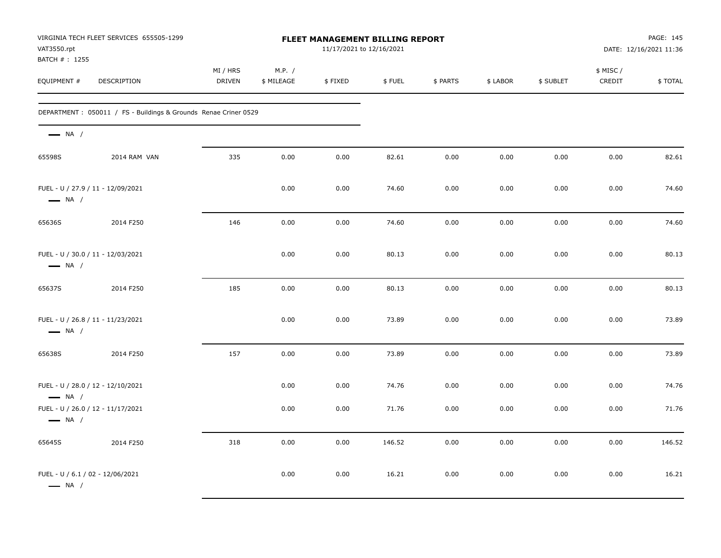| VAT3550.rpt<br>BATCH #: 1255                                | VIRGINIA TECH FLEET SERVICES 655505-1299                         | <b>FLEET MANAGEMENT BILLING REPORT</b><br>11/17/2021 to 12/16/2021 |                      |         |        |          |          |           |                    | PAGE: 145<br>DATE: 12/16/2021 11:36 |  |
|-------------------------------------------------------------|------------------------------------------------------------------|--------------------------------------------------------------------|----------------------|---------|--------|----------|----------|-----------|--------------------|-------------------------------------|--|
| EQUIPMENT #                                                 | DESCRIPTION                                                      | MI / HRS<br>DRIVEN                                                 | M.P. /<br>\$ MILEAGE | \$FIXED | \$FUEL | \$ PARTS | \$ LABOR | \$ SUBLET | \$ MISC/<br>CREDIT | \$TOTAL                             |  |
|                                                             | DEPARTMENT : 050011 / FS - Buildings & Grounds Renae Criner 0529 |                                                                    |                      |         |        |          |          |           |                    |                                     |  |
| $\longrightarrow$ NA /                                      |                                                                  |                                                                    |                      |         |        |          |          |           |                    |                                     |  |
| 65598S                                                      | 2014 RAM VAN                                                     | 335                                                                | 0.00                 | 0.00    | 82.61  | 0.00     | 0.00     | 0.00      | 0.00               | 82.61                               |  |
| FUEL - U / 27.9 / 11 - 12/09/2021<br>$\longrightarrow$ NA / |                                                                  |                                                                    | 0.00                 | 0.00    | 74.60  | 0.00     | 0.00     | 0.00      | 0.00               | 74.60                               |  |
| 65636S                                                      | 2014 F250                                                        | 146                                                                | 0.00                 | 0.00    | 74.60  | 0.00     | 0.00     | 0.00      | 0.00               | 74.60                               |  |
| FUEL - U / 30.0 / 11 - 12/03/2021<br>$\longrightarrow$ NA / |                                                                  |                                                                    | 0.00                 | 0.00    | 80.13  | 0.00     | 0.00     | 0.00      | 0.00               | 80.13                               |  |
| 65637S                                                      | 2014 F250                                                        | 185                                                                | 0.00                 | 0.00    | 80.13  | 0.00     | 0.00     | 0.00      | 0.00               | 80.13                               |  |
| FUEL - U / 26.8 / 11 - 11/23/2021<br>$\longrightarrow$ NA / |                                                                  |                                                                    | 0.00                 | 0.00    | 73.89  | 0.00     | 0.00     | 0.00      | 0.00               | 73.89                               |  |
| 65638S                                                      | 2014 F250                                                        | 157                                                                | 0.00                 | 0.00    | 73.89  | 0.00     | 0.00     | 0.00      | 0.00               | 73.89                               |  |
| FUEL - U / 28.0 / 12 - 12/10/2021<br>$\longrightarrow$ NA / |                                                                  |                                                                    | 0.00                 | 0.00    | 74.76  | 0.00     | 0.00     | 0.00      | 0.00               | 74.76                               |  |
| FUEL - U / 26.0 / 12 - 11/17/2021<br>$\longrightarrow$ NA / |                                                                  |                                                                    | 0.00                 | 0.00    | 71.76  | 0.00     | 0.00     | 0.00      | 0.00               | 71.76                               |  |
| 65645S                                                      | 2014 F250                                                        | 318                                                                | 0.00                 | 0.00    | 146.52 | 0.00     | 0.00     | 0.00      | 0.00               | 146.52                              |  |
| FUEL - U / 6.1 / 02 - 12/06/2021<br>$\longrightarrow$ NA /  |                                                                  |                                                                    | 0.00                 | 0.00    | 16.21  | 0.00     | 0.00     | 0.00      | 0.00               | 16.21                               |  |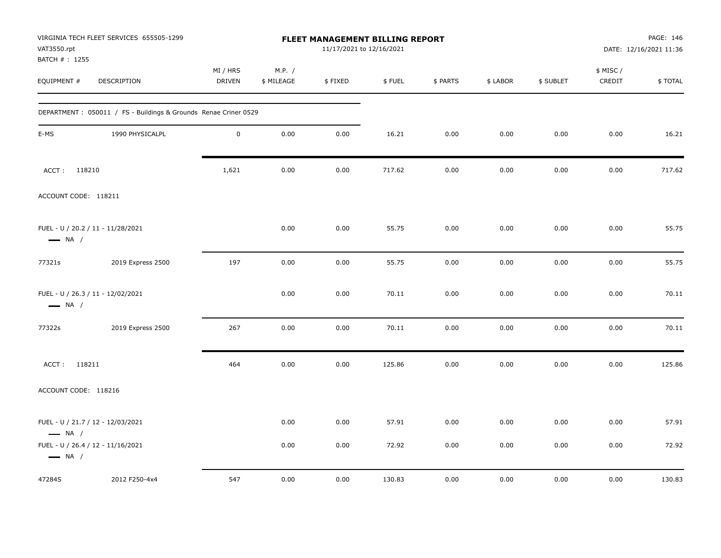| VAT3550.rpt<br>BATCH #: 1255 | VIRGINIA TECH FLEET SERVICES 655505-1299                        | FLEET MANAGEMENT BILLING REPORT<br>11/17/2021 to 12/16/2021 |                      |         |        |          |          |           | PAGE: 146<br>DATE: 12/16/2021 11:36 |         |
|------------------------------|-----------------------------------------------------------------|-------------------------------------------------------------|----------------------|---------|--------|----------|----------|-----------|-------------------------------------|---------|
| EQUIPMENT #                  | DESCRIPTION                                                     | MI / HRS<br>DRIVEN                                          | M.P. /<br>\$ MILEAGE | \$FIXED | \$FUEL | \$ PARTS | \$ LABOR | \$ SUBLET | \$ MISC /<br>CREDIT                 | \$TOTAL |
|                              | DEPARTMENT: 050011 / FS - Buildings & Grounds Renae Criner 0529 |                                                             |                      |         |        |          |          |           |                                     |         |
| E-MS                         | 1990 PHYSICALPL                                                 | $\mathsf 0$                                                 | 0.00                 | 0.00    | 16.21  | 0.00     | 0.00     | 0.00      | 0.00                                | 16.21   |
| 118210<br>ACCT:              |                                                                 | 1,621                                                       | 0.00                 | 0.00    | 717.62 | 0.00     | 0.00     | 0.00      | 0.00                                | 717.62  |
| ACCOUNT CODE: 118211         |                                                                 |                                                             |                      |         |        |          |          |           |                                     |         |
| $\longrightarrow$ NA /       | FUEL - U / 20.2 / 11 - 11/28/2021                               |                                                             | 0.00                 | 0.00    | 55.75  | 0.00     | 0.00     | 0.00      | 0.00                                | 55.75   |
| 77321s                       | 2019 Express 2500                                               | 197                                                         | 0.00                 | 0.00    | 55.75  | 0.00     | 0.00     | 0.00      | 0.00                                | 55.75   |
| $\longrightarrow$ NA /       | FUEL - U / 26.3 / 11 - 12/02/2021                               |                                                             | 0.00                 | 0.00    | 70.11  | 0.00     | 0.00     | 0.00      | 0.00                                | 70.11   |
| 77322s                       | 2019 Express 2500                                               | 267                                                         | 0.00                 | 0.00    | 70.11  | 0.00     | 0.00     | 0.00      | 0.00                                | 70.11   |
| ACCT: 118211                 |                                                                 | 464                                                         | 0.00                 | 0.00    | 125.86 | 0.00     | 0.00     | 0.00      | 0.00                                | 125.86  |
| ACCOUNT CODE: 118216         |                                                                 |                                                             |                      |         |        |          |          |           |                                     |         |
| $\longrightarrow$ NA /       | FUEL - U / 21.7 / 12 - 12/03/2021                               |                                                             | 0.00                 | 0.00    | 57.91  | 0.00     | 0.00     | 0.00      | 0.00                                | 57.91   |
| $\longrightarrow$ NA /       | FUEL - U / 26.4 / 12 - 11/16/2021                               |                                                             | 0.00                 | 0.00    | 72.92  | 0.00     | 0.00     | 0.00      | 0.00                                | 72.92   |
| 47284S                       | 2012 F250-4x4                                                   | 547                                                         | 0.00                 | 0.00    | 130.83 | 0.00     | 0.00     | 0.00      | 0.00                                | 130.83  |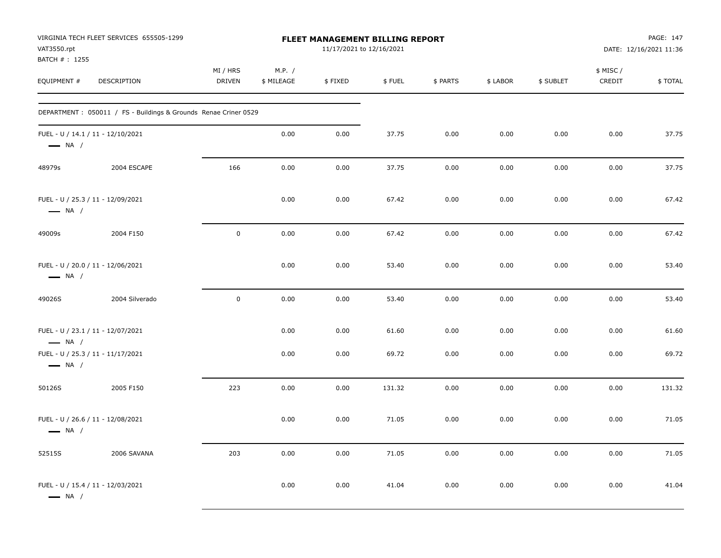| VAT3550.rpt                  | VIRGINIA TECH FLEET SERVICES 655505-1299                         |                           |                      | <b>FLEET MANAGEMENT BILLING REPORT</b><br>11/17/2021 to 12/16/2021 |        |          |          |           |                     | PAGE: 147<br>DATE: 12/16/2021 11:36 |
|------------------------------|------------------------------------------------------------------|---------------------------|----------------------|--------------------------------------------------------------------|--------|----------|----------|-----------|---------------------|-------------------------------------|
| BATCH #: 1255<br>EQUIPMENT # | DESCRIPTION                                                      | MI / HRS<br><b>DRIVEN</b> | M.P. /<br>\$ MILEAGE | \$FIXED                                                            | \$FUEL | \$ PARTS | \$ LABOR | \$ SUBLET | \$ MISC /<br>CREDIT | \$TOTAL                             |
|                              | DEPARTMENT : 050011 / FS - Buildings & Grounds Renae Criner 0529 |                           |                      |                                                                    |        |          |          |           |                     |                                     |
| $\longrightarrow$ NA /       | FUEL - U / 14.1 / 11 - 12/10/2021                                |                           | 0.00                 | 0.00                                                               | 37.75  | 0.00     | 0.00     | 0.00      | 0.00                | 37.75                               |
| 48979s                       | 2004 ESCAPE                                                      | 166                       | 0.00                 | 0.00                                                               | 37.75  | 0.00     | 0.00     | 0.00      | 0.00                | 37.75                               |
| $\longrightarrow$ NA /       | FUEL - U / 25.3 / 11 - 12/09/2021                                |                           | 0.00                 | 0.00                                                               | 67.42  | 0.00     | 0.00     | 0.00      | 0.00                | 67.42                               |
| 49009s                       | 2004 F150                                                        | $\mathbf 0$               | 0.00                 | 0.00                                                               | 67.42  | 0.00     | 0.00     | 0.00      | 0.00                | 67.42                               |
| $\longrightarrow$ NA /       | FUEL - U / 20.0 / 11 - 12/06/2021                                |                           | 0.00                 | 0.00                                                               | 53.40  | 0.00     | 0.00     | 0.00      | 0.00                | 53.40                               |
| 49026S                       | 2004 Silverado                                                   | $\mathbf 0$               | 0.00                 | 0.00                                                               | 53.40  | 0.00     | 0.00     | 0.00      | 0.00                | 53.40                               |
| $\longrightarrow$ NA /       | FUEL - U / 23.1 / 11 - 12/07/2021                                |                           | 0.00                 | 0.00                                                               | 61.60  | 0.00     | 0.00     | 0.00      | 0.00                | 61.60                               |
| $\longrightarrow$ NA /       | FUEL - U / 25.3 / 11 - 11/17/2021                                |                           | 0.00                 | 0.00                                                               | 69.72  | 0.00     | 0.00     | 0.00      | 0.00                | 69.72                               |
| 50126S                       | 2005 F150                                                        | 223                       | 0.00                 | 0.00                                                               | 131.32 | 0.00     | 0.00     | 0.00      | 0.00                | 131.32                              |
| $\longrightarrow$ NA /       | FUEL - U / 26.6 / 11 - 12/08/2021                                |                           | 0.00                 | 0.00                                                               | 71.05  | 0.00     | 0.00     | 0.00      | 0.00                | 71.05                               |
| 52515S                       | 2006 SAVANA                                                      | 203                       | 0.00                 | 0.00                                                               | 71.05  | 0.00     | 0.00     | 0.00      | 0.00                | 71.05                               |
| $\longrightarrow$ NA /       | FUEL - U / 15.4 / 11 - 12/03/2021                                |                           | 0.00                 | 0.00                                                               | 41.04  | 0.00     | 0.00     | 0.00      | 0.00                | 41.04                               |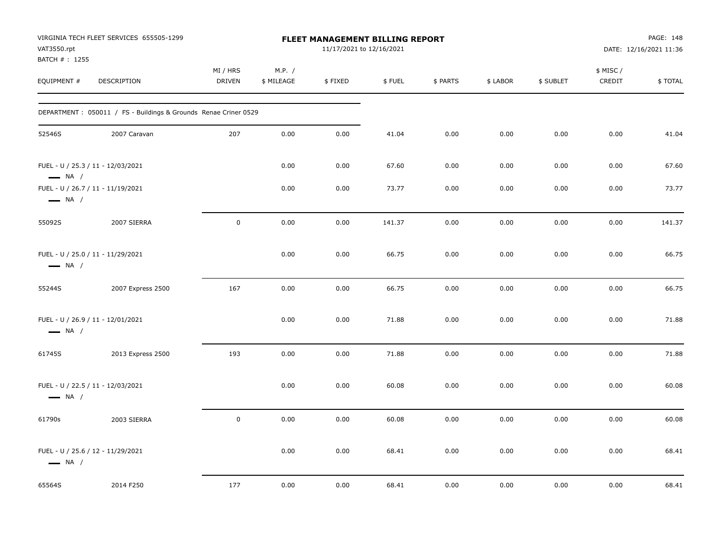| VAT3550.rpt<br>BATCH #: 1255 | VIRGINIA TECH FLEET SERVICES 655505-1299                         |                           |                      | FLEET MANAGEMENT BILLING REPORT<br>11/17/2021 to 12/16/2021 |        |          |          | PAGE: 148<br>DATE: 12/16/2021 11:36 |                     |         |
|------------------------------|------------------------------------------------------------------|---------------------------|----------------------|-------------------------------------------------------------|--------|----------|----------|-------------------------------------|---------------------|---------|
| EQUIPMENT #                  | DESCRIPTION                                                      | MI / HRS<br><b>DRIVEN</b> | M.P. /<br>\$ MILEAGE | \$FIXED                                                     | \$FUEL | \$ PARTS | \$ LABOR | \$ SUBLET                           | \$ MISC /<br>CREDIT | \$TOTAL |
|                              | DEPARTMENT : 050011 / FS - Buildings & Grounds Renae Criner 0529 |                           |                      |                                                             |        |          |          |                                     |                     |         |
| 52546S                       | 2007 Caravan                                                     | 207                       | 0.00                 | 0.00                                                        | 41.04  | 0.00     | 0.00     | 0.00                                | 0.00                | 41.04   |
| $\longrightarrow$ NA /       | FUEL - U / 25.3 / 11 - 12/03/2021                                |                           | 0.00                 | 0.00                                                        | 67.60  | 0.00     | 0.00     | 0.00                                | 0.00                | 67.60   |
| $\longrightarrow$ NA /       | FUEL - U / 26.7 / 11 - 11/19/2021                                |                           | 0.00                 | 0.00                                                        | 73.77  | 0.00     | 0.00     | 0.00                                | 0.00                | 73.77   |
| 55092S                       | 2007 SIERRA                                                      | $\mathbf 0$               | 0.00                 | 0.00                                                        | 141.37 | 0.00     | 0.00     | 0.00                                | 0.00                | 141.37  |
| $\longrightarrow$ NA /       | FUEL - U / 25.0 / 11 - 11/29/2021                                |                           | 0.00                 | 0.00                                                        | 66.75  | 0.00     | 0.00     | 0.00                                | 0.00                | 66.75   |
| 55244S                       | 2007 Express 2500                                                | 167                       | 0.00                 | 0.00                                                        | 66.75  | 0.00     | 0.00     | 0.00                                | 0.00                | 66.75   |
| $\longrightarrow$ NA /       | FUEL - U / 26.9 / 11 - 12/01/2021                                |                           | 0.00                 | 0.00                                                        | 71.88  | 0.00     | 0.00     | 0.00                                | 0.00                | 71.88   |
| 61745S                       | 2013 Express 2500                                                | 193                       | 0.00                 | 0.00                                                        | 71.88  | 0.00     | 0.00     | 0.00                                | 0.00                | 71.88   |
| $\longrightarrow$ NA /       | FUEL - U / 22.5 / 11 - 12/03/2021                                |                           | 0.00                 | 0.00                                                        | 60.08  | 0.00     | 0.00     | 0.00                                | 0.00                | 60.08   |
| 61790s                       | 2003 SIERRA                                                      | $\mathbf 0$               | 0.00                 | 0.00                                                        | 60.08  | 0.00     | 0.00     | 0.00                                | 0.00                | 60.08   |
| $\longrightarrow$ NA /       | FUEL - U / 25.6 / 12 - 11/29/2021                                |                           | 0.00                 | 0.00                                                        | 68.41  | 0.00     | 0.00     | 0.00                                | 0.00                | 68.41   |
| 65564S                       | 2014 F250                                                        | 177                       | 0.00                 | 0.00                                                        | 68.41  | 0.00     | 0.00     | 0.00                                | 0.00                | 68.41   |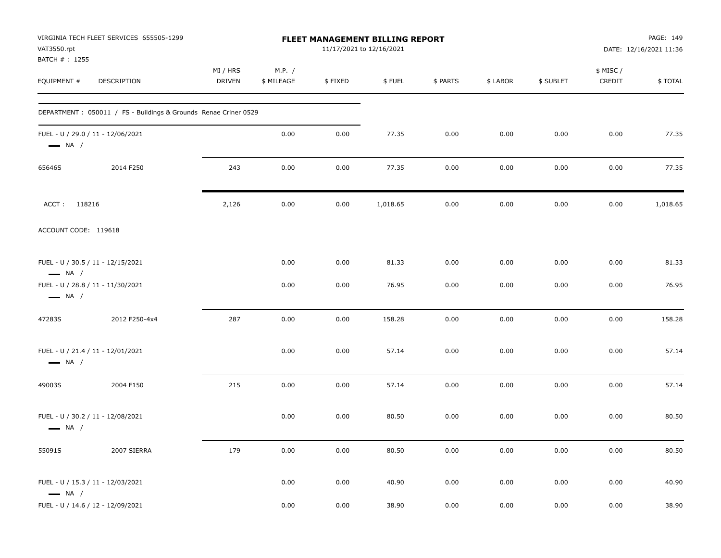| VAT3550.rpt<br>BATCH #: 1255                                | VIRGINIA TECH FLEET SERVICES 655505-1299                         |                           |                      |         | FLEET MANAGEMENT BILLING REPORT<br>11/17/2021 to 12/16/2021 |          | PAGE: 149<br>DATE: 12/16/2021 11:36 |           |                     |          |
|-------------------------------------------------------------|------------------------------------------------------------------|---------------------------|----------------------|---------|-------------------------------------------------------------|----------|-------------------------------------|-----------|---------------------|----------|
| EQUIPMENT #                                                 | DESCRIPTION                                                      | MI / HRS<br><b>DRIVEN</b> | M.P. /<br>\$ MILEAGE | \$FIXED | \$FUEL                                                      | \$ PARTS | \$ LABOR                            | \$ SUBLET | \$ MISC /<br>CREDIT | \$TOTAL  |
|                                                             | DEPARTMENT : 050011 / FS - Buildings & Grounds Renae Criner 0529 |                           |                      |         |                                                             |          |                                     |           |                     |          |
| FUEL - U / 29.0 / 11 - 12/06/2021<br>$\longrightarrow$ NA / |                                                                  |                           | 0.00                 | 0.00    | 77.35                                                       | 0.00     | 0.00                                | 0.00      | 0.00                | 77.35    |
| 65646S                                                      | 2014 F250                                                        | 243                       | 0.00                 | 0.00    | 77.35                                                       | 0.00     | 0.00                                | 0.00      | 0.00                | 77.35    |
| ACCT: 118216                                                |                                                                  | 2,126                     | 0.00                 | 0.00    | 1,018.65                                                    | 0.00     | 0.00                                | 0.00      | 0.00                | 1,018.65 |
| ACCOUNT CODE: 119618                                        |                                                                  |                           |                      |         |                                                             |          |                                     |           |                     |          |
| FUEL - U / 30.5 / 11 - 12/15/2021<br>$\longrightarrow$ NA / |                                                                  |                           | 0.00                 | 0.00    | 81.33                                                       | 0.00     | 0.00                                | 0.00      | 0.00                | 81.33    |
| FUEL - U / 28.8 / 11 - 11/30/2021<br>$\longrightarrow$ NA / |                                                                  |                           | 0.00                 | 0.00    | 76.95                                                       | 0.00     | 0.00                                | 0.00      | 0.00                | 76.95    |
| 47283S                                                      | 2012 F250-4x4                                                    | 287                       | 0.00                 | 0.00    | 158.28                                                      | 0.00     | 0.00                                | 0.00      | 0.00                | 158.28   |
| FUEL - U / 21.4 / 11 - 12/01/2021<br>$\longrightarrow$ NA / |                                                                  |                           | 0.00                 | 0.00    | 57.14                                                       | 0.00     | 0.00                                | 0.00      | 0.00                | 57.14    |
| 49003S                                                      | 2004 F150                                                        | 215                       | 0.00                 | 0.00    | 57.14                                                       | 0.00     | 0.00                                | 0.00      | 0.00                | 57.14    |
| FUEL - U / 30.2 / 11 - 12/08/2021<br>$\longrightarrow$ NA / |                                                                  |                           | 0.00                 | 0.00    | 80.50                                                       | 0.00     | 0.00                                | 0.00      | 0.00                | 80.50    |
| 55091S                                                      | 2007 SIERRA                                                      | 179                       | 0.00                 | 0.00    | 80.50                                                       | 0.00     | 0.00                                | 0.00      | 0.00                | 80.50    |
| FUEL - U / 15.3 / 11 - 12/03/2021<br>$\longrightarrow$ NA / |                                                                  |                           | 0.00                 | 0.00    | 40.90                                                       | 0.00     | 0.00                                | 0.00      | 0.00                | 40.90    |
| FUEL - U / 14.6 / 12 - 12/09/2021                           |                                                                  |                           | 0.00                 | 0.00    | 38.90                                                       | 0.00     | 0.00                                | 0.00      | 0.00                | 38.90    |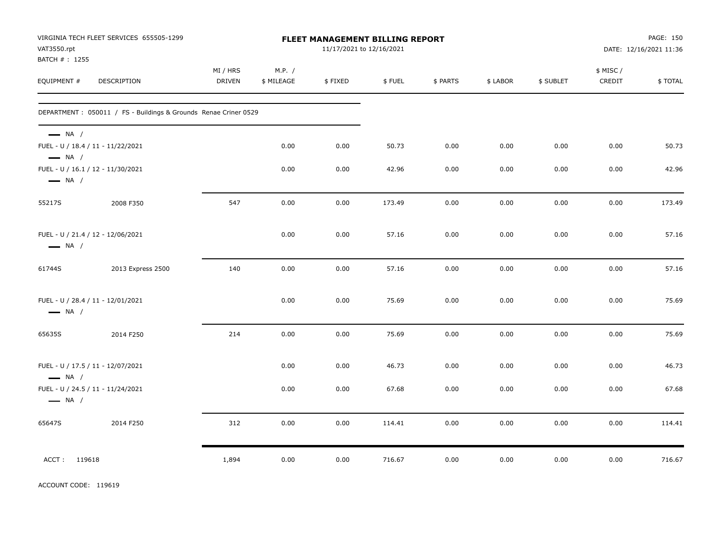| VAT3550.rpt<br>BATCH #: 1255                     | VIRGINIA TECH FLEET SERVICES 655505-1299                        | FLEET MANAGEMENT BILLING REPORT<br>11/17/2021 to 12/16/2021 |                      |         |        |          |          |           | PAGE: 150<br>DATE: 12/16/2021 11:36 |         |
|--------------------------------------------------|-----------------------------------------------------------------|-------------------------------------------------------------|----------------------|---------|--------|----------|----------|-----------|-------------------------------------|---------|
| EQUIPMENT #                                      | DESCRIPTION                                                     | MI / HRS<br><b>DRIVEN</b>                                   | M.P. /<br>\$ MILEAGE | \$FIXED | \$FUEL | \$ PARTS | \$ LABOR | \$ SUBLET | \$ MISC /<br>CREDIT                 | \$TOTAL |
|                                                  | DEPARTMENT: 050011 / FS - Buildings & Grounds Renae Criner 0529 |                                                             |                      |         |        |          |          |           |                                     |         |
| $\longrightarrow$ NA /<br>$\longrightarrow$ NA / | FUEL - U / 18.4 / 11 - 11/22/2021                               |                                                             | 0.00                 | 0.00    | 50.73  | 0.00     | 0.00     | 0.00      | 0.00                                | 50.73   |
| $\longrightarrow$ NA /                           | FUEL - U / 16.1 / 12 - 11/30/2021                               |                                                             | 0.00                 | 0.00    | 42.96  | 0.00     | 0.00     | 0.00      | 0.00                                | 42.96   |
| 55217S                                           | 2008 F350                                                       | 547                                                         | 0.00                 | 0.00    | 173.49 | 0.00     | 0.00     | 0.00      | 0.00                                | 173.49  |
| $\longrightarrow$ NA /                           | FUEL - U / 21.4 / 12 - 12/06/2021                               |                                                             | 0.00                 | 0.00    | 57.16  | 0.00     | 0.00     | 0.00      | 0.00                                | 57.16   |
| 61744S                                           | 2013 Express 2500                                               | 140                                                         | 0.00                 | 0.00    | 57.16  | 0.00     | 0.00     | 0.00      | 0.00                                | 57.16   |
| $\longrightarrow$ NA /                           | FUEL - U / 28.4 / 11 - 12/01/2021                               |                                                             | 0.00                 | 0.00    | 75.69  | 0.00     | 0.00     | 0.00      | 0.00                                | 75.69   |
| 65635S                                           | 2014 F250                                                       | 214                                                         | 0.00                 | 0.00    | 75.69  | 0.00     | 0.00     | 0.00      | 0.00                                | 75.69   |
| $\longrightarrow$ NA /                           | FUEL - U / 17.5 / 11 - 12/07/2021                               |                                                             | 0.00                 | 0.00    | 46.73  | 0.00     | 0.00     | 0.00      | 0.00                                | 46.73   |
| $\longrightarrow$ NA /                           | FUEL - U / 24.5 / 11 - 11/24/2021                               |                                                             | 0.00                 | 0.00    | 67.68  | 0.00     | 0.00     | 0.00      | 0.00                                | 67.68   |
| 65647S                                           | 2014 F250                                                       | 312                                                         | 0.00                 | 0.00    | 114.41 | 0.00     | 0.00     | 0.00      | 0.00                                | 114.41  |
| ACCT: 119618                                     |                                                                 | 1,894                                                       | 0.00                 | 0.00    | 716.67 | 0.00     | 0.00     | 0.00      | 0.00                                | 716.67  |

ACCOUNT CODE: 119619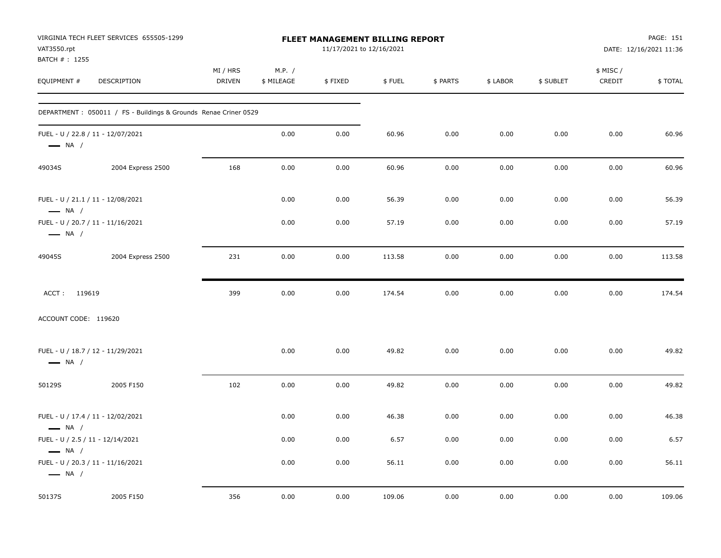| VAT3550.rpt<br>BATCH #: 1255 | VIRGINIA TECH FLEET SERVICES 655505-1299                         |                           |                      | FLEET MANAGEMENT BILLING REPORT<br>11/17/2021 to 12/16/2021 |        |          |          | PAGE: 151<br>DATE: 12/16/2021 11:36 |                     |         |
|------------------------------|------------------------------------------------------------------|---------------------------|----------------------|-------------------------------------------------------------|--------|----------|----------|-------------------------------------|---------------------|---------|
| EQUIPMENT #                  | DESCRIPTION                                                      | MI / HRS<br><b>DRIVEN</b> | M.P. /<br>\$ MILEAGE | \$FIXED                                                     | \$FUEL | \$ PARTS | \$ LABOR | \$ SUBLET                           | \$ MISC /<br>CREDIT | \$TOTAL |
|                              | DEPARTMENT : 050011 / FS - Buildings & Grounds Renae Criner 0529 |                           |                      |                                                             |        |          |          |                                     |                     |         |
| $\longrightarrow$ NA /       | FUEL - U / 22.8 / 11 - 12/07/2021                                |                           | 0.00                 | 0.00                                                        | 60.96  | 0.00     | 0.00     | 0.00                                | 0.00                | 60.96   |
| 49034S                       | 2004 Express 2500                                                | 168                       | 0.00                 | 0.00                                                        | 60.96  | 0.00     | 0.00     | 0.00                                | 0.00                | 60.96   |
| $\longrightarrow$ NA /       | FUEL - U / 21.1 / 11 - 12/08/2021                                |                           | 0.00                 | 0.00                                                        | 56.39  | 0.00     | 0.00     | 0.00                                | 0.00                | 56.39   |
| $\longrightarrow$ NA /       | FUEL - U / 20.7 / 11 - 11/16/2021                                |                           | 0.00                 | 0.00                                                        | 57.19  | 0.00     | 0.00     | 0.00                                | 0.00                | 57.19   |
| 49045S                       | 2004 Express 2500                                                | 231                       | 0.00                 | 0.00                                                        | 113.58 | 0.00     | 0.00     | 0.00                                | 0.00                | 113.58  |
| ACCT: 119619                 |                                                                  | 399                       | 0.00                 | 0.00                                                        | 174.54 | 0.00     | 0.00     | 0.00                                | 0.00                | 174.54  |
| ACCOUNT CODE: 119620         |                                                                  |                           |                      |                                                             |        |          |          |                                     |                     |         |
| $\longrightarrow$ NA /       | FUEL - U / 18.7 / 12 - 11/29/2021                                |                           | 0.00                 | 0.00                                                        | 49.82  | 0.00     | 0.00     | 0.00                                | 0.00                | 49.82   |
| 50129S                       | 2005 F150                                                        | 102                       | 0.00                 | 0.00                                                        | 49.82  | 0.00     | 0.00     | 0.00                                | 0.00                | 49.82   |
| $\longrightarrow$ NA /       | FUEL - U / 17.4 / 11 - 12/02/2021                                |                           | 0.00                 | 0.00                                                        | 46.38  | 0.00     | 0.00     | 0.00                                | 0.00                | 46.38   |
| $\longrightarrow$ NA /       | FUEL - U / 2.5 / 11 - 12/14/2021                                 |                           | 0.00                 | 0.00                                                        | 6.57   | 0.00     | 0.00     | 0.00                                | 0.00                | 6.57    |
| $\longrightarrow$ NA /       | FUEL - U / 20.3 / 11 - 11/16/2021                                |                           | 0.00                 | 0.00                                                        | 56.11  | 0.00     | 0.00     | 0.00                                | 0.00                | 56.11   |
| 50137S                       | 2005 F150                                                        | 356                       | 0.00                 | 0.00                                                        | 109.06 | 0.00     | 0.00     | 0.00                                | 0.00                | 109.06  |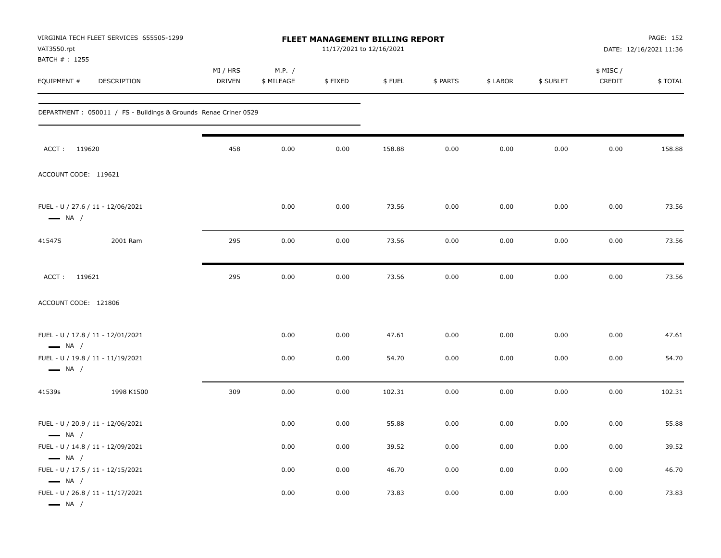| VAT3550.rpt<br>BATCH #: 1255                     | VIRGINIA TECH FLEET SERVICES 655505-1299                         | FLEET MANAGEMENT BILLING REPORT<br>11/17/2021 to 12/16/2021 |                      |         |        |          |          |           | PAGE: 152<br>DATE: 12/16/2021 11:36 |         |  |
|--------------------------------------------------|------------------------------------------------------------------|-------------------------------------------------------------|----------------------|---------|--------|----------|----------|-----------|-------------------------------------|---------|--|
| EQUIPMENT #                                      | <b>DESCRIPTION</b>                                               | MI / HRS<br><b>DRIVEN</b>                                   | M.P. /<br>\$ MILEAGE | \$FIXED | \$FUEL | \$ PARTS | \$ LABOR | \$ SUBLET | \$ MISC /<br>CREDIT                 | \$TOTAL |  |
|                                                  | DEPARTMENT : 050011 / FS - Buildings & Grounds Renae Criner 0529 |                                                             |                      |         |        |          |          |           |                                     |         |  |
| ACCT: 119620                                     |                                                                  | 458                                                         | 0.00                 | 0.00    | 158.88 | 0.00     | 0.00     | 0.00      | 0.00                                | 158.88  |  |
| ACCOUNT CODE: 119621                             |                                                                  |                                                             |                      |         |        |          |          |           |                                     |         |  |
| $\longrightarrow$ NA /                           | FUEL - U / 27.6 / 11 - 12/06/2021                                |                                                             | 0.00                 | 0.00    | 73.56  | 0.00     | 0.00     | 0.00      | 0.00                                | 73.56   |  |
| 41547S                                           | 2001 Ram                                                         | 295                                                         | 0.00                 | 0.00    | 73.56  | 0.00     | 0.00     | 0.00      | 0.00                                | 73.56   |  |
| ACCT: 119621                                     |                                                                  | 295                                                         | 0.00                 | 0.00    | 73.56  | 0.00     | 0.00     | 0.00      | 0.00                                | 73.56   |  |
| ACCOUNT CODE: 121806                             |                                                                  |                                                             |                      |         |        |          |          |           |                                     |         |  |
| $\longrightarrow$ NA /                           | FUEL - U / 17.8 / 11 - 12/01/2021                                |                                                             | 0.00                 | 0.00    | 47.61  | 0.00     | 0.00     | 0.00      | 0.00                                | 47.61   |  |
| $\longrightarrow$ NA /                           | FUEL - U / 19.8 / 11 - 11/19/2021                                |                                                             | 0.00                 | 0.00    | 54.70  | 0.00     | 0.00     | 0.00      | 0.00                                | 54.70   |  |
| 41539s                                           | 1998 K1500                                                       | 309                                                         | 0.00                 | 0.00    | 102.31 | 0.00     | 0.00     | 0.00      | 0.00                                | 102.31  |  |
| $\longrightarrow$ NA /                           | FUEL - U / 20.9 / 11 - 12/06/2021                                |                                                             | 0.00                 | 0.00    | 55.88  | 0.00     | 0.00     | 0.00      | 0.00                                | 55.88   |  |
|                                                  | FUEL - U / 14.8 / 11 - 12/09/2021                                |                                                             | 0.00                 | 0.00    | 39.52  | 0.00     | 0.00     | 0.00      | 0.00                                | 39.52   |  |
| $\longrightarrow$ NA /<br>$\longrightarrow$ NA / | FUEL - U / 17.5 / 11 - 12/15/2021                                |                                                             | 0.00                 | 0.00    | 46.70  | 0.00     | 0.00     | 0.00      | 0.00                                | 46.70   |  |
| $\longrightarrow$ NA /                           | FUEL - U / 26.8 / 11 - 11/17/2021                                |                                                             | 0.00                 | 0.00    | 73.83  | 0.00     | 0.00     | 0.00      | 0.00                                | 73.83   |  |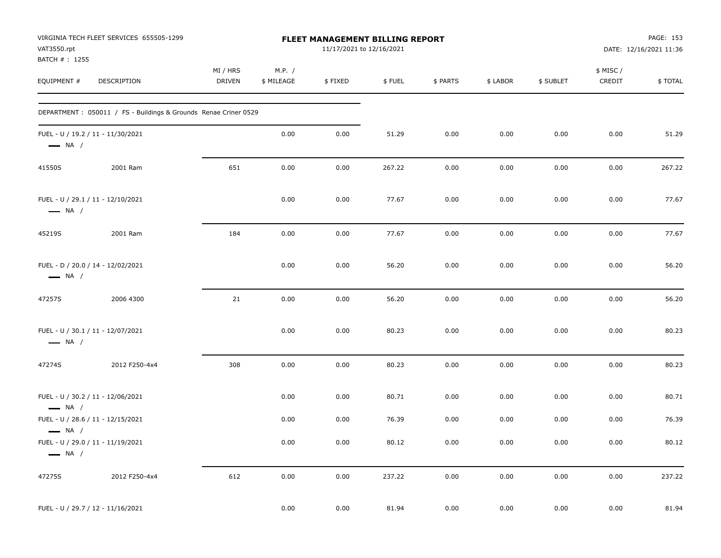| VAT3550.rpt<br>BATCH #: 1255                     | VIRGINIA TECH FLEET SERVICES 655505-1299                         |                    |                      | FLEET MANAGEMENT BILLING REPORT<br>11/17/2021 to 12/16/2021 |        |          |          |           |                     | PAGE: 153<br>DATE: 12/16/2021 11:36 |
|--------------------------------------------------|------------------------------------------------------------------|--------------------|----------------------|-------------------------------------------------------------|--------|----------|----------|-----------|---------------------|-------------------------------------|
| EQUIPMENT #                                      | DESCRIPTION                                                      | MI / HRS<br>DRIVEN | M.P. /<br>\$ MILEAGE | \$FIXED                                                     | \$FUEL | \$ PARTS | \$ LABOR | \$ SUBLET | \$ MISC /<br>CREDIT | \$TOTAL                             |
|                                                  | DEPARTMENT : 050011 / FS - Buildings & Grounds Renae Criner 0529 |                    |                      |                                                             |        |          |          |           |                     |                                     |
| $\longrightarrow$ NA /                           | FUEL - U / 19.2 / 11 - 11/30/2021                                |                    | 0.00                 | 0.00                                                        | 51.29  | 0.00     | 0.00     | 0.00      | 0.00                | 51.29                               |
| 41550S                                           | 2001 Ram                                                         | 651                | 0.00                 | 0.00                                                        | 267.22 | 0.00     | 0.00     | 0.00      | 0.00                | 267.22                              |
| $\longrightarrow$ NA /                           | FUEL - U / 29.1 / 11 - 12/10/2021                                |                    | 0.00                 | 0.00                                                        | 77.67  | 0.00     | 0.00     | 0.00      | 0.00                | 77.67                               |
| 45219S                                           | 2001 Ram                                                         | 184                | 0.00                 | 0.00                                                        | 77.67  | 0.00     | 0.00     | 0.00      | 0.00                | 77.67                               |
| $\longrightarrow$ NA /                           | FUEL - D / 20.0 / 14 - 12/02/2021                                |                    | 0.00                 | 0.00                                                        | 56.20  | 0.00     | 0.00     | 0.00      | 0.00                | 56.20                               |
| 47257S                                           | 2006 4300                                                        | 21                 | 0.00                 | 0.00                                                        | 56.20  | 0.00     | 0.00     | 0.00      | 0.00                | 56.20                               |
| $\longrightarrow$ NA /                           | FUEL - U / 30.1 / 11 - 12/07/2021                                |                    | 0.00                 | 0.00                                                        | 80.23  | 0.00     | 0.00     | 0.00      | 0.00                | 80.23                               |
| 47274S                                           | 2012 F250-4x4                                                    | 308                | 0.00                 | 0.00                                                        | 80.23  | 0.00     | 0.00     | 0.00      | 0.00                | 80.23                               |
| $\longrightarrow$ NA /                           | FUEL - U / 30.2 / 11 - 12/06/2021                                |                    | 0.00                 | 0.00                                                        | 80.71  | 0.00     | 0.00     | 0.00      | 0.00                | 80.71                               |
|                                                  | FUEL - U / 28.6 / 11 - 12/15/2021                                |                    | 0.00                 | 0.00                                                        | 76.39  | 0.00     | 0.00     | 0.00      | 0.00                | 76.39                               |
| $\longrightarrow$ NA /<br>$\longrightarrow$ NA / | FUEL - U / 29.0 / 11 - 11/19/2021                                |                    | 0.00                 | 0.00                                                        | 80.12  | 0.00     | 0.00     | 0.00      | 0.00                | 80.12                               |
| 47275S                                           | 2012 F250-4x4                                                    | 612                | 0.00                 | 0.00                                                        | 237.22 | 0.00     | 0.00     | 0.00      | 0.00                | 237.22                              |
|                                                  | FUEL - U / 29.7 / 12 - 11/16/2021                                |                    | 0.00                 | 0.00                                                        | 81.94  | 0.00     | 0.00     | 0.00      | 0.00                | 81.94                               |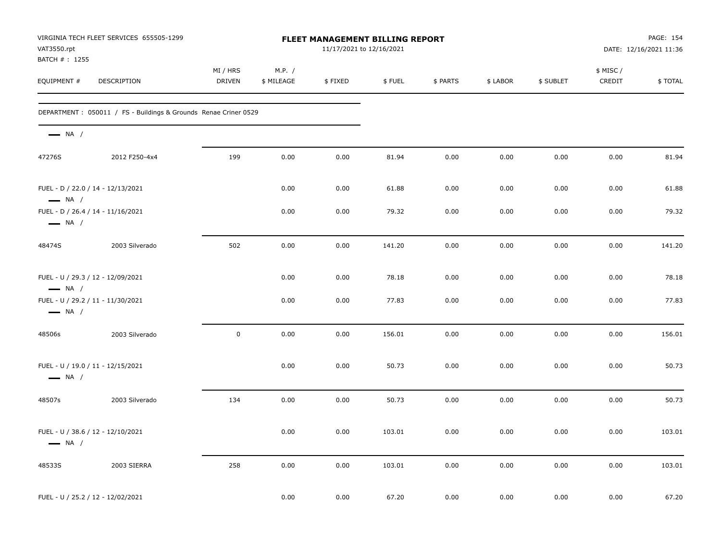| VAT3550.rpt                   | VIRGINIA TECH FLEET SERVICES 655505-1299                        | FLEET MANAGEMENT BILLING REPORT<br>11/17/2021 to 12/16/2021 |                      |         |        |          |          |           | PAGE: 154<br>DATE: 12/16/2021 11:36 |         |
|-------------------------------|-----------------------------------------------------------------|-------------------------------------------------------------|----------------------|---------|--------|----------|----------|-----------|-------------------------------------|---------|
| BATCH # : 1255<br>EQUIPMENT # | DESCRIPTION                                                     | MI / HRS<br>DRIVEN                                          | M.P. /<br>\$ MILEAGE | \$FIXED | \$FUEL | \$ PARTS | \$ LABOR | \$ SUBLET | \$ MISC /<br>CREDIT                 | \$TOTAL |
|                               | DEPARTMENT: 050011 / FS - Buildings & Grounds Renae Criner 0529 |                                                             |                      |         |        |          |          |           |                                     |         |
| $\longrightarrow$ NA /        |                                                                 |                                                             |                      |         |        |          |          |           |                                     |         |
| 47276S                        | 2012 F250-4x4                                                   | 199                                                         | 0.00                 | 0.00    | 81.94  | 0.00     | 0.00     | 0.00      | 0.00                                | 81.94   |
| $\longrightarrow$ NA /        | FUEL - D / 22.0 / 14 - 12/13/2021                               |                                                             | 0.00                 | 0.00    | 61.88  | 0.00     | 0.00     | 0.00      | 0.00                                | 61.88   |
| $\longrightarrow$ NA /        | FUEL - D / 26.4 / 14 - 11/16/2021                               |                                                             | 0.00                 | 0.00    | 79.32  | 0.00     | 0.00     | 0.00      | 0.00                                | 79.32   |
| 48474S                        | 2003 Silverado                                                  | 502                                                         | 0.00                 | 0.00    | 141.20 | 0.00     | 0.00     | 0.00      | 0.00                                | 141.20  |
| $\longrightarrow$ NA /        | FUEL - U / 29.3 / 12 - 12/09/2021                               |                                                             | 0.00                 | 0.00    | 78.18  | 0.00     | 0.00     | 0.00      | 0.00                                | 78.18   |
| $\longrightarrow$ NA /        | FUEL - U / 29.2 / 11 - 11/30/2021                               |                                                             | 0.00                 | 0.00    | 77.83  | 0.00     | 0.00     | 0.00      | 0.00                                | 77.83   |
| 48506s                        | 2003 Silverado                                                  | $\mathsf 0$                                                 | 0.00                 | 0.00    | 156.01 | 0.00     | 0.00     | 0.00      | 0.00                                | 156.01  |
| $\longrightarrow$ NA /        | FUEL - U / 19.0 / 11 - 12/15/2021                               |                                                             | 0.00                 | 0.00    | 50.73  | 0.00     | 0.00     | 0.00      | 0.00                                | 50.73   |
| 48507s                        | 2003 Silverado                                                  | 134                                                         | 0.00                 | 0.00    | 50.73  | 0.00     | 0.00     | 0.00      | 0.00                                | 50.73   |
| $\longrightarrow$ NA /        | FUEL - U / 38.6 / 12 - 12/10/2021                               |                                                             | 0.00                 | 0.00    | 103.01 | 0.00     | 0.00     | 0.00      | 0.00                                | 103.01  |
| 48533S                        | 2003 SIERRA                                                     | 258                                                         | 0.00                 | 0.00    | 103.01 | 0.00     | 0.00     | 0.00      | 0.00                                | 103.01  |
|                               | FUEL - U / 25.2 / 12 - 12/02/2021                               |                                                             | 0.00                 | 0.00    | 67.20  | 0.00     | 0.00     | 0.00      | 0.00                                | 67.20   |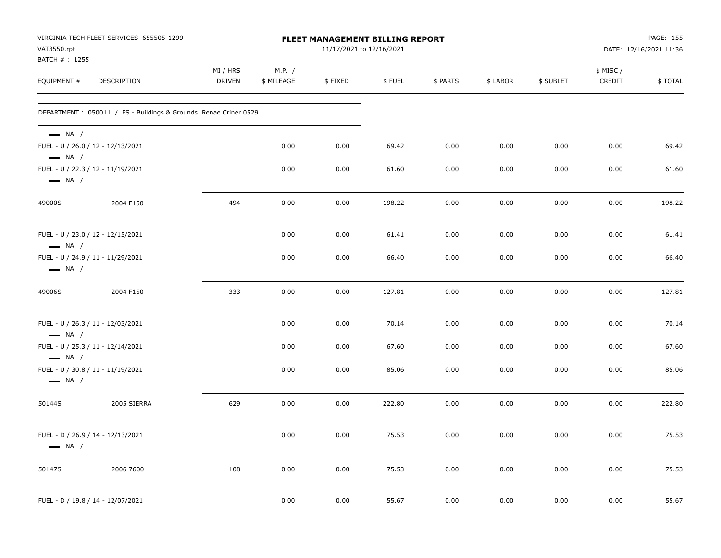| VAT3550.rpt<br>BATCH #: 1255                     | VIRGINIA TECH FLEET SERVICES 655505-1299                         | <b>FLEET MANAGEMENT BILLING REPORT</b><br>11/17/2021 to 12/16/2021 |                      |         |        |          |          |           |                    | PAGE: 155<br>DATE: 12/16/2021 11:36 |
|--------------------------------------------------|------------------------------------------------------------------|--------------------------------------------------------------------|----------------------|---------|--------|----------|----------|-----------|--------------------|-------------------------------------|
| EQUIPMENT #                                      | DESCRIPTION                                                      | MI / HRS<br><b>DRIVEN</b>                                          | M.P. /<br>\$ MILEAGE | \$FIXED | \$FUEL | \$ PARTS | \$ LABOR | \$ SUBLET | \$ MISC/<br>CREDIT | \$TOTAL                             |
|                                                  | DEPARTMENT : 050011 / FS - Buildings & Grounds Renae Criner 0529 |                                                                    |                      |         |        |          |          |           |                    |                                     |
| $\longrightarrow$ NA /<br>$\longrightarrow$ NA / | FUEL - U / 26.0 / 12 - 12/13/2021                                |                                                                    | 0.00                 | 0.00    | 69.42  | 0.00     | 0.00     | 0.00      | 0.00               | 69.42                               |
| $\longrightarrow$ NA /                           | FUEL - U / 22.3 / 12 - 11/19/2021                                |                                                                    | 0.00                 | 0.00    | 61.60  | 0.00     | 0.00     | 0.00      | 0.00               | 61.60                               |
| 49000S                                           | 2004 F150                                                        | 494                                                                | 0.00                 | 0.00    | 198.22 | 0.00     | 0.00     | 0.00      | 0.00               | 198.22                              |
| $\longrightarrow$ NA /                           | FUEL - U / 23.0 / 12 - 12/15/2021                                |                                                                    | 0.00                 | 0.00    | 61.41  | 0.00     | 0.00     | 0.00      | 0.00               | 61.41                               |
| $\longrightarrow$ NA /                           | FUEL - U / 24.9 / 11 - 11/29/2021                                |                                                                    | 0.00                 | 0.00    | 66.40  | 0.00     | 0.00     | 0.00      | 0.00               | 66.40                               |
| 49006S                                           | 2004 F150                                                        | 333                                                                | 0.00                 | 0.00    | 127.81 | 0.00     | 0.00     | 0.00      | 0.00               | 127.81                              |
| $\longrightarrow$ NA /                           | FUEL - U / 26.3 / 11 - 12/03/2021                                |                                                                    | 0.00                 | 0.00    | 70.14  | 0.00     | 0.00     | 0.00      | 0.00               | 70.14                               |
| $\longrightarrow$ NA /                           | FUEL - U / 25.3 / 11 - 12/14/2021                                |                                                                    | 0.00                 | 0.00    | 67.60  | 0.00     | 0.00     | 0.00      | 0.00               | 67.60                               |
| $\longrightarrow$ NA /                           | FUEL - U / 30.8 / 11 - 11/19/2021                                |                                                                    | 0.00                 | 0.00    | 85.06  | 0.00     | 0.00     | 0.00      | 0.00               | 85.06                               |
| 50144S                                           | 2005 SIERRA                                                      | 629                                                                | 0.00                 | 0.00    | 222.80 | 0.00     | 0.00     | 0.00      | 0.00               | 222.80                              |
| $\longrightarrow$ NA /                           | FUEL - D / 26.9 / 14 - 12/13/2021                                |                                                                    | 0.00                 | 0.00    | 75.53  | 0.00     | 0.00     | 0.00      | 0.00               | 75.53                               |
| 50147S                                           | 2006 7600                                                        | 108                                                                | 0.00                 | 0.00    | 75.53  | 0.00     | 0.00     | 0.00      | 0.00               | 75.53                               |
|                                                  | FUEL - D / 19.8 / 14 - 12/07/2021                                |                                                                    | 0.00                 | 0.00    | 55.67  | 0.00     | 0.00     | 0.00      | 0.00               | 55.67                               |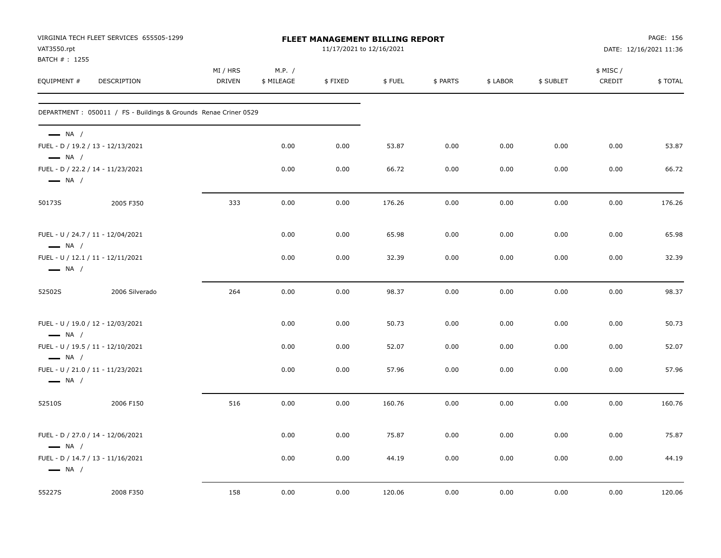| VAT3550.rpt<br>BATCH #: 1255                                | VIRGINIA TECH FLEET SERVICES 655505-1299                        | FLEET MANAGEMENT BILLING REPORT<br>11/17/2021 to 12/16/2021 |                      |         |        |          |          |           |                     | PAGE: 156<br>DATE: 12/16/2021 11:36 |  |
|-------------------------------------------------------------|-----------------------------------------------------------------|-------------------------------------------------------------|----------------------|---------|--------|----------|----------|-----------|---------------------|-------------------------------------|--|
| EQUIPMENT #                                                 | DESCRIPTION                                                     | MI / HRS<br><b>DRIVEN</b>                                   | M.P. /<br>\$ MILEAGE | \$FIXED | \$FUEL | \$ PARTS | \$ LABOR | \$ SUBLET | \$ MISC /<br>CREDIT | \$TOTAL                             |  |
|                                                             | DEPARTMENT: 050011 / FS - Buildings & Grounds Renae Criner 0529 |                                                             |                      |         |        |          |          |           |                     |                                     |  |
| $\longrightarrow$ NA /<br>$\longrightarrow$ NA /            | FUEL - D / 19.2 / 13 - 12/13/2021                               |                                                             | 0.00                 | 0.00    | 53.87  | 0.00     | 0.00     | 0.00      | 0.00                | 53.87                               |  |
| $\longrightarrow$ NA /                                      | FUEL - D / 22.2 / 14 - 11/23/2021                               |                                                             | 0.00                 | 0.00    | 66.72  | 0.00     | 0.00     | 0.00      | 0.00                | 66.72                               |  |
| 50173S                                                      | 2005 F350                                                       | 333                                                         | 0.00                 | 0.00    | 176.26 | 0.00     | 0.00     | 0.00      | 0.00                | 176.26                              |  |
| $\longrightarrow$ NA /                                      | FUEL - U / 24.7 / 11 - 12/04/2021                               |                                                             | 0.00                 | 0.00    | 65.98  | 0.00     | 0.00     | 0.00      | 0.00                | 65.98                               |  |
| $\longrightarrow$ NA /                                      | FUEL - U / 12.1 / 11 - 12/11/2021                               |                                                             | 0.00                 | 0.00    | 32.39  | 0.00     | 0.00     | 0.00      | 0.00                | 32.39                               |  |
| 52502S                                                      | 2006 Silverado                                                  | 264                                                         | 0.00                 | 0.00    | 98.37  | 0.00     | 0.00     | 0.00      | 0.00                | 98.37                               |  |
| $\longrightarrow$ NA /                                      | FUEL - U / 19.0 / 12 - 12/03/2021                               |                                                             | 0.00                 | 0.00    | 50.73  | 0.00     | 0.00     | 0.00      | 0.00                | 50.73                               |  |
| FUEL - U / 19.5 / 11 - 12/10/2021<br>$\longrightarrow$ NA / |                                                                 |                                                             | 0.00                 | 0.00    | 52.07  | 0.00     | 0.00     | 0.00      | 0.00                | 52.07                               |  |
| $\longrightarrow$ NA /                                      | FUEL - U / 21.0 / 11 - 11/23/2021                               |                                                             | 0.00                 | 0.00    | 57.96  | 0.00     | 0.00     | 0.00      | 0.00                | 57.96                               |  |
| 52510S                                                      | 2006 F150                                                       | 516                                                         | 0.00                 | 0.00    | 160.76 | 0.00     | 0.00     | 0.00      | 0.00                | 160.76                              |  |
| $\longrightarrow$ NA /                                      | FUEL - D / 27.0 / 14 - 12/06/2021                               |                                                             | 0.00                 | 0.00    | 75.87  | 0.00     | 0.00     | 0.00      | 0.00                | 75.87                               |  |
| $\longrightarrow$ NA /                                      | FUEL - D / 14.7 / 13 - 11/16/2021                               |                                                             | 0.00                 | 0.00    | 44.19  | 0.00     | 0.00     | 0.00      | 0.00                | 44.19                               |  |
| 55227S                                                      | 2008 F350                                                       | 158                                                         | 0.00                 | 0.00    | 120.06 | 0.00     | 0.00     | 0.00      | 0.00                | 120.06                              |  |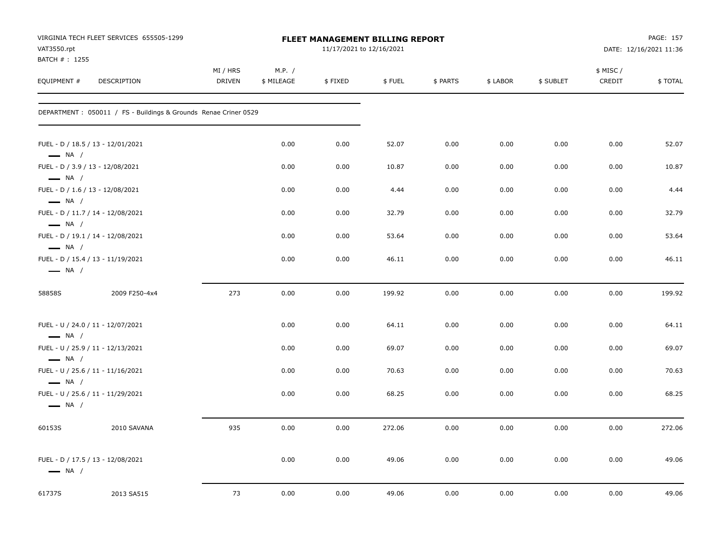| VAT3550.rpt<br>BATCH #: 1255                                                         | VIRGINIA TECH FLEET SERVICES 655505-1299                         | FLEET MANAGEMENT BILLING REPORT<br>11/17/2021 to 12/16/2021 |                      |         |        |          |          |           |                     | PAGE: 157<br>DATE: 12/16/2021 11:36 |
|--------------------------------------------------------------------------------------|------------------------------------------------------------------|-------------------------------------------------------------|----------------------|---------|--------|----------|----------|-----------|---------------------|-------------------------------------|
| EQUIPMENT #                                                                          | <b>DESCRIPTION</b>                                               | MI / HRS<br><b>DRIVEN</b>                                   | M.P. /<br>\$ MILEAGE | \$FIXED | \$FUEL | \$ PARTS | \$ LABOR | \$ SUBLET | \$ MISC /<br>CREDIT | \$TOTAL                             |
|                                                                                      | DEPARTMENT : 050011 / FS - Buildings & Grounds Renae Criner 0529 |                                                             |                      |         |        |          |          |           |                     |                                     |
| $\longrightarrow$ NA /                                                               | FUEL - D / 18.5 / 13 - 12/01/2021                                |                                                             | 0.00                 | 0.00    | 52.07  | 0.00     | 0.00     | 0.00      | 0.00                | 52.07                               |
| FUEL - D / 3.9 / 13 - 12/08/2021                                                     |                                                                  |                                                             | 0.00                 | 0.00    | 10.87  | 0.00     | 0.00     | 0.00      | 0.00                | 10.87                               |
| $\longrightarrow$ NA /<br>FUEL - D / 1.6 / 13 - 12/08/2021<br>$\longrightarrow$ NA / |                                                                  |                                                             | 0.00                 | 0.00    | 4.44   | 0.00     | 0.00     | 0.00      | 0.00                | 4.44                                |
|                                                                                      | FUEL - D / 11.7 / 14 - 12/08/2021                                |                                                             | 0.00                 | 0.00    | 32.79  | 0.00     | 0.00     | 0.00      | 0.00                | 32.79                               |
| $\longrightarrow$ NA /<br>$\longrightarrow$ NA /                                     | FUEL - D / 19.1 / 14 - 12/08/2021                                |                                                             | 0.00                 | 0.00    | 53.64  | 0.00     | 0.00     | 0.00      | 0.00                | 53.64                               |
| $\longrightarrow$ NA /                                                               | FUEL - D / 15.4 / 13 - 11/19/2021                                |                                                             | 0.00                 | 0.00    | 46.11  | 0.00     | 0.00     | 0.00      | 0.00                | 46.11                               |
| 58858S                                                                               | 2009 F250-4x4                                                    | 273                                                         | 0.00                 | 0.00    | 199.92 | 0.00     | 0.00     | 0.00      | 0.00                | 199.92                              |
| $\longrightarrow$ NA /                                                               | FUEL - U / 24.0 / 11 - 12/07/2021                                |                                                             | 0.00                 | 0.00    | 64.11  | 0.00     | 0.00     | 0.00      | 0.00                | 64.11                               |
| $\longrightarrow$ NA /                                                               | FUEL - U / 25.9 / 11 - 12/13/2021                                |                                                             | 0.00                 | 0.00    | 69.07  | 0.00     | 0.00     | 0.00      | 0.00                | 69.07                               |
| $\longrightarrow$ NA /                                                               | FUEL - U / 25.6 / 11 - 11/16/2021                                |                                                             | 0.00                 | 0.00    | 70.63  | 0.00     | 0.00     | 0.00      | 0.00                | 70.63                               |
| $\longrightarrow$ NA /                                                               | FUEL - U / 25.6 / 11 - 11/29/2021                                |                                                             | 0.00                 | 0.00    | 68.25  | 0.00     | 0.00     | 0.00      | 0.00                | 68.25                               |
| 60153S                                                                               | 2010 SAVANA                                                      | 935                                                         | 0.00                 | 0.00    | 272.06 | 0.00     | 0.00     | 0.00      | 0.00                | 272.06                              |
| $\longrightarrow$ NA /                                                               | FUEL - D / 17.5 / 13 - 12/08/2021                                |                                                             | 0.00                 | 0.00    | 49.06  | 0.00     | 0.00     | 0.00      | 0.00                | 49.06                               |
| 61737S                                                                               | 2013 SA515                                                       | 73                                                          | 0.00                 | 0.00    | 49.06  | 0.00     | 0.00     | 0.00      | 0.00                | 49.06                               |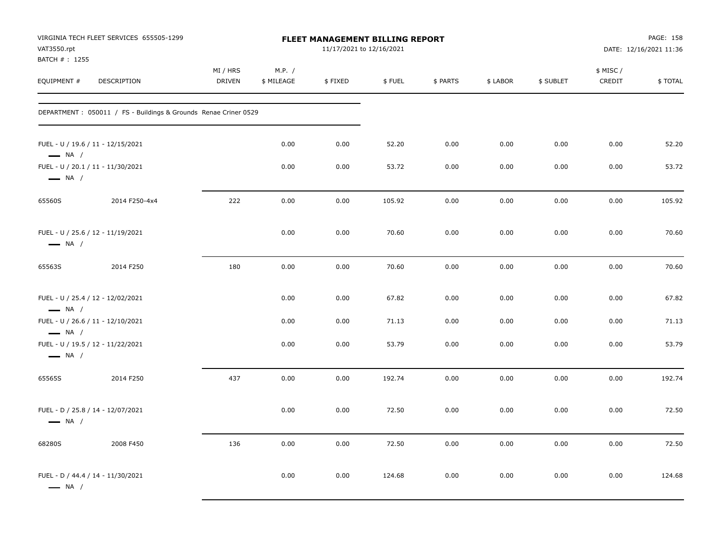| VAT3550.rpt<br>BATCH #: 1255                                                          | VIRGINIA TECH FLEET SERVICES 655505-1299                        | <b>FLEET MANAGEMENT BILLING REPORT</b><br>11/17/2021 to 12/16/2021 |                      |         |        |          |          |           | PAGE: 158<br>DATE: 12/16/2021 11:36 |         |
|---------------------------------------------------------------------------------------|-----------------------------------------------------------------|--------------------------------------------------------------------|----------------------|---------|--------|----------|----------|-----------|-------------------------------------|---------|
| EQUIPMENT #                                                                           | DESCRIPTION                                                     | MI / HRS<br><b>DRIVEN</b>                                          | M.P. /<br>\$ MILEAGE | \$FIXED | \$FUEL | \$ PARTS | \$ LABOR | \$ SUBLET | \$ MISC /<br>CREDIT                 | \$TOTAL |
|                                                                                       | DEPARTMENT: 050011 / FS - Buildings & Grounds Renae Criner 0529 |                                                                    |                      |         |        |          |          |           |                                     |         |
| FUEL - U / 19.6 / 11 - 12/15/2021<br>$\longrightarrow$ NA /                           |                                                                 |                                                                    | 0.00                 | 0.00    | 52.20  | 0.00     | 0.00     | 0.00      | 0.00                                | 52.20   |
| FUEL - U / 20.1 / 11 - 11/30/2021<br>$\longrightarrow$ NA /                           |                                                                 |                                                                    | 0.00                 | 0.00    | 53.72  | 0.00     | 0.00     | 0.00      | 0.00                                | 53.72   |
| 65560S                                                                                | 2014 F250-4x4                                                   | 222                                                                | 0.00                 | 0.00    | 105.92 | 0.00     | 0.00     | 0.00      | 0.00                                | 105.92  |
| FUEL - U / 25.6 / 12 - 11/19/2021<br>$\longrightarrow$ NA /                           |                                                                 |                                                                    | 0.00                 | 0.00    | 70.60  | 0.00     | 0.00     | 0.00      | 0.00                                | 70.60   |
| 65563S                                                                                | 2014 F250                                                       | 180                                                                | 0.00                 | 0.00    | 70.60  | 0.00     | 0.00     | 0.00      | 0.00                                | 70.60   |
| FUEL - U / 25.4 / 12 - 12/02/2021<br>$\longrightarrow$ NA /                           |                                                                 |                                                                    | 0.00                 | 0.00    | 67.82  | 0.00     | 0.00     | 0.00      | 0.00                                | 67.82   |
| FUEL - U / 26.6 / 11 - 12/10/2021                                                     |                                                                 |                                                                    | 0.00                 | 0.00    | 71.13  | 0.00     | 0.00     | 0.00      | 0.00                                | 71.13   |
| $\longrightarrow$ NA /<br>FUEL - U / 19.5 / 12 - 11/22/2021<br>$\longrightarrow$ NA / |                                                                 |                                                                    | 0.00                 | 0.00    | 53.79  | 0.00     | 0.00     | 0.00      | 0.00                                | 53.79   |
| 65565S                                                                                | 2014 F250                                                       | 437                                                                | 0.00                 | 0.00    | 192.74 | 0.00     | 0.00     | 0.00      | 0.00                                | 192.74  |
| FUEL - D / 25.8 / 14 - 12/07/2021<br>$\longrightarrow$ NA /                           |                                                                 |                                                                    | 0.00                 | 0.00    | 72.50  | 0.00     | 0.00     | 0.00      | 0.00                                | 72.50   |
| 68280S                                                                                | 2008 F450                                                       | 136                                                                | 0.00                 | 0.00    | 72.50  | 0.00     | 0.00     | 0.00      | 0.00                                | 72.50   |
| FUEL - D / 44.4 / 14 - 11/30/2021<br>$\longrightarrow$ NA /                           |                                                                 |                                                                    | 0.00                 | 0.00    | 124.68 | 0.00     | 0.00     | 0.00      | 0.00                                | 124.68  |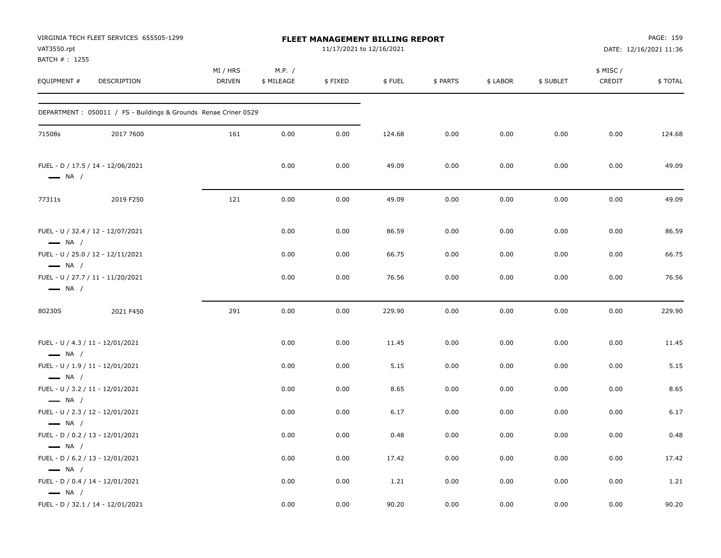| VAT3550.rpt                                      | VIRGINIA TECH FLEET SERVICES 655505-1299                         | FLEET MANAGEMENT BILLING REPORT<br>11/17/2021 to 12/16/2021 |                      |         |        |          |          |           |                     | PAGE: 159<br>DATE: 12/16/2021 11:36 |  |
|--------------------------------------------------|------------------------------------------------------------------|-------------------------------------------------------------|----------------------|---------|--------|----------|----------|-----------|---------------------|-------------------------------------|--|
| BATCH #: 1255<br>EQUIPMENT #                     | DESCRIPTION                                                      | MI / HRS<br><b>DRIVEN</b>                                   | M.P. /<br>\$ MILEAGE | \$FIXED | \$FUEL | \$ PARTS | \$ LABOR | \$ SUBLET | \$ MISC /<br>CREDIT | \$TOTAL                             |  |
|                                                  | DEPARTMENT : 050011 / FS - Buildings & Grounds Renae Criner 0529 |                                                             |                      |         |        |          |          |           |                     |                                     |  |
| 71508s                                           | 2017 7600                                                        | 161                                                         | 0.00                 | 0.00    | 124.68 | 0.00     | 0.00     | 0.00      | 0.00                | 124.68                              |  |
| $\longrightarrow$ NA /                           | FUEL - D / 17.5 / 14 - 12/06/2021                                |                                                             | 0.00                 | 0.00    | 49.09  | 0.00     | 0.00     | 0.00      | 0.00                | 49.09                               |  |
| 77311s                                           | 2019 F250                                                        | 121                                                         | 0.00                 | 0.00    | 49.09  | 0.00     | 0.00     | 0.00      | 0.00                | 49.09                               |  |
| $\longrightarrow$ NA /                           | FUEL - U / 32.4 / 12 - 12/07/2021                                |                                                             | 0.00                 | 0.00    | 86.59  | 0.00     | 0.00     | 0.00      | 0.00                | 86.59                               |  |
| $\longrightarrow$ NA /                           | FUEL - U / 25.0 / 12 - 12/11/2021                                |                                                             | 0.00                 | 0.00    | 66.75  | 0.00     | 0.00     | 0.00      | 0.00                | 66.75                               |  |
| $\longrightarrow$ NA /                           | FUEL - U / 27.7 / 11 - 11/20/2021                                |                                                             | 0.00                 | 0.00    | 76.56  | 0.00     | 0.00     | 0.00      | 0.00                | 76.56                               |  |
| 80230S                                           | 2021 F450                                                        | 291                                                         | 0.00                 | 0.00    | 229.90 | 0.00     | 0.00     | 0.00      | 0.00                | 229.90                              |  |
| $\longrightarrow$ NA /                           | FUEL - U / 4.3 / 11 - 12/01/2021                                 |                                                             | 0.00                 | 0.00    | 11.45  | 0.00     | 0.00     | 0.00      | 0.00                | 11.45                               |  |
| $\longrightarrow$ NA /                           | FUEL - U / 1.9 / 11 - 12/01/2021                                 |                                                             | 0.00                 | 0.00    | 5.15   | 0.00     | 0.00     | 0.00      | 0.00                | 5.15                                |  |
| $\longrightarrow$ NA /                           | FUEL - U / 3.2 / 11 - 12/01/2021                                 |                                                             | 0.00                 | 0.00    | 8.65   | 0.00     | 0.00     | 0.00      | 0.00                | 8.65                                |  |
|                                                  | FUEL - U / 2.3 / 12 - 12/01/2021                                 |                                                             | 0.00                 | 0.00    | 6.17   | 0.00     | 0.00     | 0.00      | 0.00                | 6.17                                |  |
| $\longrightarrow$ NA /                           | FUEL - D / 0.2 / 13 - 12/01/2021                                 |                                                             | 0.00                 | 0.00    | 0.48   | 0.00     | 0.00     | 0.00      | 0.00                | 0.48                                |  |
| $\longrightarrow$ NA /                           | FUEL - D / 6.2 / 13 - 12/01/2021                                 |                                                             | 0.00                 | 0.00    | 17.42  | 0.00     | 0.00     | 0.00      | 0.00                | 17.42                               |  |
| $\longrightarrow$ NA /<br>$\longrightarrow$ NA / | FUEL - D / 0.4 / 14 - 12/01/2021                                 |                                                             | 0.00                 | 0.00    | 1.21   | 0.00     | 0.00     | 0.00      | 0.00                | 1.21                                |  |
|                                                  | FUEL - D / 32.1 / 14 - 12/01/2021                                |                                                             | 0.00                 | 0.00    | 90.20  | 0.00     | 0.00     | 0.00      | 0.00                | 90.20                               |  |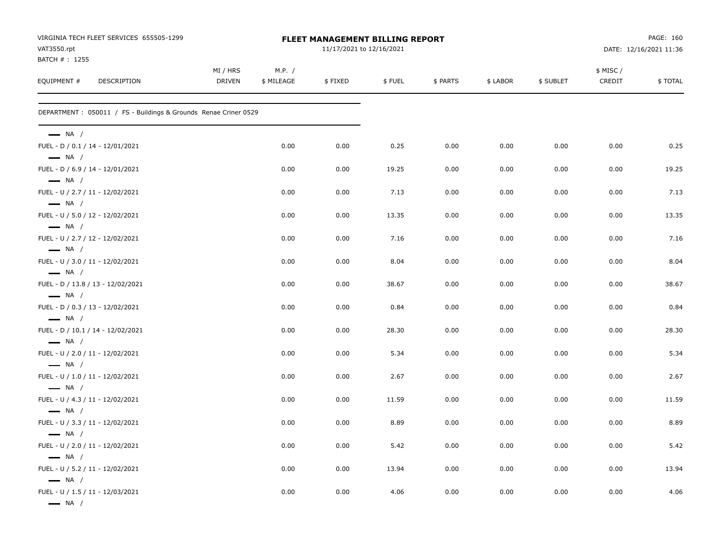| VIRGINIA TECH FLEET SERVICES 655505-1299<br>VAT3550.rpt          |                           |                      | FLEET MANAGEMENT BILLING REPORT<br>11/17/2021 to 12/16/2021 |        |          |          | PAGE: 160<br>DATE: 12/16/2021 11:36 |                     |         |
|------------------------------------------------------------------|---------------------------|----------------------|-------------------------------------------------------------|--------|----------|----------|-------------------------------------|---------------------|---------|
| BATCH #: 1255<br>EQUIPMENT #<br>DESCRIPTION                      | MI / HRS<br><b>DRIVEN</b> | M.P. /<br>\$ MILEAGE | \$FIXED                                                     | \$FUEL | \$ PARTS | \$ LABOR | \$ SUBLET                           | \$ MISC /<br>CREDIT | \$TOTAL |
| DEPARTMENT : 050011 / FS - Buildings & Grounds Renae Criner 0529 |                           |                      |                                                             |        |          |          |                                     |                     |         |
| $\longrightarrow$ NA /                                           |                           |                      |                                                             |        |          |          |                                     |                     |         |
| FUEL - D / 0.1 / 14 - 12/01/2021<br>$\longrightarrow$ NA /       |                           | 0.00                 | 0.00                                                        | 0.25   | 0.00     | 0.00     | 0.00                                | 0.00                | 0.25    |
| FUEL - D / 6.9 / 14 - 12/01/2021<br>$\longrightarrow$ NA /       |                           | 0.00                 | 0.00                                                        | 19.25  | 0.00     | 0.00     | 0.00                                | 0.00                | 19.25   |
| FUEL - U / 2.7 / 11 - 12/02/2021                                 |                           | 0.00                 | 0.00                                                        | 7.13   | 0.00     | 0.00     | 0.00                                | 0.00                | 7.13    |
| $\longrightarrow$ NA /<br>FUEL - U / 5.0 / 12 - 12/02/2021       |                           | 0.00                 | 0.00                                                        | 13.35  | 0.00     | 0.00     | 0.00                                | 0.00                | 13.35   |
| $\longrightarrow$ NA /<br>FUEL - U / 2.7 / 12 - 12/02/2021       |                           | 0.00                 | 0.00                                                        | 7.16   | 0.00     | 0.00     | 0.00                                | 0.00                | 7.16    |
| $\longrightarrow$ NA /<br>FUEL - U / 3.0 / 11 - 12/02/2021       |                           | 0.00                 | 0.00                                                        | 8.04   | 0.00     | 0.00     | 0.00                                | 0.00                | 8.04    |
| $\longrightarrow$ NA /<br>FUEL - D / 13.8 / 13 - 12/02/2021      |                           | 0.00                 | 0.00                                                        | 38.67  | 0.00     | 0.00     | 0.00                                | 0.00                | 38.67   |
| $\longrightarrow$ NA /<br>FUEL - D / 0.3 / 13 - 12/02/2021       |                           | 0.00                 | 0.00                                                        | 0.84   | 0.00     | 0.00     | 0.00                                | 0.00                | 0.84    |
| $\longrightarrow$ NA /<br>FUEL - D / 10.1 / 14 - 12/02/2021      |                           | 0.00                 | 0.00                                                        | 28.30  | 0.00     | 0.00     | 0.00                                | 0.00                | 28.30   |
| $\longrightarrow$ NA /<br>FUEL - U / 2.0 / 11 - 12/02/2021       |                           | 0.00                 | 0.00                                                        | 5.34   | 0.00     | 0.00     | 0.00                                | 0.00                | 5.34    |
| $\longrightarrow$ NA /<br>FUEL - U / 1.0 / 11 - 12/02/2021       |                           | 0.00                 | 0.00                                                        | 2.67   | 0.00     | 0.00     | 0.00                                | 0.00                | 2.67    |
| $\longrightarrow$ NA /<br>FUEL - U / 4.3 / 11 - 12/02/2021       |                           | 0.00                 | 0.00                                                        | 11.59  | 0.00     | 0.00     | 0.00                                | 0.00                | 11.59   |
| $\longrightarrow$ NA /<br>FUEL - U / 3.3 / 11 - 12/02/2021       |                           | 0.00                 | 0.00                                                        | 8.89   | 0.00     | 0.00     | 0.00                                | 0.00                | 8.89    |
| $\longrightarrow$ NA /                                           |                           |                      | 0.00                                                        | 5.42   |          |          | 0.00                                | 0.00                |         |
| FUEL - U / 2.0 / 11 - 12/02/2021<br>$\longrightarrow$ NA /       |                           | 0.00                 |                                                             |        | 0.00     | 0.00     |                                     |                     | 5.42    |
| FUEL - U / 5.2 / 11 - 12/02/2021<br>$\longrightarrow$ NA /       |                           | 0.00                 | 0.00                                                        | 13.94  | 0.00     | 0.00     | 0.00                                | 0.00                | 13.94   |
| FUEL - U / 1.5 / 11 - 12/03/2021<br>$\longrightarrow$ NA /       |                           | 0.00                 | 0.00                                                        | 4.06   | 0.00     | 0.00     | 0.00                                | 0.00                | 4.06    |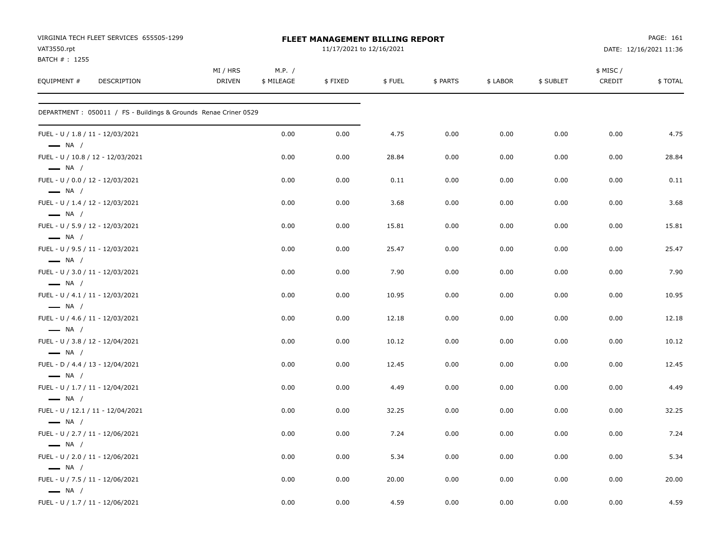| VIRGINIA TECH FLEET SERVICES 655505-1299<br>VAT3550.rpt<br>BATCH # : 1255 |                           |                      | FLEET MANAGEMENT BILLING REPORT<br>11/17/2021 to 12/16/2021 |        |          |          | PAGE: 161<br>DATE: 12/16/2021 11:36 |                    |         |
|---------------------------------------------------------------------------|---------------------------|----------------------|-------------------------------------------------------------|--------|----------|----------|-------------------------------------|--------------------|---------|
| EQUIPMENT #<br><b>DESCRIPTION</b>                                         | MI / HRS<br><b>DRIVEN</b> | M.P. /<br>\$ MILEAGE | \$FIXED                                                     | \$FUEL | \$ PARTS | \$ LABOR | \$ SUBLET                           | \$ MISC/<br>CREDIT | \$TOTAL |
| DEPARTMENT: 050011 / FS - Buildings & Grounds Renae Criner 0529           |                           |                      |                                                             |        |          |          |                                     |                    |         |
| FUEL - U / 1.8 / 11 - 12/03/2021<br>$\longrightarrow$ NA /                |                           | 0.00                 | 0.00                                                        | 4.75   | 0.00     | 0.00     | 0.00                                | 0.00               | 4.75    |
| FUEL - U / 10.8 / 12 - 12/03/2021<br>$\longrightarrow$ NA /               |                           | 0.00                 | 0.00                                                        | 28.84  | 0.00     | 0.00     | 0.00                                | 0.00               | 28.84   |
| FUEL - U / 0.0 / 12 - 12/03/2021<br>$\longrightarrow$ NA /                |                           | 0.00                 | 0.00                                                        | 0.11   | 0.00     | 0.00     | 0.00                                | 0.00               | 0.11    |
| FUEL - U / 1.4 / 12 - 12/03/2021<br>$\longrightarrow$ NA /                |                           | 0.00                 | 0.00                                                        | 3.68   | 0.00     | 0.00     | 0.00                                | 0.00               | 3.68    |
| FUEL - U / 5.9 / 12 - 12/03/2021<br>$\longrightarrow$ NA /                |                           | 0.00                 | 0.00                                                        | 15.81  | 0.00     | 0.00     | 0.00                                | 0.00               | 15.81   |
| FUEL - U / 9.5 / 11 - 12/03/2021<br>$\longrightarrow$ NA /                |                           | 0.00                 | 0.00                                                        | 25.47  | 0.00     | 0.00     | 0.00                                | 0.00               | 25.47   |
| FUEL - U / 3.0 / 11 - 12/03/2021<br>$\longrightarrow$ NA /                |                           | 0.00                 | 0.00                                                        | 7.90   | 0.00     | 0.00     | 0.00                                | 0.00               | 7.90    |
| FUEL - U / 4.1 / 11 - 12/03/2021<br>$\longrightarrow$ NA /                |                           | 0.00                 | 0.00                                                        | 10.95  | 0.00     | 0.00     | 0.00                                | 0.00               | 10.95   |
| FUEL - U / 4.6 / 11 - 12/03/2021<br>$\longrightarrow$ NA /                |                           | 0.00                 | 0.00                                                        | 12.18  | 0.00     | 0.00     | 0.00                                | 0.00               | 12.18   |
| FUEL - U / 3.8 / 12 - 12/04/2021<br>$\longrightarrow$ NA /                |                           | 0.00                 | 0.00                                                        | 10.12  | 0.00     | 0.00     | 0.00                                | 0.00               | 10.12   |
| FUEL - D / 4.4 / 13 - 12/04/2021<br>$\longrightarrow$ NA /                |                           | 0.00                 | 0.00                                                        | 12.45  | 0.00     | 0.00     | 0.00                                | 0.00               | 12.45   |
| FUEL - U / 1.7 / 11 - 12/04/2021<br>$\longrightarrow$ NA /                |                           | 0.00                 | 0.00                                                        | 4.49   | 0.00     | 0.00     | 0.00                                | 0.00               | 4.49    |
| FUEL - U / 12.1 / 11 - 12/04/2021<br>$\longrightarrow$ NA /               |                           | 0.00                 | 0.00                                                        | 32.25  | 0.00     | 0.00     | 0.00                                | 0.00               | 32.25   |
| FUEL - U / 2.7 / 11 - 12/06/2021<br>$\longrightarrow$ NA /                |                           | 0.00                 | 0.00                                                        | 7.24   | 0.00     | 0.00     | 0.00                                | 0.00               | 7.24    |
| FUEL - U / 2.0 / 11 - 12/06/2021<br>$\longrightarrow$ NA /                |                           | 0.00                 | 0.00                                                        | 5.34   | 0.00     | 0.00     | 0.00                                | 0.00               | 5.34    |
| FUEL - U / 7.5 / 11 - 12/06/2021<br>$\longrightarrow$ NA /                |                           | 0.00                 | 0.00                                                        | 20.00  | 0.00     | 0.00     | 0.00                                | 0.00               | 20.00   |
| FUEL - U / 1.7 / 11 - 12/06/2021                                          |                           | 0.00                 | 0.00                                                        | 4.59   | 0.00     | 0.00     | 0.00                                | 0.00               | 4.59    |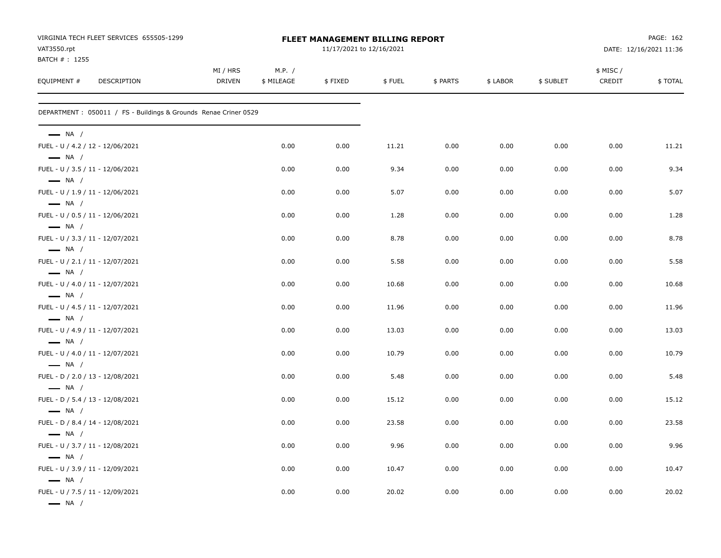| VAT3550.rpt<br>BATCH #: 1255                               | VIRGINIA TECH FLEET SERVICES 655505-1299                         |                           |                      | FLEET MANAGEMENT BILLING REPORT<br>11/17/2021 to 12/16/2021 |        |          |          | PAGE: 162<br>DATE: 12/16/2021 11:36 |                     |         |
|------------------------------------------------------------|------------------------------------------------------------------|---------------------------|----------------------|-------------------------------------------------------------|--------|----------|----------|-------------------------------------|---------------------|---------|
| EQUIPMENT #                                                | DESCRIPTION                                                      | MI / HRS<br><b>DRIVEN</b> | M.P. /<br>\$ MILEAGE | \$FIXED                                                     | \$FUEL | \$ PARTS | \$ LABOR | \$ SUBLET                           | \$ MISC /<br>CREDIT | \$TOTAL |
|                                                            | DEPARTMENT : 050011 / FS - Buildings & Grounds Renae Criner 0529 |                           |                      |                                                             |        |          |          |                                     |                     |         |
| $\longrightarrow$ NA /                                     |                                                                  |                           |                      |                                                             |        |          |          |                                     |                     |         |
| FUEL - U / 4.2 / 12 - 12/06/2021                           |                                                                  |                           | 0.00                 | 0.00                                                        | 11.21  | 0.00     | 0.00     | 0.00                                | 0.00                | 11.21   |
| $\longrightarrow$ NA /<br>FUEL - U / 3.5 / 11 - 12/06/2021 |                                                                  |                           | 0.00                 | 0.00                                                        | 9.34   | 0.00     | 0.00     | 0.00                                | 0.00                | 9.34    |
| $\longrightarrow$ NA /                                     |                                                                  |                           |                      |                                                             |        |          |          |                                     |                     |         |
| FUEL - U / 1.9 / 11 - 12/06/2021<br>$\longrightarrow$ NA / |                                                                  |                           | 0.00                 | 0.00                                                        | 5.07   | 0.00     | 0.00     | 0.00                                | 0.00                | 5.07    |
| FUEL - U / 0.5 / 11 - 12/06/2021                           |                                                                  |                           | 0.00                 | 0.00                                                        | 1.28   | 0.00     | 0.00     | 0.00                                | 0.00                | 1.28    |
| $\longrightarrow$ NA /                                     |                                                                  |                           |                      |                                                             |        |          |          |                                     |                     |         |
| FUEL - U / 3.3 / 11 - 12/07/2021<br>$\longrightarrow$ NA / |                                                                  |                           | 0.00                 | 0.00                                                        | 8.78   | 0.00     | 0.00     | 0.00                                | 0.00                | 8.78    |
| FUEL - U / 2.1 / 11 - 12/07/2021                           |                                                                  |                           | 0.00                 | 0.00                                                        | 5.58   | 0.00     | 0.00     | 0.00                                | 0.00                | 5.58    |
| $\longrightarrow$ NA /                                     |                                                                  |                           |                      |                                                             |        |          |          |                                     |                     |         |
| FUEL - U / 4.0 / 11 - 12/07/2021                           |                                                                  |                           | 0.00                 | 0.00                                                        | 10.68  | 0.00     | 0.00     | 0.00                                | 0.00                | 10.68   |
| $\longrightarrow$ NA /                                     |                                                                  |                           |                      |                                                             |        |          |          |                                     |                     |         |
| FUEL - U / 4.5 / 11 - 12/07/2021<br>$\longrightarrow$ NA / |                                                                  |                           | 0.00                 | 0.00                                                        | 11.96  | 0.00     | 0.00     | 0.00                                | 0.00                | 11.96   |
| FUEL - U / 4.9 / 11 - 12/07/2021                           |                                                                  |                           | 0.00                 | 0.00                                                        | 13.03  | 0.00     | 0.00     | 0.00                                | 0.00                | 13.03   |
| $\longrightarrow$ NA /                                     |                                                                  |                           |                      |                                                             |        |          |          |                                     |                     |         |
| FUEL - U / 4.0 / 11 - 12/07/2021                           |                                                                  |                           | 0.00                 | 0.00                                                        | 10.79  | 0.00     | 0.00     | 0.00                                | 0.00                | 10.79   |
| $\longrightarrow$ NA /                                     |                                                                  |                           |                      |                                                             |        |          |          |                                     |                     |         |
| FUEL - D / 2.0 / 13 - 12/08/2021<br>$\longrightarrow$ NA / |                                                                  |                           | 0.00                 | 0.00                                                        | 5.48   | 0.00     | 0.00     | 0.00                                | 0.00                | 5.48    |
| FUEL - D / 5.4 / 13 - 12/08/2021                           |                                                                  |                           | 0.00                 | 0.00                                                        | 15.12  | 0.00     | 0.00     | 0.00                                | 0.00                | 15.12   |
| $\longrightarrow$ NA /                                     |                                                                  |                           |                      |                                                             |        |          |          |                                     |                     |         |
| FUEL - D / 8.4 / 14 - 12/08/2021                           |                                                                  |                           | 0.00                 | 0.00                                                        | 23.58  | 0.00     | 0.00     | 0.00                                | 0.00                | 23.58   |
| $\longrightarrow$ NA /                                     |                                                                  |                           |                      |                                                             |        |          |          |                                     |                     |         |
| FUEL - U / 3.7 / 11 - 12/08/2021                           |                                                                  |                           | 0.00                 | 0.00                                                        | 9.96   | 0.00     | 0.00     | 0.00                                | 0.00                | 9.96    |
| $\longrightarrow$ NA /<br>FUEL - U / 3.9 / 11 - 12/09/2021 |                                                                  |                           | 0.00                 | 0.00                                                        | 10.47  | 0.00     | 0.00     | 0.00                                | 0.00                | 10.47   |
| $\longrightarrow$ NA /                                     |                                                                  |                           |                      |                                                             |        |          |          |                                     |                     |         |
| FUEL - U / 7.5 / 11 - 12/09/2021                           |                                                                  |                           | 0.00                 | 0.00                                                        | 20.02  | 0.00     | 0.00     | 0.00                                | 0.00                | 20.02   |
| $\longrightarrow$ NA /                                     |                                                                  |                           |                      |                                                             |        |          |          |                                     |                     |         |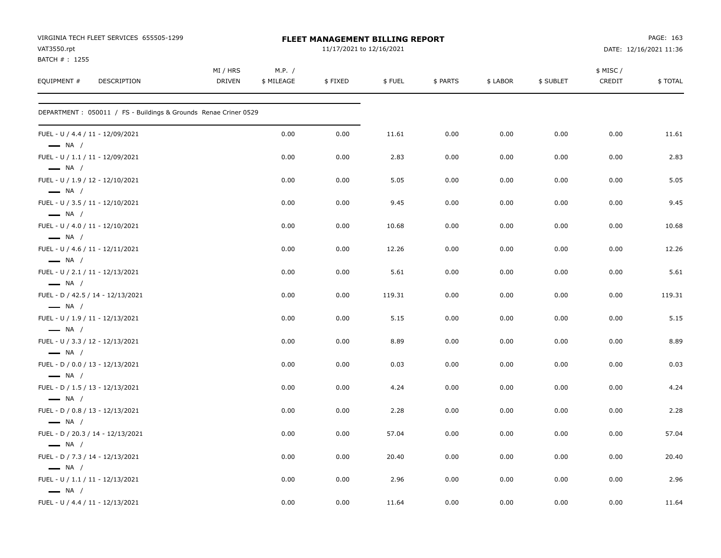| VIRGINIA TECH FLEET SERVICES 655505-1299<br>VAT3550.rpt<br>BATCH #: 1255 |                           |                      | FLEET MANAGEMENT BILLING REPORT<br>11/17/2021 to 12/16/2021 |        |          | PAGE: 163<br>DATE: 12/16/2021 11:36 |           |                    |         |
|--------------------------------------------------------------------------|---------------------------|----------------------|-------------------------------------------------------------|--------|----------|-------------------------------------|-----------|--------------------|---------|
| EQUIPMENT #<br><b>DESCRIPTION</b>                                        | MI / HRS<br><b>DRIVEN</b> | M.P. /<br>\$ MILEAGE | \$FIXED                                                     | \$FUEL | \$ PARTS | \$ LABOR                            | \$ SUBLET | \$ MISC/<br>CREDIT | \$TOTAL |
| DEPARTMENT : 050011 / FS - Buildings & Grounds Renae Criner 0529         |                           |                      |                                                             |        |          |                                     |           |                    |         |
| FUEL - U / 4.4 / 11 - 12/09/2021<br>$\longrightarrow$ NA /               |                           | 0.00                 | 0.00                                                        | 11.61  | 0.00     | 0.00                                | 0.00      | 0.00               | 11.61   |
| FUEL - U / 1.1 / 11 - 12/09/2021<br>$\longrightarrow$ NA /               |                           | 0.00                 | 0.00                                                        | 2.83   | 0.00     | 0.00                                | 0.00      | 0.00               | 2.83    |
| FUEL - U / 1.9 / 12 - 12/10/2021<br>$\longrightarrow$ NA /               |                           | 0.00                 | 0.00                                                        | 5.05   | 0.00     | 0.00                                | 0.00      | 0.00               | 5.05    |
| FUEL - U / 3.5 / 11 - 12/10/2021<br>$\longrightarrow$ NA /               |                           | 0.00                 | 0.00                                                        | 9.45   | 0.00     | 0.00                                | 0.00      | 0.00               | 9.45    |
| FUEL - U / 4.0 / 11 - 12/10/2021<br>$\longrightarrow$ NA /               |                           | 0.00                 | 0.00                                                        | 10.68  | 0.00     | 0.00                                | 0.00      | 0.00               | 10.68   |
| FUEL - U / 4.6 / 11 - 12/11/2021<br>$\longrightarrow$ NA /               |                           | 0.00                 | 0.00                                                        | 12.26  | 0.00     | 0.00                                | 0.00      | 0.00               | 12.26   |
| FUEL - U / 2.1 / 11 - 12/13/2021<br>$\longrightarrow$ NA /               |                           | 0.00                 | 0.00                                                        | 5.61   | 0.00     | 0.00                                | 0.00      | 0.00               | 5.61    |
| FUEL - D / 42.5 / 14 - 12/13/2021<br>$\longrightarrow$ NA /              |                           | 0.00                 | 0.00                                                        | 119.31 | 0.00     | 0.00                                | 0.00      | 0.00               | 119.31  |
| FUEL - U / 1.9 / 11 - 12/13/2021<br>$\longrightarrow$ NA /               |                           | 0.00                 | 0.00                                                        | 5.15   | 0.00     | 0.00                                | 0.00      | 0.00               | 5.15    |
| FUEL - U / 3.3 / 12 - 12/13/2021<br>$\longrightarrow$ NA /               |                           | 0.00                 | 0.00                                                        | 8.89   | 0.00     | 0.00                                | 0.00      | 0.00               | 8.89    |
| FUEL - D / 0.0 / 13 - 12/13/2021<br>$\longrightarrow$ NA /               |                           | 0.00                 | 0.00                                                        | 0.03   | 0.00     | 0.00                                | 0.00      | 0.00               | 0.03    |
| FUEL - D / 1.5 / 13 - 12/13/2021<br>$\longrightarrow$ NA /               |                           | 0.00                 | 0.00                                                        | 4.24   | 0.00     | 0.00                                | 0.00      | 0.00               | 4.24    |
| FUEL - D / 0.8 / 13 - 12/13/2021<br>$\longrightarrow$ NA /               |                           | 0.00                 | 0.00                                                        | 2.28   | 0.00     | 0.00                                | 0.00      | 0.00               | 2.28    |
| FUEL - D / 20.3 / 14 - 12/13/2021<br>$\longrightarrow$ NA /              |                           | 0.00                 | 0.00                                                        | 57.04  | 0.00     | 0.00                                | 0.00      | 0.00               | 57.04   |
| FUEL - D / 7.3 / 14 - 12/13/2021<br>$\equiv$ NA /                        |                           | 0.00                 | 0.00                                                        | 20.40  | 0.00     | 0.00                                | 0.00      | 0.00               | 20.40   |
| FUEL - U / 1.1 / 11 - 12/13/2021<br>$\longrightarrow$ NA /               |                           | 0.00                 | 0.00                                                        | 2.96   | 0.00     | 0.00                                | 0.00      | 0.00               | 2.96    |
| FUEL - U / 4.4 / 11 - 12/13/2021                                         |                           | 0.00                 | 0.00                                                        | 11.64  | 0.00     | 0.00                                | 0.00      | 0.00               | 11.64   |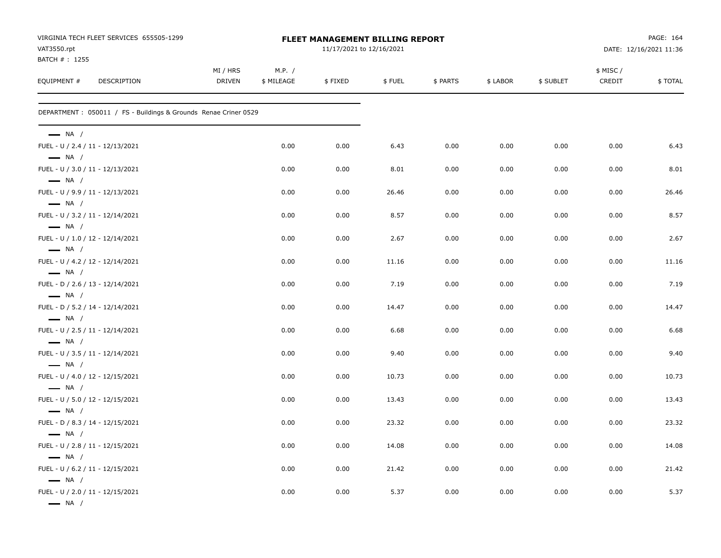| VIRGINIA TECH FLEET SERVICES 655505-1299<br>VAT3550.rpt                              |                           |                      | FLEET MANAGEMENT BILLING REPORT<br>11/17/2021 to 12/16/2021 |        |          | PAGE: 164<br>DATE: 12/16/2021 11:36 |           |                     |         |
|--------------------------------------------------------------------------------------|---------------------------|----------------------|-------------------------------------------------------------|--------|----------|-------------------------------------|-----------|---------------------|---------|
| BATCH #: 1255<br>EQUIPMENT #<br>DESCRIPTION                                          | MI / HRS<br><b>DRIVEN</b> | M.P. /<br>\$ MILEAGE | \$FIXED                                                     | \$FUEL | \$ PARTS | \$ LABOR                            | \$ SUBLET | \$ MISC /<br>CREDIT | \$TOTAL |
| DEPARTMENT : 050011 / FS - Buildings & Grounds Renae Criner 0529                     |                           |                      |                                                             |        |          |                                     |           |                     |         |
| $\longrightarrow$ NA /                                                               |                           |                      |                                                             |        |          |                                     |           |                     |         |
| FUEL - U / 2.4 / 11 - 12/13/2021<br>$\longrightarrow$ NA /                           |                           | 0.00                 | 0.00                                                        | 6.43   | 0.00     | 0.00                                | 0.00      | 0.00                | 6.43    |
| FUEL - U / 3.0 / 11 - 12/13/2021                                                     |                           | 0.00                 | 0.00                                                        | 8.01   | 0.00     | 0.00                                | 0.00      | 0.00                | 8.01    |
| $\longrightarrow$ NA /<br>FUEL - U / 9.9 / 11 - 12/13/2021<br>$\longrightarrow$ NA / |                           | 0.00                 | 0.00                                                        | 26.46  | 0.00     | 0.00                                | 0.00      | 0.00                | 26.46   |
| FUEL - U / 3.2 / 11 - 12/14/2021<br>$\longrightarrow$ NA /                           |                           | 0.00                 | 0.00                                                        | 8.57   | 0.00     | 0.00                                | 0.00      | 0.00                | 8.57    |
| FUEL - U / 1.0 / 12 - 12/14/2021<br>$\longrightarrow$ NA /                           |                           | 0.00                 | 0.00                                                        | 2.67   | 0.00     | 0.00                                | 0.00      | 0.00                | 2.67    |
| FUEL - U / 4.2 / 12 - 12/14/2021                                                     |                           | 0.00                 | 0.00                                                        | 11.16  | 0.00     | 0.00                                | 0.00      | 0.00                | 11.16   |
| $\longrightarrow$ NA /<br>FUEL - D / 2.6 / 13 - 12/14/2021<br>$\longrightarrow$ NA / |                           | 0.00                 | 0.00                                                        | 7.19   | 0.00     | 0.00                                | 0.00      | 0.00                | 7.19    |
| FUEL - D / 5.2 / 14 - 12/14/2021<br>$\longrightarrow$ NA /                           |                           | 0.00                 | 0.00                                                        | 14.47  | 0.00     | 0.00                                | 0.00      | 0.00                | 14.47   |
| FUEL - U / 2.5 / 11 - 12/14/2021<br>$\longrightarrow$ NA /                           |                           | 0.00                 | 0.00                                                        | 6.68   | 0.00     | 0.00                                | 0.00      | 0.00                | 6.68    |
| FUEL - U / 3.5 / 11 - 12/14/2021<br>$\longrightarrow$ NA /                           |                           | 0.00                 | 0.00                                                        | 9.40   | 0.00     | 0.00                                | 0.00      | 0.00                | 9.40    |
| FUEL - U / 4.0 / 12 - 12/15/2021<br>$\longrightarrow$ NA /                           |                           | 0.00                 | 0.00                                                        | 10.73  | 0.00     | 0.00                                | 0.00      | 0.00                | 10.73   |
| FUEL - U / 5.0 / 12 - 12/15/2021<br>$\longrightarrow$ NA /                           |                           | 0.00                 | 0.00                                                        | 13.43  | 0.00     | 0.00                                | 0.00      | 0.00                | 13.43   |
| FUEL - D / 8.3 / 14 - 12/15/2021<br>$\longrightarrow$ NA /                           |                           | 0.00                 | 0.00                                                        | 23.32  | 0.00     | 0.00                                | 0.00      | 0.00                | 23.32   |
| FUEL - U / 2.8 / 11 - 12/15/2021                                                     |                           | 0.00                 | 0.00                                                        | 14.08  | 0.00     | 0.00                                | 0.00      | 0.00                | 14.08   |
| $\longrightarrow$ NA /<br>FUEL - U / 6.2 / 11 - 12/15/2021<br>$\longrightarrow$ NA / |                           | 0.00                 | 0.00                                                        | 21.42  | 0.00     | 0.00                                | 0.00      | 0.00                | 21.42   |
| FUEL - U / 2.0 / 11 - 12/15/2021<br>$\longrightarrow$ NA /                           |                           | 0.00                 | 0.00                                                        | 5.37   | 0.00     | 0.00                                | 0.00      | 0.00                | 5.37    |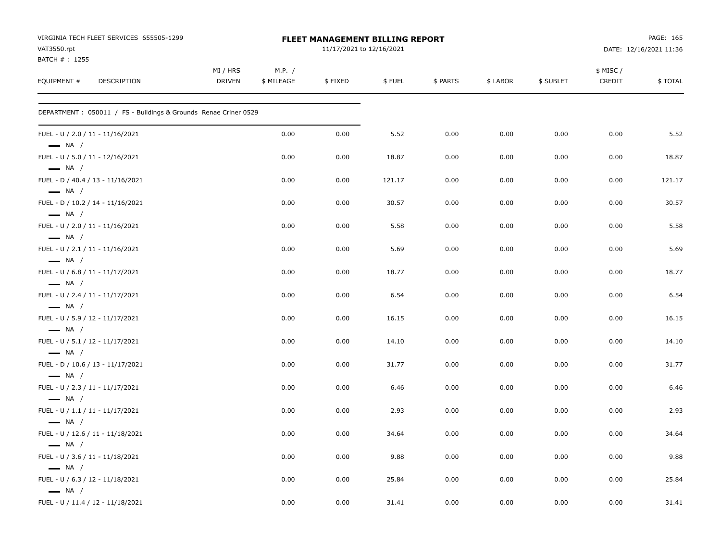| VIRGINIA TECH FLEET SERVICES 655505-1299<br>VAT3550.rpt<br>BATCH #: 1255 |                           |                      | FLEET MANAGEMENT BILLING REPORT<br>11/17/2021 to 12/16/2021 |        |          | PAGE: 165<br>DATE: 12/16/2021 11:36 |           |                     |         |
|--------------------------------------------------------------------------|---------------------------|----------------------|-------------------------------------------------------------|--------|----------|-------------------------------------|-----------|---------------------|---------|
| EQUIPMENT #<br>DESCRIPTION                                               | MI / HRS<br><b>DRIVEN</b> | M.P. /<br>\$ MILEAGE | \$FIXED                                                     | \$FUEL | \$ PARTS | \$ LABOR                            | \$ SUBLET | \$ MISC /<br>CREDIT | \$TOTAL |
| DEPARTMENT : 050011 / FS - Buildings & Grounds Renae Criner 0529         |                           |                      |                                                             |        |          |                                     |           |                     |         |
| FUEL - U / 2.0 / 11 - 11/16/2021<br>$\longrightarrow$ NA /               |                           | 0.00                 | 0.00                                                        | 5.52   | 0.00     | 0.00                                | 0.00      | 0.00                | 5.52    |
| FUEL - U / 5.0 / 11 - 12/16/2021<br>$\longrightarrow$ NA /               |                           | 0.00                 | 0.00                                                        | 18.87  | 0.00     | 0.00                                | 0.00      | 0.00                | 18.87   |
| FUEL - D / 40.4 / 13 - 11/16/2021<br>$\longrightarrow$ NA /              |                           | 0.00                 | 0.00                                                        | 121.17 | 0.00     | 0.00                                | 0.00      | 0.00                | 121.17  |
| FUEL - D / 10.2 / 14 - 11/16/2021<br>$\longrightarrow$ NA /              |                           | 0.00                 | 0.00                                                        | 30.57  | 0.00     | 0.00                                | 0.00      | 0.00                | 30.57   |
| FUEL - U / 2.0 / 11 - 11/16/2021<br>$\longrightarrow$ NA /               |                           | 0.00                 | 0.00                                                        | 5.58   | 0.00     | 0.00                                | 0.00      | 0.00                | 5.58    |
| FUEL - U / 2.1 / 11 - 11/16/2021<br>$\longrightarrow$ NA /               |                           | 0.00                 | 0.00                                                        | 5.69   | 0.00     | 0.00                                | 0.00      | 0.00                | 5.69    |
| FUEL - U / 6.8 / 11 - 11/17/2021<br>$\longrightarrow$ NA /               |                           | 0.00                 | 0.00                                                        | 18.77  | 0.00     | 0.00                                | 0.00      | 0.00                | 18.77   |
| FUEL - U / 2.4 / 11 - 11/17/2021<br>$\longrightarrow$ NA /               |                           | 0.00                 | 0.00                                                        | 6.54   | 0.00     | 0.00                                | 0.00      | 0.00                | 6.54    |
| FUEL - U / 5.9 / 12 - 11/17/2021<br>$\longrightarrow$ NA /               |                           | 0.00                 | 0.00                                                        | 16.15  | 0.00     | 0.00                                | 0.00      | 0.00                | 16.15   |
| FUEL - U / 5.1 / 12 - 11/17/2021<br>$\longrightarrow$ NA /               |                           | 0.00                 | 0.00                                                        | 14.10  | 0.00     | 0.00                                | 0.00      | 0.00                | 14.10   |
| FUEL - D / 10.6 / 13 - 11/17/2021<br>$\longrightarrow$ NA /              |                           | 0.00                 | 0.00                                                        | 31.77  | 0.00     | 0.00                                | 0.00      | 0.00                | 31.77   |
| FUEL - U / 2.3 / 11 - 11/17/2021<br>$\longrightarrow$ NA /               |                           | 0.00                 | 0.00                                                        | 6.46   | 0.00     | 0.00                                | 0.00      | 0.00                | 6.46    |
| FUEL - U / 1.1 / 11 - 11/17/2021<br>$\longrightarrow$ NA /               |                           | 0.00                 | 0.00                                                        | 2.93   | 0.00     | 0.00                                | 0.00      | 0.00                | 2.93    |
| FUEL - U / 12.6 / 11 - 11/18/2021<br>$\longrightarrow$ NA /              |                           | 0.00                 | 0.00                                                        | 34.64  | 0.00     | 0.00                                | 0.00      | 0.00                | 34.64   |
| FUEL - U / 3.6 / 11 - 11/18/2021<br>$\longrightarrow$ NA /               |                           | 0.00                 | 0.00                                                        | 9.88   | 0.00     | 0.00                                | 0.00      | 0.00                | 9.88    |
| FUEL - U / 6.3 / 12 - 11/18/2021<br>$\longrightarrow$ NA /               |                           | 0.00                 | 0.00                                                        | 25.84  | 0.00     | 0.00                                | 0.00      | 0.00                | 25.84   |
| FUEL - U / 11.4 / 12 - 11/18/2021                                        |                           | 0.00                 | 0.00                                                        | 31.41  | 0.00     | 0.00                                | 0.00      | 0.00                | 31.41   |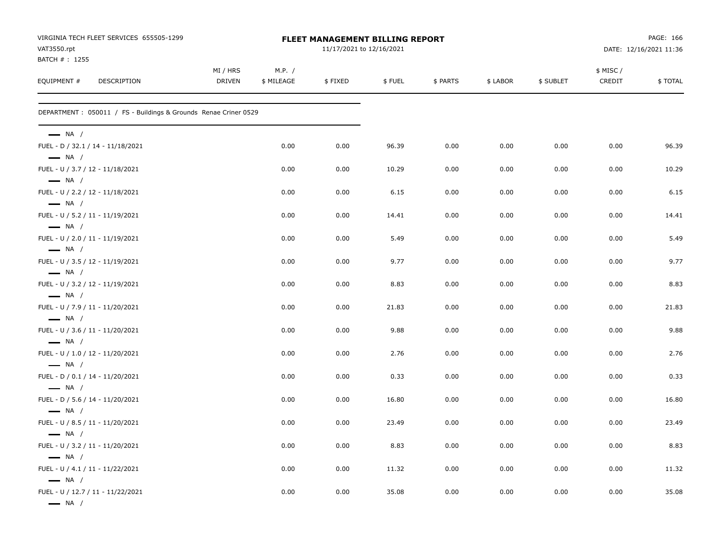| VAT3550.rpt                                                                           | VIRGINIA TECH FLEET SERVICES 655505-1299                         |                    |                      | <b>FLEET MANAGEMENT BILLING REPORT</b><br>11/17/2021 to 12/16/2021 |        |          | PAGE: 166<br>DATE: 12/16/2021 11:36 |           |                     |         |
|---------------------------------------------------------------------------------------|------------------------------------------------------------------|--------------------|----------------------|--------------------------------------------------------------------|--------|----------|-------------------------------------|-----------|---------------------|---------|
| BATCH #: 1255<br>EQUIPMENT #                                                          | DESCRIPTION                                                      | MI / HRS<br>DRIVEN | M.P. /<br>\$ MILEAGE | \$FIXED                                                            | \$FUEL | \$ PARTS | \$ LABOR                            | \$ SUBLET | \$ MISC /<br>CREDIT | \$TOTAL |
|                                                                                       | DEPARTMENT : 050011 / FS - Buildings & Grounds Renae Criner 0529 |                    |                      |                                                                    |        |          |                                     |           |                     |         |
| $\longrightarrow$ NA /                                                                |                                                                  |                    |                      |                                                                    |        |          |                                     |           |                     |         |
| FUEL - D / 32.1 / 14 - 11/18/2021<br>$\longrightarrow$ NA /                           |                                                                  |                    | 0.00                 | 0.00                                                               | 96.39  | 0.00     | 0.00                                | 0.00      | 0.00                | 96.39   |
| FUEL - U / 3.7 / 12 - 11/18/2021<br>$\longrightarrow$ NA /                            |                                                                  |                    | 0.00                 | 0.00                                                               | 10.29  | 0.00     | 0.00                                | 0.00      | 0.00                | 10.29   |
| FUEL - U / 2.2 / 12 - 11/18/2021<br>$\longrightarrow$ NA /                            |                                                                  |                    | 0.00                 | 0.00                                                               | 6.15   | 0.00     | 0.00                                | 0.00      | 0.00                | 6.15    |
| FUEL - U / 5.2 / 11 - 11/19/2021<br>$\longrightarrow$ NA /                            |                                                                  |                    | 0.00                 | 0.00                                                               | 14.41  | 0.00     | 0.00                                | 0.00      | 0.00                | 14.41   |
| FUEL - U / 2.0 / 11 - 11/19/2021<br>$\longrightarrow$ NA /                            |                                                                  |                    | 0.00                 | 0.00                                                               | 5.49   | 0.00     | 0.00                                | 0.00      | 0.00                | 5.49    |
| FUEL - U / 3.5 / 12 - 11/19/2021<br>$\longrightarrow$ NA /                            |                                                                  |                    | 0.00                 | 0.00                                                               | 9.77   | 0.00     | 0.00                                | 0.00      | 0.00                | 9.77    |
| FUEL - U / 3.2 / 12 - 11/19/2021                                                      |                                                                  |                    | 0.00                 | 0.00                                                               | 8.83   | 0.00     | 0.00                                | 0.00      | 0.00                | 8.83    |
| $\longrightarrow$ NA /<br>FUEL - U / 7.9 / 11 - 11/20/2021                            |                                                                  |                    | 0.00                 | 0.00                                                               | 21.83  | 0.00     | 0.00                                | 0.00      | 0.00                | 21.83   |
| $\longrightarrow$ NA /<br>FUEL - U / 3.6 / 11 - 11/20/2021                            |                                                                  |                    | 0.00                 | 0.00                                                               | 9.88   | 0.00     | 0.00                                | 0.00      | 0.00                | 9.88    |
| $\longrightarrow$ NA /<br>FUEL - U / 1.0 / 12 - 11/20/2021                            |                                                                  |                    | 0.00                 | 0.00                                                               | 2.76   | 0.00     | 0.00                                | 0.00      | 0.00                | 2.76    |
| $\longrightarrow$ NA /<br>FUEL - D / 0.1 / 14 - 11/20/2021                            |                                                                  |                    | 0.00                 | 0.00                                                               | 0.33   | 0.00     | 0.00                                | 0.00      | 0.00                | 0.33    |
| $\longrightarrow$ NA /<br>FUEL - D / 5.6 / 14 - 11/20/2021                            |                                                                  |                    | 0.00                 | 0.00                                                               | 16.80  | 0.00     | 0.00                                | 0.00      | 0.00                | 16.80   |
| $\longrightarrow$ NA /<br>FUEL - U / 8.5 / 11 - 11/20/2021                            |                                                                  |                    | 0.00                 | 0.00                                                               | 23.49  | 0.00     | 0.00                                | 0.00      | 0.00                | 23.49   |
| $\longrightarrow$ NA /<br>FUEL - U / 3.2 / 11 - 11/20/2021                            |                                                                  |                    | 0.00                 | 0.00                                                               | 8.83   | 0.00     | 0.00                                | 0.00      | 0.00                | 8.83    |
| $\longrightarrow$ NA /<br>FUEL - U / 4.1 / 11 - 11/22/2021                            |                                                                  |                    | 0.00                 | 0.00                                                               | 11.32  | 0.00     | 0.00                                | 0.00      | 0.00                | 11.32   |
| $\longrightarrow$ NA /<br>FUEL - U / 12.7 / 11 - 11/22/2021<br>$\longrightarrow$ NA / |                                                                  |                    | 0.00                 | 0.00                                                               | 35.08  | 0.00     | 0.00                                | 0.00      | 0.00                | 35.08   |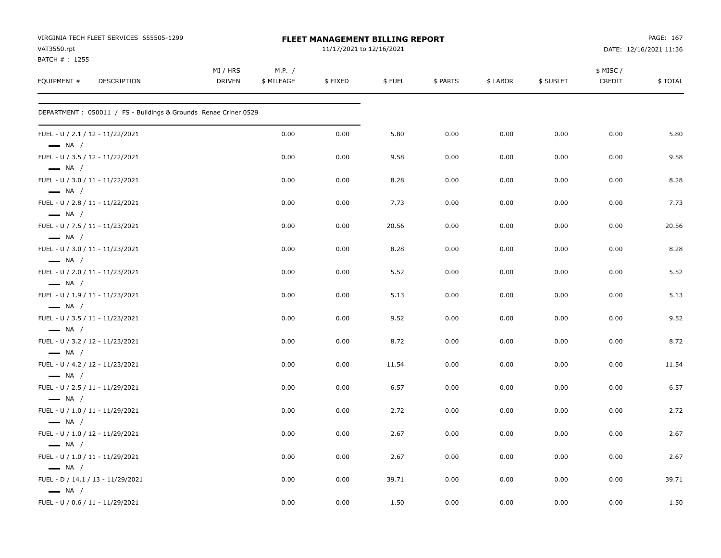| VIRGINIA TECH FLEET SERVICES 655505-1299<br>VAT3550.rpt          |                           |                      | <b>FLEET MANAGEMENT BILLING REPORT</b><br>11/17/2021 to 12/16/2021 |        |          | PAGE: 167<br>DATE: 12/16/2021 11:36 |           |                     |         |
|------------------------------------------------------------------|---------------------------|----------------------|--------------------------------------------------------------------|--------|----------|-------------------------------------|-----------|---------------------|---------|
| BATCH #: 1255<br>EQUIPMENT #<br>DESCRIPTION                      | MI / HRS<br><b>DRIVEN</b> | M.P. /<br>\$ MILEAGE | \$FIXED                                                            | \$FUEL | \$ PARTS | \$ LABOR                            | \$ SUBLET | \$ MISC /<br>CREDIT | \$TOTAL |
| DEPARTMENT : 050011 / FS - Buildings & Grounds Renae Criner 0529 |                           |                      |                                                                    |        |          |                                     |           |                     |         |
| FUEL - U / 2.1 / 12 - 11/22/2021<br>$\longrightarrow$ NA /       |                           | 0.00                 | 0.00                                                               | 5.80   | 0.00     | 0.00                                | 0.00      | 0.00                | 5.80    |
| FUEL - U / 3.5 / 12 - 11/22/2021<br>$\longrightarrow$ NA /       |                           | 0.00                 | 0.00                                                               | 9.58   | 0.00     | 0.00                                | 0.00      | 0.00                | 9.58    |
| FUEL - U / 3.0 / 11 - 11/22/2021<br>$\longrightarrow$ NA /       |                           | 0.00                 | 0.00                                                               | 8.28   | 0.00     | 0.00                                | 0.00      | 0.00                | 8.28    |
| FUEL - U / 2.8 / 11 - 11/22/2021<br>$\longrightarrow$ NA /       |                           | 0.00                 | 0.00                                                               | 7.73   | 0.00     | 0.00                                | 0.00      | 0.00                | 7.73    |
| FUEL - U / 7.5 / 11 - 11/23/2021<br>$\longrightarrow$ NA /       |                           | 0.00                 | 0.00                                                               | 20.56  | 0.00     | 0.00                                | 0.00      | 0.00                | 20.56   |
| FUEL - U / 3.0 / 11 - 11/23/2021<br>$\longrightarrow$ NA /       |                           | 0.00                 | 0.00                                                               | 8.28   | 0.00     | 0.00                                | 0.00      | 0.00                | 8.28    |
| FUEL - U / 2.0 / 11 - 11/23/2021<br>$\longrightarrow$ NA /       |                           | 0.00                 | 0.00                                                               | 5.52   | 0.00     | 0.00                                | 0.00      | 0.00                | 5.52    |
| FUEL - U / 1.9 / 11 - 11/23/2021<br>$\longrightarrow$ NA /       |                           | 0.00                 | 0.00                                                               | 5.13   | 0.00     | 0.00                                | 0.00      | 0.00                | 5.13    |
| FUEL - U / 3.5 / 11 - 11/23/2021<br>$\longrightarrow$ NA /       |                           | 0.00                 | 0.00                                                               | 9.52   | 0.00     | 0.00                                | 0.00      | 0.00                | 9.52    |
| FUEL - U / 3.2 / 12 - 11/23/2021<br>$\longrightarrow$ NA /       |                           | 0.00                 | 0.00                                                               | 8.72   | 0.00     | 0.00                                | 0.00      | 0.00                | 8.72    |
| FUEL - U / 4.2 / 12 - 11/23/2021<br>$\longrightarrow$ NA /       |                           | 0.00                 | 0.00                                                               | 11.54  | 0.00     | 0.00                                | 0.00      | 0.00                | 11.54   |
| FUEL - U / 2.5 / 11 - 11/29/2021<br>$\longrightarrow$ NA /       |                           | 0.00                 | 0.00                                                               | 6.57   | 0.00     | 0.00                                | 0.00      | 0.00                | 6.57    |
| FUEL - U / 1.0 / 11 - 11/29/2021<br>$\longrightarrow$ NA /       |                           | 0.00                 | 0.00                                                               | 2.72   | 0.00     | 0.00                                | 0.00      | 0.00                | 2.72    |
| FUEL - U / 1.0 / 12 - 11/29/2021<br>$\longrightarrow$ NA /       |                           | 0.00                 | 0.00                                                               | 2.67   | 0.00     | 0.00                                | 0.00      | 0.00                | 2.67    |
| FUEL - U / 1.0 / 11 - 11/29/2021<br>$\equiv$ NA /                |                           | 0.00                 | 0.00                                                               | 2.67   | 0.00     | 0.00                                | 0.00      | 0.00                | 2.67    |
| FUEL - D / 14.1 / 13 - 11/29/2021<br>$\longrightarrow$ NA /      |                           | 0.00                 | 0.00                                                               | 39.71  | 0.00     | 0.00                                | 0.00      | 0.00                | 39.71   |
| FUEL - U / 0.6 / 11 - 11/29/2021                                 |                           | 0.00                 | 0.00                                                               | 1.50   | 0.00     | 0.00                                | 0.00      | 0.00                | 1.50    |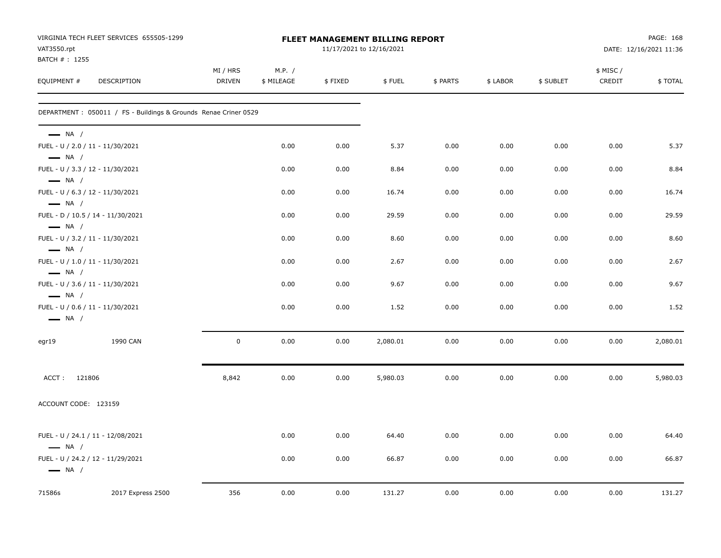| VAT3550.rpt<br>BATCH #: 1255                                                         | VIRGINIA TECH FLEET SERVICES 655505-1299                        |                           |                      |         | <b>FLEET MANAGEMENT BILLING REPORT</b><br>11/17/2021 to 12/16/2021 | PAGE: 168<br>DATE: 12/16/2021 11:36 |          |           |                     |          |
|--------------------------------------------------------------------------------------|-----------------------------------------------------------------|---------------------------|----------------------|---------|--------------------------------------------------------------------|-------------------------------------|----------|-----------|---------------------|----------|
| EQUIPMENT #                                                                          | DESCRIPTION                                                     | MI / HRS<br><b>DRIVEN</b> | M.P. /<br>\$ MILEAGE | \$FIXED | \$FUEL                                                             | \$ PARTS                            | \$ LABOR | \$ SUBLET | \$ MISC /<br>CREDIT | \$TOTAL  |
|                                                                                      | DEPARTMENT: 050011 / FS - Buildings & Grounds Renae Criner 0529 |                           |                      |         |                                                                    |                                     |          |           |                     |          |
| $\longrightarrow$ NA /<br>FUEL - U / 2.0 / 11 - 11/30/2021                           |                                                                 |                           | 0.00                 | 0.00    | 5.37                                                               | 0.00                                | 0.00     | 0.00      | 0.00                | 5.37     |
| $\longrightarrow$ NA /<br>FUEL - U / 3.3 / 12 - 11/30/2021                           |                                                                 |                           | 0.00                 | 0.00    | 8.84                                                               | 0.00                                | 0.00     | 0.00      | 0.00                | 8.84     |
| $\longrightarrow$ NA /<br>FUEL - U / 6.3 / 12 - 11/30/2021<br>$\longrightarrow$ NA / |                                                                 |                           | 0.00                 | 0.00    | 16.74                                                              | 0.00                                | 0.00     | 0.00      | 0.00                | 16.74    |
| $\longrightarrow$ NA /                                                               | FUEL - D / 10.5 / 14 - 11/30/2021                               |                           | 0.00                 | 0.00    | 29.59                                                              | 0.00                                | 0.00     | 0.00      | 0.00                | 29.59    |
| FUEL - U / 3.2 / 11 - 11/30/2021<br>$\longrightarrow$ NA /                           |                                                                 |                           | 0.00                 | 0.00    | 8.60                                                               | 0.00                                | 0.00     | 0.00      | 0.00                | 8.60     |
| FUEL - U / 1.0 / 11 - 11/30/2021<br>$\longrightarrow$ NA /                           |                                                                 |                           | 0.00                 | 0.00    | 2.67                                                               | 0.00                                | 0.00     | 0.00      | 0.00                | 2.67     |
| FUEL - U / 3.6 / 11 - 11/30/2021<br>$\longrightarrow$ NA /                           |                                                                 |                           | 0.00                 | 0.00    | 9.67                                                               | 0.00                                | 0.00     | 0.00      | 0.00                | 9.67     |
| FUEL - U / 0.6 / 11 - 11/30/2021<br>$\longrightarrow$ NA /                           |                                                                 |                           | 0.00                 | 0.00    | 1.52                                                               | 0.00                                | 0.00     | 0.00      | 0.00                | 1.52     |
| egr19                                                                                | 1990 CAN                                                        | $\mathbf 0$               | 0.00                 | 0.00    | 2,080.01                                                           | 0.00                                | 0.00     | 0.00      | 0.00                | 2,080.01 |
| ACCT: 121806                                                                         |                                                                 | 8,842                     | 0.00                 | 0.00    | 5,980.03                                                           | 0.00                                | 0.00     | 0.00      | 0.00                | 5,980.03 |
| ACCOUNT CODE: 123159                                                                 |                                                                 |                           |                      |         |                                                                    |                                     |          |           |                     |          |
| $\longrightarrow$ NA /                                                               | FUEL - U / 24.1 / 11 - 12/08/2021                               |                           | 0.00                 | 0.00    | 64.40                                                              | 0.00                                | 0.00     | 0.00      | 0.00                | 64.40    |
| $\longrightarrow$ NA /                                                               | FUEL - U / 24.2 / 12 - 11/29/2021                               |                           | 0.00                 | 0.00    | 66.87                                                              | 0.00                                | 0.00     | 0.00      | 0.00                | 66.87    |
| 71586s                                                                               | 2017 Express 2500                                               | 356                       | 0.00                 | 0.00    | 131.27                                                             | 0.00                                | 0.00     | 0.00      | 0.00                | 131.27   |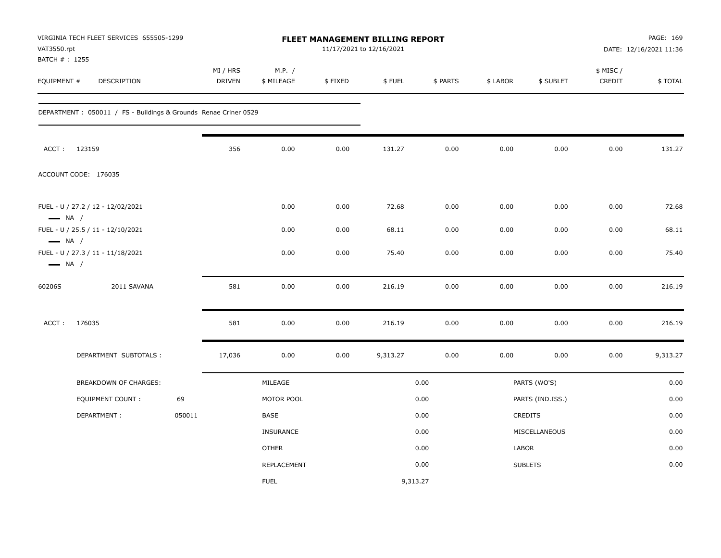| VAT3550.rpt<br>BATCH # : 1255                    | VIRGINIA TECH FLEET SERVICES 655505-1299                         |        | <b>FLEET MANAGEMENT BILLING REPORT</b><br>11/17/2021 to 12/16/2021 |                      |         |          |          |          | PAGE: 169<br>DATE: 12/16/2021 11:36 |                     |          |
|--------------------------------------------------|------------------------------------------------------------------|--------|--------------------------------------------------------------------|----------------------|---------|----------|----------|----------|-------------------------------------|---------------------|----------|
| EQUIPMENT #                                      | DESCRIPTION                                                      |        | MI / HRS<br><b>DRIVEN</b>                                          | M.P. /<br>\$ MILEAGE | \$FIXED | \$FUEL   | \$ PARTS | \$ LABOR | \$ SUBLET                           | \$ MISC /<br>CREDIT | \$TOTAL  |
|                                                  | DEPARTMENT : 050011 / FS - Buildings & Grounds Renae Criner 0529 |        |                                                                    |                      |         |          |          |          |                                     |                     |          |
|                                                  | ACCT: 123159                                                     |        | 356                                                                | 0.00                 | 0.00    | 131.27   | 0.00     | 0.00     | 0.00                                | 0.00                | 131.27   |
|                                                  | ACCOUNT CODE: 176035                                             |        |                                                                    |                      |         |          |          |          |                                     |                     |          |
| $\longrightarrow$ NA /                           | FUEL - U / 27.2 / 12 - 12/02/2021                                |        |                                                                    | 0.00                 | 0.00    | 72.68    | 0.00     | 0.00     | 0.00                                | 0.00                | 72.68    |
|                                                  | FUEL - U / 25.5 / 11 - 12/10/2021                                |        |                                                                    | 0.00                 | 0.00    | 68.11    | 0.00     | 0.00     | 0.00                                | 0.00                | 68.11    |
| $\longrightarrow$ NA /<br>$\longrightarrow$ NA / | FUEL - U / 27.3 / 11 - 11/18/2021                                |        |                                                                    | 0.00                 | 0.00    | 75.40    | 0.00     | 0.00     | 0.00                                | 0.00                | 75.40    |
| 60206S                                           | 2011 SAVANA                                                      |        | 581                                                                | 0.00                 | 0.00    | 216.19   | 0.00     | 0.00     | 0.00                                | 0.00                | 216.19   |
| ACCT:                                            | 176035                                                           |        | 581                                                                | 0.00                 | 0.00    | 216.19   | 0.00     | 0.00     | 0.00                                | 0.00                | 216.19   |
|                                                  | DEPARTMENT SUBTOTALS :                                           |        | 17,036                                                             | 0.00                 | 0.00    | 9,313.27 | 0.00     | 0.00     | 0.00                                | 0.00                | 9,313.27 |
|                                                  | <b>BREAKDOWN OF CHARGES:</b>                                     |        |                                                                    | MILEAGE              |         |          | 0.00     |          | PARTS (WO'S)                        |                     | 0.00     |
|                                                  | EQUIPMENT COUNT :                                                | 69     |                                                                    | MOTOR POOL           |         |          | 0.00     |          | PARTS (IND.ISS.)                    |                     | 0.00     |
|                                                  | DEPARTMENT:                                                      | 050011 |                                                                    | BASE                 |         |          | 0.00     |          | CREDITS                             |                     | 0.00     |
|                                                  |                                                                  |        |                                                                    | <b>INSURANCE</b>     |         |          | 0.00     |          | MISCELLANEOUS                       |                     | 0.00     |
|                                                  |                                                                  |        |                                                                    | <b>OTHER</b>         |         |          | 0.00     | LABOR    |                                     |                     | 0.00     |
|                                                  |                                                                  |        |                                                                    | REPLACEMENT          |         |          | 0.00     |          | <b>SUBLETS</b>                      |                     | 0.00     |
|                                                  |                                                                  |        |                                                                    | <b>FUEL</b>          |         | 9,313.27 |          |          |                                     |                     |          |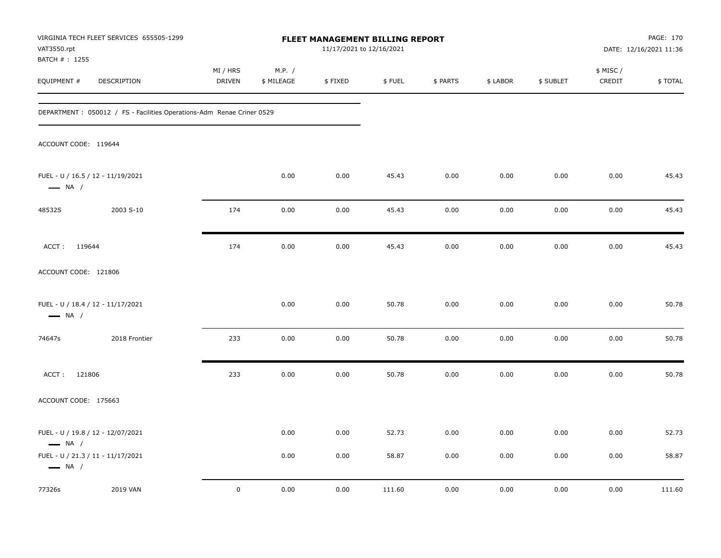| VAT3550.rpt                   | VIRGINIA TECH FLEET SERVICES 655505-1299                               |                    | FLEET MANAGEMENT BILLING REPORT<br>11/17/2021 to 12/16/2021 |         |        |          |          |           | PAGE: 170<br>DATE: 12/16/2021 11:36 |         |  |
|-------------------------------|------------------------------------------------------------------------|--------------------|-------------------------------------------------------------|---------|--------|----------|----------|-----------|-------------------------------------|---------|--|
| BATCH # : 1255<br>EQUIPMENT # | DESCRIPTION                                                            | MI / HRS<br>DRIVEN | M.P. /<br>\$ MILEAGE                                        | \$FIXED | \$FUEL | \$ PARTS | \$ LABOR | \$ SUBLET | \$ MISC /<br>CREDIT                 | \$TOTAL |  |
|                               | DEPARTMENT : 050012 / FS - Facilities Operations-Adm Renae Criner 0529 |                    |                                                             |         |        |          |          |           |                                     |         |  |
| ACCOUNT CODE: 119644          |                                                                        |                    |                                                             |         |        |          |          |           |                                     |         |  |
| $\longrightarrow$ NA /        | FUEL - U / 16.5 / 12 - 11/19/2021                                      |                    | 0.00                                                        | 0.00    | 45.43  | 0.00     | 0.00     | 0.00      | 0.00                                | 45.43   |  |
| 48532S                        | 2003 S-10                                                              | 174                | 0.00                                                        | 0.00    | 45.43  | 0.00     | 0.00     | 0.00      | 0.00                                | 45.43   |  |
| ACCT: 119644                  |                                                                        | 174                | 0.00                                                        | 0.00    | 45.43  | 0.00     | 0.00     | 0.00      | 0.00                                | 45.43   |  |
| ACCOUNT CODE: 121806          |                                                                        |                    |                                                             |         |        |          |          |           |                                     |         |  |
| $\longrightarrow$ NA /        | FUEL - U / 18.4 / 12 - 11/17/2021                                      |                    | 0.00                                                        | 0.00    | 50.78  | 0.00     | 0.00     | 0.00      | 0.00                                | 50.78   |  |
| 74647s                        | 2018 Frontier                                                          | 233                | 0.00                                                        | 0.00    | 50.78  | 0.00     | 0.00     | 0.00      | 0.00                                | 50.78   |  |
| ACCT: 121806                  |                                                                        | 233                | 0.00                                                        | 0.00    | 50.78  | 0.00     | 0.00     | 0.00      | 0.00                                | 50.78   |  |
| ACCOUNT CODE: 175663          |                                                                        |                    |                                                             |         |        |          |          |           |                                     |         |  |
| $\longrightarrow$ NA /        | FUEL - U / 19.8 / 12 - 12/07/2021                                      |                    | 0.00                                                        | 0.00    | 52.73  | 0.00     | 0.00     | 0.00      | 0.00                                | 52.73   |  |
| $\longrightarrow$ NA /        | FUEL - U / 21.3 / 11 - 11/17/2021                                      |                    | 0.00                                                        | 0.00    | 58.87  | 0.00     | 0.00     | 0.00      | 0.00                                | 58.87   |  |
| 77326s                        | 2019 VAN                                                               | $\mathbf 0$        | 0.00                                                        | 0.00    | 111.60 | 0.00     | 0.00     | 0.00      | 0.00                                | 111.60  |  |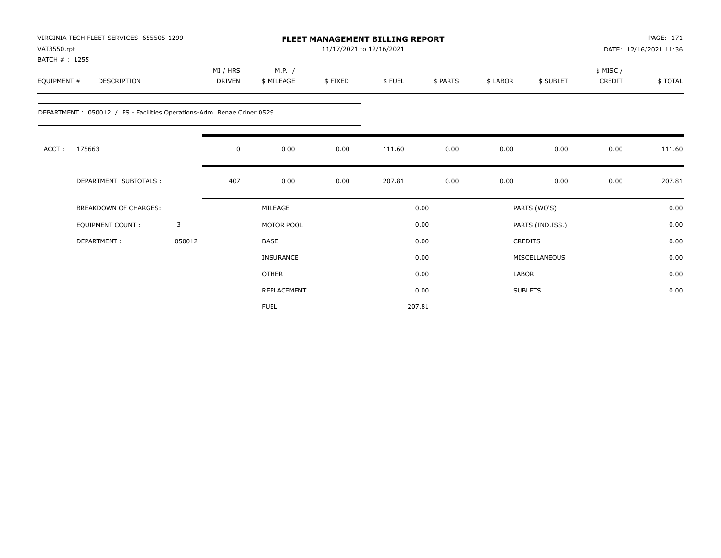| VAT3550.rpt<br>BATCH #: 1255 | VIRGINIA TECH FLEET SERVICES 655505-1299                               |        |                    |                      | <b>FLEET MANAGEMENT BILLING REPORT</b><br>11/17/2021 to 12/16/2021 |        |          |          | PAGE: 171<br>DATE: 12/16/2021 11:36 |                    |         |
|------------------------------|------------------------------------------------------------------------|--------|--------------------|----------------------|--------------------------------------------------------------------|--------|----------|----------|-------------------------------------|--------------------|---------|
| EQUIPMENT #                  | <b>DESCRIPTION</b>                                                     |        | MI / HRS<br>DRIVEN | M.P. /<br>\$ MILEAGE | \$FIXED                                                            | \$FUEL | \$ PARTS | \$ LABOR | \$ SUBLET                           | \$ MISC/<br>CREDIT | \$TOTAL |
|                              | DEPARTMENT : 050012 / FS - Facilities Operations-Adm Renae Criner 0529 |        |                    |                      |                                                                    |        |          |          |                                     |                    |         |
| ACCT:                        | 175663                                                                 |        | $\mathbf 0$        | 0.00                 | 0.00                                                               | 111.60 | 0.00     | 0.00     | 0.00                                | 0.00               | 111.60  |
|                              | DEPARTMENT SUBTOTALS :                                                 |        | 407                | 0.00                 | 0.00                                                               | 207.81 | 0.00     | 0.00     | 0.00                                | 0.00               | 207.81  |
|                              | <b>BREAKDOWN OF CHARGES:</b>                                           |        |                    | MILEAGE              |                                                                    |        | 0.00     |          | PARTS (WO'S)                        |                    | 0.00    |
|                              | EQUIPMENT COUNT:                                                       | 3      |                    | MOTOR POOL           |                                                                    |        | 0.00     |          | PARTS (IND.ISS.)                    |                    | 0.00    |
|                              | DEPARTMENT:                                                            | 050012 |                    | BASE                 |                                                                    |        | 0.00     |          | <b>CREDITS</b>                      |                    | 0.00    |
|                              |                                                                        |        |                    | <b>INSURANCE</b>     |                                                                    |        | 0.00     |          | MISCELLANEOUS                       |                    | 0.00    |
|                              |                                                                        |        |                    | <b>OTHER</b>         |                                                                    |        | 0.00     | LABOR    |                                     |                    | 0.00    |
|                              |                                                                        |        |                    | REPLACEMENT          |                                                                    |        | 0.00     |          | <b>SUBLETS</b>                      |                    | 0.00    |
|                              |                                                                        |        |                    | <b>FUEL</b>          |                                                                    |        | 207.81   |          |                                     |                    |         |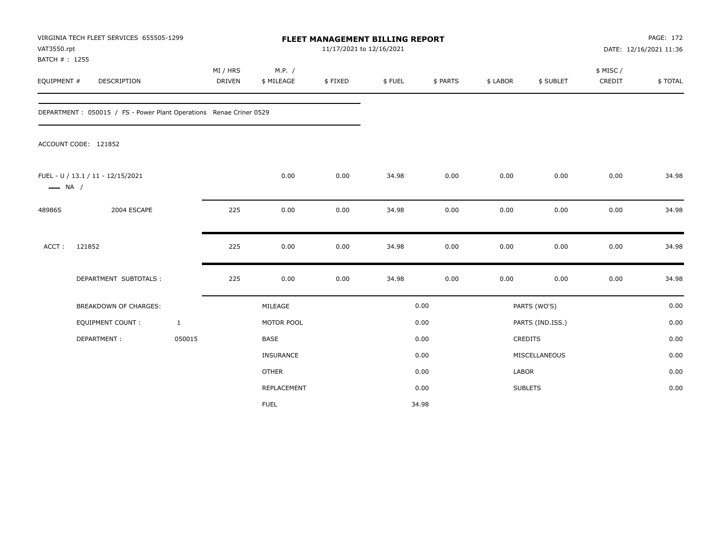| VAT3550.rpt<br>BATCH #: 1255 | VIRGINIA TECH FLEET SERVICES 655505-1299                            | FLEET MANAGEMENT BILLING REPORT<br>11/17/2021 to 12/16/2021 |                           |                      |         |        |          | PAGE: 172<br>DATE: 12/16/2021 11:36 |                  |                     |         |
|------------------------------|---------------------------------------------------------------------|-------------------------------------------------------------|---------------------------|----------------------|---------|--------|----------|-------------------------------------|------------------|---------------------|---------|
| EQUIPMENT #                  | DESCRIPTION                                                         |                                                             | MI / HRS<br><b>DRIVEN</b> | M.P. /<br>\$ MILEAGE | \$FIXED | \$FUEL | \$ PARTS | \$ LABOR                            | \$ SUBLET        | \$ MISC /<br>CREDIT | \$TOTAL |
|                              | DEPARTMENT : 050015 / FS - Power Plant Operations Renae Criner 0529 |                                                             |                           |                      |         |        |          |                                     |                  |                     |         |
|                              | ACCOUNT CODE: 121852                                                |                                                             |                           |                      |         |        |          |                                     |                  |                     |         |
| $\longrightarrow$ NA /       | FUEL - U / 13.1 / 11 - 12/15/2021                                   |                                                             |                           | 0.00                 | 0.00    | 34.98  | 0.00     | 0.00                                | 0.00             | 0.00                | 34.98   |
| 48986S                       | 2004 ESCAPE                                                         |                                                             | 225                       | 0.00                 | 0.00    | 34.98  | 0.00     | 0.00                                | 0.00             | 0.00                | 34.98   |
| ACCT:                        | 121852                                                              |                                                             | 225                       | 0.00                 | 0.00    | 34.98  | 0.00     | 0.00                                | 0.00             | 0.00                | 34.98   |
|                              | DEPARTMENT SUBTOTALS :                                              |                                                             | 225                       | 0.00                 | 0.00    | 34.98  | 0.00     | 0.00                                | 0.00             | 0.00                | 34.98   |
|                              | <b>BREAKDOWN OF CHARGES:</b>                                        |                                                             |                           | MILEAGE              |         |        | 0.00     |                                     | PARTS (WO'S)     |                     | 0.00    |
|                              | <b>EQUIPMENT COUNT:</b>                                             | $\mathbf{1}$                                                |                           | MOTOR POOL           |         |        | 0.00     |                                     | PARTS (IND.ISS.) |                     | 0.00    |
|                              | DEPARTMENT:                                                         | 050015                                                      |                           | BASE                 |         |        | 0.00     |                                     | CREDITS          |                     | 0.00    |
|                              |                                                                     |                                                             |                           | INSURANCE            |         |        | 0.00     |                                     | MISCELLANEOUS    |                     | 0.00    |
|                              |                                                                     |                                                             |                           | <b>OTHER</b>         |         |        | 0.00     | <b>LABOR</b>                        |                  |                     | 0.00    |
|                              |                                                                     |                                                             |                           | REPLACEMENT          |         |        | 0.00     |                                     | <b>SUBLETS</b>   |                     | 0.00    |
|                              |                                                                     |                                                             |                           | <b>FUEL</b>          |         |        | 34.98    |                                     |                  |                     |         |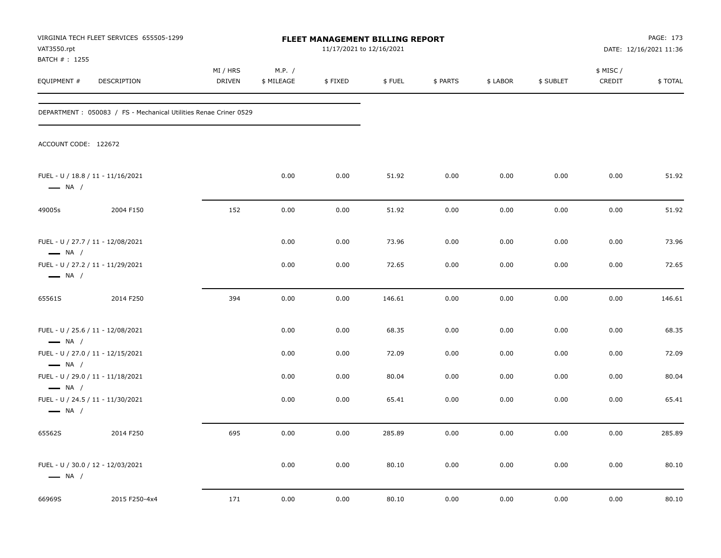| VAT3550.rpt<br>BATCH # : 1255                                                         | VIRGINIA TECH FLEET SERVICES 655505-1299                          |                    | FLEET MANAGEMENT BILLING REPORT<br>11/17/2021 to 12/16/2021 |         |        |          |          | PAGE: 173<br>DATE: 12/16/2021 11:36 |                     |          |
|---------------------------------------------------------------------------------------|-------------------------------------------------------------------|--------------------|-------------------------------------------------------------|---------|--------|----------|----------|-------------------------------------|---------------------|----------|
| EQUIPMENT #                                                                           | DESCRIPTION                                                       | MI / HRS<br>DRIVEN | M.P. /<br>\$ MILEAGE                                        | \$FIXED | \$FUEL | \$ PARTS | \$ LABOR | \$ SUBLET                           | \$ MISC /<br>CREDIT | \$ TOTAL |
|                                                                                       | DEPARTMENT : 050083 / FS - Mechanical Utilities Renae Criner 0529 |                    |                                                             |         |        |          |          |                                     |                     |          |
| ACCOUNT CODE: 122672                                                                  |                                                                   |                    |                                                             |         |        |          |          |                                     |                     |          |
| FUEL - U / 18.8 / 11 - 11/16/2021<br>$\longrightarrow$ NA /                           |                                                                   |                    | 0.00                                                        | 0.00    | 51.92  | 0.00     | 0.00     | 0.00                                | 0.00                | 51.92    |
| 49005s                                                                                | 2004 F150                                                         | 152                | 0.00                                                        | 0.00    | 51.92  | 0.00     | 0.00     | 0.00                                | 0.00                | 51.92    |
| FUEL - U / 27.7 / 11 - 12/08/2021<br>$\longrightarrow$ NA /                           |                                                                   |                    | 0.00                                                        | 0.00    | 73.96  | 0.00     | 0.00     | 0.00                                | 0.00                | 73.96    |
| FUEL - U / 27.2 / 11 - 11/29/2021<br>$\longrightarrow$ NA /                           |                                                                   |                    | 0.00                                                        | 0.00    | 72.65  | 0.00     | 0.00     | 0.00                                | 0.00                | 72.65    |
| 65561S                                                                                | 2014 F250                                                         | 394                | 0.00                                                        | 0.00    | 146.61 | 0.00     | 0.00     | 0.00                                | 0.00                | 146.61   |
| FUEL - U / 25.6 / 11 - 12/08/2021<br>$\longrightarrow$ NA /                           |                                                                   |                    | 0.00                                                        | 0.00    | 68.35  | 0.00     | 0.00     | 0.00                                | 0.00                | 68.35    |
| FUEL - U / 27.0 / 11 - 12/15/2021                                                     |                                                                   |                    | 0.00                                                        | 0.00    | 72.09  | 0.00     | 0.00     | 0.00                                | 0.00                | 72.09    |
| $\longrightarrow$ NA /<br>FUEL - U / 29.0 / 11 - 11/18/2021<br>$\longrightarrow$ NA / |                                                                   |                    | 0.00                                                        | 0.00    | 80.04  | 0.00     | 0.00     | 0.00                                | 0.00                | 80.04    |
| FUEL - U / 24.5 / 11 - 11/30/2021<br>$\longrightarrow$ NA /                           |                                                                   |                    | 0.00                                                        | 0.00    | 65.41  | 0.00     | 0.00     | 0.00                                | 0.00                | 65.41    |
| 65562S                                                                                | 2014 F250                                                         | 695                | 0.00                                                        | 0.00    | 285.89 | 0.00     | 0.00     | 0.00                                | 0.00                | 285.89   |
| FUEL - U / 30.0 / 12 - 12/03/2021<br>$\longrightarrow$ NA /                           |                                                                   |                    | 0.00                                                        | 0.00    | 80.10  | 0.00     | 0.00     | 0.00                                | 0.00                | 80.10    |
| 66969S                                                                                | 2015 F250-4x4                                                     | 171                | 0.00                                                        | 0.00    | 80.10  | 0.00     | 0.00     | 0.00                                | 0.00                | 80.10    |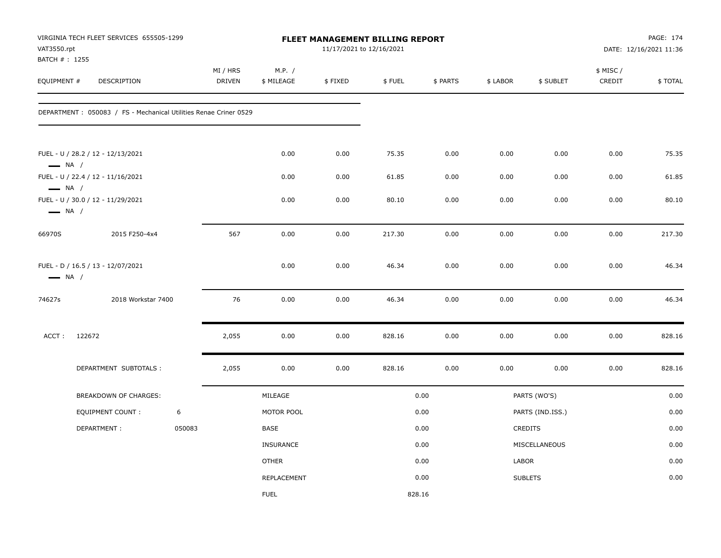| VAT3550.rpt<br>BATCH #: 1255                                | VIRGINIA TECH FLEET SERVICES 655505-1299                          |        | FLEET MANAGEMENT BILLING REPORT<br>11/17/2021 to 12/16/2021 |                      |         |        |          | PAGE: 174<br>DATE: 12/16/2021 11:36 |                  |                     |         |  |
|-------------------------------------------------------------|-------------------------------------------------------------------|--------|-------------------------------------------------------------|----------------------|---------|--------|----------|-------------------------------------|------------------|---------------------|---------|--|
| EQUIPMENT #                                                 | DESCRIPTION                                                       |        | MI / HRS<br><b>DRIVEN</b>                                   | M.P. /<br>\$ MILEAGE | \$FIXED | \$FUEL | \$ PARTS | \$ LABOR                            | \$ SUBLET        | \$ MISC /<br>CREDIT | \$TOTAL |  |
|                                                             | DEPARTMENT : 050083 / FS - Mechanical Utilities Renae Criner 0529 |        |                                                             |                      |         |        |          |                                     |                  |                     |         |  |
| $\longrightarrow$ NA /                                      | FUEL - U / 28.2 / 12 - 12/13/2021                                 |        |                                                             | 0.00                 | 0.00    | 75.35  | 0.00     | 0.00                                | 0.00             | 0.00                | 75.35   |  |
|                                                             | FUEL - U / 22.4 / 12 - 11/16/2021                                 |        |                                                             | 0.00                 | 0.00    | 61.85  | 0.00     | 0.00                                | 0.00             | 0.00                | 61.85   |  |
| $\longrightarrow$ NA /                                      | FUEL - U / 30.0 / 12 - 11/29/2021<br>$\longrightarrow$ NA /       |        |                                                             | 0.00                 | 0.00    | 80.10  | 0.00     | 0.00                                | 0.00             | 0.00                | 80.10   |  |
| 66970S                                                      | 2015 F250-4x4                                                     |        | 567                                                         | 0.00                 | 0.00    | 217.30 | 0.00     | 0.00                                | 0.00             | 0.00                | 217.30  |  |
| FUEL - D / 16.5 / 13 - 12/07/2021<br>$\longrightarrow$ NA / |                                                                   |        |                                                             | 0.00                 | 0.00    | 46.34  | 0.00     | 0.00                                | 0.00             | 0.00                | 46.34   |  |
| 74627s                                                      | 2018 Workstar 7400                                                |        | 76                                                          | 0.00                 | 0.00    | 46.34  | 0.00     | 0.00                                | 0.00             | 0.00                | 46.34   |  |
| ACCT:                                                       | 122672                                                            |        | 2,055                                                       | 0.00                 | 0.00    | 828.16 | 0.00     | 0.00                                | 0.00             | 0.00                | 828.16  |  |
|                                                             | DEPARTMENT SUBTOTALS :                                            |        | 2,055                                                       | 0.00                 | 0.00    | 828.16 | 0.00     | 0.00                                | 0.00             | 0.00                | 828.16  |  |
|                                                             | BREAKDOWN OF CHARGES:                                             |        |                                                             | MILEAGE              |         |        | 0.00     |                                     | PARTS (WO'S)     |                     | 0.00    |  |
|                                                             | EQUIPMENT COUNT:                                                  | 6      |                                                             | MOTOR POOL           |         |        | 0.00     |                                     | PARTS (IND.ISS.) |                     | 0.00    |  |
|                                                             | DEPARTMENT:                                                       | 050083 |                                                             | BASE                 |         |        | 0.00     |                                     | CREDITS          |                     | 0.00    |  |
|                                                             |                                                                   |        |                                                             | <b>INSURANCE</b>     |         |        | 0.00     |                                     | MISCELLANEOUS    |                     | 0.00    |  |
|                                                             |                                                                   |        |                                                             | <b>OTHER</b>         |         |        | 0.00     | LABOR                               |                  |                     | 0.00    |  |
|                                                             |                                                                   |        |                                                             | REPLACEMENT          |         |        | 0.00     |                                     | <b>SUBLETS</b>   |                     | 0.00    |  |
|                                                             |                                                                   |        |                                                             | <b>FUEL</b>          |         |        | 828.16   |                                     |                  |                     |         |  |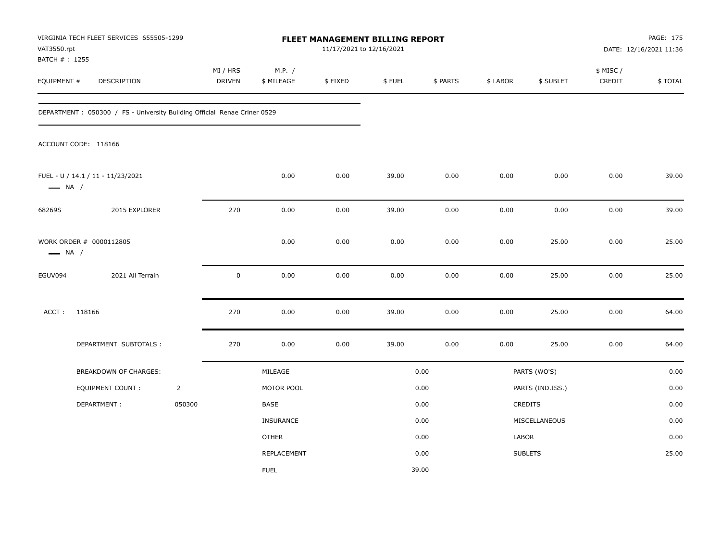| VAT3550.rpt                   | VIRGINIA TECH FLEET SERVICES 655505-1299                                  |                | FLEET MANAGEMENT BILLING REPORT<br>11/17/2021 to 12/16/2021 |                      |         |        |          |          |                  | PAGE: 175<br>DATE: 12/16/2021 11:36 |         |
|-------------------------------|---------------------------------------------------------------------------|----------------|-------------------------------------------------------------|----------------------|---------|--------|----------|----------|------------------|-------------------------------------|---------|
| BATCH # : 1255<br>EQUIPMENT # | DESCRIPTION                                                               |                | MI / HRS<br><b>DRIVEN</b>                                   | M.P. /<br>\$ MILEAGE | \$FIXED | \$FUEL | \$ PARTS | \$ LABOR | \$ SUBLET        | \$ MISC /<br>CREDIT                 | \$TOTAL |
|                               | DEPARTMENT : 050300 / FS - University Building Official Renae Criner 0529 |                |                                                             |                      |         |        |          |          |                  |                                     |         |
|                               | ACCOUNT CODE: 118166                                                      |                |                                                             |                      |         |        |          |          |                  |                                     |         |
| $\longrightarrow$ NA /        | FUEL - U / 14.1 / 11 - 11/23/2021                                         |                |                                                             | 0.00                 | 0.00    | 39.00  | 0.00     | 0.00     | 0.00             | 0.00                                | 39.00   |
| 68269S                        | 2015 EXPLORER                                                             |                | 270                                                         | 0.00                 | 0.00    | 39.00  | 0.00     | 0.00     | 0.00             | 0.00                                | 39.00   |
|                               | WORK ORDER # 0000112805<br>$\longrightarrow$ NA /                         |                |                                                             | 0.00                 | 0.00    | 0.00   | 0.00     | 0.00     | 25.00            | 0.00                                | 25.00   |
| EGUV094                       | 2021 All Terrain                                                          |                | $\mathbf 0$                                                 | 0.00                 | 0.00    | 0.00   | 0.00     | 0.00     | 25.00            | 0.00                                | 25.00   |
| ACCT:                         | 118166                                                                    |                | 270                                                         | 0.00                 | 0.00    | 39.00  | 0.00     | 0.00     | 25.00            | 0.00                                | 64.00   |
|                               | DEPARTMENT SUBTOTALS :                                                    |                | 270                                                         | 0.00                 | 0.00    | 39.00  | 0.00     | 0.00     | 25.00            | 0.00                                | 64.00   |
|                               | BREAKDOWN OF CHARGES:                                                     |                |                                                             | MILEAGE              |         |        | 0.00     |          | PARTS (WO'S)     |                                     | 0.00    |
|                               | <b>EQUIPMENT COUNT:</b>                                                   | $\overline{2}$ |                                                             | MOTOR POOL           |         |        | 0.00     |          | PARTS (IND.ISS.) |                                     | 0.00    |
|                               | DEPARTMENT:                                                               | 050300         |                                                             | BASE                 |         |        | 0.00     |          | CREDITS          |                                     | 0.00    |
|                               |                                                                           |                |                                                             | <b>INSURANCE</b>     |         |        | 0.00     |          | MISCELLANEOUS    |                                     | 0.00    |
|                               |                                                                           |                |                                                             | <b>OTHER</b>         |         |        | 0.00     | LABOR    |                  |                                     | 0.00    |
|                               |                                                                           |                |                                                             | <b>REPLACEMENT</b>   |         |        | 0.00     |          | <b>SUBLETS</b>   |                                     | 25.00   |
|                               |                                                                           |                |                                                             | <b>FUEL</b>          |         |        | 39.00    |          |                  |                                     |         |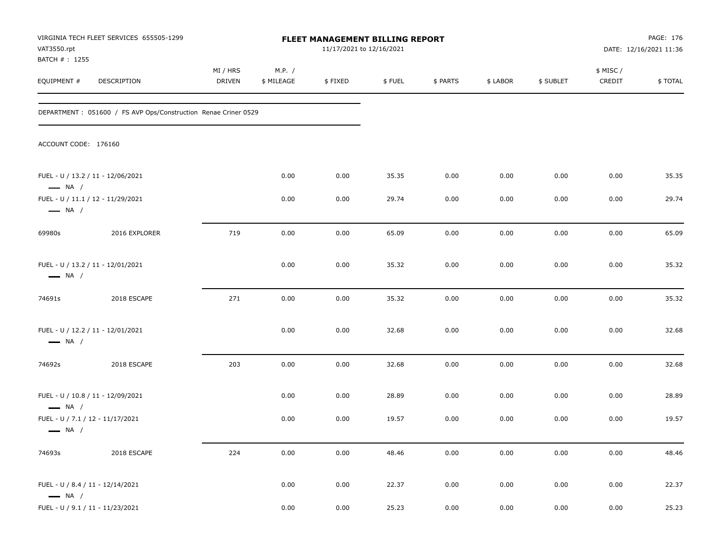| VAT3550.rpt                                                | VIRGINIA TECH FLEET SERVICES 655505-1299                        | FLEET MANAGEMENT BILLING REPORT<br>11/17/2021 to 12/16/2021 |                      |              |                |              |              | PAGE: 176<br>DATE: 12/16/2021 11:36 |                    |                |
|------------------------------------------------------------|-----------------------------------------------------------------|-------------------------------------------------------------|----------------------|--------------|----------------|--------------|--------------|-------------------------------------|--------------------|----------------|
| BATCH #: 1255<br>EQUIPMENT #                               | DESCRIPTION                                                     | MI / HRS<br><b>DRIVEN</b>                                   | M.P. /<br>\$ MILEAGE | \$FIXED      | \$FUEL         | \$ PARTS     | \$ LABOR     | \$ SUBLET                           | \$ MISC/<br>CREDIT | \$TOTAL        |
|                                                            | DEPARTMENT : 051600 / FS AVP Ops/Construction Renae Criner 0529 |                                                             |                      |              |                |              |              |                                     |                    |                |
| ACCOUNT CODE: 176160                                       |                                                                 |                                                             |                      |              |                |              |              |                                     |                    |                |
| $\longrightarrow$ NA /                                     | FUEL - U / 13.2 / 11 - 12/06/2021                               |                                                             | 0.00                 | 0.00         | 35.35          | 0.00         | 0.00         | 0.00                                | 0.00               | 35.35          |
| $\longrightarrow$ NA /                                     | FUEL - U / 11.1 / 12 - 11/29/2021                               |                                                             | 0.00                 | 0.00         | 29.74          | 0.00         | 0.00         | 0.00                                | 0.00               | 29.74          |
| 69980s                                                     | 2016 EXPLORER                                                   | 719                                                         | 0.00                 | 0.00         | 65.09          | 0.00         | 0.00         | 0.00                                | 0.00               | 65.09          |
| $\longrightarrow$ NA /                                     | FUEL - U / 13.2 / 11 - 12/01/2021                               |                                                             | 0.00                 | 0.00         | 35.32          | 0.00         | 0.00         | 0.00                                | 0.00               | 35.32          |
| 74691s                                                     | 2018 ESCAPE                                                     | 271                                                         | 0.00                 | 0.00         | 35.32          | 0.00         | 0.00         | 0.00                                | 0.00               | 35.32          |
| $\longrightarrow$ NA /                                     | FUEL - U / 12.2 / 11 - 12/01/2021                               |                                                             | 0.00                 | 0.00         | 32.68          | 0.00         | 0.00         | 0.00                                | 0.00               | 32.68          |
| 74692s                                                     | 2018 ESCAPE                                                     | 203                                                         | 0.00                 | 0.00         | 32.68          | 0.00         | 0.00         | 0.00                                | 0.00               | 32.68          |
| $\longrightarrow$ NA /<br>FUEL - U / 7.1 / 12 - 11/17/2021 | FUEL - U / 10.8 / 11 - 12/09/2021                               |                                                             | 0.00<br>0.00         | 0.00<br>0.00 | 28.89<br>19.57 | 0.00<br>0.00 | 0.00<br>0.00 | 0.00<br>0.00                        | 0.00<br>0.00       | 28.89<br>19.57 |
| $\longrightarrow$ NA /<br>74693s                           | 2018 ESCAPE                                                     | 224                                                         | 0.00                 | 0.00         | 48.46          | 0.00         | 0.00         | 0.00                                | 0.00               | 48.46          |
| FUEL - U / 8.4 / 11 - 12/14/2021<br>$\longrightarrow$ NA / |                                                                 |                                                             | 0.00                 | 0.00         | 22.37          | 0.00         | 0.00         | 0.00                                | $0.00\,$           | 22.37          |
| FUEL - U / 9.1 / 11 - 11/23/2021                           |                                                                 |                                                             | 0.00                 | 0.00         | 25.23          | 0.00         | 0.00         | 0.00                                | $0.00\,$           | 25.23          |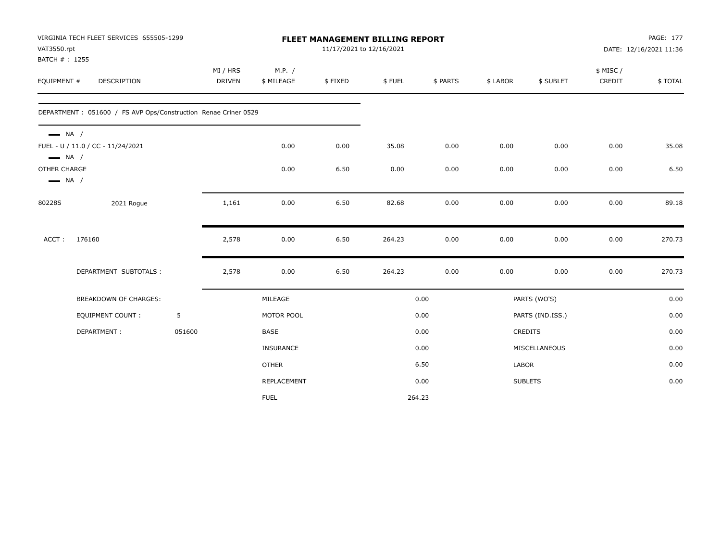|                        | VIRGINIA TECH FLEET SERVICES 655505-1299                        |        |                    | FLEET MANAGEMENT BILLING REPORT |                          |        |          |                | PAGE: 177        |                    |                        |
|------------------------|-----------------------------------------------------------------|--------|--------------------|---------------------------------|--------------------------|--------|----------|----------------|------------------|--------------------|------------------------|
| VAT3550.rpt            |                                                                 |        |                    |                                 | 11/17/2021 to 12/16/2021 |        |          |                |                  |                    | DATE: 12/16/2021 11:36 |
| BATCH #: 1255          |                                                                 |        |                    |                                 |                          |        |          |                |                  |                    |                        |
| EQUIPMENT #            | DESCRIPTION                                                     |        | MI / HRS<br>DRIVEN | M.P. /<br>\$ MILEAGE            | \$FIXED                  | \$FUEL | \$ PARTS | \$ LABOR       | \$ SUBLET        | \$ MISC/<br>CREDIT | \$TOTAL                |
|                        |                                                                 |        |                    |                                 |                          |        |          |                |                  |                    |                        |
|                        | DEPARTMENT : 051600 / FS AVP Ops/Construction Renae Criner 0529 |        |                    |                                 |                          |        |          |                |                  |                    |                        |
| $\longrightarrow$ NA / |                                                                 |        |                    |                                 |                          |        |          |                |                  |                    |                        |
| $\longrightarrow$ NA / | FUEL - U / 11.0 / CC - 11/24/2021                               |        |                    | 0.00                            | 0.00                     | 35.08  | 0.00     | 0.00           | 0.00             | 0.00               | 35.08                  |
| OTHER CHARGE           |                                                                 |        |                    | 0.00                            | 6.50                     | 0.00   | 0.00     | 0.00           | 0.00             | 0.00               | 6.50                   |
| $\longrightarrow$ NA / |                                                                 |        |                    |                                 |                          |        |          |                |                  |                    |                        |
| 80228S                 | 2021 Rogue                                                      |        | 1,161              | 0.00                            | 6.50                     | 82.68  | 0.00     | 0.00           | 0.00             | 0.00               | 89.18                  |
|                        |                                                                 |        |                    |                                 |                          |        |          |                |                  |                    |                        |
| ACCT:                  | 176160                                                          |        | 2,578              | 0.00                            | 6.50                     | 264.23 | 0.00     | 0.00           | 0.00             | 0.00               | 270.73                 |
|                        | DEPARTMENT SUBTOTALS :                                          |        | 2,578              | 0.00                            | 6.50                     | 264.23 | 0.00     | 0.00           | 0.00             | 0.00               | 270.73                 |
|                        |                                                                 |        |                    |                                 |                          |        |          |                |                  |                    |                        |
|                        | BREAKDOWN OF CHARGES:                                           |        |                    | MILEAGE                         |                          |        | 0.00     |                | PARTS (WO'S)     |                    | 0.00                   |
|                        | EQUIPMENT COUNT :                                               | 5      |                    | MOTOR POOL                      |                          |        | 0.00     |                | PARTS (IND.ISS.) |                    | 0.00                   |
|                        | DEPARTMENT:                                                     | 051600 |                    | <b>BASE</b>                     |                          |        | 0.00     | <b>CREDITS</b> |                  |                    | 0.00                   |
|                        |                                                                 |        |                    | <b>INSURANCE</b>                |                          |        | 0.00     |                | MISCELLANEOUS    |                    | 0.00                   |
|                        |                                                                 |        |                    | <b>OTHER</b>                    |                          |        | 6.50     | LABOR          |                  |                    | 0.00                   |
|                        |                                                                 |        |                    | <b>REPLACEMENT</b>              |                          |        | 0.00     |                | <b>SUBLETS</b>   |                    | 0.00                   |
|                        |                                                                 |        |                    | <b>FUEL</b>                     |                          | 264.23 |          |                |                  |                    |                        |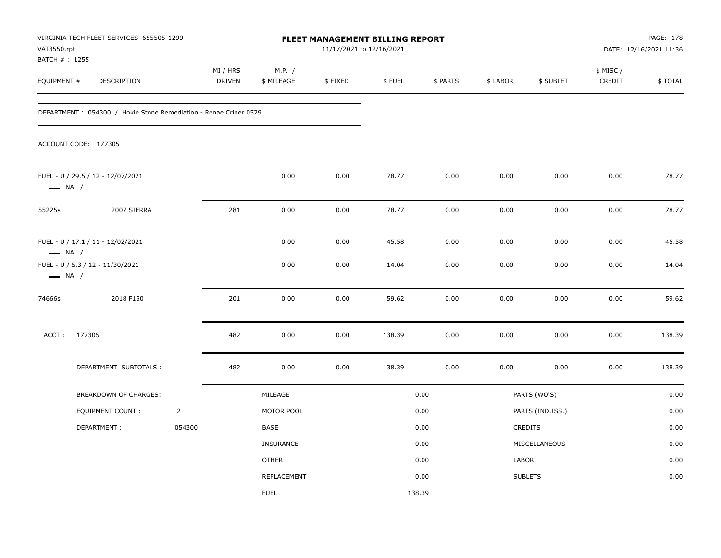| VAT3550.rpt<br>BATCH # : 1255 | VIRGINIA TECH FLEET SERVICES 655505-1299                          |                | FLEET MANAGEMENT BILLING REPORT<br>11/17/2021 to 12/16/2021 |                      |         |        |          |          |                  | PAGE: 178<br>DATE: 12/16/2021 11:36 |         |
|-------------------------------|-------------------------------------------------------------------|----------------|-------------------------------------------------------------|----------------------|---------|--------|----------|----------|------------------|-------------------------------------|---------|
| EQUIPMENT #                   | DESCRIPTION                                                       |                | MI / HRS<br><b>DRIVEN</b>                                   | M.P. /<br>\$ MILEAGE | \$FIXED | \$FUEL | \$ PARTS | \$ LABOR | \$ SUBLET        | \$ MISC /<br>CREDIT                 | \$TOTAL |
|                               | DEPARTMENT : 054300 / Hokie Stone Remediation - Renae Criner 0529 |                |                                                             |                      |         |        |          |          |                  |                                     |         |
|                               | ACCOUNT CODE: 177305                                              |                |                                                             |                      |         |        |          |          |                  |                                     |         |
| $\longrightarrow$ NA /        | FUEL - U / 29.5 / 12 - 12/07/2021                                 |                |                                                             | 0.00                 | 0.00    | 78.77  | 0.00     | 0.00     | 0.00             | 0.00                                | 78.77   |
| 55225s                        | 2007 SIERRA                                                       |                | 281                                                         | 0.00                 | 0.00    | 78.77  | 0.00     | 0.00     | 0.00             | 0.00                                | 78.77   |
| $\longrightarrow$ NA /        | FUEL - U / 17.1 / 11 - 12/02/2021                                 |                |                                                             | 0.00                 | 0.00    | 45.58  | 0.00     | 0.00     | 0.00             | 0.00                                | 45.58   |
| $\longrightarrow$ NA /        | FUEL - U / 5.3 / 12 - 11/30/2021                                  |                |                                                             | 0.00                 | 0.00    | 14.04  | 0.00     | 0.00     | 0.00             | 0.00                                | 14.04   |
| 74666s                        | 2018 F150                                                         |                | 201                                                         | 0.00                 | 0.00    | 59.62  | 0.00     | 0.00     | 0.00             | 0.00                                | 59.62   |
| ACCT:                         | 177305                                                            |                | 482                                                         | 0.00                 | 0.00    | 138.39 | 0.00     | 0.00     | 0.00             | 0.00                                | 138.39  |
|                               | DEPARTMENT SUBTOTALS :                                            |                | 482                                                         | 0.00                 | 0.00    | 138.39 | 0.00     | 0.00     | 0.00             | 0.00                                | 138.39  |
|                               | BREAKDOWN OF CHARGES:                                             |                |                                                             | MILEAGE              |         |        | 0.00     |          | PARTS (WO'S)     |                                     | 0.00    |
|                               | <b>EQUIPMENT COUNT:</b>                                           | $\overline{2}$ |                                                             | MOTOR POOL           |         |        | 0.00     |          | PARTS (IND.ISS.) |                                     | 0.00    |
|                               | DEPARTMENT:                                                       | 054300         |                                                             | BASE                 |         |        | 0.00     |          | CREDITS          |                                     | 0.00    |
|                               |                                                                   |                |                                                             | <b>INSURANCE</b>     |         |        | 0.00     |          | MISCELLANEOUS    |                                     | 0.00    |
|                               |                                                                   |                |                                                             | <b>OTHER</b>         |         |        | 0.00     | LABOR    |                  |                                     | 0.00    |
|                               |                                                                   |                |                                                             | REPLACEMENT          |         |        | 0.00     |          | <b>SUBLETS</b>   |                                     | 0.00    |
|                               |                                                                   |                |                                                             | <b>FUEL</b>          |         | 138.39 |          |          |                  |                                     |         |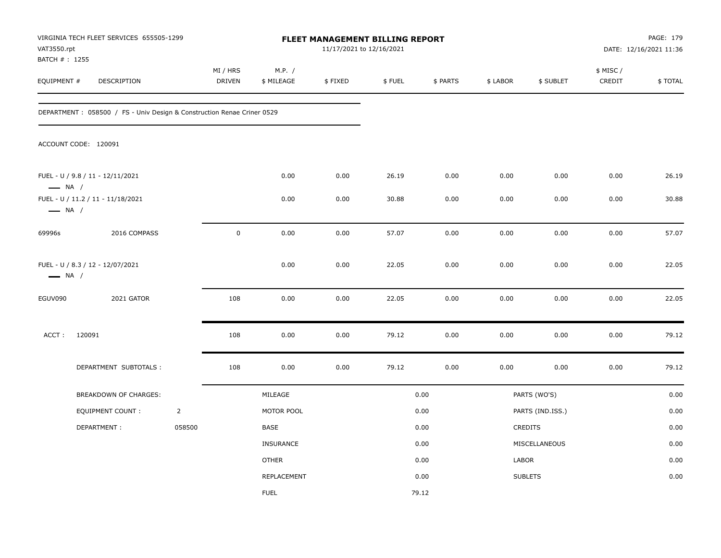| VAT3550.rpt<br>BATCH #: 1255 | VIRGINIA TECH FLEET SERVICES 655505-1299                               |                | <b>FLEET MANAGEMENT BILLING REPORT</b><br>11/17/2021 to 12/16/2021 |                      |         |        |          |          |                  | PAGE: 179<br>DATE: 12/16/2021 11:36 |         |
|------------------------------|------------------------------------------------------------------------|----------------|--------------------------------------------------------------------|----------------------|---------|--------|----------|----------|------------------|-------------------------------------|---------|
| EQUIPMENT #                  | DESCRIPTION                                                            |                | MI / HRS<br>DRIVEN                                                 | M.P. /<br>\$ MILEAGE | \$FIXED | \$FUEL | \$ PARTS | \$ LABOR | \$ SUBLET        | \$ MISC /<br>CREDIT                 | \$TOTAL |
|                              | DEPARTMENT: 058500 / FS - Univ Design & Construction Renae Criner 0529 |                |                                                                    |                      |         |        |          |          |                  |                                     |         |
|                              | ACCOUNT CODE: 120091                                                   |                |                                                                    |                      |         |        |          |          |                  |                                     |         |
| $\longrightarrow$ NA /       | FUEL - U / 9.8 / 11 - 12/11/2021                                       |                |                                                                    | 0.00                 | 0.00    | 26.19  | 0.00     | 0.00     | 0.00             | 0.00                                | 26.19   |
| $\longrightarrow$ NA /       | FUEL - U / 11.2 / 11 - 11/18/2021                                      |                |                                                                    | 0.00                 | 0.00    | 30.88  | 0.00     | 0.00     | 0.00             | 0.00                                | 30.88   |
| 69996s                       | 2016 COMPASS                                                           |                | $\mathbf 0$                                                        | 0.00                 | 0.00    | 57.07  | 0.00     | 0.00     | 0.00             | 0.00                                | 57.07   |
| $\longrightarrow$ NA /       | FUEL - U / 8.3 / 12 - 12/07/2021                                       |                |                                                                    | 0.00                 | 0.00    | 22.05  | 0.00     | 0.00     | 0.00             | 0.00                                | 22.05   |
| EGUV090                      | 2021 GATOR                                                             |                | 108                                                                | 0.00                 | 0.00    | 22.05  | 0.00     | 0.00     | 0.00             | 0.00                                | 22.05   |
| ACCT:                        | 120091                                                                 |                | 108                                                                | 0.00                 | 0.00    | 79.12  | 0.00     | 0.00     | 0.00             | 0.00                                | 79.12   |
|                              | DEPARTMENT SUBTOTALS :                                                 |                | 108                                                                | 0.00                 | 0.00    | 79.12  | 0.00     | 0.00     | 0.00             | 0.00                                | 79.12   |
|                              | BREAKDOWN OF CHARGES:                                                  |                |                                                                    | MILEAGE              |         |        | 0.00     |          | PARTS (WO'S)     |                                     | 0.00    |
|                              | <b>EQUIPMENT COUNT:</b>                                                | $\overline{2}$ |                                                                    | MOTOR POOL           |         |        | 0.00     |          | PARTS (IND.ISS.) |                                     | 0.00    |
|                              | DEPARTMENT:                                                            | 058500         |                                                                    | BASE                 |         |        | 0.00     |          | CREDITS          |                                     | 0.00    |
|                              |                                                                        |                |                                                                    | <b>INSURANCE</b>     |         |        | 0.00     |          | MISCELLANEOUS    |                                     | 0.00    |
|                              |                                                                        |                |                                                                    | <b>OTHER</b>         |         |        | 0.00     | LABOR    |                  |                                     | 0.00    |
|                              |                                                                        |                |                                                                    | REPLACEMENT          |         |        | 0.00     |          | <b>SUBLETS</b>   |                                     | 0.00    |
|                              |                                                                        |                |                                                                    | <b>FUEL</b>          |         |        | 79.12    |          |                  |                                     |         |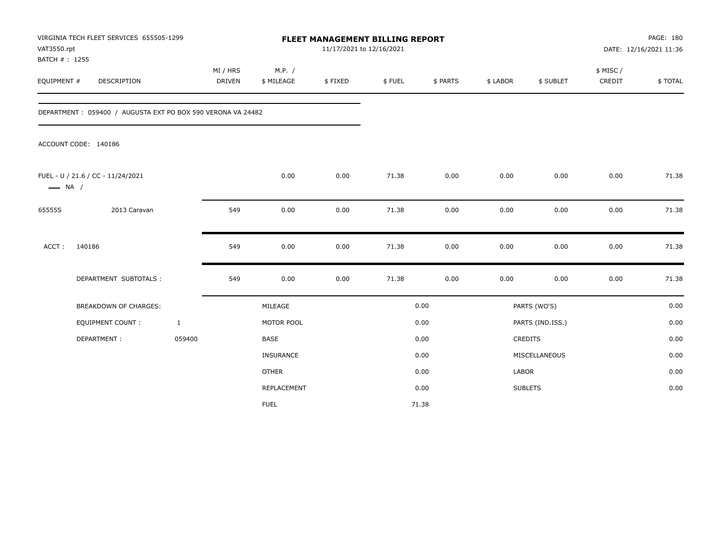| VAT3550.rpt<br>BATCH #: 1255 | VIRGINIA TECH FLEET SERVICES 655505-1299                    |                           | FLEET MANAGEMENT BILLING REPORT<br>11/17/2021 to 12/16/2021 |          |        |          |          |                  |                     | PAGE: 180<br>DATE: 12/16/2021 11:36 |  |
|------------------------------|-------------------------------------------------------------|---------------------------|-------------------------------------------------------------|----------|--------|----------|----------|------------------|---------------------|-------------------------------------|--|
| EQUIPMENT #                  | DESCRIPTION                                                 | MI / HRS<br><b>DRIVEN</b> | M.P. /<br>\$ MILEAGE                                        | \$FIXED  | \$FUEL | \$ PARTS | \$ LABOR | \$ SUBLET        | \$ MISC /<br>CREDIT | \$TOTAL                             |  |
|                              | DEPARTMENT: 059400 / AUGUSTA EXT PO BOX 590 VERONA VA 24482 |                           |                                                             |          |        |          |          |                  |                     |                                     |  |
|                              | ACCOUNT CODE: 140186                                        |                           |                                                             |          |        |          |          |                  |                     |                                     |  |
| $\longrightarrow$ NA /       | FUEL - U / 21.6 / CC - 11/24/2021                           |                           | 0.00                                                        | 0.00     | 71.38  | 0.00     | 0.00     | 0.00             | 0.00                | 71.38                               |  |
| 65555S                       | 2013 Caravan                                                | 549                       | 0.00                                                        | $0.00\,$ | 71.38  | 0.00     | 0.00     | 0.00             | 0.00                | 71.38                               |  |
| ACCT:                        | 140186                                                      | 549                       | 0.00                                                        | 0.00     | 71.38  | 0.00     | 0.00     | 0.00             | 0.00                | 71.38                               |  |
|                              | DEPARTMENT SUBTOTALS :                                      | 549                       | 0.00                                                        | 0.00     | 71.38  | 0.00     | 0.00     | 0.00             | 0.00                | 71.38                               |  |
|                              | <b>BREAKDOWN OF CHARGES:</b>                                |                           | MILEAGE                                                     |          |        | 0.00     |          | PARTS (WO'S)     |                     | 0.00                                |  |
|                              | <b>EQUIPMENT COUNT:</b>                                     | $\mathbf{1}$              | MOTOR POOL                                                  |          |        | 0.00     |          | PARTS (IND.ISS.) |                     | 0.00                                |  |
|                              | DEPARTMENT:                                                 | 059400                    | <b>BASE</b>                                                 |          |        | 0.00     |          | <b>CREDITS</b>   |                     | 0.00                                |  |
|                              |                                                             |                           | INSURANCE                                                   |          |        | 0.00     |          | MISCELLANEOUS    |                     | 0.00                                |  |
|                              |                                                             |                           | <b>OTHER</b>                                                |          |        | 0.00     | LABOR    |                  |                     | 0.00                                |  |
|                              |                                                             |                           | REPLACEMENT                                                 |          |        | 0.00     |          | <b>SUBLETS</b>   |                     | 0.00                                |  |
|                              |                                                             |                           | <b>FUEL</b>                                                 |          |        | 71.38    |          |                  |                     |                                     |  |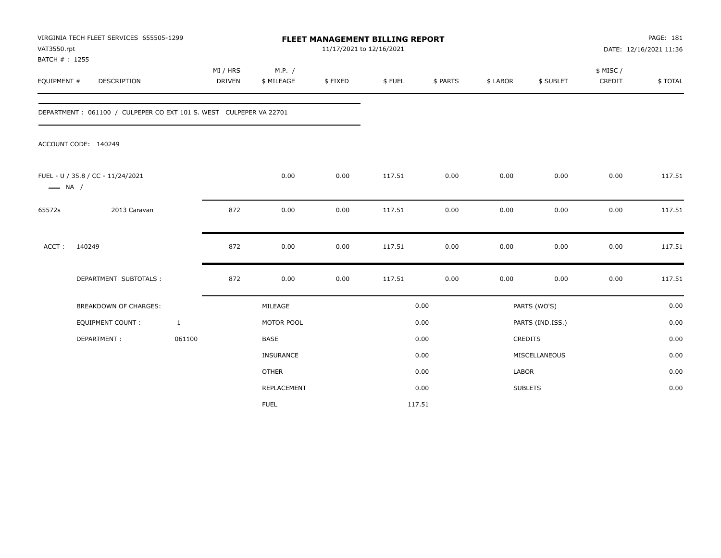| VAT3550.rpt<br>BATCH #: 1255 | VIRGINIA TECH FLEET SERVICES 655505-1299                           |                           |                      | <b>FLEET MANAGEMENT BILLING REPORT</b> | 11/17/2021 to 12/16/2021 |          |              |                  |                     | PAGE: 181<br>DATE: 12/16/2021 11:36 |
|------------------------------|--------------------------------------------------------------------|---------------------------|----------------------|----------------------------------------|--------------------------|----------|--------------|------------------|---------------------|-------------------------------------|
| EQUIPMENT #                  | DESCRIPTION                                                        | MI / HRS<br><b>DRIVEN</b> | M.P. /<br>\$ MILEAGE | \$FIXED                                | \$FUEL                   | \$ PARTS | \$ LABOR     | \$ SUBLET        | \$ MISC /<br>CREDIT | \$TOTAL                             |
|                              | DEPARTMENT: 061100 / CULPEPER CO EXT 101 S. WEST CULPEPER VA 22701 |                           |                      |                                        |                          |          |              |                  |                     |                                     |
|                              | ACCOUNT CODE: 140249                                               |                           |                      |                                        |                          |          |              |                  |                     |                                     |
| $\longrightarrow$ NA /       | FUEL - U / 35.8 / CC - 11/24/2021                                  |                           | 0.00                 | 0.00                                   | 117.51                   | 0.00     | 0.00         | 0.00             | 0.00                | 117.51                              |
| 65572s                       | 2013 Caravan                                                       | 872                       | 0.00                 | 0.00                                   | 117.51                   | 0.00     | 0.00         | 0.00             | 0.00                | 117.51                              |
| ACCT:                        | 140249                                                             | 872                       | 0.00                 | 0.00                                   | 117.51                   | 0.00     | 0.00         | 0.00             | 0.00                | 117.51                              |
|                              | DEPARTMENT SUBTOTALS :                                             | 872                       | 0.00                 | 0.00                                   | 117.51                   | 0.00     | 0.00         | 0.00             | 0.00                | 117.51                              |
|                              | <b>BREAKDOWN OF CHARGES:</b>                                       |                           | MILEAGE              |                                        |                          | 0.00     |              | PARTS (WO'S)     |                     | 0.00                                |
|                              | <b>EQUIPMENT COUNT:</b>                                            | $\mathbf{1}$              | MOTOR POOL           |                                        |                          | 0.00     |              | PARTS (IND.ISS.) |                     | 0.00                                |
|                              | DEPARTMENT:                                                        | 061100                    | <b>BASE</b>          |                                        |                          | 0.00     |              | CREDITS          |                     | 0.00                                |
|                              |                                                                    |                           | INSURANCE            |                                        |                          | 0.00     |              | MISCELLANEOUS    |                     | 0.00                                |
|                              |                                                                    |                           | <b>OTHER</b>         |                                        |                          | 0.00     | <b>LABOR</b> |                  |                     | 0.00                                |
|                              |                                                                    |                           | REPLACEMENT          |                                        |                          | 0.00     |              | <b>SUBLETS</b>   |                     | 0.00                                |
|                              |                                                                    |                           | <b>FUEL</b>          |                                        |                          | 117.51   |              |                  |                     |                                     |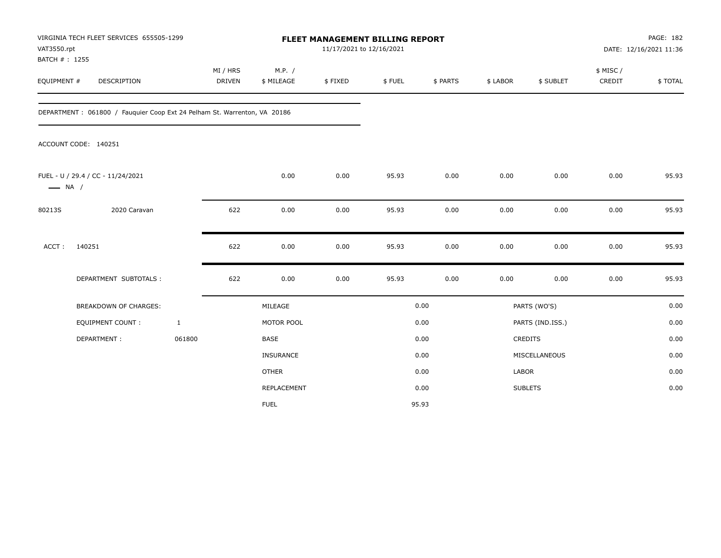| VAT3550.rpt<br>BATCH #: 1255 | VIRGINIA TECH FLEET SERVICES 655505-1299                                 |                           |                      | FLEET MANAGEMENT BILLING REPORT<br>11/17/2021 to 12/16/2021 |        |          |              |                  |                     | PAGE: 182<br>DATE: 12/16/2021 11:36 |
|------------------------------|--------------------------------------------------------------------------|---------------------------|----------------------|-------------------------------------------------------------|--------|----------|--------------|------------------|---------------------|-------------------------------------|
| EQUIPMENT #                  | DESCRIPTION                                                              | MI / HRS<br><b>DRIVEN</b> | M.P. /<br>\$ MILEAGE | \$FIXED                                                     | \$FUEL | \$ PARTS | \$ LABOR     | \$ SUBLET        | \$ MISC /<br>CREDIT | \$TOTAL                             |
|                              | DEPARTMENT: 061800 / Fauguier Coop Ext 24 Pelham St. Warrenton, VA 20186 |                           |                      |                                                             |        |          |              |                  |                     |                                     |
|                              | ACCOUNT CODE: 140251                                                     |                           |                      |                                                             |        |          |              |                  |                     |                                     |
| $\longrightarrow$ NA /       | FUEL - U / 29.4 / CC - 11/24/2021                                        |                           | 0.00                 | 0.00                                                        | 95.93  | 0.00     | 0.00         | 0.00             | 0.00                | 95.93                               |
| 80213S                       | 2020 Caravan                                                             | 622                       | 0.00                 | 0.00                                                        | 95.93  | 0.00     | 0.00         | 0.00             | 0.00                | 95.93                               |
| ACCT:                        | 140251                                                                   | 622                       | 0.00                 | 0.00                                                        | 95.93  | 0.00     | 0.00         | 0.00             | 0.00                | 95.93                               |
|                              | DEPARTMENT SUBTOTALS :                                                   | 622                       | 0.00                 | 0.00                                                        | 95.93  | 0.00     | 0.00         | 0.00             | 0.00                | 95.93                               |
|                              | <b>BREAKDOWN OF CHARGES:</b>                                             |                           | MILEAGE              |                                                             |        | 0.00     |              | PARTS (WO'S)     |                     | 0.00                                |
|                              | <b>EQUIPMENT COUNT:</b>                                                  | $\mathbf{1}$              | MOTOR POOL           |                                                             |        | 0.00     |              | PARTS (IND.ISS.) |                     | 0.00                                |
|                              | DEPARTMENT:                                                              | 061800                    | BASE                 |                                                             |        | 0.00     |              | CREDITS          |                     | 0.00                                |
|                              |                                                                          |                           | INSURANCE            |                                                             |        | 0.00     |              | MISCELLANEOUS    |                     | 0.00                                |
|                              |                                                                          |                           | <b>OTHER</b>         |                                                             |        | 0.00     | <b>LABOR</b> |                  |                     | 0.00                                |
|                              |                                                                          |                           | REPLACEMENT          |                                                             |        | 0.00     |              | <b>SUBLETS</b>   |                     | 0.00                                |
|                              |                                                                          |                           | <b>FUEL</b>          |                                                             |        | 95.93    |              |                  |                     |                                     |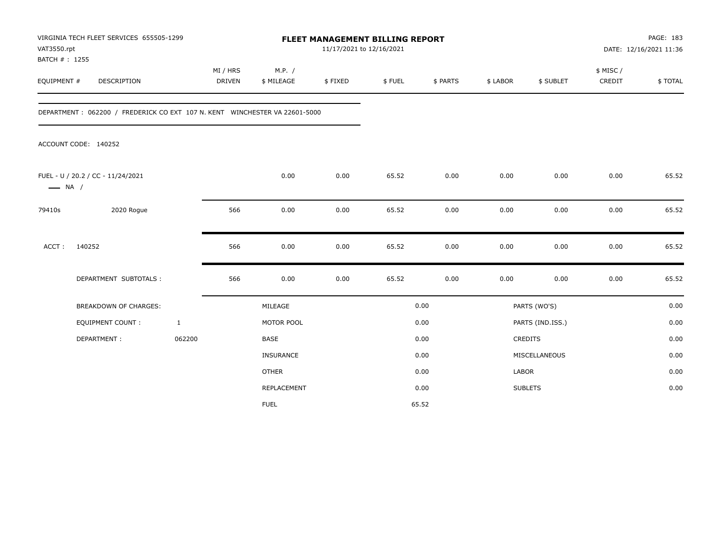| VAT3550.rpt                  | VIRGINIA TECH FLEET SERVICES 655505-1299                                   |                           |                      | <b>FLEET MANAGEMENT BILLING REPORT</b><br>11/17/2021 to 12/16/2021 |        |          |              |                  |                     | PAGE: 183<br>DATE: 12/16/2021 11:36 |  |
|------------------------------|----------------------------------------------------------------------------|---------------------------|----------------------|--------------------------------------------------------------------|--------|----------|--------------|------------------|---------------------|-------------------------------------|--|
| BATCH #: 1255<br>EQUIPMENT # | DESCRIPTION                                                                | MI / HRS<br><b>DRIVEN</b> | M.P. /<br>\$ MILEAGE | \$FIXED                                                            | \$FUEL | \$ PARTS | \$ LABOR     | \$ SUBLET        | \$ MISC /<br>CREDIT | \$TOTAL                             |  |
|                              | DEPARTMENT: 062200 / FREDERICK CO EXT 107 N. KENT WINCHESTER VA 22601-5000 |                           |                      |                                                                    |        |          |              |                  |                     |                                     |  |
|                              | ACCOUNT CODE: 140252                                                       |                           |                      |                                                                    |        |          |              |                  |                     |                                     |  |
| $\longrightarrow$ NA /       | FUEL - U / 20.2 / CC - 11/24/2021                                          |                           | 0.00                 | 0.00                                                               | 65.52  | 0.00     | 0.00         | 0.00             | 0.00                | 65.52                               |  |
| 79410s                       | 2020 Rogue                                                                 | 566                       | 0.00                 | 0.00                                                               | 65.52  | 0.00     | 0.00         | 0.00             | 0.00                | 65.52                               |  |
| ACCT:                        | 140252                                                                     | 566                       | 0.00                 | 0.00                                                               | 65.52  | 0.00     | 0.00         | 0.00             | 0.00                | 65.52                               |  |
|                              | DEPARTMENT SUBTOTALS :                                                     | 566                       | 0.00                 | 0.00                                                               | 65.52  | 0.00     | 0.00         | 0.00             | 0.00                | 65.52                               |  |
|                              | <b>BREAKDOWN OF CHARGES:</b>                                               |                           | MILEAGE              |                                                                    |        | 0.00     |              | PARTS (WO'S)     |                     | 0.00                                |  |
|                              | <b>EQUIPMENT COUNT:</b>                                                    | $\mathbf{1}$              | MOTOR POOL           |                                                                    |        | 0.00     |              | PARTS (IND.ISS.) |                     | 0.00                                |  |
|                              | DEPARTMENT:                                                                | 062200                    | <b>BASE</b>          |                                                                    |        | 0.00     |              | <b>CREDITS</b>   |                     | 0.00                                |  |
|                              |                                                                            |                           | <b>INSURANCE</b>     |                                                                    |        | 0.00     |              | MISCELLANEOUS    |                     | 0.00                                |  |
|                              |                                                                            |                           | <b>OTHER</b>         |                                                                    |        | 0.00     | <b>LABOR</b> |                  |                     | 0.00                                |  |
|                              |                                                                            |                           | REPLACEMENT          |                                                                    |        | 0.00     |              | <b>SUBLETS</b>   |                     | 0.00                                |  |
|                              |                                                                            |                           | <b>FUEL</b>          |                                                                    |        | 65.52    |              |                  |                     |                                     |  |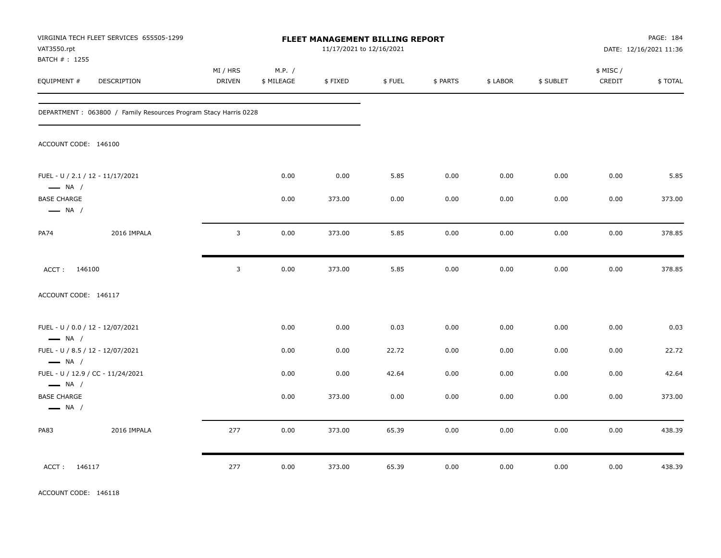| VAT3550.rpt<br>BATCH #: 1255                               | VIRGINIA TECH FLEET SERVICES 655505-1299                        |                           |                      | FLEET MANAGEMENT BILLING REPORT<br>11/17/2021 to 12/16/2021 |        |          |          |           |                    | PAGE: 184<br>DATE: 12/16/2021 11:36 |
|------------------------------------------------------------|-----------------------------------------------------------------|---------------------------|----------------------|-------------------------------------------------------------|--------|----------|----------|-----------|--------------------|-------------------------------------|
| EQUIPMENT #                                                | DESCRIPTION                                                     | MI / HRS<br><b>DRIVEN</b> | M.P. /<br>\$ MILEAGE | \$FIXED                                                     | \$FUEL | \$ PARTS | \$ LABOR | \$ SUBLET | \$ MISC/<br>CREDIT | \$TOTAL                             |
|                                                            | DEPARTMENT: 063800 / Family Resources Program Stacy Harris 0228 |                           |                      |                                                             |        |          |          |           |                    |                                     |
| ACCOUNT CODE: 146100                                       |                                                                 |                           |                      |                                                             |        |          |          |           |                    |                                     |
| FUEL - U / 2.1 / 12 - 11/17/2021<br>$\longrightarrow$ NA / |                                                                 |                           | 0.00                 | 0.00                                                        | 5.85   | 0.00     | 0.00     | 0.00      | 0.00               | 5.85                                |
| <b>BASE CHARGE</b><br>$\longrightarrow$ NA /               |                                                                 |                           | 0.00                 | 373.00                                                      | 0.00   | 0.00     | 0.00     | 0.00      | 0.00               | 373.00                              |
| <b>PA74</b>                                                | 2016 IMPALA                                                     | 3                         | 0.00                 | 373.00                                                      | 5.85   | 0.00     | 0.00     | 0.00      | 0.00               | 378.85                              |
| ACCT: 146100                                               |                                                                 | 3                         | 0.00                 | 373.00                                                      | 5.85   | 0.00     | 0.00     | 0.00      | 0.00               | 378.85                              |
| ACCOUNT CODE: 146117                                       |                                                                 |                           |                      |                                                             |        |          |          |           |                    |                                     |
| FUEL - U / 0.0 / 12 - 12/07/2021<br>$\longrightarrow$ NA / |                                                                 |                           | 0.00                 | 0.00                                                        | 0.03   | 0.00     | 0.00     | 0.00      | 0.00               | 0.03                                |
| FUEL - U / 8.5 / 12 - 12/07/2021<br>$\longrightarrow$ NA / |                                                                 |                           | 0.00                 | 0.00                                                        | 22.72  | 0.00     | 0.00     | 0.00      | 0.00               | 22.72                               |
| $\longrightarrow$ NA /                                     | FUEL - U / 12.9 / CC - 11/24/2021                               |                           | 0.00                 | 0.00                                                        | 42.64  | 0.00     | 0.00     | 0.00      | 0.00               | 42.64                               |
| <b>BASE CHARGE</b><br>$\longrightarrow$ NA /               |                                                                 |                           | 0.00                 | 373.00                                                      | 0.00   | 0.00     | 0.00     | 0.00      | 0.00               | 373.00                              |
| PA83                                                       | 2016 IMPALA                                                     | 277                       | 0.00                 | 373.00                                                      | 65.39  | 0.00     | 0.00     | 0.00      | 0.00               | 438.39                              |
| ACCT: 146117                                               |                                                                 | 277                       | 0.00                 | 373.00                                                      | 65.39  | 0.00     | 0.00     | 0.00      | 0.00               | 438.39                              |

ACCOUNT CODE: 146118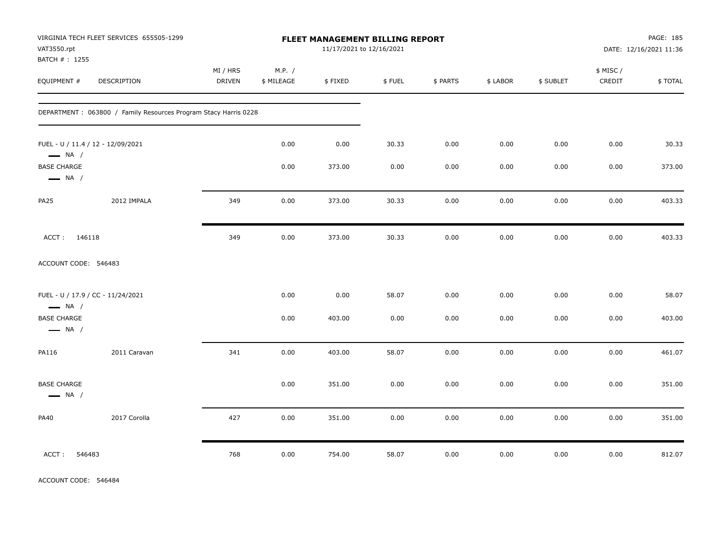| VAT3550.rpt<br>BATCH # : 1255                | VIRGINIA TECH FLEET SERVICES 655505-1299                        |                    |                      | FLEET MANAGEMENT BILLING REPORT<br>11/17/2021 to 12/16/2021 |        |          |          |           |                     | PAGE: 185<br>DATE: 12/16/2021 11:36 |
|----------------------------------------------|-----------------------------------------------------------------|--------------------|----------------------|-------------------------------------------------------------|--------|----------|----------|-----------|---------------------|-------------------------------------|
| EQUIPMENT #                                  | DESCRIPTION                                                     | MI / HRS<br>DRIVEN | M.P. /<br>\$ MILEAGE | \$FIXED                                                     | \$FUEL | \$ PARTS | \$ LABOR | \$ SUBLET | \$ MISC /<br>CREDIT | \$TOTAL                             |
|                                              | DEPARTMENT: 063800 / Family Resources Program Stacy Harris 0228 |                    |                      |                                                             |        |          |          |           |                     |                                     |
| $\longrightarrow$ NA /                       | FUEL - U / 11.4 / 12 - 12/09/2021                               |                    | 0.00                 | 0.00                                                        | 30.33  | 0.00     | 0.00     | 0.00      | 0.00                | 30.33                               |
| <b>BASE CHARGE</b><br>$\longrightarrow$ NA / |                                                                 |                    | 0.00                 | 373.00                                                      | 0.00   | 0.00     | 0.00     | 0.00      | 0.00                | 373.00                              |
| <b>PA25</b>                                  | 2012 IMPALA                                                     | 349                | 0.00                 | 373.00                                                      | 30.33  | 0.00     | 0.00     | 0.00      | 0.00                | 403.33                              |
| ACCT: 146118                                 |                                                                 | 349                | 0.00                 | 373.00                                                      | 30.33  | 0.00     | 0.00     | 0.00      | 0.00                | 403.33                              |
| ACCOUNT CODE: 546483                         |                                                                 |                    |                      |                                                             |        |          |          |           |                     |                                     |
| $\longrightarrow$ NA /                       | FUEL - U / 17.9 / CC - 11/24/2021                               |                    | 0.00                 | 0.00                                                        | 58.07  | 0.00     | 0.00     | 0.00      | 0.00                | 58.07                               |
| <b>BASE CHARGE</b><br>$\longrightarrow$ NA / |                                                                 |                    | 0.00                 | 403.00                                                      | 0.00   | 0.00     | 0.00     | 0.00      | 0.00                | 403.00                              |
| PA116                                        | 2011 Caravan                                                    | 341                | 0.00                 | 403.00                                                      | 58.07  | 0.00     | 0.00     | 0.00      | 0.00                | 461.07                              |
| <b>BASE CHARGE</b><br>$\longrightarrow$ NA / |                                                                 |                    | 0.00                 | 351.00                                                      | 0.00   | 0.00     | 0.00     | 0.00      | 0.00                | 351.00                              |
| <b>PA40</b>                                  | 2017 Corolla                                                    | 427                | 0.00                 | 351.00                                                      | 0.00   | 0.00     | 0.00     | 0.00      | 0.00                | 351.00                              |
| 546483<br>ACCT:                              |                                                                 | 768                | 0.00                 | 754.00                                                      | 58.07  | 0.00     | 0.00     | 0.00      | 0.00                | 812.07                              |

ACCOUNT CODE: 546484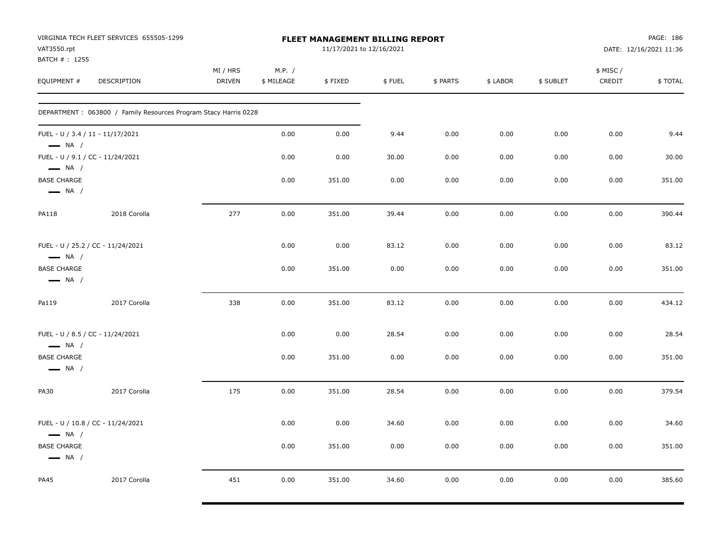| VAT3550.rpt<br>BATCH #: 1255                               | VIRGINIA TECH FLEET SERVICES 655505-1299                        |                           |                      | <b>FLEET MANAGEMENT BILLING REPORT</b><br>11/17/2021 to 12/16/2021 |        |          |          |           |                    | PAGE: 186<br>DATE: 12/16/2021 11:36 |
|------------------------------------------------------------|-----------------------------------------------------------------|---------------------------|----------------------|--------------------------------------------------------------------|--------|----------|----------|-----------|--------------------|-------------------------------------|
| EQUIPMENT #                                                | <b>DESCRIPTION</b>                                              | MI / HRS<br><b>DRIVEN</b> | M.P. /<br>\$ MILEAGE | \$FIXED                                                            | \$FUEL | \$ PARTS | \$ LABOR | \$ SUBLET | \$ MISC/<br>CREDIT | \$TOTAL                             |
|                                                            | DEPARTMENT: 063800 / Family Resources Program Stacy Harris 0228 |                           |                      |                                                                    |        |          |          |           |                    |                                     |
| FUEL - U / 3.4 / 11 - 11/17/2021<br>$\longrightarrow$ NA / |                                                                 |                           | 0.00                 | 0.00                                                               | 9.44   | 0.00     | 0.00     | 0.00      | 0.00               | 9.44                                |
| FUEL - U / 9.1 / CC - 11/24/2021<br>$\longrightarrow$ NA / |                                                                 |                           | 0.00                 | 0.00                                                               | 30.00  | 0.00     | 0.00     | 0.00      | 0.00               | 30.00                               |
| <b>BASE CHARGE</b><br>$\longrightarrow$ NA /               |                                                                 |                           | 0.00                 | 351.00                                                             | 0.00   | 0.00     | 0.00     | 0.00      | 0.00               | 351.00                              |
| <b>PA118</b>                                               | 2018 Corolla                                                    | 277                       | 0.00                 | 351.00                                                             | 39.44  | 0.00     | 0.00     | 0.00      | 0.00               | 390.44                              |
| $\longrightarrow$ NA /                                     | FUEL - U / 25.2 / CC - 11/24/2021                               |                           | 0.00                 | 0.00                                                               | 83.12  | 0.00     | 0.00     | 0.00      | 0.00               | 83.12                               |
| <b>BASE CHARGE</b><br>$\longrightarrow$ NA /               |                                                                 |                           | 0.00                 | 351.00                                                             | 0.00   | 0.00     | 0.00     | 0.00      | 0.00               | 351.00                              |
| Pa119                                                      | 2017 Corolla                                                    | 338                       | 0.00                 | 351.00                                                             | 83.12  | 0.00     | 0.00     | 0.00      | 0.00               | 434.12                              |
| FUEL - U / 8.5 / CC - 11/24/2021<br>$\longrightarrow$ NA / |                                                                 |                           | 0.00                 | 0.00                                                               | 28.54  | 0.00     | 0.00     | 0.00      | 0.00               | 28.54                               |
| <b>BASE CHARGE</b><br>$\longrightarrow$ NA /               |                                                                 |                           | 0.00                 | 351.00                                                             | 0.00   | 0.00     | 0.00     | 0.00      | 0.00               | 351.00                              |
| PA30                                                       | 2017 Corolla                                                    | 175                       | 0.00                 | 351.00                                                             | 28.54  | 0.00     | 0.00     | 0.00      | 0.00               | 379.54                              |
| $\longrightarrow$ NA /                                     | FUEL - U / 10.8 / CC - 11/24/2021                               |                           | 0.00                 | 0.00                                                               | 34.60  | 0.00     | 0.00     | 0.00      | 0.00               | 34.60                               |
| <b>BASE CHARGE</b><br>$\longrightarrow$ NA /               |                                                                 |                           | 0.00                 | 351.00                                                             | 0.00   | 0.00     | 0.00     | 0.00      | 0.00               | 351.00                              |
| <b>PA45</b>                                                | 2017 Corolla                                                    | 451                       | 0.00                 | 351.00                                                             | 34.60  | 0.00     | 0.00     | 0.00      | 0.00               | 385.60                              |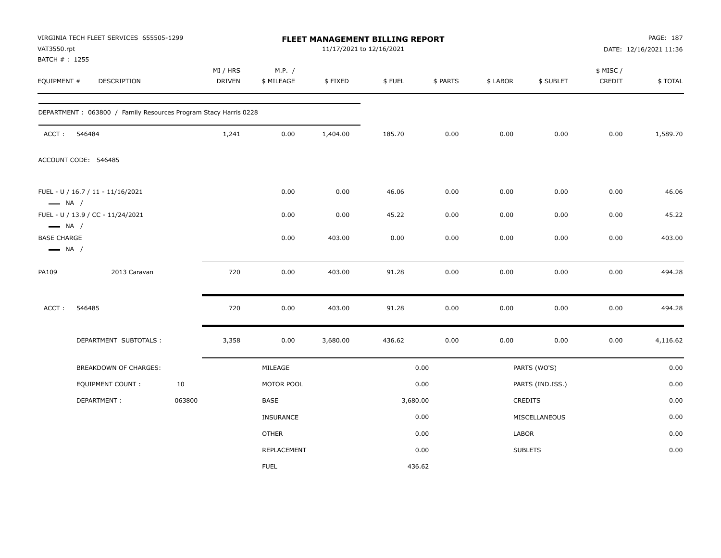| VAT3550.rpt<br>BATCH #: 1255                                           | VIRGINIA TECH FLEET SERVICES 655505-1299                        |        |                    |                      |          | FLEET MANAGEMENT BILLING REPORT<br>11/17/2021 to 12/16/2021 |          |          |                  |                     | PAGE: 187<br>DATE: 12/16/2021 11:36 |
|------------------------------------------------------------------------|-----------------------------------------------------------------|--------|--------------------|----------------------|----------|-------------------------------------------------------------|----------|----------|------------------|---------------------|-------------------------------------|
| EQUIPMENT #                                                            | <b>DESCRIPTION</b>                                              |        | MI / HRS<br>DRIVEN | M.P. /<br>\$ MILEAGE | \$FIXED  | \$FUEL                                                      | \$ PARTS | \$ LABOR | \$ SUBLET        | \$ MISC /<br>CREDIT | \$TOTAL                             |
|                                                                        | DEPARTMENT: 063800 / Family Resources Program Stacy Harris 0228 |        |                    |                      |          |                                                             |          |          |                  |                     |                                     |
| ACCT:                                                                  | 546484                                                          |        | 1,241              | 0.00                 | 1,404.00 | 185.70                                                      | 0.00     | 0.00     | 0.00             | 0.00                | 1,589.70                            |
|                                                                        | ACCOUNT CODE: 546485                                            |        |                    |                      |          |                                                             |          |          |                  |                     |                                     |
| $\longrightarrow$ NA /                                                 | FUEL - U / 16.7 / 11 - 11/16/2021                               |        |                    | 0.00                 | 0.00     | 46.06                                                       | 0.00     | 0.00     | 0.00             | 0.00                | 46.06                               |
|                                                                        | FUEL - U / 13.9 / CC - 11/24/2021                               |        |                    | 0.00                 | 0.00     | 45.22                                                       | 0.00     | 0.00     | 0.00             | 0.00                | 45.22                               |
| $\longrightarrow$ NA /<br><b>BASE CHARGE</b><br>$\longrightarrow$ NA / |                                                                 |        |                    | 0.00                 | 403.00   | 0.00                                                        | 0.00     | 0.00     | 0.00             | 0.00                | 403.00                              |
| PA109                                                                  | 2013 Caravan                                                    |        | 720                | 0.00                 | 403.00   | 91.28                                                       | 0.00     | 0.00     | 0.00             | 0.00                | 494.28                              |
| ACCT:                                                                  | 546485                                                          |        | 720                | 0.00                 | 403.00   | 91.28                                                       | 0.00     | 0.00     | 0.00             | 0.00                | 494.28                              |
|                                                                        | DEPARTMENT SUBTOTALS :                                          |        | 3,358              | 0.00                 | 3,680.00 | 436.62                                                      | 0.00     | 0.00     | 0.00             | 0.00                | 4,116.62                            |
|                                                                        | BREAKDOWN OF CHARGES:                                           |        |                    | MILEAGE              |          |                                                             | 0.00     |          | PARTS (WO'S)     |                     | 0.00                                |
|                                                                        | <b>EQUIPMENT COUNT:</b>                                         | 10     |                    | MOTOR POOL           |          |                                                             | 0.00     |          | PARTS (IND.ISS.) |                     | 0.00                                |
|                                                                        | DEPARTMENT:                                                     | 063800 |                    | BASE                 |          | 3,680.00                                                    |          |          | CREDITS          |                     | 0.00                                |
|                                                                        |                                                                 |        |                    | <b>INSURANCE</b>     |          |                                                             | 0.00     |          | MISCELLANEOUS    |                     | 0.00                                |
|                                                                        |                                                                 |        |                    | <b>OTHER</b>         |          |                                                             | 0.00     | LABOR    |                  |                     | 0.00                                |
|                                                                        |                                                                 |        |                    | <b>REPLACEMENT</b>   |          |                                                             | 0.00     |          | <b>SUBLETS</b>   |                     | 0.00                                |
|                                                                        |                                                                 |        |                    | <b>FUEL</b>          |          | 436.62                                                      |          |          |                  |                     |                                     |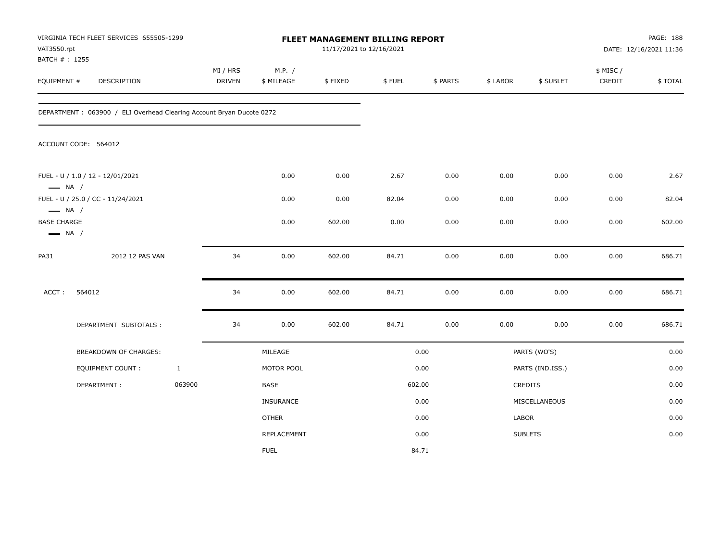| VAT3550.rpt<br>BATCH #: 1255                                           | VIRGINIA TECH FLEET SERVICES 655505-1299                             |              |                    |                      | FLEET MANAGEMENT BILLING REPORT<br>11/17/2021 to 12/16/2021 |        |          |          |                  |                     | PAGE: 188<br>DATE: 12/16/2021 11:36 |
|------------------------------------------------------------------------|----------------------------------------------------------------------|--------------|--------------------|----------------------|-------------------------------------------------------------|--------|----------|----------|------------------|---------------------|-------------------------------------|
| EQUIPMENT #                                                            | DESCRIPTION                                                          |              | MI / HRS<br>DRIVEN | M.P. /<br>\$ MILEAGE | \$FIXED                                                     | \$FUEL | \$ PARTS | \$ LABOR | \$ SUBLET        | \$ MISC /<br>CREDIT | \$TOTAL                             |
|                                                                        | DEPARTMENT: 063900 / ELI Overhead Clearing Account Bryan Ducote 0272 |              |                    |                      |                                                             |        |          |          |                  |                     |                                     |
|                                                                        | ACCOUNT CODE: 564012                                                 |              |                    |                      |                                                             |        |          |          |                  |                     |                                     |
| $\longrightarrow$ NA /                                                 | FUEL - U / 1.0 / 12 - 12/01/2021                                     |              |                    | 0.00                 | 0.00                                                        | 2.67   | 0.00     | 0.00     | 0.00             | 0.00                | 2.67                                |
|                                                                        | FUEL - U / 25.0 / CC - 11/24/2021                                    |              |                    | 0.00                 | 0.00                                                        | 82.04  | 0.00     | 0.00     | 0.00             | 0.00                | 82.04                               |
| $\longrightarrow$ NA /<br><b>BASE CHARGE</b><br>$\longrightarrow$ NA / |                                                                      |              |                    | 0.00                 | 602.00                                                      | 0.00   | 0.00     | 0.00     | 0.00             | 0.00                | 602.00                              |
| <b>PA31</b>                                                            | 2012 12 PAS VAN                                                      |              | 34                 | 0.00                 | 602.00                                                      | 84.71  | 0.00     | 0.00     | 0.00             | 0.00                | 686.71                              |
| ACCT:                                                                  | 564012                                                               |              | 34                 | 0.00                 | 602.00                                                      | 84.71  | 0.00     | 0.00     | 0.00             | 0.00                | 686.71                              |
|                                                                        | DEPARTMENT SUBTOTALS :                                               |              | 34                 | 0.00                 | 602.00                                                      | 84.71  | 0.00     | 0.00     | 0.00             | 0.00                | 686.71                              |
|                                                                        | BREAKDOWN OF CHARGES:                                                |              |                    | MILEAGE              |                                                             |        | 0.00     |          | PARTS (WO'S)     |                     | 0.00                                |
|                                                                        | <b>EQUIPMENT COUNT:</b>                                              | $\mathbf{1}$ |                    | MOTOR POOL           |                                                             |        | 0.00     |          | PARTS (IND.ISS.) |                     | 0.00                                |
|                                                                        | DEPARTMENT:                                                          | 063900       |                    | <b>BASE</b>          |                                                             |        | 602.00   |          | CREDITS          |                     | 0.00                                |
|                                                                        |                                                                      |              |                    | <b>INSURANCE</b>     |                                                             |        | 0.00     |          | MISCELLANEOUS    |                     | 0.00                                |
|                                                                        |                                                                      |              |                    | <b>OTHER</b>         |                                                             |        | 0.00     | LABOR    |                  |                     | 0.00                                |
|                                                                        |                                                                      |              |                    | <b>REPLACEMENT</b>   |                                                             |        | 0.00     |          | <b>SUBLETS</b>   |                     | 0.00                                |
|                                                                        |                                                                      |              |                    | <b>FUEL</b>          |                                                             |        | 84.71    |          |                  |                     |                                     |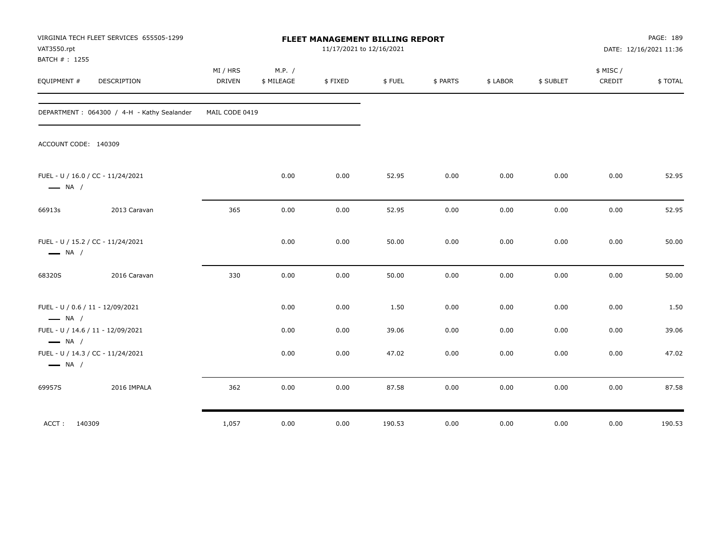| VAT3550.rpt<br>BATCH #: 1255                               | VIRGINIA TECH FLEET SERVICES 655505-1299   |                           |                      |         | FLEET MANAGEMENT BILLING REPORT<br>11/17/2021 to 12/16/2021 |          |          |           |                    | PAGE: 189<br>DATE: 12/16/2021 11:36 |
|------------------------------------------------------------|--------------------------------------------|---------------------------|----------------------|---------|-------------------------------------------------------------|----------|----------|-----------|--------------------|-------------------------------------|
| EQUIPMENT #                                                | <b>DESCRIPTION</b>                         | MI / HRS<br><b>DRIVEN</b> | M.P. /<br>\$ MILEAGE | \$FIXED | \$FUEL                                                      | \$ PARTS | \$ LABOR | \$ SUBLET | \$ MISC/<br>CREDIT | \$TOTAL                             |
|                                                            | DEPARTMENT: 064300 / 4-H - Kathy Sealander | MAIL CODE 0419            |                      |         |                                                             |          |          |           |                    |                                     |
| ACCOUNT CODE: 140309                                       |                                            |                           |                      |         |                                                             |          |          |           |                    |                                     |
| $\longrightarrow$ NA /                                     | FUEL - U / 16.0 / CC - 11/24/2021          |                           | 0.00                 | 0.00    | 52.95                                                       | 0.00     | 0.00     | 0.00      | 0.00               | 52.95                               |
| 66913s                                                     | 2013 Caravan                               | 365                       | 0.00                 | 0.00    | 52.95                                                       | 0.00     | 0.00     | 0.00      | 0.00               | 52.95                               |
| $\longrightarrow$ NA /                                     | FUEL - U / 15.2 / CC - 11/24/2021          |                           | 0.00                 | 0.00    | 50.00                                                       | 0.00     | 0.00     | 0.00      | 0.00               | 50.00                               |
| 68320S                                                     | 2016 Caravan                               | 330                       | 0.00                 | 0.00    | 50.00                                                       | 0.00     | 0.00     | 0.00      | 0.00               | 50.00                               |
| FUEL - U / 0.6 / 11 - 12/09/2021<br>$\longrightarrow$ NA / |                                            |                           | 0.00                 | 0.00    | 1.50                                                        | 0.00     | 0.00     | 0.00      | 0.00               | 1.50                                |
|                                                            | FUEL - U / 14.6 / 11 - 12/09/2021          |                           | 0.00                 | 0.00    | 39.06                                                       | 0.00     | 0.00     | 0.00      | 0.00               | 39.06                               |
| $\longrightarrow$ NA /<br>$\longrightarrow$ NA /           | FUEL - U / 14.3 / CC - 11/24/2021          |                           | 0.00                 | 0.00    | 47.02                                                       | 0.00     | 0.00     | 0.00      | 0.00               | 47.02                               |
| 69957S                                                     | 2016 IMPALA                                | 362                       | 0.00                 | 0.00    | 87.58                                                       | 0.00     | 0.00     | 0.00      | 0.00               | 87.58                               |
| ACCT: 140309                                               |                                            | 1,057                     | 0.00                 | 0.00    | 190.53                                                      | 0.00     | 0.00     | 0.00      | 0.00               | 190.53                              |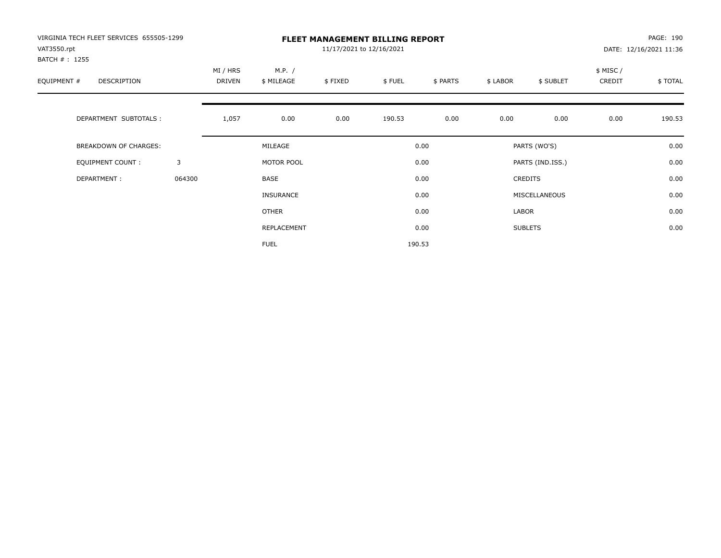| VIRGINIA TECH FLEET SERVICES 655505-1299<br>VAT3550.rpt<br>BATCH # : 1255 |        |                    |                      | 11/17/2021 to 12/16/2021 | <b>FLEET MANAGEMENT BILLING REPORT</b> |          |          |                  |                    | PAGE: 190<br>DATE: 12/16/2021 11:36 |
|---------------------------------------------------------------------------|--------|--------------------|----------------------|--------------------------|----------------------------------------|----------|----------|------------------|--------------------|-------------------------------------|
| EQUIPMENT #<br>DESCRIPTION                                                |        | MI / HRS<br>DRIVEN | M.P. /<br>\$ MILEAGE | \$FIXED                  | \$FUEL                                 | \$ PARTS | \$ LABOR | \$ SUBLET        | \$ MISC/<br>CREDIT | \$TOTAL                             |
| DEPARTMENT SUBTOTALS :                                                    |        | 1,057              | 0.00                 | 0.00                     | 190.53                                 | 0.00     | 0.00     | 0.00             | 0.00               | 190.53                              |
| <b>BREAKDOWN OF CHARGES:</b>                                              |        |                    | MILEAGE              |                          |                                        | 0.00     |          | PARTS (WO'S)     |                    | 0.00                                |
| EQUIPMENT COUNT:                                                          | 3      |                    | MOTOR POOL           |                          |                                        | 0.00     |          | PARTS (IND.ISS.) |                    | 0.00                                |
| DEPARTMENT:                                                               | 064300 |                    | <b>BASE</b>          |                          |                                        | 0.00     |          | <b>CREDITS</b>   |                    | 0.00                                |
|                                                                           |        |                    | <b>INSURANCE</b>     |                          |                                        | 0.00     |          | MISCELLANEOUS    |                    | 0.00                                |
|                                                                           |        |                    | OTHER                |                          |                                        | 0.00     | LABOR    |                  |                    | 0.00                                |
|                                                                           |        |                    | REPLACEMENT          |                          |                                        | 0.00     |          | <b>SUBLETS</b>   |                    | 0.00                                |
|                                                                           |        |                    | <b>FUEL</b>          |                          |                                        | 190.53   |          |                  |                    |                                     |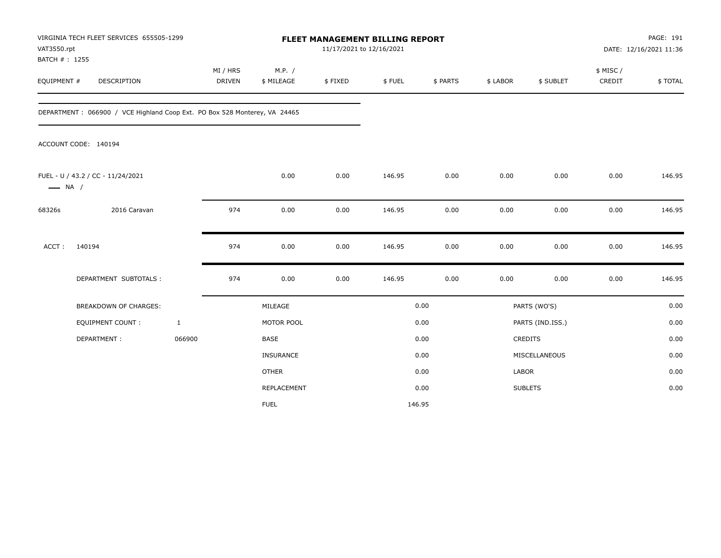| VAT3550.rpt                  | VIRGINIA TECH FLEET SERVICES 655505-1299                                  |                           |                      | FLEET MANAGEMENT BILLING REPORT<br>11/17/2021 to 12/16/2021 |        |          |              |                  |                     | PAGE: 191<br>DATE: 12/16/2021 11:36 |
|------------------------------|---------------------------------------------------------------------------|---------------------------|----------------------|-------------------------------------------------------------|--------|----------|--------------|------------------|---------------------|-------------------------------------|
| BATCH #: 1255<br>EQUIPMENT # | DESCRIPTION                                                               | MI / HRS<br><b>DRIVEN</b> | M.P. /<br>\$ MILEAGE | \$FIXED                                                     | \$FUEL | \$ PARTS | \$ LABOR     | \$ SUBLET        | \$ MISC /<br>CREDIT | \$TOTAL                             |
|                              | DEPARTMENT: 066900 / VCE Highland Coop Ext. PO Box 528 Monterey, VA 24465 |                           |                      |                                                             |        |          |              |                  |                     |                                     |
|                              | ACCOUNT CODE: 140194                                                      |                           |                      |                                                             |        |          |              |                  |                     |                                     |
| $\longrightarrow$ NA /       | FUEL - U / 43.2 / CC - 11/24/2021                                         |                           | 0.00                 | 0.00                                                        | 146.95 | 0.00     | 0.00         | 0.00             | 0.00                | 146.95                              |
| 68326s                       | 2016 Caravan                                                              | 974                       | 0.00                 | 0.00                                                        | 146.95 | 0.00     | 0.00         | 0.00             | 0.00                | 146.95                              |
| ACCT:                        | 140194                                                                    | 974                       | 0.00                 | 0.00                                                        | 146.95 | 0.00     | 0.00         | 0.00             | 0.00                | 146.95                              |
|                              | DEPARTMENT SUBTOTALS :                                                    | 974                       | 0.00                 | 0.00                                                        | 146.95 | 0.00     | 0.00         | 0.00             | 0.00                | 146.95                              |
|                              | <b>BREAKDOWN OF CHARGES:</b>                                              |                           | MILEAGE              |                                                             |        | 0.00     |              | PARTS (WO'S)     |                     | 0.00                                |
|                              | <b>EQUIPMENT COUNT:</b>                                                   | $\mathbf{1}$              | MOTOR POOL           |                                                             |        | 0.00     |              | PARTS (IND.ISS.) |                     | 0.00                                |
|                              | DEPARTMENT:                                                               | 066900                    | BASE                 |                                                             |        | 0.00     |              | CREDITS          |                     | 0.00                                |
|                              |                                                                           |                           | INSURANCE            |                                                             |        | 0.00     |              | MISCELLANEOUS    |                     | 0.00                                |
|                              |                                                                           |                           | <b>OTHER</b>         |                                                             |        | 0.00     | <b>LABOR</b> |                  |                     | 0.00                                |
|                              |                                                                           |                           | REPLACEMENT          |                                                             |        | 0.00     |              | <b>SUBLETS</b>   |                     | 0.00                                |
|                              |                                                                           |                           | <b>FUEL</b>          |                                                             |        | 146.95   |              |                  |                     |                                     |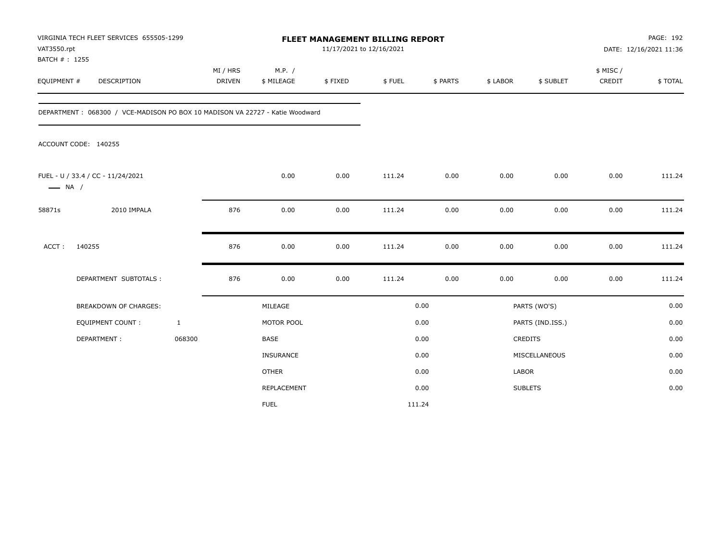| VAT3550.rpt<br>BATCH #: 1255 | VIRGINIA TECH FLEET SERVICES 655505-1299                                     |                           |                      | FLEET MANAGEMENT BILLING REPORT<br>11/17/2021 to 12/16/2021 |        |          |              |                  |                     | PAGE: 192<br>DATE: 12/16/2021 11:36 |
|------------------------------|------------------------------------------------------------------------------|---------------------------|----------------------|-------------------------------------------------------------|--------|----------|--------------|------------------|---------------------|-------------------------------------|
| EQUIPMENT #                  | <b>DESCRIPTION</b>                                                           | MI / HRS<br><b>DRIVEN</b> | M.P. /<br>\$ MILEAGE | \$FIXED                                                     | \$FUEL | \$ PARTS | \$ LABOR     | \$ SUBLET        | \$ MISC /<br>CREDIT | \$TOTAL                             |
|                              | DEPARTMENT: 068300 / VCE-MADISON PO BOX 10 MADISON VA 22727 - Katie Woodward |                           |                      |                                                             |        |          |              |                  |                     |                                     |
|                              | ACCOUNT CODE: 140255                                                         |                           |                      |                                                             |        |          |              |                  |                     |                                     |
| $\longrightarrow$ NA /       | FUEL - U / 33.4 / CC - 11/24/2021                                            |                           | 0.00                 | 0.00                                                        | 111.24 | 0.00     | 0.00         | 0.00             | 0.00                | 111.24                              |
| 58871s                       | 2010 IMPALA                                                                  | 876                       | 0.00                 | 0.00                                                        | 111.24 | 0.00     | 0.00         | 0.00             | 0.00                | 111.24                              |
| $ACCT$ :                     | 140255                                                                       | 876                       | 0.00                 | 0.00                                                        | 111.24 | 0.00     | 0.00         | 0.00             | 0.00                | 111.24                              |
|                              | DEPARTMENT SUBTOTALS :                                                       | 876                       | 0.00                 | 0.00                                                        | 111.24 | 0.00     | 0.00         | 0.00             | 0.00                | 111.24                              |
|                              | <b>BREAKDOWN OF CHARGES:</b>                                                 |                           | MILEAGE              |                                                             |        | 0.00     |              | PARTS (WO'S)     |                     | 0.00                                |
|                              | <b>EQUIPMENT COUNT:</b>                                                      | $\mathbf{1}$              | MOTOR POOL           |                                                             |        | 0.00     |              | PARTS (IND.ISS.) |                     | 0.00                                |
|                              | DEPARTMENT:                                                                  | 068300                    | <b>BASE</b>          |                                                             |        | 0.00     |              | <b>CREDITS</b>   |                     | 0.00                                |
|                              |                                                                              |                           | <b>INSURANCE</b>     |                                                             |        | 0.00     |              | MISCELLANEOUS    |                     | 0.00                                |
|                              |                                                                              |                           | <b>OTHER</b>         |                                                             |        | 0.00     | <b>LABOR</b> |                  |                     | 0.00                                |
|                              |                                                                              |                           | REPLACEMENT          |                                                             |        | 0.00     |              | <b>SUBLETS</b>   |                     | 0.00                                |
|                              |                                                                              |                           | <b>FUEL</b>          |                                                             |        | 111.24   |              |                  |                     |                                     |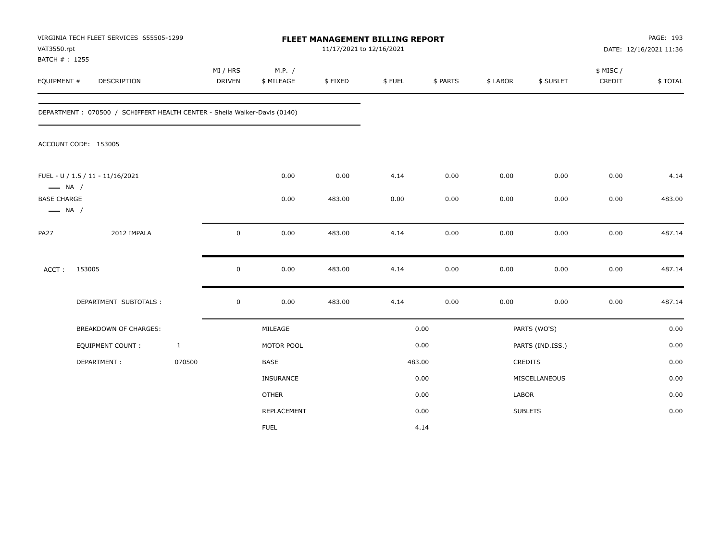| VAT3550.rpt<br>BATCH #: 1255                 | VIRGINIA TECH FLEET SERVICES 655505-1299                                  |              |                           |                      | 11/17/2021 to 12/16/2021 | FLEET MANAGEMENT BILLING REPORT |          |          |                  |                    | PAGE: 193<br>DATE: 12/16/2021 11:36 |
|----------------------------------------------|---------------------------------------------------------------------------|--------------|---------------------------|----------------------|--------------------------|---------------------------------|----------|----------|------------------|--------------------|-------------------------------------|
| EQUIPMENT #                                  | <b>DESCRIPTION</b>                                                        |              | MI / HRS<br><b>DRIVEN</b> | M.P. /<br>\$ MILEAGE | \$FIXED                  | \$FUEL                          | \$ PARTS | \$ LABOR | \$ SUBLET        | \$ MISC/<br>CREDIT | \$TOTAL                             |
|                                              | DEPARTMENT: 070500 / SCHIFFERT HEALTH CENTER - Sheila Walker-Davis (0140) |              |                           |                      |                          |                                 |          |          |                  |                    |                                     |
|                                              | ACCOUNT CODE: 153005                                                      |              |                           |                      |                          |                                 |          |          |                  |                    |                                     |
| $\longrightarrow$ NA /                       | FUEL - U / 1.5 / 11 - 11/16/2021                                          |              |                           | 0.00                 | 0.00                     | 4.14                            | 0.00     | 0.00     | 0.00             | 0.00               | 4.14                                |
| <b>BASE CHARGE</b><br>$\longrightarrow$ NA / |                                                                           |              |                           | 0.00                 | 483.00                   | 0.00                            | 0.00     | 0.00     | 0.00             | 0.00               | 483.00                              |
| <b>PA27</b>                                  | 2012 IMPALA                                                               |              | $\mathbf 0$               | 0.00                 | 483.00                   | 4.14                            | 0.00     | 0.00     | 0.00             | 0.00               | 487.14                              |
| ACCT:                                        | 153005                                                                    |              | $\pmb{0}$                 | 0.00                 | 483.00                   | 4.14                            | 0.00     | 0.00     | 0.00             | 0.00               | 487.14                              |
|                                              | DEPARTMENT SUBTOTALS :                                                    |              | $\mathbf 0$               | 0.00                 | 483.00                   | 4.14                            | 0.00     | 0.00     | 0.00             | 0.00               | 487.14                              |
|                                              | <b>BREAKDOWN OF CHARGES:</b>                                              |              |                           | MILEAGE              |                          |                                 | 0.00     |          | PARTS (WO'S)     |                    | 0.00                                |
|                                              | <b>EQUIPMENT COUNT:</b>                                                   | $\mathbf{1}$ |                           | MOTOR POOL           |                          |                                 | 0.00     |          | PARTS (IND.ISS.) |                    | 0.00                                |
|                                              | DEPARTMENT:                                                               | 070500       |                           | <b>BASE</b>          |                          |                                 | 483.00   |          | CREDITS          |                    | 0.00                                |
|                                              |                                                                           |              |                           | <b>INSURANCE</b>     |                          |                                 | 0.00     |          | MISCELLANEOUS    |                    | 0.00                                |
|                                              |                                                                           |              |                           | <b>OTHER</b>         |                          |                                 | 0.00     | LABOR    |                  |                    | 0.00                                |
|                                              |                                                                           |              |                           | REPLACEMENT          |                          |                                 | 0.00     |          | <b>SUBLETS</b>   |                    | 0.00                                |
|                                              |                                                                           |              |                           | <b>FUEL</b>          |                          |                                 | 4.14     |          |                  |                    |                                     |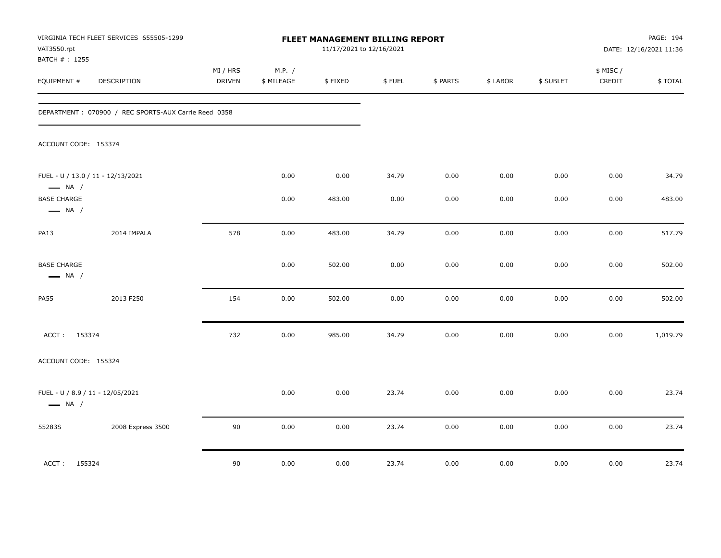| VAT3550.rpt<br>BATCH #: 1255                 | VIRGINIA TECH FLEET SERVICES 655505-1299             |                    |                      | FLEET MANAGEMENT BILLING REPORT<br>11/17/2021 to 12/16/2021 |        |          |          |           |                    | PAGE: 194<br>DATE: 12/16/2021 11:36 |
|----------------------------------------------|------------------------------------------------------|--------------------|----------------------|-------------------------------------------------------------|--------|----------|----------|-----------|--------------------|-------------------------------------|
| EQUIPMENT #                                  | DESCRIPTION                                          | MI / HRS<br>DRIVEN | M.P. /<br>\$ MILEAGE | \$FIXED                                                     | \$FUEL | \$ PARTS | \$ LABOR | \$ SUBLET | \$ MISC/<br>CREDIT | \$TOTAL                             |
|                                              | DEPARTMENT: 070900 / REC SPORTS-AUX Carrie Reed 0358 |                    |                      |                                                             |        |          |          |           |                    |                                     |
| ACCOUNT CODE: 153374                         |                                                      |                    |                      |                                                             |        |          |          |           |                    |                                     |
| $\longrightarrow$ NA /                       | FUEL - U / 13.0 / 11 - 12/13/2021                    |                    | 0.00                 | 0.00                                                        | 34.79  | 0.00     | 0.00     | 0.00      | 0.00               | 34.79                               |
| <b>BASE CHARGE</b><br>$\longrightarrow$ NA / |                                                      |                    | 0.00                 | 483.00                                                      | 0.00   | 0.00     | 0.00     | 0.00      | 0.00               | 483.00                              |
| <b>PA13</b>                                  | 2014 IMPALA                                          | 578                | 0.00                 | 483.00                                                      | 34.79  | 0.00     | 0.00     | 0.00      | 0.00               | 517.79                              |
| <b>BASE CHARGE</b><br>$\longrightarrow$ NA / |                                                      |                    | 0.00                 | 502.00                                                      | 0.00   | 0.00     | 0.00     | 0.00      | 0.00               | 502.00                              |
| <b>PA55</b>                                  | 2013 F250                                            | 154                | 0.00                 | 502.00                                                      | 0.00   | 0.00     | 0.00     | 0.00      | 0.00               | 502.00                              |
| ACCT: 153374                                 |                                                      | 732                | 0.00                 | 985.00                                                      | 34.79  | 0.00     | 0.00     | 0.00      | 0.00               | 1,019.79                            |
| ACCOUNT CODE: 155324                         |                                                      |                    |                      |                                                             |        |          |          |           |                    |                                     |
| $\longrightarrow$ NA /                       | FUEL - U / 8.9 / 11 - 12/05/2021                     |                    | 0.00                 | 0.00                                                        | 23.74  | 0.00     | 0.00     | 0.00      | 0.00               | 23.74                               |
| 55283S                                       | 2008 Express 3500                                    | 90                 | 0.00                 | 0.00                                                        | 23.74  | 0.00     | 0.00     | 0.00      | 0.00               | 23.74                               |
| ACCT: 155324                                 |                                                      | 90                 | 0.00                 | 0.00                                                        | 23.74  | 0.00     | 0.00     | 0.00      | 0.00               | 23.74                               |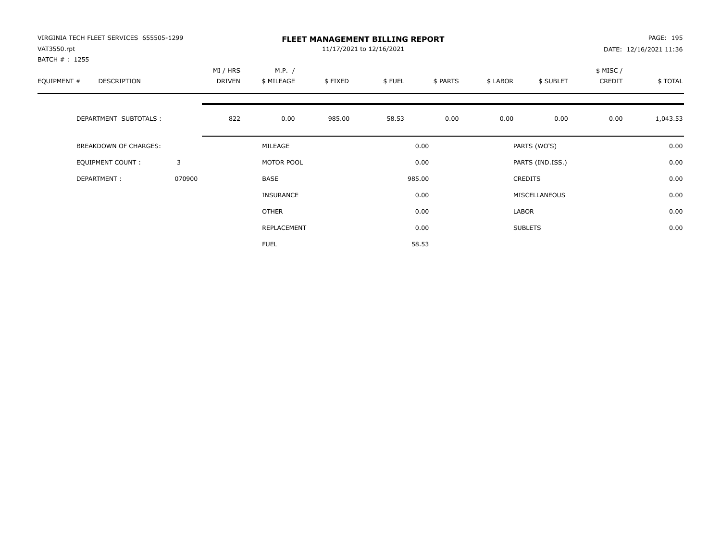| VIRGINIA TECH FLEET SERVICES 655505-1299<br>VAT3550.rpt<br>BATCH # : 1255 |        |                    | PAGE: 195<br>DATE: 12/16/2021 11:36 |         |        |          |          |                  |                    |          |
|---------------------------------------------------------------------------|--------|--------------------|-------------------------------------|---------|--------|----------|----------|------------------|--------------------|----------|
| EQUIPMENT #<br>DESCRIPTION                                                |        | MI / HRS<br>DRIVEN | M.P. /<br>\$ MILEAGE                | \$FIXED | \$FUEL | \$ PARTS | \$ LABOR | \$ SUBLET        | \$ MISC/<br>CREDIT | \$TOTAL  |
| DEPARTMENT SUBTOTALS :                                                    |        | 822                | 0.00                                | 985.00  | 58.53  | 0.00     | 0.00     | 0.00             | 0.00               | 1,043.53 |
| <b>BREAKDOWN OF CHARGES:</b>                                              |        |                    | MILEAGE                             |         |        | 0.00     |          | PARTS (WO'S)     |                    | 0.00     |
| EQUIPMENT COUNT:                                                          | 3      |                    | MOTOR POOL                          |         |        | 0.00     |          | PARTS (IND.ISS.) |                    | 0.00     |
| DEPARTMENT:                                                               | 070900 |                    | BASE                                |         |        | 985.00   |          | <b>CREDITS</b>   |                    | 0.00     |
|                                                                           |        |                    | <b>INSURANCE</b>                    |         |        | 0.00     |          | MISCELLANEOUS    |                    | 0.00     |
|                                                                           |        |                    | OTHER                               |         |        | 0.00     | LABOR    |                  |                    | 0.00     |
|                                                                           |        |                    | REPLACEMENT                         |         |        | 0.00     |          | <b>SUBLETS</b>   |                    | 0.00     |
|                                                                           |        |                    | <b>FUEL</b>                         |         |        | 58.53    |          |                  |                    |          |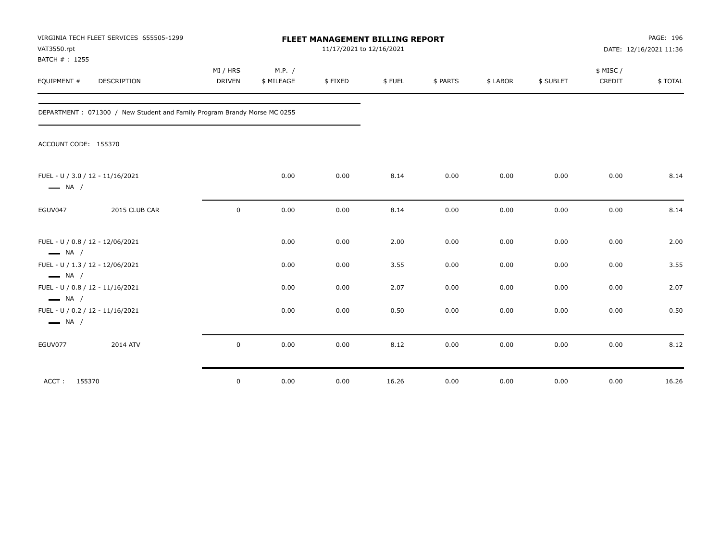| VAT3550.rpt<br>BATCH #: 1255                               | VIRGINIA TECH FLEET SERVICES 655505-1299                                 |                           |                      | FLEET MANAGEMENT BILLING REPORT | 11/17/2021 to 12/16/2021 |          |          |           |                     | PAGE: 196<br>DATE: 12/16/2021 11:36 |
|------------------------------------------------------------|--------------------------------------------------------------------------|---------------------------|----------------------|---------------------------------|--------------------------|----------|----------|-----------|---------------------|-------------------------------------|
| EQUIPMENT #                                                | <b>DESCRIPTION</b>                                                       | MI / HRS<br><b>DRIVEN</b> | M.P. /<br>\$ MILEAGE | \$FIXED                         | \$FUEL                   | \$ PARTS | \$ LABOR | \$ SUBLET | \$ MISC /<br>CREDIT | \$TOTAL                             |
|                                                            | DEPARTMENT: 071300 / New Student and Family Program Brandy Morse MC 0255 |                           |                      |                                 |                          |          |          |           |                     |                                     |
| ACCOUNT CODE: 155370                                       |                                                                          |                           |                      |                                 |                          |          |          |           |                     |                                     |
| FUEL - U / 3.0 / 12 - 11/16/2021<br>$\longrightarrow$ NA / |                                                                          |                           | 0.00                 | 0.00                            | 8.14                     | 0.00     | 0.00     | 0.00      | 0.00                | 8.14                                |
| EGUV047                                                    | 2015 CLUB CAR                                                            | $\mathbf 0$               | 0.00                 | 0.00                            | 8.14                     | 0.00     | 0.00     | 0.00      | 0.00                | 8.14                                |
| FUEL - U / 0.8 / 12 - 12/06/2021<br>$\longrightarrow$ NA / |                                                                          |                           | 0.00                 | 0.00                            | 2.00                     | 0.00     | 0.00     | 0.00      | 0.00                | 2.00                                |
| FUEL - U / 1.3 / 12 - 12/06/2021<br>$\longrightarrow$ NA / |                                                                          |                           | 0.00                 | 0.00                            | 3.55                     | 0.00     | 0.00     | 0.00      | 0.00                | 3.55                                |
| FUEL - U / 0.8 / 12 - 11/16/2021<br>$\longrightarrow$ NA / |                                                                          |                           | 0.00                 | 0.00                            | 2.07                     | 0.00     | 0.00     | 0.00      | 0.00                | 2.07                                |
| FUEL - U / 0.2 / 12 - 11/16/2021<br>$\longrightarrow$ NA / |                                                                          |                           | 0.00                 | 0.00                            | 0.50                     | 0.00     | 0.00     | 0.00      | 0.00                | 0.50                                |
| EGUV077                                                    | 2014 ATV                                                                 | $\mathsf 0$               | 0.00                 | 0.00                            | 8.12                     | 0.00     | 0.00     | 0.00      | 0.00                | 8.12                                |
| ACCT: 155370                                               |                                                                          | $\mathbf 0$               | 0.00                 | 0.00                            | 16.26                    | 0.00     | 0.00     | 0.00      | 0.00                | 16.26                               |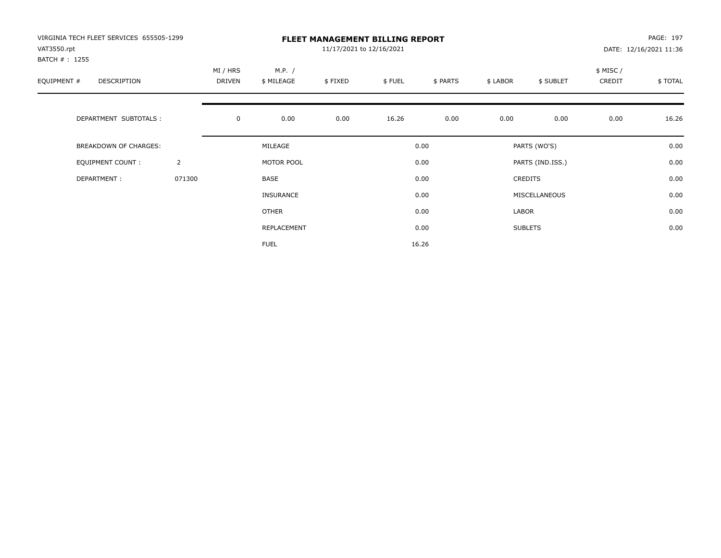| VIRGINIA TECH FLEET SERVICES 655505-1299<br>VAT3550.rpt<br>BATCH # : 1255 |                |                    |                      | PAGE: 197<br>DATE: 12/16/2021 11:36 |        |          |          |                  |                    |          |
|---------------------------------------------------------------------------|----------------|--------------------|----------------------|-------------------------------------|--------|----------|----------|------------------|--------------------|----------|
| EQUIPMENT #<br>DESCRIPTION                                                |                | MI / HRS<br>DRIVEN | M.P. /<br>\$ MILEAGE | \$FIXED                             | \$FUEL | \$ PARTS | \$ LABOR | \$ SUBLET        | \$ MISC/<br>CREDIT | \$ TOTAL |
| DEPARTMENT SUBTOTALS :                                                    |                | $\mathbf 0$        | 0.00                 | 0.00                                | 16.26  | 0.00     | 0.00     | 0.00             | 0.00               | 16.26    |
| BREAKDOWN OF CHARGES:                                                     |                |                    | MILEAGE              |                                     |        | 0.00     |          | PARTS (WO'S)     |                    | 0.00     |
| <b>EQUIPMENT COUNT:</b>                                                   | $\overline{2}$ |                    | MOTOR POOL           |                                     |        | 0.00     |          | PARTS (IND.ISS.) |                    | 0.00     |
| DEPARTMENT:                                                               | 071300         |                    | BASE                 |                                     |        | 0.00     |          | <b>CREDITS</b>   |                    | 0.00     |
|                                                                           |                |                    | <b>INSURANCE</b>     |                                     |        | 0.00     |          | MISCELLANEOUS    |                    | 0.00     |
|                                                                           |                |                    | OTHER                |                                     |        | 0.00     | LABOR    |                  |                    | 0.00     |
|                                                                           |                |                    | REPLACEMENT          |                                     |        | 0.00     |          | <b>SUBLETS</b>   |                    | 0.00     |
|                                                                           |                |                    | <b>FUEL</b>          |                                     |        | 16.26    |          |                  |                    |          |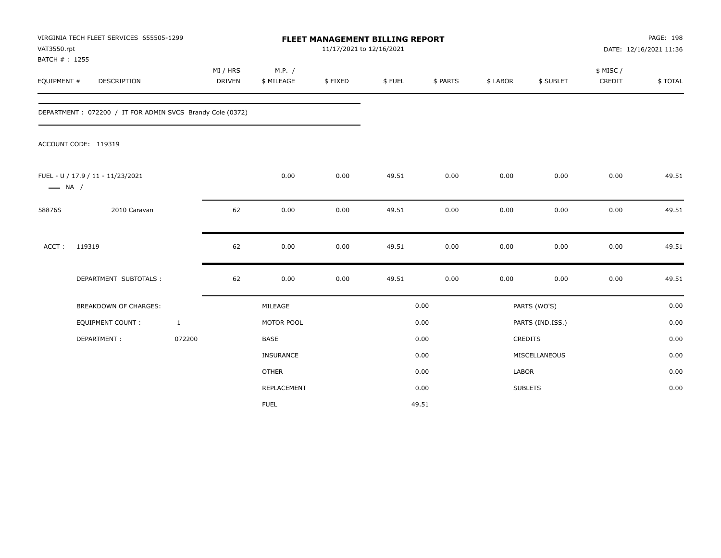| VAT3550.rpt<br>BATCH #: 1255 | VIRGINIA TECH FLEET SERVICES 655505-1299                   |              |                           |                      | 11/17/2021 to 12/16/2021 | FLEET MANAGEMENT BILLING REPORT |          |          |                  |                     | PAGE: 198<br>DATE: 12/16/2021 11:36 |
|------------------------------|------------------------------------------------------------|--------------|---------------------------|----------------------|--------------------------|---------------------------------|----------|----------|------------------|---------------------|-------------------------------------|
| EQUIPMENT #                  | <b>DESCRIPTION</b>                                         |              | MI / HRS<br><b>DRIVEN</b> | M.P. /<br>\$ MILEAGE | \$FIXED                  | \$FUEL                          | \$ PARTS | \$ LABOR | \$ SUBLET        | \$ MISC /<br>CREDIT | \$TOTAL                             |
|                              | DEPARTMENT : 072200 / IT FOR ADMIN SVCS Brandy Cole (0372) |              |                           |                      |                          |                                 |          |          |                  |                     |                                     |
|                              | ACCOUNT CODE: 119319                                       |              |                           |                      |                          |                                 |          |          |                  |                     |                                     |
| $\longrightarrow$ NA /       | FUEL - U / 17.9 / 11 - 11/23/2021                          |              |                           | 0.00                 | 0.00                     | 49.51                           | 0.00     | 0.00     | 0.00             | 0.00                | 49.51                               |
| 58876S                       | 2010 Caravan                                               |              | 62                        | 0.00                 | 0.00                     | 49.51                           | 0.00     | 0.00     | 0.00             | 0.00                | 49.51                               |
| ACCT:                        | 119319                                                     |              | 62                        | 0.00                 | 0.00                     | 49.51                           | 0.00     | 0.00     | 0.00             | 0.00                | 49.51                               |
|                              | DEPARTMENT SUBTOTALS :                                     |              | 62                        | 0.00                 | 0.00                     | 49.51                           | 0.00     | 0.00     | 0.00             | 0.00                | 49.51                               |
|                              | <b>BREAKDOWN OF CHARGES:</b>                               |              |                           | MILEAGE              |                          |                                 | 0.00     |          | PARTS (WO'S)     |                     | 0.00                                |
|                              | <b>EQUIPMENT COUNT:</b>                                    | $\mathbf{1}$ |                           | MOTOR POOL           |                          |                                 | 0.00     |          | PARTS (IND.ISS.) |                     | 0.00                                |
|                              | DEPARTMENT:                                                | 072200       |                           | <b>BASE</b>          |                          |                                 | 0.00     |          | <b>CREDITS</b>   |                     | 0.00                                |
|                              |                                                            |              |                           | INSURANCE            |                          |                                 | 0.00     |          | MISCELLANEOUS    |                     | 0.00                                |
|                              |                                                            |              |                           | <b>OTHER</b>         |                          |                                 | 0.00     | LABOR    |                  |                     | 0.00                                |
|                              |                                                            |              |                           | REPLACEMENT          |                          |                                 | 0.00     |          | <b>SUBLETS</b>   |                     | 0.00                                |
|                              |                                                            |              |                           | <b>FUEL</b>          |                          |                                 | 49.51    |          |                  |                     |                                     |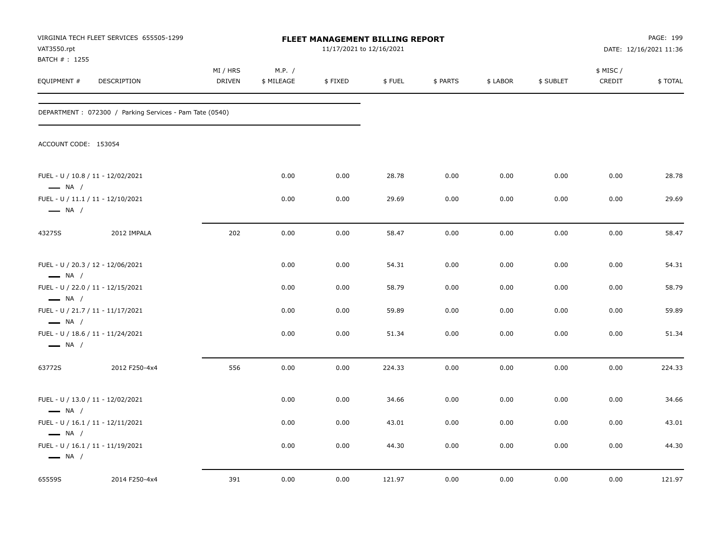| VAT3550.rpt                   | VIRGINIA TECH FLEET SERVICES 655505-1299                |                    |                      | FLEET MANAGEMENT BILLING REPORT<br>11/17/2021 to 12/16/2021 |        |          |          |           |                     | PAGE: 199<br>DATE: 12/16/2021 11:36 |
|-------------------------------|---------------------------------------------------------|--------------------|----------------------|-------------------------------------------------------------|--------|----------|----------|-----------|---------------------|-------------------------------------|
| BATCH # : 1255<br>EQUIPMENT # | DESCRIPTION                                             | MI / HRS<br>DRIVEN | M.P. /<br>\$ MILEAGE | \$FIXED                                                     | \$FUEL | \$ PARTS | \$ LABOR | \$ SUBLET | \$ MISC /<br>CREDIT | \$TOTAL                             |
|                               | DEPARTMENT: 072300 / Parking Services - Pam Tate (0540) |                    |                      |                                                             |        |          |          |           |                     |                                     |
| ACCOUNT CODE: 153054          |                                                         |                    |                      |                                                             |        |          |          |           |                     |                                     |
| $\longrightarrow$ NA /        | FUEL - U / 10.8 / 11 - 12/02/2021                       |                    | 0.00                 | 0.00                                                        | 28.78  | 0.00     | 0.00     | 0.00      | 0.00                | 28.78                               |
| $\longrightarrow$ NA /        | FUEL - U / 11.1 / 11 - 12/10/2021                       |                    | 0.00                 | 0.00                                                        | 29.69  | 0.00     | 0.00     | 0.00      | 0.00                | 29.69                               |
| 43275S                        | 2012 IMPALA                                             | 202                | 0.00                 | 0.00                                                        | 58.47  | 0.00     | 0.00     | 0.00      | 0.00                | 58.47                               |
| $\longrightarrow$ NA /        | FUEL - U / 20.3 / 12 - 12/06/2021                       |                    | 0.00                 | 0.00                                                        | 54.31  | 0.00     | 0.00     | 0.00      | 0.00                | 54.31                               |
| $\longrightarrow$ NA /        | FUEL - U / 22.0 / 11 - 12/15/2021                       |                    | 0.00                 | 0.00                                                        | 58.79  | 0.00     | 0.00     | 0.00      | 0.00                | 58.79                               |
| $\longrightarrow$ NA /        | FUEL - U / 21.7 / 11 - 11/17/2021                       |                    | 0.00                 | 0.00                                                        | 59.89  | 0.00     | 0.00     | 0.00      | 0.00                | 59.89                               |
| $\longrightarrow$ NA /        | FUEL - U / 18.6 / 11 - 11/24/2021                       |                    | 0.00                 | 0.00                                                        | 51.34  | 0.00     | 0.00     | 0.00      | 0.00                | 51.34                               |
| 63772S                        | 2012 F250-4x4                                           | 556                | 0.00                 | 0.00                                                        | 224.33 | 0.00     | 0.00     | 0.00      | 0.00                | 224.33                              |
| $\longrightarrow$ NA /        | FUEL - U / 13.0 / 11 - 12/02/2021                       |                    | 0.00                 | 0.00                                                        | 34.66  | 0.00     | 0.00     | 0.00      | 0.00                | 34.66                               |
| $\longrightarrow$ NA /        | FUEL - U / 16.1 / 11 - 12/11/2021                       |                    | 0.00                 | 0.00                                                        | 43.01  | 0.00     | 0.00     | 0.00      | 0.00                | 43.01                               |
| $\longrightarrow$ NA /        | FUEL - U / 16.1 / 11 - 11/19/2021                       |                    | 0.00                 | 0.00                                                        | 44.30  | 0.00     | 0.00     | 0.00      | 0.00                | 44.30                               |
| 65559S                        | 2014 F250-4x4                                           | 391                | 0.00                 | 0.00                                                        | 121.97 | 0.00     | 0.00     | 0.00      | 0.00                | 121.97                              |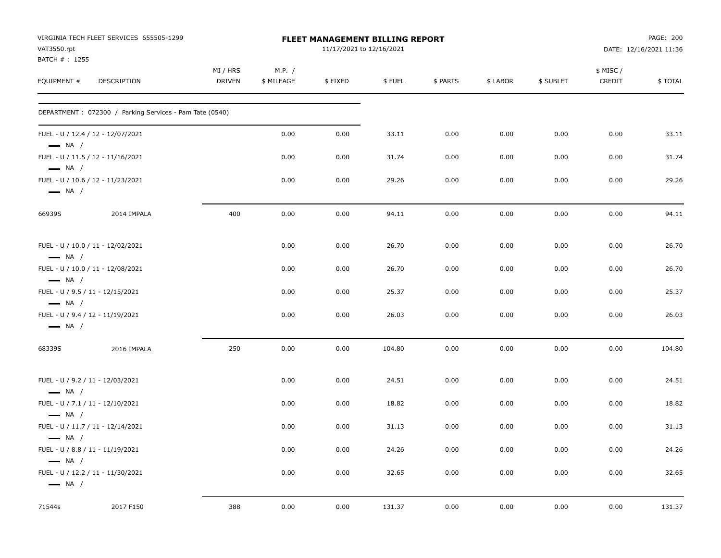| VAT3550.rpt                 | VIRGINIA TECH FLEET SERVICES 655505-1299                |                           |                      | <b>FLEET MANAGEMENT BILLING REPORT</b><br>11/17/2021 to 12/16/2021 |        |          |          |           |                    | PAGE: 200<br>DATE: 12/16/2021 11:36 |
|-----------------------------|---------------------------------------------------------|---------------------------|----------------------|--------------------------------------------------------------------|--------|----------|----------|-----------|--------------------|-------------------------------------|
| BATCH #: 1255<br>EQUIPMENT# | DESCRIPTION                                             | MI / HRS<br><b>DRIVEN</b> | M.P. /<br>\$ MILEAGE | \$FIXED                                                            | \$FUEL | \$ PARTS | \$ LABOR | \$ SUBLET | \$ MISC/<br>CREDIT | \$TOTAL                             |
|                             | DEPARTMENT: 072300 / Parking Services - Pam Tate (0540) |                           |                      |                                                                    |        |          |          |           |                    |                                     |
| $\longrightarrow$ NA /      | FUEL - U / 12.4 / 12 - 12/07/2021                       |                           | 0.00                 | 0.00                                                               | 33.11  | 0.00     | 0.00     | 0.00      | 0.00               | 33.11                               |
| $\longrightarrow$ NA /      | FUEL - U / 11.5 / 12 - 11/16/2021                       |                           | 0.00                 | 0.00                                                               | 31.74  | 0.00     | 0.00     | 0.00      | 0.00               | 31.74                               |
| $\longrightarrow$ NA /      | FUEL - U / 10.6 / 12 - 11/23/2021                       |                           | 0.00                 | 0.00                                                               | 29.26  | 0.00     | 0.00     | 0.00      | 0.00               | 29.26                               |
| 66939S                      | 2014 IMPALA                                             | 400                       | 0.00                 | 0.00                                                               | 94.11  | 0.00     | 0.00     | 0.00      | 0.00               | 94.11                               |
| $\longrightarrow$ NA /      | FUEL - U / 10.0 / 11 - 12/02/2021                       |                           | 0.00                 | 0.00                                                               | 26.70  | 0.00     | 0.00     | 0.00      | 0.00               | 26.70                               |
| $\longrightarrow$ NA /      | FUEL - U / 10.0 / 11 - 12/08/2021                       |                           | 0.00                 | 0.00                                                               | 26.70  | 0.00     | 0.00     | 0.00      | 0.00               | 26.70                               |
| $\longrightarrow$ NA /      | FUEL - U / 9.5 / 11 - 12/15/2021                        |                           | 0.00                 | 0.00                                                               | 25.37  | 0.00     | 0.00     | 0.00      | 0.00               | 25.37                               |
| $\longrightarrow$ NA /      | FUEL - U / 9.4 / 12 - 11/19/2021                        |                           | 0.00                 | 0.00                                                               | 26.03  | 0.00     | 0.00     | 0.00      | 0.00               | 26.03                               |
| 68339S                      | 2016 IMPALA                                             | 250                       | 0.00                 | 0.00                                                               | 104.80 | 0.00     | 0.00     | 0.00      | 0.00               | 104.80                              |
| $\longrightarrow$ NA /      | FUEL - U / 9.2 / 11 - 12/03/2021                        |                           | 0.00                 | 0.00                                                               | 24.51  | 0.00     | 0.00     | 0.00      | 0.00               | 24.51                               |
| $\longrightarrow$ NA /      | FUEL - U / 7.1 / 11 - 12/10/2021                        |                           | 0.00                 | 0.00                                                               | 18.82  | 0.00     | 0.00     | 0.00      | 0.00               | 18.82                               |
| $\longrightarrow$ NA /      | FUEL - U / 11.7 / 11 - 12/14/2021                       |                           | 0.00                 | 0.00                                                               | 31.13  | 0.00     | 0.00     | 0.00      | 0.00               | 31.13                               |
| $\longrightarrow$ NA /      | FUEL - U / 8.8 / 11 - 11/19/2021                        |                           | 0.00                 | 0.00                                                               | 24.26  | 0.00     | 0.00     | 0.00      | 0.00               | 24.26                               |
| $\longrightarrow$ NA /      | FUEL - U / 12.2 / 11 - 11/30/2021                       |                           | 0.00                 | 0.00                                                               | 32.65  | 0.00     | 0.00     | 0.00      | 0.00               | 32.65                               |
| 71544s                      | 2017 F150                                               | 388                       | 0.00                 | 0.00                                                               | 131.37 | 0.00     | 0.00     | 0.00      | 0.00               | 131.37                              |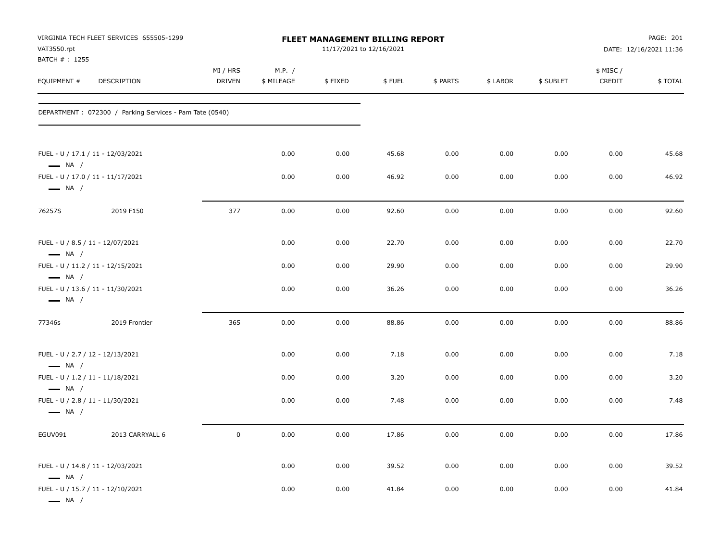| VAT3550.rpt                                                | VIRGINIA TECH FLEET SERVICES 655505-1299                |                    |                      | FLEET MANAGEMENT BILLING REPORT<br>11/17/2021 to 12/16/2021 |        |          |          |           |                    | PAGE: 201<br>DATE: 12/16/2021 11:36 |
|------------------------------------------------------------|---------------------------------------------------------|--------------------|----------------------|-------------------------------------------------------------|--------|----------|----------|-----------|--------------------|-------------------------------------|
| BATCH #: 1255<br>EQUIPMENT #                               | DESCRIPTION                                             | MI / HRS<br>DRIVEN | M.P. /<br>\$ MILEAGE | \$FIXED                                                     | \$FUEL | \$ PARTS | \$ LABOR | \$ SUBLET | \$ MISC/<br>CREDIT | \$TOTAL                             |
|                                                            | DEPARTMENT: 072300 / Parking Services - Pam Tate (0540) |                    |                      |                                                             |        |          |          |           |                    |                                     |
| $\longrightarrow$ NA /                                     | FUEL - U / 17.1 / 11 - 12/03/2021                       |                    | 0.00                 | 0.00                                                        | 45.68  | 0.00     | 0.00     | 0.00      | 0.00               | 45.68                               |
| $\longrightarrow$ NA /                                     | FUEL - U / 17.0 / 11 - 11/17/2021                       |                    | 0.00                 | 0.00                                                        | 46.92  | 0.00     | 0.00     | 0.00      | 0.00               | 46.92                               |
| 76257S                                                     | 2019 F150                                               | 377                | 0.00                 | 0.00                                                        | 92.60  | 0.00     | 0.00     | 0.00      | 0.00               | 92.60                               |
| FUEL - U / 8.5 / 11 - 12/07/2021<br>$\longrightarrow$ NA / |                                                         |                    | 0.00                 | 0.00                                                        | 22.70  | 0.00     | 0.00     | 0.00      | 0.00               | 22.70                               |
| $\longrightarrow$ NA /                                     | FUEL - U / 11.2 / 11 - 12/15/2021                       |                    | 0.00                 | 0.00                                                        | 29.90  | 0.00     | 0.00     | 0.00      | 0.00               | 29.90                               |
| $\longrightarrow$ NA /                                     | FUEL - U / 13.6 / 11 - 11/30/2021                       |                    | 0.00                 | 0.00                                                        | 36.26  | 0.00     | 0.00     | 0.00      | 0.00               | 36.26                               |
| 77346s                                                     | 2019 Frontier                                           | 365                | 0.00                 | 0.00                                                        | 88.86  | 0.00     | 0.00     | 0.00      | 0.00               | 88.86                               |
| FUEL - U / 2.7 / 12 - 12/13/2021<br>$\longrightarrow$ NA / |                                                         |                    | 0.00                 | 0.00                                                        | 7.18   | 0.00     | 0.00     | 0.00      | 0.00               | 7.18                                |
| $\longrightarrow$ NA /                                     | FUEL - U / 1.2 / 11 - 11/18/2021                        |                    | 0.00                 | 0.00                                                        | 3.20   | 0.00     | 0.00     | 0.00      | 0.00               | 3.20                                |
| $\longrightarrow$ NA /                                     | FUEL - U / 2.8 / 11 - 11/30/2021                        |                    | 0.00                 | 0.00                                                        | 7.48   | 0.00     | 0.00     | 0.00      | 0.00               | 7.48                                |
| EGUV091                                                    | 2013 CARRYALL 6                                         | $\mathbf 0$        | 0.00                 | 0.00                                                        | 17.86  | 0.00     | 0.00     | 0.00      | 0.00               | 17.86                               |
| $\longrightarrow$ NA /                                     | FUEL - U / 14.8 / 11 - 12/03/2021                       |                    | 0.00                 | 0.00                                                        | 39.52  | 0.00     | 0.00     | 0.00      | 0.00               | 39.52                               |
| $\longrightarrow$ NA $/$                                   | FUEL - U / 15.7 / 11 - 12/10/2021                       |                    | 0.00                 | 0.00                                                        | 41.84  | 0.00     | 0.00     | 0.00      | 0.00               | 41.84                               |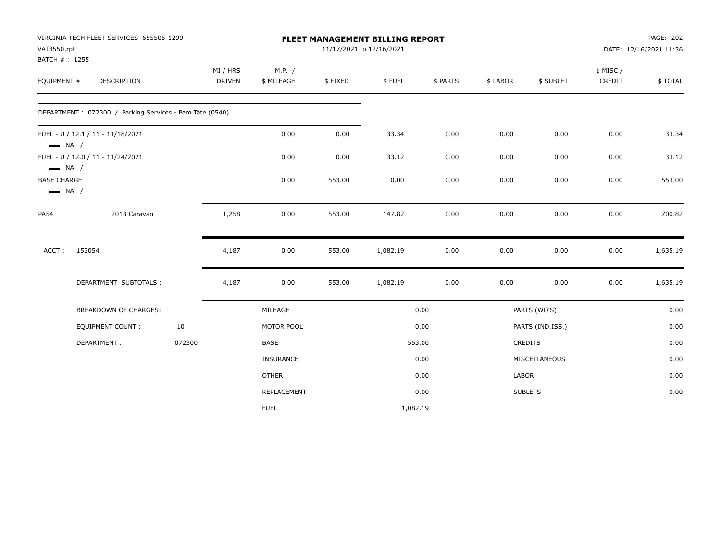| VAT3550.rpt                                                            | VIRGINIA TECH FLEET SERVICES 655505-1299                |                           |                      |         | FLEET MANAGEMENT BILLING REPORT<br>11/17/2021 to 12/16/2021 |          |          |                  |                     | PAGE: 202<br>DATE: 12/16/2021 11:36 |
|------------------------------------------------------------------------|---------------------------------------------------------|---------------------------|----------------------|---------|-------------------------------------------------------------|----------|----------|------------------|---------------------|-------------------------------------|
| BATCH #: 1255<br>EQUIPMENT #                                           | <b>DESCRIPTION</b>                                      | MI / HRS<br><b>DRIVEN</b> | M.P. /<br>\$ MILEAGE | \$FIXED | \$FUEL                                                      | \$ PARTS | \$ LABOR | \$ SUBLET        | \$ MISC /<br>CREDIT | \$TOTAL                             |
|                                                                        | DEPARTMENT: 072300 / Parking Services - Pam Tate (0540) |                           |                      |         |                                                             |          |          |                  |                     |                                     |
| $\longrightarrow$ NA /                                                 | FUEL - U / 12.1 / 11 - 11/18/2021                       |                           | 0.00                 | 0.00    | 33.34                                                       | 0.00     | 0.00     | 0.00             | 0.00                | 33.34                               |
|                                                                        | FUEL - U / 12.0 / 11 - 11/24/2021                       |                           | 0.00                 | 0.00    | 33.12                                                       | 0.00     | 0.00     | 0.00             | 0.00                | 33.12                               |
| $\longrightarrow$ NA /<br><b>BASE CHARGE</b><br>$\longrightarrow$ NA / |                                                         |                           | 0.00                 | 553.00  | 0.00                                                        | 0.00     | 0.00     | 0.00             | 0.00                | 553.00                              |
| <b>PA54</b>                                                            | 2013 Caravan                                            | 1,258                     | 0.00                 | 553.00  | 147.82                                                      | 0.00     | 0.00     | 0.00             | 0.00                | 700.82                              |
| ACCT:                                                                  | 153054                                                  | 4,187                     | 0.00                 | 553.00  | 1,082.19                                                    | 0.00     | 0.00     | 0.00             | 0.00                | 1,635.19                            |
|                                                                        | DEPARTMENT SUBTOTALS :                                  | 4,187                     | 0.00                 | 553.00  | 1,082.19                                                    | 0.00     | 0.00     | 0.00             | 0.00                | 1,635.19                            |
|                                                                        | <b>BREAKDOWN OF CHARGES:</b>                            |                           | MILEAGE              |         |                                                             | 0.00     |          | PARTS (WO'S)     |                     | 0.00                                |
|                                                                        | <b>EQUIPMENT COUNT:</b>                                 | 10                        | MOTOR POOL           |         |                                                             | 0.00     |          | PARTS (IND.ISS.) |                     | 0.00                                |
|                                                                        | DEPARTMENT:                                             | 072300                    | <b>BASE</b>          |         |                                                             | 553.00   |          | CREDITS          |                     | 0.00                                |
|                                                                        |                                                         |                           | INSURANCE            |         |                                                             | 0.00     |          | MISCELLANEOUS    |                     | 0.00                                |
|                                                                        |                                                         |                           | <b>OTHER</b>         |         |                                                             | 0.00     | LABOR    |                  |                     | 0.00                                |
|                                                                        |                                                         |                           | REPLACEMENT          |         |                                                             | 0.00     |          | <b>SUBLETS</b>   |                     | 0.00                                |
|                                                                        |                                                         |                           | <b>FUEL</b>          |         | 1,082.19                                                    |          |          |                  |                     |                                     |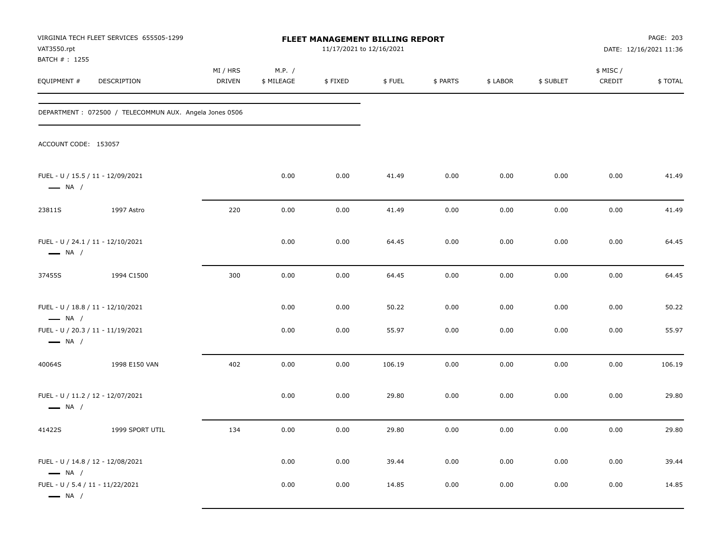| VAT3550.rpt<br>BATCH #: 1255                                | VIRGINIA TECH FLEET SERVICES 655505-1299               |                    |                      | 11/17/2021 to 12/16/2021 | FLEET MANAGEMENT BILLING REPORT |          |          |           |                    | PAGE: 203<br>DATE: 12/16/2021 11:36 |
|-------------------------------------------------------------|--------------------------------------------------------|--------------------|----------------------|--------------------------|---------------------------------|----------|----------|-----------|--------------------|-------------------------------------|
| EQUIPMENT #                                                 | DESCRIPTION                                            | MI / HRS<br>DRIVEN | M.P. /<br>\$ MILEAGE | \$FIXED                  | \$FUEL                          | \$ PARTS | \$ LABOR | \$ SUBLET | \$ MISC/<br>CREDIT | \$TOTAL                             |
|                                                             | DEPARTMENT: 072500 / TELECOMMUN AUX. Angela Jones 0506 |                    |                      |                          |                                 |          |          |           |                    |                                     |
| ACCOUNT CODE: 153057                                        |                                                        |                    |                      |                          |                                 |          |          |           |                    |                                     |
| FUEL - U / 15.5 / 11 - 12/09/2021<br>$\longrightarrow$ NA / |                                                        |                    | 0.00                 | 0.00                     | 41.49                           | 0.00     | 0.00     | 0.00      | 0.00               | 41.49                               |
| 23811S                                                      | 1997 Astro                                             | 220                | 0.00                 | 0.00                     | 41.49                           | 0.00     | 0.00     | 0.00      | 0.00               | 41.49                               |
| FUEL - U / 24.1 / 11 - 12/10/2021<br>$\longrightarrow$ NA / |                                                        |                    | 0.00                 | 0.00                     | 64.45                           | 0.00     | 0.00     | 0.00      | 0.00               | 64.45                               |
| 37455S                                                      | 1994 C1500                                             | 300                | 0.00                 | 0.00                     | 64.45                           | 0.00     | 0.00     | 0.00      | 0.00               | 64.45                               |
| FUEL - U / 18.8 / 11 - 12/10/2021<br>$\longrightarrow$ NA / |                                                        |                    | 0.00                 | 0.00                     | 50.22                           | 0.00     | 0.00     | 0.00      | 0.00               | 50.22                               |
| FUEL - U / 20.3 / 11 - 11/19/2021<br>$\longrightarrow$ NA / |                                                        |                    | 0.00                 | 0.00                     | 55.97                           | 0.00     | 0.00     | 0.00      | 0.00               | 55.97                               |
| 40064S                                                      | 1998 E150 VAN                                          | 402                | 0.00                 | 0.00                     | 106.19                          | 0.00     | 0.00     | 0.00      | 0.00               | 106.19                              |
| FUEL - U / 11.2 / 12 - 12/07/2021<br>$\longrightarrow$ NA / |                                                        |                    | 0.00                 | 0.00                     | 29.80                           | 0.00     | 0.00     | 0.00      | 0.00               | 29.80                               |
| 41422S                                                      | 1999 SPORT UTIL                                        | 134                | 0.00                 | 0.00                     | 29.80                           | 0.00     | 0.00     | 0.00      | 0.00               | 29.80                               |
| FUEL - U / 14.8 / 12 - 12/08/2021<br>$\longrightarrow$ NA / |                                                        |                    | 0.00                 | 0.00                     | 39.44                           | 0.00     | 0.00     | 0.00      | 0.00               | 39.44                               |
| FUEL - U / 5.4 / 11 - 11/22/2021<br>$\longrightarrow$ NA /  |                                                        |                    | 0.00                 | 0.00                     | 14.85                           | 0.00     | 0.00     | 0.00      | 0.00               | 14.85                               |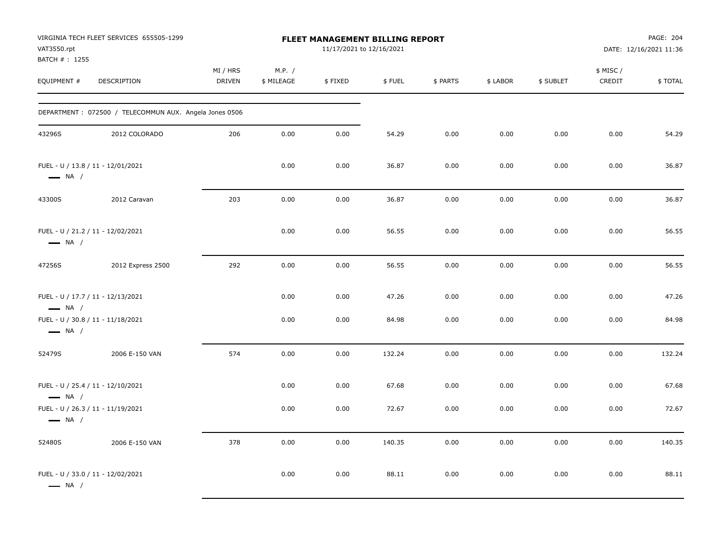| VAT3550.rpt<br>BATCH #: 1255                                | VIRGINIA TECH FLEET SERVICES 655505-1299               |                    |                      | <b>FLEET MANAGEMENT BILLING REPORT</b><br>11/17/2021 to 12/16/2021 |        |          |          |           |                     | PAGE: 204<br>DATE: 12/16/2021 11:36 |
|-------------------------------------------------------------|--------------------------------------------------------|--------------------|----------------------|--------------------------------------------------------------------|--------|----------|----------|-----------|---------------------|-------------------------------------|
| EQUIPMENT #                                                 | DESCRIPTION                                            | MI / HRS<br>DRIVEN | M.P. /<br>\$ MILEAGE | \$FIXED                                                            | \$FUEL | \$ PARTS | \$ LABOR | \$ SUBLET | \$ MISC /<br>CREDIT | \$TOTAL                             |
|                                                             | DEPARTMENT: 072500 / TELECOMMUN AUX. Angela Jones 0506 |                    |                      |                                                                    |        |          |          |           |                     |                                     |
| 43296S                                                      | 2012 COLORADO                                          | 206                | 0.00                 | 0.00                                                               | 54.29  | 0.00     | 0.00     | 0.00      | 0.00                | 54.29                               |
| FUEL - U / 13.8 / 11 - 12/01/2021<br>$\longrightarrow$ NA / |                                                        |                    | 0.00                 | 0.00                                                               | 36.87  | 0.00     | 0.00     | 0.00      | 0.00                | 36.87                               |
| 43300S                                                      | 2012 Caravan                                           | 203                | 0.00                 | 0.00                                                               | 36.87  | 0.00     | 0.00     | 0.00      | 0.00                | 36.87                               |
| FUEL - U / 21.2 / 11 - 12/02/2021<br>$\longrightarrow$ NA / |                                                        |                    | 0.00                 | 0.00                                                               | 56.55  | 0.00     | 0.00     | 0.00      | 0.00                | 56.55                               |
| 47256S                                                      | 2012 Express 2500                                      | 292                | 0.00                 | 0.00                                                               | 56.55  | 0.00     | 0.00     | 0.00      | 0.00                | 56.55                               |
| FUEL - U / 17.7 / 11 - 12/13/2021<br>$\longrightarrow$ NA / |                                                        |                    | 0.00                 | 0.00                                                               | 47.26  | 0.00     | 0.00     | 0.00      | 0.00                | 47.26                               |
| FUEL - U / 30.8 / 11 - 11/18/2021<br>$\longrightarrow$ NA / |                                                        |                    | 0.00                 | 0.00                                                               | 84.98  | 0.00     | 0.00     | 0.00      | 0.00                | 84.98                               |
| 52479S                                                      | 2006 E-150 VAN                                         | 574                | 0.00                 | 0.00                                                               | 132.24 | 0.00     | 0.00     | 0.00      | 0.00                | 132.24                              |
| FUEL - U / 25.4 / 11 - 12/10/2021<br>$\longrightarrow$ NA / |                                                        |                    | 0.00                 | 0.00                                                               | 67.68  | 0.00     | 0.00     | 0.00      | 0.00                | 67.68                               |
| FUEL - U / 26.3 / 11 - 11/19/2021<br>$\longrightarrow$ NA / |                                                        |                    | 0.00                 | 0.00                                                               | 72.67  | 0.00     | 0.00     | 0.00      | 0.00                | 72.67                               |
| 52480S                                                      | 2006 E-150 VAN                                         | 378                | 0.00                 | 0.00                                                               | 140.35 | 0.00     | 0.00     | 0.00      | 0.00                | 140.35                              |
| FUEL - U / 33.0 / 11 - 12/02/2021<br>$\longrightarrow$ NA / |                                                        |                    | 0.00                 | 0.00                                                               | 88.11  | 0.00     | 0.00     | 0.00      | 0.00                | 88.11                               |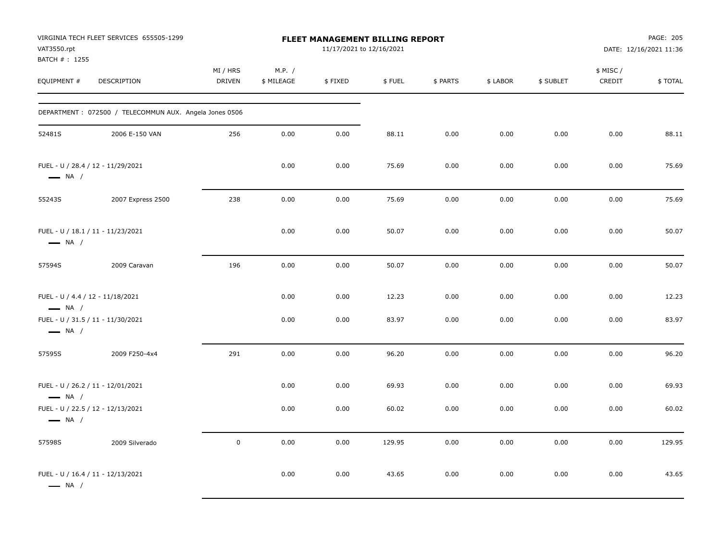| VAT3550.rpt<br>BATCH # : 1255                               | VIRGINIA TECH FLEET SERVICES 655505-1299               |                           |                      | FLEET MANAGEMENT BILLING REPORT<br>11/17/2021 to 12/16/2021 |        |          |          |           |                     | PAGE: 205<br>DATE: 12/16/2021 11:36 |
|-------------------------------------------------------------|--------------------------------------------------------|---------------------------|----------------------|-------------------------------------------------------------|--------|----------|----------|-----------|---------------------|-------------------------------------|
| EQUIPMENT #                                                 | DESCRIPTION                                            | MI / HRS<br><b>DRIVEN</b> | M.P. /<br>\$ MILEAGE | \$FIXED                                                     | \$FUEL | \$ PARTS | \$ LABOR | \$ SUBLET | \$ MISC /<br>CREDIT | \$TOTAL                             |
|                                                             | DEPARTMENT: 072500 / TELECOMMUN AUX. Angela Jones 0506 |                           |                      |                                                             |        |          |          |           |                     |                                     |
| 52481S                                                      | 2006 E-150 VAN                                         | 256                       | 0.00                 | 0.00                                                        | 88.11  | 0.00     | 0.00     | 0.00      | 0.00                | 88.11                               |
| FUEL - U / 28.4 / 12 - 11/29/2021<br>$\longrightarrow$ NA / |                                                        |                           | 0.00                 | 0.00                                                        | 75.69  | 0.00     | 0.00     | 0.00      | 0.00                | 75.69                               |
| 55243S                                                      | 2007 Express 2500                                      | 238                       | 0.00                 | 0.00                                                        | 75.69  | 0.00     | 0.00     | 0.00      | 0.00                | 75.69                               |
| FUEL - U / 18.1 / 11 - 11/23/2021<br>$\longrightarrow$ NA / |                                                        |                           | 0.00                 | 0.00                                                        | 50.07  | 0.00     | 0.00     | 0.00      | 0.00                | 50.07                               |
| 57594S                                                      | 2009 Caravan                                           | 196                       | 0.00                 | 0.00                                                        | 50.07  | 0.00     | 0.00     | 0.00      | 0.00                | 50.07                               |
| FUEL - U / 4.4 / 12 - 11/18/2021<br>$\longrightarrow$ NA /  |                                                        |                           | 0.00                 | 0.00                                                        | 12.23  | 0.00     | 0.00     | 0.00      | 0.00                | 12.23                               |
| FUEL - U / 31.5 / 11 - 11/30/2021<br>$\longrightarrow$ NA / |                                                        |                           | 0.00                 | 0.00                                                        | 83.97  | 0.00     | 0.00     | 0.00      | 0.00                | 83.97                               |
| 57595S                                                      | 2009 F250-4x4                                          | 291                       | 0.00                 | 0.00                                                        | 96.20  | 0.00     | 0.00     | 0.00      | 0.00                | 96.20                               |
| FUEL - U / 26.2 / 11 - 12/01/2021<br>$\longrightarrow$ NA / |                                                        |                           | 0.00                 | 0.00                                                        | 69.93  | 0.00     | 0.00     | 0.00      | 0.00                | 69.93                               |
| FUEL - U / 22.5 / 12 - 12/13/2021<br>$\longrightarrow$ NA / |                                                        |                           | 0.00                 | 0.00                                                        | 60.02  | 0.00     | 0.00     | 0.00      | 0.00                | 60.02                               |
| 57598S                                                      | 2009 Silverado                                         | $\mathbf 0$               | 0.00                 | 0.00                                                        | 129.95 | 0.00     | 0.00     | 0.00      | 0.00                | 129.95                              |
| FUEL - U / 16.4 / 11 - 12/13/2021<br>$\longrightarrow$ NA / |                                                        |                           | 0.00                 | 0.00                                                        | 43.65  | 0.00     | 0.00     | 0.00      | 0.00                | 43.65                               |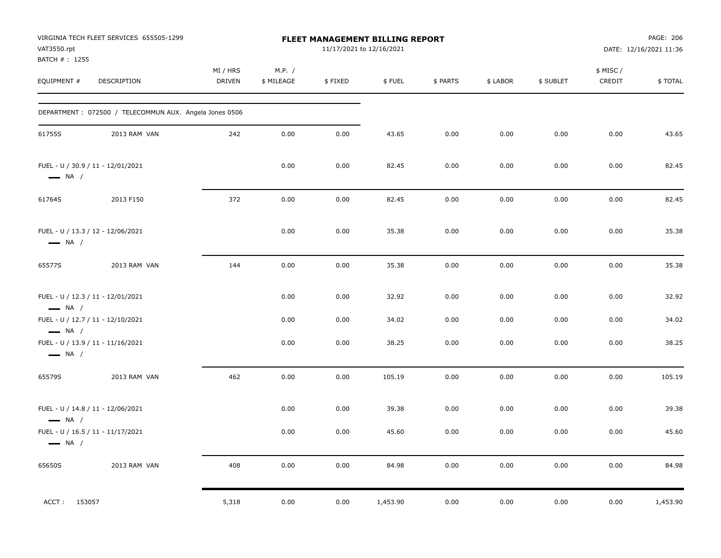| VAT3550.rpt<br>BATCH #: 1255                                | VIRGINIA TECH FLEET SERVICES 655505-1299               |                           |                      | 11/17/2021 to 12/16/2021 | FLEET MANAGEMENT BILLING REPORT |          |          |           |                    | PAGE: 206<br>DATE: 12/16/2021 11:36 |
|-------------------------------------------------------------|--------------------------------------------------------|---------------------------|----------------------|--------------------------|---------------------------------|----------|----------|-----------|--------------------|-------------------------------------|
| EQUIPMENT #                                                 | DESCRIPTION                                            | MI / HRS<br><b>DRIVEN</b> | M.P. /<br>\$ MILEAGE | \$FIXED                  | \$FUEL                          | \$ PARTS | \$ LABOR | \$ SUBLET | \$ MISC/<br>CREDIT | \$TOTAL                             |
|                                                             | DEPARTMENT: 072500 / TELECOMMUN AUX. Angela Jones 0506 |                           |                      |                          |                                 |          |          |           |                    |                                     |
| 61755S                                                      | 2013 RAM VAN                                           | 242                       | 0.00                 | 0.00                     | 43.65                           | 0.00     | 0.00     | 0.00      | 0.00               | 43.65                               |
| FUEL - U / 30.9 / 11 - 12/01/2021<br>$\longrightarrow$ NA / |                                                        |                           | 0.00                 | 0.00                     | 82.45                           | 0.00     | 0.00     | 0.00      | 0.00               | 82.45                               |
| 61764S                                                      | 2013 F150                                              | 372                       | 0.00                 | 0.00                     | 82.45                           | 0.00     | 0.00     | 0.00      | 0.00               | 82.45                               |
| FUEL - U / 13.3 / 12 - 12/06/2021<br>$\longrightarrow$ NA / |                                                        |                           | 0.00                 | 0.00                     | 35.38                           | 0.00     | 0.00     | 0.00      | 0.00               | 35.38                               |
| 65577S                                                      | 2013 RAM VAN                                           | 144                       | 0.00                 | 0.00                     | 35.38                           | 0.00     | 0.00     | 0.00      | 0.00               | 35.38                               |
| FUEL - U / 12.3 / 11 - 12/01/2021<br>$\longrightarrow$ NA / |                                                        |                           | 0.00                 | 0.00                     | 32.92                           | 0.00     | 0.00     | 0.00      | 0.00               | 32.92                               |
| FUEL - U / 12.7 / 11 - 12/10/2021<br>$\longrightarrow$ NA / |                                                        |                           | 0.00                 | 0.00                     | 34.02                           | 0.00     | 0.00     | 0.00      | 0.00               | 34.02                               |
| FUEL - U / 13.9 / 11 - 11/16/2021<br>$\longrightarrow$ NA / |                                                        |                           | 0.00                 | 0.00                     | 38.25                           | 0.00     | 0.00     | 0.00      | 0.00               | 38.25                               |
| 65579S                                                      | 2013 RAM VAN                                           | 462                       | 0.00                 | 0.00                     | 105.19                          | 0.00     | 0.00     | 0.00      | 0.00               | 105.19                              |
| FUEL - U / 14.8 / 11 - 12/06/2021<br>$\longrightarrow$ NA / |                                                        |                           | 0.00                 | 0.00                     | 39.38                           | 0.00     | 0.00     | 0.00      | 0.00               | 39.38                               |
| $\longrightarrow$ NA /                                      | FUEL - U / 16.5 / 11 - 11/17/2021                      |                           | 0.00                 | 0.00                     | 45.60                           | 0.00     | 0.00     | 0.00      | 0.00               | 45.60                               |
| 65650S                                                      | 2013 RAM VAN                                           | 408                       | 0.00                 | 0.00                     | 84.98                           | 0.00     | 0.00     | 0.00      | 0.00               | 84.98                               |
| ACCT: 153057                                                |                                                        | 5,318                     | 0.00                 | 0.00                     | 1,453.90                        | 0.00     | 0.00     | 0.00      | 0.00               | 1,453.90                            |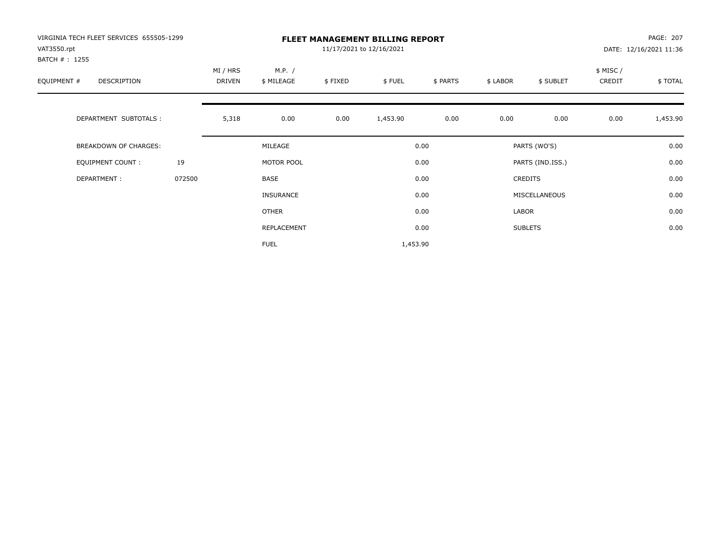| VIRGINIA TECH FLEET SERVICES 655505-1299<br>VAT3550.rpt<br>BATCH # : 1255 |        |                    |                      |         | <b>FLEET MANAGEMENT BILLING REPORT</b><br>11/17/2021 to 12/16/2021 |          |          |                  |                    | PAGE: 207<br>DATE: 12/16/2021 11:36 |
|---------------------------------------------------------------------------|--------|--------------------|----------------------|---------|--------------------------------------------------------------------|----------|----------|------------------|--------------------|-------------------------------------|
| EQUIPMENT #<br>DESCRIPTION                                                |        | MI / HRS<br>DRIVEN | M.P. /<br>\$ MILEAGE | \$FIXED | \$FUEL                                                             | \$ PARTS | \$ LABOR | \$ SUBLET        | \$ MISC/<br>CREDIT | \$TOTAL                             |
| DEPARTMENT SUBTOTALS :                                                    |        | 5,318              | 0.00                 | 0.00    | 1,453.90                                                           | 0.00     | 0.00     | 0.00             | 0.00               | 1,453.90                            |
| BREAKDOWN OF CHARGES:                                                     |        |                    | MILEAGE              |         |                                                                    | 0.00     |          | PARTS (WO'S)     |                    | 0.00                                |
| <b>EQUIPMENT COUNT:</b>                                                   | 19     |                    | MOTOR POOL           |         |                                                                    | 0.00     |          | PARTS (IND.ISS.) |                    | 0.00                                |
| DEPARTMENT:                                                               | 072500 |                    | BASE                 |         |                                                                    | 0.00     |          | <b>CREDITS</b>   |                    | 0.00                                |
|                                                                           |        |                    | <b>INSURANCE</b>     |         |                                                                    | 0.00     |          | MISCELLANEOUS    |                    | 0.00                                |
|                                                                           |        |                    | OTHER                |         |                                                                    | 0.00     | LABOR    |                  |                    | 0.00                                |
|                                                                           |        |                    | REPLACEMENT          |         |                                                                    | 0.00     |          | <b>SUBLETS</b>   |                    | 0.00                                |
|                                                                           |        |                    | <b>FUEL</b>          |         | 1,453.90                                                           |          |          |                  |                    |                                     |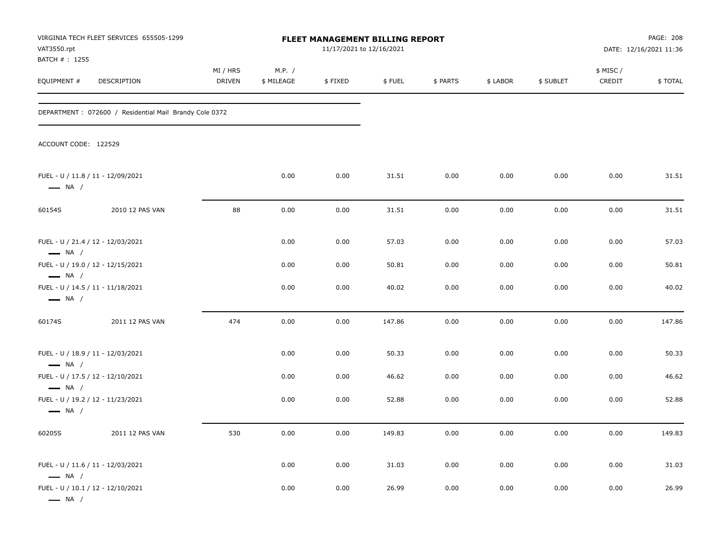| VAT3550.rpt<br>BATCH #: 1255                                                          | VIRGINIA TECH FLEET SERVICES 655505-1299               |                    |                      | FLEET MANAGEMENT BILLING REPORT<br>11/17/2021 to 12/16/2021<br>\$FIXED<br>\$FUEL<br>\$ PARTS<br>\$ LABOR<br>0.00<br>31.51<br>0.00<br>0.00<br>0.00<br>31.51<br>0.00<br>0.00 |        |      |      |           | PAGE: 208<br>DATE: 12/16/2021 11:36 |         |  |  |
|---------------------------------------------------------------------------------------|--------------------------------------------------------|--------------------|----------------------|----------------------------------------------------------------------------------------------------------------------------------------------------------------------------|--------|------|------|-----------|-------------------------------------|---------|--|--|
| EQUIPMENT #                                                                           | DESCRIPTION                                            | MI / HRS<br>DRIVEN | M.P. /<br>\$ MILEAGE |                                                                                                                                                                            |        |      |      | \$ SUBLET | \$ MISC /<br>CREDIT                 | \$TOTAL |  |  |
|                                                                                       | DEPARTMENT: 072600 / Residential Mail Brandy Cole 0372 |                    |                      |                                                                                                                                                                            |        |      |      |           |                                     |         |  |  |
| ACCOUNT CODE: 122529                                                                  |                                                        |                    |                      |                                                                                                                                                                            |        |      |      |           |                                     |         |  |  |
| FUEL - U / 11.8 / 11 - 12/09/2021<br>$\longrightarrow$ NA /                           |                                                        |                    | 0.00                 |                                                                                                                                                                            |        |      |      | 0.00      | 0.00                                | 31.51   |  |  |
| 60154S                                                                                | 2010 12 PAS VAN                                        | 88                 | 0.00                 |                                                                                                                                                                            |        |      |      | 0.00      | 0.00                                | 31.51   |  |  |
| FUEL - U / 21.4 / 12 - 12/03/2021<br>$\longrightarrow$ NA /                           |                                                        |                    | 0.00                 | 0.00                                                                                                                                                                       | 57.03  | 0.00 | 0.00 | 0.00      | 0.00                                | 57.03   |  |  |
| FUEL - U / 19.0 / 12 - 12/15/2021<br>$\longrightarrow$ NA /                           |                                                        |                    | 0.00                 | 0.00                                                                                                                                                                       | 50.81  | 0.00 | 0.00 | 0.00      | 0.00                                | 50.81   |  |  |
| FUEL - U / 14.5 / 11 - 11/18/2021<br>$\longrightarrow$ NA /                           |                                                        |                    | 0.00                 | 0.00                                                                                                                                                                       | 40.02  | 0.00 | 0.00 | 0.00      | 0.00                                | 40.02   |  |  |
| 60174S                                                                                | 2011 12 PAS VAN                                        | 474                | 0.00                 | 0.00                                                                                                                                                                       | 147.86 | 0.00 | 0.00 | 0.00      | 0.00                                | 147.86  |  |  |
| FUEL - U / 18.9 / 11 - 12/03/2021<br>$\longrightarrow$ NA /                           |                                                        |                    | 0.00                 | 0.00                                                                                                                                                                       | 50.33  | 0.00 | 0.00 | 0.00      | 0.00                                | 50.33   |  |  |
| FUEL - U / 17.5 / 12 - 12/10/2021                                                     |                                                        |                    | 0.00                 | 0.00                                                                                                                                                                       | 46.62  | 0.00 | 0.00 | 0.00      | 0.00                                | 46.62   |  |  |
| $\longrightarrow$ NA /<br>FUEL - U / 19.2 / 12 - 11/23/2021<br>$\longrightarrow$ NA / |                                                        |                    | 0.00                 | 0.00                                                                                                                                                                       | 52.88  | 0.00 | 0.00 | 0.00      | 0.00                                | 52.88   |  |  |
| 60205S                                                                                | 2011 12 PAS VAN                                        | 530                | 0.00                 | 0.00                                                                                                                                                                       | 149.83 | 0.00 | 0.00 | 0.00      | 0.00                                | 149.83  |  |  |
| FUEL - U / 11.6 / 11 - 12/03/2021<br>$\longrightarrow$ NA /                           |                                                        |                    | 0.00                 | 0.00                                                                                                                                                                       | 31.03  | 0.00 | 0.00 | 0.00      | 0.00                                | 31.03   |  |  |
| FUEL - U / 10.1 / 12 - 12/10/2021<br>$\longrightarrow$ NA /                           |                                                        |                    | 0.00                 | 0.00                                                                                                                                                                       | 26.99  | 0.00 | 0.00 | 0.00      | 0.00                                | 26.99   |  |  |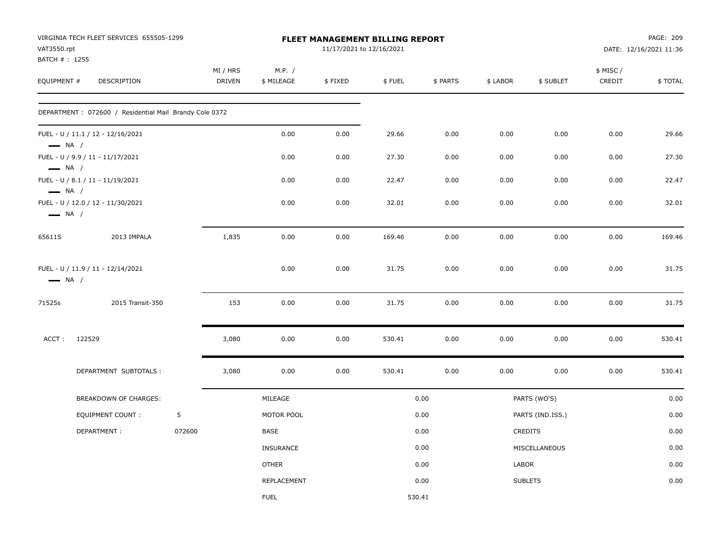| VAT3550.rpt            | VIRGINIA TECH FLEET SERVICES 655505-1299                |        |                           |                      | 11/17/2021 to 12/16/2021 | <b>FLEET MANAGEMENT BILLING REPORT</b> |          |              |                  |                    | PAGE: 209<br>DATE: 12/16/2021 11:36 |
|------------------------|---------------------------------------------------------|--------|---------------------------|----------------------|--------------------------|----------------------------------------|----------|--------------|------------------|--------------------|-------------------------------------|
| BATCH #: 1255          |                                                         |        |                           |                      |                          |                                        |          |              |                  |                    |                                     |
| EQUIPMENT #            | DESCRIPTION                                             |        | MI / HRS<br><b>DRIVEN</b> | M.P. /<br>\$ MILEAGE | \$FIXED                  | \$FUEL                                 | \$ PARTS | \$ LABOR     | \$ SUBLET        | \$ MISC/<br>CREDIT | \$TOTAL                             |
|                        | DEPARTMENT : 072600 / Residential Mail Brandy Cole 0372 |        |                           |                      |                          |                                        |          |              |                  |                    |                                     |
| $\longrightarrow$ NA / | FUEL - U / 11.1 / 12 - 12/16/2021                       |        |                           | 0.00                 | 0.00                     | 29.66                                  | 0.00     | 0.00         | 0.00             | 0.00               | 29.66                               |
| $\longrightarrow$ NA / | FUEL - U / 9.9 / 11 - 11/17/2021                        |        |                           | 0.00                 | 0.00                     | 27.30                                  | 0.00     | 0.00         | 0.00             | 0.00               | 27.30                               |
| $\longrightarrow$ NA / | FUEL - U / 8.1 / 11 - 11/19/2021                        |        |                           | 0.00                 | 0.00                     | 22.47                                  | 0.00     | 0.00         | 0.00             | 0.00               | 22.47                               |
| $\longrightarrow$ NA / | FUEL - U / 12.0 / 12 - 11/30/2021                       |        |                           | 0.00                 | 0.00                     | 32.01                                  | 0.00     | 0.00         | 0.00             | 0.00               | 32.01                               |
| 65611S                 | 2013 IMPALA                                             |        | 1,835                     | 0.00                 | 0.00                     | 169.46                                 | 0.00     | 0.00         | 0.00             | 0.00               | 169.46                              |
| $\longrightarrow$ NA / | FUEL - U / 11.9 / 11 - 12/14/2021                       |        |                           | 0.00                 | 0.00                     | 31.75                                  | 0.00     | 0.00         | 0.00             | 0.00               | 31.75                               |
| 71525s                 | 2015 Transit-350                                        |        | 153                       | 0.00                 | 0.00                     | 31.75                                  | 0.00     | 0.00         | 0.00             | 0.00               | 31.75                               |
| ACCT:                  | 122529                                                  |        | 3,080                     | 0.00                 | 0.00                     | 530.41                                 | 0.00     | 0.00         | 0.00             | 0.00               | 530.41                              |
|                        | DEPARTMENT SUBTOTALS :                                  |        | 3,080                     | 0.00                 | 0.00                     | 530.41                                 | 0.00     | 0.00         | 0.00             | 0.00               | 530.41                              |
|                        | BREAKDOWN OF CHARGES:                                   |        |                           | MILEAGE              |                          |                                        | 0.00     |              | PARTS (WO'S)     |                    | 0.00                                |
|                        | <b>EQUIPMENT COUNT:</b>                                 | 5      |                           | MOTOR POOL           |                          |                                        | 0.00     |              | PARTS (IND.ISS.) |                    | 0.00                                |
|                        | DEPARTMENT:                                             | 072600 |                           | <b>BASE</b>          |                          |                                        | 0.00     |              | <b>CREDITS</b>   |                    | 0.00                                |
|                        |                                                         |        |                           | <b>INSURANCE</b>     |                          |                                        | 0.00     |              | MISCELLANEOUS    |                    | 0.00                                |
|                        |                                                         |        |                           | <b>OTHER</b>         |                          |                                        | 0.00     | <b>LABOR</b> |                  |                    | 0.00                                |
|                        |                                                         |        |                           | REPLACEMENT          |                          |                                        | 0.00     |              | <b>SUBLETS</b>   |                    | 0.00                                |
|                        |                                                         |        |                           | <b>FUEL</b>          |                          | 530.41                                 |          |              |                  |                    |                                     |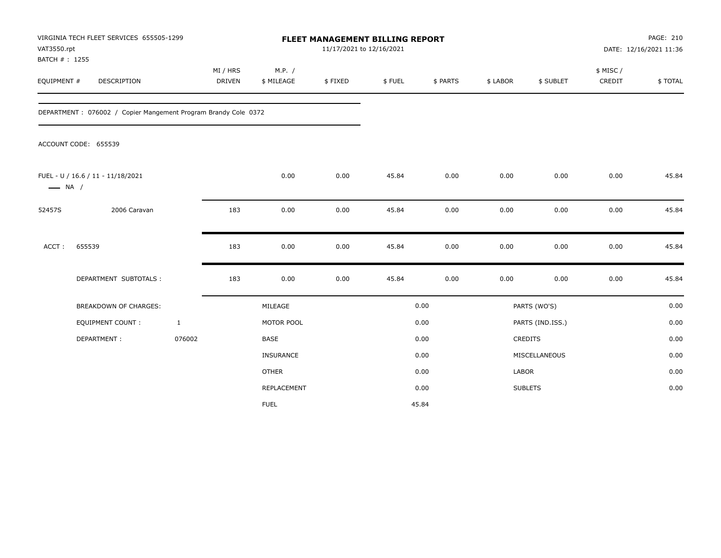| VAT3550.rpt<br>BATCH #: 1255 | VIRGINIA TECH FLEET SERVICES 655505-1299                       |                    |                      | FLEET MANAGEMENT BILLING REPORT<br>11/17/2021 to 12/16/2021 |        |          |          |                  |                     | PAGE: 210<br>DATE: 12/16/2021 11:36 |
|------------------------------|----------------------------------------------------------------|--------------------|----------------------|-------------------------------------------------------------|--------|----------|----------|------------------|---------------------|-------------------------------------|
| EQUIPMENT #                  | DESCRIPTION                                                    | MI / HRS<br>DRIVEN | M.P. /<br>\$ MILEAGE | \$FIXED                                                     | \$FUEL | \$ PARTS | \$ LABOR | \$ SUBLET        | \$ MISC /<br>CREDIT | \$TOTAL                             |
|                              | DEPARTMENT: 076002 / Copier Mangement Program Brandy Cole 0372 |                    |                      |                                                             |        |          |          |                  |                     |                                     |
|                              | ACCOUNT CODE: 655539                                           |                    |                      |                                                             |        |          |          |                  |                     |                                     |
| $\longrightarrow$ NA /       | FUEL - U / 16.6 / 11 - 11/18/2021                              |                    | 0.00                 | 0.00                                                        | 45.84  | 0.00     | 0.00     | 0.00             | 0.00                | 45.84                               |
| 52457S                       | 2006 Caravan                                                   | 183                | 0.00                 | 0.00                                                        | 45.84  | 0.00     | 0.00     | 0.00             | 0.00                | 45.84                               |
| ACCT:                        | 655539                                                         | 183                | 0.00                 | 0.00                                                        | 45.84  | 0.00     | 0.00     | 0.00             | 0.00                | 45.84                               |
|                              | DEPARTMENT SUBTOTALS :                                         | 183                | 0.00                 | 0.00                                                        | 45.84  | 0.00     | 0.00     | 0.00             | 0.00                | 45.84                               |
|                              | <b>BREAKDOWN OF CHARGES:</b>                                   |                    | MILEAGE              |                                                             |        | 0.00     |          | PARTS (WO'S)     |                     | 0.00                                |
|                              | EQUIPMENT COUNT:                                               | $\mathbf{1}$       | MOTOR POOL           |                                                             |        | 0.00     |          | PARTS (IND.ISS.) |                     | 0.00                                |
|                              | DEPARTMENT:                                                    | 076002             | <b>BASE</b>          |                                                             |        | 0.00     |          | CREDITS          |                     | 0.00                                |
|                              |                                                                |                    | <b>INSURANCE</b>     |                                                             |        | 0.00     |          | MISCELLANEOUS    |                     | 0.00                                |
|                              |                                                                |                    | <b>OTHER</b>         |                                                             |        | 0.00     | LABOR    |                  |                     | 0.00                                |
|                              |                                                                |                    | <b>REPLACEMENT</b>   |                                                             |        | 0.00     |          | <b>SUBLETS</b>   |                     | 0.00                                |
|                              |                                                                |                    | <b>FUEL</b>          |                                                             |        | 45.84    |          |                  |                     |                                     |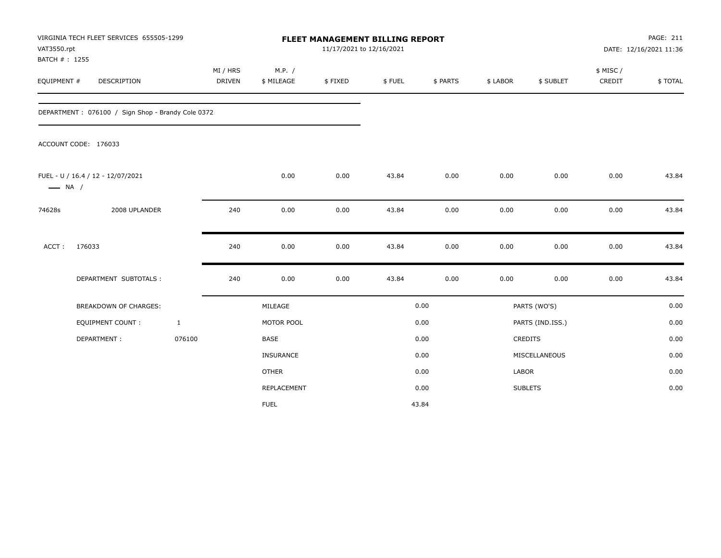| VAT3550.rpt<br>BATCH #: 1255 | VIRGINIA TECH FLEET SERVICES 655505-1299          |              |                    |                      | FLEET MANAGEMENT BILLING REPORT<br>11/17/2021 to 12/16/2021 |        |          |          |                  |                    | PAGE: 211<br>DATE: 12/16/2021 11:36 |
|------------------------------|---------------------------------------------------|--------------|--------------------|----------------------|-------------------------------------------------------------|--------|----------|----------|------------------|--------------------|-------------------------------------|
| EQUIPMENT #                  | <b>DESCRIPTION</b>                                |              | MI / HRS<br>DRIVEN | M.P. /<br>\$ MILEAGE | \$FIXED                                                     | \$FUEL | \$ PARTS | \$ LABOR | \$ SUBLET        | \$ MISC/<br>CREDIT | \$TOTAL                             |
|                              | DEPARTMENT: 076100 / Sign Shop - Brandy Cole 0372 |              |                    |                      |                                                             |        |          |          |                  |                    |                                     |
|                              | ACCOUNT CODE: 176033                              |              |                    |                      |                                                             |        |          |          |                  |                    |                                     |
| $\longrightarrow$ NA /       | FUEL - U / 16.4 / 12 - 12/07/2021                 |              |                    | 0.00                 | 0.00                                                        | 43.84  | 0.00     | 0.00     | 0.00             | 0.00               | 43.84                               |
| 74628s                       | 2008 UPLANDER                                     |              | 240                | 0.00                 | 0.00                                                        | 43.84  | 0.00     | 0.00     | 0.00             | 0.00               | 43.84                               |
| ACCT:                        | 176033                                            |              | 240                | 0.00                 | 0.00                                                        | 43.84  | 0.00     | 0.00     | 0.00             | 0.00               | 43.84                               |
|                              | DEPARTMENT SUBTOTALS :                            |              | 240                | 0.00                 | 0.00                                                        | 43.84  | 0.00     | 0.00     | 0.00             | 0.00               | 43.84                               |
|                              | BREAKDOWN OF CHARGES:                             |              |                    | MILEAGE              |                                                             |        | 0.00     |          | PARTS (WO'S)     |                    | 0.00                                |
|                              | <b>EQUIPMENT COUNT:</b>                           | $\mathbf{1}$ |                    | MOTOR POOL           |                                                             |        | 0.00     |          | PARTS (IND.ISS.) |                    | 0.00                                |
|                              | DEPARTMENT:                                       | 076100       |                    | <b>BASE</b>          |                                                             |        | 0.00     |          | CREDITS          |                    | 0.00                                |
|                              |                                                   |              |                    | INSURANCE            |                                                             |        | 0.00     |          | MISCELLANEOUS    |                    | 0.00                                |
|                              |                                                   |              |                    | <b>OTHER</b>         |                                                             |        | 0.00     | LABOR    |                  |                    | 0.00                                |
|                              |                                                   |              |                    | REPLACEMENT          |                                                             |        | 0.00     |          | <b>SUBLETS</b>   |                    | 0.00                                |
|                              |                                                   |              |                    | <b>FUEL</b>          |                                                             |        | 43.84    |          |                  |                    |                                     |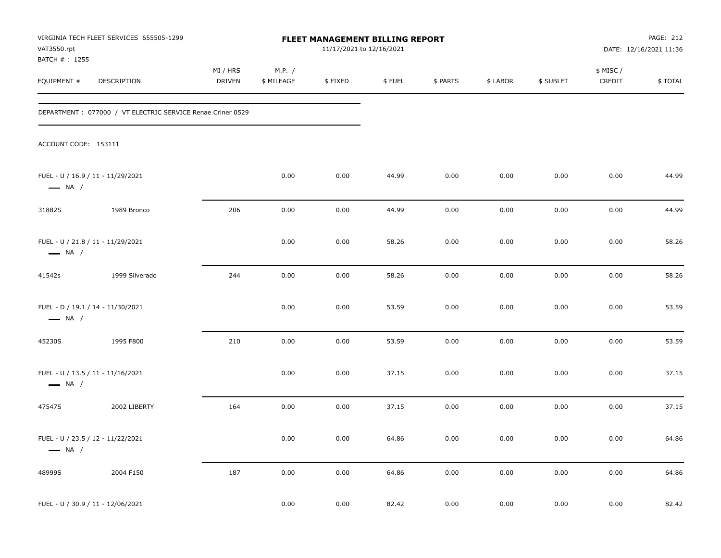| VAT3550.rpt                   | VIRGINIA TECH FLEET SERVICES 655505-1299                    |                           |                      | FLEET MANAGEMENT BILLING REPORT<br>11/17/2021 to 12/16/2021 |        |          |          |           |                     | <b>PAGE: 212</b><br>DATE: 12/16/2021 11:36 |
|-------------------------------|-------------------------------------------------------------|---------------------------|----------------------|-------------------------------------------------------------|--------|----------|----------|-----------|---------------------|--------------------------------------------|
| BATCH # : 1255<br>EQUIPMENT # | <b>DESCRIPTION</b>                                          | MI / HRS<br><b>DRIVEN</b> | M.P. /<br>\$ MILEAGE | \$FIXED                                                     | \$FUEL | \$ PARTS | \$ LABOR | \$ SUBLET | \$ MISC /<br>CREDIT | \$TOTAL                                    |
|                               | DEPARTMENT : 077000 / VT ELECTRIC SERVICE Renae Criner 0529 |                           |                      |                                                             |        |          |          |           |                     |                                            |
| ACCOUNT CODE: 153111          |                                                             |                           |                      |                                                             |        |          |          |           |                     |                                            |
| $\longrightarrow$ NA /        | FUEL - U / 16.9 / 11 - 11/29/2021                           |                           | 0.00                 | 0.00                                                        | 44.99  | 0.00     | 0.00     | 0.00      | 0.00                | 44.99                                      |
| 31882S                        | 1989 Bronco                                                 | 206                       | 0.00                 | 0.00                                                        | 44.99  | 0.00     | 0.00     | 0.00      | 0.00                | 44.99                                      |
| $\longrightarrow$ NA /        | FUEL - U / 21.8 / 11 - 11/29/2021                           |                           | 0.00                 | 0.00                                                        | 58.26  | 0.00     | 0.00     | 0.00      | 0.00                | 58.26                                      |
| 41542s                        | 1999 Silverado                                              | 244                       | 0.00                 | 0.00                                                        | 58.26  | 0.00     | 0.00     | 0.00      | 0.00                | 58.26                                      |
| $\longrightarrow$ NA /        | FUEL - D / 19.1 / 14 - 11/30/2021                           |                           | 0.00                 | 0.00                                                        | 53.59  | 0.00     | 0.00     | 0.00      | 0.00                | 53.59                                      |
| 45230S                        | 1995 F800                                                   | 210                       | 0.00                 | 0.00                                                        | 53.59  | 0.00     | 0.00     | 0.00      | 0.00                | 53.59                                      |
| $\longrightarrow$ NA /        | FUEL - U / 13.5 / 11 - 11/16/2021                           |                           | 0.00                 | 0.00                                                        | 37.15  | 0.00     | 0.00     | 0.00      | 0.00                | 37.15                                      |
| 47547S                        | 2002 LIBERTY                                                | 164                       | 0.00                 | 0.00                                                        | 37.15  | 0.00     | 0.00     | 0.00      | 0.00                | 37.15                                      |
| $\longrightarrow$ NA /        | FUEL - U / 23.5 / 12 - 11/22/2021                           |                           | 0.00                 | 0.00                                                        | 64.86  | 0.00     | 0.00     | 0.00      | 0.00                | 64.86                                      |
| 48999S                        | 2004 F150                                                   | 187                       | 0.00                 | 0.00                                                        | 64.86  | 0.00     | 0.00     | 0.00      | 0.00                | 64.86                                      |
|                               | FUEL - U / 30.9 / 11 - 12/06/2021                           |                           | 0.00                 | 0.00                                                        | 82.42  | 0.00     | 0.00     | 0.00      | 0.00                | 82.42                                      |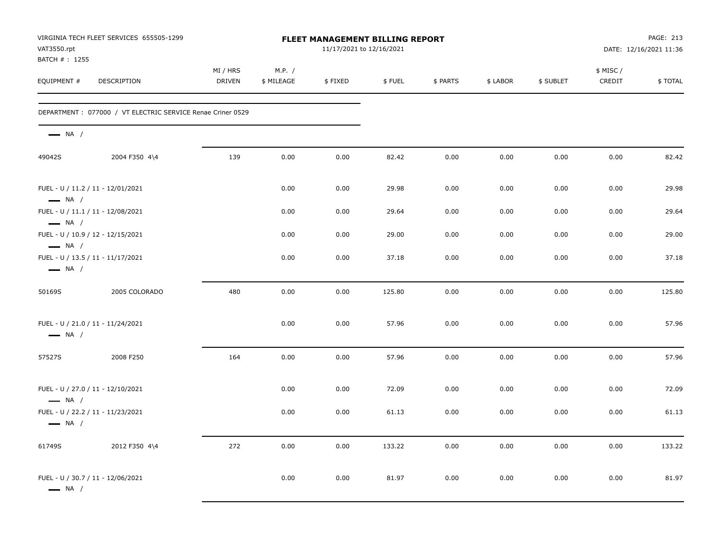| VAT3550.rpt<br>BATCH #: 1255                                | VIRGINIA TECH FLEET SERVICES 655505-1299                    |                           |                      |         | <b>FLEET MANAGEMENT BILLING REPORT</b><br>11/17/2021 to 12/16/2021 |          |          |           |                    | PAGE: 213<br>DATE: 12/16/2021 11:36 |
|-------------------------------------------------------------|-------------------------------------------------------------|---------------------------|----------------------|---------|--------------------------------------------------------------------|----------|----------|-----------|--------------------|-------------------------------------|
| EQUIPMENT #                                                 | DESCRIPTION                                                 | MI / HRS<br><b>DRIVEN</b> | M.P. /<br>\$ MILEAGE | \$FIXED | \$FUEL                                                             | \$ PARTS | \$ LABOR | \$ SUBLET | \$ MISC/<br>CREDIT | \$TOTAL                             |
|                                                             | DEPARTMENT : 077000 / VT ELECTRIC SERVICE Renae Criner 0529 |                           |                      |         |                                                                    |          |          |           |                    |                                     |
| $\longrightarrow$ NA /                                      |                                                             |                           |                      |         |                                                                    |          |          |           |                    |                                     |
| 49042S                                                      | 2004 F350 4\4                                               | 139                       | 0.00                 | 0.00    | 82.42                                                              | 0.00     | 0.00     | 0.00      | 0.00               | 82.42                               |
| FUEL - U / 11.2 / 11 - 12/01/2021<br>$\longrightarrow$ NA / |                                                             |                           | 0.00                 | 0.00    | 29.98                                                              | 0.00     | 0.00     | 0.00      | 0.00               | 29.98                               |
| FUEL - U / 11.1 / 11 - 12/08/2021<br>$\longrightarrow$ NA / |                                                             |                           | 0.00                 | 0.00    | 29.64                                                              | 0.00     | 0.00     | 0.00      | 0.00               | 29.64                               |
| FUEL - U / 10.9 / 12 - 12/15/2021<br>$\longrightarrow$ NA / |                                                             |                           | 0.00                 | 0.00    | 29.00                                                              | 0.00     | 0.00     | 0.00      | 0.00               | 29.00                               |
| FUEL - U / 13.5 / 11 - 11/17/2021<br>$\longrightarrow$ NA / |                                                             |                           | 0.00                 | 0.00    | 37.18                                                              | 0.00     | 0.00     | 0.00      | 0.00               | 37.18                               |
| 50169S                                                      | 2005 COLORADO                                               | 480                       | 0.00                 | 0.00    | 125.80                                                             | 0.00     | 0.00     | 0.00      | 0.00               | 125.80                              |
| FUEL - U / 21.0 / 11 - 11/24/2021<br>$\longrightarrow$ NA / |                                                             |                           | 0.00                 | 0.00    | 57.96                                                              | 0.00     | 0.00     | 0.00      | 0.00               | 57.96                               |
| 57527S                                                      | 2008 F250                                                   | 164                       | 0.00                 | 0.00    | 57.96                                                              | 0.00     | 0.00     | 0.00      | 0.00               | 57.96                               |
| FUEL - U / 27.0 / 11 - 12/10/2021<br>$\longrightarrow$ NA / |                                                             |                           | 0.00                 | 0.00    | 72.09                                                              | 0.00     | 0.00     | 0.00      | 0.00               | 72.09                               |
| FUEL - U / 22.2 / 11 - 11/23/2021<br>$\longrightarrow$ NA / |                                                             |                           | 0.00                 | 0.00    | 61.13                                                              | 0.00     | 0.00     | 0.00      | 0.00               | 61.13                               |
| 61749S                                                      | 2012 F350 4\4                                               | 272                       | 0.00                 | 0.00    | 133.22                                                             | 0.00     | 0.00     | 0.00      | 0.00               | 133.22                              |
| FUEL - U / 30.7 / 11 - 12/06/2021<br>$\longrightarrow$ NA / |                                                             |                           | 0.00                 | 0.00    | 81.97                                                              | 0.00     | 0.00     | 0.00      | 0.00               | 81.97                               |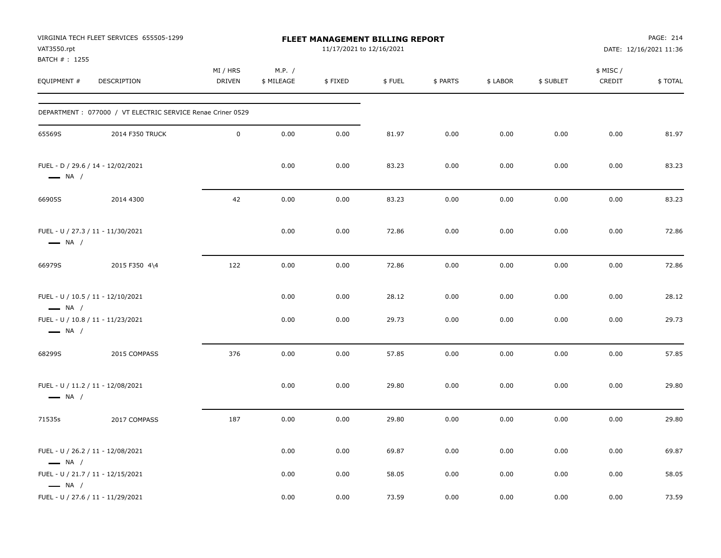| VAT3550.rpt<br>BATCH #: 1255                     | VIRGINIA TECH FLEET SERVICES 655505-1299                               |                     |                      | FLEET MANAGEMENT BILLING REPORT<br>11/17/2021 to 12/16/2021 |                |              |              |              |                     | PAGE: 214<br>DATE: 12/16/2021 11:36 |
|--------------------------------------------------|------------------------------------------------------------------------|---------------------|----------------------|-------------------------------------------------------------|----------------|--------------|--------------|--------------|---------------------|-------------------------------------|
| EQUIPMENT #                                      | DESCRIPTION                                                            | MI / HRS<br>DRIVEN  | M.P. /<br>\$ MILEAGE | \$FIXED                                                     | \$FUEL         | \$ PARTS     | \$ LABOR     | \$ SUBLET    | \$ MISC /<br>CREDIT | \$TOTAL                             |
|                                                  | DEPARTMENT: 077000 / VT ELECTRIC SERVICE Renae Criner 0529             |                     |                      |                                                             |                |              |              |              |                     |                                     |
| 65569S                                           | 2014 F350 TRUCK                                                        | $\mathsf{O}\xspace$ | 0.00                 | 0.00                                                        | 81.97          | 0.00         | 0.00         | 0.00         | 0.00                | 81.97                               |
| $\longrightarrow$ NA /                           | FUEL - D / 29.6 / 14 - 12/02/2021                                      |                     | 0.00                 | 0.00                                                        | 83.23          | 0.00         | 0.00         | 0.00         | 0.00                | 83.23                               |
| 66905S                                           | 2014 4300                                                              | 42                  | 0.00                 | 0.00                                                        | 83.23          | 0.00         | 0.00         | 0.00         | 0.00                | 83.23                               |
| $\longrightarrow$ NA /                           | FUEL - U / 27.3 / 11 - 11/30/2021                                      |                     | 0.00                 | 0.00                                                        | 72.86          | 0.00         | 0.00         | 0.00         | 0.00                | 72.86                               |
| 66979S                                           | 2015 F350 4\4                                                          | 122                 | 0.00                 | 0.00                                                        | 72.86          | 0.00         | 0.00         | 0.00         | 0.00                | 72.86                               |
| $\longrightarrow$ NA /<br>$\longrightarrow$ NA / | FUEL - U / 10.5 / 11 - 12/10/2021<br>FUEL - U / 10.8 / 11 - 11/23/2021 |                     | 0.00<br>0.00         | 0.00<br>0.00                                                | 28.12<br>29.73 | 0.00<br>0.00 | 0.00<br>0.00 | 0.00<br>0.00 | 0.00<br>0.00        | 28.12<br>29.73                      |
| 68299S                                           | 2015 COMPASS                                                           | 376                 | 0.00                 | 0.00                                                        | 57.85          | 0.00         | 0.00         | 0.00         | 0.00                | 57.85                               |
| $\longrightarrow$ NA /                           | FUEL - U / 11.2 / 11 - 12/08/2021                                      |                     | 0.00                 | 0.00                                                        | 29.80          | 0.00         | 0.00         | 0.00         | 0.00                | 29.80                               |
| 71535s                                           | 2017 COMPASS                                                           | 187                 | 0.00                 | 0.00                                                        | 29.80          | 0.00         | 0.00         | 0.00         | 0.00                | 29.80                               |
| $\longrightarrow$ NA /                           | FUEL - U / 26.2 / 11 - 12/08/2021                                      |                     | 0.00                 | 0.00                                                        | 69.87          | 0.00         | 0.00         | 0.00         | 0.00                | 69.87                               |
| $\longrightarrow$ NA /                           | FUEL - U / 21.7 / 11 - 12/15/2021                                      |                     | 0.00                 | 0.00                                                        | 58.05          | 0.00         | 0.00         | 0.00         | 0.00                | 58.05                               |
|                                                  | FUEL - U / 27.6 / 11 - 11/29/2021                                      |                     | 0.00                 | 0.00                                                        | 73.59          | 0.00         | 0.00         | 0.00         | 0.00                | 73.59                               |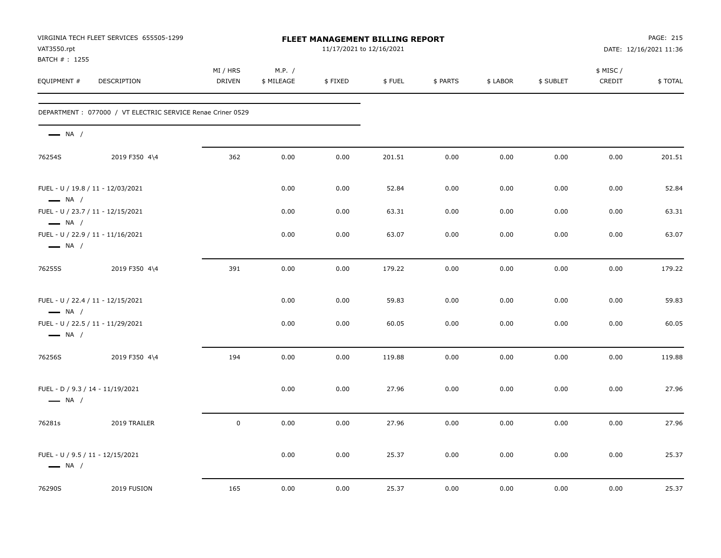| VAT3550.rpt<br>BATCH #: 1255                                | VIRGINIA TECH FLEET SERVICES 655505-1299                    |                    |                      | <b>FLEET MANAGEMENT BILLING REPORT</b><br>11/17/2021 to 12/16/2021 |        |          |          |           |                    | PAGE: 215<br>DATE: 12/16/2021 11:36 |
|-------------------------------------------------------------|-------------------------------------------------------------|--------------------|----------------------|--------------------------------------------------------------------|--------|----------|----------|-----------|--------------------|-------------------------------------|
| EQUIPMENT #                                                 | <b>DESCRIPTION</b>                                          | MI / HRS<br>DRIVEN | M.P. /<br>\$ MILEAGE | \$FIXED                                                            | \$FUEL | \$ PARTS | \$ LABOR | \$ SUBLET | \$ MISC/<br>CREDIT | \$TOTAL                             |
|                                                             | DEPARTMENT : 077000 / VT ELECTRIC SERVICE Renae Criner 0529 |                    |                      |                                                                    |        |          |          |           |                    |                                     |
| $\longrightarrow$ NA /                                      |                                                             |                    |                      |                                                                    |        |          |          |           |                    |                                     |
| 76254S                                                      | 2019 F350 4\4                                               | 362                | 0.00                 | 0.00                                                               | 201.51 | 0.00     | 0.00     | 0.00      | 0.00               | 201.51                              |
| FUEL - U / 19.8 / 11 - 12/03/2021<br>$\longrightarrow$ NA / |                                                             |                    | 0.00                 | 0.00                                                               | 52.84  | 0.00     | 0.00     | 0.00      | 0.00               | 52.84                               |
| FUEL - U / 23.7 / 11 - 12/15/2021<br>$\longrightarrow$ NA / |                                                             |                    | 0.00                 | 0.00                                                               | 63.31  | 0.00     | 0.00     | 0.00      | 0.00               | 63.31                               |
| $\longrightarrow$ NA /                                      | FUEL - U / 22.9 / 11 - 11/16/2021                           |                    | 0.00                 | 0.00                                                               | 63.07  | 0.00     | 0.00     | 0.00      | 0.00               | 63.07                               |
| 76255S                                                      | 2019 F350 4\4                                               | 391                | 0.00                 | 0.00                                                               | 179.22 | 0.00     | 0.00     | 0.00      | 0.00               | 179.22                              |
| FUEL - U / 22.4 / 11 - 12/15/2021<br>$\longrightarrow$ NA / |                                                             |                    | 0.00                 | 0.00                                                               | 59.83  | 0.00     | 0.00     | 0.00      | 0.00               | 59.83                               |
| FUEL - U / 22.5 / 11 - 11/29/2021<br>$\longrightarrow$ NA / |                                                             |                    | 0.00                 | 0.00                                                               | 60.05  | 0.00     | 0.00     | 0.00      | 0.00               | 60.05                               |
| 76256S                                                      | 2019 F350 4\4                                               | 194                | 0.00                 | 0.00                                                               | 119.88 | 0.00     | 0.00     | 0.00      | 0.00               | 119.88                              |
| FUEL - D / 9.3 / 14 - 11/19/2021<br>$\longrightarrow$ NA /  |                                                             |                    | 0.00                 | 0.00                                                               | 27.96  | 0.00     | 0.00     | 0.00      | 0.00               | 27.96                               |
| 76281s                                                      | 2019 TRAILER                                                | $\mathbf 0$        | 0.00                 | 0.00                                                               | 27.96  | 0.00     | 0.00     | 0.00      | 0.00               | 27.96                               |
| FUEL - U / 9.5 / 11 - 12/15/2021<br>$\longrightarrow$ NA /  |                                                             |                    | 0.00                 | 0.00                                                               | 25.37  | 0.00     | 0.00     | 0.00      | 0.00               | 25.37                               |
| 76290S                                                      | 2019 FUSION                                                 | 165                | 0.00                 | 0.00                                                               | 25.37  | 0.00     | 0.00     | 0.00      | 0.00               | 25.37                               |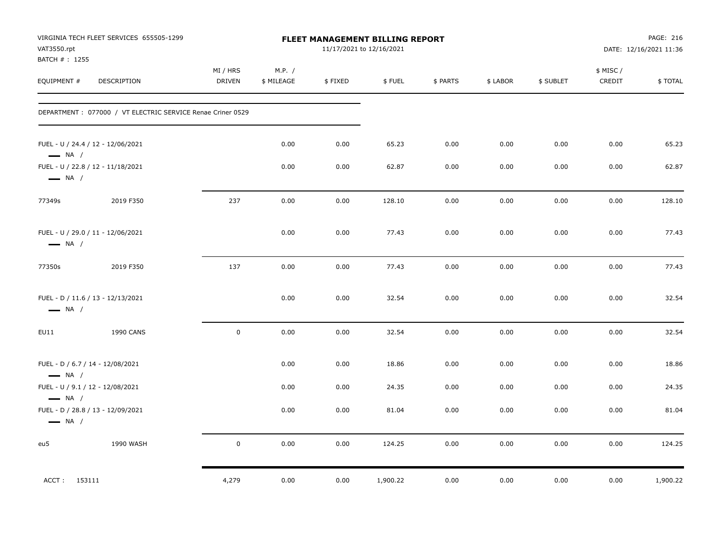| VAT3550.rpt<br>BATCH #: 1255                               | VIRGINIA TECH FLEET SERVICES 655505-1299                    |                    |                      |         | <b>FLEET MANAGEMENT BILLING REPORT</b><br>11/17/2021 to 12/16/2021 |          |          |           |                     | PAGE: 216<br>DATE: 12/16/2021 11:36 |
|------------------------------------------------------------|-------------------------------------------------------------|--------------------|----------------------|---------|--------------------------------------------------------------------|----------|----------|-----------|---------------------|-------------------------------------|
| EQUIPMENT #                                                | DESCRIPTION                                                 | MI / HRS<br>DRIVEN | M.P. /<br>\$ MILEAGE | \$FIXED | \$FUEL                                                             | \$ PARTS | \$ LABOR | \$ SUBLET | \$ MISC /<br>CREDIT | \$TOTAL                             |
|                                                            | DEPARTMENT : 077000 / VT ELECTRIC SERVICE Renae Criner 0529 |                    |                      |         |                                                                    |          |          |           |                     |                                     |
| $\longrightarrow$ NA /                                     | FUEL - U / 24.4 / 12 - 12/06/2021                           |                    | 0.00                 | 0.00    | 65.23                                                              | 0.00     | 0.00     | 0.00      | 0.00                | 65.23                               |
| $\longrightarrow$ NA /                                     | FUEL - U / 22.8 / 12 - 11/18/2021                           |                    | 0.00                 | 0.00    | 62.87                                                              | 0.00     | 0.00     | 0.00      | 0.00                | 62.87                               |
| 77349s                                                     | 2019 F350                                                   | 237                | 0.00                 | 0.00    | 128.10                                                             | 0.00     | 0.00     | 0.00      | 0.00                | 128.10                              |
| $\longrightarrow$ NA /                                     | FUEL - U / 29.0 / 11 - 12/06/2021                           |                    | 0.00                 | 0.00    | 77.43                                                              | 0.00     | 0.00     | 0.00      | 0.00                | 77.43                               |
| 77350s                                                     | 2019 F350                                                   | 137                | 0.00                 | 0.00    | 77.43                                                              | 0.00     | 0.00     | 0.00      | 0.00                | 77.43                               |
| $\longrightarrow$ NA /                                     | FUEL - D / 11.6 / 13 - 12/13/2021                           |                    | 0.00                 | 0.00    | 32.54                                                              | 0.00     | 0.00     | 0.00      | 0.00                | 32.54                               |
| EU11                                                       | <b>1990 CANS</b>                                            | $\mathsf 0$        | 0.00                 | 0.00    | 32.54                                                              | 0.00     | 0.00     | 0.00      | 0.00                | 32.54                               |
| FUEL - D / 6.7 / 14 - 12/08/2021<br>$\longrightarrow$ NA / |                                                             |                    | 0.00                 | 0.00    | 18.86                                                              | 0.00     | 0.00     | 0.00      | 0.00                | 18.86                               |
| FUEL - U / 9.1 / 12 - 12/08/2021<br>$\longrightarrow$ NA / |                                                             |                    | 0.00                 | 0.00    | 24.35                                                              | 0.00     | 0.00     | 0.00      | 0.00                | 24.35                               |
| $\longrightarrow$ NA /                                     | FUEL - D / 28.8 / 13 - 12/09/2021                           |                    | 0.00                 | 0.00    | 81.04                                                              | 0.00     | 0.00     | 0.00      | 0.00                | 81.04                               |
| eu5                                                        | 1990 WASH                                                   | 0                  | 0.00                 | 0.00    | 124.25                                                             | 0.00     | 0.00     | 0.00      | 0.00                | 124.25                              |
| ACCT: 153111                                               |                                                             | 4,279              | 0.00                 | 0.00    | 1,900.22                                                           | 0.00     | 0.00     | 0.00      | 0.00                | 1,900.22                            |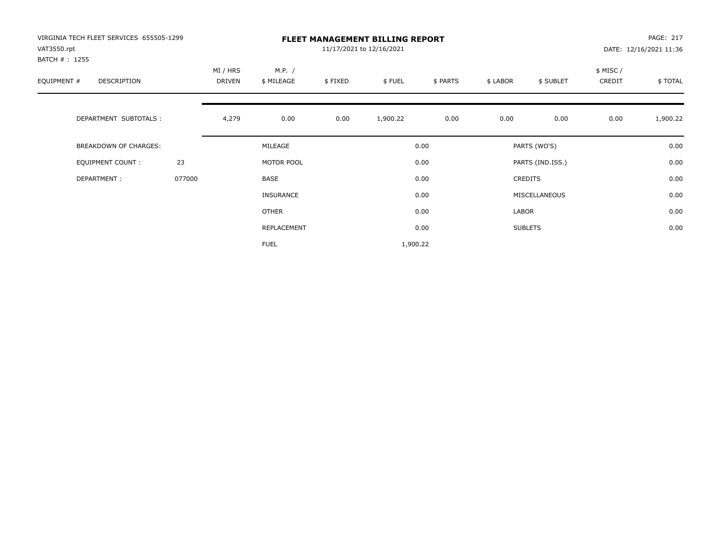| VIRGINIA TECH FLEET SERVICES 655505-1299<br>VAT3550.rpt<br>BATCH # : 1255 |        | <b>FLEET MANAGEMENT BILLING REPORT</b><br>11/17/2021 to 12/16/2021 |                      |         |          |          |          |                  |                    | PAGE: 217<br>DATE: 12/16/2021 11:36 |  |
|---------------------------------------------------------------------------|--------|--------------------------------------------------------------------|----------------------|---------|----------|----------|----------|------------------|--------------------|-------------------------------------|--|
| EQUIPMENT #<br>DESCRIPTION                                                |        | MI / HRS<br>DRIVEN                                                 | M.P. /<br>\$ MILEAGE | \$FIXED | \$FUEL   | \$ PARTS | \$ LABOR | \$ SUBLET        | \$ MISC/<br>CREDIT | \$TOTAL                             |  |
| DEPARTMENT SUBTOTALS :                                                    |        | 4,279                                                              | 0.00                 | 0.00    | 1,900.22 | 0.00     | 0.00     | 0.00             | 0.00               | 1,900.22                            |  |
| BREAKDOWN OF CHARGES:                                                     |        |                                                                    | MILEAGE              |         |          | 0.00     |          | PARTS (WO'S)     |                    | 0.00                                |  |
| <b>EQUIPMENT COUNT:</b>                                                   | 23     |                                                                    | MOTOR POOL           |         |          | 0.00     |          | PARTS (IND.ISS.) |                    | 0.00                                |  |
| DEPARTMENT:                                                               | 077000 |                                                                    | BASE                 |         |          | 0.00     |          | <b>CREDITS</b>   |                    | 0.00                                |  |
|                                                                           |        |                                                                    | <b>INSURANCE</b>     |         |          | 0.00     |          | MISCELLANEOUS    |                    | 0.00                                |  |
|                                                                           |        |                                                                    | <b>OTHER</b>         |         |          | 0.00     | LABOR    |                  |                    | 0.00                                |  |
|                                                                           |        |                                                                    | REPLACEMENT          |         |          | 0.00     |          | <b>SUBLETS</b>   |                    | 0.00                                |  |
|                                                                           |        |                                                                    | <b>FUEL</b>          |         | 1,900.22 |          |          |                  |                    |                                     |  |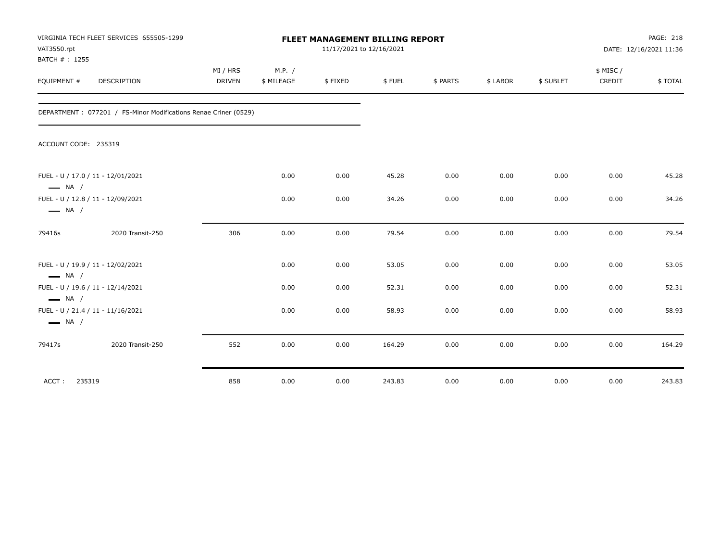| VAT3550.rpt<br>BATCH #: 1255 | VIRGINIA TECH FLEET SERVICES 655505-1299                        | <b>FLEET MANAGEMENT BILLING REPORT</b><br>11/17/2021 to 12/16/2021 |                      |         |        |          |          |           |                     | PAGE: 218<br>DATE: 12/16/2021 11:36 |  |
|------------------------------|-----------------------------------------------------------------|--------------------------------------------------------------------|----------------------|---------|--------|----------|----------|-----------|---------------------|-------------------------------------|--|
| EQUIPMENT #                  | <b>DESCRIPTION</b>                                              | MI / HRS<br><b>DRIVEN</b>                                          | M.P. /<br>\$ MILEAGE | \$FIXED | \$FUEL | \$ PARTS | \$ LABOR | \$ SUBLET | \$ MISC /<br>CREDIT | \$TOTAL                             |  |
|                              | DEPARTMENT: 077201 / FS-Minor Modifications Renae Criner (0529) |                                                                    |                      |         |        |          |          |           |                     |                                     |  |
| ACCOUNT CODE: 235319         |                                                                 |                                                                    |                      |         |        |          |          |           |                     |                                     |  |
| $\longrightarrow$ NA /       | FUEL - U / 17.0 / 11 - 12/01/2021                               |                                                                    | 0.00                 | 0.00    | 45.28  | 0.00     | 0.00     | 0.00      | 0.00                | 45.28                               |  |
| $\longrightarrow$ NA /       | FUEL - U / 12.8 / 11 - 12/09/2021                               |                                                                    | 0.00                 | 0.00    | 34.26  | 0.00     | 0.00     | 0.00      | 0.00                | 34.26                               |  |
| 79416s                       | 2020 Transit-250                                                | 306                                                                | 0.00                 | 0.00    | 79.54  | 0.00     | 0.00     | 0.00      | 0.00                | 79.54                               |  |
| $\longrightarrow$ NA /       | FUEL - U / 19.9 / 11 - 12/02/2021                               |                                                                    | 0.00                 | 0.00    | 53.05  | 0.00     | 0.00     | 0.00      | 0.00                | 53.05                               |  |
| $\longrightarrow$ NA /       | FUEL - U / 19.6 / 11 - 12/14/2021                               |                                                                    | 0.00                 | 0.00    | 52.31  | 0.00     | 0.00     | 0.00      | 0.00                | 52.31                               |  |
| $\longrightarrow$ NA /       | FUEL - U / 21.4 / 11 - 11/16/2021                               |                                                                    | 0.00                 | 0.00    | 58.93  | 0.00     | 0.00     | 0.00      | 0.00                | 58.93                               |  |
| 79417s                       | 2020 Transit-250                                                | 552                                                                | 0.00                 | 0.00    | 164.29 | 0.00     | 0.00     | 0.00      | 0.00                | 164.29                              |  |
| ACCT:                        | 235319                                                          | 858                                                                | 0.00                 | 0.00    | 243.83 | 0.00     | 0.00     | 0.00      | 0.00                | 243.83                              |  |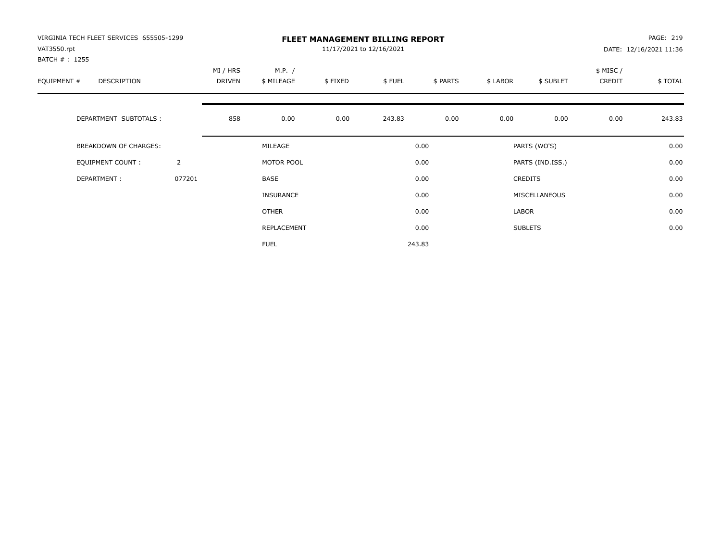| VIRGINIA TECH FLEET SERVICES 655505-1299<br>VAT3550.rpt<br>BATCH # : 1255 |                |                    |                      | 11/17/2021 to 12/16/2021 | <b>FLEET MANAGEMENT BILLING REPORT</b> |          |          |                  |                    | PAGE: 219<br>DATE: 12/16/2021 11:36 |
|---------------------------------------------------------------------------|----------------|--------------------|----------------------|--------------------------|----------------------------------------|----------|----------|------------------|--------------------|-------------------------------------|
| EQUIPMENT #<br>DESCRIPTION                                                |                | MI / HRS<br>DRIVEN | M.P. /<br>\$ MILEAGE | \$FIXED                  | \$FUEL                                 | \$ PARTS | \$ LABOR | \$ SUBLET        | \$ MISC/<br>CREDIT | \$ TOTAL                            |
| DEPARTMENT SUBTOTALS :                                                    |                | 858                | 0.00                 | 0.00                     | 243.83                                 | 0.00     | 0.00     | 0.00             | 0.00               | 243.83                              |
| BREAKDOWN OF CHARGES:                                                     |                |                    | MILEAGE              |                          |                                        | 0.00     |          | PARTS (WO'S)     |                    | 0.00                                |
| <b>EQUIPMENT COUNT:</b>                                                   | $\overline{2}$ |                    | MOTOR POOL           |                          |                                        | 0.00     |          | PARTS (IND.ISS.) |                    | 0.00                                |
| DEPARTMENT:                                                               | 077201         |                    | BASE                 |                          |                                        | 0.00     |          | <b>CREDITS</b>   |                    | 0.00                                |
|                                                                           |                |                    | <b>INSURANCE</b>     |                          |                                        | 0.00     |          | MISCELLANEOUS    |                    | 0.00                                |
|                                                                           |                |                    | <b>OTHER</b>         |                          |                                        | 0.00     | LABOR    |                  |                    | 0.00                                |
|                                                                           |                |                    | REPLACEMENT          |                          |                                        | 0.00     |          | <b>SUBLETS</b>   |                    | 0.00                                |
|                                                                           |                |                    | <b>FUEL</b>          |                          |                                        | 243.83   |          |                  |                    |                                     |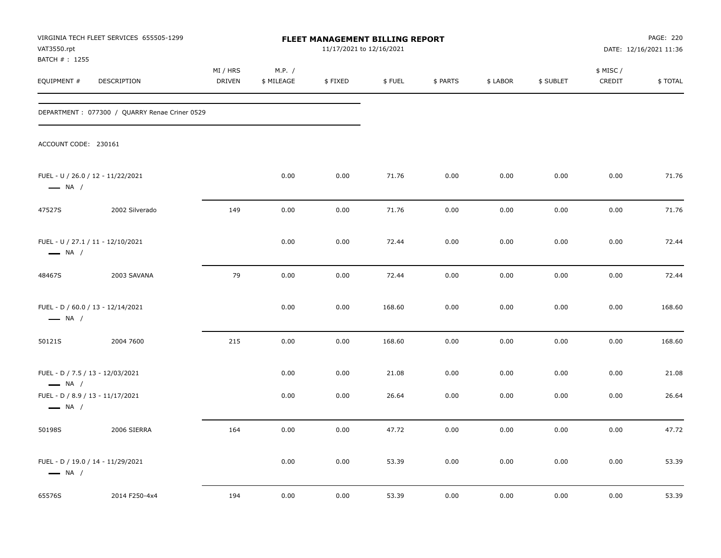| VAT3550.rpt                                                                                    | VIRGINIA TECH FLEET SERVICES 655505-1299<br>FLEET MANAGEMENT BILLING REPORT<br>11/17/2021 to 12/16/2021 |                    |                      |              |                |              | PAGE: 220<br>DATE: 12/16/2021 11:36 |              |                     |                |
|------------------------------------------------------------------------------------------------|---------------------------------------------------------------------------------------------------------|--------------------|----------------------|--------------|----------------|--------------|-------------------------------------|--------------|---------------------|----------------|
| BATCH #: 1255<br>EQUIPMENT #                                                                   | DESCRIPTION                                                                                             | MI / HRS<br>DRIVEN | M.P. /<br>\$ MILEAGE | \$FIXED      | \$FUEL         | \$ PARTS     | \$ LABOR                            | \$ SUBLET    | \$ MISC /<br>CREDIT | \$TOTAL        |
|                                                                                                | DEPARTMENT: 077300 / QUARRY Renae Criner 0529                                                           |                    |                      |              |                |              |                                     |              |                     |                |
| ACCOUNT CODE: 230161                                                                           |                                                                                                         |                    |                      |              |                |              |                                     |              |                     |                |
| $\longrightarrow$ NA /                                                                         | FUEL - U / 26.0 / 12 - 11/22/2021                                                                       |                    | 0.00                 | 0.00         | 71.76          | 0.00         | 0.00                                | 0.00         | 0.00                | 71.76          |
| 47527S                                                                                         | 2002 Silverado                                                                                          | 149                | 0.00                 | 0.00         | 71.76          | 0.00         | 0.00                                | 0.00         | 0.00                | 71.76          |
| $\longrightarrow$ NA /                                                                         | FUEL - U / 27.1 / 11 - 12/10/2021                                                                       |                    | 0.00                 | 0.00         | 72.44          | 0.00         | 0.00                                | 0.00         | 0.00                | 72.44          |
| 48467S                                                                                         | 2003 SAVANA                                                                                             | 79                 | 0.00                 | 0.00         | 72.44          | 0.00         | 0.00                                | 0.00         | 0.00                | 72.44          |
| $\longrightarrow$ NA /                                                                         | FUEL - D / 60.0 / 13 - 12/14/2021                                                                       |                    | 0.00                 | 0.00         | 168.60         | 0.00         | 0.00                                | 0.00         | 0.00                | 168.60         |
| 50121S                                                                                         | 2004 7600                                                                                               | 215                | 0.00                 | 0.00         | 168.60         | 0.00         | 0.00                                | 0.00         | 0.00                | 168.60         |
| FUEL - D / 7.5 / 13 - 12/03/2021<br>$\longrightarrow$ NA /<br>FUEL - D / 8.9 / 13 - 11/17/2021 |                                                                                                         |                    | 0.00<br>0.00         | 0.00<br>0.00 | 21.08<br>26.64 | 0.00<br>0.00 | 0.00<br>0.00                        | 0.00<br>0.00 | 0.00<br>0.00        | 21.08<br>26.64 |
| $\longrightarrow$ NA /                                                                         |                                                                                                         |                    |                      |              |                |              |                                     |              |                     |                |
| 50198S                                                                                         | 2006 SIERRA                                                                                             | 164                | 0.00                 | 0.00         | 47.72          | 0.00         | 0.00                                | 0.00         | 0.00                | 47.72          |
| $\longrightarrow$ NA /                                                                         | FUEL - D / 19.0 / 14 - 11/29/2021                                                                       |                    | 0.00                 | 0.00         | 53.39          | 0.00         | 0.00                                | 0.00         | 0.00                | 53.39          |
| 65576S                                                                                         | 2014 F250-4x4                                                                                           | 194                | 0.00                 | 0.00         | 53.39          | 0.00         | 0.00                                | 0.00         | 0.00                | 53.39          |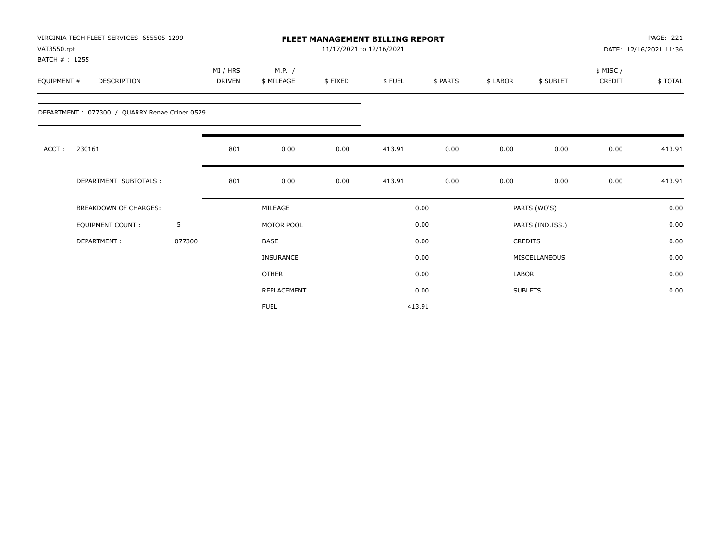| VAT3550.rpt<br>BATCH #: 1255 | VIRGINIA TECH FLEET SERVICES 655505-1299      |        |                    |                      | <b>FLEET MANAGEMENT BILLING REPORT</b><br>11/17/2021 to 12/16/2021 |        |          |          |                  |                     | <b>PAGE: 221</b><br>DATE: 12/16/2021 11:36 |
|------------------------------|-----------------------------------------------|--------|--------------------|----------------------|--------------------------------------------------------------------|--------|----------|----------|------------------|---------------------|--------------------------------------------|
| EQUIPMENT #                  | DESCRIPTION                                   |        | MI / HRS<br>DRIVEN | M.P. /<br>\$ MILEAGE | \$FIXED                                                            | \$FUEL | \$ PARTS | \$ LABOR | \$ SUBLET        | \$ MISC /<br>CREDIT | \$TOTAL                                    |
|                              | DEPARTMENT: 077300 / QUARRY Renae Criner 0529 |        |                    |                      |                                                                    |        |          |          |                  |                     |                                            |
| ACCT:                        | 230161                                        |        | 801                | 0.00                 | 0.00                                                               | 413.91 | 0.00     | 0.00     | 0.00             | 0.00                | 413.91                                     |
|                              | DEPARTMENT SUBTOTALS :                        |        | 801                | 0.00                 | 0.00                                                               | 413.91 | 0.00     | 0.00     | 0.00             | 0.00                | 413.91                                     |
|                              | <b>BREAKDOWN OF CHARGES:</b>                  |        |                    | MILEAGE              |                                                                    |        | 0.00     |          | PARTS (WO'S)     |                     | 0.00                                       |
|                              | <b>EQUIPMENT COUNT:</b>                       | 5      |                    | MOTOR POOL           |                                                                    |        | 0.00     |          | PARTS (IND.ISS.) |                     | 0.00                                       |
|                              | DEPARTMENT:                                   | 077300 |                    | <b>BASE</b>          |                                                                    |        | 0.00     |          | <b>CREDITS</b>   |                     | 0.00                                       |
|                              |                                               |        |                    | <b>INSURANCE</b>     |                                                                    |        | 0.00     |          | MISCELLANEOUS    |                     | 0.00                                       |
|                              |                                               |        |                    | <b>OTHER</b>         |                                                                    |        | 0.00     | LABOR    |                  |                     | 0.00                                       |
|                              |                                               |        |                    | REPLACEMENT          |                                                                    |        | 0.00     |          | <b>SUBLETS</b>   |                     | 0.00                                       |
|                              |                                               |        |                    | <b>FUEL</b>          |                                                                    |        | 413.91   |          |                  |                     |                                            |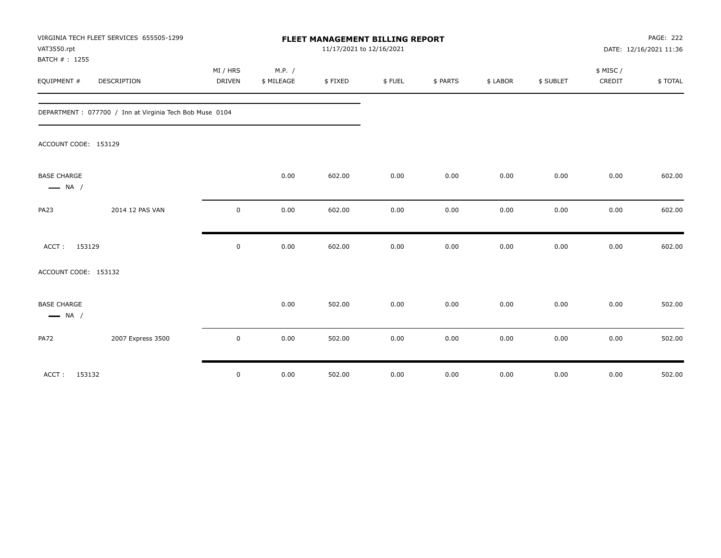| VAT3550.rpt<br>BATCH #: 1255                 | VIRGINIA TECH FLEET SERVICES 655505-1299                 |                           | FLEET MANAGEMENT BILLING REPORT | <b>PAGE: 222</b><br>DATE: 12/16/2021 11:36 |        |          |          |           |                    |         |
|----------------------------------------------|----------------------------------------------------------|---------------------------|---------------------------------|--------------------------------------------|--------|----------|----------|-----------|--------------------|---------|
| EQUIPMENT #                                  | <b>DESCRIPTION</b>                                       | MI / HRS<br><b>DRIVEN</b> | M.P. /<br>\$ MILEAGE            | \$FIXED                                    | \$FUEL | \$ PARTS | \$ LABOR | \$ SUBLET | \$ MISC/<br>CREDIT | \$TOTAL |
|                                              |                                                          |                           |                                 |                                            |        |          |          |           |                    |         |
|                                              | DEPARTMENT : 077700 / Inn at Virginia Tech Bob Muse 0104 |                           |                                 |                                            |        |          |          |           |                    |         |
| ACCOUNT CODE: 153129                         |                                                          |                           |                                 |                                            |        |          |          |           |                    |         |
| <b>BASE CHARGE</b><br>$\longrightarrow$ NA / |                                                          |                           | 0.00                            | 602.00                                     | 0.00   | 0.00     | 0.00     | 0.00      | 0.00               | 602.00  |
| PA23                                         | 2014 12 PAS VAN                                          | $\mathbf 0$               | 0.00                            | 602.00                                     | 0.00   | 0.00     | 0.00     | 0.00      | 0.00               | 602.00  |
| ACCT: 153129                                 |                                                          | $\mathsf 0$               | 0.00                            | 602.00                                     | 0.00   | 0.00     | 0.00     | 0.00      | 0.00               | 602.00  |
| ACCOUNT CODE: 153132                         |                                                          |                           |                                 |                                            |        |          |          |           |                    |         |
| <b>BASE CHARGE</b><br>$\longrightarrow$ NA / |                                                          |                           | 0.00                            | 502.00                                     | 0.00   | 0.00     | 0.00     | 0.00      | 0.00               | 502.00  |
| <b>PA72</b>                                  | 2007 Express 3500                                        | $\mathbf 0$               | 0.00                            | 502.00                                     | 0.00   | 0.00     | 0.00     | 0.00      | 0.00               | 502.00  |
| ACCT: 153132                                 |                                                          | 0                         | 0.00                            | 502.00                                     | 0.00   | 0.00     | 0.00     | 0.00      | 0.00               | 502.00  |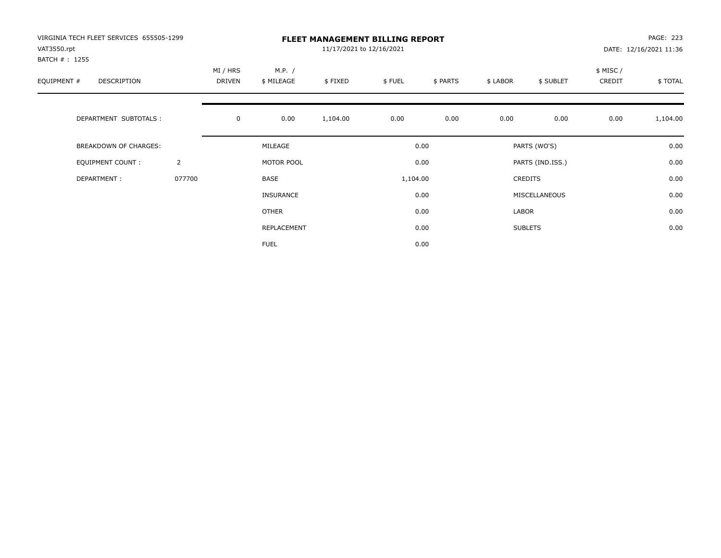| VIRGINIA TECH FLEET SERVICES 655505-1299<br>VAT3550.rpt |                |                    |                      | <b>FLEET MANAGEMENT BILLING REPORT</b><br>11/17/2021 to 12/16/2021 |          |          |          |                  |                    | PAGE: 223<br>DATE: 12/16/2021 11:36 |
|---------------------------------------------------------|----------------|--------------------|----------------------|--------------------------------------------------------------------|----------|----------|----------|------------------|--------------------|-------------------------------------|
| BATCH #: 1255<br>EQUIPMENT #<br>DESCRIPTION             |                | MI / HRS<br>DRIVEN | M.P. /<br>\$ MILEAGE | \$FIXED                                                            | \$FUEL   | \$ PARTS | \$ LABOR | \$ SUBLET        | \$ MISC/<br>CREDIT | \$TOTAL                             |
| DEPARTMENT SUBTOTALS :                                  |                | $\mathbf 0$        | 0.00                 | 1,104.00                                                           | 0.00     | 0.00     | 0.00     | 0.00             | 0.00               | 1,104.00                            |
| BREAKDOWN OF CHARGES:                                   |                |                    | MILEAGE              |                                                                    |          | 0.00     |          | PARTS (WO'S)     |                    | 0.00                                |
| <b>EQUIPMENT COUNT:</b>                                 | $\overline{2}$ |                    | MOTOR POOL           |                                                                    |          | 0.00     |          | PARTS (IND.ISS.) |                    | 0.00                                |
| DEPARTMENT:                                             | 077700         |                    | BASE                 |                                                                    | 1,104.00 |          |          | <b>CREDITS</b>   |                    | 0.00                                |
|                                                         |                |                    | <b>INSURANCE</b>     |                                                                    |          | 0.00     |          | MISCELLANEOUS    |                    | 0.00                                |
|                                                         |                |                    | OTHER                |                                                                    |          | 0.00     | LABOR    |                  |                    | 0.00                                |
|                                                         |                |                    | REPLACEMENT          |                                                                    |          | 0.00     |          | <b>SUBLETS</b>   |                    | 0.00                                |
|                                                         |                |                    | <b>FUEL</b>          |                                                                    |          | 0.00     |          |                  |                    |                                     |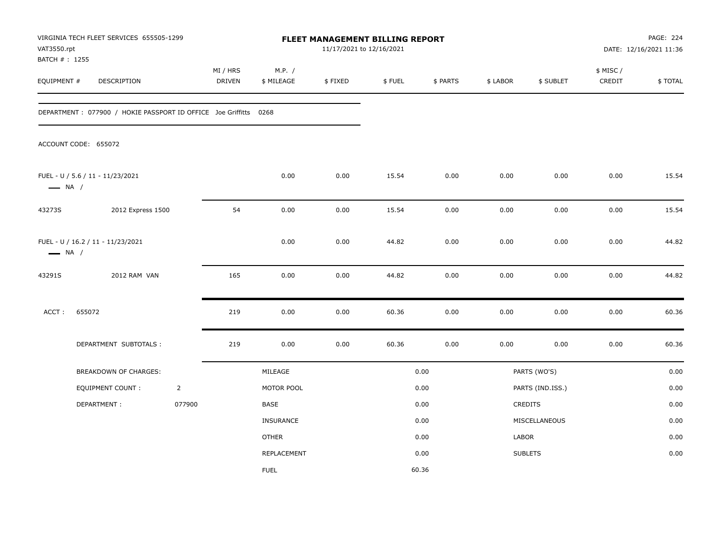| VAT3550.rpt<br>BATCH #: 1255 | VIRGINIA TECH FLEET SERVICES 655505-1299                          |                |                           |                      | FLEET MANAGEMENT BILLING REPORT<br>11/17/2021 to 12/16/2021 |        |          |          |                  |                    | PAGE: 224<br>DATE: 12/16/2021 11:36 |
|------------------------------|-------------------------------------------------------------------|----------------|---------------------------|----------------------|-------------------------------------------------------------|--------|----------|----------|------------------|--------------------|-------------------------------------|
| EQUIPMENT #                  | DESCRIPTION                                                       |                | MI / HRS<br><b>DRIVEN</b> | M.P. /<br>\$ MILEAGE | \$FIXED                                                     | \$FUEL | \$ PARTS | \$ LABOR | \$ SUBLET        | \$ MISC/<br>CREDIT | \$TOTAL                             |
|                              | DEPARTMENT : 077900 / HOKIE PASSPORT ID OFFICE Joe Griffitts 0268 |                |                           |                      |                                                             |        |          |          |                  |                    |                                     |
|                              | ACCOUNT CODE: 655072                                              |                |                           |                      |                                                             |        |          |          |                  |                    |                                     |
| $\longrightarrow$ NA /       | FUEL - U / 5.6 / 11 - 11/23/2021                                  |                |                           | 0.00                 | 0.00                                                        | 15.54  | 0.00     | 0.00     | 0.00             | 0.00               | 15.54                               |
| 43273S                       | 2012 Express 1500                                                 |                | 54                        | 0.00                 | 0.00                                                        | 15.54  | 0.00     | 0.00     | 0.00             | 0.00               | 15.54                               |
| $\longrightarrow$ NA /       | FUEL - U / 16.2 / 11 - 11/23/2021                                 |                |                           | 0.00                 | 0.00                                                        | 44.82  | 0.00     | 0.00     | 0.00             | 0.00               | 44.82                               |
| 43291S                       | 2012 RAM VAN                                                      |                | 165                       | 0.00                 | 0.00                                                        | 44.82  | 0.00     | 0.00     | 0.00             | 0.00               | 44.82                               |
| ACCT:                        | 655072                                                            |                | 219                       | 0.00                 | 0.00                                                        | 60.36  | 0.00     | 0.00     | 0.00             | $0.00\,$           | 60.36                               |
|                              | DEPARTMENT SUBTOTALS :                                            |                | 219                       | 0.00                 | 0.00                                                        | 60.36  | 0.00     | 0.00     | 0.00             | 0.00               | 60.36                               |
|                              | <b>BREAKDOWN OF CHARGES:</b>                                      |                |                           | MILEAGE              |                                                             |        | 0.00     |          | PARTS (WO'S)     |                    | 0.00                                |
|                              | EQUIPMENT COUNT:                                                  | $\overline{2}$ |                           | MOTOR POOL           |                                                             |        | 0.00     |          | PARTS (IND.ISS.) |                    | 0.00                                |
|                              | DEPARTMENT:                                                       | 077900         |                           | BASE                 |                                                             |        | 0.00     |          | <b>CREDITS</b>   |                    | 0.00                                |
|                              |                                                                   |                |                           | <b>INSURANCE</b>     |                                                             |        | 0.00     |          | MISCELLANEOUS    |                    | 0.00                                |
|                              |                                                                   |                |                           | <b>OTHER</b>         |                                                             |        | 0.00     | LABOR    |                  |                    | 0.00                                |
|                              |                                                                   |                |                           | <b>REPLACEMENT</b>   |                                                             |        | 0.00     |          | <b>SUBLETS</b>   |                    | 0.00                                |
|                              |                                                                   |                |                           | <b>FUEL</b>          |                                                             |        | 60.36    |          |                  |                    |                                     |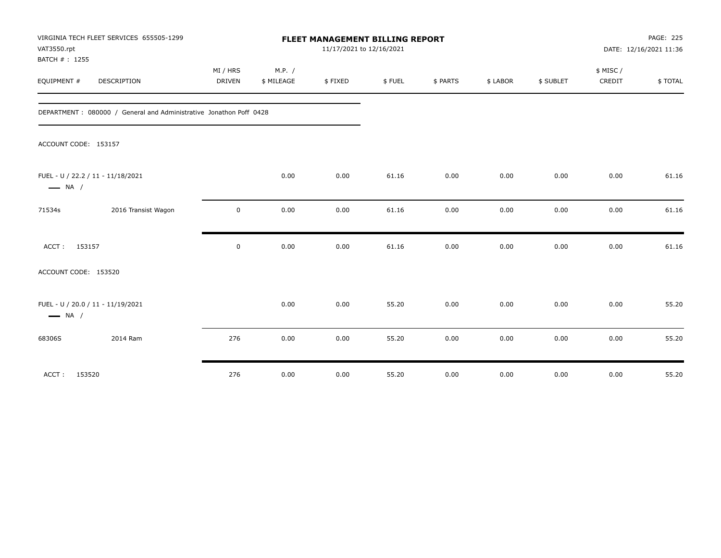| VAT3550.rpt<br>BATCH #: 1255 | VIRGINIA TECH FLEET SERVICES 655505-1299                            | FLEET MANAGEMENT BILLING REPORT<br>11/17/2021 to 12/16/2021 |                      |         |        |          |          |           |                    | PAGE: 225<br>DATE: 12/16/2021 11:36 |  |
|------------------------------|---------------------------------------------------------------------|-------------------------------------------------------------|----------------------|---------|--------|----------|----------|-----------|--------------------|-------------------------------------|--|
| EQUIPMENT #                  | DESCRIPTION                                                         | MI / HRS<br>DRIVEN                                          | M.P. /<br>\$ MILEAGE | \$FIXED | \$FUEL | \$ PARTS | \$ LABOR | \$ SUBLET | \$ MISC/<br>CREDIT | \$TOTAL                             |  |
|                              |                                                                     |                                                             |                      |         |        |          |          |           |                    |                                     |  |
|                              | DEPARTMENT : 080000 / General and Administrative Jonathon Poff 0428 |                                                             |                      |         |        |          |          |           |                    |                                     |  |
| ACCOUNT CODE: 153157         |                                                                     |                                                             |                      |         |        |          |          |           |                    |                                     |  |
| $\longrightarrow$ NA /       | FUEL - U / 22.2 / 11 - 11/18/2021                                   |                                                             | 0.00                 | 0.00    | 61.16  | 0.00     | 0.00     | 0.00      | 0.00               | 61.16                               |  |
| 71534s                       | 2016 Transist Wagon                                                 | 0                                                           | 0.00                 | 0.00    | 61.16  | 0.00     | 0.00     | 0.00      | 0.00               | 61.16                               |  |
| ACCT:                        | 153157                                                              | $\mathbf 0$                                                 | 0.00                 | 0.00    | 61.16  | 0.00     | 0.00     | 0.00      | 0.00               | 61.16                               |  |
| ACCOUNT CODE: 153520         |                                                                     |                                                             |                      |         |        |          |          |           |                    |                                     |  |
| $\longrightarrow$ NA /       | FUEL - U / 20.0 / 11 - 11/19/2021                                   |                                                             | 0.00                 | 0.00    | 55.20  | 0.00     | 0.00     | 0.00      | 0.00               | 55.20                               |  |
| 68306S                       | 2014 Ram                                                            | 276                                                         | 0.00                 | 0.00    | 55.20  | 0.00     | 0.00     | 0.00      | 0.00               | 55.20                               |  |
| ACCT:                        | 153520                                                              | 276                                                         | 0.00                 | 0.00    | 55.20  | 0.00     | 0.00     | 0.00      | 0.00               | 55.20                               |  |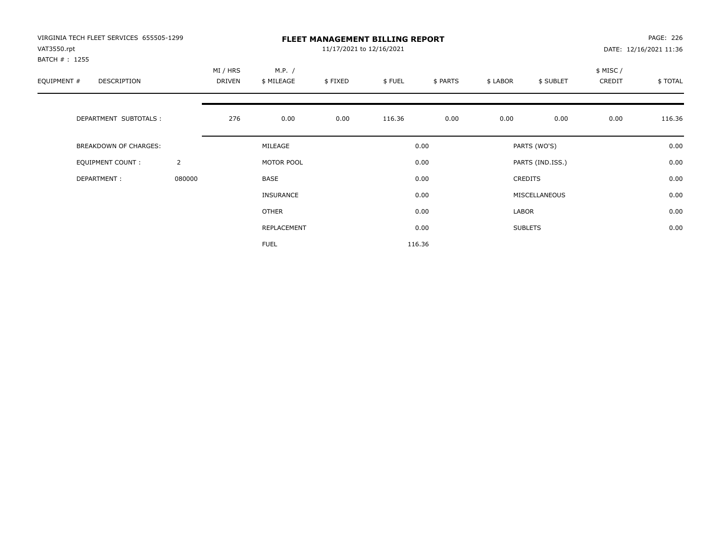| VIRGINIA TECH FLEET SERVICES 655505-1299<br>VAT3550.rpt<br>BATCH # : 1255 |                |                    |                      | 11/17/2021 to 12/16/2021 | <b>FLEET MANAGEMENT BILLING REPORT</b> |          |          |                  |                    | PAGE: 226<br>DATE: 12/16/2021 11:36 |
|---------------------------------------------------------------------------|----------------|--------------------|----------------------|--------------------------|----------------------------------------|----------|----------|------------------|--------------------|-------------------------------------|
| EQUIPMENT #<br>DESCRIPTION                                                |                | MI / HRS<br>DRIVEN | M.P. /<br>\$ MILEAGE | \$FIXED                  | \$FUEL                                 | \$ PARTS | \$ LABOR | \$ SUBLET        | \$ MISC/<br>CREDIT | \$ TOTAL                            |
| DEPARTMENT SUBTOTALS :                                                    |                | 276                | 0.00                 | 0.00                     | 116.36                                 | 0.00     | 0.00     | 0.00             | 0.00               | 116.36                              |
| BREAKDOWN OF CHARGES:                                                     |                |                    | MILEAGE              |                          |                                        | 0.00     |          | PARTS (WO'S)     |                    | 0.00                                |
| <b>EQUIPMENT COUNT:</b>                                                   | $\overline{2}$ |                    | MOTOR POOL           |                          |                                        | 0.00     |          | PARTS (IND.ISS.) |                    | 0.00                                |
| DEPARTMENT:                                                               | 080000         |                    | <b>BASE</b>          |                          |                                        | 0.00     |          | <b>CREDITS</b>   |                    | 0.00                                |
|                                                                           |                |                    | INSURANCE            |                          |                                        | 0.00     |          | MISCELLANEOUS    |                    | 0.00                                |
|                                                                           |                |                    | OTHER                |                          |                                        | 0.00     | LABOR    |                  |                    | 0.00                                |
|                                                                           |                |                    | REPLACEMENT          |                          |                                        | 0.00     |          | <b>SUBLETS</b>   |                    | 0.00                                |
|                                                                           |                |                    | <b>FUEL</b>          |                          |                                        | 116.36   |          |                  |                    |                                     |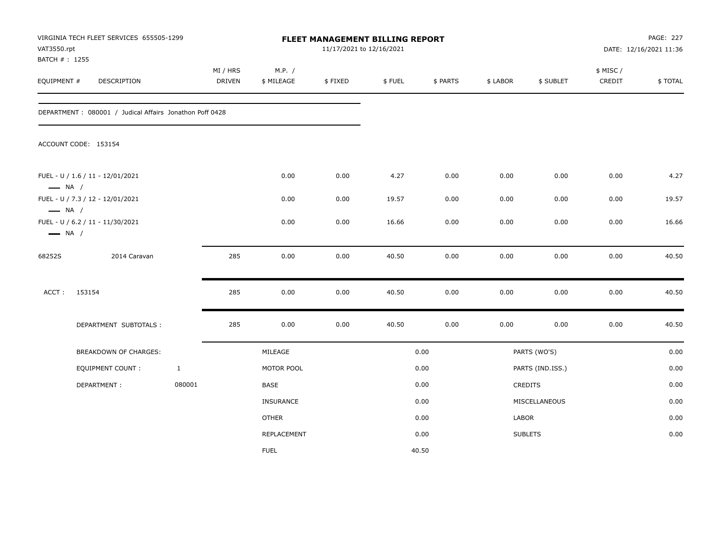| VAT3550.rpt<br>BATCH #: 1255                     | VIRGINIA TECH FLEET SERVICES 655505-1299                |              |                           |                      | FLEET MANAGEMENT BILLING REPORT<br>11/17/2021 to 12/16/2021 |        |          |          |                  |                     | <b>PAGE: 227</b><br>DATE: 12/16/2021 11:36 |
|--------------------------------------------------|---------------------------------------------------------|--------------|---------------------------|----------------------|-------------------------------------------------------------|--------|----------|----------|------------------|---------------------|--------------------------------------------|
| EQUIPMENT #                                      | DESCRIPTION                                             |              | MI / HRS<br><b>DRIVEN</b> | M.P. /<br>\$ MILEAGE | \$FIXED                                                     | \$FUEL | \$ PARTS | \$ LABOR | \$ SUBLET        | \$ MISC /<br>CREDIT | \$TOTAL                                    |
|                                                  | DEPARTMENT: 080001 / Judical Affairs Jonathon Poff 0428 |              |                           |                      |                                                             |        |          |          |                  |                     |                                            |
|                                                  | ACCOUNT CODE: 153154                                    |              |                           |                      |                                                             |        |          |          |                  |                     |                                            |
| $\longrightarrow$ NA /                           | FUEL - U / 1.6 / 11 - 12/01/2021                        |              |                           | 0.00                 | 0.00                                                        | 4.27   | 0.00     | 0.00     | 0.00             | 0.00                | 4.27                                       |
|                                                  | FUEL - U / 7.3 / 12 - 12/01/2021                        |              |                           | 0.00                 | 0.00                                                        | 19.57  | 0.00     | 0.00     | 0.00             | 0.00                | 19.57                                      |
| $\longrightarrow$ NA /<br>$\longrightarrow$ NA / | FUEL - U / 6.2 / 11 - 11/30/2021                        |              |                           | 0.00                 | 0.00                                                        | 16.66  | 0.00     | 0.00     | 0.00             | 0.00                | 16.66                                      |
| 68252S                                           | 2014 Caravan                                            |              | 285                       | 0.00                 | 0.00                                                        | 40.50  | 0.00     | 0.00     | 0.00             | 0.00                | 40.50                                      |
| ACCT:                                            | 153154                                                  |              | 285                       | 0.00                 | 0.00                                                        | 40.50  | 0.00     | 0.00     | 0.00             | 0.00                | 40.50                                      |
|                                                  | DEPARTMENT SUBTOTALS :                                  |              | 285                       | 0.00                 | 0.00                                                        | 40.50  | 0.00     | 0.00     | 0.00             | 0.00                | 40.50                                      |
|                                                  | BREAKDOWN OF CHARGES:                                   |              |                           | MILEAGE              |                                                             |        | 0.00     |          | PARTS (WO'S)     |                     | 0.00                                       |
|                                                  | <b>EQUIPMENT COUNT:</b>                                 | $\mathbf{1}$ |                           | MOTOR POOL           |                                                             |        | 0.00     |          | PARTS (IND.ISS.) |                     | 0.00                                       |
|                                                  | DEPARTMENT:                                             | 080001       |                           | <b>BASE</b>          |                                                             |        | 0.00     |          | <b>CREDITS</b>   |                     | 0.00                                       |
|                                                  |                                                         |              |                           | <b>INSURANCE</b>     |                                                             |        | 0.00     |          | MISCELLANEOUS    |                     | 0.00                                       |
|                                                  |                                                         |              |                           | <b>OTHER</b>         |                                                             |        | 0.00     | LABOR    |                  |                     | 0.00                                       |
|                                                  |                                                         |              |                           | <b>REPLACEMENT</b>   |                                                             |        | 0.00     |          | <b>SUBLETS</b>   |                     | 0.00                                       |
|                                                  |                                                         |              |                           | <b>FUEL</b>          |                                                             |        | 40.50    |          |                  |                     |                                            |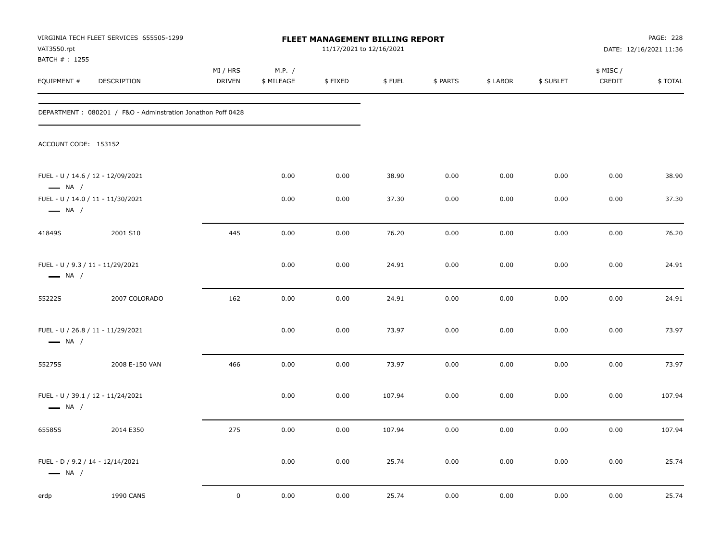| VAT3550.rpt                                                | VIRGINIA TECH FLEET SERVICES 655505-1299                    |                           |                      | FLEET MANAGEMENT BILLING REPORT<br>11/17/2021 to 12/16/2021 |        |          |          |           |                     | PAGE: 228<br>DATE: 12/16/2021 11:36 |
|------------------------------------------------------------|-------------------------------------------------------------|---------------------------|----------------------|-------------------------------------------------------------|--------|----------|----------|-----------|---------------------|-------------------------------------|
| BATCH #: 1255<br>EQUIPMENT #                               | <b>DESCRIPTION</b>                                          | MI / HRS<br><b>DRIVEN</b> | M.P. /<br>\$ MILEAGE | \$FIXED                                                     | \$FUEL | \$ PARTS | \$ LABOR | \$ SUBLET | \$ MISC /<br>CREDIT | \$TOTAL                             |
|                                                            | DEPARTMENT: 080201 / F&O - Adminstration Jonathon Poff 0428 |                           |                      |                                                             |        |          |          |           |                     |                                     |
| ACCOUNT CODE: 153152                                       |                                                             |                           |                      |                                                             |        |          |          |           |                     |                                     |
| $\longrightarrow$ NA /                                     | FUEL - U / 14.6 / 12 - 12/09/2021                           |                           | 0.00                 | 0.00                                                        | 38.90  | 0.00     | 0.00     | 0.00      | 0.00                | 38.90                               |
| $\longrightarrow$ NA /                                     | FUEL - U / 14.0 / 11 - 11/30/2021                           |                           | 0.00                 | 0.00                                                        | 37.30  | 0.00     | 0.00     | 0.00      | 0.00                | 37.30                               |
| 41849S                                                     | 2001 S10                                                    | 445                       | 0.00                 | 0.00                                                        | 76.20  | 0.00     | 0.00     | 0.00      | 0.00                | 76.20                               |
| FUEL - U / 9.3 / 11 - 11/29/2021<br>$\longrightarrow$ NA / |                                                             |                           | 0.00                 | 0.00                                                        | 24.91  | 0.00     | 0.00     | 0.00      | 0.00                | 24.91                               |
| 55222S                                                     | 2007 COLORADO                                               | 162                       | 0.00                 | 0.00                                                        | 24.91  | 0.00     | 0.00     | 0.00      | 0.00                | 24.91                               |
| $\longrightarrow$ NA /                                     | FUEL - U / 26.8 / 11 - 11/29/2021                           |                           | 0.00                 | 0.00                                                        | 73.97  | 0.00     | 0.00     | 0.00      | 0.00                | 73.97                               |
| 55275S                                                     | 2008 E-150 VAN                                              | 466                       | 0.00                 | 0.00                                                        | 73.97  | 0.00     | 0.00     | 0.00      | 0.00                | 73.97                               |
| $\longrightarrow$ NA /                                     | FUEL - U / 39.1 / 12 - 11/24/2021                           |                           | 0.00                 | 0.00                                                        | 107.94 | 0.00     | 0.00     | 0.00      | 0.00                | 107.94                              |
| 65585S                                                     | 2014 E350                                                   | 275                       | 0.00                 | 0.00                                                        | 107.94 | 0.00     | 0.00     | 0.00      | 0.00                | 107.94                              |
| FUEL - D / 9.2 / 14 - 12/14/2021<br>$\longrightarrow$ NA / |                                                             |                           | 0.00                 | 0.00                                                        | 25.74  | 0.00     | 0.00     | 0.00      | 0.00                | 25.74                               |
| erdp                                                       | <b>1990 CANS</b>                                            | $\mathsf 0$               | 0.00                 | 0.00                                                        | 25.74  | 0.00     | 0.00     | 0.00      | 0.00                | 25.74                               |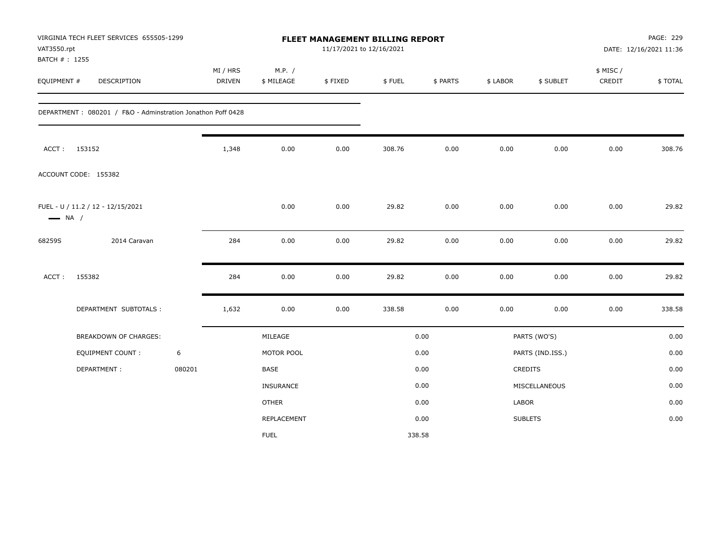| VAT3550.rpt<br>BATCH #: 1255 | VIRGINIA TECH FLEET SERVICES 655505-1299                    |        |                           |                      | FLEET MANAGEMENT BILLING REPORT<br>11/17/2021 to 12/16/2021 |        |          |          |                  |                     | PAGE: 229<br>DATE: 12/16/2021 11:36 |
|------------------------------|-------------------------------------------------------------|--------|---------------------------|----------------------|-------------------------------------------------------------|--------|----------|----------|------------------|---------------------|-------------------------------------|
| EQUIPMENT #                  | <b>DESCRIPTION</b>                                          |        | MI / HRS<br><b>DRIVEN</b> | M.P. /<br>\$ MILEAGE | \$FIXED                                                     | \$FUEL | \$ PARTS | \$ LABOR | \$ SUBLET        | \$ MISC /<br>CREDIT | \$TOTAL                             |
|                              | DEPARTMENT: 080201 / F&O - Adminstration Jonathon Poff 0428 |        |                           |                      |                                                             |        |          |          |                  |                     |                                     |
|                              | ACCT: 153152                                                |        | 1,348                     | 0.00                 | 0.00                                                        | 308.76 | 0.00     | 0.00     | 0.00             | 0.00                | 308.76                              |
|                              | ACCOUNT CODE: 155382                                        |        |                           |                      |                                                             |        |          |          |                  |                     |                                     |
| $\longrightarrow$ NA /       | FUEL - U / 11.2 / 12 - 12/15/2021                           |        |                           | 0.00                 | 0.00                                                        | 29.82  | 0.00     | 0.00     | 0.00             | 0.00                | 29.82                               |
| 68259S                       | 2014 Caravan                                                |        | 284                       | 0.00                 | 0.00                                                        | 29.82  | 0.00     | 0.00     | 0.00             | 0.00                | 29.82                               |
| ACCT:                        | 155382                                                      |        | 284                       | 0.00                 | 0.00                                                        | 29.82  | 0.00     | 0.00     | 0.00             | 0.00                | 29.82                               |
|                              | DEPARTMENT SUBTOTALS :                                      |        | 1,632                     | 0.00                 | 0.00                                                        | 338.58 | 0.00     | 0.00     | 0.00             | 0.00                | 338.58                              |
|                              | BREAKDOWN OF CHARGES:                                       |        |                           | MILEAGE              |                                                             |        | 0.00     |          | PARTS (WO'S)     |                     | 0.00                                |
|                              | <b>EQUIPMENT COUNT:</b>                                     | 6      |                           | MOTOR POOL           |                                                             |        | 0.00     |          | PARTS (IND.ISS.) |                     | 0.00                                |
|                              | DEPARTMENT:                                                 | 080201 |                           | <b>BASE</b>          |                                                             |        | 0.00     |          | CREDITS          |                     | 0.00                                |
|                              |                                                             |        |                           | <b>INSURANCE</b>     |                                                             |        | 0.00     |          | MISCELLANEOUS    |                     | 0.00                                |
|                              |                                                             |        |                           | <b>OTHER</b>         |                                                             |        | 0.00     | LABOR    |                  |                     | 0.00                                |
|                              |                                                             |        |                           | REPLACEMENT          |                                                             |        | 0.00     |          | <b>SUBLETS</b>   |                     | 0.00                                |
|                              |                                                             |        |                           | <b>FUEL</b>          |                                                             |        | 338.58   |          |                  |                     |                                     |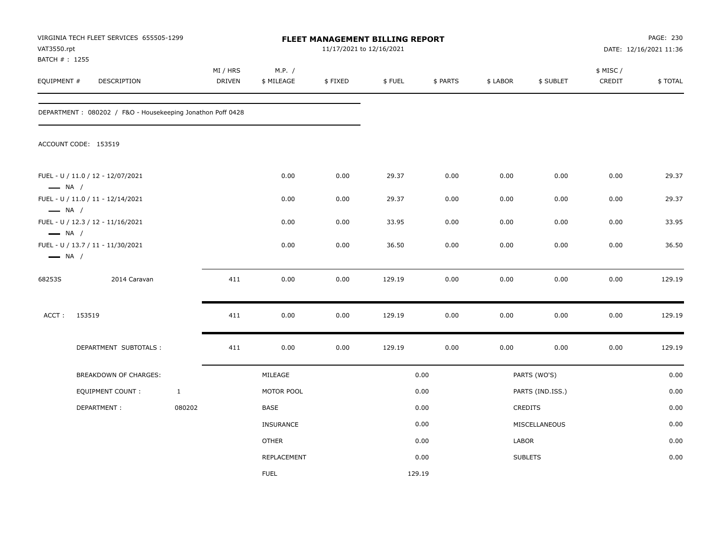| VAT3550.rpt<br>BATCH #: 1255                     | VIRGINIA TECH FLEET SERVICES 655505-1299                   |              |                           |                      | 11/17/2021 to 12/16/2021 | FLEET MANAGEMENT BILLING REPORT |          |          |                  |                    | PAGE: 230<br>DATE: 12/16/2021 11:36 |
|--------------------------------------------------|------------------------------------------------------------|--------------|---------------------------|----------------------|--------------------------|---------------------------------|----------|----------|------------------|--------------------|-------------------------------------|
| EQUIPMENT #                                      | DESCRIPTION                                                |              | MI / HRS<br><b>DRIVEN</b> | M.P. /<br>\$ MILEAGE | \$FIXED                  | \$FUEL                          | \$ PARTS | \$ LABOR | \$ SUBLET        | \$ MISC/<br>CREDIT | \$TOTAL                             |
|                                                  | DEPARTMENT: 080202 / F&O - Housekeeping Jonathon Poff 0428 |              |                           |                      |                          |                                 |          |          |                  |                    |                                     |
|                                                  | ACCOUNT CODE: 153519                                       |              |                           |                      |                          |                                 |          |          |                  |                    |                                     |
| $\longrightarrow$ NA /                           | FUEL - U / 11.0 / 12 - 12/07/2021                          |              |                           | 0.00                 | 0.00                     | 29.37                           | 0.00     | 0.00     | 0.00             | 0.00               | 29.37                               |
|                                                  | FUEL - U / 11.0 / 11 - 12/14/2021                          |              |                           | 0.00                 | 0.00                     | 29.37                           | 0.00     | 0.00     | 0.00             | 0.00               | 29.37                               |
| $\longrightarrow$ NA /                           | FUEL - U / 12.3 / 12 - 11/16/2021                          |              |                           | 0.00                 | 0.00                     | 33.95                           | 0.00     | 0.00     | 0.00             | 0.00               | 33.95                               |
| $\longrightarrow$ NA /<br>$\longrightarrow$ NA / | FUEL - U / 13.7 / 11 - 11/30/2021                          |              |                           | 0.00                 | 0.00                     | 36.50                           | 0.00     | 0.00     | 0.00             | 0.00               | 36.50                               |
| 68253S                                           | 2014 Caravan                                               |              | 411                       | 0.00                 | 0.00                     | 129.19                          | 0.00     | 0.00     | 0.00             | 0.00               | 129.19                              |
| ACCT:                                            | 153519                                                     |              | 411                       | 0.00                 | 0.00                     | 129.19                          | 0.00     | 0.00     | 0.00             | 0.00               | 129.19                              |
|                                                  | DEPARTMENT SUBTOTALS :                                     |              | 411                       | 0.00                 | 0.00                     | 129.19                          | 0.00     | 0.00     | 0.00             | 0.00               | 129.19                              |
|                                                  | <b>BREAKDOWN OF CHARGES:</b>                               |              |                           | MILEAGE              |                          |                                 | 0.00     |          | PARTS (WO'S)     |                    | 0.00                                |
|                                                  | <b>EQUIPMENT COUNT:</b>                                    | $\mathbf{1}$ |                           | MOTOR POOL           |                          |                                 | 0.00     |          | PARTS (IND.ISS.) |                    | 0.00                                |
|                                                  | DEPARTMENT:                                                | 080202       |                           | BASE                 |                          |                                 | 0.00     |          | CREDITS          |                    | 0.00                                |
|                                                  |                                                            |              |                           | <b>INSURANCE</b>     |                          |                                 | 0.00     |          | MISCELLANEOUS    |                    | 0.00                                |
|                                                  |                                                            |              |                           | <b>OTHER</b>         |                          |                                 | 0.00     | LABOR    |                  |                    | 0.00                                |
|                                                  |                                                            |              |                           | REPLACEMENT          |                          |                                 | 0.00     |          | <b>SUBLETS</b>   |                    | 0.00                                |
|                                                  |                                                            |              |                           | <b>FUEL</b>          |                          | 129.19                          |          |          |                  |                    |                                     |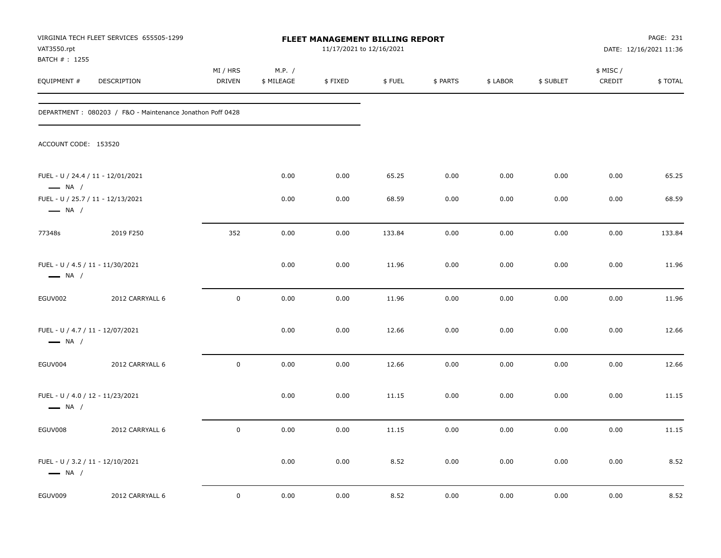| VAT3550.rpt                                                | VIRGINIA TECH FLEET SERVICES 655505-1299                  |                     |                      | FLEET MANAGEMENT BILLING REPORT<br>11/17/2021 to 12/16/2021 |        |          |          |           |                    | PAGE: 231<br>DATE: 12/16/2021 11:36 |
|------------------------------------------------------------|-----------------------------------------------------------|---------------------|----------------------|-------------------------------------------------------------|--------|----------|----------|-----------|--------------------|-------------------------------------|
| BATCH #: 1255<br>EQUIPMENT #                               | DESCRIPTION                                               | MI / HRS<br>DRIVEN  | M.P. /<br>\$ MILEAGE | \$FIXED                                                     | \$FUEL | \$ PARTS | \$ LABOR | \$ SUBLET | \$ MISC/<br>CREDIT | \$TOTAL                             |
|                                                            | DEPARTMENT: 080203 / F&O - Maintenance Jonathon Poff 0428 |                     |                      |                                                             |        |          |          |           |                    |                                     |
| ACCOUNT CODE: 153520                                       |                                                           |                     |                      |                                                             |        |          |          |           |                    |                                     |
| $\longrightarrow$ NA /                                     | FUEL - U / 24.4 / 11 - 12/01/2021                         |                     | 0.00                 | 0.00                                                        | 65.25  | 0.00     | 0.00     | 0.00      | 0.00               | 65.25                               |
| $\longrightarrow$ NA /                                     | FUEL - U / 25.7 / 11 - 12/13/2021                         |                     | 0.00                 | 0.00                                                        | 68.59  | 0.00     | 0.00     | 0.00      | 0.00               | 68.59                               |
| 77348s                                                     | 2019 F250                                                 | 352                 | 0.00                 | 0.00                                                        | 133.84 | 0.00     | 0.00     | 0.00      | 0.00               | 133.84                              |
| FUEL - U / 4.5 / 11 - 11/30/2021<br>$\longrightarrow$ NA / |                                                           |                     | 0.00                 | 0.00                                                        | 11.96  | 0.00     | 0.00     | 0.00      | 0.00               | 11.96                               |
| EGUV002                                                    | 2012 CARRYALL 6                                           | $\mathbf 0$         | 0.00                 | 0.00                                                        | 11.96  | 0.00     | 0.00     | 0.00      | 0.00               | 11.96                               |
| FUEL - U / 4.7 / 11 - 12/07/2021<br>$\longrightarrow$ NA / |                                                           |                     | 0.00                 | 0.00                                                        | 12.66  | 0.00     | 0.00     | 0.00      | 0.00               | 12.66                               |
| EGUV004                                                    | 2012 CARRYALL 6                                           | $\mathsf{O}\xspace$ | 0.00                 | 0.00                                                        | 12.66  | 0.00     | 0.00     | 0.00      | 0.00               | 12.66                               |
| FUEL - U / 4.0 / 12 - 11/23/2021<br>$\longrightarrow$ NA / |                                                           |                     | 0.00                 | 0.00                                                        | 11.15  | 0.00     | 0.00     | 0.00      | 0.00               | 11.15                               |
| EGUV008                                                    | 2012 CARRYALL 6                                           | $\mathbf 0$         | 0.00                 | 0.00                                                        | 11.15  | 0.00     | 0.00     | 0.00      | 0.00               | 11.15                               |
| FUEL - U / 3.2 / 11 - 12/10/2021<br>$\longrightarrow$ NA / |                                                           |                     | 0.00                 | 0.00                                                        | 8.52   | 0.00     | 0.00     | 0.00      | 0.00               | 8.52                                |
| EGUV009                                                    | 2012 CARRYALL 6                                           | $\mathbf 0$         | 0.00                 | 0.00                                                        | 8.52   | 0.00     | 0.00     | 0.00      | 0.00               | 8.52                                |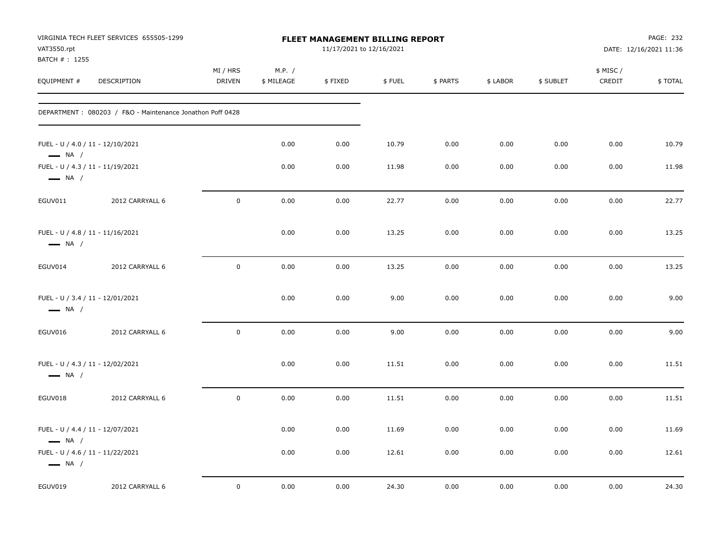| VAT3550.rpt<br>BATCH #: 1255                               | VIRGINIA TECH FLEET SERVICES 655505-1299                  |                     |                      | FLEET MANAGEMENT BILLING REPORT<br>11/17/2021 to 12/16/2021 |        |          |          |           |                    | PAGE: 232<br>DATE: 12/16/2021 11:36 |
|------------------------------------------------------------|-----------------------------------------------------------|---------------------|----------------------|-------------------------------------------------------------|--------|----------|----------|-----------|--------------------|-------------------------------------|
| EQUIPMENT #                                                | DESCRIPTION                                               | MI / HRS<br>DRIVEN  | M.P. /<br>\$ MILEAGE | \$FIXED                                                     | \$FUEL | \$ PARTS | \$ LABOR | \$ SUBLET | \$ MISC/<br>CREDIT | \$TOTAL                             |
|                                                            | DEPARTMENT: 080203 / F&O - Maintenance Jonathon Poff 0428 |                     |                      |                                                             |        |          |          |           |                    |                                     |
| FUEL - U / 4.0 / 11 - 12/10/2021<br>$\longrightarrow$ NA / |                                                           |                     | 0.00                 | 0.00                                                        | 10.79  | 0.00     | 0.00     | 0.00      | 0.00               | 10.79                               |
| FUEL - U / 4.3 / 11 - 11/19/2021<br>$\longrightarrow$ NA / |                                                           |                     | 0.00                 | 0.00                                                        | 11.98  | 0.00     | 0.00     | 0.00      | 0.00               | 11.98                               |
| EGUV011                                                    | 2012 CARRYALL 6                                           | $\mathbf 0$         | 0.00                 | 0.00                                                        | 22.77  | 0.00     | 0.00     | 0.00      | 0.00               | 22.77                               |
| FUEL - U / 4.8 / 11 - 11/16/2021<br>$\longrightarrow$ NA / |                                                           |                     | 0.00                 | 0.00                                                        | 13.25  | 0.00     | 0.00     | 0.00      | 0.00               | 13.25                               |
| EGUV014                                                    | 2012 CARRYALL 6                                           | $\mathbf 0$         | 0.00                 | 0.00                                                        | 13.25  | 0.00     | 0.00     | 0.00      | 0.00               | 13.25                               |
| FUEL - U / 3.4 / 11 - 12/01/2021<br>$\longrightarrow$ NA / |                                                           |                     | 0.00                 | 0.00                                                        | 9.00   | 0.00     | 0.00     | 0.00      | 0.00               | 9.00                                |
| EGUV016                                                    | 2012 CARRYALL 6                                           | $\mathsf{O}\xspace$ | 0.00                 | 0.00                                                        | 9.00   | 0.00     | 0.00     | 0.00      | 0.00               | 9.00                                |
| FUEL - U / 4.3 / 11 - 12/02/2021<br>$\longrightarrow$ NA / |                                                           |                     | 0.00                 | 0.00                                                        | 11.51  | 0.00     | 0.00     | 0.00      | 0.00               | 11.51                               |
| EGUV018                                                    | 2012 CARRYALL 6                                           | $\mathbf 0$         | 0.00                 | 0.00                                                        | 11.51  | 0.00     | 0.00     | 0.00      | 0.00               | 11.51                               |
| FUEL - U / 4.4 / 11 - 12/07/2021<br>$\longrightarrow$ NA / |                                                           |                     | 0.00                 | 0.00                                                        | 11.69  | 0.00     | 0.00     | 0.00      | 0.00               | 11.69                               |
| FUEL - U / 4.6 / 11 - 11/22/2021<br>$\longrightarrow$ NA / |                                                           |                     | 0.00                 | 0.00                                                        | 12.61  | 0.00     | 0.00     | 0.00      | 0.00               | 12.61                               |
| EGUV019                                                    | 2012 CARRYALL 6                                           | $\mathbf 0$         | 0.00                 | 0.00                                                        | 24.30  | 0.00     | 0.00     | 0.00      | 0.00               | 24.30                               |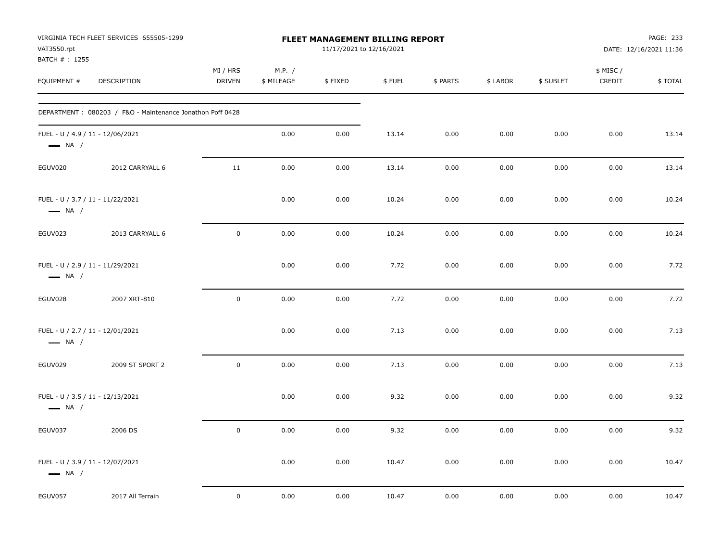| VAT3550.rpt<br>BATCH #: 1255 | VIRGINIA TECH FLEET SERVICES 655505-1299                  |                     |                      | <b>FLEET MANAGEMENT BILLING REPORT</b><br>11/17/2021 to 12/16/2021 |        |          |          |           |                    | PAGE: 233<br>DATE: 12/16/2021 11:36 |
|------------------------------|-----------------------------------------------------------|---------------------|----------------------|--------------------------------------------------------------------|--------|----------|----------|-----------|--------------------|-------------------------------------|
| EQUIPMENT #                  | DESCRIPTION                                               | MI / HRS<br>DRIVEN  | M.P. /<br>\$ MILEAGE | \$FIXED                                                            | \$FUEL | \$ PARTS | \$ LABOR | \$ SUBLET | \$ MISC/<br>CREDIT | \$TOTAL                             |
|                              | DEPARTMENT: 080203 / F&O - Maintenance Jonathon Poff 0428 |                     |                      |                                                                    |        |          |          |           |                    |                                     |
| $\longrightarrow$ NA /       | FUEL - U / 4.9 / 11 - 12/06/2021                          |                     | 0.00                 | 0.00                                                               | 13.14  | 0.00     | 0.00     | 0.00      | 0.00               | 13.14                               |
| EGUV020                      | 2012 CARRYALL 6                                           | 11                  | 0.00                 | 0.00                                                               | 13.14  | 0.00     | 0.00     | 0.00      | 0.00               | 13.14                               |
| $\longrightarrow$ NA /       | FUEL - U / 3.7 / 11 - 11/22/2021                          |                     | 0.00                 | 0.00                                                               | 10.24  | 0.00     | 0.00     | 0.00      | 0.00               | 10.24                               |
| EGUV023                      | 2013 CARRYALL 6                                           | $\mathsf{O}\xspace$ | 0.00                 | 0.00                                                               | 10.24  | 0.00     | 0.00     | 0.00      | 0.00               | 10.24                               |
| $\longrightarrow$ NA /       | FUEL - U / 2.9 / 11 - 11/29/2021                          |                     | 0.00                 | 0.00                                                               | 7.72   | 0.00     | 0.00     | 0.00      | 0.00               | 7.72                                |
| EGUV028                      | 2007 XRT-810                                              | $\mathbf 0$         | 0.00                 | 0.00                                                               | 7.72   | 0.00     | 0.00     | 0.00      | 0.00               | 7.72                                |
| $\longrightarrow$ NA /       | FUEL - U / 2.7 / 11 - 12/01/2021                          |                     | 0.00                 | 0.00                                                               | 7.13   | 0.00     | 0.00     | 0.00      | 0.00               | 7.13                                |
| EGUV029                      | 2009 ST SPORT 2                                           | $\mathbf 0$         | 0.00                 | 0.00                                                               | 7.13   | 0.00     | 0.00     | 0.00      | 0.00               | 7.13                                |
| $\longrightarrow$ NA /       | FUEL - U / 3.5 / 11 - 12/13/2021                          |                     | 0.00                 | 0.00                                                               | 9.32   | 0.00     | 0.00     | 0.00      | 0.00               | 9.32                                |
| EGUV037                      | 2006 DS                                                   | $\mathsf{O}$        | 0.00                 | 0.00                                                               | 9.32   | 0.00     | 0.00     | 0.00      | 0.00               | 9.32                                |
| $\longrightarrow$ NA /       | FUEL - U / 3.9 / 11 - 12/07/2021                          |                     | 0.00                 | 0.00                                                               | 10.47  | 0.00     | 0.00     | 0.00      | 0.00               | 10.47                               |
| EGUV057                      | 2017 All Terrain                                          | $\mathsf{O}\xspace$ | 0.00                 | 0.00                                                               | 10.47  | 0.00     | 0.00     | 0.00      | 0.00               | 10.47                               |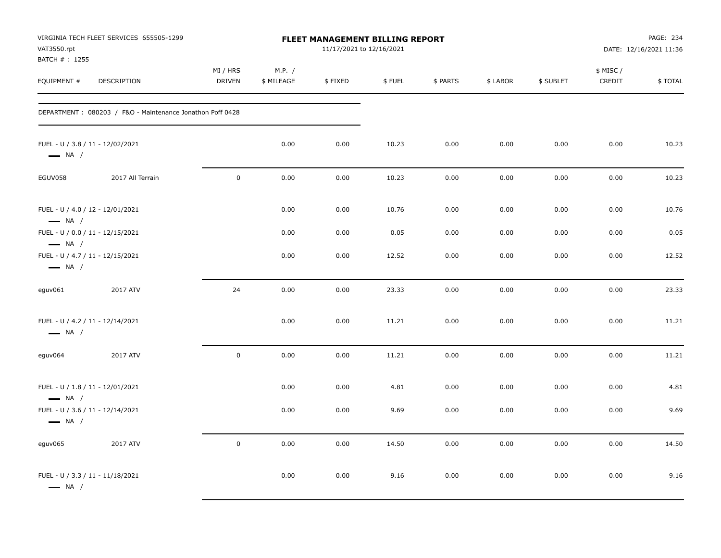| VAT3550.rpt<br>BATCH #: 1255                               | VIRGINIA TECH FLEET SERVICES 655505-1299                  |                           |                      |         | FLEET MANAGEMENT BILLING REPORT<br>11/17/2021 to 12/16/2021 |          |          |           |                     | PAGE: 234<br>DATE: 12/16/2021 11:36 |
|------------------------------------------------------------|-----------------------------------------------------------|---------------------------|----------------------|---------|-------------------------------------------------------------|----------|----------|-----------|---------------------|-------------------------------------|
| EQUIPMENT #                                                | DESCRIPTION                                               | MI / HRS<br><b>DRIVEN</b> | M.P. /<br>\$ MILEAGE | \$FIXED | \$FUEL                                                      | \$ PARTS | \$ LABOR | \$ SUBLET | \$ MISC /<br>CREDIT | \$TOTAL                             |
|                                                            | DEPARTMENT: 080203 / F&O - Maintenance Jonathon Poff 0428 |                           |                      |         |                                                             |          |          |           |                     |                                     |
| FUEL - U / 3.8 / 11 - 12/02/2021<br>$\longrightarrow$ NA / |                                                           |                           | 0.00                 | 0.00    | 10.23                                                       | 0.00     | 0.00     | 0.00      | 0.00                | 10.23                               |
| EGUV058                                                    | 2017 All Terrain                                          | $\mathsf{O}$              | 0.00                 | 0.00    | 10.23                                                       | 0.00     | 0.00     | 0.00      | 0.00                | 10.23                               |
| FUEL - U / 4.0 / 12 - 12/01/2021<br>$\longrightarrow$ NA / |                                                           |                           | 0.00                 | 0.00    | 10.76                                                       | 0.00     | 0.00     | 0.00      | 0.00                | 10.76                               |
| FUEL - U / 0.0 / 11 - 12/15/2021<br>$\longrightarrow$ NA / |                                                           |                           | 0.00                 | 0.00    | 0.05                                                        | 0.00     | 0.00     | 0.00      | 0.00                | 0.05                                |
| FUEL - U / 4.7 / 11 - 12/15/2021<br>$\longrightarrow$ NA / |                                                           |                           | 0.00                 | 0.00    | 12.52                                                       | 0.00     | 0.00     | 0.00      | 0.00                | 12.52                               |
| eguv061                                                    | 2017 ATV                                                  | 24                        | 0.00                 | 0.00    | 23.33                                                       | 0.00     | 0.00     | 0.00      | 0.00                | 23.33                               |
| FUEL - U / 4.2 / 11 - 12/14/2021<br>$\longrightarrow$ NA / |                                                           |                           | 0.00                 | 0.00    | 11.21                                                       | 0.00     | 0.00     | 0.00      | 0.00                | 11.21                               |
| eguv064                                                    | 2017 ATV                                                  | $\mathsf{O}$              | 0.00                 | 0.00    | 11.21                                                       | 0.00     | 0.00     | 0.00      | 0.00                | 11.21                               |
| FUEL - U / 1.8 / 11 - 12/01/2021<br>$\longrightarrow$ NA / |                                                           |                           | 0.00                 | 0.00    | 4.81                                                        | 0.00     | 0.00     | 0.00      | 0.00                | 4.81                                |
| FUEL - U / 3.6 / 11 - 12/14/2021<br>$\longrightarrow$ NA / |                                                           |                           | 0.00                 | 0.00    | 9.69                                                        | 0.00     | 0.00     | 0.00      | 0.00                | 9.69                                |
| eguv065                                                    | 2017 ATV                                                  | $\mathbf 0$               | 0.00                 | 0.00    | 14.50                                                       | 0.00     | 0.00     | 0.00      | 0.00                | 14.50                               |
| FUEL - U / 3.3 / 11 - 11/18/2021<br>$\longrightarrow$ NA / |                                                           |                           | 0.00                 | 0.00    | 9.16                                                        | 0.00     | 0.00     | 0.00      | 0.00                | 9.16                                |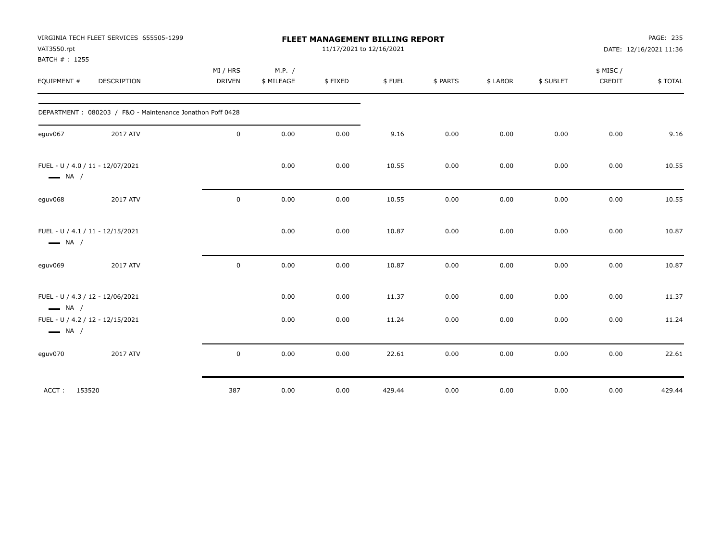| VAT3550.rpt            | VIRGINIA TECH FLEET SERVICES 655505-1299                  |               |            | FLEET MANAGEMENT BILLING REPORT<br>11/17/2021 to 12/16/2021 |        |          |          |           |          | PAGE: 235<br>DATE: 12/16/2021 11:36 |
|------------------------|-----------------------------------------------------------|---------------|------------|-------------------------------------------------------------|--------|----------|----------|-----------|----------|-------------------------------------|
| BATCH #: 1255          |                                                           |               |            |                                                             |        |          |          |           |          |                                     |
|                        |                                                           | MI / HRS      | M.P. /     |                                                             |        |          |          |           | \$ MISC/ |                                     |
| EQUIPMENT #            | DESCRIPTION                                               | <b>DRIVEN</b> | \$ MILEAGE | \$FIXED                                                     | \$FUEL | \$ PARTS | \$ LABOR | \$ SUBLET | CREDIT   | \$ TOTAL                            |
|                        | DEPARTMENT: 080203 / F&O - Maintenance Jonathon Poff 0428 |               |            |                                                             |        |          |          |           |          |                                     |
| eguv067                | 2017 ATV                                                  | $\mathbf 0$   | 0.00       | 0.00                                                        | 9.16   | 0.00     | 0.00     | 0.00      | 0.00     | 9.16                                |
| $\longrightarrow$ NA / | FUEL - U / 4.0 / 11 - 12/07/2021                          |               | 0.00       | 0.00                                                        | 10.55  | 0.00     | 0.00     | 0.00      | 0.00     | 10.55                               |
| eguv068                | 2017 ATV                                                  | $\mathbf 0$   | 0.00       | 0.00                                                        | 10.55  | 0.00     | 0.00     | 0.00      | 0.00     | 10.55                               |
| $\longrightarrow$ NA / | FUEL - U / 4.1 / 11 - 12/15/2021                          |               | 0.00       | 0.00                                                        | 10.87  | 0.00     | 0.00     | 0.00      | 0.00     | 10.87                               |
| eguv069                | 2017 ATV                                                  | $\mathbf 0$   | 0.00       | 0.00                                                        | 10.87  | 0.00     | 0.00     | 0.00      | 0.00     | 10.87                               |
| $\longrightarrow$ NA / | FUEL - U / 4.3 / 12 - 12/06/2021                          |               | 0.00       | 0.00                                                        | 11.37  | 0.00     | 0.00     | 0.00      | 0.00     | 11.37                               |
| $\longrightarrow$ NA / | FUEL - U / 4.2 / 12 - 12/15/2021                          |               | 0.00       | 0.00                                                        | 11.24  | 0.00     | 0.00     | 0.00      | 0.00     | 11.24                               |
| eguv070                | 2017 ATV                                                  | $\mathbf 0$   | 0.00       | 0.00                                                        | 22.61  | 0.00     | 0.00     | 0.00      | 0.00     | 22.61                               |
| ACCT: 153520           |                                                           | 387           | 0.00       | 0.00                                                        | 429.44 | 0.00     | 0.00     | 0.00      | 0.00     | 429.44                              |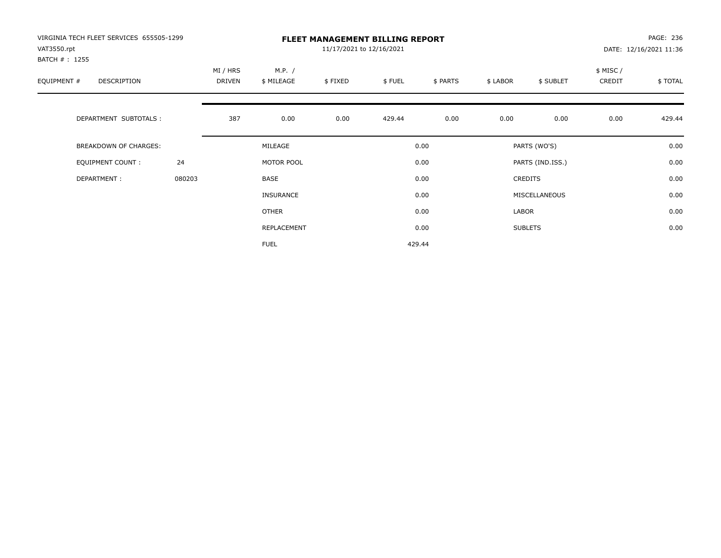| VIRGINIA TECH FLEET SERVICES 655505-1299<br>VAT3550.rpt<br>BATCH # : 1255 |        |                    |                      | 11/17/2021 to 12/16/2021 | <b>FLEET MANAGEMENT BILLING REPORT</b> |          |          |                  |                    | PAGE: 236<br>DATE: 12/16/2021 11:36 |
|---------------------------------------------------------------------------|--------|--------------------|----------------------|--------------------------|----------------------------------------|----------|----------|------------------|--------------------|-------------------------------------|
| EQUIPMENT #<br>DESCRIPTION                                                |        | MI / HRS<br>DRIVEN | M.P. /<br>\$ MILEAGE | \$FIXED                  | \$FUEL                                 | \$ PARTS | \$ LABOR | \$ SUBLET        | \$ MISC/<br>CREDIT | \$ TOTAL                            |
| DEPARTMENT SUBTOTALS :                                                    |        | 387                | 0.00                 | 0.00                     | 429.44                                 | 0.00     | 0.00     | 0.00             | 0.00               | 429.44                              |
| BREAKDOWN OF CHARGES:                                                     |        |                    | MILEAGE              |                          |                                        | 0.00     |          | PARTS (WO'S)     |                    | 0.00                                |
| <b>EQUIPMENT COUNT:</b>                                                   | 24     |                    | MOTOR POOL           |                          |                                        | 0.00     |          | PARTS (IND.ISS.) |                    | 0.00                                |
| DEPARTMENT:                                                               | 080203 |                    | BASE                 |                          |                                        | 0.00     |          | <b>CREDITS</b>   |                    | 0.00                                |
|                                                                           |        |                    | <b>INSURANCE</b>     |                          |                                        | 0.00     |          | MISCELLANEOUS    |                    | 0.00                                |
|                                                                           |        |                    | OTHER                |                          |                                        | 0.00     | LABOR    |                  |                    | 0.00                                |
|                                                                           |        |                    | REPLACEMENT          |                          |                                        | 0.00     |          | <b>SUBLETS</b>   |                    | 0.00                                |
|                                                                           |        |                    | <b>FUEL</b>          |                          |                                        | 429.44   |          |                  |                    |                                     |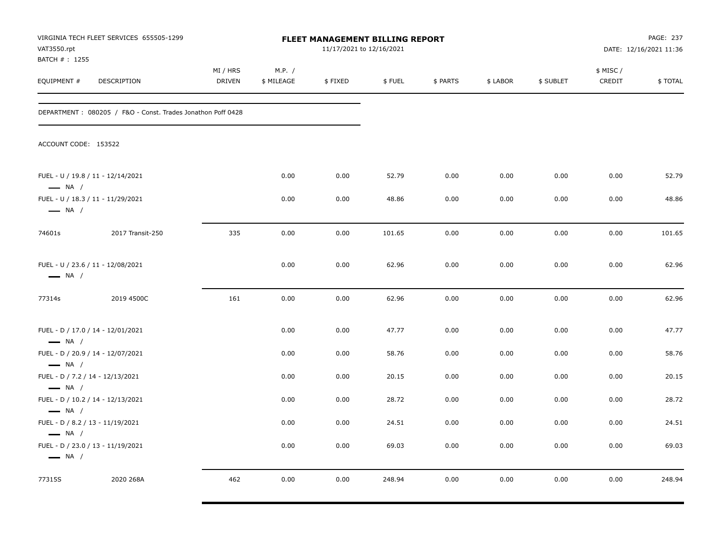| VAT3550.rpt                                                                          | VIRGINIA TECH FLEET SERVICES 655505-1299                    |                    |                      | <b>FLEET MANAGEMENT BILLING REPORT</b><br>11/17/2021 to 12/16/2021 |        |          |          |           |                     | PAGE: 237<br>DATE: 12/16/2021 11:36 |
|--------------------------------------------------------------------------------------|-------------------------------------------------------------|--------------------|----------------------|--------------------------------------------------------------------|--------|----------|----------|-----------|---------------------|-------------------------------------|
| BATCH # : 1255<br>EQUIPMENT #                                                        | DESCRIPTION                                                 | MI / HRS<br>DRIVEN | M.P. /<br>\$ MILEAGE | \$FIXED                                                            | \$FUEL | \$ PARTS | \$ LABOR | \$ SUBLET | \$ MISC /<br>CREDIT | \$TOTAL                             |
|                                                                                      | DEPARTMENT: 080205 / F&O - Const. Trades Jonathon Poff 0428 |                    |                      |                                                                    |        |          |          |           |                     |                                     |
| ACCOUNT CODE: 153522                                                                 |                                                             |                    |                      |                                                                    |        |          |          |           |                     |                                     |
| FUEL - U / 19.8 / 11 - 12/14/2021<br>$\longrightarrow$ NA /                          |                                                             |                    | 0.00                 | 0.00                                                               | 52.79  | 0.00     | 0.00     | 0.00      | 0.00                | 52.79                               |
| $\longrightarrow$ NA /                                                               | FUEL - U / 18.3 / 11 - 11/29/2021                           |                    | 0.00                 | 0.00                                                               | 48.86  | 0.00     | 0.00     | 0.00      | 0.00                | 48.86                               |
| 74601s                                                                               | 2017 Transit-250                                            | 335                | 0.00                 | 0.00                                                               | 101.65 | 0.00     | 0.00     | 0.00      | 0.00                | 101.65                              |
| FUEL - U / 23.6 / 11 - 12/08/2021<br>$\longrightarrow$ NA /                          |                                                             |                    | 0.00                 | 0.00                                                               | 62.96  | 0.00     | 0.00     | 0.00      | 0.00                | 62.96                               |
| 77314s                                                                               | 2019 4500C                                                  | 161                | 0.00                 | 0.00                                                               | 62.96  | 0.00     | 0.00     | 0.00      | 0.00                | 62.96                               |
| $\longrightarrow$ NA /                                                               | FUEL - D / 17.0 / 14 - 12/01/2021                           |                    | 0.00                 | 0.00                                                               | 47.77  | 0.00     | 0.00     | 0.00      | 0.00                | 47.77                               |
| $\longrightarrow$ NA /                                                               | FUEL - D / 20.9 / 14 - 12/07/2021                           |                    | 0.00                 | 0.00                                                               | 58.76  | 0.00     | 0.00     | 0.00      | 0.00                | 58.76                               |
| FUEL - D / 7.2 / 14 - 12/13/2021<br>$\longrightarrow$ NA /                           |                                                             |                    | 0.00                 | 0.00                                                               | 20.15  | 0.00     | 0.00     | 0.00      | 0.00                | 20.15                               |
| FUEL - D / 10.2 / 14 - 12/13/2021                                                    |                                                             |                    | 0.00                 | 0.00                                                               | 28.72  | 0.00     | 0.00     | 0.00      | 0.00                | 28.72                               |
| $\longrightarrow$ NA /<br>FUEL - D / 8.2 / 13 - 11/19/2021<br>$\longrightarrow$ NA / |                                                             |                    | 0.00                 | 0.00                                                               | 24.51  | 0.00     | 0.00     | 0.00      | 0.00                | 24.51                               |
| $\longrightarrow$ NA /                                                               | FUEL - D / 23.0 / 13 - 11/19/2021                           |                    | 0.00                 | 0.00                                                               | 69.03  | 0.00     | 0.00     | 0.00      | 0.00                | 69.03                               |
| 77315S                                                                               | 2020 268A                                                   | 462                | 0.00                 | 0.00                                                               | 248.94 | 0.00     | 0.00     | 0.00      | 0.00                | 248.94                              |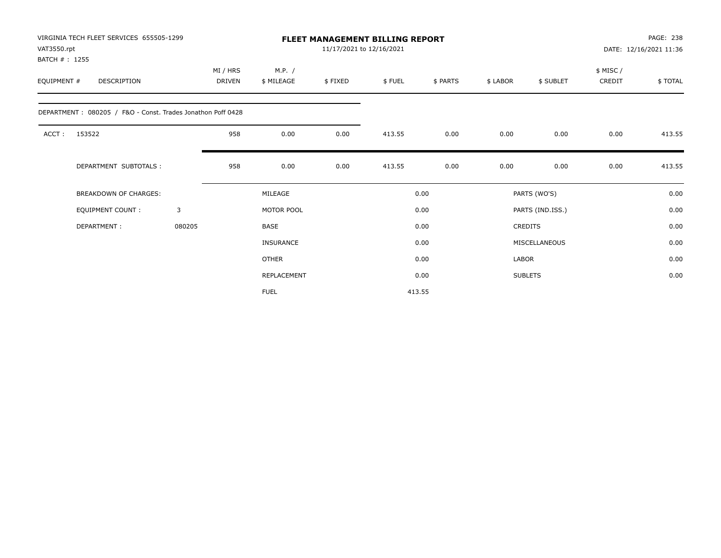| VAT3550.rpt<br>BATCH #: 1255 | VIRGINIA TECH FLEET SERVICES 655505-1299                    |        |                           |                      |         | FLEET MANAGEMENT BILLING REPORT<br>11/17/2021 to 12/16/2021 |          |              |                  |                    | PAGE: 238<br>DATE: 12/16/2021 11:36 |
|------------------------------|-------------------------------------------------------------|--------|---------------------------|----------------------|---------|-------------------------------------------------------------|----------|--------------|------------------|--------------------|-------------------------------------|
| EQUIPMENT #                  | DESCRIPTION                                                 |        | MI / HRS<br><b>DRIVEN</b> | M.P. /<br>\$ MILEAGE | \$FIXED | \$FUEL                                                      | \$ PARTS | \$ LABOR     | \$ SUBLET        | \$ MISC/<br>CREDIT | \$TOTAL                             |
|                              | DEPARTMENT: 080205 / F&O - Const. Trades Jonathon Poff 0428 |        |                           |                      |         |                                                             |          |              |                  |                    |                                     |
| ACCT:                        | 153522                                                      |        | 958                       | 0.00                 | 0.00    | 413.55                                                      | 0.00     | 0.00         | 0.00             | 0.00               | 413.55                              |
|                              | DEPARTMENT SUBTOTALS :                                      |        | 958                       | 0.00                 | 0.00    | 413.55                                                      | 0.00     | 0.00         | 0.00             | 0.00               | 413.55                              |
|                              | <b>BREAKDOWN OF CHARGES:</b>                                |        |                           | MILEAGE              |         |                                                             | 0.00     |              | PARTS (WO'S)     |                    | 0.00                                |
|                              | <b>EQUIPMENT COUNT:</b>                                     | 3      |                           | MOTOR POOL           |         |                                                             | 0.00     |              | PARTS (IND.ISS.) |                    | 0.00                                |
|                              | DEPARTMENT:                                                 | 080205 |                           | <b>BASE</b>          |         |                                                             | 0.00     |              | <b>CREDITS</b>   |                    | 0.00                                |
|                              |                                                             |        |                           | <b>INSURANCE</b>     |         |                                                             | 0.00     |              | MISCELLANEOUS    |                    | 0.00                                |
|                              |                                                             |        |                           | <b>OTHER</b>         |         |                                                             | 0.00     | <b>LABOR</b> |                  |                    | 0.00                                |
|                              |                                                             |        |                           | REPLACEMENT          |         |                                                             | 0.00     |              | <b>SUBLETS</b>   |                    | 0.00                                |
|                              |                                                             |        |                           | <b>FUEL</b>          |         |                                                             | 413.55   |              |                  |                    |                                     |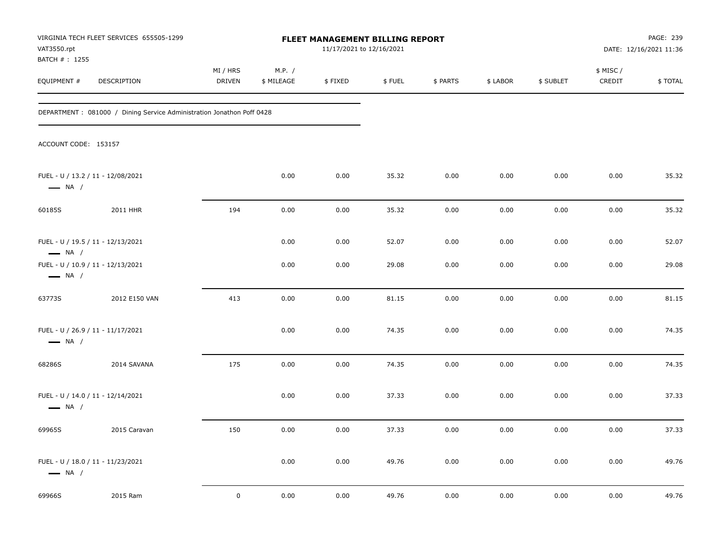| VAT3550.rpt<br>BATCH #: 1255                                | VIRGINIA TECH FLEET SERVICES 655505-1299                               |                    |                      | FLEET MANAGEMENT BILLING REPORT<br>11/17/2021 to 12/16/2021 |        |          |          |           |                     | PAGE: 239<br>DATE: 12/16/2021 11:36 |
|-------------------------------------------------------------|------------------------------------------------------------------------|--------------------|----------------------|-------------------------------------------------------------|--------|----------|----------|-----------|---------------------|-------------------------------------|
| EQUIPMENT #                                                 | DESCRIPTION                                                            | MI / HRS<br>DRIVEN | M.P. /<br>\$ MILEAGE | \$FIXED                                                     | \$FUEL | \$ PARTS | \$ LABOR | \$ SUBLET | \$ MISC /<br>CREDIT | \$TOTAL                             |
|                                                             | DEPARTMENT : 081000 / Dining Service Administration Jonathon Poff 0428 |                    |                      |                                                             |        |          |          |           |                     |                                     |
| ACCOUNT CODE: 153157                                        |                                                                        |                    |                      |                                                             |        |          |          |           |                     |                                     |
| FUEL - U / 13.2 / 11 - 12/08/2021<br>$\longrightarrow$ NA / |                                                                        |                    | 0.00                 | 0.00                                                        | 35.32  | 0.00     | 0.00     | 0.00      | 0.00                | 35.32                               |
| 60185S                                                      | 2011 HHR                                                               | 194                | 0.00                 | 0.00                                                        | 35.32  | 0.00     | 0.00     | 0.00      | 0.00                | 35.32                               |
| FUEL - U / 19.5 / 11 - 12/13/2021<br>$\longrightarrow$ NA / |                                                                        |                    | 0.00                 | 0.00                                                        | 52.07  | 0.00     | 0.00     | 0.00      | 0.00                | 52.07                               |
| FUEL - U / 10.9 / 11 - 12/13/2021<br>$\longrightarrow$ NA / |                                                                        |                    | 0.00                 | 0.00                                                        | 29.08  | 0.00     | 0.00     | 0.00      | 0.00                | 29.08                               |
| 63773S                                                      | 2012 E150 VAN                                                          | 413                | 0.00                 | 0.00                                                        | 81.15  | 0.00     | 0.00     | 0.00      | 0.00                | 81.15                               |
| FUEL - U / 26.9 / 11 - 11/17/2021<br>$\longrightarrow$ NA / |                                                                        |                    | 0.00                 | 0.00                                                        | 74.35  | 0.00     | 0.00     | 0.00      | 0.00                | 74.35                               |
| 68286S                                                      | 2014 SAVANA                                                            | 175                | 0.00                 | 0.00                                                        | 74.35  | 0.00     | 0.00     | 0.00      | 0.00                | 74.35                               |
| FUEL - U / 14.0 / 11 - 12/14/2021<br>$\longrightarrow$ NA / |                                                                        |                    | 0.00                 | 0.00                                                        | 37.33  | 0.00     | 0.00     | 0.00      | 0.00                | 37.33                               |
| 69965S                                                      | 2015 Caravan                                                           | 150                | 0.00                 | 0.00                                                        | 37.33  | 0.00     | 0.00     | 0.00      | 0.00                | 37.33                               |
| FUEL - U / 18.0 / 11 - 11/23/2021<br>$\longrightarrow$ NA / |                                                                        |                    | 0.00                 | 0.00                                                        | 49.76  | 0.00     | 0.00     | 0.00      | 0.00                | 49.76                               |
| 69966S                                                      | 2015 Ram                                                               | $\mathbf 0$        | 0.00                 | 0.00                                                        | 49.76  | 0.00     | 0.00     | 0.00      | 0.00                | 49.76                               |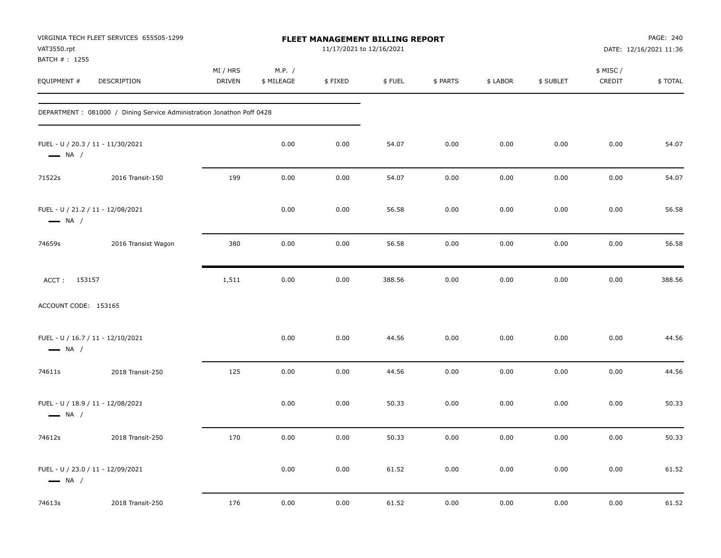| VAT3550.rpt<br>BATCH #: 1255                                | VIRGINIA TECH FLEET SERVICES 655505-1299                               |                           |                      | <b>FLEET MANAGEMENT BILLING REPORT</b><br>11/17/2021 to 12/16/2021 |        |          |          |           |                     | PAGE: 240<br>DATE: 12/16/2021 11:36 |
|-------------------------------------------------------------|------------------------------------------------------------------------|---------------------------|----------------------|--------------------------------------------------------------------|--------|----------|----------|-----------|---------------------|-------------------------------------|
| EQUIPMENT #                                                 | DESCRIPTION                                                            | MI / HRS<br><b>DRIVEN</b> | M.P. /<br>\$ MILEAGE | \$FIXED                                                            | \$FUEL | \$ PARTS | \$ LABOR | \$ SUBLET | \$ MISC /<br>CREDIT | \$TOTAL                             |
|                                                             | DEPARTMENT : 081000 / Dining Service Administration Jonathon Poff 0428 |                           |                      |                                                                    |        |          |          |           |                     |                                     |
| FUEL - U / 20.3 / 11 - 11/30/2021<br>$\longrightarrow$ NA / |                                                                        |                           | 0.00                 | 0.00                                                               | 54.07  | 0.00     | 0.00     | 0.00      | 0.00                | 54.07                               |
| 71522s                                                      | 2016 Transit-150                                                       | 199                       | 0.00                 | 0.00                                                               | 54.07  | 0.00     | 0.00     | 0.00      | 0.00                | 54.07                               |
| FUEL - U / 21.2 / 11 - 12/08/2021<br>$\longrightarrow$ NA / |                                                                        |                           | 0.00                 | 0.00                                                               | 56.58  | 0.00     | 0.00     | 0.00      | 0.00                | 56.58                               |
| 74659s                                                      | 2016 Transist Wagon                                                    | 380                       | 0.00                 | 0.00                                                               | 56.58  | 0.00     | 0.00     | 0.00      | 0.00                | 56.58                               |
| ACCT: 153157                                                |                                                                        | 1,511                     | 0.00                 | 0.00                                                               | 388.56 | 0.00     | 0.00     | 0.00      | 0.00                | 388.56                              |
| ACCOUNT CODE: 153165                                        |                                                                        |                           |                      |                                                                    |        |          |          |           |                     |                                     |
| FUEL - U / 16.7 / 11 - 12/10/2021<br>$\longrightarrow$ NA / |                                                                        |                           | 0.00                 | 0.00                                                               | 44.56  | 0.00     | 0.00     | 0.00      | 0.00                | 44.56                               |
| 74611s                                                      | 2018 Transit-250                                                       | 125                       | 0.00                 | 0.00                                                               | 44.56  | 0.00     | 0.00     | 0.00      | 0.00                | 44.56                               |
| FUEL - U / 18.9 / 11 - 12/08/2021<br>$\longrightarrow$ NA / |                                                                        |                           | 0.00                 | 0.00                                                               | 50.33  | 0.00     | 0.00     | 0.00      | 0.00                | 50.33                               |
| 74612s                                                      | 2018 Transit-250                                                       | 170                       | 0.00                 | 0.00                                                               | 50.33  | 0.00     | 0.00     | 0.00      | 0.00                | 50.33                               |
| FUEL - U / 23.0 / 11 - 12/09/2021<br>$\longrightarrow$ NA / |                                                                        |                           | 0.00                 | 0.00                                                               | 61.52  | 0.00     | 0.00     | 0.00      | 0.00                | 61.52                               |
| 74613s                                                      | 2018 Transit-250                                                       | 176                       | 0.00                 | 0.00                                                               | 61.52  | 0.00     | 0.00     | 0.00      | 0.00                | 61.52                               |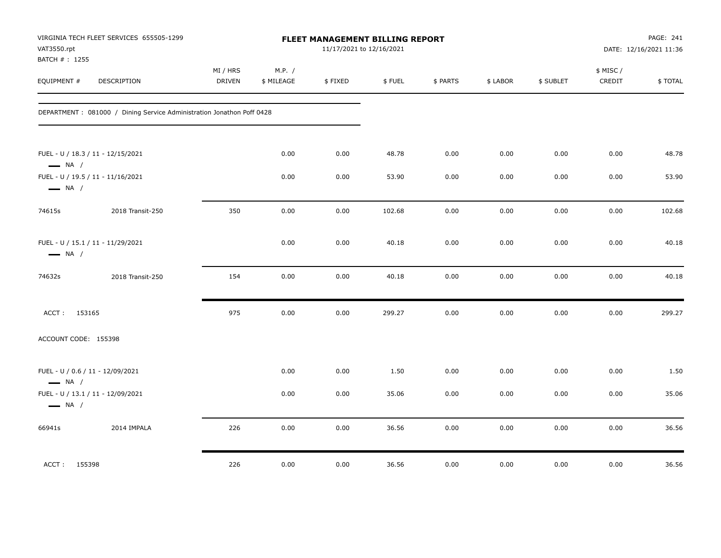| VAT3550.rpt<br>BATCH #: 1255 | VIRGINIA TECH FLEET SERVICES 655505-1299                               |                           |                      | FLEET MANAGEMENT BILLING REPORT<br>11/17/2021 to 12/16/2021 |        |          |          |           |                     | PAGE: 241<br>DATE: 12/16/2021 11:36 |
|------------------------------|------------------------------------------------------------------------|---------------------------|----------------------|-------------------------------------------------------------|--------|----------|----------|-----------|---------------------|-------------------------------------|
| EQUIPMENT #                  | <b>DESCRIPTION</b>                                                     | MI / HRS<br><b>DRIVEN</b> | M.P. /<br>\$ MILEAGE | \$FIXED                                                     | \$FUEL | \$ PARTS | \$ LABOR | \$ SUBLET | \$ MISC /<br>CREDIT | \$TOTAL                             |
|                              | DEPARTMENT : 081000 / Dining Service Administration Jonathon Poff 0428 |                           |                      |                                                             |        |          |          |           |                     |                                     |
| $\longrightarrow$ NA /       | FUEL - U / 18.3 / 11 - 12/15/2021                                      |                           | 0.00                 | 0.00                                                        | 48.78  | 0.00     | 0.00     | 0.00      | 0.00                | 48.78                               |
| $\longrightarrow$ NA /       | FUEL - U / 19.5 / 11 - 11/16/2021                                      |                           | 0.00                 | 0.00                                                        | 53.90  | 0.00     | 0.00     | 0.00      | 0.00                | 53.90                               |
| 74615s                       | 2018 Transit-250                                                       | 350                       | 0.00                 | 0.00                                                        | 102.68 | 0.00     | 0.00     | 0.00      | 0.00                | 102.68                              |
| $\longrightarrow$ NA /       | FUEL - U / 15.1 / 11 - 11/29/2021                                      |                           | 0.00                 | 0.00                                                        | 40.18  | 0.00     | 0.00     | 0.00      | 0.00                | 40.18                               |
| 74632s                       | 2018 Transit-250                                                       | 154                       | 0.00                 | 0.00                                                        | 40.18  | 0.00     | 0.00     | 0.00      | 0.00                | 40.18                               |
| ACCT: 153165                 |                                                                        | 975                       | 0.00                 | 0.00                                                        | 299.27 | 0.00     | 0.00     | 0.00      | 0.00                | 299.27                              |
| ACCOUNT CODE: 155398         |                                                                        |                           |                      |                                                             |        |          |          |           |                     |                                     |
| $\longrightarrow$ NA /       | FUEL - U / 0.6 / 11 - 12/09/2021                                       |                           | 0.00                 | 0.00                                                        | 1.50   | 0.00     | 0.00     | 0.00      | 0.00                | 1.50                                |
| $\longrightarrow$ NA /       | FUEL - U / 13.1 / 11 - 12/09/2021                                      |                           | 0.00                 | 0.00                                                        | 35.06  | 0.00     | 0.00     | 0.00      | 0.00                | 35.06                               |
| 66941s                       | 2014 IMPALA                                                            | 226                       | 0.00                 | 0.00                                                        | 36.56  | 0.00     | 0.00     | 0.00      | 0.00                | 36.56                               |
| ACCT: 155398                 |                                                                        | 226                       | 0.00                 | 0.00                                                        | 36.56  | 0.00     | 0.00     | 0.00      | 0.00                | 36.56                               |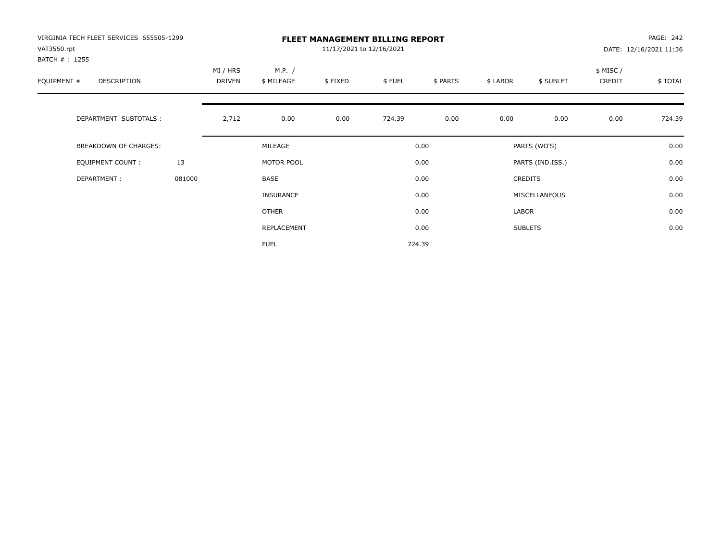| VIRGINIA TECH FLEET SERVICES 655505-1299<br>VAT3550.rpt<br>BATCH # : 1255 |        | <b>FLEET MANAGEMENT BILLING REPORT</b><br>11/17/2021 to 12/16/2021 |                      |         |        |          |          |                  |                    | PAGE: 242<br>DATE: 12/16/2021 11:36 |  |
|---------------------------------------------------------------------------|--------|--------------------------------------------------------------------|----------------------|---------|--------|----------|----------|------------------|--------------------|-------------------------------------|--|
| EQUIPMENT #<br>DESCRIPTION                                                |        | MI / HRS<br><b>DRIVEN</b>                                          | M.P. /<br>\$ MILEAGE | \$FIXED | \$FUEL | \$ PARTS | \$ LABOR | \$ SUBLET        | \$ MISC/<br>CREDIT | \$TOTAL                             |  |
| DEPARTMENT SUBTOTALS :                                                    |        | 2,712                                                              | 0.00                 | 0.00    | 724.39 | 0.00     | 0.00     | 0.00             | 0.00               | 724.39                              |  |
| <b>BREAKDOWN OF CHARGES:</b>                                              |        |                                                                    | MILEAGE              |         |        | 0.00     |          | PARTS (WO'S)     |                    | 0.00                                |  |
| EQUIPMENT COUNT:                                                          | 13     |                                                                    | MOTOR POOL           |         |        | 0.00     |          | PARTS (IND.ISS.) |                    | 0.00                                |  |
| DEPARTMENT:                                                               | 081000 |                                                                    | <b>BASE</b>          |         |        | 0.00     |          | <b>CREDITS</b>   |                    | 0.00                                |  |
|                                                                           |        |                                                                    | <b>INSURANCE</b>     |         |        | 0.00     |          | MISCELLANEOUS    |                    | 0.00                                |  |
|                                                                           |        |                                                                    | OTHER                |         |        | 0.00     | LABOR    |                  |                    | 0.00                                |  |
|                                                                           |        |                                                                    | REPLACEMENT          |         |        | 0.00     |          | <b>SUBLETS</b>   |                    | 0.00                                |  |
|                                                                           |        |                                                                    | <b>FUEL</b>          |         |        | 724.39   |          |                  |                    |                                     |  |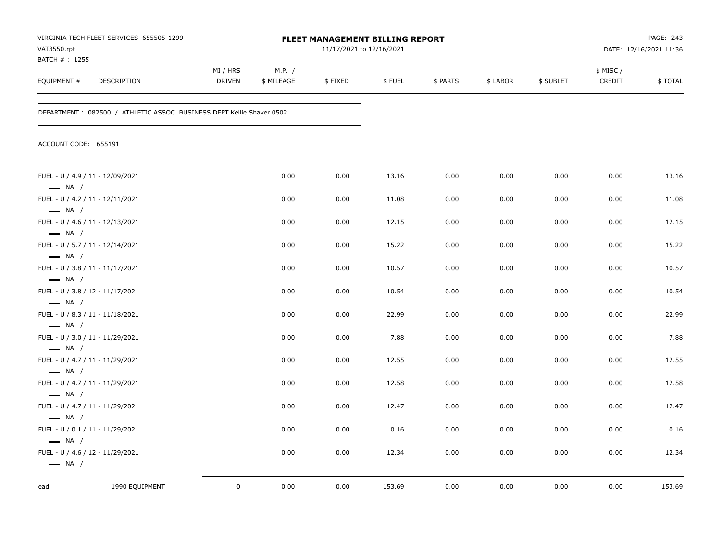| VAT3550.rpt<br>BATCH #: 1255                               | VIRGINIA TECH FLEET SERVICES 655505-1299                              |                           |                      |         | <b>FLEET MANAGEMENT BILLING REPORT</b><br>11/17/2021 to 12/16/2021 |          |          |           | PAGE: 243<br>DATE: 12/16/2021 11:36 |         |
|------------------------------------------------------------|-----------------------------------------------------------------------|---------------------------|----------------------|---------|--------------------------------------------------------------------|----------|----------|-----------|-------------------------------------|---------|
| EQUIPMENT #                                                | <b>DESCRIPTION</b>                                                    | MI / HRS<br><b>DRIVEN</b> | M.P. /<br>\$ MILEAGE | \$FIXED | \$FUEL                                                             | \$ PARTS | \$ LABOR | \$ SUBLET | \$ MISC /<br>CREDIT                 | \$TOTAL |
|                                                            | DEPARTMENT : 082500 / ATHLETIC ASSOC BUSINESS DEPT Kellie Shaver 0502 |                           |                      |         |                                                                    |          |          |           |                                     |         |
| ACCOUNT CODE: 655191                                       |                                                                       |                           |                      |         |                                                                    |          |          |           |                                     |         |
| FUEL - U / 4.9 / 11 - 12/09/2021<br>$\longrightarrow$ NA / |                                                                       |                           | 0.00                 | 0.00    | 13.16                                                              | 0.00     | 0.00     | 0.00      | 0.00                                | 13.16   |
| FUEL - U / 4.2 / 11 - 12/11/2021<br>$\longrightarrow$ NA / |                                                                       |                           | 0.00                 | 0.00    | 11.08                                                              | 0.00     | 0.00     | 0.00      | 0.00                                | 11.08   |
| FUEL - U / 4.6 / 11 - 12/13/2021<br>$\longrightarrow$ NA / |                                                                       |                           | 0.00                 | 0.00    | 12.15                                                              | 0.00     | 0.00     | 0.00      | 0.00                                | 12.15   |
| FUEL - U / 5.7 / 11 - 12/14/2021                           |                                                                       |                           | 0.00                 | 0.00    | 15.22                                                              | 0.00     | 0.00     | 0.00      | 0.00                                | 15.22   |
| $\longrightarrow$ NA /<br>FUEL - U / 3.8 / 11 - 11/17/2021 |                                                                       |                           | 0.00                 | 0.00    | 10.57                                                              | 0.00     | 0.00     | 0.00      | 0.00                                | 10.57   |
| $\longrightarrow$ NA /<br>FUEL - U / 3.8 / 12 - 11/17/2021 |                                                                       |                           | 0.00                 | 0.00    | 10.54                                                              | 0.00     | 0.00     | 0.00      | 0.00                                | 10.54   |
| $\longrightarrow$ NA /<br>FUEL - U / 8.3 / 11 - 11/18/2021 |                                                                       |                           | 0.00                 | 0.00    | 22.99                                                              | 0.00     | 0.00     | 0.00      | 0.00                                | 22.99   |
| $\longrightarrow$ NA /<br>FUEL - U / 3.0 / 11 - 11/29/2021 |                                                                       |                           | 0.00                 | 0.00    | 7.88                                                               | 0.00     | 0.00     | 0.00      | 0.00                                | 7.88    |
| $\longrightarrow$ NA /<br>FUEL - U / 4.7 / 11 - 11/29/2021 |                                                                       |                           | 0.00                 | 0.00    | 12.55                                                              | 0.00     | 0.00     | 0.00      | 0.00                                | 12.55   |
| $\longrightarrow$ NA /<br>FUEL - U / 4.7 / 11 - 11/29/2021 |                                                                       |                           | 0.00                 | 0.00    | 12.58                                                              | 0.00     | 0.00     | 0.00      | 0.00                                | 12.58   |
| $\longrightarrow$ NA /<br>FUEL - U / 4.7 / 11 - 11/29/2021 |                                                                       |                           | 0.00                 | 0.00    | 12.47                                                              | 0.00     | 0.00     | 0.00      | 0.00                                | 12.47   |
| $\longrightarrow$ NA /<br>FUEL - U / 0.1 / 11 - 11/29/2021 |                                                                       |                           | 0.00                 | 0.00    | 0.16                                                               | 0.00     | 0.00     | 0.00      | 0.00                                | 0.16    |
| $\longrightarrow$ NA /<br>FUEL - U / 4.6 / 12 - 11/29/2021 |                                                                       |                           | 0.00                 | 0.00    | 12.34                                                              | 0.00     | 0.00     | 0.00      | 0.00                                | 12.34   |
| $\longrightarrow$ NA /                                     |                                                                       |                           |                      |         |                                                                    |          |          |           |                                     |         |
| ead                                                        | 1990 EQUIPMENT                                                        | $\mathsf 0$               | 0.00                 | 0.00    | 153.69                                                             | 0.00     | 0.00     | 0.00      | 0.00                                | 153.69  |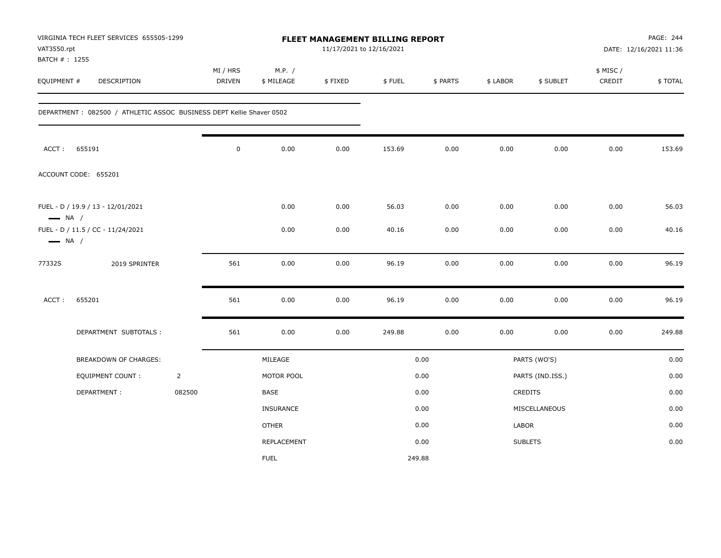| VAT3550.rpt<br>BATCH #: 1255 | VIRGINIA TECH FLEET SERVICES 655505-1299                             |                |                           |                      | 11/17/2021 to 12/16/2021 | FLEET MANAGEMENT BILLING REPORT |          |          |                  |                     | PAGE: 244<br>DATE: 12/16/2021 11:36 |
|------------------------------|----------------------------------------------------------------------|----------------|---------------------------|----------------------|--------------------------|---------------------------------|----------|----------|------------------|---------------------|-------------------------------------|
| EQUIPMENT #                  | <b>DESCRIPTION</b>                                                   |                | MI / HRS<br><b>DRIVEN</b> | M.P. /<br>\$ MILEAGE | \$FIXED                  | \$FUEL                          | \$ PARTS | \$ LABOR | \$ SUBLET        | \$ MISC /<br>CREDIT | \$TOTAL                             |
|                              | DEPARTMENT: 082500 / ATHLETIC ASSOC BUSINESS DEPT Kellie Shaver 0502 |                |                           |                      |                          |                                 |          |          |                  |                     |                                     |
| ACCT:                        | 655191                                                               |                | $\mathbf 0$               | 0.00                 | 0.00                     | 153.69                          | 0.00     | 0.00     | 0.00             | 0.00                | 153.69                              |
|                              | ACCOUNT CODE: 655201                                                 |                |                           |                      |                          |                                 |          |          |                  |                     |                                     |
| $\longrightarrow$ NA /       | FUEL - D / 19.9 / 13 - 12/01/2021                                    |                |                           | 0.00                 | 0.00                     | 56.03                           | 0.00     | 0.00     | 0.00             | 0.00                | 56.03                               |
| $\longrightarrow$ NA /       | FUEL - D / 11.5 / CC - 11/24/2021                                    |                |                           | 0.00                 | 0.00                     | 40.16                           | 0.00     | 0.00     | 0.00             | 0.00                | 40.16                               |
| 77332S                       | 2019 SPRINTER                                                        |                | 561                       | 0.00                 | 0.00                     | 96.19                           | 0.00     | 0.00     | 0.00             | 0.00                | 96.19                               |
| ACCT:                        | 655201                                                               |                | 561                       | 0.00                 | 0.00                     | 96.19                           | 0.00     | 0.00     | 0.00             | 0.00                | 96.19                               |
|                              | DEPARTMENT SUBTOTALS :                                               |                | 561                       | 0.00                 | 0.00                     | 249.88                          | 0.00     | 0.00     | 0.00             | 0.00                | 249.88                              |
|                              | <b>BREAKDOWN OF CHARGES:</b>                                         |                |                           | MILEAGE              |                          |                                 | 0.00     |          | PARTS (WO'S)     |                     | 0.00                                |
|                              | EQUIPMENT COUNT:                                                     | $\overline{2}$ |                           | MOTOR POOL           |                          |                                 | 0.00     |          | PARTS (IND.ISS.) |                     | 0.00                                |
|                              | DEPARTMENT:                                                          | 082500         |                           | BASE                 |                          |                                 | 0.00     |          | CREDITS          |                     | 0.00                                |
|                              |                                                                      |                |                           | <b>INSURANCE</b>     |                          |                                 | 0.00     |          | MISCELLANEOUS    |                     | 0.00                                |
|                              |                                                                      |                |                           | <b>OTHER</b>         |                          |                                 | 0.00     | LABOR    |                  |                     | 0.00                                |
|                              |                                                                      |                |                           | REPLACEMENT          |                          |                                 | 0.00     |          | <b>SUBLETS</b>   |                     | 0.00                                |
|                              |                                                                      |                |                           | <b>FUEL</b>          |                          |                                 | 249.88   |          |                  |                     |                                     |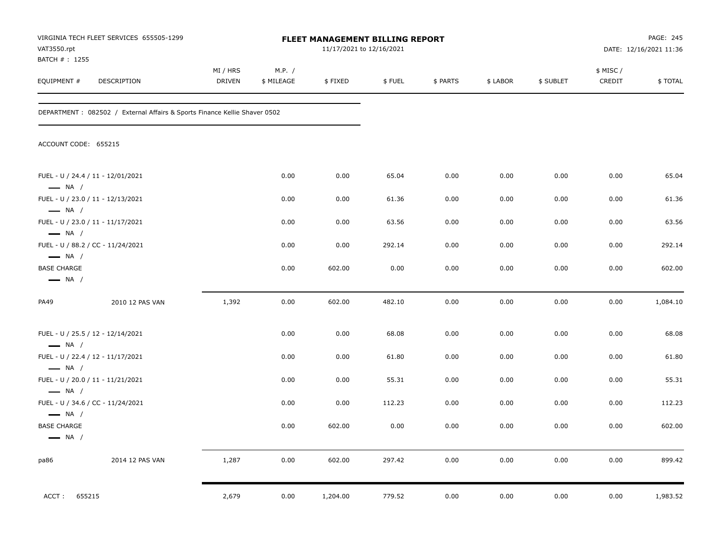| VAT3550.rpt<br>BATCH # : 1255                | VIRGINIA TECH FLEET SERVICES 655505-1299                                   |                           |                      |          | <b>FLEET MANAGEMENT BILLING REPORT</b><br>11/17/2021 to 12/16/2021 |          |          |           |                     | PAGE: 245<br>DATE: 12/16/2021 11:36 |
|----------------------------------------------|----------------------------------------------------------------------------|---------------------------|----------------------|----------|--------------------------------------------------------------------|----------|----------|-----------|---------------------|-------------------------------------|
| EQUIPMENT #                                  | DESCRIPTION                                                                | MI / HRS<br><b>DRIVEN</b> | M.P. /<br>\$ MILEAGE | \$FIXED  | \$FUEL                                                             | \$ PARTS | \$ LABOR | \$ SUBLET | \$ MISC /<br>CREDIT | \$TOTAL                             |
|                                              | DEPARTMENT : 082502 / External Affairs & Sports Finance Kellie Shaver 0502 |                           |                      |          |                                                                    |          |          |           |                     |                                     |
| ACCOUNT CODE: 655215                         |                                                                            |                           |                      |          |                                                                    |          |          |           |                     |                                     |
| $\longrightarrow$ NA /                       | FUEL - U / 24.4 / 11 - 12/01/2021                                          |                           | 0.00                 | 0.00     | 65.04                                                              | 0.00     | 0.00     | 0.00      | 0.00                | 65.04                               |
| $\longrightarrow$ NA /                       | FUEL - U / 23.0 / 11 - 12/13/2021                                          |                           | 0.00                 | 0.00     | 61.36                                                              | 0.00     | 0.00     | 0.00      | 0.00                | 61.36                               |
| $\longrightarrow$ NA /                       | FUEL - U / 23.0 / 11 - 11/17/2021                                          |                           | 0.00                 | 0.00     | 63.56                                                              | 0.00     | 0.00     | 0.00      | 0.00                | 63.56                               |
| $\longrightarrow$ NA /                       | FUEL - U / 88.2 / CC - 11/24/2021                                          |                           | 0.00                 | 0.00     | 292.14                                                             | 0.00     | 0.00     | 0.00      | 0.00                | 292.14                              |
| <b>BASE CHARGE</b><br>$\longrightarrow$ NA / |                                                                            |                           | 0.00                 | 602.00   | 0.00                                                               | 0.00     | 0.00     | 0.00      | 0.00                | 602.00                              |
| PA49                                         | 2010 12 PAS VAN                                                            | 1,392                     | 0.00                 | 602.00   | 482.10                                                             | 0.00     | 0.00     | 0.00      | 0.00                | 1,084.10                            |
| $\longrightarrow$ NA /                       | FUEL - U / 25.5 / 12 - 12/14/2021                                          |                           | 0.00                 | 0.00     | 68.08                                                              | 0.00     | 0.00     | 0.00      | 0.00                | 68.08                               |
| $\longrightarrow$ NA /                       | FUEL - U / 22.4 / 12 - 11/17/2021                                          |                           | 0.00                 | 0.00     | 61.80                                                              | 0.00     | 0.00     | 0.00      | 0.00                | 61.80                               |
| $\longrightarrow$ NA /                       | FUEL - U / 20.0 / 11 - 11/21/2021                                          |                           | 0.00                 | 0.00     | 55.31                                                              | 0.00     | 0.00     | 0.00      | 0.00                | 55.31                               |
| $\longrightarrow$ NA /                       | FUEL - U / 34.6 / CC - 11/24/2021                                          |                           | 0.00                 | 0.00     | 112.23                                                             | 0.00     | 0.00     | 0.00      | 0.00                | 112.23                              |
| <b>BASE CHARGE</b><br>$\longrightarrow$ NA / |                                                                            |                           | 0.00                 | 602.00   | 0.00                                                               | 0.00     | 0.00     | 0.00      | 0.00                | 602.00                              |
| pa86                                         | 2014 12 PAS VAN                                                            | 1,287                     | 0.00                 | 602.00   | 297.42                                                             | 0.00     | 0.00     | 0.00      | 0.00                | 899.42                              |
| ACCT:<br>655215                              |                                                                            | 2,679                     | 0.00                 | 1,204.00 | 779.52                                                             | 0.00     | 0.00     | 0.00      | 0.00                | 1,983.52                            |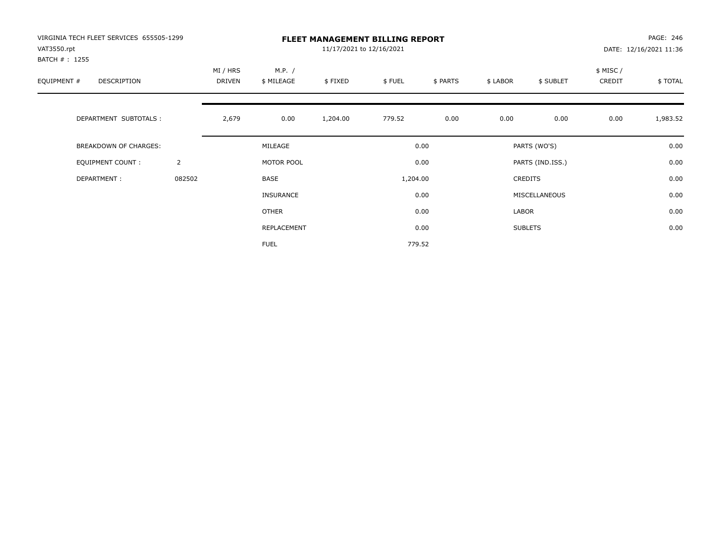| VIRGINIA TECH FLEET SERVICES 655505-1299<br>VAT3550.rpt<br>BATCH # : 1255 |                | <b>FLEET MANAGEMENT BILLING REPORT</b><br>11/17/2021 to 12/16/2021 |                      |          |          |          |          |                  |                    | PAGE: 246<br>DATE: 12/16/2021 11:36 |  |  |
|---------------------------------------------------------------------------|----------------|--------------------------------------------------------------------|----------------------|----------|----------|----------|----------|------------------|--------------------|-------------------------------------|--|--|
| EQUIPMENT #<br>DESCRIPTION                                                |                | MI / HRS<br>DRIVEN                                                 | M.P. /<br>\$ MILEAGE | \$FIXED  | \$FUEL   | \$ PARTS | \$ LABOR | \$ SUBLET        | \$ MISC/<br>CREDIT | \$ TOTAL                            |  |  |
| DEPARTMENT SUBTOTALS :                                                    |                | 2,679                                                              | 0.00                 | 1,204.00 | 779.52   | 0.00     | 0.00     | 0.00             | 0.00               | 1,983.52                            |  |  |
| BREAKDOWN OF CHARGES:                                                     |                |                                                                    | MILEAGE              |          |          | 0.00     |          | PARTS (WO'S)     |                    | 0.00                                |  |  |
| <b>EQUIPMENT COUNT:</b>                                                   | $\overline{2}$ |                                                                    | MOTOR POOL           |          |          | 0.00     |          | PARTS (IND.ISS.) |                    | 0.00                                |  |  |
| DEPARTMENT:                                                               | 082502         |                                                                    | BASE                 |          | 1,204.00 |          |          | <b>CREDITS</b>   |                    | 0.00                                |  |  |
|                                                                           |                |                                                                    | <b>INSURANCE</b>     |          |          | 0.00     |          | MISCELLANEOUS    |                    | 0.00                                |  |  |
|                                                                           |                |                                                                    | OTHER                |          |          | 0.00     | LABOR    |                  |                    | 0.00                                |  |  |
|                                                                           |                |                                                                    | REPLACEMENT          |          |          | 0.00     |          | <b>SUBLETS</b>   |                    | 0.00                                |  |  |
|                                                                           |                |                                                                    | <b>FUEL</b>          |          |          | 779.52   |          |                  |                    |                                     |  |  |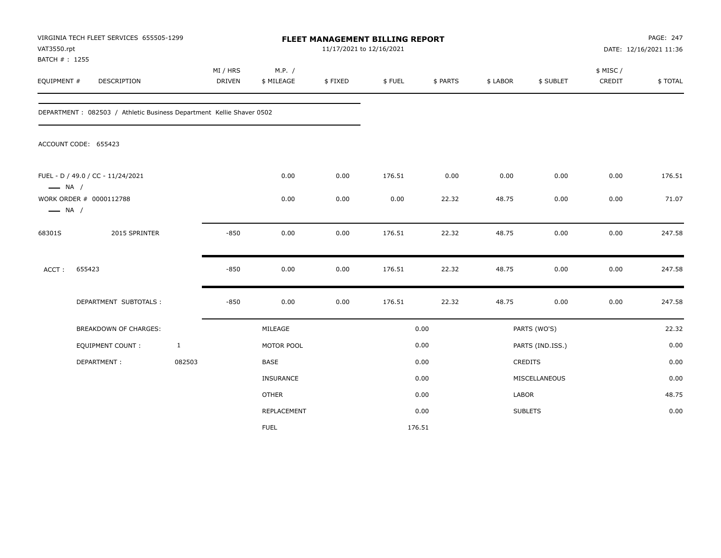| VAT3550.rpt<br>BATCH #: 1255 | VIRGINIA TECH FLEET SERVICES 655505-1299                              |              |                           |                      | 11/17/2021 to 12/16/2021 | FLEET MANAGEMENT BILLING REPORT |          |          |                  |                    | PAGE: 247<br>DATE: 12/16/2021 11:36 |
|------------------------------|-----------------------------------------------------------------------|--------------|---------------------------|----------------------|--------------------------|---------------------------------|----------|----------|------------------|--------------------|-------------------------------------|
| EQUIPMENT #                  | DESCRIPTION                                                           |              | MI / HRS<br><b>DRIVEN</b> | M.P. /<br>\$ MILEAGE | \$FIXED                  | \$FUEL                          | \$ PARTS | \$ LABOR | \$ SUBLET        | \$ MISC/<br>CREDIT | \$TOTAL                             |
|                              | DEPARTMENT : 082503 / Athletic Business Department Kellie Shaver 0502 |              |                           |                      |                          |                                 |          |          |                  |                    |                                     |
|                              | ACCOUNT CODE: 655423                                                  |              |                           |                      |                          |                                 |          |          |                  |                    |                                     |
| $\longrightarrow$ NA /       | FUEL - D / 49.0 / CC - 11/24/2021                                     |              |                           | 0.00                 | 0.00                     | 176.51                          | 0.00     | 0.00     | 0.00             | 0.00               | 176.51                              |
| $\longrightarrow$ NA /       | WORK ORDER # 0000112788                                               |              |                           | 0.00                 | 0.00                     | 0.00                            | 22.32    | 48.75    | 0.00             | 0.00               | 71.07                               |
| 68301S                       | 2015 SPRINTER                                                         |              | $-850$                    | 0.00                 | 0.00                     | 176.51                          | 22.32    | 48.75    | 0.00             | 0.00               | 247.58                              |
| ACCT:                        | 655423                                                                |              | $-850$                    | 0.00                 | 0.00                     | 176.51                          | 22.32    | 48.75    | 0.00             | 0.00               | 247.58                              |
|                              | DEPARTMENT SUBTOTALS :                                                |              | $-850$                    | 0.00                 | 0.00                     | 176.51                          | 22.32    | 48.75    | 0.00             | 0.00               | 247.58                              |
|                              | BREAKDOWN OF CHARGES:                                                 |              |                           | MILEAGE              |                          |                                 | 0.00     |          | PARTS (WO'S)     |                    | 22.32                               |
|                              | <b>EQUIPMENT COUNT:</b>                                               | $\mathbf{1}$ |                           | MOTOR POOL           |                          |                                 | 0.00     |          | PARTS (IND.ISS.) |                    | 0.00                                |
|                              | DEPARTMENT:                                                           | 082503       |                           | BASE                 |                          |                                 | 0.00     |          | <b>CREDITS</b>   |                    | 0.00                                |
|                              |                                                                       |              |                           | INSURANCE            |                          |                                 | 0.00     |          | MISCELLANEOUS    |                    | 0.00                                |
|                              |                                                                       |              |                           | <b>OTHER</b>         |                          |                                 | 0.00     | LABOR    |                  |                    | 48.75                               |
|                              |                                                                       |              |                           | REPLACEMENT          |                          |                                 | 0.00     |          | <b>SUBLETS</b>   |                    | 0.00                                |
|                              |                                                                       |              |                           | <b>FUEL</b>          |                          | 176.51                          |          |          |                  |                    |                                     |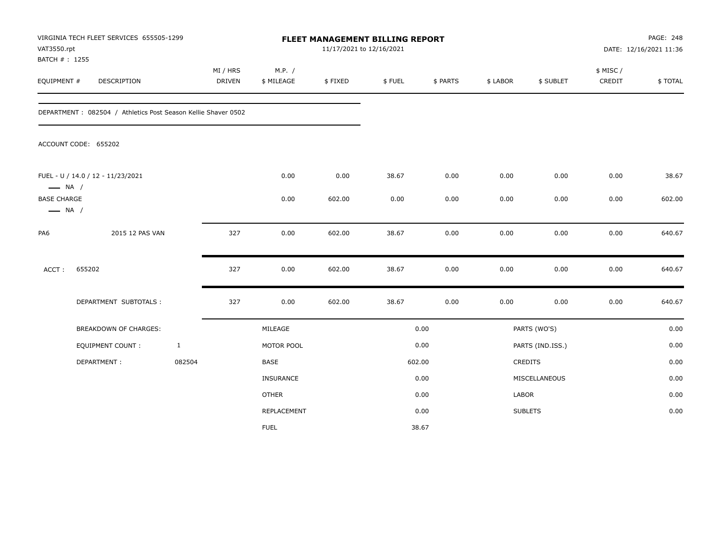| VAT3550.rpt<br>BATCH #: 1255                 | VIRGINIA TECH FLEET SERVICES 655505-1299                      |              |                           |                      | FLEET MANAGEMENT BILLING REPORT<br>11/17/2021 to 12/16/2021 |        |          |          |                  |                    | PAGE: 248<br>DATE: 12/16/2021 11:36 |
|----------------------------------------------|---------------------------------------------------------------|--------------|---------------------------|----------------------|-------------------------------------------------------------|--------|----------|----------|------------------|--------------------|-------------------------------------|
| EQUIPMENT #                                  | DESCRIPTION                                                   |              | MI / HRS<br><b>DRIVEN</b> | M.P. /<br>\$ MILEAGE | \$FIXED                                                     | \$FUEL | \$ PARTS | \$ LABOR | \$ SUBLET        | \$ MISC/<br>CREDIT | \$TOTAL                             |
|                                              | DEPARTMENT: 082504 / Athletics Post Season Kellie Shaver 0502 |              |                           |                      |                                                             |        |          |          |                  |                    |                                     |
|                                              | ACCOUNT CODE: 655202                                          |              |                           |                      |                                                             |        |          |          |                  |                    |                                     |
| $\longrightarrow$ NA /                       | FUEL - U / 14.0 / 12 - 11/23/2021                             |              |                           | 0.00                 | 0.00                                                        | 38.67  | 0.00     | 0.00     | 0.00             | 0.00               | 38.67                               |
| <b>BASE CHARGE</b><br>$\longrightarrow$ NA / |                                                               |              |                           | 0.00                 | 602.00                                                      | 0.00   | 0.00     | 0.00     | 0.00             | 0.00               | 602.00                              |
| PA6                                          | 2015 12 PAS VAN                                               |              | 327                       | 0.00                 | 602.00                                                      | 38.67  | 0.00     | 0.00     | 0.00             | 0.00               | 640.67                              |
| ACCT:                                        | 655202                                                        |              | 327                       | 0.00                 | 602.00                                                      | 38.67  | 0.00     | 0.00     | 0.00             | 0.00               | 640.67                              |
|                                              | DEPARTMENT SUBTOTALS :                                        |              | 327                       | 0.00                 | 602.00                                                      | 38.67  | 0.00     | 0.00     | 0.00             | 0.00               | 640.67                              |
|                                              | <b>BREAKDOWN OF CHARGES:</b>                                  |              |                           | MILEAGE              |                                                             |        | 0.00     |          | PARTS (WO'S)     |                    | 0.00                                |
|                                              | <b>EQUIPMENT COUNT:</b>                                       | $\mathbf{1}$ |                           | MOTOR POOL           |                                                             |        | 0.00     |          | PARTS (IND.ISS.) |                    | 0.00                                |
|                                              | DEPARTMENT:                                                   | 082504       |                           | BASE                 |                                                             |        | 602.00   |          | <b>CREDITS</b>   |                    | 0.00                                |
|                                              |                                                               |              |                           | INSURANCE            |                                                             |        | 0.00     |          | MISCELLANEOUS    |                    | 0.00                                |
|                                              |                                                               |              |                           | <b>OTHER</b>         |                                                             |        | 0.00     | LABOR    |                  |                    | 0.00                                |
|                                              |                                                               |              |                           | REPLACEMENT          |                                                             |        | 0.00     |          | <b>SUBLETS</b>   |                    | 0.00                                |
|                                              |                                                               |              |                           | <b>FUEL</b>          |                                                             |        | 38.67    |          |                  |                    |                                     |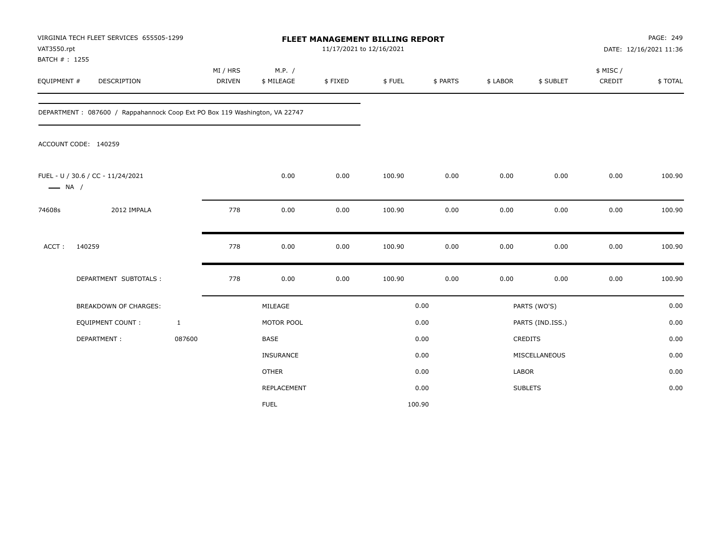| VAT3550.rpt                  | VIRGINIA TECH FLEET SERVICES 655505-1299                                   |                           |                      | <b>FLEET MANAGEMENT BILLING REPORT</b> | 11/17/2021 to 12/16/2021 |          |          |                  |                     | PAGE: 249<br>DATE: 12/16/2021 11:36 |
|------------------------------|----------------------------------------------------------------------------|---------------------------|----------------------|----------------------------------------|--------------------------|----------|----------|------------------|---------------------|-------------------------------------|
| BATCH #: 1255<br>EQUIPMENT # | DESCRIPTION                                                                | MI / HRS<br><b>DRIVEN</b> | M.P. /<br>\$ MILEAGE | \$FIXED                                | \$FUEL                   | \$ PARTS | \$ LABOR | \$ SUBLET        | \$ MISC /<br>CREDIT | \$TOTAL                             |
|                              | DEPARTMENT: 087600 / Rappahannock Coop Ext PO Box 119 Washington, VA 22747 |                           |                      |                                        |                          |          |          |                  |                     |                                     |
|                              | ACCOUNT CODE: 140259                                                       |                           |                      |                                        |                          |          |          |                  |                     |                                     |
| $\longrightarrow$ NA /       | FUEL - U / 30.6 / CC - 11/24/2021                                          |                           | 0.00                 | 0.00                                   | 100.90                   | 0.00     | 0.00     | 0.00             | 0.00                | 100.90                              |
| 74608s                       | 2012 IMPALA                                                                | 778                       | 0.00                 | 0.00                                   | 100.90                   | 0.00     | 0.00     | 0.00             | 0.00                | 100.90                              |
| ACCT:                        | 140259                                                                     | 778                       | 0.00                 | 0.00                                   | 100.90                   | 0.00     | 0.00     | 0.00             | 0.00                | 100.90                              |
|                              | DEPARTMENT SUBTOTALS :                                                     | 778                       | 0.00                 | 0.00                                   | 100.90                   | 0.00     | 0.00     | 0.00             | 0.00                | 100.90                              |
|                              | <b>BREAKDOWN OF CHARGES:</b>                                               |                           | MILEAGE              |                                        |                          | 0.00     |          | PARTS (WO'S)     |                     | 0.00                                |
|                              | EQUIPMENT COUNT:                                                           | $\mathbf{1}$              | MOTOR POOL           |                                        |                          | 0.00     |          | PARTS (IND.ISS.) |                     | 0.00                                |
|                              | DEPARTMENT:                                                                | 087600                    | <b>BASE</b>          |                                        |                          | 0.00     |          | <b>CREDITS</b>   |                     | 0.00                                |
|                              |                                                                            |                           | <b>INSURANCE</b>     |                                        |                          | 0.00     |          | MISCELLANEOUS    |                     | 0.00                                |
|                              |                                                                            |                           | <b>OTHER</b>         |                                        |                          | 0.00     | LABOR    |                  |                     | 0.00                                |
|                              |                                                                            |                           | <b>REPLACEMENT</b>   |                                        |                          | 0.00     |          | <b>SUBLETS</b>   |                     | 0.00                                |
|                              |                                                                            |                           | <b>FUEL</b>          |                                        |                          | 100.90   |          |                  |                     |                                     |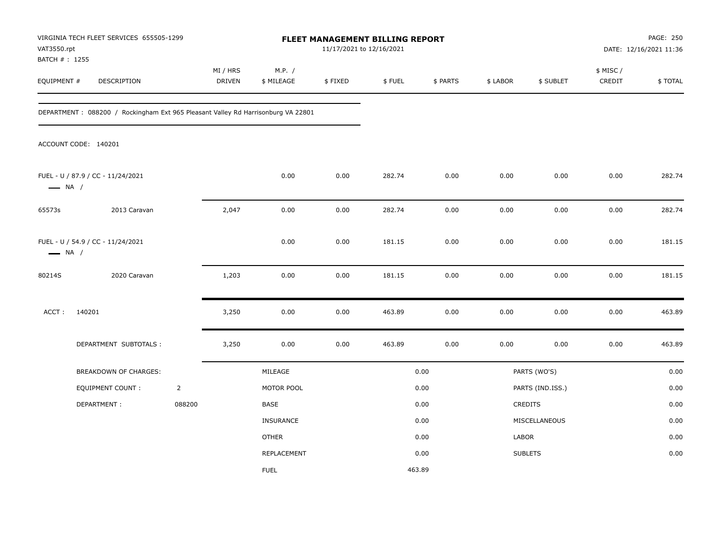| VAT3550.rpt                   | VIRGINIA TECH FLEET SERVICES 655505-1299                                         |                |                           |                      | 11/17/2021 to 12/16/2021 | FLEET MANAGEMENT BILLING REPORT |          |          |                  |                     | PAGE: 250<br>DATE: 12/16/2021 11:36 |
|-------------------------------|----------------------------------------------------------------------------------|----------------|---------------------------|----------------------|--------------------------|---------------------------------|----------|----------|------------------|---------------------|-------------------------------------|
| BATCH # : 1255<br>EQUIPMENT # | DESCRIPTION                                                                      |                | MI / HRS<br><b>DRIVEN</b> | M.P. /<br>\$ MILEAGE | \$FIXED                  | \$FUEL                          | \$ PARTS | \$ LABOR | \$ SUBLET        | \$ MISC /<br>CREDIT | \$TOTAL                             |
|                               | DEPARTMENT: 088200 / Rockingham Ext 965 Pleasant Valley Rd Harrisonburg VA 22801 |                |                           |                      |                          |                                 |          |          |                  |                     |                                     |
|                               | ACCOUNT CODE: 140201                                                             |                |                           |                      |                          |                                 |          |          |                  |                     |                                     |
| $\longrightarrow$ NA /        | FUEL - U / 87.9 / CC - 11/24/2021                                                |                |                           | 0.00                 | 0.00                     | 282.74                          | 0.00     | 0.00     | 0.00             | 0.00                | 282.74                              |
| 65573s                        | 2013 Caravan                                                                     |                | 2,047                     | 0.00                 | 0.00                     | 282.74                          | 0.00     | 0.00     | 0.00             | 0.00                | 282.74                              |
| $\longrightarrow$ NA /        | FUEL - U / 54.9 / CC - 11/24/2021                                                |                |                           | 0.00                 | 0.00                     | 181.15                          | 0.00     | 0.00     | 0.00             | 0.00                | 181.15                              |
| 80214S                        | 2020 Caravan                                                                     |                | 1,203                     | 0.00                 | 0.00                     | 181.15                          | 0.00     | 0.00     | 0.00             | 0.00                | 181.15                              |
| ACCT:                         | 140201                                                                           |                | 3,250                     | 0.00                 | 0.00                     | 463.89                          | 0.00     | 0.00     | 0.00             | 0.00                | 463.89                              |
|                               | DEPARTMENT SUBTOTALS :                                                           |                | 3,250                     | 0.00                 | 0.00                     | 463.89                          | 0.00     | 0.00     | 0.00             | 0.00                | 463.89                              |
|                               | BREAKDOWN OF CHARGES:                                                            |                |                           | MILEAGE              |                          |                                 | 0.00     |          | PARTS (WO'S)     |                     | 0.00                                |
|                               | <b>EQUIPMENT COUNT:</b>                                                          | $\overline{2}$ |                           | MOTOR POOL           |                          |                                 | 0.00     |          | PARTS (IND.ISS.) |                     | 0.00                                |
|                               | DEPARTMENT:                                                                      | 088200         |                           | BASE                 |                          |                                 | 0.00     |          | <b>CREDITS</b>   |                     | 0.00                                |
|                               |                                                                                  |                |                           | INSURANCE            |                          |                                 | 0.00     |          | MISCELLANEOUS    |                     | 0.00                                |
|                               |                                                                                  |                |                           | <b>OTHER</b>         |                          |                                 | 0.00     | LABOR    |                  |                     | 0.00                                |
|                               |                                                                                  |                |                           | REPLACEMENT          |                          |                                 | 0.00     |          | <b>SUBLETS</b>   |                     | 0.00                                |
|                               |                                                                                  |                |                           | <b>FUEL</b>          |                          | 463.89                          |          |          |                  |                     |                                     |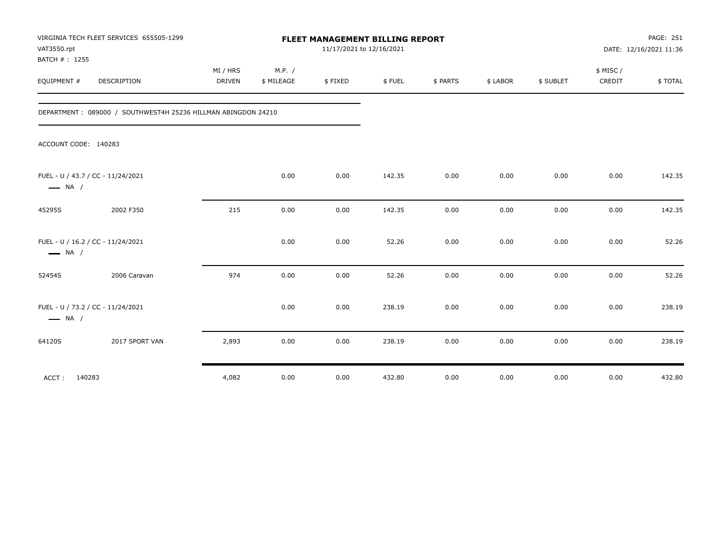| VAT3550.rpt<br>BATCH #: 1255 | VIRGINIA TECH FLEET SERVICES 655505-1299                      |                    |                      |         | FLEET MANAGEMENT BILLING REPORT<br>11/17/2021 to 12/16/2021 |          |          |           |                    | PAGE: 251<br>DATE: 12/16/2021 11:36 |
|------------------------------|---------------------------------------------------------------|--------------------|----------------------|---------|-------------------------------------------------------------|----------|----------|-----------|--------------------|-------------------------------------|
| EQUIPMENT #                  | DESCRIPTION                                                   | MI / HRS<br>DRIVEN | M.P. /<br>\$ MILEAGE | \$FIXED | \$FUEL                                                      | \$ PARTS | \$ LABOR | \$ SUBLET | \$ MISC/<br>CREDIT | \$TOTAL                             |
|                              | DEPARTMENT: 089000 / SOUTHWEST4H 25236 HILLMAN ABINGDON 24210 |                    |                      |         |                                                             |          |          |           |                    |                                     |
|                              | ACCOUNT CODE: 140283                                          |                    |                      |         |                                                             |          |          |           |                    |                                     |
| $\longrightarrow$ NA /       | FUEL - U / 43.7 / CC - 11/24/2021                             |                    | 0.00                 | 0.00    | 142.35                                                      | 0.00     | 0.00     | 0.00      | 0.00               | 142.35                              |
| 45295S                       | 2002 F350                                                     | 215                | 0.00                 | 0.00    | 142.35                                                      | 0.00     | 0.00     | 0.00      | 0.00               | 142.35                              |
| $\longrightarrow$ NA /       | FUEL - U / 16.2 / CC - 11/24/2021                             |                    | 0.00                 | 0.00    | 52.26                                                       | 0.00     | 0.00     | 0.00      | 0.00               | 52.26                               |
| 52454S                       | 2006 Caravan                                                  | 974                | 0.00                 | 0.00    | 52.26                                                       | 0.00     | 0.00     | 0.00      | 0.00               | 52.26                               |
| $\longrightarrow$ NA /       | FUEL - U / 73.2 / CC - 11/24/2021                             |                    | 0.00                 | 0.00    | 238.19                                                      | 0.00     | 0.00     | 0.00      | 0.00               | 238.19                              |
| 64120S                       | 2017 SPORT VAN                                                | 2,893              | 0.00                 | 0.00    | 238.19                                                      | 0.00     | 0.00     | 0.00      | 0.00               | 238.19                              |
| ACCT:                        | 140283                                                        | 4,082              | 0.00                 | 0.00    | 432.80                                                      | 0.00     | 0.00     | 0.00      | 0.00               | 432.80                              |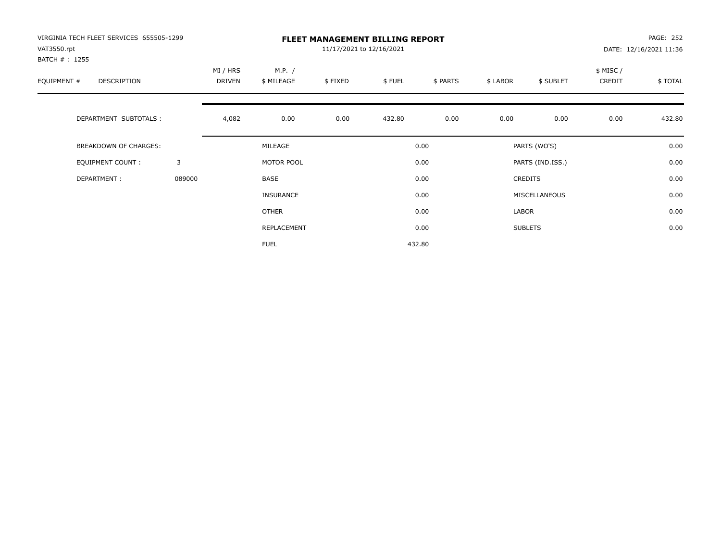| VIRGINIA TECH FLEET SERVICES 655505-1299<br>VAT3550.rpt<br>BATCH # : 1255 |        | <b>FLEET MANAGEMENT BILLING REPORT</b><br>11/17/2021 to 12/16/2021 |                      |         |        |          |          |                  |                    | PAGE: 252<br>DATE: 12/16/2021 11:36 |  |
|---------------------------------------------------------------------------|--------|--------------------------------------------------------------------|----------------------|---------|--------|----------|----------|------------------|--------------------|-------------------------------------|--|
| EQUIPMENT #<br>DESCRIPTION                                                |        | MI / HRS<br>DRIVEN                                                 | M.P. /<br>\$ MILEAGE | \$FIXED | \$FUEL | \$ PARTS | \$ LABOR | \$ SUBLET        | \$ MISC/<br>CREDIT | \$TOTAL                             |  |
| DEPARTMENT SUBTOTALS :                                                    |        | 4,082                                                              | 0.00                 | 0.00    | 432.80 | 0.00     | 0.00     | 0.00             | 0.00               | 432.80                              |  |
| <b>BREAKDOWN OF CHARGES:</b>                                              |        |                                                                    | MILEAGE              |         |        | 0.00     |          | PARTS (WO'S)     |                    | 0.00                                |  |
| EQUIPMENT COUNT:                                                          | 3      |                                                                    | MOTOR POOL           |         |        | 0.00     |          | PARTS (IND.ISS.) |                    | 0.00                                |  |
| DEPARTMENT:                                                               | 089000 |                                                                    | BASE                 |         |        | 0.00     |          | <b>CREDITS</b>   |                    | 0.00                                |  |
|                                                                           |        |                                                                    | <b>INSURANCE</b>     |         |        | 0.00     |          | MISCELLANEOUS    |                    | 0.00                                |  |
|                                                                           |        |                                                                    | OTHER                |         |        | 0.00     | LABOR    |                  |                    | 0.00                                |  |
|                                                                           |        |                                                                    | REPLACEMENT          |         |        | 0.00     |          | <b>SUBLETS</b>   |                    | 0.00                                |  |
|                                                                           |        |                                                                    | <b>FUEL</b>          |         |        | 432.80   |          |                  |                    |                                     |  |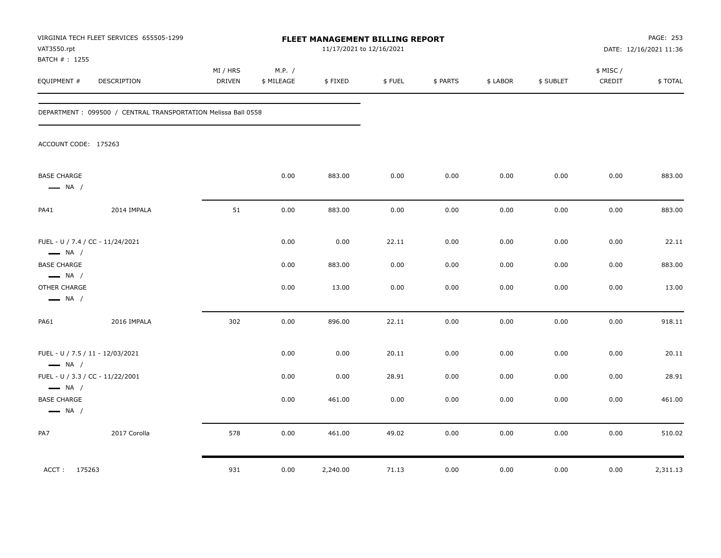| VAT3550.rpt<br>BATCH # : 1255                                                          | VIRGINIA TECH FLEET SERVICES 655505-1299                      | FLEET MANAGEMENT BILLING REPORT<br>11/17/2021 to 12/16/2021 |                      |                 |              |              |              |              |                     | PAGE: 253<br>DATE: 12/16/2021 11:36 |  |
|----------------------------------------------------------------------------------------|---------------------------------------------------------------|-------------------------------------------------------------|----------------------|-----------------|--------------|--------------|--------------|--------------|---------------------|-------------------------------------|--|
| EQUIPMENT #                                                                            | DESCRIPTION                                                   | MI / HRS<br><b>DRIVEN</b>                                   | M.P. /<br>\$ MILEAGE | \$FIXED         | \$FUEL       | \$ PARTS     | \$ LABOR     | \$ SUBLET    | \$ MISC /<br>CREDIT | \$TOTAL                             |  |
|                                                                                        | DEPARTMENT: 099500 / CENTRAL TRANSPORTATION Melissa Ball 0558 |                                                             |                      |                 |              |              |              |              |                     |                                     |  |
| ACCOUNT CODE: 175263                                                                   |                                                               |                                                             |                      |                 |              |              |              |              |                     |                                     |  |
| <b>BASE CHARGE</b><br>$\longrightarrow$ NA /                                           |                                                               |                                                             | 0.00                 | 883.00          | 0.00         | 0.00         | 0.00         | 0.00         | 0.00                | 883.00                              |  |
| PA41                                                                                   | 2014 IMPALA                                                   | 51                                                          | 0.00                 | 883.00          | 0.00         | 0.00         | 0.00         | 0.00         | 0.00                | 883.00                              |  |
| FUEL - U / 7.4 / CC - 11/24/2021<br>$\longrightarrow$ NA /                             |                                                               |                                                             | 0.00                 | 0.00            | 22.11        | 0.00         | 0.00         | 0.00         | 0.00                | 22.11                               |  |
| <b>BASE CHARGE</b><br>$\longrightarrow$ NA /<br>OTHER CHARGE<br>$\longrightarrow$ NA / |                                                               |                                                             | 0.00<br>0.00         | 883.00<br>13.00 | 0.00<br>0.00 | 0.00<br>0.00 | 0.00<br>0.00 | 0.00<br>0.00 | 0.00<br>0.00        | 883.00<br>13.00                     |  |
| PA61                                                                                   | 2016 IMPALA                                                   | 302                                                         | 0.00                 | 896.00          | 22.11        | 0.00         | 0.00         | 0.00         | 0.00                | 918.11                              |  |
| FUEL - U / 7.5 / 11 - 12/03/2021<br>$\longrightarrow$ NA /                             |                                                               |                                                             | 0.00                 | 0.00            | 20.11        | 0.00         | 0.00         | 0.00         | 0.00                | 20.11                               |  |
| FUEL - U / 3.3 / CC - 11/22/2001<br>$\longrightarrow$ NA /                             |                                                               |                                                             | 0.00                 | 0.00            | 28.91        | 0.00         | 0.00         | 0.00         | 0.00                | 28.91                               |  |
| <b>BASE CHARGE</b><br>$\longrightarrow$ NA /                                           |                                                               |                                                             | 0.00                 | 461.00          | 0.00         | 0.00         | 0.00         | 0.00         | 0.00                | 461.00                              |  |
| PA7                                                                                    | 2017 Corolla                                                  | 578                                                         | 0.00                 | 461.00          | 49.02        | 0.00         | 0.00         | 0.00         | 0.00                | 510.02                              |  |
| ACCT: 175263                                                                           |                                                               | 931                                                         | 0.00                 | 2,240.00        | 71.13        | 0.00         | $0.00\,$     | 0.00         | 0.00                | 2,311.13                            |  |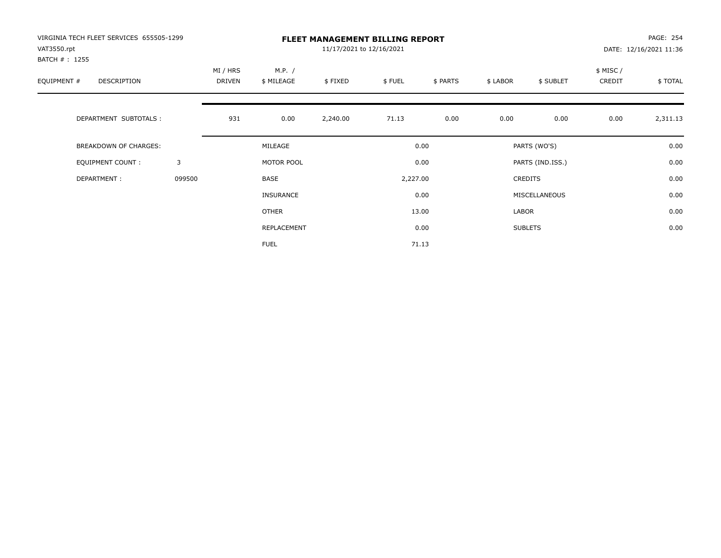| VIRGINIA TECH FLEET SERVICES 655505-1299<br>VAT3550.rpt<br>BATCH # : 1255 | <b>FLEET MANAGEMENT BILLING REPORT</b><br>11/17/2021 to 12/16/2021 |                           |                      |          |          |          |                |                  | PAGE: 254<br>DATE: 12/16/2021 11:36 |          |  |
|---------------------------------------------------------------------------|--------------------------------------------------------------------|---------------------------|----------------------|----------|----------|----------|----------------|------------------|-------------------------------------|----------|--|
| EQUIPMENT #<br><b>DESCRIPTION</b>                                         |                                                                    | MI / HRS<br><b>DRIVEN</b> | M.P. /<br>\$ MILEAGE | \$FIXED  | \$FUEL   | \$ PARTS | \$ LABOR       | \$ SUBLET        | \$ MISC /<br>CREDIT                 | \$TOTAL  |  |
| DEPARTMENT SUBTOTALS :                                                    |                                                                    | 931                       | 0.00                 | 2,240.00 | 71.13    | 0.00     | 0.00           | 0.00             | 0.00                                | 2,311.13 |  |
| <b>BREAKDOWN OF CHARGES:</b>                                              |                                                                    |                           | MILEAGE              |          |          | 0.00     |                | PARTS (WO'S)     |                                     | 0.00     |  |
| <b>EQUIPMENT COUNT:</b>                                                   | 3                                                                  |                           | MOTOR POOL           |          |          | 0.00     |                | PARTS (IND.ISS.) |                                     | 0.00     |  |
| DEPARTMENT:                                                               | 099500                                                             |                           | <b>BASE</b>          |          | 2,227.00 |          | <b>CREDITS</b> |                  | 0.00                                |          |  |
|                                                                           |                                                                    |                           | INSURANCE            |          | 0.00     |          | MISCELLANEOUS  |                  |                                     | 0.00     |  |
|                                                                           |                                                                    |                           | <b>OTHER</b>         |          |          | 13.00    | LABOR          |                  |                                     | 0.00     |  |
|                                                                           |                                                                    |                           | REPLACEMENT          |          |          | 0.00     |                | <b>SUBLETS</b>   |                                     | 0.00     |  |
|                                                                           |                                                                    |                           | <b>FUEL</b>          |          |          | 71.13    |                |                  |                                     |          |  |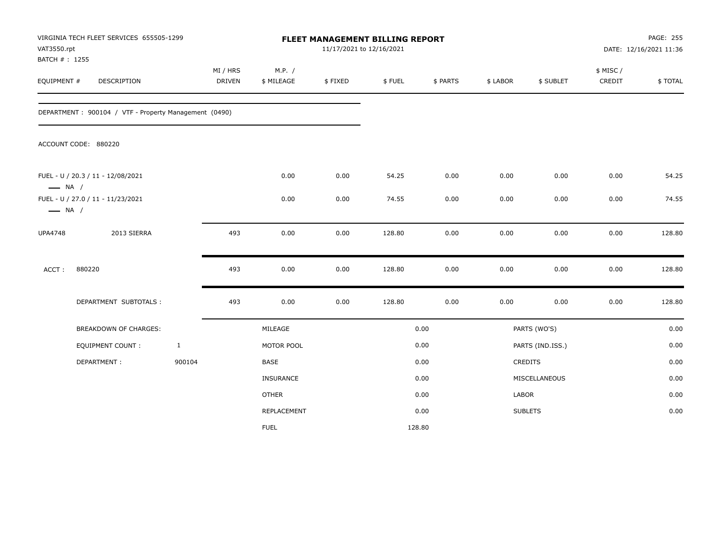| VAT3550.rpt<br>BATCH #: 1255 | VIRGINIA TECH FLEET SERVICES 655505-1299              |              | FLEET MANAGEMENT BILLING REPORT<br>11/17/2021 to 12/16/2021 |                      |         |        |          |          |                  |                    | PAGE: 255<br>DATE: 12/16/2021 11:36 |  |
|------------------------------|-------------------------------------------------------|--------------|-------------------------------------------------------------|----------------------|---------|--------|----------|----------|------------------|--------------------|-------------------------------------|--|
| EQUIPMENT #                  | DESCRIPTION                                           |              | MI / HRS<br><b>DRIVEN</b>                                   | M.P. /<br>\$ MILEAGE | \$FIXED | \$FUEL | \$ PARTS | \$ LABOR | \$ SUBLET        | \$ MISC/<br>CREDIT | <b>\$TOTAL</b>                      |  |
|                              | DEPARTMENT: 900104 / VTF - Property Management (0490) |              |                                                             |                      |         |        |          |          |                  |                    |                                     |  |
|                              | ACCOUNT CODE: 880220                                  |              |                                                             |                      |         |        |          |          |                  |                    |                                     |  |
| $\longrightarrow$ NA /       | FUEL - U / 20.3 / 11 - 12/08/2021                     |              |                                                             | 0.00                 | 0.00    | 54.25  | 0.00     | 0.00     | 0.00             | 0.00               | 54.25                               |  |
| $\longrightarrow$ NA /       | FUEL - U / 27.0 / 11 - 11/23/2021                     |              |                                                             | 0.00                 | 0.00    | 74.55  | 0.00     | 0.00     | 0.00             | 0.00               | 74.55                               |  |
| <b>UPA4748</b>               | 2013 SIERRA                                           |              | 493                                                         | 0.00                 | 0.00    | 128.80 | 0.00     | 0.00     | 0.00             | 0.00               | 128.80                              |  |
| ACCT:                        | 880220                                                |              | 493                                                         | 0.00                 | 0.00    | 128.80 | 0.00     | 0.00     | 0.00             | 0.00               | 128.80                              |  |
|                              | DEPARTMENT SUBTOTALS :                                |              | 493                                                         | 0.00                 | 0.00    | 128.80 | 0.00     | 0.00     | 0.00             | 0.00               | 128.80                              |  |
|                              | BREAKDOWN OF CHARGES:                                 |              | MILEAGE                                                     |                      |         |        | 0.00     |          | PARTS (WO'S)     |                    | 0.00                                |  |
|                              | <b>EQUIPMENT COUNT:</b>                               | $\mathbf{1}$ |                                                             | MOTOR POOL           |         |        | 0.00     |          | PARTS (IND.ISS.) |                    | 0.00                                |  |
|                              | DEPARTMENT:                                           | 900104       |                                                             | <b>BASE</b>          |         |        | 0.00     |          | CREDITS          |                    | 0.00                                |  |
|                              |                                                       |              |                                                             | <b>INSURANCE</b>     |         |        | 0.00     |          | MISCELLANEOUS    |                    | 0.00                                |  |
|                              |                                                       |              |                                                             | <b>OTHER</b>         |         |        | 0.00     | LABOR    |                  |                    | 0.00                                |  |
|                              |                                                       |              |                                                             | REPLACEMENT          |         |        | 0.00     |          | <b>SUBLETS</b>   |                    | 0.00                                |  |
|                              |                                                       |              |                                                             | <b>FUEL</b>          |         | 128.80 |          |          |                  |                    |                                     |  |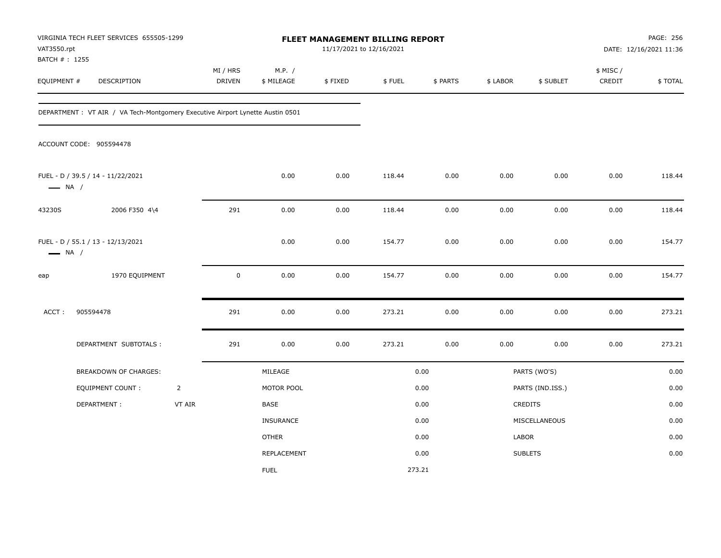| VAT3550.rpt<br>BATCH #: 1255 | VIRGINIA TECH FLEET SERVICES 655505-1299                                       | FLEET MANAGEMENT BILLING REPORT<br>11/17/2021 to 12/16/2021 |                    |                      |          |        |          |          | PAGE: 256<br>DATE: 12/16/2021 11:36 |                    |         |
|------------------------------|--------------------------------------------------------------------------------|-------------------------------------------------------------|--------------------|----------------------|----------|--------|----------|----------|-------------------------------------|--------------------|---------|
| EQUIPMENT #                  | <b>DESCRIPTION</b>                                                             |                                                             | MI / HRS<br>DRIVEN | M.P. /<br>\$ MILEAGE | \$FIXED  | \$FUEL | \$ PARTS | \$ LABOR | \$ SUBLET                           | \$ MISC/<br>CREDIT | \$TOTAL |
|                              | DEPARTMENT : VT AIR / VA Tech-Montgomery Executive Airport Lynette Austin 0501 |                                                             |                    |                      |          |        |          |          |                                     |                    |         |
|                              | ACCOUNT CODE: 905594478                                                        |                                                             |                    |                      |          |        |          |          |                                     |                    |         |
| $\longrightarrow$ NA /       | FUEL - D / 39.5 / 14 - 11/22/2021                                              |                                                             |                    | 0.00                 | 0.00     | 118.44 | 0.00     | 0.00     | 0.00                                | 0.00               | 118.44  |
| 43230S                       | 2006 F350 4\4                                                                  |                                                             | 291                | 0.00                 | 0.00     | 118.44 | 0.00     | 0.00     | 0.00                                | 0.00               | 118.44  |
| $\longrightarrow$ NA /       | FUEL - D / 55.1 / 13 - 12/13/2021                                              |                                                             |                    | 0.00                 | 0.00     | 154.77 | 0.00     | 0.00     | 0.00                                | 0.00               | 154.77  |
| eap                          | 1970 EQUIPMENT                                                                 |                                                             | $\mathsf 0$        | 0.00                 | 0.00     | 154.77 | 0.00     | 0.00     | 0.00                                | 0.00               | 154.77  |
| ACCT:                        | 905594478                                                                      |                                                             | 291                | 0.00                 | 0.00     | 273.21 | 0.00     | 0.00     | 0.00                                | 0.00               | 273.21  |
|                              | DEPARTMENT SUBTOTALS :                                                         |                                                             | 291                | 0.00                 | $0.00\,$ | 273.21 | $0.00\,$ | 0.00     | 0.00                                | 0.00               | 273.21  |
|                              | BREAKDOWN OF CHARGES:                                                          |                                                             |                    | MILEAGE              |          |        | 0.00     |          | PARTS (WO'S)                        |                    | 0.00    |
|                              | <b>EQUIPMENT COUNT:</b>                                                        | $\overline{2}$                                              |                    | MOTOR POOL           |          |        | 0.00     |          | PARTS (IND.ISS.)                    |                    | 0.00    |
|                              | DEPARTMENT:                                                                    | VT AIR                                                      |                    | BASE                 |          |        | 0.00     |          | CREDITS                             |                    | 0.00    |
|                              |                                                                                |                                                             |                    | INSURANCE            |          |        | 0.00     |          | MISCELLANEOUS                       |                    | 0.00    |
|                              |                                                                                |                                                             |                    | <b>OTHER</b>         |          |        | 0.00     | LABOR    |                                     |                    | 0.00    |
|                              |                                                                                |                                                             |                    | REPLACEMENT          |          |        | 0.00     |          | <b>SUBLETS</b>                      |                    | 0.00    |
|                              |                                                                                |                                                             |                    | <b>FUEL</b>          |          |        | 273.21   |          |                                     |                    |         |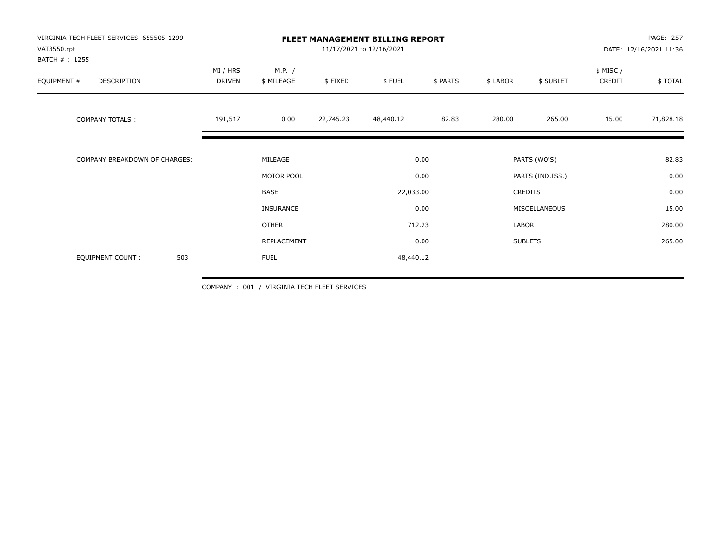| VIRGINIA TECH FLEET SERVICES 655505-1299<br>VAT3550.rpt<br>BATCH #: 1255 |                    |                                               | <b>FLEET MANAGEMENT BILLING REPORT</b><br>11/17/2021 to 12/16/2021 |                           | PAGE: 257<br>DATE: 12/16/2021 11:36 |                                                     |                |                     |           |
|--------------------------------------------------------------------------|--------------------|-----------------------------------------------|--------------------------------------------------------------------|---------------------------|-------------------------------------|-----------------------------------------------------|----------------|---------------------|-----------|
| EQUIPMENT #<br>DESCRIPTION                                               | MI / HRS<br>DRIVEN | M.P. /<br>\$ MILEAGE                          | \$FIXED                                                            | \$FUEL                    | \$ PARTS                            | \$ LABOR                                            | \$ SUBLET      | \$ MISC /<br>CREDIT | \$TOTAL   |
| <b>COMPANY TOTALS:</b>                                                   | 191,517            | 0.00                                          | 22,745.23                                                          | 48,440.12                 | 82.83                               | 280.00                                              | 265.00         | 15.00               | 71,828.18 |
| <b>COMPANY BREAKDOWN OF CHARGES:</b>                                     |                    | MILEAGE                                       |                                                                    |                           | 0.00                                |                                                     | PARTS (WO'S)   |                     | 82.83     |
|                                                                          |                    | MOTOR POOL<br><b>BASE</b><br><b>INSURANCE</b> |                                                                    | 0.00<br>22,033.00<br>0.00 |                                     | PARTS (IND.ISS.)<br><b>CREDITS</b><br>MISCELLANEOUS |                | 0.00<br>0.00        |           |
|                                                                          |                    |                                               |                                                                    |                           |                                     |                                                     |                |                     |           |
|                                                                          |                    |                                               |                                                                    |                           |                                     |                                                     |                |                     | 15.00     |
|                                                                          |                    | <b>OTHER</b>                                  |                                                                    | 712.23                    |                                     | LABOR                                               |                |                     | 280.00    |
|                                                                          |                    | REPLACEMENT                                   |                                                                    |                           | 0.00                                |                                                     | <b>SUBLETS</b> |                     | 265.00    |
| 503<br><b>EQUIPMENT COUNT:</b>                                           |                    | <b>FUEL</b>                                   |                                                                    | 48,440.12                 |                                     |                                                     |                |                     |           |

COMPANY : 001 / VIRGINIA TECH FLEET SERVICES